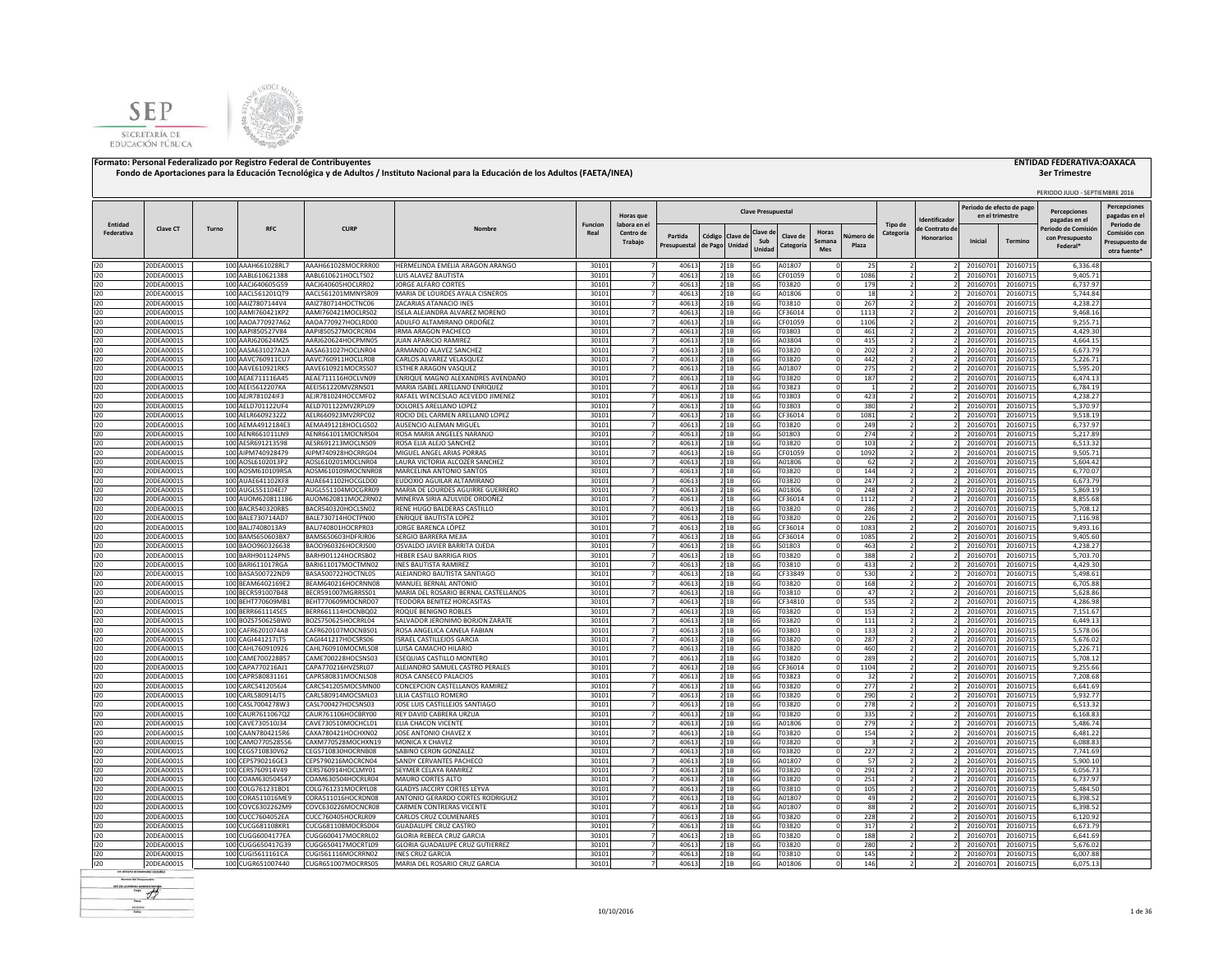



|                       |                                 |       |                                        |                                          |                                                                     |                 | Horas que                           | <b>Clave Presupuestal</b> |                   |                    |                          |                       |                        |                    | dentificado          | Periodo de efecto de pag<br>en el trimestre |                      | PERIODO JULIO - SEPTIEMBRE 2016<br><b>Percenciones</b><br>pagadas en el | <b>Percepciones</b><br>pagadas en e              |                                                              |
|-----------------------|---------------------------------|-------|----------------------------------------|------------------------------------------|---------------------------------------------------------------------|-----------------|-------------------------------------|---------------------------|-------------------|--------------------|--------------------------|-----------------------|------------------------|--------------------|----------------------|---------------------------------------------|----------------------|-------------------------------------------------------------------------|--------------------------------------------------|--------------------------------------------------------------|
| Entidad<br>Federativa | Clave CT                        | Turno | <b>RFC</b>                             | <b>CURP</b>                              |                                                                     | Funcion<br>Real | labora en e<br>Centro de<br>Trabajo | Partida<br>Presupuestal   | Código<br>de Pago | Clave de<br>Unidac | Clave d<br>Sub<br>Unidad | Clave de<br>Categoría | Horas<br>Semana<br>Mes | Júmero de<br>Plaza | Tipo de<br>Categoría | e Contrato de<br><b>Honorarios</b>          | Inicial              | Termino                                                                 | eriodo de Comisió<br>con Presupuesto<br>Federal* | Periodo de<br>Comisión cor<br>Presupuesto de<br>otra fuente' |
| 120                   | 20DEA0001S                      |       | 100 AAAH661028RL7                      | AAAH661028MOCRRR00                       | HERMELINDA EMELIA ARAGON ARANGO                                     | 30101           |                                     | 40613                     |                   | 2 1 B              | 6G                       | A01807                | $\Omega$               | 25                 |                      |                                             | 20160701             | 20160715                                                                | 6,336.48                                         |                                                              |
| 120                   | 20DEA0001S                      |       | 100 AABL610621388                      | AABL610621HOCLTS02                       | LUIS ALAVEZ BAUTISTA                                                | 30101           |                                     | 40613                     |                   | 21B                | 6G                       | CF01059               | - 0                    | 1086               |                      |                                             | 20160701             | 20160715                                                                | 9.405.71                                         |                                                              |
| 120                   | 20DEA0001S                      |       | 100 AACJ640605G59                      | AACJ640605HOCLRR02                       | JORGE ALFARO CORTES                                                 | 30101           |                                     | 40613                     |                   | 21B                | 6G                       | T03820                |                        | 179                |                      |                                             | 20160701             | 20160715                                                                | 6,737.97                                         |                                                              |
| 120<br>120            | 20DEA0001S<br>20DEA0001S        |       | 100 AACL561201QT9                      | AACL561201MMNYSR09<br>AAIZ780714HOCTNC06 | MARIA DE LOURDES AYALA CISNEROS<br>ZACARIAS ATANACIO INES           | 30101<br>30101  |                                     | 40613<br>4061             |                   | 21B<br>21B         | 6G<br>6G                 | A01806<br>T03810      |                        | 18<br>267          |                      |                                             | 20160701<br>20160701 | 20160715<br>20160715                                                    | 5,744.84<br>4,238.27                             |                                                              |
| 120                   | 0DEA0001S                       |       | 100 AAIZ7807144V4<br>100 AAMI760421KP2 | AAMI760421MOCLRS02                       | ISELA ALEJANDRA ALVAREZ MORENO                                      | 30101           |                                     | 4061                      |                   | 21B                | 6G                       | CF36014               |                        | 1113               |                      |                                             | 20160701             | 20160715                                                                | 9,468.16                                         |                                                              |
| 120                   | 20DEA0001S                      |       | 100 AAOA770927A62                      | AAOA770927HOCLRD00                       | ADULFO ALTAMIRANO ORDOÑEZ                                           | 30101           |                                     | 40613                     |                   | 2 1B               | 6G                       | CF01059               |                        | 1106               |                      |                                             | 20160701             | 20160715                                                                | 9.255.71                                         |                                                              |
| 120                   | 20DEA0001S                      |       | 100 AAPI850527V84                      | AAPI850527MOCRCR04                       | <b>IRMA ARAGON PACHECO</b>                                          | 30101           |                                     | 40613                     |                   | 21B                | 6G                       | T03803                |                        | 461                |                      |                                             | 20160701             | 20160715                                                                | 4,429.30                                         |                                                              |
| 120                   | 20DEA0001S                      |       | 100 AARJ620624MZ5                      | AARJ620624HOCPMN05                       | JUAN APARICIO RAMIREZ                                               | 30101           |                                     | 40613                     |                   | 21B                | 6G                       | A03804                |                        | 415                |                      |                                             | 20160701             | 20160715                                                                | 4,664.15                                         |                                                              |
| 120                   | 20DEA0001S                      |       | 100 AASA631027A2A                      | AASA631027HOCLNR04                       | ARMANDO ALAVEZ SANCHEZ                                              | 30101           |                                     | 40613                     |                   | 2 <sup>1B</sup>    | 6G                       | T03820                | $\Omega$               | 202                |                      |                                             | 20160701             | 20160715                                                                | 6.673.79                                         |                                                              |
| 120                   | 20DEA0001S                      |       | 100 AAVC760911CU7                      | AAVC760911HOCLLR08                       | CARLOS ALVAREZ VELASQUEZ                                            | 30101           |                                     | 40613                     |                   | 21B                | 6G                       | T03820                | $\Omega$               | 442                |                      |                                             | 20160701             | 20160715                                                                | 5,226.71                                         |                                                              |
| 120<br>120            | 20DEA0001S<br>20DEA0001S        |       | 100 AAVE610921RK5<br>100 AEAE711116A45 | AAVE610921MOCRSS07<br>AEAE711116HOCLVN09 | <b>ESTHER ARAGON VASQUEZ</b><br>ENRIQUE MAGNO ALEXANDRES AVENDAÑO   | 30101<br>30101  |                                     | 40613<br>40613            |                   | 21B<br>21B         | 6G<br>6G                 | A01807<br>T03820      | - 0                    | 275<br>187         |                      |                                             | 20160701<br>20160701 | 20160715<br>20160715                                                    | 5.595.20<br>6,474.13                             |                                                              |
| 120                   | 20DEA0001S                      |       | 100 AEEI5612207KA                      | AEEI561220MVZRNS01                       | MARIA ISABEL ARELLANO ENRIQUEZ                                      | 30101           |                                     | 40613                     |                   | 2 1B               | 6G                       | T03823                |                        |                    |                      |                                             | 20160701             | 20160715                                                                | 6,784.19                                         |                                                              |
| 120                   | 20DEA0001S                      |       | 100 AEJR781024IF3                      | AEJR781024HOCCMF02                       | RAFAEL WENCESLAO ACEVEDO JIMENEZ                                    | 30101           |                                     | 40613                     |                   | 21B                | 6G                       | T03803                |                        | 423                |                      |                                             | 20160701             | 20160715                                                                | 4,238.27                                         |                                                              |
| 120                   | 20DEA0001S                      |       | 100 AELD701122UF4                      | AELD701122MVZRPL09                       | DOLORES ARELLANO LOPEZ                                              | 30101           |                                     | 4061                      |                   | 21B                | 6G                       | T03803                |                        | 380                |                      |                                             | 20160701             | 20160715                                                                | 5.370.97                                         |                                                              |
| 120                   | 20DEA0001S                      |       | 100 AELR6609232Z2                      | AELR660923MVZRPC02                       | ROCIO DEL CARMEN ARELLANO LOPEZ                                     | 30101           |                                     | 40613                     |                   | 21B                | 6G                       | CF36014               |                        | 1081               |                      |                                             | 20160701             | 20160715                                                                | 9,518.19                                         |                                                              |
| 120                   | 20DEA0001S                      |       | 100 AEMA4912184E3                      | AEMA491218HOCLGS02                       | AUSENCIO ALEMAN MIGUEL                                              | 30101           |                                     | 40613                     |                   | 21B                | 6G                       | T03820                |                        | 249                |                      |                                             | 20160701             | 20160715                                                                | 6,737.97                                         |                                                              |
| 120                   | 20DEA0001S                      |       | 100 AENR661011LN9                      | AENR661011MOCNRS04                       | ROSA MARIA ANGELES NARANJO                                          | 30101           |                                     | 40613                     |                   | 21B                | 6G                       | S01803                |                        | 274                |                      |                                             | 20160701             | 20160715                                                                | 5.217.89                                         |                                                              |
| 120<br>120            | 20DEA0001S<br>20DEA0001S        |       | 100 AESR691213598<br>100 AIPM740928479 | AESR691213MOCLNS09<br>AIPM740928HOCRRG04 | ROSA ELIA ALEJO SANCHEZ<br>MIGUEL ANGEL ARIAS PORRAS                | 30101<br>30101  |                                     | 40613<br>40613            |                   | 2 1B<br>2 1 B      | 6G<br>6G                 | T03820<br>CF01059     | $\Omega$<br>$\Omega$   | 103<br>1092        |                      |                                             | 20160701<br>20160701 | 20160715<br>20160715                                                    | 6,513.32<br>9,505.71                             |                                                              |
| 120                   | 20DEA0001S                      |       | 100 AOSL6102013P2                      | AOSL610201MOCLNR04                       | LAURA VICTORIA ALCOZER SANCHEZ                                      | 30101           |                                     | 40613                     |                   | 21B                | 6G                       | A01806                |                        | 62                 |                      |                                             | 20160701             | 20160715                                                                | 5,604.42                                         |                                                              |
| 120                   | 20DEA0001S                      |       | 100 AOSM610109R5A                      | AOSM610109MOCNNR08                       | MARCELINA ANTONIO SANTOS                                            | 30101           |                                     | 4061                      |                   | 21B                | 6G                       | T03820                |                        | 144                |                      |                                             | 20160701             | 20160715                                                                | 6,770.07                                         |                                                              |
| 120                   | 20DEA0001S                      |       | 100 AUAE641102KF8                      | AUAE641102HOCGLD00                       | EUDOXIO AGUILAR ALTAMIRANO                                          | 30101           |                                     | 4061                      |                   | 21B                | 6G                       | T03820                |                        | 247                |                      |                                             | 20160701             | 20160715                                                                | 6,673.79                                         |                                                              |
| 120                   | <b>!ODEA0001S</b>               |       | 100 AUGL551104EJ7                      | AUGL551104MOCGRR09                       | MARIA DE LOURDES AGUIRRE GUERRERO                                   | 30101           |                                     | 4061                      |                   | 21B                | 6G                       | A01806                |                        | 248                |                      |                                             | 2016070              | 20160715                                                                | 5,869.19                                         |                                                              |
| 120                   | 0DEA0001S                       |       | 100 AUOM6208111B6                      | AUOM620811MOCZRN02                       | MINERVA SIRIA AZULVIDE ORDOÑEZ                                      | 30101           |                                     | 40613                     |                   | 2 1 B              | 6G                       | CF36014               |                        | 1112               |                      |                                             | 2016070              | 20160715                                                                | 8.855.68                                         |                                                              |
| 120                   | 20DEA0001S                      |       | 100 BACR540320RB5                      | BACR540320HOCLSN02                       | RENE HUGO BALDERAS CASTILLO                                         | 30101           |                                     | 40613                     |                   | 21B                | 6G                       | T03820                |                        | 286                |                      |                                             | 20160701             | 20160715                                                                | 5,708.12                                         |                                                              |
| 120<br>120            | 20DEA0001S<br>20DEA0001S        |       | 100 BALE730714AD7<br>100 BALJ7408013A9 | BALE730714HOCTPN00<br>BALJ740801HOCRPR03 | <b>ENRIQUE BAUTISTA LOPEZ</b><br>JORGE BARENCA LÓPEZ                | 30101<br>30101  |                                     | 40613<br>40613            |                   | 21B<br>21B         | 6G<br>6G                 | T03820<br>CF36014     | $\Omega$               | 226<br>1083        |                      |                                             | 20160701<br>20160701 | 20160715<br>20160715                                                    | 7.116.98<br>9.493.16                             |                                                              |
| 120                   | 20DEA0001S                      |       | 100 BAMS650603BX7                      | BAMS650603HDFRJR06                       | SERGIO BARRERA MEJIA                                                | 30101           |                                     | 40613                     |                   | 21B                | 6G                       | CF36014               | - 0                    | 1085               |                      |                                             | 20160701             | 20160715                                                                | 9,405.60                                         |                                                              |
| 120                   | 20DEA0001S                      |       | 100 BAOO960326638                      | BAOO960326HOCRJS00                       | OSVALDO JAVIER BARRITA OJEDA                                        | 30101           |                                     | 40613                     |                   | 21B                | 6G                       | S01803                | $\Omega$               | 463                |                      |                                             | 20160701             | 20160715                                                                | 4,238.27                                         |                                                              |
| 120                   | 20DEA0001S                      |       | 100 BARH901124PN5                      | BARH901124HOCRSB02                       | <b>HEBER ESAU BARRIGA RIOS</b>                                      | 30101           |                                     | 40613                     |                   | 21B                | 6G                       | T03820                | - 0                    | 388                |                      |                                             | 20160701             | 20160715                                                                | 5,703.70                                         |                                                              |
| 120                   | 20DEA0001S                      |       | 100 BARI611017RGA                      | BARI611017MOCTMN02                       | <b>INES BAUTISTA RAMIREZ</b>                                        | 30101           |                                     | 40613                     |                   | 2 1B               | 6G                       | T03810                |                        | 433                |                      |                                             | 20160701             | 20160715                                                                | 4,429.30                                         |                                                              |
| 120                   | 20DEA0001S                      |       | 100 BASA500722ND9                      | BASA500722HOCTNL05                       | ALEJANDRO BAUTISTA SANTIAGO                                         | 30101           |                                     | 4061                      |                   | 21B                | 6G                       | CF33849               |                        | 530                |                      |                                             | 20160701             | 20160715                                                                | 5,498.61                                         |                                                              |
| 120                   | 20DEA0001S                      |       | 100 BEAM6402169E2                      | BEAM640216HOCRNN08                       | MANUEL BERNAL ANTONIO                                               | 30101           |                                     | 40613                     |                   | 2 1B               | 6G                       | T03820                |                        | 168                |                      |                                             | 20160701             | 20160715                                                                | 6,705.88                                         |                                                              |
| 120                   | 20DEA0001S                      |       | 100 BECR591007B48                      | BECR591007MGRRSS01                       | MARIA DEL ROSARIO BERNAL CASTELLANOS                                | 30101           |                                     | 40613                     |                   | 2 1B               | 6G                       | T03810                |                        | 47                 |                      |                                             | 20160701             | 20160715                                                                | 5,628.86                                         |                                                              |
| 120<br>120            | 20DEA0001S<br>20DEA0001S        |       | 100 BEHT770609MB1<br>100 BERR661114SE5 | BEHT770609MOCNRD07<br>BERR661114HOCNBQ02 | TEODORA BENITEZ HORCASITAS<br>ROQUE BENIGNO ROBLES                  | 30101<br>30101  |                                     | 40613<br>40613            |                   | 2 1B<br>21B        | 6G<br>6G                 | CF34810<br>T03820     |                        | 535<br>153         |                      |                                             | 20160701<br>20160701 | 20160715<br>20160715                                                    | 4,286.98<br>7.151.67                             |                                                              |
| 120                   | 20DEA0001S                      |       | 100 BOZS750625BW0                      | BOZS750625HOCRRL04                       | SALVADOR JERONIMO BORJON ZARATE                                     | 30101           |                                     | 40613                     |                   | 21B                | 6G                       | T03820                |                        | 111                |                      |                                             | 20160701             | 20160715                                                                | 6,449.13                                         |                                                              |
| 120                   | 20DEA0001S                      |       | 100 CAFR6201074A8                      | CAFR620107MOCNBS01                       | ROSA ANGELICA CANELA FABIAN                                         | 30101           |                                     | 40613                     |                   | 21B                | 6G                       | T03803                | $\Omega$               | 133                |                      |                                             | 20160701             | 20160715                                                                | 5.578.06                                         |                                                              |
| 120                   | 20DEA0001S                      |       | 100 CAGI441217LT5                      | CAGI441217HOCSRS06                       | <b>ISRAEL CASTILLEJOS GARCIA</b>                                    | 30101           |                                     | 40613                     |                   | 21B                | 6G                       | T03820                | $\Omega$               | 287                |                      |                                             | 20160701             | 20160715                                                                | 5,676.02                                         |                                                              |
| 120                   | 20DEA0001S                      |       | 100 CAHL760910926                      | CAHL760910MOCMLS08                       | LUISA CAMACHO HILARIO                                               | 30101           |                                     | 4061                      |                   | 21B                | 6G                       | T03820                |                        | 460                |                      |                                             | 20160701             | 20160715                                                                | 5,226.71                                         |                                                              |
| 120                   | 20DEA0001S                      |       | 100 CAME700228B57                      | CAME700228HOCSNS03                       | ESEQUIAS CASTILLO MONTERO                                           | 30101           |                                     | 4061                      |                   | 21B                | 6G                       | T03820                |                        | 289                |                      |                                             | 20160701             | 20160715                                                                | 5,708.12                                         |                                                              |
| 120                   | <b>!ODEA0001S</b>               |       | 100 CAPA770216AJ1                      | CAPA770216HVZSRL07<br>CAPR580831MOCNLS08 | ALEJANDRO SAMUEL CASTRO PERALES                                     | 30101           |                                     | 4061<br>40613             |                   | 2 1B               | 6G                       | CF36014               |                        | 1104               |                      |                                             | 20160701             | 20160715                                                                | 9,255.66<br>7.208.68                             |                                                              |
| 120<br>120            | 0DEA0001S<br>20DEA0001S         |       | 100 CAPR580831161<br>100 CARC5412056J4 | CARC541205MOCSMN00                       | ROSA CANSECO PALACIOS<br>CONCEPCION CASTELLANOS RAMIREZ             | 30101<br>30101  |                                     | 40613                     |                   | 2 1B<br>21B        | 6G<br>6G                 | T03823<br>T03820      | $\Omega$               | 32<br>277          |                      |                                             | 20160701<br>20160701 | 20160715<br>20160715                                                    | 6,641.69                                         |                                                              |
| 120                   | 20DEA0001S                      |       | 100 CARL580914JT5                      | CARL580914MOCSML03                       | LILIA CASTILLO ROMERO                                               | 30101           |                                     | 40613                     |                   | 21B                | 6G                       | T03820                |                        | 290                |                      |                                             | 20160701             | 20160715                                                                | 5.932.77                                         |                                                              |
| 120                   | 20DEA0001S                      |       | 100 CASL7004278W3                      | CASL700427HOCSNS03                       | JOSE LUIS CASTILLEJOS SANTIAGO                                      | 30101           |                                     | 40613                     |                   | 2 1 B              | 6G                       | T03820                |                        | 278                |                      |                                             | 20160701             | 20160715                                                                | 6,513.32                                         |                                                              |
| 120                   | 20DEA0001S                      |       | 100 CAUR7611067Q2                      | CAUR761106HOCBRY00                       | REY DAVID CABRERA URZUA                                             | 30101           |                                     | 40613                     |                   | 2 1 B              | 6G                       | T03820                |                        | 335                |                      |                                             | 20160701             | 20160715                                                                | 6,168.83                                         |                                                              |
| 120                   | 20DEA0001S                      |       | 100 CAVE730510J34                      | CAVE730510MOCHCL01                       | ELIA CHACON VICENTE                                                 | 30101           |                                     | 40613                     |                   | 21B                | 6G                       | A01806                |                        | 279                |                      |                                             | 20160701             | 20160715                                                                | 5,486.74                                         |                                                              |
| 120                   | 20DEA0001S                      |       | 100 CAAN7804215R6                      | CAXA780421HOCHXN02                       | JOSE ANTONIO CHAVEZ >                                               | 30101           |                                     | 40613                     |                   | 21B                | 6G                       | T03820                |                        | 154                |                      |                                             | 20160701             | 20160715                                                                | 6,481.22                                         |                                                              |
| 120                   | 20DEA0001S                      |       | 100 CAMO770528556                      | CAXM770528MOCHXN19                       | MONICA X CHAVEZ                                                     | 30101           |                                     | 40613                     |                   | 2 1B               | 6G                       | T03820                |                        |                    |                      |                                             | 20160701             | 20160715                                                                | 6,088.83                                         |                                                              |
| 120<br>120            | 20DEA0001S<br>20DEA0001S        |       | 100 CEGS710830V62<br>100 CEPS790216GE3 | CEGS710830HOCRNB08<br>CEPS790216MOCRCN04 | SABINO CERON GONZALEZ<br>SANDY CERVANTES PACHECO                    | 30101<br>30101  |                                     | 4061<br>40613             |                   | 21B<br>2 1B        | 6G<br>6G                 | T03820<br>A01807      |                        | 227<br>57          |                      |                                             | 20160701<br>2016070  | 20160715<br>20160715                                                    | 7,741.69<br>5.900.10                             |                                                              |
| 120                   | 20DEA0001S                      |       | 100 CERS760914V49                      | CERS760914HOCLMY01                       | SEYMER CELAYA RAMIREZ                                               | 30101           |                                     | 40613                     |                   | 2 1B               | 6G                       | T03820                |                        | 291                |                      |                                             | 20160701             | 20160715                                                                | 6,056.73                                         |                                                              |
| 120                   | 20DEA0001S                      |       | 100 COAM630504S47                      | COAM630504HOCRLR04                       | MAURO CORTES ALTO                                                   | 30101           |                                     | 40613                     |                   | 2 1B               | 6G                       | T03820                |                        | 251                |                      |                                             | 20160701             | 20160715                                                                | 6,737.97                                         |                                                              |
| 120                   | 20DEA0001S                      |       | 100 COLG761231BD1                      | COLG761231MOCRYL08                       | <b>GLADYS JACCIRY CORTES LEYVA</b>                                  | 30101           |                                     | 40613                     |                   | 21B                | 6G                       | T03810                | $\Omega$               | 105                |                      |                                             | 20160701             | 20160715                                                                | 5.484.50                                         |                                                              |
| 120                   | 20DEA0001S                      |       | 100 CORA511016ME9                      | CORA511016HOCRDN08                       | ANTONIO GERARDO CORTES RODRIGUEZ                                    | 30101           |                                     | 40613                     |                   | 21B                | 6G                       | A01807                |                        | 49                 |                      |                                             | 20160701             | 20160715                                                                | 6,398.52                                         |                                                              |
| 120                   | 20DEA0001S                      |       | 100 COVC6302262M9                      | COVC630226MOCNCR08                       | <b>CARMEN CONTRERAS VICENTE</b>                                     | 30101           |                                     | 40613                     |                   | 21B                | 6G                       | A01807                | $\Omega$               | 88                 |                      |                                             | 20160701             | 20160715                                                                | 6.398.52                                         |                                                              |
| 120                   | 20DEA0001S                      |       | 100 CUCC7604052EA                      | CUCC760405HOCRLR09                       | CARLOS CRUZ COLMENARES                                              | 30101           |                                     | 40613                     |                   | 21B                | 6G                       | T03820                | $\Omega$               | 228                |                      |                                             | 20160701             | 20160715                                                                | 6,120.92                                         |                                                              |
| 120                   | 20DEA0001S                      |       | 100 CUCG681108KR1                      | CUCG681108MOCRSD04                       | <b>GUADALUPE CRUZ CASTRO</b>                                        | 30101           |                                     | 40613                     |                   | 2 1B               | 6G                       | T03820                |                        | 317                |                      |                                             | 20160701             | 20160715                                                                | 6,673.79                                         |                                                              |
| 120<br>120            | 20DEA0001S<br><b>!ODEA0001S</b> |       | 100 CUGG6004177EA<br>100 CUGG650417G39 | CUGG600417MOCRRL02<br>CUGG650417MOCRTL09 | <b>GLORIA REBECA CRUZ GARCIA</b><br>GLORIA GUADALUPE CRUZ GUTIERREZ | 30101<br>30101  |                                     | 4061<br>4061              |                   | 21B<br>21B         | 6G<br>6G                 | T03820<br>T03820      |                        | 188<br>280         |                      |                                             | 2016070<br>2016070   | 20160715<br>20160715                                                    | 6,641.69<br>5.676.02                             |                                                              |
| 120                   | 0DEA0001S                       |       | 100 CUGI5611161CA                      | CUGI561116MOCRRN02                       | <b>INFS CRUZ GARCIA</b>                                             | 30101           |                                     | 4061                      |                   | 21B                | 6G                       | T03810                |                        | 145                |                      |                                             | 20160701             | 20160715                                                                | 6.007.88                                         |                                                              |
| 120                   | 20DEA0001S                      |       | 100 CUGR651007440                      | CUGR651007MOCRRS05                       | MARIA DEL ROSARIO CRUZ GARCIA                                       | 30101           |                                     | 40613                     |                   | 21B                | 6G                       | A01806                |                        | 146                |                      |                                             | 20160701             | 20160715                                                                | 6,075.13                                         |                                                              |
|                       |                                 |       |                                        |                                          |                                                                     |                 |                                     |                           |                   |                    |                          |                       |                        |                    |                      |                                             |                      |                                                                         |                                                  |                                                              |

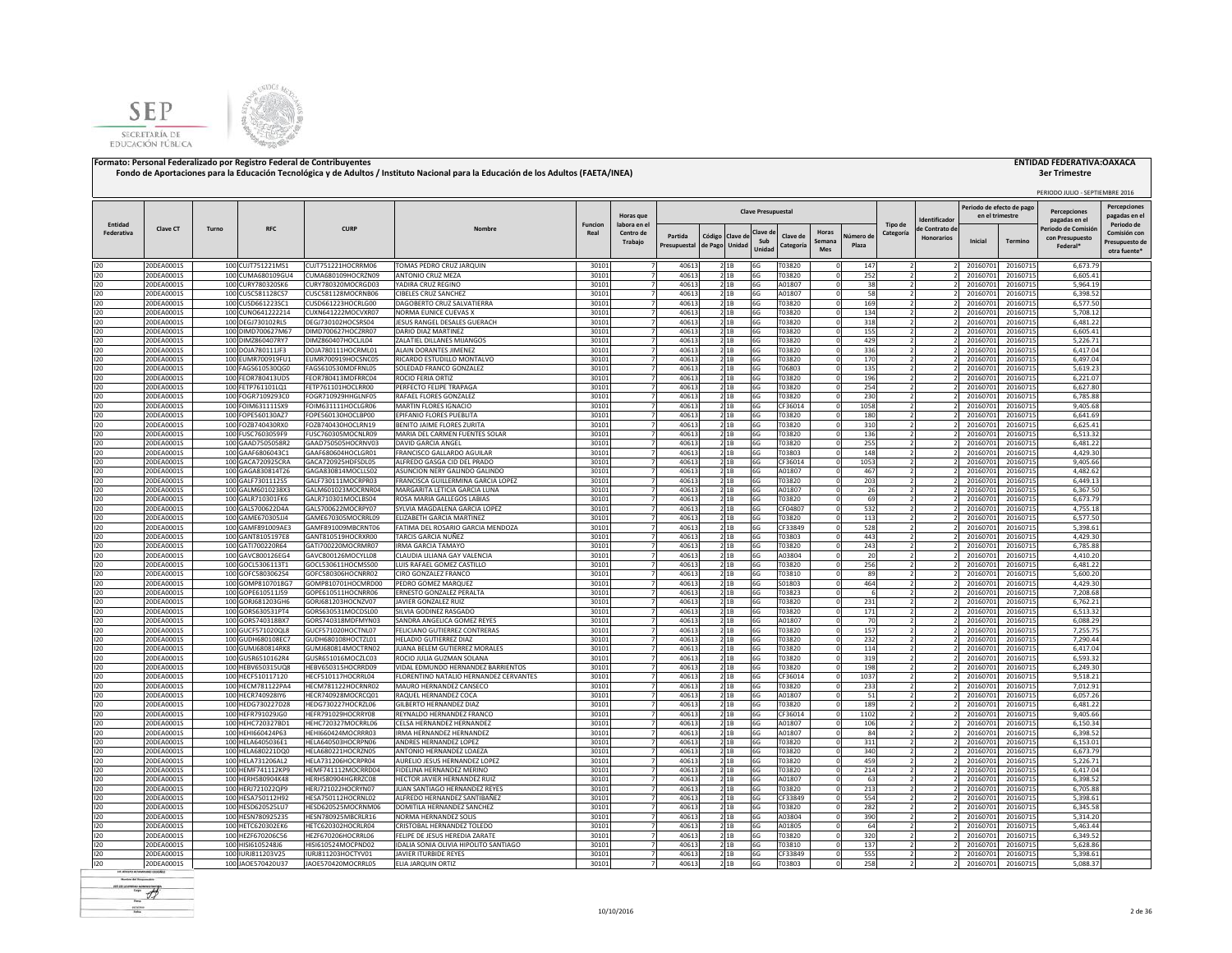



|                       |                          |       |                                        |                                          |                                                                |                        |                                  |                         |                                  |                           |                       |               |                    |                      |                   |                                             |                      | PERIODO JULIO - SEPTIEMBRE 2016      |                                            |
|-----------------------|--------------------------|-------|----------------------------------------|------------------------------------------|----------------------------------------------------------------|------------------------|----------------------------------|-------------------------|----------------------------------|---------------------------|-----------------------|---------------|--------------------|----------------------|-------------------|---------------------------------------------|----------------------|--------------------------------------|--------------------------------------------|
|                       |                          |       |                                        |                                          |                                                                |                        | Horas que                        |                         |                                  | <b>Clave Presupuestal</b> |                       |               |                    |                      | dentificado       | Periodo de efecto de pag<br>en el trimestre |                      | <b>Percenciones</b><br>pagadas en el | <b>Percepciones</b><br>pagadas en e        |
| Entidad<br>Federativa | Clave CT                 | Turno | <b>RFC</b>                             | <b>CURP</b>                              | Nombre                                                         | <b>Funcion</b><br>Real | labora en el<br>Centro de        |                         |                                  | Clave d                   |                       | Horas         |                    | Tipo de<br>Categoría | le Contrato de    |                                             |                      | Periodo de Comisió                   | Periodo de<br>Comisión cor                 |
|                       |                          |       |                                        |                                          |                                                                |                        | Trabajo                          | Partida<br>Presupuestal | Código Clave d<br>de Pago Unidad | Sub<br>Unidad             | Clave de<br>Categoría | Semana<br>Mes | Vúmero di<br>Plaza |                      | <b>Honorarios</b> | Inicial                                     | Termino              | con Presupuesto<br>Federal*          | Presupuesto de<br>otra fuente <sup>®</sup> |
| 120                   | 20DEA0001S               |       | 100 CUJT751221MS1                      | CUJT751221HOCRRM06                       | TOMAS PEDRO CRUZ JARQUIN                                       | 30101                  | $\overline{7}$                   | 40613                   | 2 1B                             | 6G                        | T03820                |               | 147                |                      |                   | 20160701                                    | 20160715             | 6,673.79                             |                                            |
| 120                   | 20DEA0001S               |       | 100 CUMA680109GU4                      | CUMA680109HOCRZN09                       | ANTONIO CRUZ MEZA                                              | 30101                  | $\overline{z}$                   | 40613                   | 21B                              | 6G                        | T03820                |               | 252                | $\overline{z}$       |                   | 20160701                                    | 20160715             | 6,605.41                             |                                            |
| 120<br>120            | 20DEA0001S<br>20DEA0001S |       | 100 CURY780320SK6<br>100 CUSC581128CS7 | CURY780320MOCRGD03<br>CUSC581128MOCRNB06 | YADIRA CRUZ REGINO<br>CIBELES CRUZ SANCHEZ                     | 30101<br>30101         |                                  | 40613<br>40613          | 21B                              | 6G<br>6G                  | A01807<br>A01807      |               | 38<br>58           |                      |                   | 20160701<br>20160701                        | 20160715<br>20160715 | 5,964.19<br>6,398.52                 |                                            |
| 120                   | 20DEA0001S               |       | 100 CUSD661223SC1                      | CUSD661223HOCRLG00                       | DAGOBERTO CRUZ SALVATIERRA                                     | 30101                  |                                  | 40613                   | 21B<br>21B                       | 6G                        | T03820                |               | 169                |                      |                   | 20160701                                    | 20160715             | 6,577.50                             |                                            |
| 120                   | 20DEA0001S               |       | 100 CUNO641222214                      | CUXN641222MOCVXR07                       | NORMA EUNICE CUEVAS X                                          | 30101                  |                                  | 40613                   | 21B                              | 6G                        | T03820                |               | 134                |                      |                   | 20160701                                    | 20160715             | 5,708.12                             |                                            |
| 120                   | 20DEA0001S               |       | 100 DEGJ730102RL5                      | DEGJ730102HOCSRS04                       | JESUS RANGEL DESALES GUERACH                                   | 30101                  |                                  | 40613                   | 21B                              | 6G                        | T03820                |               | 318                |                      |                   | 20160701                                    | 20160715             | 6,481.22                             |                                            |
| 120                   | 20DEA0001S               |       | 100 DIMD700627M67                      | DIMD700627HOCZRR07                       | DARIO DIAZ MARTINEZ                                            | 30101                  |                                  | 40613                   | 21B                              | 6G                        | T03820                |               | 155                | $\overline{2}$       |                   | 20160701                                    | 20160715             | 6.605.41                             |                                            |
| 120                   | 20DEA0001S               |       | 100 DIMZ860407RY7                      | DIMZ860407HOCLJL04                       | <b>ZALATIFL DILLANES MIJANGOS</b>                              | 30101                  |                                  | 40613                   | 2 1 B                            | 6G                        | T03820                |               | 429                |                      |                   | 20160701                                    | 20160715             | 5,226.71                             |                                            |
| 120<br>120            | 20DEA0001S<br>20DEA0001S |       | 100 DOJA780111JF3<br>100 EUMR700919FU1 | DOJA780111HOCRML01<br>EUMR700919HOCSNC05 | ALAIN DORANTES JIMENEZ<br>RICARDO ESTUDILLO MONTALVO           | 30101<br>30101         | -7<br>7                          | 40613<br>40613          | 2 1 B<br>2 1 B                   | 6G<br>6G                  | T03820<br>T03820      |               | 336<br>170         | 2                    |                   | 20160701<br>20160701                        | 20160715<br>20160715 | 6.417.04<br>6,497.04                 |                                            |
| 120                   | 20DEA0001S               |       | 100 FAGS610530QG0                      | FAGS610530MDFRNL05                       | SOLEDAD FRANCO GONZALEZ                                        | 30101                  |                                  | 40613                   | 2 1 B                            | 6G                        | T06803                |               | 135                |                      |                   | 20160701                                    | 20160715             | 5,619.23                             |                                            |
| 120                   | 20DEA0001S               |       | 100 FEOR780413UD5                      | FEOR780413MDFRRC04                       | ROCIO FERIA ORTIZ                                              | 30101                  |                                  | 40613                   | 21B                              | 6G                        | T03820                |               | 196                |                      |                   | 20160701                                    | 20160715             | 6,221.07                             |                                            |
| 120                   | 20DEA0001S               |       | 100 FETP761101LQ1                      | FETP761101HOCLRR00                       | PERFECTO FELIPE TRAPAGA                                        | 30101                  |                                  | 40613                   | 2 1 B                            | 6G                        | T03820                |               | 254                |                      |                   | 2016070                                     | 20160715             | 6.627.80                             |                                            |
| 120                   | 20DEA0001S               |       | 100 FOGR7109293C0                      | FOGR710929HHGLNF05                       | RAFAEL FLORES GONZALEZ                                         | 30101                  | $\overline{7}$                   | 40613                   | 21B                              | 6G                        | T03820                |               | 230                |                      |                   | 20160701                                    | 20160715             | 6,785.88                             |                                            |
| 120                   | 20DEA0001S               |       | 100 FOIM631111SX9                      | FOIM631111HOCLGR06                       | MARTIN FLORES IGNACIO                                          | 30101                  | $\overline{7}$                   | 40613                   | 21B                              | 6G                        | CF36014               |               | 1058               | $\overline{2}$       |                   | 20160701                                    | 20160715             | 9,405.68                             |                                            |
| 120<br>120            | 20DEA0001S<br>20DEA0001S |       | 100 FOPE560130AZ7<br>100 FOZB740430RX0 | FOPE560130HOCLBP00<br>FOZB740430HOCLRN19 | EPIFANIO FLORES PUEBLITA<br>BENITO JAIME FLORES ZURITA         | 30101<br>30101         | $\overline{7}$<br>$\overline{7}$ | 40613<br>40613          | 21B<br>21B                       | 6G<br>6G                  | T03820<br>T03820      |               | 180                | ν                    |                   | 20160701<br>20160701                        | 20160715<br>20160715 | 6.641.69<br>6,625.41                 |                                            |
| 120                   | 20DEA0001S               |       | 100 FUSC7603059F9                      | FUSC760305MOCNLR09                       | MARIA DEL CARMEN FUENTES SOLAR                                 | 30101                  | 7                                | 40613                   | 21B                              | 6G                        | T03820                |               | 310<br>136         | $\overline{z}$       |                   | 20160701                                    | 20160715             | 6,513.32                             |                                            |
| 120                   | 20DEA0001S               |       | 100 GAAD7505058R2                      | GAAD750505HOCRNV03                       | DAVID GARCIA ANGEL                                             | 30101                  | $\overline{7}$                   | 40613                   | 2 1B                             | 6G                        | T03820                |               | 255                |                      |                   | 20160701                                    | 20160715             | 6,481.22                             |                                            |
| 120                   | 20DEA0001S               |       | 100 GAAF6806043C1                      | GAAF680604HOCLGR01                       | FRANCISCO GALLARDO AGUILAR                                     | 30101                  |                                  | 40613                   | 2 1 B                            | 6G                        | T03803                |               | 148                |                      |                   | 20160701                                    | 20160715             | 4,429.30                             |                                            |
| 120                   | 20DEA0001S               |       | 100 GACA720925CRA                      | GACA720925HDFSDL05                       | ALFREDO GASGA CID DEL PRADO                                    | 30101                  |                                  | 40613                   | 2 1 B                            | 6G                        | CF36014               |               | 1053               |                      |                   | 2016070                                     | 20160715             | 9,405.66                             |                                            |
| 120                   | 20DEA0001S               |       | 100 GAGA830814T26                      | GAGA830814MOCLLS02                       | ASUNCION NERY GALINDO GALINDO                                  | 30101                  |                                  | 40613                   | 2 1 B                            | 6G                        | A01807                |               | 467                |                      |                   | 2016070                                     | 20160715             | 4,482.62                             |                                            |
| 120                   | 20DEA0001S               |       | 100 GALF7301112S5                      | GALF730111MOCRPR03                       | FRANCISCA GUILLERMINA GARCIA LOPEZ                             | 30101                  |                                  | 40613                   | 2 1B                             | 6G                        | T03820                |               | 203                |                      |                   | 20160701                                    | 20160715             | 6,449.13                             |                                            |
| 120<br>120            | 20DEA0001S<br>20DEA0001S |       | 100 GALM6010238X3<br>100 GALR710301FK6 | GALM601023MOCRNR04<br>GALR710301MOCLBS04 | MARGARITA LETICIA GARCIA LUNA<br>ROSA MARIA GALLEGOS LABIAS    | 30101<br>30101         |                                  | 40613<br>40613          | 2 1 B<br>21B                     | 6G<br>6G                  | A01807<br>T03820      |               | 26<br>69           |                      |                   | 20160701<br>20160701                        | 20160715<br>20160715 | 6.367.50<br>6.673.79                 |                                            |
| 120                   | 20DEA0001S               |       | 100 GALS700622D4A                      | GALS700622MOCRPY07                       | SYLVIA MAGDALENA GARCIA LOPEZ                                  | 30101                  |                                  | 40613                   | 2 1 B                            | 6G                        | CF04807               |               | 532                |                      |                   | 20160701                                    | 20160715             | 4.755.18                             |                                            |
| 120                   | 20DEA0001S               |       | 100 GAME670305JJ4                      | GAME670305MOCRRL09                       | ELIZABETH GARCIA MARTINEZ                                      | 30101                  | $\overline{7}$                   | 40613                   | 21B                              | 6G                        | T03820                |               | 113                | $\overline{z}$       |                   | 20160701                                    | 20160715             | 6,577.50                             |                                            |
| 120                   | 20DEA0001S               |       | 100 GAMF891009AE3                      | GAMF891009MBCRNT06                       | FATIMA DEL ROSARIO GARCIA MENDOZA                              | 30101                  |                                  | 40613                   | 2 1 B                            | 6G                        | CF33849               |               | 528                |                      |                   | 20160701                                    | 20160715             | 5,398.61                             |                                            |
| 120                   | 20DEA0001S               |       | 100 GANT8105197E8                      | GANT810519HOCRXR00                       | TARCIS GARCIA NUÑEZ                                            | 30101                  |                                  | 40613                   | 21B                              | 6G                        | T03803                |               | 443                |                      |                   | 20160701                                    | 20160715             | 4,429.30                             |                                            |
| 120                   | 20DEA0001S               |       | 100 GATI700220R64                      | GATI700220MOCRMR07                       | <b>IRMA GARCIA TAMAYO</b>                                      | 30101                  | $\overline{7}$                   | 40613                   | 21B                              | 6G                        | T03820                |               | 243                |                      |                   | 20160701                                    | 20160715             | 6,785.88                             |                                            |
| 120                   | 20DEA0001S               |       | 100 GAVC800126EG4                      | GAVC800126MOCYLL08                       | CLAUDIA LILIANA GAY VALENCIA                                   | 30101                  | $\overline{7}$                   | 40613                   | 21B                              | 6G                        | A03804                |               | 20                 | $\overline{2}$       |                   | 20160701                                    | 20160715             | 4,410.20                             |                                            |
| 120<br>120            | 20DEA0001S<br>20DEA0001S |       | 100 GOCL5306113T1<br>100 GOFC5803062S4 | GOCL530611HOCMSS00<br>GOFC580306HOCNRR02 | LUIS RAFAEL GOMEZ CASTILLO<br>CIRO GONZALEZ FRANCO             | 30101<br>30101         | $\overline{7}$<br>$\overline{7}$ | 40613<br>40613          | 21B<br>21B                       | 6G<br>6G                  | T03820<br>T03810      |               | 256<br>89          | $\overline{2}$       |                   | 20160701<br>20160701                        | 20160715<br>20160715 | 6,481.22<br>5.600.20                 |                                            |
| 120                   | 20DEA0001S               |       | 100 GOMP8107018G7                      | GOMP810701HOCMRD00                       | PEDRO GOMEZ MARQUEZ                                            | 30101                  | $\overline{7}$                   | 40613                   | 21B                              | 6G                        | S01803                |               | 464                |                      |                   | 20160701                                    | 20160715             | 4,429.30                             |                                            |
| 120                   | 20DEA0001S               |       | 100 GOPE610511J59                      | GOPE610511HOCNRR06                       | ERNESTO GONZALEZ PERALTA                                       | 30101                  | $\overline{7}$                   | 40613                   | 21B                              | 6G                        | T03823                |               | 6                  | $\overline{z}$       |                   | 20160701                                    | 20160715             | 7,208.68                             |                                            |
| 120                   | 20DEA0001S               |       | 100 GORJ681203GH6                      | GORJ681203HOCNZV07                       | JAVIER GONZALEZ RUIZ                                           | 30101                  | $\overline{7}$                   | 40613                   | 21B                              | 6G                        | T03820                |               | 231                | $\overline{2}$       |                   | 20160701                                    | 20160715             | 6,762.21                             |                                            |
| 120                   | 20DEA0001S               |       | 100 GORS630531PT4                      | GORS630531MOCDSL00                       | SILVIA GODINEZ RASGADO                                         | 30101                  |                                  | 40613                   | 21B                              | 6G                        | T03820                |               | 171                |                      |                   | 20160701                                    | 20160715             | 6,513.32                             |                                            |
| 120                   | 20DEA0001S               |       | 100 GORS740318BX7                      | GORS740318MDFMYN03                       | SANDRA ANGELICA GOMEZ REYES                                    | 30101                  |                                  | 40613                   | 21B                              | 6G                        | A01807                |               | 70                 |                      |                   | 20160701                                    | 20160715             | 6,088.29                             |                                            |
| 120<br>120            | 20DEA0001S<br>20DEA0001S |       | 100 GUCF571020QL8<br>100 GUDH680108EC7 | GUCF571020HOCTNL07<br>GUDH680108HOCTZL01 | FELICIANO GUTIERREZ CONTRERAS<br>HELADIO GUTIERREZ DIAZ        | 30101<br>30101         |                                  | 40613<br>40613          | 21B<br>21B                       | 6G<br>6G                  | T03820<br>T03820      |               | 157<br>232         |                      |                   | 20160701<br>20160701                        | 20160715<br>20160715 | 7,255.75<br>7,290.44                 |                                            |
| 120                   | 20DEA0001S               |       | 100 GUMJ680814RK8                      | GUMJ680814MOCTRN02                       | JUANA BELEM GUTIERREZ MORALES                                  | 30101                  |                                  | 40613                   | 21B                              | 6G                        | T03820                |               | 114                |                      |                   | 20160701                                    | 20160715             | 6.417.04                             |                                            |
| 120                   | 20DEA0001S               |       | 100 GUSR6510162R4                      | GUSR651016MOCZLC03                       | ROCIO IUI IA GUZMAN SOLANA                                     | 30101                  |                                  | 40613                   | 21B                              | 6G                        | T03820                |               | 319                |                      |                   | 20160701                                    | 20160715             | 6.593.32                             |                                            |
| 120                   | 20DEA0001S               |       | 100 HEBV650315UQ8                      | HEBV650315HOCRRD09                       | VIDAL EDMUNDO HERNANDEZ BARRIENTOS                             | 30101                  |                                  | 40613                   | 2 1 B                            | 6G                        | T03820                |               | 198                |                      |                   | 20160701                                    | 20160715             | 6,249.30                             |                                            |
| 120                   | 20DEA0001S               |       | 100 HECF510117120                      | HECF510117HOCRRL04                       | FLORENTINO NATALIO HERNANDEZ CERVANTES                         | 30101                  | $\overline{7}$                   | 40613                   | 2 1 B                            | 6G                        | CF36014               |               | 1037               | $\overline{z}$       |                   | 20160701                                    | 20160715             | 9,518.21                             |                                            |
| 120                   | 20DEA0001S               |       | 100 HECM781122PA4                      | HECM781122HOCRNR02                       | MAURO HERNANDEZ CANSECO                                        | 30101                  |                                  | 40613                   | 2 1 B                            | 6G                        | T03820                |               | 233                | 2                    |                   | 20160701                                    | 20160715             | 7,012.91                             |                                            |
| 120<br>120            | 20DEA0001S<br>20DEA0001S |       | 100 HECR740928IY6<br>100 HEDG730227D28 | HECR740928MOCRCQ01                       | RAQUEL HERNANDEZ COCA<br><b>GILBERTO HERNANDEZ DIAZ</b>        | 30101                  |                                  | 40613<br>40613          | 2 1 B                            | 6G<br>6G                  | A01807                |               | 51<br>189          |                      |                   | 20160701<br>20160701                        | 20160715             | 6,057.26<br>6.481.22                 |                                            |
| 120                   | 20DEA0001S               |       | 100 HEFR791029JG0                      | HEDG730227HOCRZL06<br>HEFR791029HOCRRY08 | REYNALDO HERNANDEZ FRANCO                                      | 30101<br>30101         | $\overline{7}$                   | 40613                   | 21B<br>21B                       | 6G                        | T03820<br>CF36014     |               | 1102               |                      |                   | 20160701                                    | 20160715<br>20160715 | 9,405.66                             |                                            |
| 120                   | 20DEA0001S               |       | 100 HEHC720327BD1                      | HEHC720327MOCRRL06                       | CELSA HERNANDEZ HERNANDEZ                                      | 30101                  | $\overline{7}$                   | 40613                   | 2 1 B                            | 6G                        | A01807                |               | 106                | $\overline{z}$       |                   | 20160701                                    | 20160715             | 6,150.34                             |                                            |
| 120                   | 20DEA0001S               |       | 100 HEHI660424P63                      | HEHI660424MOCRRR03                       | <b>IRMA HERNANDEZ HERNANDEZ</b>                                | 30101                  | 7                                | 40613                   | 2 1 B                            | 6G                        | A01807                |               | 84                 | $\overline{2}$       |                   | 20160701                                    | 20160715             | 6.398.52                             |                                            |
| 120                   | 20DEA0001S               |       | 100 HELA6405036E1                      | HELA640503HOCRPN06                       | ANDRES HERNANDEZ LOPEZ                                         | 30101                  | $\overline{7}$                   | 40613                   | 21B                              | 6G                        | T03820                |               | 311                | $\overline{2}$       |                   | 20160701                                    | 20160715             | 6,153.01                             |                                            |
| 120                   | 20DEA0001S               |       | 100 HELA680221DQ0                      | HELA680221HOCRZN05                       | ANTONIO HERNANDEZ LOAEZA                                       | 30101                  | $\overline{7}$                   | 40613                   | 2 1B                             | 6G                        | T03820                |               | 340                | $\overline{2}$       |                   | 20160701                                    | 20160715             | 6,673.79                             |                                            |
| 120                   | 20DEA0001S               |       | 100 HELA731206AL2                      | HELA731206HOCRPR04                       | AURELIO JESUS HERNANDEZ LOPEZ                                  | 30101                  | $\overline{7}$                   | 40613                   | 21B                              | 6G                        | T03820                |               | 459                | $\overline{2}$       |                   | 20160701                                    | 20160715             | 5,226.71                             |                                            |
| 120<br>120            | 20DEA0001S<br>20DEA0001S |       | 100 HEMF741112KP9<br>100 HERH580904K48 | HEMF741112MOCRRD04<br>HERH580904HGRRZC08 | FIDELINA HERNANDEZ MERINO<br>HECTOR JAVIER HERNANDEZ RUIZ      | 30101<br>30101         |                                  | 40613<br>40613          | 21B<br>2 1 B                     | 6G<br>6G                  | T03820<br>A01807      |               | 214<br>63          |                      |                   | 20160701<br>2016070                         | 20160715<br>20160715 | 6,417.04<br>6,398.52                 |                                            |
| 120                   | 20DEA0001S               |       | 100 HERJ721022QP9                      | HERJ721022HOCRYN07                       | JUAN SANTIAGO HERNANDEZ REYES                                  | 30101                  |                                  | 40613                   | 2 1B                             | 6G                        | T03820                |               | 213                |                      |                   | 2016070                                     | 20160715             | 6.705.88                             |                                            |
| 120                   | 20DEA0001S               |       | 100 HESA750112H92                      | HESA750112HOCRNL02                       | ALFREDO HERNANDEZ SANTIBAÑEZ                                   | 30101                  |                                  | 40613                   | 2 1B                             | 6G                        | CF33849               |               | 554                |                      |                   | 20160701                                    | 20160715             | 5,398.61                             |                                            |
| 120                   | 20DEA0001S               |       | 100 HESD620525LU7                      | HESD620525MOCRNM06                       | DOMITILA HERNANDEZ SANCHEZ                                     | 30101                  |                                  | 40613                   | 21B                              | 6G                        | T03820                |               | 282                |                      |                   | 20160701                                    | 20160715             | 6,345.58                             |                                            |
| 120                   | 20DEA0001S               |       | 100 HESN780925235                      | HESN780925MBCRLR16                       | NORMA HERNANDEZ SOLIS                                          | 30101                  |                                  | 40613                   | 21B                              | 6G                        | A03804                |               | 390                | $\overline{2}$       |                   | 20160701                                    | 20160715             | 5.314.20                             |                                            |
| 120                   | 20DEA0001S               |       | 100 HETC620302EK6                      | HETC620302HOCRLR04                       | CRISTOBAL HERNANDEZ TOLEDO                                     | 30101                  |                                  | 40613                   | 2 1 B                            | 6G                        | A01805                |               | 64                 |                      |                   | 20160701                                    | 20160715             | 5,463.44                             |                                            |
| 120                   | 20DEA0001S               |       | 100 HEZF670206C56                      | HEZF670206HOCRRL06                       | FFLIPE DE JESUS HEREDIA ZARATE                                 | 30101                  |                                  | 40613                   | 2 1 B                            | 6G                        | T03820                |               | 320                | $\overline{z}$       |                   | 20160701                                    | 20160715             | 6.349.52                             |                                            |
| 120<br>120            | 20DEA0001S<br>20DEA0001S |       | 100 HISI6105248J6<br>100 IURJ811203V25 | HISI610524MOCPND02<br>IURJ811203HOCTYV01 | IDALIA SONIA OLIVIA HIPOLITO SANTIAGO<br>JAVIER ITURBIDE REYES | 3010<br>30101          |                                  | 40613<br>40613          | 2 1 B<br>21B                     | 6G<br>6G                  | T03810<br>CF33849     |               | 137<br>555         |                      |                   | 20160701<br>20160701                        | 20160715<br>20160715 | 5,628.86<br>5,398.61                 |                                            |
| 120                   | 20DEA0001S               |       | 100 JAOE570420U37                      | JAOE570420MOCRRL05                       | ELIA JARQUIN ORTIZ                                             | 30101                  | $\overline{7}$                   | 40613                   | 2 1 B                            | 6G                        | T03803                |               | 258                |                      |                   | 20160701                                    | 20160715             | 5,088.37                             |                                            |
|                       |                          |       |                                        |                                          |                                                                |                        |                                  |                         |                                  |                           |                       |               |                    |                      |                   |                                             |                      |                                      |                                            |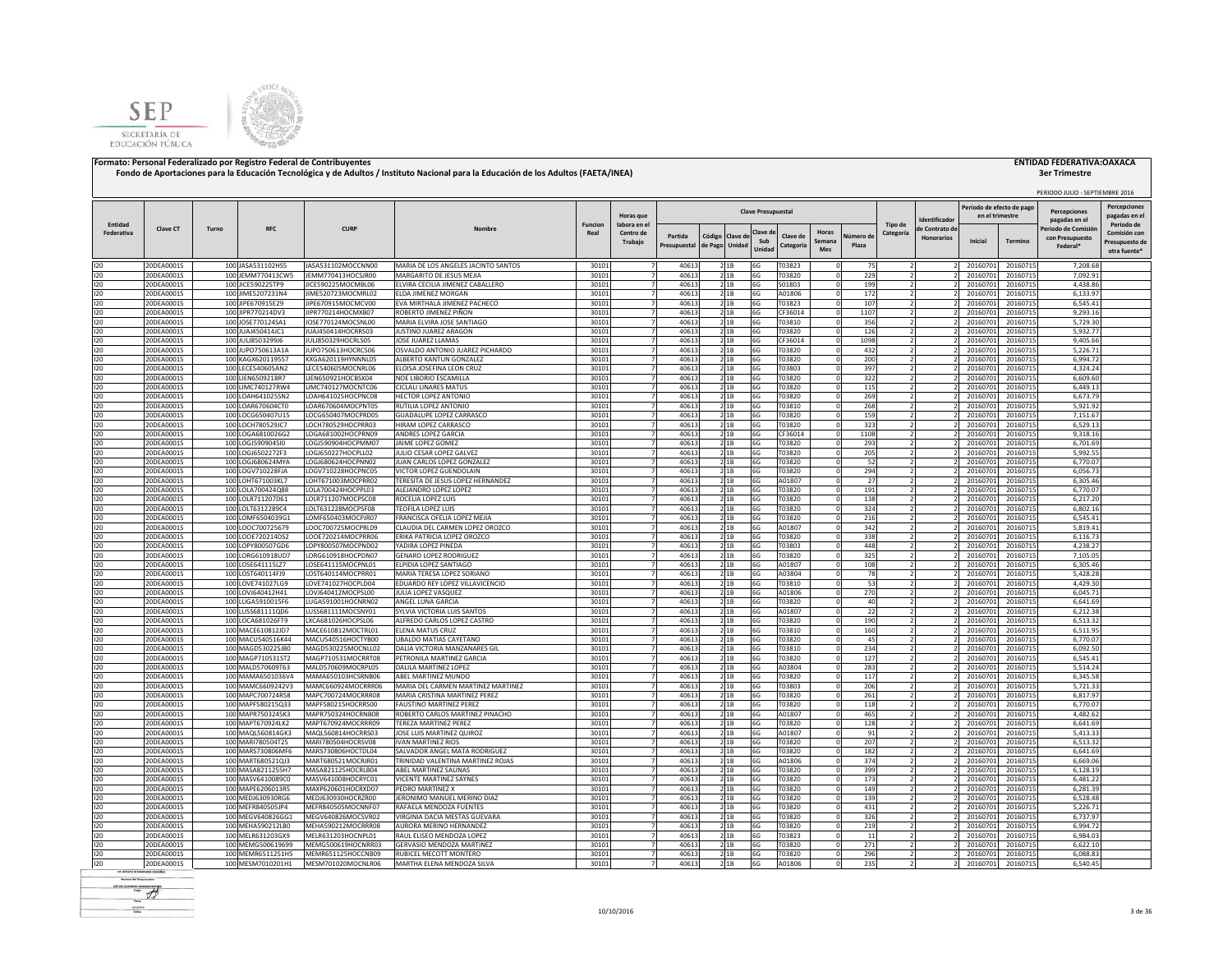



|                       |                          |       |                                        |                                          |                                                                |                        |                                  |                |                 |                |                           |                  |                      |            |                      |                                     | Periodo de efecto de pag |                      | PERIODO JULIO - SEPTIEMBRE 2016       |                                     |
|-----------------------|--------------------------|-------|----------------------------------------|------------------------------------------|----------------------------------------------------------------|------------------------|----------------------------------|----------------|-----------------|----------------|---------------------------|------------------|----------------------|------------|----------------------|-------------------------------------|--------------------------|----------------------|---------------------------------------|-------------------------------------|
|                       |                          |       |                                        |                                          |                                                                |                        | Horas que                        |                |                 |                | <b>Clave Presupuestal</b> |                  |                      |            |                      | dentificado                         | en el trimestre          |                      | <b>Percenciones</b><br>pagadas en el  | <b>Percepciones</b><br>pagadas en e |
| Entidad<br>Federativa | Clave CT                 | Turno | RFC                                    | <b>CURP</b>                              | Nombre                                                         | <b>Funcion</b><br>Real | labora en el<br>Centro de        | Partida        | Código Clave de |                | Clave d                   | Clave de         | Horas                | Vúmero de  | Tipo de<br>Categoría | le Contrato de<br><b>Honorarios</b> |                          |                      | 'eriodo de Comisió<br>con Presupuesto | Periodo de<br>Comisión cor          |
|                       |                          |       |                                        |                                          |                                                                |                        | Trabajo                          | Presupuestal   | de Pago         | Unidad         | Sub<br>Unidad             | Categoría        | Semana<br><b>Mes</b> | Plaza      |                      |                                     | Inicial                  | Termino              | Federal*                              | Presupuesto de<br>otra fuente'      |
| 120                   | 20DEA0001S               |       | 100 JASA531102HS5                      | JASA531102MOCCNN00                       | MARIA DE LOS ANGELES JACINTO SANTOS                            | 30101                  | $\overline{7}$                   | 40613          |                 | 2 1 B          | 6G                        | T03823           |                      | 75         |                      |                                     | 20160701                 | 20160715             | 7,208.68                              |                                     |
| 120                   | 20DEA0001S               |       | 100 JEMM770413CW5                      | JEMM770413HOCSJR00                       | MARGARITO DE JESUS MEJIA                                       | 30101                  | $\overline{7}$                   | 40613          |                 | 21B            | 6G                        | T03820           |                      | 229        |                      |                                     | 20160701                 | 20160715             | 7,092.91                              |                                     |
| 120                   | 20DEA0001S               |       | 100 JICE590225TP9                      | JICE590225MOCMBL06                       | LVIRA CECILIA JIMENEZ CABALLERO                                | 30101                  | $\overline{7}$                   | 40613          |                 | 2 1B           | 6G                        | S01803           |                      | 199        |                      |                                     | 20160701                 | 20160715             | 4,438.86                              |                                     |
| 120<br>120            | 20DEA0001S<br>20DEA0001S |       | 100 JIME5207231N4<br>100 JIPE670915E29 | JIME520723MOCMRL02<br>JIPE670915MOCMCV00 | ELDA JIMENEZ MORGAN<br>VA MIRTHALA JIMENEZ PACHECO             | 30101<br>30101         | $\overline{7}$                   | 40613<br>40613 |                 | 21B<br>21B     | 6G<br>6G                  | A01806<br>T03823 |                      | 172<br>107 |                      |                                     | 20160701<br>20160701     | 20160715<br>20160715 | 6,133.97<br>6,545.41                  |                                     |
| 120                   | 20DEA0001S               |       | 100 JIPR770214DV3                      | JIPR770214HOCMXB07                       | ROBERTO JIMENEZ PIÑON                                          | 30101                  |                                  | 40613          |                 | 2 1B           | 6G                        | CF36014          |                      | 1107       |                      |                                     | 20160701                 | 20160715             | 9,293.16                              |                                     |
| 120                   | 20DEA0001S               |       | 100 JOSE770124SA1                      | JOSE770124MOCSNL00                       | MARIA ELVIRA JOSE SANTIAGO                                     | 30101                  |                                  | 40613          |                 | 21B            | 6G                        | T03810           |                      | 356        |                      |                                     | 20160701                 | 20160715             | 5,729.30                              |                                     |
| 120                   | 20DEA0001S               |       | 100 JUAJ450414JC1                      | JUAJ450414HOCRRS03                       | JUSTINO JUAREZ ARAGON                                          | 30101                  |                                  | 40613          |                 | 21B            | 6G                        | T03820           |                      | 126        |                      |                                     | 20160701                 | 20160715             | 5.932.77                              |                                     |
| 120                   | 20DEA0001S               |       | 100 JULI8503299J6                      | JULJ850329HOCRLS05                       | JOSE JUAREZ LLAMAS                                             | 30101                  |                                  | 40613          |                 | 2 1 B          | 6G                        | CF36014          |                      | 1098       |                      |                                     | 20160701                 | 20160715             | 9,405.66                              |                                     |
| 120<br>120            | 20DEA0001S<br>20DEA0001S |       | 100 JUPO750613A1A<br>100 KAGX620119557 | IUPO750613HOCRCS06<br>KXGA620119HYNNNL05 | OSVALDO ANTONIO JUAREZ PICHARDO<br>ALBERTO KANTUN GONZALEZ     | 30101<br>30101         | $\overline{7}$<br>7              | 40613<br>40613 |                 | 2 1 B<br>21B   | 6G<br>6G                  | T03820<br>T03820 |                      | 432<br>200 | $\overline{2}$       |                                     | 20160701<br>20160701     | 20160715<br>20160715 | 5,226.71<br>6,994.72                  |                                     |
| 120                   | 20DEA0001S               |       | 100 LECE540605AN2                      | LECE540605MOCNRL06                       | ELOISA JOSEFINA LEON CRUZ                                      | 30101                  | $\overline{7}$                   | 40613          |                 | 2 1 B          | 6G                        | T03803           |                      | 397        |                      |                                     | 20160701                 | 20160715             | 4,324.24                              |                                     |
| 120                   | 20DEA0001S               |       | 100 LIEN6509218R7                      | LIEN650921HOCBSX04                       | NOE LIBORIO ESCAMILLA                                          | 30101                  | $\overline{7}$                   | 40613          |                 | 21B            | 6G                        | T03820           |                      | 322        |                      |                                     | 20160701                 | 20160715             | 6,609.60                              |                                     |
| 120                   | 20DEA0001S               |       | 100 LIMC740127RW4                      | LIMC740127MOCNTC06                       | CICLALI LINARES MATUS                                          | 30101                  | $\overline{7}$                   | 40613          |                 | 21B            | 6G                        | T03820           |                      | 115        |                      |                                     | 2016070                  | 20160715             | 6.449.13                              |                                     |
| 120                   | 20DEA0001S               |       | 100 LOAH641025SN2                      | LOAH641025HOCPNC08                       | <b>HECTOR LOPEZ ANTONIO</b>                                    | 30101                  | 7                                | 40613          |                 | 21B            | 6G                        | T03820           |                      | 269        |                      |                                     | 20160701                 | 20160715             | 6,673.79                              |                                     |
| 120                   | 20DEA0001S               |       | 100 LOAR670604CT0                      | LOAR670604MOCPNT05                       | RUTILIA LOPEZ ANTONIO                                          | 30101                  | 7                                | 40613          |                 | 21B            | 6G                        | T03810           |                      | 268        | $\overline{2}$       |                                     | 20160701                 | 20160715             | 5,921.92                              |                                     |
| 120<br>120            | 20DEA0001S<br>20DEA0001S |       | 100 LOCG650407U15<br>100 LOCH780529JC7 | LOCG650407MOCPRD05<br>LOCH780529HOCPRR03 | GUADALUPE LOPEZ CARRASCO<br><b>HIRAM LOPEZ CARRASCO</b>        | 30101<br>30101         | 7<br>7                           | 40613<br>40613 |                 | 21B<br>21B     | 6G<br>6G                  | T03820<br>T03820 |                      | 159<br>323 | $\overline{2}$       |                                     | 20160701<br>20160701     | 20160715<br>20160715 | 7,151.67<br>6,529.13                  |                                     |
| 120                   | 20DEA0001S               |       | 100 LOGA6810026G2                      | LOGA681002HOCPRN09                       | ANDRES LOPEZ GARCIA                                            | 30101                  | $\overline{7}$                   | 40613          |                 | 21B            | 6G                        | CF36014          |                      | 1108       |                      |                                     | 20160701                 | 20160715             | 9,318.16                              |                                     |
| 120                   | 20DEA0001S               | 100   | LOGJ5909045I0                          | LOGJ590904HOCPMM07                       | JAIME LOPEZ GOMEZ                                              | 30101                  |                                  | 40613          |                 | 21B            | 6G                        | T03820           |                      | 293        |                      |                                     | 20160701                 | 20160715             | 6,701.69                              |                                     |
| 120                   | 20DEA0001S               |       | 100 LOGJ6502272F3                      | LOGJ650227HOCPLL02                       | JULIO CESAR LOPEZ GALVEZ                                       | 30101                  |                                  | 40613          |                 | 2 1B           | 6G                        | T03820           |                      | 205        |                      |                                     | 20160701                 | 20160715             | 5,992.55                              |                                     |
| 120                   | 20DEA0001S               | 100   | LOGJ680624MYA                          | LOGJ680624HOCPNN02                       | IUAN CARLOS LOPEZ GONZALEZ                                     | 30101                  |                                  | 40613          |                 | 21B            | 6G                        | T03820           |                      | 52         |                      |                                     | 2016070                  | 20160715             | 6.770.07                              |                                     |
| 120                   | 20DEA0001S               | 100   | LOGV710228FJA                          | LOGV710228HOCPNC05                       | <b>ICTOR LOPEZ GUENDOLAIN</b>                                  | 30101                  |                                  | 40613          |                 | 2 1 B          | 6G                        | T03820           |                      | 294        |                      |                                     | 2016070                  | 20160715             | 6.056.73                              |                                     |
| 120                   | 20DEA0001S               |       | 100 LOHT671003KL7                      | LOHT671003MOCPRR02                       | <b>FERESITA DE JESUS LOPEZ HERNANDEZ</b>                       | 30101                  |                                  | 40613          |                 | 21B            | 6G                        | A01807           |                      | 27         |                      |                                     | 20160701                 | 20160715             | 6,305.46                              |                                     |
| 120<br>120            | 20DEA0001S<br>20DEA0001S |       | 100 LOLA700424Q88<br>100 LOLR711207D61 | LOLA700424HOCPPL03<br>LOLR711207MOCPSC08 | ALEJANDRO LOPEZ LOPEZ<br>ROCELIA LOPEZ LUIS                    | 30101<br>30101         |                                  | 40613<br>40613 |                 | 2 1 B          | 6G<br>6G                  | T03820<br>T03820 |                      | 191<br>138 |                      |                                     | 20160701<br>20160701     | 20160715<br>20160715 | 6.770.07<br>6,217.20                  |                                     |
| 120                   | 20DEA0001S               |       | 100 LOLT6312289C4                      | LOLT631228MOCPSF08                       | <b>TEOFILA LOPEZ LUIS</b>                                      | 30101                  |                                  | 40613          |                 | 2 1 B<br>2 1 B | 6G                        | T03820           |                      | 324        | $\mathcal{L}$        |                                     | 2016070                  | 20160715             | 6.802.16                              |                                     |
| 120                   | 20DEA0001S               |       | 100 LOMF6504039G1                      | LOMF650403MOCPJR07                       | FRANCISCA OFELIA LOPEZ MEJIA                                   | 30101                  |                                  | 40613          |                 | 21B            | 6G                        | T03820           |                      | 216        |                      |                                     | 2016070                  | 20160715             | 6,545.41                              |                                     |
| 120                   | 20DEA0001S               |       | 100 LOOC700725679                      | LOOC700725MOCPRL09                       | CLAUDIA DEL CARMEN LOPEZ OROZCO                                | 30101                  |                                  | 40613          |                 | 2 1 B          | 6G                        | A01807           |                      | 342        |                      |                                     | 20160701                 | 20160715             | 5,819.41                              |                                     |
| 120                   | 20DEA0001S               |       | 100 LOOE720214DS2                      | LOOE720214MOCPRR06                       | ERIKA PATRICIA LOPEZ OROZCO                                    | 30101                  | $\overline{7}$                   | 40613          |                 | 21B            | 6G                        | T03820           |                      | 338        |                      |                                     | 20160701                 | 20160715             | 6,116.73                              |                                     |
| 120                   | 20DEA0001S               |       | 100 LOPY800507GD6                      | LOPY800507MOCPND02                       | ADIRA LOPEZ PINEDA                                             | 30101                  | $\overline{7}$                   | 40613          |                 | 21B            | 6G                        | T03803           |                      | 448        |                      |                                     | 2016070                  | 20160715             | 4,238.27                              |                                     |
| 120                   | 20DEA0001S               |       | 100 LORG610918UD7                      | LORG610918HOCPDN07                       | <b>GENARO LOPEZ RODRIGUEZ</b>                                  | 30101                  | $\overline{7}$                   | 40613          |                 | 21B            | 6G                        | T03820           |                      | 325        |                      |                                     | 20160701                 | 20160715             | 7,105.05                              |                                     |
| 120<br>120            | 20DEA0001S<br>20DEA0001S |       | 100 LOSE641115LZ7<br>100 LOST640114FJ9 | LOSE641115MOCPNL01<br>LOST640114MOCPRR01 | LPIDIA LOPEZ SANTIAGO<br>MARIA TERESA LOPEZ SORIANO            | 30101<br>30101         | 7 <sup>1</sup><br>7              | 40613<br>40613 |                 | 21B<br>21B     | 6G<br>6G                  | A01807<br>A03804 |                      | 108<br>78  |                      |                                     | 20160701<br>20160701     | 20160715<br>20160715 | 6,305.46<br>5,428.28                  |                                     |
| 120                   | 20DEA0001S               |       | 100 LOVE741027LG9                      | LOVE741027HOCPLD04                       | EDUARDO REY LOPEZ VILLAVICENCIO                                | 30101                  | 7                                | 40613          |                 | 21B            | 6G                        | T03810           |                      | 53         | $\overline{2}$       |                                     | 20160701                 | 20160715             | 4,429.30                              |                                     |
| 120                   | 20DEA0001S               |       | 100 LOVJ640412H41                      | LOVJ640412MOCPSL00                       | JULIA LOPEZ VASQUEZ                                            | 30101                  | $\overline{7}$                   | 40613          |                 | 21B            | 6G                        | A01806           |                      | 270        |                      |                                     | 20160701                 | 20160715             | 6,045.71                              |                                     |
| 120                   | 20DEA0001S               |       | 100 LUGA5910015F6                      | LUGA591001HOCNRN02                       | ANGEL LUNA GARCIA                                              | 30101                  | 7                                | 40613          |                 | 2 1B           | 6G                        | T03820           |                      | 40         |                      |                                     | 20160701                 | 20160715             | 6,641.69                              |                                     |
| 120                   | 20DEA0001S               |       | 100 LUSS681111QD6                      | LUSS681111MOCSNY01                       | SYLVIA VICTORIA LUIS SANTOS                                    | 30101                  | $\overline{7}$                   | 40613          |                 | 21B            | 6G                        | A01807           |                      | 22         |                      |                                     | 20160701                 | 20160715             | 6,212.38                              |                                     |
| 120                   | 20DEA0001S               |       | 100 LOCA681026FT9                      | LXCA681026HOCPSL06                       | ALFREDO CARLOS LOPEZ CASTRO                                    | 30101                  |                                  | 40613          |                 | 21B            | 6G                        | T03820           |                      | 190        |                      |                                     | 20160701                 | 20160715             | 6,513.32                              |                                     |
| 120<br>120            | 20DEA0001S               |       | 100 MACE610812JD7                      | MACE610812MOCTRL01                       | <b>IFNA MATUS CRUZ</b>                                         | 30101                  |                                  | 40613          |                 | 21B            | 6G                        | T03810           |                      | 160        |                      |                                     | 20160701                 | 20160715             | 6.511.95                              |                                     |
| 120                   | 20DEA0001S<br>20DEA0001S |       | 100 MACU540516K44<br>100 MAGD530225JB0 | MACU540516HOCTYB00<br>MAGD530225MOCNLL02 | <b>UBALDO MATIAS CAYETANO</b><br>DALIA VICTORIA MANZANARES GIL | 30101<br>30101         |                                  | 40613<br>40613 |                 | 21B<br>21B     | 6G<br>6G                  | T03820<br>T03810 |                      | 45<br>234  |                      |                                     | 20160701<br>20160701     | 20160715<br>20160715 | 6,770.07<br>6.092.50                  |                                     |
| 120                   | 20DEA0001S               |       | 100 MAGP710531ST2                      | MAGP710531MOCRRT08                       | PETRONILA MARTINEZ GARCIA                                      | 30101                  | $\overline{7}$                   | 40613          |                 | 21B            | 6G                        | T03820           |                      | 127        |                      |                                     | 20160701                 | 20160715             | 6,545.41                              |                                     |
| 120                   | 20DEA0001S               |       | 100 MALD570609T63                      | MALD570609MOCRPL05                       | DALILA MARTINEZ LOPEZ                                          | 30101                  | 7                                | 40613          |                 | 2 1B           | 6G                        | A03804           |                      | 283        |                      |                                     | 20160701                 | 20160715             | 5,514.24                              |                                     |
| 120                   | 20DEA0001S               |       | 100 MAMA6501036V4                      | MAMA650103HCSRNB06                       | ABEL MARTINEZ MUNDO                                            | 30101                  | 7                                | 40613          |                 | 21B            | 6G                        | T03820           |                      | 117        |                      |                                     | 20160701                 | 20160715             | 6,345.58                              |                                     |
| 120                   | 20DEA0001S               |       | 100 MAMC6609242V3                      | MAMC660924MOCRRR06                       | MARIA DEL CARMEN MARTINEZ MARTINEZ                             | 30101                  | 7                                | 40613          |                 | 21B            | 6G                        | T03803           |                      | 206        |                      |                                     | 20160701                 | 20160715             | 5,721.33                              |                                     |
| 120                   | 20DEA0001S               |       | 100 MAPC700724R58                      | MAPC700724MOCRRR08                       | MARIA CRISTINA MARTINEZ PEREZ                                  | 30101                  | $\overline{7}$                   | 40613          |                 | 21B            | 6G                        | T03820           |                      | 261        |                      |                                     | 20160701                 | 20160715             | 6,817.97                              |                                     |
| 120<br>120            | 20DEA0001S<br>20DEA0001S |       | 100 MAPF580215Q33<br>100 MAPR7503245K3 | MAPF580215HOCRRS00<br>MAPR750324HOCRNB08 | FAUSTINO MARTINEZ PEREZ<br>ROBERTO CARLOS MARTINEZ PINACHO     | 30101<br>30101         | $\overline{7}$<br>$\overline{7}$ | 40613<br>40613 |                 | 21B<br>21B     | 6G<br>6G                  | T03820<br>A01807 |                      | 118<br>465 |                      |                                     | 2016070<br>20160701      | 20160715<br>20160715 | 6.770.07<br>4,482.62                  |                                     |
| 120                   | 20DEA0001S               |       | 100 MAPT670924LK2                      | MAPT670924MOCRRR09                       | TEREZA MARTINEZ PEREZ                                          | 30101                  | 7 <sup>1</sup>                   | 40613          |                 | 21B            | 6G                        | T03820           |                      | 128        |                      |                                     | 20160701                 | 20160715             | 6,641.69                              |                                     |
| 120                   | 20DEA0001S               |       | 100 MAQL560814GK3                      | MAQL560814HOCRRS03                       | JOSE LUIS MARTINEZ QUIROZ                                      | 30101                  | 7                                | 40613          |                 | 21B            | 6G                        | A01807           |                      | 91         | $\overline{2}$       |                                     | 20160701                 | 20160715             | 5.413.33                              |                                     |
| 120                   | 20DEA0001S               |       | 100 MARI780504T25                      | MARI780504HOCRSV08                       | <b>IVAN MARTINEZ RIOS</b>                                      | 30101                  | 7                                | 40613          |                 | 21B            | 6G                        | T03820           |                      | 207        | $\overline{2}$       |                                     | 20160701                 | 20160715             | 6,513.32                              |                                     |
| 120                   | 20DEA0001S               |       | 100 MARS730806MF6                      | MARS730806HOCTDL04                       | SALVADOR ANGEL MATA RODRIGUEZ                                  | 30101                  | $\overline{7}$                   | 40613          |                 | 21B            | 6G                        | T03820           |                      | 182        |                      |                                     | 20160701                 | 20160715             | 6,641.69                              |                                     |
| 120                   | 20DEA0001S               |       | 100 MART680521QJ3                      | MART680521MOCRJR01                       | TRINIDAD VALENTINA MARTINEZ ROJAS                              | 30101                  | $\overline{7}$                   | 40613          |                 | 2 1B           | 6G                        | A01806           |                      | 374        |                      |                                     | 20160701                 | 20160715             | 6,669.06                              |                                     |
| 120                   | 20DEA0001S               |       | 100 MASA8211255H7                      | MASA821125HOCRLB04                       | ABEL MARTINEZ SALINAS                                          | 30101                  | $\overline{7}$                   | 40613          |                 | 21B            | 6G                        | T03820           |                      | 399        |                      |                                     | 20160701                 | 20160715             | 6,128.19                              |                                     |
| 120<br>120            | 20DEA0001S<br>20DEA0001S |       | 100 MASV6410089C0<br>100 MAPE6206013R5 | MASV641008HOCRYC01<br>MAXP620601HOCRXD07 | VICENTE MARTINEZ SAYNES<br><b>FDRO MARTINEZ X</b>              | 30101<br>30101         |                                  | 40613<br>40613 |                 | 21B<br>2 1 B   | 6G<br>6G                  | T03820<br>T03820 |                      | 173<br>149 |                      |                                     | 20160701<br>2016070      | 20160715<br>20160715 | 6,481.22<br>6.281.39                  |                                     |
| 120                   | 20DEA0001S               |       | 100 MEDJ630930RG6                      | MEDJ630930HOCRZR00                       | ERONIMO MANUEL MERINO DIAZ                                     | 30101                  |                                  | 40613          |                 | 21B            | 6G                        | T03820           |                      | 139        |                      |                                     | 20160701                 | 20160715             | 6,528.48                              |                                     |
| 120                   | 20DEA0001S               |       | 100 MEFR840505JP4                      | MEFR840505MOCNNF07                       | RAFAELA MENDOZA FUENTES                                        | 30101                  |                                  | 40613          |                 | 21B            | 6G                        | T03820           |                      | 431        |                      |                                     | 20160701                 | 20160715             | 5,226.71                              |                                     |
| 120                   | 20DEA0001S               |       | 100 MEGV640826GG1                      | MEGV640826MOCSVR02                       | VIRGINIA DACIA MESTAS GUEVARA                                  | 30101                  |                                  | 40613          |                 | 21B            | 6G                        | T03820           |                      | 326        | $\overline{2}$       |                                     | 20160701                 | 20160715             | 6.737.97                              |                                     |
| 120                   | 20DEA0001S               |       | 100 MEHA590212LB0                      | MEHA590212MOCRRR08                       | <b>AURORA MERINO HERNANDEZ</b>                                 | 30101                  |                                  | 40613          |                 | 2 1 B          | 6G                        | T03820           |                      | 219        |                      |                                     | 20160701                 | 20160715             | 6.994.72                              |                                     |
| 120                   | 20DEA0001S               |       | 100 MELR631203GX9                      | MELR631203HOCNPL01                       | RAUL ELISEO MENDOZA LOPEZ                                      | 30101                  | $\overline{7}$                   | 40613          |                 | 2 1 B          | 6G                        | T03823           |                      | 11         | $\overline{2}$       |                                     | 20160701                 | 20160715             | 6.984.03                              |                                     |
| 120                   | 20DEA0001S               |       | 100 MEMG500619699                      | MEMG500619HOCNRR03                       | <b>GERVASIO MENDOZA MARTINEZ</b>                               | 30101                  |                                  | 40613          |                 | 21B            | 6G                        | T03820           |                      | 271        |                      |                                     | 20160701                 | 20160715             | 6,622.10                              |                                     |
| 120<br>120            | 20DEA0001S<br>20DEA0001S |       | 100 MEMR6511251H5<br>100 MESM7010201H1 | MEMR651125HOCCNB09<br>MESM701020MOCNLR06 | RUBICEL MECOTT MONTERO<br>MARTHA ELENA MENDOZA SILVA           | 30101<br>30101         | 7 <sup>1</sup>                   | 40613<br>40613 |                 | 21B            | 6G<br>6G                  | T03820<br>A01806 |                      | 296<br>235 |                      |                                     | 20160701<br>20160701     | 20160715<br>20160715 | 6,088.83<br>6,540.45                  |                                     |
|                       |                          |       |                                        |                                          |                                                                |                        |                                  |                |                 | 2 1B           |                           |                  |                      |            |                      |                                     |                          |                      |                                       |                                     |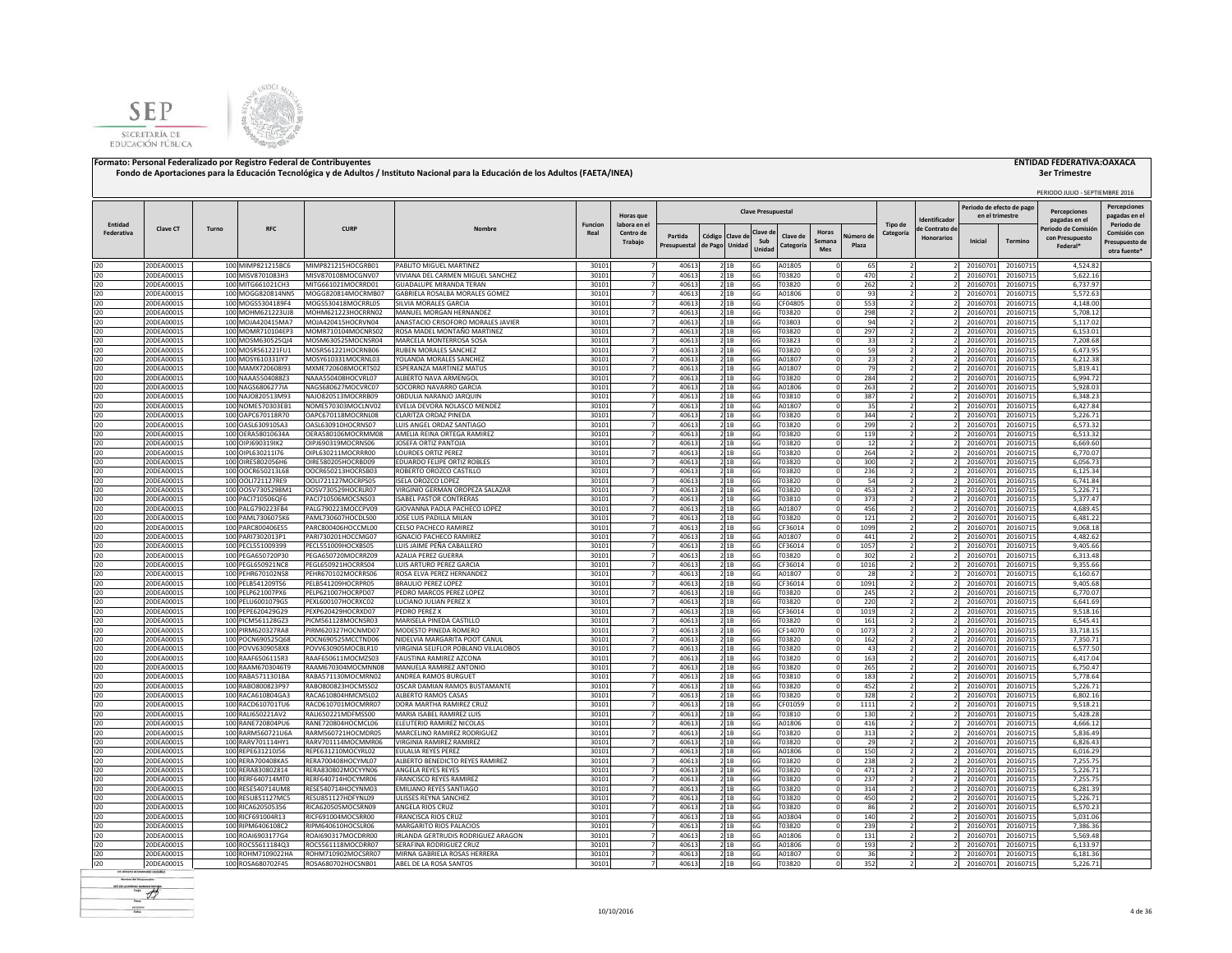



|                       |                          |       |                                        |                                          |                                                                      |                        |                                      |                         |                            |                |                           |                       |                               |                    |                      |                                     | Periodo de efecto de pag |                      | PERIODO JULIO - SEPTIEMBRE 2016                   | <b>Percepciones</b>                                          |
|-----------------------|--------------------------|-------|----------------------------------------|------------------------------------------|----------------------------------------------------------------------|------------------------|--------------------------------------|-------------------------|----------------------------|----------------|---------------------------|-----------------------|-------------------------------|--------------------|----------------------|-------------------------------------|--------------------------|----------------------|---------------------------------------------------|--------------------------------------------------------------|
|                       |                          |       |                                        |                                          |                                                                      |                        | Horas que                            |                         |                            |                | <b>Clave Presupuestal</b> |                       |                               |                    |                      | dentificado                         | en el trimestre          |                      | <b>Percenciones</b><br>pagadas en el              | pagadas en e                                                 |
| Entidad<br>Federativa | Clave CT                 | Turno | RFC                                    | <b>CURP</b>                              | Nombre                                                               | <b>Funcion</b><br>Real | labora en el<br>Centro de<br>Trabajo | Partida<br>Presupuestal | Código Clave de<br>de Pago | Unidad         | Clave d<br>Sub<br>Unidad  | Clave de<br>Categoría | Horas<br>Semana<br><b>Mes</b> | Vúmero de<br>Plaza | Tipo de<br>Categoría | le Contrato de<br><b>Honorarios</b> | Inicial                  | Termino              | Periodo de Comisió<br>con Presupuesto<br>Federal* | Periodo de<br>Comisión cor<br>Presupuesto de<br>otra fuente' |
| 120                   | 20DEA0001S               |       | 100 MIMP821215BC6                      | MIMP821215HOCGRB01                       | PABLITO MIGUEL MARTINEZ                                              | 30101                  | $\overline{7}$                       | 40613                   |                            | 2 1 B          | 6G                        | A01805                |                               | 65                 |                      |                                     | 20160701                 | 20160715             | 4,524.82                                          |                                                              |
| 120<br>120            | 20DEA0001S               |       | 100 MISV8701083H3                      | MISV870108MOCGNV07                       | VIVIANA DEL CARMEN MIGUEL SANCHEZ                                    | 30101                  | $\overline{7}$<br>$\overline{7}$     | 40613                   |                            | 21B            | 6G                        | T03820                |                               | 470                |                      |                                     | 20160701                 | 20160715             | 5,622.16                                          |                                                              |
| 120                   | 20DEA0001S<br>20DEA0001S |       | 100 MITG661021CH3<br>100 MOGG820814NN5 | MITG661021MOCRRD01<br>MOGG820814MOCRMB07 | GUADALUPE MIRANDA TERAN<br>GABRIELA ROSALBA MORALES GOMEZ            | 30101<br>30101         | $\overline{7}$                       | 40613<br>40613          |                            | 2 1B<br>21B    | 6G<br>6G                  | T03820<br>A01806      |                               | 262<br>93          |                      |                                     | 20160701<br>20160701     | 20160715<br>20160715 | 6,737.97<br>5,572.63                              |                                                              |
| 120                   | 20DEA0001S               |       | 100 MOGS5304189F4                      | MOGS530418MOCRRL05                       | <b>SILVIA MORALES GARCIA</b>                                         | 30101                  |                                      | 40613                   |                            | 21B            | 6G                        | CF04805               |                               | 553                |                      |                                     | 20160701                 | 20160715             | 4,148.00                                          |                                                              |
| 120                   | 20DEA0001S               |       | 100 MOHM621223UJ8                      | MOHM621223HOCRRN02                       | MANUEL MORGAN HERNANDEZ                                              | 30101                  |                                      | 40613                   |                            | 2 1B           | 6G                        | T03820                |                               | 298                |                      |                                     | 20160701                 | 20160715             | 5,708.12                                          |                                                              |
| 120<br>120            | 20DEA0001S<br>20DEA0001S |       | 100 MOJA420415MA7<br>100 MOMR710104EP3 | MOJA420415HOCRVN04<br>MOMR710104MOCNRS02 | ANASTACIO CRISOFORO MORALES JAVIER<br>ROSA MADEL MONTAÑO MARTINEZ    | 30101                  |                                      | 40613<br>40613          |                            | 21B            | 6G<br>6G                  | T03803<br>T03820      |                               | 94<br>297          |                      |                                     | 20160701<br>20160701     | 20160715<br>20160715 | 5,117.02<br>6.153.01                              |                                                              |
| 120                   | 20DEA0001S               |       | 100 MOSM630525QJ4                      | MOSM630525MOCNSR04                       | MARCELA MONTERROSA SOSA                                              | 30101<br>30101         |                                      | 40613                   |                            | 21B<br>2 1 B   | 6G                        | T03823                |                               | 33                 |                      |                                     | 20160701                 | 20160715             | 7,208.68                                          |                                                              |
| 120                   | 20DEA0001S               |       | 100 MOSR561221FU1                      | MOSR561221HOCRNB06                       | RUBEN MORALES SANCHEZ                                                | 30101                  | $\overline{7}$                       | 40613                   |                            | 2 1 B          | 6G                        | T03820                |                               | 59                 |                      |                                     | 20160701                 | 20160715             | 6.473.95                                          |                                                              |
| 120                   | 20DEA0001S               |       | 100 MOSY610331lY7                      | MOSY610331MOCRNL03                       | YOLANDA MORALES SANCHEZ                                              | 30101                  | 7                                    | 40613                   |                            | 21B            | 6G                        | A01807                |                               | 23                 |                      |                                     | 20160701                 | 20160715             | 6,212.38                                          |                                                              |
| 120                   | 20DEA0001S               |       | 100 MAMX720608l93                      | MXME720608MOCRTS02                       | ESPERANZA MARTINEZ MATUS                                             | 30101                  | $\overline{7}$                       | 40613                   |                            | 2 1 B          | 6G                        | A01807                |                               | 79                 |                      |                                     | 20160701                 | 20160715             | 5,819.41                                          |                                                              |
| 120<br>120            | 20DEA0001S<br>20DEA0001S |       | 100 NAAA5504088Z3<br>100 NAGS6806277IA | NAAA550408HOCVRL07<br>NAGS680627MOCVRC07 | ALBERTO NAVA ARMENGOL<br>SOCORRO NAVARRO GARCIA                      | 30101<br>30101         | $\overline{7}$<br>$\overline{7}$     | 40613<br>40613          |                            | 21B<br>21B     | 6G<br>6G                  | T03820<br>A01806      |                               | 284<br>263         |                      |                                     | 20160701<br>2016070      | 20160715<br>20160715 | 6,994.72<br>5.928.03                              |                                                              |
| 120                   | 20DEA0001S               |       | 100 NAJO820513M93                      | NAJO820513MOCRRB09                       | OBDULIA NARANJO JARQUIN                                              | 30101                  | 7                                    | 40613                   |                            | 21B            | 6G                        | T03810                |                               | 387                |                      |                                     | 20160701                 | 20160715             | 6,348.23                                          |                                                              |
| 120                   | 20DEA0001S               |       | 100 NOME570303EB1                      | NOME570303MOCLNV02                       | EVELIA DEVORA NOLASCO MENDEZ                                         | 30101                  | 7                                    | 40613                   |                            | 21B            | 6G                        | A01807                |                               | 35                 | $\overline{2}$       |                                     | 20160701                 | 20160715             | 6,427.84                                          |                                                              |
| 120                   | 20DEA0001S               |       | 100 OAPC670118R70                      | OAPC670118MOCRNL08                       | CLARITZA ORDAZ PINEDA                                                | 30101                  | 7                                    | 40613                   |                            | 21B            | 6G                        | T03820                |                               | 344                |                      |                                     | 20160701                 | 20160715             | 5,226.71                                          |                                                              |
| 120                   | 20DEA0001S               |       | 100 OASL630910SA3                      | OASL630910HOCRNS07                       | LUIS ANGEL ORDAZ SANTIAGO                                            | 30101                  | 7                                    | 40613                   |                            | 21B            | 6G                        | T03820                |                               | 299                |                      |                                     | 20160701                 | 20160715             | 6,573.32                                          |                                                              |
| 120<br>120            | 20DEA0001S<br>20DEA0001S |       | 100 OERA58010634A<br>100 OIPJ690319IK2 | OERA580106MOCRMM08<br>OIPJ690319MOCRNS06 | AMELIA REINA ORTEGA RAMIREZ<br>JOSEFA ORTIZ PANTOJA                  | 30101<br>30101         | $\overline{7}$                       | 40613<br>40613          |                            | 21B<br>21B     | 6G<br>6G                  | T03820<br>T03820      |                               | 119<br>12          |                      |                                     | 20160701<br>20160701     | 20160715<br>20160715 | 6,513.32<br>6,669.60                              |                                                              |
| 120                   | 20DEA0001S               |       | 100 OIPL630211I76                      | OIPL630211MOCRRR00                       | LOURDES ORTIZ PEREZ                                                  | 30101                  |                                      | 40613                   |                            | 2 1 B          | 6G                        | T03820                |                               | 264                |                      |                                     | 20160701                 | 20160715             | 6,770.07                                          |                                                              |
| 120                   | 20DEA0001S               | 100   | IRE5802056H6                           | OIRE580205HOCRBD09                       | <b>EDUARDO FELIPE ORTIZ ROBLES</b>                                   | 30101                  |                                      | 40613                   |                            | 21B            | 6G                        | T03820                |                               | 300                |                      |                                     | 2016070                  | 20160715             | 6.056.7                                           |                                                              |
| 120                   | 20DEA0001S               | 100   | OOCR650213L68                          | OOCR650213HOCRSB03                       | ROBERTO OROZCO CASTILLO                                              | 30101                  |                                      | 40613                   |                            | 2 1 B          | 6G                        | T03820                |                               | 236                |                      |                                     | 2016070                  | 20160715             | 6.125.34                                          |                                                              |
| 120                   | 20DEA0001S               |       | 100 OOL1721127RE9                      | OOLI721127MOCRPS05                       | SELA OROZCO LOPEZ                                                    | 30101                  |                                      | 40613                   |                            | 2 1 B          | 6G                        | T03820                |                               | 54                 |                      |                                     | 20160701                 | 20160715             | 6,741.84                                          |                                                              |
| 120<br>120            | 20DEA0001S<br>20DEA0001S |       | 100 OOSV7305298M1<br>100 PAC1710506OF6 | OOSV730529HOCRLR07<br>PACI710506MOCSNS03 | VIRGINIO GERMAN OROPEZA SALAZAR<br>SABEL PASTOR CONTRERAS            | 30101<br>30101         |                                      | 40613<br>40613          |                            | 2 1 B<br>2 1 B | 6G<br>6G                  | T03820<br>T03810      |                               | 453<br>373         |                      |                                     | 20160701<br>20160701     | 20160715<br>20160715 | 5.226.71<br>5,377.47                              |                                                              |
| 120                   | 20DEA0001S               |       | 100 PALG790223FB4                      | PALG790223MOCCPV09                       | GIOVANNA PAOLA PACHECO LOPEZ                                         | 30101                  |                                      | 40613                   |                            | 2 1 B          | 6G                        | A01807                |                               | 456                | $\mathcal{L}$        |                                     | 2016070                  | 20160715             | 4.689.45                                          |                                                              |
| 120                   | 20DEA0001S               |       | 100 PAML7306075K6                      | PAML730607HOCDLS00                       | JOSE LUIS PADILLA MILAN                                              | 30101                  |                                      | 40613                   |                            | 21B            | 6G                        | T03820                |                               | 121                |                      |                                     | 20160701                 | 20160715             | 6,481.22                                          |                                                              |
| 120                   | 20DEA0001S               |       | 100 PARC800406ES5                      | PARC800406HOCCML00                       | CELSO PACHECO RAMIREZ                                                | 30101                  |                                      | 40613                   |                            | 2 1 B          | 6G                        | CF36014               |                               | 1099               |                      |                                     | 20160701                 | 20160715             | 9,068.18                                          |                                                              |
| 120                   | 20DEA0001S               |       | 100 PARI7302013P1                      | PARI730201HOCCMG07                       | GNACIO PACHECO RAMIREZ                                               | 30101                  | $\overline{7}$                       | 40613                   |                            | 21B            | 6G                        | A01807                |                               | 441                |                      |                                     | 20160701                 | 20160715             | 4,482.62                                          |                                                              |
| 120<br>120            | 20DEA0001S<br>20DEA0001S |       | 100 PECL551009399<br>100 PEGA650720P30 | PECL551009HOCXBS05<br>PEGA650720MOCRRZ09 | UIS JAIME PEÑA CABALLERO<br>AZALIA PEREZ GUERRA                      | 30101<br>30101         | $\overline{7}$<br>$\overline{7}$     | 40613<br>40613          |                            | 21B<br>21B     | 6G<br>6G                  | CF36014<br>T03820     |                               | 1057<br>302        |                      |                                     | 2016070<br>20160701      | 20160715<br>20160715 | 9,405.66<br>6,313.48                              |                                                              |
| 120                   | 20DEA0001S               |       | 100 PEGL650921NC8                      | PEGL650921HOCRRS04                       | LUIS ARTURO PEREZ GARCIA                                             | 30101                  | 7 <sup>1</sup>                       | 40613                   |                            | 21B            | 6G                        | CF36014               |                               | 1016               |                      |                                     | 20160701                 | 20160715             | 9,355.66                                          |                                                              |
| 120                   | 20DEA0001S               |       | 100 PEHR670102NS8                      | PEHR670102MOCRRS06                       | ROSA ELVA PEREZ HERNANDEZ                                            | 30101                  | 7                                    | 40613                   |                            | 21B            | 6G                        | A01807                |                               | 28                 |                      |                                     | 20160701                 | 20160715             | 6,160.67                                          |                                                              |
| 120                   | 20DEA0001S               |       | 100 PELB541209TS6                      | PELB541209HOCRPR05                       | <b>BRAULIO PEREZ LOPEZ</b>                                           | 30101                  | 7                                    | 40613                   |                            | 21B            | 6G                        | CF36014               |                               | 1091               | $\overline{2}$       |                                     | 20160701                 | 20160715             | 9,405.68                                          |                                                              |
| 120                   | 20DEA0001S               |       | 100 PELP621007PX6                      | PELP621007HOCRPD07                       | PEDRO MARCOS PEREZ LOPEZ                                             | 30101                  | $\overline{7}$                       | 40613                   |                            | 21B            | 6G                        | T03820                |                               | 245                |                      |                                     | 20160701                 | 20160715             | 6,770.07                                          |                                                              |
| 120<br>120            | 20DEA0001S<br>20DEA0001S |       | 100 PELU6001079G5<br>100 PEPE620429G29 | PEXL600107HOCRXC02<br>PEXP620429HOCRXD07 | LUCIANO JULIAN PEREZ X<br>PEDRO PEREZ X                              | 30101<br>30101         | 7<br>$\overline{7}$                  | 40613<br>40613          |                            | 2 1B<br>21B    | 6G<br>6G                  | T03820<br>CF36014     |                               | 220<br>1019        |                      |                                     | 20160701<br>20160701     | 20160715<br>20160715 | 6,641.69<br>9,518.16                              |                                                              |
| 120                   | 20DEA0001S               | 100   | PICM561128GZ3                          | PICM561128MOCNSR03                       | MARISELA PINEDA CASTILLO                                             | 30101                  |                                      | 40613                   |                            | 21B            | 6G                        | T03820                |                               | 161                |                      |                                     | 20160701                 | 20160715             | 6,545.41                                          |                                                              |
| 120                   | 20DEA0001S               |       | 100 PIRM620327RA8                      | PIRM620327HOCNMD07                       | MODESTO PINEDA ROMERC                                                | 30101                  |                                      | 40613                   |                            | 21B            | 6G                        | CF14070               |                               | 1073               |                      |                                     | 20160701                 | 20160715             | 33.718.15                                         |                                                              |
| 120                   | 20DEA0001S               |       | 100 POCN690525Q68                      | POCN690525MCCTND06                       | NIDELVIA MARGARITA POOT CANUL                                        | 30101                  |                                      | 40613                   |                            | 21B            | 6G                        | T03820                |                               | 162                |                      |                                     | 20160701                 | 20160715             | 7,350.71                                          |                                                              |
| 120<br>120            | 20DEA0001S               |       | 100 POVV6309058X8                      | POVV630905MOCBLR10                       | VIRGINIA SELIFLOR POBLANO VILLALOBOS                                 | 30101                  |                                      | 40613                   |                            | 21B            | 6G                        | T03820                |                               | 43                 |                      |                                     | 20160701                 | 20160715             | 6.577.50                                          |                                                              |
| 120                   | 20DEA0001S<br>20DEA0001S |       | 100 RAAF6506115R3<br>100 RAAM6703046T9 | RAAF650611MOCMZS03<br>RAAM670304MOCMNN08 | FAUSTINA RAMIREZ AZCONA<br>MANUFLA RAMIREZ ANTONIC                   | 30101<br>30101         | $\overline{7}$<br>7                  | 40613<br>40613          |                            | 21B<br>2 1B    | 6G<br>6G                  | T03820<br>T03820      |                               | 163<br>265         |                      |                                     | 20160701<br>20160701     | 20160715<br>20160715 | 6,417.04<br>6,750.47                              |                                                              |
| 120                   | 20DEA0001S               |       | 100 RABA5711301BA                      | RABA571130MOCMRN02                       | ANDREA RAMOS BURGUET                                                 | 30101                  | 7                                    | 40613                   |                            | 21B            | 6G                        | T03810                |                               | 183                |                      |                                     | 20160701                 | 20160715             | 5,778.64                                          |                                                              |
| 120                   | 20DEA0001S               |       | 100 RABO800823P97                      | RABO800823HOCMSS02                       | OSCAR DAMIAN RAMOS BUSTAMANTE                                        | 30101                  | 7                                    | 40613                   |                            | 21B            | 6G                        | T03820                |                               | 452                |                      |                                     | 20160701                 | 20160715             | 5,226.71                                          |                                                              |
| 120                   | 20DEA0001S               |       | 100 RACA610804GA3                      | RACA610804HMCMSL02                       | ALBERTO RAMOS CASAS                                                  | 30101                  | $\overline{7}$                       | 40613                   |                            | 21B            | 6G                        | T03820                |                               | 328                |                      |                                     | 20160701                 | 20160715             | 6,802.16                                          |                                                              |
| 120<br>120            | 20DEA0001S               |       | 100 RACD610701TU6                      | RACD610701MOCMRR07                       | DORA MARTHA RAMIREZ CRUZ                                             | 30101                  | $\overline{7}$<br>$\overline{7}$     | 40613<br>40613          |                            | 21B            | 6G                        | CF01059               |                               | 1111<br>130        |                      |                                     | 2016070                  | 20160715             | 9.518.21                                          |                                                              |
| 120                   | 20DEA0001S<br>20DEA0001S |       | 100 RALI650221AV2<br>100 RANE720804PU6 | RALI650221MDFMSS00<br>RANE720804HOCMCL06 | MARIA ISABEL RAMIREZ LUIS<br>ELEUTERIO RAMIREZ NICOLAS               | 30101<br>30101         | 7 <sup>1</sup>                       | 40613                   |                            | 21B<br>21B     | 6G<br>6G                  | T03810<br>A01806      |                               | 416                |                      |                                     | 20160701<br>20160701     | 20160715<br>20160715 | 5,428.28<br>4,666.12                              |                                                              |
| 120                   | 20DEA0001S               |       | 100 RARM560721U6A                      | RARM560721HOCMDR05                       | MARCELINO RAMIREZ RODRIGUEZ                                          | 30101                  | 7                                    | 40613                   |                            | 21B            | 6G                        | T03820                |                               | 313                | $\overline{2}$       |                                     | 20160701                 | 20160715             | 5.836.49                                          |                                                              |
| 120                   | 20DEA0001S               |       | 100 RARV701114HY1                      | RARV701114MOCMMR06                       | VIRGINIA RAMIREZ RAMIREZ                                             | 30101                  | $\overline{7}$                       | 40613                   |                            | 21B            | 6G                        | T03820                |                               | 29                 |                      |                                     | 20160701                 | 20160715             | 6,826.43                                          |                                                              |
| 120                   | 20DEA0001S               |       | 100 REPE631210J56                      | REPE631210MOCYRL02                       | EULALIA REYES PEREZ                                                  | 30101                  | $\overline{7}$                       | 40613                   |                            | 21B            | 6G                        | A01806                |                               | 150                |                      |                                     | 20160701                 | 20160715             | 6,016.29                                          |                                                              |
| 120                   | 20DEA0001S               |       | 100 RERA700408KA5                      | RERA700408HOCYML07                       | ALBERTO BENEDICTO REYES RAMIREZ                                      | 30101                  | $\overline{7}$<br>$\overline{7}$     | 40613                   |                            | 2 1B           | 6G                        | T03820                |                               | 238                |                      |                                     | 20160701                 | 20160715             | 7,255.75                                          |                                                              |
| 120<br>120            | 20DEA0001S<br>20DEA0001S | 100   | 100 RERA830802814<br>RERF640714MT0     | RERA830802MOCYYN06<br>RERF640714HOCYMR06 | ANGELA REYES REYES<br>RANCISCO REYES RAMIREZ                         | 30101<br>30101         |                                      | 40613<br>40613          |                            | 21B<br>21B     | 6G<br>6G                  | T03820<br>T03820      |                               | 471<br>237         |                      |                                     | 20160701<br>20160701     | 20160715<br>20160715 | 5,226.71<br>7,255.75                              |                                                              |
| 120                   | 20DEA0001S               | 100   | <b>RESES40714UM8</b>                   | RESE540714HOCYNM03                       | <b>IMILIANO REYES SANTIAGO</b>                                       | 30101                  |                                      | 40613                   |                            | 2 1 B          | 6G                        | T03820                |                               | 314                |                      |                                     | 2016070                  | 20160715             | 6.281.39                                          |                                                              |
| 120                   | 20DEA0001S               |       | 100 RESU851127MC5                      | RESU851127HDFYNL09                       | JLISSES REYNA SANCHEZ                                                | 30101                  |                                      | 40613                   |                            | 21B            | 6G                        | T03820                |                               | 450                |                      |                                     | 20160701                 | 20160715             | 5,226.71                                          |                                                              |
| 120                   | 20DEA0001S               |       | 100 RICA620505356                      | RICA620505MOCSRN09                       | ANGELA RIOS CRUZ                                                     | 30101                  |                                      | 40613                   |                            | 21B            | 6G                        | T03820                |                               | 86                 |                      |                                     | 20160701                 | 20160715             | 6,570.23                                          |                                                              |
| 120                   | 20DEA0001S               |       | 100 RICF691004R13                      | RICF691004MOCSRR00                       | FRANCISCA RIOS CRUZ                                                  | 30101                  |                                      | 40613                   |                            | 21B            | 6G                        | A03804                |                               | 140                | $\overline{2}$       |                                     | 20160701                 | 20160715             | 5.031.06                                          |                                                              |
| 120<br>120            | 20DEA0001S<br>20DEA0001S |       | 100 RIPM6406108C2<br>100 ROAI6903177G4 | RIPM640610HOCSLR06<br>ROAI690317MOCDRR00 | MARGARITO RIOS PALACIOS<br><b>RI ANDA GERTRUDIS RODRIGUEZ ARAGON</b> | 30101<br>30101         | $\overline{7}$                       | 40613<br>40613          |                            | 2 1 B          | 6G<br>6G                  | T03820<br>A01806      |                               | 239<br>131         | $\overline{2}$       |                                     | 20160701<br>20160701     | 20160715<br>20160715 | 7,386.36<br>5.569.48                              |                                                              |
| 120                   | 20DEA0001S               |       | 100 ROCS5611184Q3                      | ROCS561118MOCDRR07                       | SERAFINA RODRIGUEZ CRUZ                                              | 30101                  |                                      | 40613                   |                            | 2 1 B<br>21B   | 6G                        | A01806                |                               | 193                |                      |                                     | 20160701                 | 20160715             | 6.133.97                                          |                                                              |
| 120                   | 20DEA0001S               |       | 100 ROHM7109022HA                      | ROHM710902MOCSRR07                       | MIRNA GABRIELA ROSAS HERRERA                                         | 30101                  |                                      | 40613                   |                            | 21B            | 6G                        | A01807                |                               | 36                 |                      |                                     | 20160701                 | 20160715             | 6,181.36                                          |                                                              |
| 120                   | 20DEA0001S               |       | 100 ROSA680702F45                      | ROSA680702HOCSNB01                       | ABEL DE LA ROSA SANTOS                                               | 30101                  | 7 <sup>1</sup>                       | 40613                   |                            | 2 1B           | 6G                        | T03820                |                               | 352                |                      |                                     | 20160701                 | 20160715             | 5.226.71                                          |                                                              |

 $-45$ **Ford** scales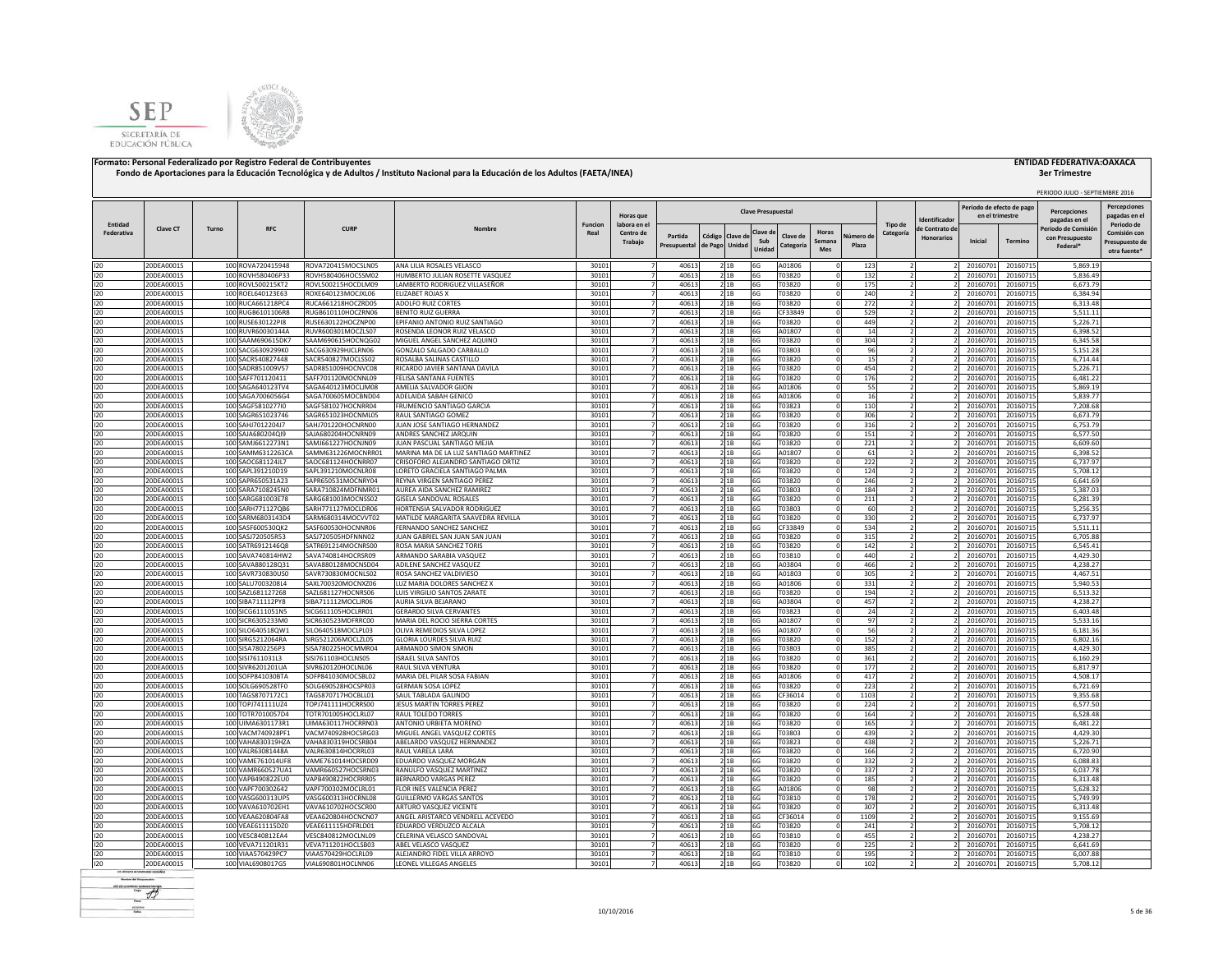



|            |                          |       |                                        |                                          |                                                            |                |                                  |                                  |                                        |                           |                       |                        |                    |           |                               |                                              |                      | PERIODO JULIO - SEPTIEMBRE 2016     |                                                |
|------------|--------------------------|-------|----------------------------------------|------------------------------------------|------------------------------------------------------------|----------------|----------------------------------|----------------------------------|----------------------------------------|---------------------------|-----------------------|------------------------|--------------------|-----------|-------------------------------|----------------------------------------------|----------------------|-------------------------------------|------------------------------------------------|
|            |                          |       |                                        |                                          |                                                            |                | Horas que                        |                                  |                                        | <b>Clave Presupuestal</b> |                       |                        |                    |           |                               | Periodo de efecto de pago<br>en el trimestre |                      | <b>Percenciones</b>                 | <b>Percepciones</b><br>pagadas en e            |
| Entidad    | Clave CT                 | Turno | <b>RFC</b>                             | <b>CURP</b>                              | Nombre                                                     | <b>Funcion</b> | labora en el                     |                                  |                                        |                           |                       |                        |                    | Tipo de   | dentificador<br>e Contrato de |                                              |                      | pagadas en el<br>Periodo de Comisió | Periodo de                                     |
| Federativa |                          |       |                                        |                                          |                                                            | Real           | Centro de<br>Trabajo             | Partida<br>Presupuestal          | Código<br>Clave d<br>de Pago<br>Unidad | Clave d<br>Sub<br>Unidae  | Clave de<br>Categoría | Horas<br>Semana<br>Mes | Número di<br>Plaza | Categoría | <b>Honorarios</b>             | Inicial                                      | <b>Termino</b>       | con Presupuesto<br>Federal*         | Comisión cor<br>Presupuesto de<br>otra fuente' |
| 120        | 20DEA0001S               |       | 100 ROVA720415948                      | ROVA720415MOCSLN05                       | ANA LILIA ROSALES VELASCO                                  | 30101          |                                  | 40613                            | 21B                                    | 6G                        | A01806                |                        | 123                |           | $\overline{2}$                | 20160701                                     | 20160715             | 5.869.19                            |                                                |
| 120        | 20DEA0001S               |       | 100 ROVH580406P33                      | ROVH580406HOCSSM02                       | HUMBERTO JULIAN ROSETTE VASQUEZ                            | 30101          |                                  | $\overline{7}$<br>40613          | 21B                                    | 6G                        | T03820                | $\Omega$               | 132                |           |                               | 20160701                                     | 20160715             | 5.836.49                            |                                                |
| 120        | 20DEA0001S               |       | 100 ROVL500215KT2                      | ROVL500215HOCDLM09                       | LAMBERTO RODRIGUEZ VILLASEÑOR                              | 30101          |                                  | 40613                            | 21B                                    | 6G                        | T03820                |                        | 175                |           |                               | 20160701                                     | 20160715             | 6,673.79                            |                                                |
| 120        | 20DEA0001S               |       | 100 ROEL640123E63                      | ROXE640123MOCJXL06                       | <b>ELIZABET ROJAS X</b>                                    | 30101          |                                  | 40613                            | 2 1B                                   | 6G                        | T03820                |                        | 240                |           |                               | 20160701                                     | 20160715             | 6,384.94                            |                                                |
| 120<br>120 | 20DEA0001S<br>20DEA0001S |       | 100 RUCA661218PC4<br>100 RUGB6101106R8 | RUCA661218HOCZRD05<br>RUGB610110HOCZRN06 | ADOLFO RUIZ CORTES<br>BENITO RUIZ GUERRA                   | 30101<br>30101 |                                  | 40613<br>40613                   | 21B<br>21B                             | 6G<br>6G                  | T03820<br>CF33849     |                        | 272<br>529         |           |                               | 20160701<br>20160701                         | 20160715<br>20160715 | 6,313.48<br>5,511.11                |                                                |
| 120        | 20DEA0001S               |       | 100 RUSE630122PI8                      | RUSE630122HOCZNP00                       | EPIFANIO ANTONIO RUIZ SANTIAGO                             | 30101          |                                  | 40613                            | 21B                                    | 6G                        | T03820                |                        | 449                |           |                               | 20160701                                     | 20160715             | 5,226.71                            |                                                |
| 120        | 20DEA0001S               |       | 100 RUVR60030144A                      | RUVR600301MOCZLS07                       | ROSENDA LEONOR RUIZ VELASCO                                | 30101          |                                  | 40613                            | 21B                                    | 6G                        | A01807                | $\Omega$               | 14                 |           |                               | 20160701                                     | 20160715             | 6.398.52                            |                                                |
| 120        | 20DEA0001S               |       | 100 SAAM690615DK7                      | SAAM690615HOCNQG02                       | MIGUEL ANGEL SANCHEZ AQUINO                                | 30101          |                                  | 40613                            | 2 1 B                                  | 6G                        | T03820                |                        | 304                |           |                               | 20160701                                     | 20160715             | 6,345.58                            |                                                |
| 120        | 20DEA0001S               |       | 100 SACG6309299K0                      | SACG630929HICLRN06                       | GONZALO SALGADO CARBALLO                                   | 30101          | $\overline{7}$                   | 40613                            | 2 1 B                                  | 6G                        | T03803                | $\Omega$               | 96                 |           |                               | 20160701                                     | 20160715             | 5,151.28                            |                                                |
| 120        | 20DEA0001S               |       | 100 SACR540827448                      | SACR540827MOCLSS02                       | ROSALBA SALINAS CASTILLO                                   | 30101          | 7                                | 40613                            | 21B                                    | 6G                        | T03820                | $\Omega$               | 15                 |           |                               | 20160701                                     | 20160715             | 6,714.44                            |                                                |
| 120        | 20DEA0001S               |       | 100 SADR851009V57                      | SADR851009HOCNVC08                       | RICARDO JAVIER SANTANA DAVILA                              | 30101          |                                  | 40613                            | 21B                                    | 6G                        | T03820                |                        | 454                |           |                               | 20160701                                     | 20160715             | 5,226.71                            |                                                |
| 120        | 20DEA0001S               |       | 100 SAFF701120411                      | SAFF701120MOCNNL09                       | FELISA SANTANA FUENTES                                     | 30101          |                                  | 40613                            | 21B                                    | 6G                        | T03820                |                        | 176                |           |                               | 2016070                                      | 20160715             | 6,481.22                            |                                                |
| 120<br>120 | 20DEA0001S<br>20DEA0001S |       | 100 SAGA640123TV4<br>100 SAGA7006056G4 | SAGA640123MOCLIM08<br>SAGA700605MOCBND04 | AMELIA SALVADOR GIJON<br>ADELAIDA SABAH GENICO             | 30101<br>30101 | $\overline{7}$<br>$\overline{7}$ | 40613<br>40613                   | 21B<br>21B                             | 6G<br>6G                  | A01806<br>A01806      |                        | 55<br>16           |           |                               | 20160701<br>20160701                         | 20160715<br>20160715 | 5,869.19<br>5,839.77                |                                                |
| 120        | 20DEA0001S               |       | 100 SAGF5810277I0                      | SAGF581027HOCNRR04                       | FRUMENCIO SANTIAGO GARCIA                                  | 30101          |                                  | $\overline{7}$<br>40613          | 21B                                    | 6G                        | T03823                |                        | 110                |           |                               | 20160701                                     | 20160715             | 7.208.68                            |                                                |
| 120        | 20DEA0001S               |       | 100 SAGR651023746                      | SAGR651023HOCNML05                       | RAUL SANTIAGO GOMEZ                                        | 30101          |                                  | $\overline{7}$<br>40613          | 2 1B                                   | 6G                        | T03820                |                        | 306                |           |                               | 20160701                                     | 20160715             | 6.673.79                            |                                                |
| 120        | 20DEA0001S               |       | 100 SAHJ7012204J7                      | SAHJ701220HOCNRN00                       | JUAN JOSE SANTIAGO HERNANDEZ                               | 30101          | $\overline{7}$                   | 40613                            | 21B                                    | 6G                        | T03820                |                        | 316                |           |                               | 20160701                                     | 20160715             | 6,753.79                            |                                                |
| 120        | 20DEA0001S               |       | 100 SAJA680204QI9                      | SAJA680204HOCNRN09                       | ANDRES SANCHEZ JARQUIN                                     | 30101          |                                  | 40613                            | 2 1B                                   | 6G                        | T03820                |                        | 151                |           |                               | 20160701                                     | 20160715             | 6,577.50                            |                                                |
| 120        | 20DEA0001S               |       | 100 SAMJ6612273N1                      | SAMJ661227HOCNJN09                       | JUAN PASCUAL SANTIAGO MEJIA                                | 30101          |                                  | 40613                            | 2 1B                                   | 6G                        | T03820                |                        | 221                |           |                               | 20160701                                     | 20160715             | 6,609.60                            |                                                |
| 120        | 20DEA0001S               |       | 100 SAMM6312263CA                      | SAMM631226MOCNRR01                       | MARINA MA DE LA LUZ SANTIAGO MARTINEZ                      | 30101          |                                  | 40613                            | 2 1B                                   | 6G                        | A01807                |                        | 61                 |           |                               | 2016070                                      | 20160715             | 6,398.52                            |                                                |
| 120        | 20DEA0001S               |       | 100 SAOC681124JL7                      | SAOC681124HOCNRR07                       | CRISOFORO ALEJANDRO SANTIAGO ORTIZ                         | 30101          |                                  | 40613                            | 21B                                    | 6G                        | T03820                |                        | 222                |           |                               | 20160701                                     | 20160715             | 6.737.97                            |                                                |
| 120        | 20DEA0001S               |       | 100 SAPL391210D19                      | SAPL391210MOCNLR08                       | LORETO GRACIELA SANTIAGO PALMA                             | 30101          |                                  | 40613                            | 21B                                    | 6G                        | T03820                |                        | 124                |           |                               | 20160701                                     | 20160715             | 5,708.12                            |                                                |
| 120        | 20DEA0001S               |       | 100 SAPR650531A23                      | SAPR650531MOCNRY04                       | REYNA VIRGEN SANTIAGO PEREZ                                | 30101          |                                  | 40613                            | 21B                                    | 6G                        | T03820                |                        | 246                |           |                               | 20160701                                     | 20160715             | 6.641.69                            |                                                |
| 120        | 20DEA0001S               |       | 100 SARA7108245N0                      | SARA710824MDFNMR01                       | AUREA AIDA SANCHEZ RAMIREZ                                 | 30101          |                                  | 40613                            | 21B                                    | 6G                        | T03803                |                        | 184                |           |                               | 20160701                                     | 20160715             | 5.387.03                            |                                                |
| 120<br>120 | 20DEA0001S               |       | 100 SARG681003E78                      | SARG681003MOCNSS02                       | GISELA SANDOVAL ROSALES<br>HORTENSIA SALVADOR RODRIGUEZ    | 30101<br>30101 |                                  | 40613<br>40613                   | 2 1 B                                  | 6G                        | T03820<br>T03803      |                        | 211                |           |                               | 20160701<br>20160701                         | 20160715             | 6,281.39                            |                                                |
| 120        | 20DEA0001S<br>20DEA0001S |       | 100 SARH771127QB6<br>100 SARM6803143D4 | SARH771127MOCLDR06<br>SARM680314MOCVVT02 | MATILDE MARGARITA SAAVEDRA REVILLA                         | 30101          |                                  | 40613                            | 21B<br>2 1 B                           | 6G<br>6G                  | T03820                |                        | 60<br>330          |           |                               | 20160701                                     | 20160715<br>20160715 | 5,256.35<br>6,737.97                |                                                |
| 120        | 20DEA0001S               |       | 100 SASF600530QK2                      | SASF600530HOCNNR06                       | FERNANDO SANCHEZ SANCHEZ                                   | 30101          |                                  | 40613                            | 21B                                    | 6G                        | CF33849               |                        | 534                |           |                               | 20160701                                     | 20160715             | 5,511.11                            |                                                |
| 120        | 20DEA0001S               |       | 100 SASJ720505R53                      | SASJ720505HDFNNN02                       | JUAN GABRIEL SAN JUAN SAN JUAN                             | 30101          | $\overline{7}$                   | 40613                            | 21B                                    | 6G                        | T03820                |                        | 315                |           |                               | 20160701                                     | 20160715             | 6,705.88                            |                                                |
| 120        | 20DEA0001S               |       | 100 SATR6912146Q8                      | SATR691214MOCNRS00                       | ROSA MARIA SANCHEZ TORIS                                   | 30101          |                                  | 40613<br>$\overline{7}$          | 21B                                    | 6G                        | T03820                |                        | 142                |           |                               | 20160701                                     | 20160715             | 6,545.41                            |                                                |
| 120        | 20DEA0001S               |       | 100 SAVA740814HW2                      | SAVA740814HOCRSR09                       | ARMANDO SARABIA VASQUEZ                                    | 30101          |                                  | $\overline{7}$<br>40613          | 21B                                    | 6G                        | T03810                |                        | 440                |           |                               | 20160701                                     | 20160715             | 4,429.30                            |                                                |
| 120        | 20DEA0001S               |       | 100 SAVA880128Q31                      | SAVA880128MOCNSD04                       | ADILENE SANCHEZ VASQUEZ                                    | 30101          |                                  | $\overline{7}$<br>40613          | 2 1B                                   | 6G                        | A03804                |                        | 466                |           |                               | 20160701                                     | 20160715             | 4.238.27                            |                                                |
| 120        | 20DEA0001S               |       | 100 SAVR730830US0                      | SAVR730830MOCNLS02                       | ROSA SANCHEZ VALDIVIESO                                    | 30101          |                                  | 7<br>40613                       | 2 1B                                   | 6G                        | A01803                | $\Omega$               | 305                |           |                               | 20160701                                     | 20160715             | 4,467.51                            |                                                |
| 120        | 20DEA0001S               |       | 100 SALU7003208L4                      | SAXL700320MOCNXZ06                       | LUZ MARIA DOLORES SANCHEZ X                                | 30101          | $\overline{7}$                   | 40613                            | 21B                                    | 6G                        | A01806                |                        | 331                |           |                               | 20160701                                     | 20160715             | 5,940.53                            |                                                |
| 120<br>120 | 20DEA0001S               |       | 100 SAZL681127268                      | SAZL681127HOCNRS06                       | LUIS VIRGILIO SANTOS ZARATE                                | 30101          |                                  | 40613                            | 21B<br>2 1B                            | 6G                        | T03820                |                        | 194                |           |                               | 20160701                                     | 20160715             | 6,513.32                            |                                                |
| 120        | 20DEA0001S<br>20DEA0001S |       | 100 SIBA711112PY8<br>100 SICG6111051N5 | SIBA711112MOCLIR06<br>SICG611105HOCLRR01 | AURIA SILVA BEJARANO<br><b>GERARDO SILVA CERVANTES</b>     | 30101<br>30101 |                                  | 40613<br>40613                   | 2 1B                                   | 6G<br>6G                  | A03804<br>T03823      |                        | 457<br>24          |           |                               | 20160701<br>20160701                         | 20160715<br>20160715 | 4,238.27<br>6,403.48                |                                                |
| 120        | 20DEA0001S               |       | 100 SICR6305233M0                      | SICR630523MDFRRC00                       | MARIA DEL ROCIO SIERRA CORTES                              | 30101          |                                  | 40613                            | 21B                                    | 6G                        | A01807                |                        | 97                 |           |                               | 20160701                                     | 20160715             | 5,533.16                            |                                                |
| 120        | 20DEA0001S               |       | 100 SILO640518QW1                      | SILO640518MOCLPL03                       | OLIVA REMEDIOS SILVA LOPEZ                                 | 30101          |                                  | 40613                            | 21B                                    | 6G                        | A01807                | $\Omega$               | 56                 |           |                               | 20160701                                     | 20160715             | 6,181.36                            |                                                |
| 120        | 20DEA0001S               |       | 100 SIRG5212064RA                      | SIRG521206MOCLZL05                       | GLORIA LOURDES SILVA RUIZ                                  | 30101          |                                  | 40613                            | 21B                                    | 6G                        | T03820                | $\Omega$               | 152                |           |                               | 20160701                                     | 20160715             | 6.802.16                            |                                                |
| 120        | 20DEA0001S               |       | 100 SISA7802256P3                      | SISA780225HOCMMR04                       | ARMANDO SIMON SIMON                                        | 30101          |                                  | 40613                            | 2 1 B                                  | 6G                        | T03803                | $\Omega$               | 385                |           |                               | 20160701                                     | 20160715             | 4,429.30                            |                                                |
| 120        | 20DEA0001S               |       | 100 SISI7611031L3                      | SISI761103HOCLNS05                       | <b>ISRAEL SILVA SANTOS</b>                                 | 30101          | $\overline{7}$                   | 40613                            | 2 1 B                                  | 6G                        | T03820                | $\Omega$               | 361                |           |                               | 20160701                                     | 20160715             | 6.160.29                            |                                                |
| 120        | 20DEA0001S               |       | 100 SIVR6201201UA                      | SIVR620120HOCLNL06                       | RAUL SILVA VENTURA                                         | 30101          |                                  | 40613                            | 21B                                    | 6G                        | T03820                |                        | 177                |           |                               | 20160701                                     | 20160715             | 6,817.97                            |                                                |
| 120        | 20DEA0001S               |       | 100 SOFP841030BTA                      | SOFP841030MOCSBL02                       | MARIA DEL PILAR SOSA FABIAN                                | 30101          |                                  | 40613                            | 2 1B                                   | 6G                        | A01806                | $\Omega$               | 417                |           |                               | 20160701                                     | 20160715             | 4,508.17                            |                                                |
| 120        | 20DEA0001S               |       | 100 SOLG690528TF0                      | SOLG690528HOCSPR03                       | <b>GERMAN SOSA LOPEZ</b>                                   | 30101          |                                  | 40613                            | 21B                                    | 6G                        | T03820                |                        | 223                |           |                               | 20160701                                     | 20160715             | 6,721.69                            |                                                |
| 120<br>120 | 20DEA0001S               |       | 100 TAGS8707172C1                      | TAGS870717HOCBLL01                       | SAUL TABLADA GALINDC                                       | 30101          |                                  | 40613<br>$\overline{7}$          | 21B                                    | 6G                        | CF36014               |                        | 1103               |           |                               | 20160701                                     | 20160715             | 9,355.68                            |                                                |
| 120        | 20DEA0001S<br>20DEA0001S |       | 100 TOPJ741111UZ4<br>100 TOTR7010057D4 | TOPJ741111HOCRRS00<br>TOTR701005HOCLRL07 | JESUS MARTIN TORRES PEREZ<br>RAUL TOLEDO TORRES            | 30101<br>30101 |                                  | 40613<br>$\overline{7}$<br>40613 | 21B<br>21B                             | 6G<br>6G                  | T03820<br>T03820      | $\Omega$               | 224<br>164         |           |                               | 20160701<br>20160701                         | 20160715<br>20160715 | 6,577.50<br>6.528.48                |                                                |
| 120        | 20DEA0001S               |       | 100 UIMA6301173R1                      | UIMA630117HOCRRN03                       | ANTONIO URBIETA MORENO                                     | 30101          | $\overline{7}$                   | 40613                            | 2 1B                                   | 6G                        | T03820                |                        | 165                |           |                               | 20160701                                     | 20160715             | 6,481.22                            |                                                |
| 120        | 20DEA0001S               |       | 100 VACM740928PF1                      | VACM740928HOCSRG03                       | MIGUEL ANGEL VASQUEZ CORTES                                | 30101          |                                  | $\overline{7}$<br>40613          | 21B                                    | 6G                        | T03803                |                        | 439                |           |                               | 20160701                                     | 20160715             | 4,429.30                            |                                                |
| 120        | 20DEA0001S               |       | 100 VAHA830319HZA                      | VAHA830319HOCSRB04                       | ABELARDO VASQUEZ HERNANDEZ                                 | 30101          | 7                                | 40613                            | 2 1B                                   | 6G                        | T03823                | $\Omega$               | 438                |           |                               | 20160701                                     | 20160715             | 5,226.71                            |                                                |
| 120        | 20DEA0001S               |       | 100 VALR63081448A                      | VALR630814HOCRRL03                       | RAUL VARELA LARA                                           | 30101          |                                  | 40613                            | 2 1B                                   | 6G                        | T03820                |                        | 166                |           |                               | 2016070                                      | 20160715             | 6,720.90                            |                                                |
| 120        | 20DEA0001S               |       | 100 VAME761014UF8                      | VAME761014HOCSRD09                       | EDUARDO VASQUEZ MORGAN                                     | 30101          |                                  | 40613                            | 21B                                    | 6G                        | T03820                |                        | 332                |           |                               | 2016070                                      | 20160715             | 6,088.83                            |                                                |
| 120        | 20DEA0001S               |       | 100 VAMR660527UA1                      | VAMR660527HOCSRN03                       | RANULFO VASQUEZ MARTINEZ                                   | 30101          |                                  | 40613                            | 21B                                    | 6G                        | T03820                |                        | 337                |           |                               | 2016070                                      | 20160715             | 6.037.78                            |                                                |
| 120        | 20DEA0001S               |       | 100 VAPB490822EU0                      | VAPB490822HOCRRR05                       | <b>BERNARDO VARGAS PEREZ</b>                               | 30101          |                                  | 40613                            | 21B                                    | 6G                        | T03820                |                        | 185                |           |                               | 20160701                                     | 20160715             | 6,313.48                            |                                                |
| 120        | 20DEA0001S               |       | 100 VAPF700302642                      | VAPF700302MOCLRL01                       | FLOR INES VALENCIA PEREZ                                   | 30101          |                                  | 40613                            | 21B                                    | 6G                        | A01806                |                        | 98                 |           |                               | 20160701                                     | 20160715             | 5,628.32                            |                                                |
| 120        | 20DEA0001S               |       | 100 VASG600313UP5                      | VASG600313HOCRNL08                       | <b>GUILLERMO VARGAS SANTOS</b>                             | 30101          |                                  | 40613                            | 21B                                    | 6G                        | T03810                | $\Omega$               | 178<br>307         |           |                               | 20160701                                     | 20160715             | 5.749.99                            |                                                |
| 120<br>120 | 20DEA0001S<br>20DEA0001S |       | 100 VAVA610702EH1<br>100 VEAA620804FA8 | VAVA610702HOCSCR00<br>VEAA620804HOCNCN07 | ARTURO VASQUEZ VICENTE<br>ANGEL ARISTARCO VENDRELL ACEVEDO | 30101<br>30101 | $\overline{7}$                   | 40613<br>40613                   | 2 1 B<br>21B                           | 6G<br>6G                  | T03820<br>CF36014     | $\Omega$               | 1109               |           |                               | 20160701<br>20160701                         | 20160715<br>20160715 | 6,313.48<br>9,155.69                |                                                |
| 120        | 20DEA0001S               |       | 100 VEAE611115DZ0                      | VEAE611115HDFRLD01                       | EDUARDO VERDUZCO ALCALA                                    | 30101          |                                  | 40613<br>7                       | 2 1 B                                  | 6G                        | T03820                | $\Omega$               | 241                |           |                               | 20160701                                     | 20160715             | 5,708.12                            |                                                |
| 120        | 20DEA0001S               |       | 100 VESC840812EA4                      | VESC840812MOCLNL09                       | CELERINA VELASCO SANDOVAL                                  | 30101          |                                  | 40613                            | 21B                                    | 6G                        | T03810                |                        | 455                |           |                               | 2016070                                      | 20160715             | 4,238.27                            |                                                |
| 120        | 20DEA0001S               |       | 100 VEVA711201R31                      | VEVA711201HOCLSB03                       | ABEL VELASCO VASQUEZ                                       | 30101          |                                  | 40613                            | 21B                                    | 6G                        | T03820                |                        | 225                |           |                               | 2016070                                      | 20160715             | 6,641.69                            |                                                |
| 120        | 20DEA0001S               |       | 100 VIAA570429PC7                      | VIAA570429HOCLRL09                       | ALEJANDRO FIDEL VILLA ARROYO                               | 30101          |                                  | 40613                            | 21B                                    | 6G                        | T03810                |                        | 195                |           |                               | 20160701                                     | 20160715             | 6.007.88                            |                                                |
| 120        | 20DEA0001S               |       | 100 VIAL6908017G5                      | VIAL690801HOCLNN06                       | LEONEL VILLEGAS ANGELES                                    | 30101          |                                  | $\overline{7}$<br>40613          | 21B                                    | 6G                        | T03820                |                        | 102                |           |                               | 20160701                                     | 20160715             | 5,708.12                            |                                                |
|            |                          |       |                                        |                                          |                                                            |                |                                  |                                  |                                        |                           |                       |                        |                    |           |                               |                                              |                      |                                     |                                                |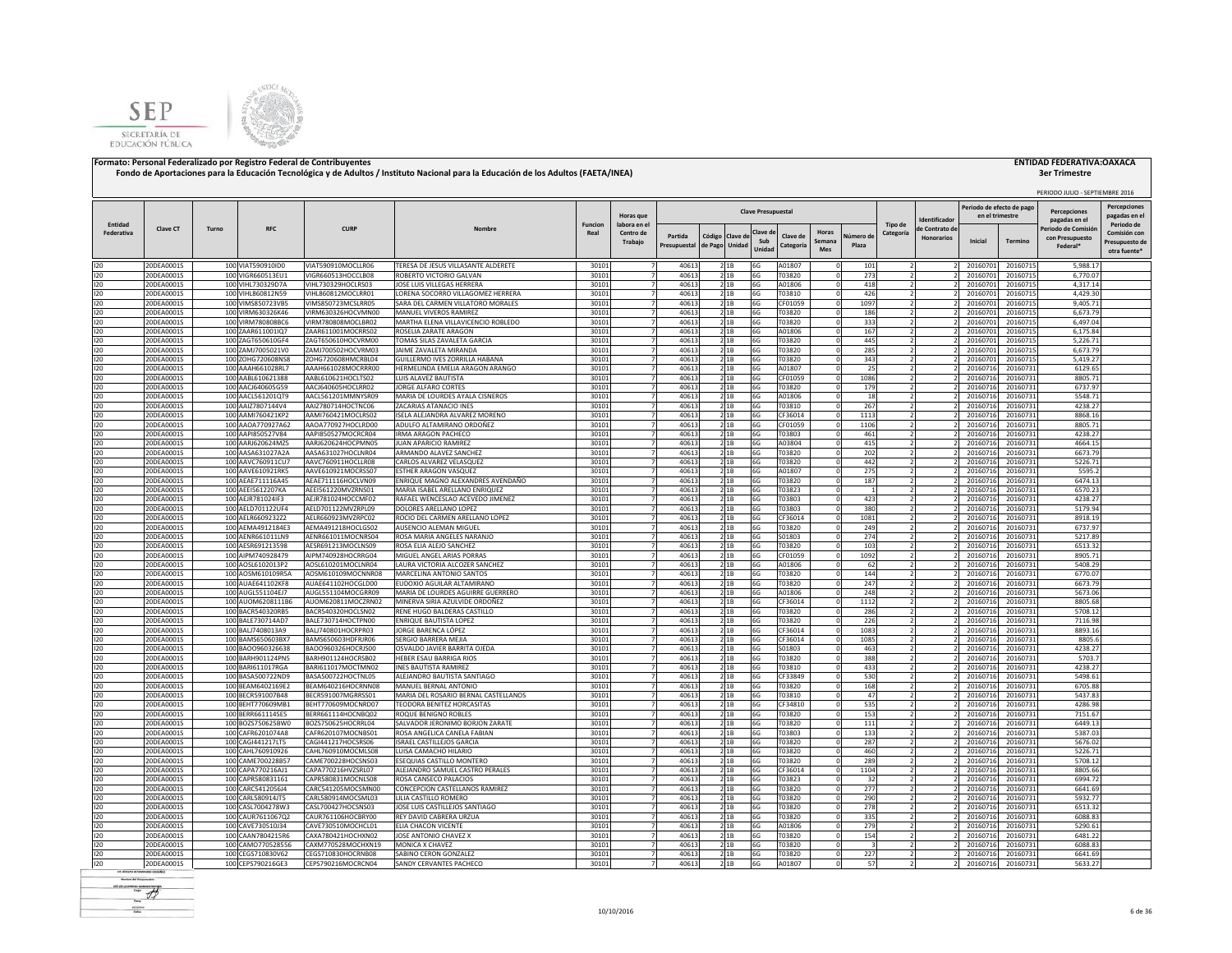



|            |                          |                  |                                        |                                          |                                                                       |                |                                  |                |                 |              |                           |                   |                 |             |                |                                    | Periodo de efecto de pag |                      | PERIODO JULIO - SEPTIEMBRE 2016<br><b>Percenciones</b> | <b>Percepciones</b>            |
|------------|--------------------------|------------------|----------------------------------------|------------------------------------------|-----------------------------------------------------------------------|----------------|----------------------------------|----------------|-----------------|--------------|---------------------------|-------------------|-----------------|-------------|----------------|------------------------------------|--------------------------|----------------------|--------------------------------------------------------|--------------------------------|
| Entidad    |                          |                  |                                        |                                          |                                                                       | <b>Funcion</b> | Horas que<br>labora en e         |                |                 |              | <b>Clave Presupuestal</b> |                   |                 |             | Tipo de        | dentificado                        | en el trimestre          |                      | pagadas en el                                          | pagadas en e<br>Periodo de     |
| Federativa | Clave CT                 | Turno            | <b>RFC</b>                             | <b>CURP</b>                              | Nombre                                                                | Real           | Centro de                        | Partida        | Código Clave de |              | Clave d<br>Sub            | Clave de          | Horas<br>Semana | Vúmero de   | Categoría      | e Contrato de<br><b>Honorarios</b> | Inicial                  | Termino              | eriodo de Comisió<br>con Presupuesto                   | Comisión cor                   |
|            |                          |                  |                                        |                                          |                                                                       |                | Trabajo                          | Presupuestal   | de Pago         | Unidad       | Unidad                    | Categoría         | <b>Mes</b>      | Plaza       |                |                                    |                          |                      | Federal*                                               | Presupuesto de<br>otra fuente' |
| 120        | 20DEA0001S               |                  | 100 VIAT590910ID0                      | VIAT590910MOCLLR06                       | TERESA DE JESUS VILLASANTE ALDERETE                                   | 30101          | $\overline{7}$                   | 40613          |                 | 21B          | 6G                        | A01807            |                 | 101         |                |                                    | 20160701                 | 20160715             | 5,988.17                                               |                                |
| 120        | 20DEA0001S               |                  | 100 VIGR660513EU1                      | VIGR660513HOCCLB08                       | ROBERTO VICTORIO GALVAN                                               | 30101          | $\overline{7}$                   | 40613          |                 | 21B          | 6G                        | T03820            |                 | 273         |                |                                    | 20160701                 | 20160715             | 6,770.07                                               |                                |
| 120<br>120 | 20DEA0001S               |                  | 100 VIHL730329D7A<br>100 VIHL860812N59 | VIHL730329HOCLRS03                       | JOSE LUIS VILLEGAS HERRERA<br>LORENA SOCORRO VILLAGOMEZ HERRERA       | 30101<br>30101 | $\overline{7}$<br>7              | 40613<br>40613 |                 | 2 1B<br>2 1B | 6G<br>6G                  | A01806            |                 | 418         |                |                                    | 20160701                 | 20160715             | 4,317.14<br>4,429.30                                   |                                |
| 120        | 20DEA0001S<br>20DEA0001S |                  | 100 VIMS850723VB5                      | VIHL860812MOCLRR01<br>VIMS850723MCSLRR05 | SARA DEL CARMEN VILLATORO MORALES                                     | 30101          | $\overline{7}$                   | 40613          |                 | 21B          | 6G                        | T03810<br>CF01059 |                 | 426<br>1097 |                |                                    | 20160701<br>20160701     | 20160715<br>20160715 | 9,405.71                                               |                                |
| 120        | 20DEA0001S               | 100              | /IRM630326K46                          | VIRM630326HOCVMN00                       | MANUEL VIVEROS RAMIREZ                                                | 30101          |                                  | 40613          |                 | 21B          | 6G                        | T03820            |                 | 186         |                |                                    | 20160701                 | 20160715             | 6,673.79                                               |                                |
| 120        | 20DEA0001S               |                  | 100 VIRM780808BC6                      | VIRM780808MOCLBR02                       | MARTHA ELENA VILLAVICENCIO ROBLEDO                                    | 30101          |                                  | 40613          |                 | 2 1 B        | 6G                        | T03820            |                 | 333         |                |                                    | 20160701                 | 20160715             | 6.497.04                                               |                                |
| 120        | 20DEA0001S               |                  | 100 ZAAR611001lQ7                      | ZAAR611001MOCRRS02                       | ROSELIA ZARATE ARAGON                                                 | 30101          |                                  | 40613          |                 | 21B          | 6G                        | A01806            |                 | 167         |                |                                    | 20160701                 | 20160715             | 6,175.84                                               |                                |
| 120<br>120 | 20DEA0001S<br>20DEA0001S |                  | 100 ZAGT650610GF4<br>100 ZAMJ7005021V0 | ZAGT650610HOCVRM00<br>ZAMJ700502HOCVRM03 | <b>TOMAS SILAS ZAVALETA GARCIA</b><br>JAIME ZAVALETA MIRANDA          | 30101<br>30101 | $\overline{7}$                   | 40613<br>40613 |                 | 2 1B<br>21B  | 6G<br>6G                  | T03820<br>T03820  |                 | 445<br>285  | $\overline{2}$ |                                    | 20160701<br>20160701     | 20160715<br>20160715 | 5,226.71<br>6.673.79                                   |                                |
| 120        | 20DEA0001S               |                  | 100 ZOHG720608NS8                      | <b>70HG720608HMCRBL04</b>                | GUILLERMO IVES ZORRILLA HABANA                                        | 30101          |                                  | 40613          |                 | 21B          | 6G                        | T03820            |                 | 343         |                |                                    | 20160701                 | 20160715             | 5,419.27                                               |                                |
| 120        | 20DEA0001S               |                  | 100 AAAH661028RL7                      | AAAH661028MOCRRR00                       | HERMELINDA EMELIA ARAGON ARANGO                                       | 30101          | $\overline{7}$                   | 40613          |                 | 2 1 B        | 6G                        | A01807            |                 | 25          |                |                                    | 20160716                 | 20160731             | 6129.65                                                |                                |
| 120        | 20DEA0001S               |                  | 100 AABL610621388                      | AABL610621HOCLTS02                       | LUIS ALAVEZ BAUTISTA                                                  | 30101          | $\overline{7}$                   | 40613          |                 | 2 1 B        | 6G                        | CF01059           |                 | 1086        | 2              |                                    | 20160716                 | 20160731             | 8805.71                                                |                                |
| 120        | 20DEA0001S               |                  | 100 AACJ640605G59                      | AACJ640605HOCLRR02                       | JORGE ALFARO CORTES                                                   | 30101          | $\overline{7}$                   | 40613          |                 | 2 1B         | 6G                        | T03820            |                 | 179         |                |                                    | 20160716                 | 20160731             | 6737.97                                                |                                |
| 120<br>120 | 20DEA0001S<br>20DEA0001S |                  | 100 AACL561201QT9<br>100 AAIZ7807144V4 | AACL561201MMNYSR09<br>AAIZ780714HOCTNC06 | MARIA DE LOURDES AYALA CISNEROS<br>ZACARIAS ATANACIO INES             | 30101<br>30101 | $\overline{7}$<br>$\overline{7}$ | 40613<br>40613 |                 | 21B<br>2 1B  | 6G<br>6G                  | A01806<br>T03810  |                 | 18<br>267   |                |                                    | 20160716<br>20160716     | 2016073<br>2016073   | 5548.71<br>4238.27                                     |                                |
| 120        | 20DEA0001S               |                  | 100 AAMI760421KP2                      | AAMI760421MOCLRS02                       | ISELA ALEJANDRA ALVAREZ MORENO                                        | 30101          | $\overline{7}$                   | 40613          |                 | 2 1B         | 6G                        | CF36014           |                 | 1113        |                |                                    | 20160716                 | 2016073              | 8868.16                                                |                                |
| 120        | 20DEA0001S               |                  | 100 AAOA770927A62                      | AAOA770927HOCLRD00                       | ADULFO ALTAMIRANO ORDOÑEZ                                             | 30101          | 7                                | 40613          |                 | 2 1B         | 6G                        | CF01059           |                 | 1106        |                |                                    | 20160716                 | 20160731             | 8805.71                                                |                                |
| 120        | 20DEA0001S               |                  | 100 AAPI850527V84                      | AAPI850527MOCRCR04                       | <b>IRMA ARAGON PACHECO</b>                                            | 30101          | 7                                | 40613          |                 | 21B          | 6G                        | T03803            |                 | 461         |                |                                    | 20160716                 | 20160731             | 4238.27                                                |                                |
| 120        | 20DEA0001S               |                  | 100 AARJ620624MZ5                      | AARJ620624HOCPMN05                       | JUAN APARICIO RAMIREZ                                                 | 30101          | $\overline{7}$                   | 40613          |                 | 21B          | 6G                        | A03804            |                 | 415         |                |                                    | 20160716                 | 20160731             | 4664.15                                                |                                |
| 120<br>120 | 20DEA0001S<br>20DEA0001S |                  | 100 AASA631027A2A<br>100 AAVC760911CU7 | AASA631027HOCLNR04<br>AAVC760911HOCLLR08 | ARMANDO ALAVEZ SANCHEZ<br>CARLOS ALVAREZ VELASQUEZ                    | 30101<br>30101 | 7<br>7                           | 40613<br>40613 |                 | 2 1 B<br>21B | 6G<br>6G                  | T03820<br>T03820  |                 | 202<br>442  |                |                                    | 20160716<br>2016071      | 20160731             | 6673.79<br>5226.71                                     |                                |
| 120        | 20DEA0001S               |                  | 100 AAVE610921RK5                      | AAVE610921MOCRSS07                       | ESTHER ARAGON VASQUEZ                                                 | 30101          |                                  | 40613          |                 | 21B          | 6G                        | A01807            |                 | 275         |                |                                    | 2016071                  | 20160731<br>20160731 | 5595.2                                                 |                                |
| 120        | 20DEA0001S               |                  | 100 AEAE711116A45                      | AEAE711116HOCLVN09                       | INRIQUE MAGNO ALEXANDRES AVENDAÑO                                     | 30101          |                                  | 40613          |                 | 2 1 B        | 6G                        | T03820            |                 | 187         |                |                                    | 20160716                 | 20160731             | 6474.13                                                |                                |
| 120        | 20DEA0001S               | 100              | AEEI5612207KA                          | AEEI561220MVZRNS01                       | MARIA ISABEL ARELLANO ENRIQUEZ                                        | 30101          |                                  | 40613          |                 | 21B          | 6G                        | T03823            |                 |             |                |                                    | 2016071                  | 2016073              | 6570.23                                                |                                |
| 120        | 20DEA0001S               | 100              | AEJR781024IF3                          | AEJR781024HOCCMF02                       | RAFAEL WENCESLAO ACEVEDO JIMENEZ                                      | 30101          |                                  | 40613          |                 | 2 1 B        | 6G                        | T03803            |                 | 423         |                |                                    | 2016071                  | 20160731             | 4238.27                                                |                                |
| 120        | 20DEA0001S               |                  | 100 AELD701122UF4                      | AELD701122MVZRPL09                       | DOLORES ARELLANO LOPEZ                                                | 30101          |                                  | 40613          |                 | 21B          | 6G                        | T03803            |                 | 380         |                |                                    | 20160716                 | 20160731             | 5179.94                                                |                                |
| 120<br>120 | 20DEA0001S<br>20DEA0001S |                  | 100 AELR6609232Z2<br>100 AEMA4912184E3 | AELR660923MVZRPC02<br>AEMA491218HOCLGS02 | ROCIO DEL CARMEN ARELLANO LOPEZ<br><b>AUSENCIO ALEMAN MIGUEL</b>      | 30101<br>30101 |                                  | 40613<br>40613 |                 | 21B<br>2 1B  | 6G<br>6G                  | CF36014<br>T03820 |                 | 1081<br>249 |                |                                    | 20160716<br>20160716     | 20160731<br>20160731 | 8918.19<br>6737.97                                     |                                |
| 120        | 20DEA0001S               |                  | 100 AENR661011LN9                      | AENR661011MOCNRS04                       | ROSA MARIA ANGELES NARANJO                                            | 30101          |                                  | 40613          |                 | 2 1 B        | 6G                        | S01803            |                 | 274         |                |                                    | 20160716                 | 20160731             | 5217.89                                                |                                |
| 120        | 20DEA0001S               |                  | 100 AESR691213598                      | AESR691213MOCLNS09                       | ROSA ELIA ALEJO SANCHEZ                                               | 30101          | $\overline{7}$                   | 40613          |                 | 2 1 B        | 6G                        | T03820            |                 | 103         |                |                                    | 20160716                 | 20160731             | 6513.32                                                |                                |
| 120        | 20DEA0001S               |                  | 100 AIPM740928479                      | AIPM740928HOCRRG04                       | MIGUEL ANGEL ARIAS PORRAS                                             | 30101          | 7                                | 40613          |                 | 2 1 B        | 6G                        | CF01059           |                 | 1092        | 2              |                                    | 20160716                 | 20160731             | 8905.71                                                |                                |
| 120        | 20DEA0001S               |                  | 100 AOSL6102013P2                      | AOSL610201MOCLNR04                       | LAURA VICTORIA ALCOZER SANCHEZ                                        | 30101          |                                  | 40613          |                 | 2 1 B        | 6G                        | A01806            |                 | 62          |                |                                    | 20160716                 | 20160731             | 5408.29                                                |                                |
| 120        | 20DEA0001S               |                  | 100 AOSM610109R5A                      | AOSM610109MOCNNR08                       | MARCELINA ANTONIO SANTOS                                              | 30101          | $\overline{7}$                   | 40613          |                 | 21B          | 6G                        | T03820            |                 | 144         |                |                                    | 20160716                 | 2016073              | 6770.07                                                |                                |
| 120<br>120 | 20DEA0001S<br>20DEA0001S |                  | 100 AUAE641102KF8<br>100 AUGL551104EJ7 | AUAE641102HOCGLD00<br>AUGL551104MOCGRR09 | <b>UDOXIO AGUILAR ALTAMIRANO</b><br>MARIA DE LOURDES AGUIRRE GUERRERO | 30101<br>30101 | $\overline{7}$<br>$\overline{7}$ | 40613<br>40613 |                 | 2 1B<br>2 1B | 6G<br>6G                  | T03820<br>A01806  |                 | 247<br>248  |                |                                    | 20160716<br>20160716     | 20160731<br>20160731 | 6673.79<br>5673.06                                     |                                |
| 120        | 20DEA0001S               |                  | 100 AUOM6208111B6                      | AUOM620811MOCZRN02                       | MINERVA SIRIA AZULVIDE ORDOÑEZ                                        | 30101          | 7                                | 40613          |                 | 2 1B         | 6G                        | CF36014           |                 | 1112        | $\overline{2}$ |                                    | 20160716                 | 20160731             | 8805.68                                                |                                |
| 120        | 20DEA0001S               |                  | 100 BACR540320RB5                      | BACR540320HOCLSN02                       | RENE HUGO BALDERAS CASTILLO                                           | 30101          | 7                                | 40613          |                 | 21B          | 6G                        | T03820            |                 | 286         | $\overline{2}$ |                                    | 20160716                 | 20160731             | 5708.12                                                |                                |
| 120        | 20DEA0001S               |                  | 100 BALE730714AD7                      | BALE730714HOCTPN00                       | ENRIQUE BAUTISTA LOPEZ                                                | 30101          | $\overline{7}$                   | 40613          |                 | 21B          | 6G                        | T03820            |                 | 226         |                |                                    | 20160716                 | 20160731             | 7116.98                                                |                                |
| 120        | 20DEA0001S               |                  | 100 BALJ7408013A9                      | BALJ740801HOCRPR03                       | JORGE BARENCA LÓPEZ                                                   | 30101          | 7                                | 40613          |                 | 21B          | 6G                        | CF36014           |                 | 1083        | $\overline{2}$ |                                    | 20160716                 | 20160731             | 8893.16                                                |                                |
| 120<br>120 | 20DEA0001S               |                  | 100 BAMS650603BX7                      | BAMS650603HDFRJR06                       | SERGIO BARRERA MEJIA                                                  | 30101<br>30101 | $\overline{7}$                   | 40613          |                 | 21B<br>21B   | 6G<br>6G                  | CF36014           |                 | 1085        |                |                                    | 20160716                 | 20160731             | 8805.6                                                 |                                |
| 120        | 20DEA0001S<br>20DEA0001S |                  | 100 BAOO960326638<br>100 BARH901124PN5 | BAOO960326HOCRJS00<br>BARH901124HOCRSB02 | OSVALDO JAVIER BARRITA OJEDA<br>HEBER ESAU BARRIGA RIOS               | 30101          |                                  | 40613<br>40613 |                 | 21B          | 6G                        | S01803<br>T03820  |                 | 463<br>388  |                |                                    | 20160716<br>20160716     | 20160731<br>20160731 | 4238.27<br>5703.7                                      |                                |
| 120        | 20DEA0001S               |                  | 100 BARI611017RGA                      | BARI611017MOCTMN02                       | <b>NES BAUTISTA RAMIREZ</b>                                           | 30101          |                                  | 40613          |                 | 21B          | 6G                        | T03810            |                 | 433         |                |                                    | 20160716                 | 20160731             | 4238.27                                                |                                |
| 120        | 20DEA0001S               |                  | 100 BASA500722ND9                      | BASA500722HOCTNL05                       | ALEJANDRO BAUTISTA SANTIAGO                                           | 30101          |                                  | 40613          |                 | 2 1B         | 6G                        | CF33849           |                 | 530         |                |                                    | 20160716                 | 20160731             | 5498.61                                                |                                |
| 120        | 20DEA0001S               |                  | 100 BEAM6402169E2                      | BEAM640216HOCRNN08                       | MANUEL BERNAL ANTONIO                                                 | 30101          |                                  | 40613          |                 | 21B          | 6G                        | T03820            |                 | 168         |                |                                    | 20160716                 | 20160731             | 6705.88                                                |                                |
| 120        | 20DEA0001S               |                  | 100 BECR591007B48                      | BECR591007MGRRSS01                       | MARIA DEL ROSARIO BERNAL CASTELLANOS                                  | 30101          |                                  | 40613          |                 | 21B          | 6G                        | T03810            |                 | 47          |                |                                    | 20160716                 | 20160731             | 5437.83                                                |                                |
| 120<br>120 | 20DEA0001S<br>20DEA0001S |                  | 100 BEHT770609MB1<br>100 BERR661114SE5 | BEHT770609MOCNRD07<br>BERR661114HOCNBQ02 | TEODORA BENITEZ HORCASITAS<br>ROQUE BENIGNO ROBLES                    | 30101<br>30101 | 7                                | 40613<br>40613 |                 | 21B<br>2 1B  | 6G<br>6G                  | CF34810<br>T03820 |                 | 535<br>153  |                |                                    | 20160716<br>20160716     | 20160731<br>2016073  | 4286.98<br>7151.67                                     |                                |
| 120        | 20DEA0001S               |                  | 100 BOZS750625BW0                      | BOZS750625HOCRRL04                       | SALVADOR JERONIMO BORJON ZARATE                                       | 30101          | $\overline{7}$                   | 40613          |                 | 21B          | 6G                        | T03820            |                 | 111         |                |                                    | 20160716                 | 2016073              | 6449.13                                                |                                |
| 120        | 20DEA0001S               |                  | 100 CAFR6201074A8                      | CAFR620107MOCNBS01                       | ROSA ANGELICA CANELA FABIAN                                           | 30101          | $\overline{7}$                   | 40613          |                 | 21B          | 6G                        | T03803            |                 | 133         |                |                                    | 20160716                 | 20160731             | 5387.03                                                |                                |
| 120        | 20DEA0001S               |                  | 100 CAG1441217LT5                      | CAGI441217HOCSRS06                       | SRAEL CASTILLEJOS GARCIA                                              | 30101          | 7                                | 40613          |                 | 2 1 B        | 6G                        | T03820            |                 | 287         |                |                                    | 20160716                 | 20160731             | 5676.02                                                |                                |
| 120        | 20DEA0001S               |                  | 100 CAHL760910926                      | CAHL760910MOCMLS08                       | UISA CAMACHO HILARIO                                                  | 30101          | $\overline{7}$                   | 40613          |                 | 21B          | 6G                        | T03820            |                 | 460         |                |                                    | 20160716                 | 2016073              | 5226.71                                                |                                |
| 120<br>120 | 20DEA0001S               |                  | 100 CAME700228B57                      | CAME700228HOCSNS03                       | <b>ESEQUIAS CASTILLO MONTERO</b>                                      | 30101          | $\overline{7}$                   | 40613          |                 | 2 1B         | 6G                        | T03820            |                 | 289         |                |                                    | 2016071                  | 2016073              | 5708.12                                                |                                |
| 120        | 20DEA0001S<br>20DEA0001S |                  | 100 CAPA770216AJ1<br>100 CAPR580831161 | CAPA770216HVZSRL07<br>CAPR580831MOCNLS08 | ALEJANDRO SAMUEL CASTRO PERALES<br>ROSA CANSECO PALACIOS              | 30101<br>30101 | 7<br>7                           | 40613<br>40613 |                 | 21B<br>21B   | 6G<br>6G                  | CF36014<br>T03823 |                 | 1104<br>32  |                |                                    | 20160716<br>20160716     | 20160731<br>20160731 | 8805.66<br>6994.72                                     |                                |
| 120        | 20DEA0001S               |                  | 100 CARC5412056J4                      | CARC541205MOCSMN00                       | CONCEPCION CASTELLANOS RAMIREZ                                        | 30101          | 7                                | 40613          |                 | 21B          | 6G                        | T03820            |                 | 277         | $\overline{ }$ |                                    | 20160716                 | 20160731             | 6641.69                                                |                                |
| 120        | 20DEA0001S               |                  | 100 CARL580914JT5                      | CARL580914MOCSML03                       | LILIA CASTILLO ROMERO                                                 | 30101          | $\overline{7}$                   | 40613          |                 | 21B          | 6G                        | T03820            |                 | 290         |                |                                    | 20160716                 | 20160731             | 5932.77                                                |                                |
| 120        | 20DEA0001S               |                  | 100 CASL7004278W3                      | CASL700427HOCSNS03                       | JOSE LUIS CASTILLEJOS SANTIAGO                                        | 30101          | 7                                | 40613          |                 | 2 1 B        | 6G                        | T03820            |                 | 278         |                |                                    | 20160716                 | 2016073              | 6513.32                                                |                                |
| 120        | 20DEA0001S               |                  | 100 CAUR7611067Q2                      | CAUR761106HOCBRY00                       | REY DAVID CABRERA URZUA                                               | 30101          | $\overline{7}$                   | 40613          |                 | 2 1B         | 6G                        | T03820            |                 | 335         |                |                                    | 20160716                 | 20160731             | 6088.83                                                |                                |
| 120        | 20DEA0001S               | 100 <sub>1</sub> | CAVE730510J34                          | CAVE730510MOCHCL01                       | <b>LIA CHACON VICENTE</b>                                             | 30101          |                                  | 40613          |                 | 21B          | 6G                        | A01806            |                 | 279         |                |                                    | 2016071                  | 20160731             | 5290.61                                                |                                |
| 120<br>120 | 20DEA0001S<br>20DEA0001S | 100<br>100       | AAN7804215R6<br>CAMO770528556          | CAXA780421HOCHXN02<br>CAXM770528MOCHXN19 | JOSE ANTONIO CHAVEZ X<br>MONICA X CHAVEZ                              | 30101<br>30101 |                                  | 40613<br>40613 |                 | 2 1 B<br>21B | 6G<br>6G                  | T03820<br>T03820  |                 | 154         |                |                                    | 2016071<br>2016071       | 2016073<br>2016073   | 6481.22<br>6088.83                                     |                                |
| 120        | 20DEA0001S               |                  | 100 CEGS710830V62                      | CEGS710830HOCRNB08                       | SABINO CERON GONZALEZ                                                 | 30101          |                                  | 40613          |                 | 21B          | 6G                        | T03820            |                 | 227         |                |                                    | 20160716                 | 20160731             | 6641.69                                                |                                |
| 120        | 20DEA0001S               |                  | 100 CEPS790216GE3                      | CEPS790216MOCRCN04                       | SANDY CERVANTES PACHECO                                               | 30101          |                                  | 40613          |                 | 21B          | 6G                        | A01807            |                 | 57          |                |                                    | 20160716                 | 20160731             | 5633.27                                                |                                |
|            |                          |                  |                                        |                                          |                                                                       |                |                                  |                |                 |              |                           |                   |                 |             |                |                                    |                          |                      |                                                        |                                |

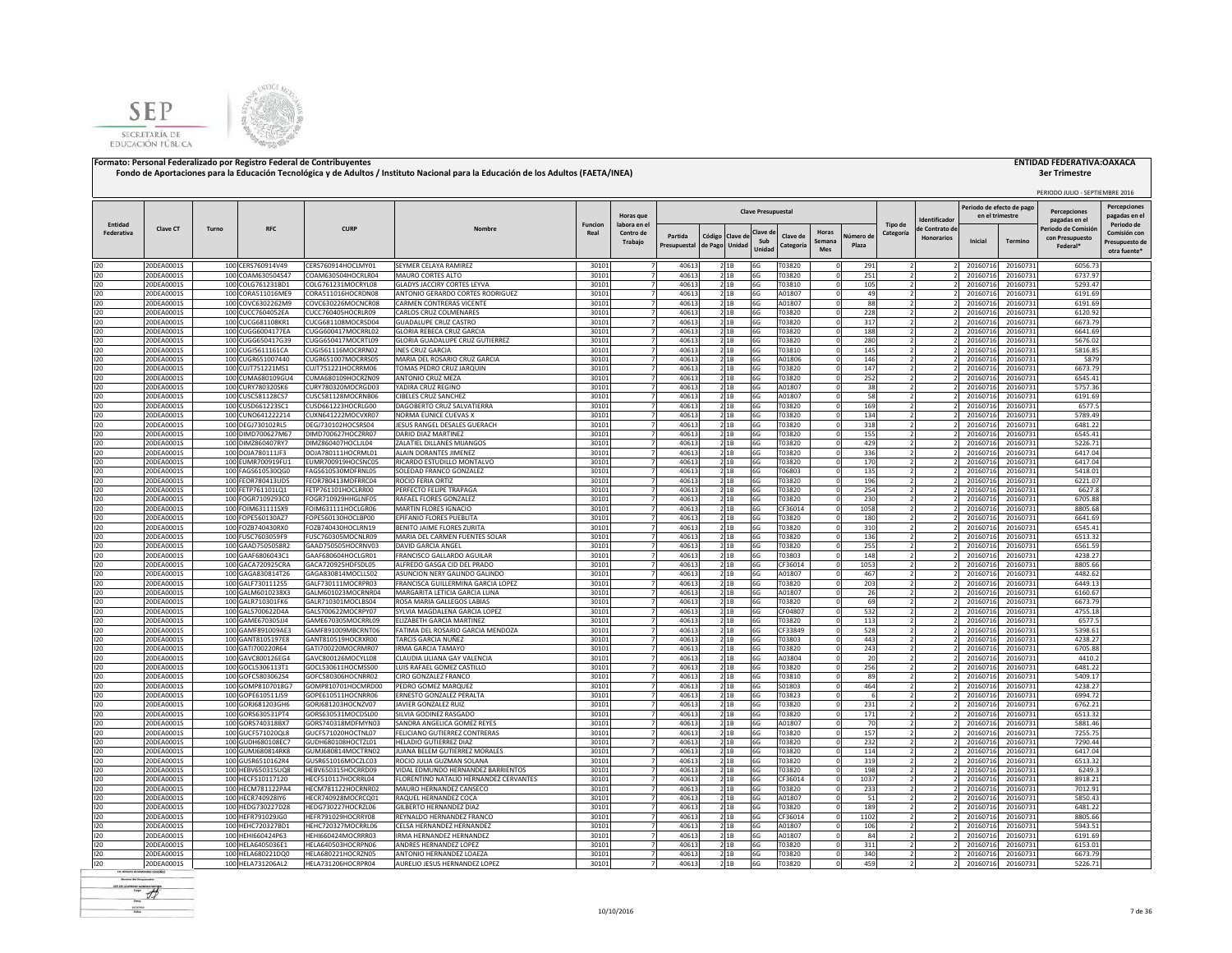



| Entidad<br>Tipo de<br>Periodo de<br>Funcion<br>labora en e<br>Clave CT<br><b>RFC</b><br><b>CURP</b><br>eriodo de Comisió<br>Turno<br>e Contrato de<br>Clave d<br>Horas<br>Federativa<br>Centro de<br>Comisión cor<br>Categoría<br>Partida<br>Código<br>Clave de<br>Clave di<br>lumero de<br><b>Honorarios</b><br>con Presupuesto<br>Sub<br>Inicial<br>Termino<br>Semana<br>Trabaio<br>Presupuesto de<br>Unidad<br>de Pago<br>Plaza<br>Presupuestal<br>Categoría<br>Federal*<br>Unidad<br>Mes<br>otra fuente*<br>120<br>20DEA0001S<br>100 CERS760914V49<br>CERS760914HOCLMY01<br>SEYMER CELAYA RAMIREZ<br>30101<br>40613<br>21B<br>T03820<br>291<br>20160716<br>20160731<br>6056.73<br>l6G<br>$\Omega$<br>100 COAM630504S47<br>COAM630504HOCRLR04<br>30101<br>40613<br>T03820<br>120<br>20DEA0001S<br>MAURO CORTES ALTO<br>21B<br>6G<br>251<br>20160716<br>20160731<br>6737.97<br>120<br>30101<br>40613<br>6G<br>105<br>5293.47<br>20DEA0001S<br>100 COLG761231BD1<br>COLG761231MOCRYL08<br>GLADYS JACCIRY CORTES LEYVA<br>21B<br>T03810<br>20160716<br>20160731<br>$\Omega$<br>40613<br>49<br>120<br>100 CORA511016ME9<br>CORA511016HOCRDN08<br>ANTONIO GERARDO CORTES RODRIGUEZ<br>30101<br>21B<br>6G<br>A01807<br>6191.69<br>20DEA0001S<br>$\Omega$<br>20160716<br>20160731<br>120<br>21B<br>88<br>6191.69<br>20DEA0001S<br>100 COVC6302262M9<br>COVC630226MOCNCR08<br>CARMEN CONTRERAS VICENTE<br>30101<br>40613<br>6G<br>A01807<br>20160716<br>20160731<br>120<br>20DEA0001S<br>100 CUCC7604052EA<br>CUCC760405HOCRLR09<br>CARLOS CRUZ COLMENARES<br>30101<br>4061<br>21B<br>6G<br>T03820<br>228<br>20160716<br>20160731<br>6120.92<br>120<br>20DEA0001S<br>100 CUCG681108KR1<br>CUCG681108MOCRSD04<br><b>GUADALUPE CRUZ CASTRO</b><br>30101<br>4061<br>21B<br>6G<br>T03820<br>317<br>6673.79<br>20160716<br>2016073<br>120<br>100 CUGG6004177EA<br>40613<br>6G<br>188<br>0DEA0001S<br>CUGG600417MOCRRL02<br>GLORIA REBECA CRUZ GARCIA<br>30101<br>2 1B<br>T03820<br>20160716<br>20160731<br>6641.69<br>40613<br>120<br>20DEA0001S<br>100 CUGG650417G39<br>CUGG650417MOCRTL09<br>GLORIA GUADALUPE CRUZ GUTIERREZ<br>30101<br>21B<br>6G<br>T03820<br>280<br>20160716<br>20160731<br>5676.02<br>120<br>20DEA0001S<br>100 CUGI5611161CA<br>CUGI561116MOCRRN02<br><b>INES CRUZ GARCIA</b><br>30101<br>40613<br>21B<br>6G<br>T03810<br>145<br>20160716<br>20160731<br>5816.85<br>120<br>20DEA0001S<br>100 CUGR651007440<br>CUGR651007MOCRRS05<br>MARIA DEL ROSARIO CRUZ GARCIA<br>30101<br>40613<br>6G<br>A01806<br>146<br>20160716<br>20160731<br>5879<br>21B<br>30101<br>40613<br>T03820<br>6673.79<br>120<br>20DEA0001S<br>100 CUJT751221MS1<br>CUJT751221HOCRRM06<br>TOMAS PEDRO CRUZ JARQUIN<br>6G<br>147<br>20160716<br>20160731<br>21B<br>120<br>30101<br>40613<br>T03820<br>252<br>6545.41<br>20DEA0001S<br>100 CUMA680109GU4<br>CUMA680109HOCRZN09<br>ANTONIO CRUZ MEZA<br>6G<br>20160716<br>2 1 B<br>$\Omega$<br>2016073<br>120<br>40613<br>100 CURY780320SK6<br>CURY780320MOCRGD03<br>YADIRA CRUZ REGINO<br>30101<br>6G<br>A01807<br>38<br>20160716<br>5757.36<br>20DEA0001S<br>21B<br>2016073<br>40613<br>A01807<br>120<br>20DEA0001S<br>100 CUSC581128CS7<br>CUSC581128MOCRNB06<br><b>CIBELES CRUZ SANCHEZ</b><br>30101<br>21B<br>6G<br>58<br>20160716<br>2016073<br>6191.69<br>120<br>20DEA0001S<br>100 CUSD661223SC1<br>CUSD661223HOCRLG00<br>DAGOBERTO CRUZ SALVATIERRA<br>30101<br>40613<br>21B<br>6G<br>T03820<br>169<br>20160716<br>2016073<br>6577.5<br>120<br>20DEA0001S<br>100 CUNO641222214<br>CUXN641222MOCVXR07<br>NORMA EUNICE CUEVAS X<br>30101<br>4061<br>21B<br>6G<br>T03820<br>134<br>20160716<br>5789.49<br>2016073<br>DEGJ730102HOCSRS04<br>JESUS RANGEL DESALES GUERACH<br>40613<br>T03820<br>120<br>20DEA0001S<br>100 DEGI730102RL5<br>30101<br>2 1B<br>6G<br>318<br>20160716<br>2016073<br>6481.22<br>120<br>20DEA0001S<br>100 DIMD700627M67<br>DIMD700627HOCZRR07<br>DARIO DIAZ MARTINEZ<br>30101<br>40613<br>21B<br>6G<br>T03820<br>155<br>20160716<br>2016073<br>6545.41<br>120<br>20DEA0001S<br>100 DIMZ860407RY7<br>DIMZ860407HOCLJL04<br>ZALATIEL DILLANES MIJANGOS<br>30101<br>40613<br>21B<br>6G<br>T03820<br>429<br>20160716<br>2016073<br>5226.71<br>120<br>20DEA0001S<br>100 DOJA780111JF3<br>DOJA780111HOCRML01<br><b>ALAIN DORANTES JIMENEZ</b><br>30101<br>40613<br>21B<br>6G<br>T03820<br>336<br>20160716<br>20160731<br>6417.04<br>$\Omega$<br>100 EUMR700919FU1<br>EUMR700919HOCSNC05<br>RICARDO ESTUDILLO MONTALVO<br>40613<br>21B<br>6G<br>T03820<br>20160716<br>120<br>20DEA0001S<br>30101<br>170<br>20160731<br>6417.04<br>120<br>100 FAGS610530QG0<br>FAGS610530MDFRNL05<br>SOLEDAD FRANCO GONZALEZ<br>30101<br>40613<br>21B<br>6G<br>T06803<br>5418.01<br>20DEA0001S<br>135<br>20160716<br>20160731<br>$\Omega$<br>40613<br>120<br>100 FEOR780413UD5<br>FEOR780413MDFRRC04<br>ROCIO FERIA ORTIZ<br>30101<br>21B<br>6G<br>T03820<br>196<br>20160716<br>6221.07<br>20DEA0001S<br>$\Omega$<br>20160731<br>40613<br>21B<br>6G<br>T03820<br>254<br>120<br>20DEA0001S<br>100 FETP761101LQ1<br>FETP761101HOCLRR00<br>PERFECTO FELIPE TRAPAGA<br>30101<br>20160716<br>2016073<br>6627.8<br>120<br>20DEA0001S<br>100 FOGR7109293C0<br>FOGR710929HHGLNF05<br>RAFAEL FLORES GONZALEZ<br>30101<br>4061<br>21B<br>6G<br>T03820<br>230<br>20160716<br>2016073<br>6705.88<br>120<br>20DEA0001S<br>100 FOIM631111SX9<br>FOIM631111HOCLGR06<br>MARTIN FLORES IGNACIO<br>30101<br>4061<br>21B<br>6G<br>CF36014<br>1058<br>8805.68<br>20160716<br>2016073<br>120<br>40613<br>6G<br>T03820<br>0DEA0001S<br>100 FOPE560130AZ7<br>FOPE560130HOCLBP00<br>FPIFANIO FLORES PUFBLITA<br>30101<br>21B<br>180<br>2016071<br>20160731<br>6641.69<br>120<br>0DEA0001S<br>100 FOZB740430RX0<br>FOZB740430HOCLRN19<br>BENITO JAIME FLORES ZURITA<br>30101<br>40613<br>21B<br>6G<br>T03820<br>310<br>20160716<br>20160731<br>6545.41<br>120<br>20DEA0001S<br>100 FUSC7603059F9<br>FUSC760305MOCNLR09<br>MARIA DEL CARMEN FUENTES SOLAR<br>30101<br>40613<br>21B<br>6G<br>T03820<br>136<br>20160716<br>20160731<br>6513.32<br>$\Omega$<br>120<br>0DEA0001S<br>100 GAAD7505058R2<br>GAAD750505HOCRNV03<br>DAVID GARCIA ANGEL<br>30101<br>40613<br>6G<br>T03820<br>255<br>20160716<br>20160731<br>6561.59<br>2 1B<br>100 GAAF6806043C1<br>GAAF680604HOCLGR01<br>FRANCISCO GALLARDO AGUILAR<br>40613<br>T03803<br>4238.27<br>120<br>20DEA00015<br>30101<br>6G<br>148<br>20160716<br>20160731<br>2 1 B<br>120<br>100 GACA720925CRA<br>GACA720925HDFSDL05<br>ALFREDO GASGA CID DEL PRADO<br>30101<br>40613<br>CF36014<br>1053<br>8805.66<br>20DEA0001S<br>6G<br>20160716<br>20160731<br>2 1 B<br>- 0<br>40613<br>4482.62<br>120<br>100 GAGA830814T26<br>GAGA830814MOCLLS02<br>ASUNCION NERY GALINDO GALINDO<br>30101<br>6G<br>A01807<br>467<br>20DEA0001S<br>21B<br>20160716<br>20160731<br>100 GALF7301112S5<br>GALF730111MOCRPR03<br>40613<br>6G<br>T03820<br>120<br>20DEA0001S<br>FRANCISCA GUILLERMINA GARCIA LOPEZ<br>30101<br>2 1B<br>203<br>20160716<br>20160731<br>6449.13<br>120<br>20DEA0001S<br>100 GALM6010238X3<br>GALM601023MOCRNR04<br>MARGARITA LETICIA GARCIA LUNA<br>30101<br>40613<br>2 1B<br>6G<br>A01807<br>26<br>20160716<br>2016073<br>6160.67<br>120<br>20DEA0001S<br>100 GALR710301FK6<br>GALR710301MOCLBS04<br>ROSA MARIA GALLEGOS LABIAS<br>30101<br>4061<br>21B<br>6G<br>T03820<br>69<br>20160716<br>6673.79<br>2016073<br>100 GALS700622D4A<br>GALS700622MOCRPY07<br>SYLVIA MAGDALENA GARCIA LOPEZ<br>40613<br>CF04807<br>4755.18<br>120<br>20DEA0001S<br>30101<br>2 1B<br>6G<br>532<br>20160716<br>20160731<br>100 GAME670305JJ4<br>40613<br>120<br>0DEA0001S<br>GAME670305MOCRRL09<br>ELIZABETH GARCIA MARTINEZ<br>30101<br>21B<br>6G<br>T03820<br>113<br>20160716<br>20160731<br>6577.5<br>100 GAMF891009AE3<br>120<br>20DEA0001S<br>GAMF891009MBCRNT06<br>FATIMA DEL ROSARIO GARCIA MENDOZA<br>30101<br>40613<br>21B<br>6G<br>CF33849<br>528<br>20160716<br>20160731<br>5398.61<br>120<br>20DEA0001S<br>100 GANT8105197E8<br>GANT810519HOCRXR00<br>TARCIS GARCIA NUÑEZ<br>30101<br>40613<br>21B<br>6G<br>T03803<br>443<br>20160716<br>20160731<br>4238.27<br>$\Omega$<br>100 GATI700220R64<br>GATI700220MOCRMR07<br><b>IRMA GARCIA TAMAYO</b><br>30101<br>40613<br>21B<br>6G<br>T03820<br>243<br>6705.88<br>120<br>20DEA0001S<br>20160716<br>20160731<br>40613<br>120<br>100 GAVC800126EG4<br>GAVC800126MOCYLL08<br>CLAUDIA LILIANA GAY VALENCIA<br>30101<br>21B<br>6G<br>A03804<br>20<br>20160716<br>4410.2<br>20DEA0001S<br>20160731<br>- 0<br>120<br>100 GOCL5306113T1<br>30101<br>40613<br>2 1B<br>256<br>6481.22<br>20DEA0001S<br>GOCL530611HOCMSS00<br>LUIS RAFAEL GOMEZ CASTILLO<br>6G<br>T03820<br>20160716<br>$\Omega$<br>20160731<br>89<br>120<br>100 GOFC580306254<br>GOFC580306HOCNRR02<br><b>CIRO GONZALEZ FRANCO</b><br>30101<br>4061<br>21B<br>T03810<br>5409.17<br>20DEA0001S<br>6G<br>20160716<br>20160731<br>21B<br>120<br>20DEA0001S<br>100 GOMP8107018G7<br>GOMP810701HOCMRD00<br>PEDRO GOMEZ MARQUEZ<br>30101<br>4061<br>6G<br>S01803<br>464<br>20160716<br>20160731<br>4238.27<br>120<br>20DEA0001S<br>100 GOPE610511J59<br>GOPE610511HOCNRR06<br>ERNESTO GONZALEZ PERALTA<br>30101<br>4061<br>21B<br>6G<br>T03823<br>6<br>20160716<br>6994.72<br>20160731<br>120<br>100 GORJ681203GH6<br>4061<br>6G<br>T03820<br><b>!ODEA0001S</b><br>GORJ681203HOCNZV07<br>JAVIER GONZALEZ RUIZ<br>30101<br>21B<br>231<br>20160716<br>20160731<br>6762.21<br>40613<br>120<br>20DEA0001S<br>100 GORS630531PT4<br>GORS630531MOCDSL00<br>SILVIA GODINEZ RASGADO<br>30101<br>21B<br>6G<br>T03820<br>171<br>20160716<br>20160731<br>6513.32<br>120<br>20DEA0001S<br>100 GORS740318BX7<br>GORS740318MDFMYN03<br>SANDRA ANGELICA GOMEZ REYES<br>30101<br>40613<br>21B<br>6G<br>A01807<br>70<br>20160716<br>20160731<br>5881.46<br>120<br>20DEA0001S<br>100 GUCF571020QL8<br>GUCF571020HOCTNL07<br>FELICIANO GUTIERREZ CONTRERAS<br>30101<br>40613<br>6G<br>T03820<br>157<br>20160716<br>20160731<br>7255.75<br>2 1B<br>120<br>100 GUDH680108EC7<br><b>HELADIO GUTIERREZ DIAZ</b><br>30101<br>40613<br>T03820<br>232<br>20160716<br>7290.44<br>20DEA0001S<br>GUDH680108HOCT7L01<br>6G<br>20160731<br>2 1 B<br>- 0<br>40613<br>120<br>100 GUMJ680814RK8<br>GUMJ680814MOCTRN02<br>30101<br>T03820<br>20160716<br>6417.04<br>20DEA0001S<br>JUANA BELEM GUTIERREZ MORALES<br>21B<br>6G<br>114<br>2016073<br>120<br>40613<br>T03820<br>100 GUSR6510162R4<br>GUSR651016MOCZLC03<br>30101<br>6G<br>319<br>20160716<br>6513.32<br>20DEA0001S<br>ROCIO JULIA GUZMAN SOLANA<br>21B<br>2016073<br>$\Omega$<br>120<br>30101<br>40613<br>T03820<br>198<br>20DEA0001S<br>100 HEBV650315UQ8<br>HEBV650315HOCRRD09<br>VIDAL EDMUNDO HERNANDEZ BARRIENTOS<br>21B<br>6G<br>20160716<br>20160731<br>6249.3<br>- 0<br>120<br>20DEA0001S<br>100 HECF510117120<br>HECF510117HOCRRL04<br>FLORENTINO NATALIO HERNANDEZ CERVANTES<br>30101<br>40613<br>2 1B<br>6G<br>CF36014<br>1037<br>20160716<br>2016073<br>8918.21<br>120<br>20DEA0001S<br>100 HECM781122PA4<br>HECM781122HOCRNR02<br>MAURO HERNANDEZ CANSECO<br>30101<br>40613<br>21B<br>6G<br>T03820<br>233<br>20160716<br>7012.91<br>2016073<br>100 HECR740928IY6<br>HECR740928MOCRCQ01<br>RAQUEL HERNANDEZ COCA<br>4061<br>A01807<br>120<br>20DEA0001S<br>30101<br>21B<br>6G<br>51<br>20160716<br>2016073<br>5850.43<br>40613<br>120<br>20DEA0001S<br>100 HEDG730227D28<br>HEDG730227HOCRZL06<br>GILBERTO HERNANDEZ DIAZ<br>30101<br>21B<br>6G<br>T03820<br>189<br>20160716<br>2016073<br>6481.22<br>120<br>20DEA0001S<br>100 HEFR791029JG0<br>HEFR791029HOCRRY08<br>REYNALDO HERNANDEZ FRANCO<br>30101<br>40613<br>21B<br>6G<br>CF36014<br>1102<br>20160716<br>20160731<br>8805.66<br>120<br>20DEA0001S<br>100 HEHC720327BD1<br>HEHC720327MOCRRL06<br>CELSA HERNANDEZ HERNANDEZ<br>30101<br>40613<br>21B<br>6G<br>A01807<br>106<br>20160716<br>20160731<br>5943.51<br>20DEA0001S<br>100 HEHI660424P63<br>HEHI660424MOCRRR03<br><b>IRMA HERNANDEZ HERNANDEZ</b><br>30101<br>40613<br>21B<br>6G<br>A01807<br>84<br>20160716<br>120<br>20160731<br>6191.69<br>40613<br>120<br>20DEA0001S<br>100 HELA6405036E1<br>HELA640503HOCRPN06<br>ANDRES HERNANDEZ LOPEZ<br>30101<br>2 1 B<br>6G<br>T03820<br>311<br>20160716<br>6153.01<br>$\Omega$<br>20160731<br>120<br>40613<br><b>6G</b><br>20DEA0001S<br>100 HELA680221DQ0<br>HELA680221HOCRZN05<br>ANTONIO HERNANDEZ LOAEZA<br>30101<br>21B<br>T03820<br>340<br>20160716<br>20160731<br>6673.79<br>120<br>100 HELA731206AL2<br>HELA731206HOCRPR04<br>AURELIO JESUS HERNANDEZ LOPEZ<br>30101<br>40613<br>21B<br>6G<br>T03820<br>459<br>5226.71<br>20DEA0001S<br>20160716<br>20160731 |  |  |  | Horas que |  | <b>Clave Presupuestal</b> |  |  | dentificado | Periodo de efecto de pag<br>en el trimestre | PERIODO JULIO - SEPTIEMBRE 2016<br>Percepciones<br>pagadas en el | <b>Percepciones</b><br>pagadas en e |
|-----------------------------------------------------------------------------------------------------------------------------------------------------------------------------------------------------------------------------------------------------------------------------------------------------------------------------------------------------------------------------------------------------------------------------------------------------------------------------------------------------------------------------------------------------------------------------------------------------------------------------------------------------------------------------------------------------------------------------------------------------------------------------------------------------------------------------------------------------------------------------------------------------------------------------------------------------------------------------------------------------------------------------------------------------------------------------------------------------------------------------------------------------------------------------------------------------------------------------------------------------------------------------------------------------------------------------------------------------------------------------------------------------------------------------------------------------------------------------------------------------------------------------------------------------------------------------------------------------------------------------------------------------------------------------------------------------------------------------------------------------------------------------------------------------------------------------------------------------------------------------------------------------------------------------------------------------------------------------------------------------------------------------------------------------------------------------------------------------------------------------------------------------------------------------------------------------------------------------------------------------------------------------------------------------------------------------------------------------------------------------------------------------------------------------------------------------------------------------------------------------------------------------------------------------------------------------------------------------------------------------------------------------------------------------------------------------------------------------------------------------------------------------------------------------------------------------------------------------------------------------------------------------------------------------------------------------------------------------------------------------------------------------------------------------------------------------------------------------------------------------------------------------------------------------------------------------------------------------------------------------------------------------------------------------------------------------------------------------------------------------------------------------------------------------------------------------------------------------------------------------------------------------------------------------------------------------------------------------------------------------------------------------------------------------------------------------------------------------------------------------------------------------------------------------------------------------------------------------------------------------------------------------------------------------------------------------------------------------------------------------------------------------------------------------------------------------------------------------------------------------------------------------------------------------------------------------------------------------------------------------------------------------------------------------------------------------------------------------------------------------------------------------------------------------------------------------------------------------------------------------------------------------------------------------------------------------------------------------------------------------------------------------------------------------------------------------------------------------------------------------------------------------------------------------------------------------------------------------------------------------------------------------------------------------------------------------------------------------------------------------------------------------------------------------------------------------------------------------------------------------------------------------------------------------------------------------------------------------------------------------------------------------------------------------------------------------------------------------------------------------------------------------------------------------------------------------------------------------------------------------------------------------------------------------------------------------------------------------------------------------------------------------------------------------------------------------------------------------------------------------------------------------------------------------------------------------------------------------------------------------------------------------------------------------------------------------------------------------------------------------------------------------------------------------------------------------------------------------------------------------------------------------------------------------------------------------------------------------------------------------------------------------------------------------------------------------------------------------------------------------------------------------------------------------------------------------------------------------------------------------------------------------------------------------------------------------------------------------------------------------------------------------------------------------------------------------------------------------------------------------------------------------------------------------------------------------------------------------------------------------------------------------------------------------------------------------------------------------------------------------------------------------------------------------------------------------------------------------------------------------------------------------------------------------------------------------------------------------------------------------------------------------------------------------------------------------------------------------------------------------------------------------------------------------------------------------------------------------------------------------------------------------------------------------------------------------------------------------------------------------------------------------------------------------------------------------------------------------------------------------------------------------------------------------------------------------------------------------------------------------------------------------------------------------------------------------------------------------------------------------------------------------------------------------------------------------------------------------------------------------------------------------------------------------------------------------------------------------------------------------------------------------------------------------------------------------------------------------------------------------------------------------------------------------------------------------------------------------------------------------------------------------------------------------------------------------------------------------------------------------------------------------------------------------------------------------------------------------------------------------------------------------------------------------------------------------------------------------------------------------------------------------------------------------------------------------------------------------------------------------------------------------------------------------------------------------------------------------------------------------------------------------------------------------------------------------------------------------------------------------------------------------------------------------------------------------------------------------------------------------------------------------------------------------------------------------------------------------------------------------------------------------------------------------------------------------------------------------------------------------------------------------------------------------------------------------------------------------------------------------------------------------------------------------------------------------------------------------------------------------------------------------------------------------------------------------------------------------------------------------------------------------------------------------------------------------------------------------------------------------------------------------------------------------------------------------------------------------------------------------------------------------------------------------------------------------------------------------------------------------------------------------------------------------------------------------------------------------------------------------------------------------------------------------------------------------------------------------------------------------------------------------------------------------------------------------------------------------------------------------------------------------------------------------------------------------------------------------------------------------------------------------------------------------------------------------------------------------------------------------------------------------------------------------------------------------------------------------------------------------------------------------------------------------------------------------------------------------------------------------------------------------------------------------------------------------------------------------------------------------------------------------------------------------------------------------------------------------------------------------------------------------------------------------------------------------------------------------------------------------------------------------------------------------------------------------------------------------------------------------------------------------------------------------------------------------------------------------------------------------------------------------------------------------------------------------------------------------------------------------------------------------------------------------------------------------------------------------------------------------------------------------------------------------------------------------------------------------------------------------------------------------------------------------------------------------------------------------------------------------------------------------------------------------------------------------------------------------------------------------------------------------------------------------------------------------------------------------------------|--|--|--|-----------|--|---------------------------|--|--|-------------|---------------------------------------------|------------------------------------------------------------------|-------------------------------------|
|                                                                                                                                                                                                                                                                                                                                                                                                                                                                                                                                                                                                                                                                                                                                                                                                                                                                                                                                                                                                                                                                                                                                                                                                                                                                                                                                                                                                                                                                                                                                                                                                                                                                                                                                                                                                                                                                                                                                                                                                                                                                                                                                                                                                                                                                                                                                                                                                                                                                                                                                                                                                                                                                                                                                                                                                                                                                                                                                                                                                                                                                                                                                                                                                                                                                                                                                                                                                                                                                                                                                                                                                                                                                                                                                                                                                                                                                                                                                                                                                                                                                                                                                                                                                                                                                                                                                                                                                                                                                                                                                                                                                                                                                                                                                                                                                                                                                                                                                                                                                                                                                                                                                                                                                                                                                                                                                                                                                                                                                                                                                                                                                                                                                                                                                                                                                                                                                                                                                                                                                                                                                                                                                                                                                                                                                                                                                                                                                                                                                                                                                                                                                                                                                                                                                                                                                                                                                                                                                                                                                                                                                                                                                                                                                                                                                                                                                                                                                                                                                                                                                                                                                                                                                                                                                                                                                                                                                                                                                                                                                                                                                                                                                                                                                                                                                                                                                                                                                                                                                                                                                                                                                                                                                                                                                                                                                                                                                                                                                                                                                                                                                                                                                                                                                                                                                                                                                                                                                                                                                                                                                                                                                                                                                                                                                                                                                                                                                                                                                                                                                                                                                                                                                                                                                                                                                                                                                                                                                                                                                                                                                                                                                                                                                                                                                                                                                                                                                                                                                                                                                                                                                                                                                                                                                                                                                                                                                                                                                                                                                                                                                                                                                                                                                                                                                                                                                                                                                                                                                                                                                                                                                                                                                                                                                                                                                                                                                                                                                                                                                                                                                                                                                                 |  |  |  |           |  |                           |  |  |             |                                             |                                                                  |                                     |
|                                                                                                                                                                                                                                                                                                                                                                                                                                                                                                                                                                                                                                                                                                                                                                                                                                                                                                                                                                                                                                                                                                                                                                                                                                                                                                                                                                                                                                                                                                                                                                                                                                                                                                                                                                                                                                                                                                                                                                                                                                                                                                                                                                                                                                                                                                                                                                                                                                                                                                                                                                                                                                                                                                                                                                                                                                                                                                                                                                                                                                                                                                                                                                                                                                                                                                                                                                                                                                                                                                                                                                                                                                                                                                                                                                                                                                                                                                                                                                                                                                                                                                                                                                                                                                                                                                                                                                                                                                                                                                                                                                                                                                                                                                                                                                                                                                                                                                                                                                                                                                                                                                                                                                                                                                                                                                                                                                                                                                                                                                                                                                                                                                                                                                                                                                                                                                                                                                                                                                                                                                                                                                                                                                                                                                                                                                                                                                                                                                                                                                                                                                                                                                                                                                                                                                                                                                                                                                                                                                                                                                                                                                                                                                                                                                                                                                                                                                                                                                                                                                                                                                                                                                                                                                                                                                                                                                                                                                                                                                                                                                                                                                                                                                                                                                                                                                                                                                                                                                                                                                                                                                                                                                                                                                                                                                                                                                                                                                                                                                                                                                                                                                                                                                                                                                                                                                                                                                                                                                                                                                                                                                                                                                                                                                                                                                                                                                                                                                                                                                                                                                                                                                                                                                                                                                                                                                                                                                                                                                                                                                                                                                                                                                                                                                                                                                                                                                                                                                                                                                                                                                                                                                                                                                                                                                                                                                                                                                                                                                                                                                                                                                                                                                                                                                                                                                                                                                                                                                                                                                                                                                                                                                                                                                                                                                                                                                                                                                                                                                                                                                                                                                                                                 |  |  |  |           |  |                           |  |  |             |                                             |                                                                  |                                     |
|                                                                                                                                                                                                                                                                                                                                                                                                                                                                                                                                                                                                                                                                                                                                                                                                                                                                                                                                                                                                                                                                                                                                                                                                                                                                                                                                                                                                                                                                                                                                                                                                                                                                                                                                                                                                                                                                                                                                                                                                                                                                                                                                                                                                                                                                                                                                                                                                                                                                                                                                                                                                                                                                                                                                                                                                                                                                                                                                                                                                                                                                                                                                                                                                                                                                                                                                                                                                                                                                                                                                                                                                                                                                                                                                                                                                                                                                                                                                                                                                                                                                                                                                                                                                                                                                                                                                                                                                                                                                                                                                                                                                                                                                                                                                                                                                                                                                                                                                                                                                                                                                                                                                                                                                                                                                                                                                                                                                                                                                                                                                                                                                                                                                                                                                                                                                                                                                                                                                                                                                                                                                                                                                                                                                                                                                                                                                                                                                                                                                                                                                                                                                                                                                                                                                                                                                                                                                                                                                                                                                                                                                                                                                                                                                                                                                                                                                                                                                                                                                                                                                                                                                                                                                                                                                                                                                                                                                                                                                                                                                                                                                                                                                                                                                                                                                                                                                                                                                                                                                                                                                                                                                                                                                                                                                                                                                                                                                                                                                                                                                                                                                                                                                                                                                                                                                                                                                                                                                                                                                                                                                                                                                                                                                                                                                                                                                                                                                                                                                                                                                                                                                                                                                                                                                                                                                                                                                                                                                                                                                                                                                                                                                                                                                                                                                                                                                                                                                                                                                                                                                                                                                                                                                                                                                                                                                                                                                                                                                                                                                                                                                                                                                                                                                                                                                                                                                                                                                                                                                                                                                                                                                                                                                                                                                                                                                                                                                                                                                                                                                                                                                                                                                                 |  |  |  |           |  |                           |  |  |             |                                             |                                                                  |                                     |
|                                                                                                                                                                                                                                                                                                                                                                                                                                                                                                                                                                                                                                                                                                                                                                                                                                                                                                                                                                                                                                                                                                                                                                                                                                                                                                                                                                                                                                                                                                                                                                                                                                                                                                                                                                                                                                                                                                                                                                                                                                                                                                                                                                                                                                                                                                                                                                                                                                                                                                                                                                                                                                                                                                                                                                                                                                                                                                                                                                                                                                                                                                                                                                                                                                                                                                                                                                                                                                                                                                                                                                                                                                                                                                                                                                                                                                                                                                                                                                                                                                                                                                                                                                                                                                                                                                                                                                                                                                                                                                                                                                                                                                                                                                                                                                                                                                                                                                                                                                                                                                                                                                                                                                                                                                                                                                                                                                                                                                                                                                                                                                                                                                                                                                                                                                                                                                                                                                                                                                                                                                                                                                                                                                                                                                                                                                                                                                                                                                                                                                                                                                                                                                                                                                                                                                                                                                                                                                                                                                                                                                                                                                                                                                                                                                                                                                                                                                                                                                                                                                                                                                                                                                                                                                                                                                                                                                                                                                                                                                                                                                                                                                                                                                                                                                                                                                                                                                                                                                                                                                                                                                                                                                                                                                                                                                                                                                                                                                                                                                                                                                                                                                                                                                                                                                                                                                                                                                                                                                                                                                                                                                                                                                                                                                                                                                                                                                                                                                                                                                                                                                                                                                                                                                                                                                                                                                                                                                                                                                                                                                                                                                                                                                                                                                                                                                                                                                                                                                                                                                                                                                                                                                                                                                                                                                                                                                                                                                                                                                                                                                                                                                                                                                                                                                                                                                                                                                                                                                                                                                                                                                                                                                                                                                                                                                                                                                                                                                                                                                                                                                                                                                                                                 |  |  |  |           |  |                           |  |  |             |                                             |                                                                  |                                     |
|                                                                                                                                                                                                                                                                                                                                                                                                                                                                                                                                                                                                                                                                                                                                                                                                                                                                                                                                                                                                                                                                                                                                                                                                                                                                                                                                                                                                                                                                                                                                                                                                                                                                                                                                                                                                                                                                                                                                                                                                                                                                                                                                                                                                                                                                                                                                                                                                                                                                                                                                                                                                                                                                                                                                                                                                                                                                                                                                                                                                                                                                                                                                                                                                                                                                                                                                                                                                                                                                                                                                                                                                                                                                                                                                                                                                                                                                                                                                                                                                                                                                                                                                                                                                                                                                                                                                                                                                                                                                                                                                                                                                                                                                                                                                                                                                                                                                                                                                                                                                                                                                                                                                                                                                                                                                                                                                                                                                                                                                                                                                                                                                                                                                                                                                                                                                                                                                                                                                                                                                                                                                                                                                                                                                                                                                                                                                                                                                                                                                                                                                                                                                                                                                                                                                                                                                                                                                                                                                                                                                                                                                                                                                                                                                                                                                                                                                                                                                                                                                                                                                                                                                                                                                                                                                                                                                                                                                                                                                                                                                                                                                                                                                                                                                                                                                                                                                                                                                                                                                                                                                                                                                                                                                                                                                                                                                                                                                                                                                                                                                                                                                                                                                                                                                                                                                                                                                                                                                                                                                                                                                                                                                                                                                                                                                                                                                                                                                                                                                                                                                                                                                                                                                                                                                                                                                                                                                                                                                                                                                                                                                                                                                                                                                                                                                                                                                                                                                                                                                                                                                                                                                                                                                                                                                                                                                                                                                                                                                                                                                                                                                                                                                                                                                                                                                                                                                                                                                                                                                                                                                                                                                                                                                                                                                                                                                                                                                                                                                                                                                                                                                                                                                                 |  |  |  |           |  |                           |  |  |             |                                             |                                                                  |                                     |
|                                                                                                                                                                                                                                                                                                                                                                                                                                                                                                                                                                                                                                                                                                                                                                                                                                                                                                                                                                                                                                                                                                                                                                                                                                                                                                                                                                                                                                                                                                                                                                                                                                                                                                                                                                                                                                                                                                                                                                                                                                                                                                                                                                                                                                                                                                                                                                                                                                                                                                                                                                                                                                                                                                                                                                                                                                                                                                                                                                                                                                                                                                                                                                                                                                                                                                                                                                                                                                                                                                                                                                                                                                                                                                                                                                                                                                                                                                                                                                                                                                                                                                                                                                                                                                                                                                                                                                                                                                                                                                                                                                                                                                                                                                                                                                                                                                                                                                                                                                                                                                                                                                                                                                                                                                                                                                                                                                                                                                                                                                                                                                                                                                                                                                                                                                                                                                                                                                                                                                                                                                                                                                                                                                                                                                                                                                                                                                                                                                                                                                                                                                                                                                                                                                                                                                                                                                                                                                                                                                                                                                                                                                                                                                                                                                                                                                                                                                                                                                                                                                                                                                                                                                                                                                                                                                                                                                                                                                                                                                                                                                                                                                                                                                                                                                                                                                                                                                                                                                                                                                                                                                                                                                                                                                                                                                                                                                                                                                                                                                                                                                                                                                                                                                                                                                                                                                                                                                                                                                                                                                                                                                                                                                                                                                                                                                                                                                                                                                                                                                                                                                                                                                                                                                                                                                                                                                                                                                                                                                                                                                                                                                                                                                                                                                                                                                                                                                                                                                                                                                                                                                                                                                                                                                                                                                                                                                                                                                                                                                                                                                                                                                                                                                                                                                                                                                                                                                                                                                                                                                                                                                                                                                                                                                                                                                                                                                                                                                                                                                                                                                                                                                                                                 |  |  |  |           |  |                           |  |  |             |                                             |                                                                  |                                     |
|                                                                                                                                                                                                                                                                                                                                                                                                                                                                                                                                                                                                                                                                                                                                                                                                                                                                                                                                                                                                                                                                                                                                                                                                                                                                                                                                                                                                                                                                                                                                                                                                                                                                                                                                                                                                                                                                                                                                                                                                                                                                                                                                                                                                                                                                                                                                                                                                                                                                                                                                                                                                                                                                                                                                                                                                                                                                                                                                                                                                                                                                                                                                                                                                                                                                                                                                                                                                                                                                                                                                                                                                                                                                                                                                                                                                                                                                                                                                                                                                                                                                                                                                                                                                                                                                                                                                                                                                                                                                                                                                                                                                                                                                                                                                                                                                                                                                                                                                                                                                                                                                                                                                                                                                                                                                                                                                                                                                                                                                                                                                                                                                                                                                                                                                                                                                                                                                                                                                                                                                                                                                                                                                                                                                                                                                                                                                                                                                                                                                                                                                                                                                                                                                                                                                                                                                                                                                                                                                                                                                                                                                                                                                                                                                                                                                                                                                                                                                                                                                                                                                                                                                                                                                                                                                                                                                                                                                                                                                                                                                                                                                                                                                                                                                                                                                                                                                                                                                                                                                                                                                                                                                                                                                                                                                                                                                                                                                                                                                                                                                                                                                                                                                                                                                                                                                                                                                                                                                                                                                                                                                                                                                                                                                                                                                                                                                                                                                                                                                                                                                                                                                                                                                                                                                                                                                                                                                                                                                                                                                                                                                                                                                                                                                                                                                                                                                                                                                                                                                                                                                                                                                                                                                                                                                                                                                                                                                                                                                                                                                                                                                                                                                                                                                                                                                                                                                                                                                                                                                                                                                                                                                                                                                                                                                                                                                                                                                                                                                                                                                                                                                                                                                                 |  |  |  |           |  |                           |  |  |             |                                             |                                                                  |                                     |
|                                                                                                                                                                                                                                                                                                                                                                                                                                                                                                                                                                                                                                                                                                                                                                                                                                                                                                                                                                                                                                                                                                                                                                                                                                                                                                                                                                                                                                                                                                                                                                                                                                                                                                                                                                                                                                                                                                                                                                                                                                                                                                                                                                                                                                                                                                                                                                                                                                                                                                                                                                                                                                                                                                                                                                                                                                                                                                                                                                                                                                                                                                                                                                                                                                                                                                                                                                                                                                                                                                                                                                                                                                                                                                                                                                                                                                                                                                                                                                                                                                                                                                                                                                                                                                                                                                                                                                                                                                                                                                                                                                                                                                                                                                                                                                                                                                                                                                                                                                                                                                                                                                                                                                                                                                                                                                                                                                                                                                                                                                                                                                                                                                                                                                                                                                                                                                                                                                                                                                                                                                                                                                                                                                                                                                                                                                                                                                                                                                                                                                                                                                                                                                                                                                                                                                                                                                                                                                                                                                                                                                                                                                                                                                                                                                                                                                                                                                                                                                                                                                                                                                                                                                                                                                                                                                                                                                                                                                                                                                                                                                                                                                                                                                                                                                                                                                                                                                                                                                                                                                                                                                                                                                                                                                                                                                                                                                                                                                                                                                                                                                                                                                                                                                                                                                                                                                                                                                                                                                                                                                                                                                                                                                                                                                                                                                                                                                                                                                                                                                                                                                                                                                                                                                                                                                                                                                                                                                                                                                                                                                                                                                                                                                                                                                                                                                                                                                                                                                                                                                                                                                                                                                                                                                                                                                                                                                                                                                                                                                                                                                                                                                                                                                                                                                                                                                                                                                                                                                                                                                                                                                                                                                                                                                                                                                                                                                                                                                                                                                                                                                                                                                                                                 |  |  |  |           |  |                           |  |  |             |                                             |                                                                  |                                     |
|                                                                                                                                                                                                                                                                                                                                                                                                                                                                                                                                                                                                                                                                                                                                                                                                                                                                                                                                                                                                                                                                                                                                                                                                                                                                                                                                                                                                                                                                                                                                                                                                                                                                                                                                                                                                                                                                                                                                                                                                                                                                                                                                                                                                                                                                                                                                                                                                                                                                                                                                                                                                                                                                                                                                                                                                                                                                                                                                                                                                                                                                                                                                                                                                                                                                                                                                                                                                                                                                                                                                                                                                                                                                                                                                                                                                                                                                                                                                                                                                                                                                                                                                                                                                                                                                                                                                                                                                                                                                                                                                                                                                                                                                                                                                                                                                                                                                                                                                                                                                                                                                                                                                                                                                                                                                                                                                                                                                                                                                                                                                                                                                                                                                                                                                                                                                                                                                                                                                                                                                                                                                                                                                                                                                                                                                                                                                                                                                                                                                                                                                                                                                                                                                                                                                                                                                                                                                                                                                                                                                                                                                                                                                                                                                                                                                                                                                                                                                                                                                                                                                                                                                                                                                                                                                                                                                                                                                                                                                                                                                                                                                                                                                                                                                                                                                                                                                                                                                                                                                                                                                                                                                                                                                                                                                                                                                                                                                                                                                                                                                                                                                                                                                                                                                                                                                                                                                                                                                                                                                                                                                                                                                                                                                                                                                                                                                                                                                                                                                                                                                                                                                                                                                                                                                                                                                                                                                                                                                                                                                                                                                                                                                                                                                                                                                                                                                                                                                                                                                                                                                                                                                                                                                                                                                                                                                                                                                                                                                                                                                                                                                                                                                                                                                                                                                                                                                                                                                                                                                                                                                                                                                                                                                                                                                                                                                                                                                                                                                                                                                                                                                                                                                                 |  |  |  |           |  |                           |  |  |             |                                             |                                                                  |                                     |
|                                                                                                                                                                                                                                                                                                                                                                                                                                                                                                                                                                                                                                                                                                                                                                                                                                                                                                                                                                                                                                                                                                                                                                                                                                                                                                                                                                                                                                                                                                                                                                                                                                                                                                                                                                                                                                                                                                                                                                                                                                                                                                                                                                                                                                                                                                                                                                                                                                                                                                                                                                                                                                                                                                                                                                                                                                                                                                                                                                                                                                                                                                                                                                                                                                                                                                                                                                                                                                                                                                                                                                                                                                                                                                                                                                                                                                                                                                                                                                                                                                                                                                                                                                                                                                                                                                                                                                                                                                                                                                                                                                                                                                                                                                                                                                                                                                                                                                                                                                                                                                                                                                                                                                                                                                                                                                                                                                                                                                                                                                                                                                                                                                                                                                                                                                                                                                                                                                                                                                                                                                                                                                                                                                                                                                                                                                                                                                                                                                                                                                                                                                                                                                                                                                                                                                                                                                                                                                                                                                                                                                                                                                                                                                                                                                                                                                                                                                                                                                                                                                                                                                                                                                                                                                                                                                                                                                                                                                                                                                                                                                                                                                                                                                                                                                                                                                                                                                                                                                                                                                                                                                                                                                                                                                                                                                                                                                                                                                                                                                                                                                                                                                                                                                                                                                                                                                                                                                                                                                                                                                                                                                                                                                                                                                                                                                                                                                                                                                                                                                                                                                                                                                                                                                                                                                                                                                                                                                                                                                                                                                                                                                                                                                                                                                                                                                                                                                                                                                                                                                                                                                                                                                                                                                                                                                                                                                                                                                                                                                                                                                                                                                                                                                                                                                                                                                                                                                                                                                                                                                                                                                                                                                                                                                                                                                                                                                                                                                                                                                                                                                                                                                                                                 |  |  |  |           |  |                           |  |  |             |                                             |                                                                  |                                     |
|                                                                                                                                                                                                                                                                                                                                                                                                                                                                                                                                                                                                                                                                                                                                                                                                                                                                                                                                                                                                                                                                                                                                                                                                                                                                                                                                                                                                                                                                                                                                                                                                                                                                                                                                                                                                                                                                                                                                                                                                                                                                                                                                                                                                                                                                                                                                                                                                                                                                                                                                                                                                                                                                                                                                                                                                                                                                                                                                                                                                                                                                                                                                                                                                                                                                                                                                                                                                                                                                                                                                                                                                                                                                                                                                                                                                                                                                                                                                                                                                                                                                                                                                                                                                                                                                                                                                                                                                                                                                                                                                                                                                                                                                                                                                                                                                                                                                                                                                                                                                                                                                                                                                                                                                                                                                                                                                                                                                                                                                                                                                                                                                                                                                                                                                                                                                                                                                                                                                                                                                                                                                                                                                                                                                                                                                                                                                                                                                                                                                                                                                                                                                                                                                                                                                                                                                                                                                                                                                                                                                                                                                                                                                                                                                                                                                                                                                                                                                                                                                                                                                                                                                                                                                                                                                                                                                                                                                                                                                                                                                                                                                                                                                                                                                                                                                                                                                                                                                                                                                                                                                                                                                                                                                                                                                                                                                                                                                                                                                                                                                                                                                                                                                                                                                                                                                                                                                                                                                                                                                                                                                                                                                                                                                                                                                                                                                                                                                                                                                                                                                                                                                                                                                                                                                                                                                                                                                                                                                                                                                                                                                                                                                                                                                                                                                                                                                                                                                                                                                                                                                                                                                                                                                                                                                                                                                                                                                                                                                                                                                                                                                                                                                                                                                                                                                                                                                                                                                                                                                                                                                                                                                                                                                                                                                                                                                                                                                                                                                                                                                                                                                                                                                                 |  |  |  |           |  |                           |  |  |             |                                             |                                                                  |                                     |
|                                                                                                                                                                                                                                                                                                                                                                                                                                                                                                                                                                                                                                                                                                                                                                                                                                                                                                                                                                                                                                                                                                                                                                                                                                                                                                                                                                                                                                                                                                                                                                                                                                                                                                                                                                                                                                                                                                                                                                                                                                                                                                                                                                                                                                                                                                                                                                                                                                                                                                                                                                                                                                                                                                                                                                                                                                                                                                                                                                                                                                                                                                                                                                                                                                                                                                                                                                                                                                                                                                                                                                                                                                                                                                                                                                                                                                                                                                                                                                                                                                                                                                                                                                                                                                                                                                                                                                                                                                                                                                                                                                                                                                                                                                                                                                                                                                                                                                                                                                                                                                                                                                                                                                                                                                                                                                                                                                                                                                                                                                                                                                                                                                                                                                                                                                                                                                                                                                                                                                                                                                                                                                                                                                                                                                                                                                                                                                                                                                                                                                                                                                                                                                                                                                                                                                                                                                                                                                                                                                                                                                                                                                                                                                                                                                                                                                                                                                                                                                                                                                                                                                                                                                                                                                                                                                                                                                                                                                                                                                                                                                                                                                                                                                                                                                                                                                                                                                                                                                                                                                                                                                                                                                                                                                                                                                                                                                                                                                                                                                                                                                                                                                                                                                                                                                                                                                                                                                                                                                                                                                                                                                                                                                                                                                                                                                                                                                                                                                                                                                                                                                                                                                                                                                                                                                                                                                                                                                                                                                                                                                                                                                                                                                                                                                                                                                                                                                                                                                                                                                                                                                                                                                                                                                                                                                                                                                                                                                                                                                                                                                                                                                                                                                                                                                                                                                                                                                                                                                                                                                                                                                                                                                                                                                                                                                                                                                                                                                                                                                                                                                                                                                                                                 |  |  |  |           |  |                           |  |  |             |                                             |                                                                  |                                     |
|                                                                                                                                                                                                                                                                                                                                                                                                                                                                                                                                                                                                                                                                                                                                                                                                                                                                                                                                                                                                                                                                                                                                                                                                                                                                                                                                                                                                                                                                                                                                                                                                                                                                                                                                                                                                                                                                                                                                                                                                                                                                                                                                                                                                                                                                                                                                                                                                                                                                                                                                                                                                                                                                                                                                                                                                                                                                                                                                                                                                                                                                                                                                                                                                                                                                                                                                                                                                                                                                                                                                                                                                                                                                                                                                                                                                                                                                                                                                                                                                                                                                                                                                                                                                                                                                                                                                                                                                                                                                                                                                                                                                                                                                                                                                                                                                                                                                                                                                                                                                                                                                                                                                                                                                                                                                                                                                                                                                                                                                                                                                                                                                                                                                                                                                                                                                                                                                                                                                                                                                                                                                                                                                                                                                                                                                                                                                                                                                                                                                                                                                                                                                                                                                                                                                                                                                                                                                                                                                                                                                                                                                                                                                                                                                                                                                                                                                                                                                                                                                                                                                                                                                                                                                                                                                                                                                                                                                                                                                                                                                                                                                                                                                                                                                                                                                                                                                                                                                                                                                                                                                                                                                                                                                                                                                                                                                                                                                                                                                                                                                                                                                                                                                                                                                                                                                                                                                                                                                                                                                                                                                                                                                                                                                                                                                                                                                                                                                                                                                                                                                                                                                                                                                                                                                                                                                                                                                                                                                                                                                                                                                                                                                                                                                                                                                                                                                                                                                                                                                                                                                                                                                                                                                                                                                                                                                                                                                                                                                                                                                                                                                                                                                                                                                                                                                                                                                                                                                                                                                                                                                                                                                                                                                                                                                                                                                                                                                                                                                                                                                                                                                                                                                                 |  |  |  |           |  |                           |  |  |             |                                             |                                                                  |                                     |
|                                                                                                                                                                                                                                                                                                                                                                                                                                                                                                                                                                                                                                                                                                                                                                                                                                                                                                                                                                                                                                                                                                                                                                                                                                                                                                                                                                                                                                                                                                                                                                                                                                                                                                                                                                                                                                                                                                                                                                                                                                                                                                                                                                                                                                                                                                                                                                                                                                                                                                                                                                                                                                                                                                                                                                                                                                                                                                                                                                                                                                                                                                                                                                                                                                                                                                                                                                                                                                                                                                                                                                                                                                                                                                                                                                                                                                                                                                                                                                                                                                                                                                                                                                                                                                                                                                                                                                                                                                                                                                                                                                                                                                                                                                                                                                                                                                                                                                                                                                                                                                                                                                                                                                                                                                                                                                                                                                                                                                                                                                                                                                                                                                                                                                                                                                                                                                                                                                                                                                                                                                                                                                                                                                                                                                                                                                                                                                                                                                                                                                                                                                                                                                                                                                                                                                                                                                                                                                                                                                                                                                                                                                                                                                                                                                                                                                                                                                                                                                                                                                                                                                                                                                                                                                                                                                                                                                                                                                                                                                                                                                                                                                                                                                                                                                                                                                                                                                                                                                                                                                                                                                                                                                                                                                                                                                                                                                                                                                                                                                                                                                                                                                                                                                                                                                                                                                                                                                                                                                                                                                                                                                                                                                                                                                                                                                                                                                                                                                                                                                                                                                                                                                                                                                                                                                                                                                                                                                                                                                                                                                                                                                                                                                                                                                                                                                                                                                                                                                                                                                                                                                                                                                                                                                                                                                                                                                                                                                                                                                                                                                                                                                                                                                                                                                                                                                                                                                                                                                                                                                                                                                                                                                                                                                                                                                                                                                                                                                                                                                                                                                                                                                                                                 |  |  |  |           |  |                           |  |  |             |                                             |                                                                  |                                     |
|                                                                                                                                                                                                                                                                                                                                                                                                                                                                                                                                                                                                                                                                                                                                                                                                                                                                                                                                                                                                                                                                                                                                                                                                                                                                                                                                                                                                                                                                                                                                                                                                                                                                                                                                                                                                                                                                                                                                                                                                                                                                                                                                                                                                                                                                                                                                                                                                                                                                                                                                                                                                                                                                                                                                                                                                                                                                                                                                                                                                                                                                                                                                                                                                                                                                                                                                                                                                                                                                                                                                                                                                                                                                                                                                                                                                                                                                                                                                                                                                                                                                                                                                                                                                                                                                                                                                                                                                                                                                                                                                                                                                                                                                                                                                                                                                                                                                                                                                                                                                                                                                                                                                                                                                                                                                                                                                                                                                                                                                                                                                                                                                                                                                                                                                                                                                                                                                                                                                                                                                                                                                                                                                                                                                                                                                                                                                                                                                                                                                                                                                                                                                                                                                                                                                                                                                                                                                                                                                                                                                                                                                                                                                                                                                                                                                                                                                                                                                                                                                                                                                                                                                                                                                                                                                                                                                                                                                                                                                                                                                                                                                                                                                                                                                                                                                                                                                                                                                                                                                                                                                                                                                                                                                                                                                                                                                                                                                                                                                                                                                                                                                                                                                                                                                                                                                                                                                                                                                                                                                                                                                                                                                                                                                                                                                                                                                                                                                                                                                                                                                                                                                                                                                                                                                                                                                                                                                                                                                                                                                                                                                                                                                                                                                                                                                                                                                                                                                                                                                                                                                                                                                                                                                                                                                                                                                                                                                                                                                                                                                                                                                                                                                                                                                                                                                                                                                                                                                                                                                                                                                                                                                                                                                                                                                                                                                                                                                                                                                                                                                                                                                                                                                                 |  |  |  |           |  |                           |  |  |             |                                             |                                                                  |                                     |
|                                                                                                                                                                                                                                                                                                                                                                                                                                                                                                                                                                                                                                                                                                                                                                                                                                                                                                                                                                                                                                                                                                                                                                                                                                                                                                                                                                                                                                                                                                                                                                                                                                                                                                                                                                                                                                                                                                                                                                                                                                                                                                                                                                                                                                                                                                                                                                                                                                                                                                                                                                                                                                                                                                                                                                                                                                                                                                                                                                                                                                                                                                                                                                                                                                                                                                                                                                                                                                                                                                                                                                                                                                                                                                                                                                                                                                                                                                                                                                                                                                                                                                                                                                                                                                                                                                                                                                                                                                                                                                                                                                                                                                                                                                                                                                                                                                                                                                                                                                                                                                                                                                                                                                                                                                                                                                                                                                                                                                                                                                                                                                                                                                                                                                                                                                                                                                                                                                                                                                                                                                                                                                                                                                                                                                                                                                                                                                                                                                                                                                                                                                                                                                                                                                                                                                                                                                                                                                                                                                                                                                                                                                                                                                                                                                                                                                                                                                                                                                                                                                                                                                                                                                                                                                                                                                                                                                                                                                                                                                                                                                                                                                                                                                                                                                                                                                                                                                                                                                                                                                                                                                                                                                                                                                                                                                                                                                                                                                                                                                                                                                                                                                                                                                                                                                                                                                                                                                                                                                                                                                                                                                                                                                                                                                                                                                                                                                                                                                                                                                                                                                                                                                                                                                                                                                                                                                                                                                                                                                                                                                                                                                                                                                                                                                                                                                                                                                                                                                                                                                                                                                                                                                                                                                                                                                                                                                                                                                                                                                                                                                                                                                                                                                                                                                                                                                                                                                                                                                                                                                                                                                                                                                                                                                                                                                                                                                                                                                                                                                                                                                                                                                                                                 |  |  |  |           |  |                           |  |  |             |                                             |                                                                  |                                     |
|                                                                                                                                                                                                                                                                                                                                                                                                                                                                                                                                                                                                                                                                                                                                                                                                                                                                                                                                                                                                                                                                                                                                                                                                                                                                                                                                                                                                                                                                                                                                                                                                                                                                                                                                                                                                                                                                                                                                                                                                                                                                                                                                                                                                                                                                                                                                                                                                                                                                                                                                                                                                                                                                                                                                                                                                                                                                                                                                                                                                                                                                                                                                                                                                                                                                                                                                                                                                                                                                                                                                                                                                                                                                                                                                                                                                                                                                                                                                                                                                                                                                                                                                                                                                                                                                                                                                                                                                                                                                                                                                                                                                                                                                                                                                                                                                                                                                                                                                                                                                                                                                                                                                                                                                                                                                                                                                                                                                                                                                                                                                                                                                                                                                                                                                                                                                                                                                                                                                                                                                                                                                                                                                                                                                                                                                                                                                                                                                                                                                                                                                                                                                                                                                                                                                                                                                                                                                                                                                                                                                                                                                                                                                                                                                                                                                                                                                                                                                                                                                                                                                                                                                                                                                                                                                                                                                                                                                                                                                                                                                                                                                                                                                                                                                                                                                                                                                                                                                                                                                                                                                                                                                                                                                                                                                                                                                                                                                                                                                                                                                                                                                                                                                                                                                                                                                                                                                                                                                                                                                                                                                                                                                                                                                                                                                                                                                                                                                                                                                                                                                                                                                                                                                                                                                                                                                                                                                                                                                                                                                                                                                                                                                                                                                                                                                                                                                                                                                                                                                                                                                                                                                                                                                                                                                                                                                                                                                                                                                                                                                                                                                                                                                                                                                                                                                                                                                                                                                                                                                                                                                                                                                                                                                                                                                                                                                                                                                                                                                                                                                                                                                                                                                                 |  |  |  |           |  |                           |  |  |             |                                             |                                                                  |                                     |
|                                                                                                                                                                                                                                                                                                                                                                                                                                                                                                                                                                                                                                                                                                                                                                                                                                                                                                                                                                                                                                                                                                                                                                                                                                                                                                                                                                                                                                                                                                                                                                                                                                                                                                                                                                                                                                                                                                                                                                                                                                                                                                                                                                                                                                                                                                                                                                                                                                                                                                                                                                                                                                                                                                                                                                                                                                                                                                                                                                                                                                                                                                                                                                                                                                                                                                                                                                                                                                                                                                                                                                                                                                                                                                                                                                                                                                                                                                                                                                                                                                                                                                                                                                                                                                                                                                                                                                                                                                                                                                                                                                                                                                                                                                                                                                                                                                                                                                                                                                                                                                                                                                                                                                                                                                                                                                                                                                                                                                                                                                                                                                                                                                                                                                                                                                                                                                                                                                                                                                                                                                                                                                                                                                                                                                                                                                                                                                                                                                                                                                                                                                                                                                                                                                                                                                                                                                                                                                                                                                                                                                                                                                                                                                                                                                                                                                                                                                                                                                                                                                                                                                                                                                                                                                                                                                                                                                                                                                                                                                                                                                                                                                                                                                                                                                                                                                                                                                                                                                                                                                                                                                                                                                                                                                                                                                                                                                                                                                                                                                                                                                                                                                                                                                                                                                                                                                                                                                                                                                                                                                                                                                                                                                                                                                                                                                                                                                                                                                                                                                                                                                                                                                                                                                                                                                                                                                                                                                                                                                                                                                                                                                                                                                                                                                                                                                                                                                                                                                                                                                                                                                                                                                                                                                                                                                                                                                                                                                                                                                                                                                                                                                                                                                                                                                                                                                                                                                                                                                                                                                                                                                                                                                                                                                                                                                                                                                                                                                                                                                                                                                                                                                                                                 |  |  |  |           |  |                           |  |  |             |                                             |                                                                  |                                     |
|                                                                                                                                                                                                                                                                                                                                                                                                                                                                                                                                                                                                                                                                                                                                                                                                                                                                                                                                                                                                                                                                                                                                                                                                                                                                                                                                                                                                                                                                                                                                                                                                                                                                                                                                                                                                                                                                                                                                                                                                                                                                                                                                                                                                                                                                                                                                                                                                                                                                                                                                                                                                                                                                                                                                                                                                                                                                                                                                                                                                                                                                                                                                                                                                                                                                                                                                                                                                                                                                                                                                                                                                                                                                                                                                                                                                                                                                                                                                                                                                                                                                                                                                                                                                                                                                                                                                                                                                                                                                                                                                                                                                                                                                                                                                                                                                                                                                                                                                                                                                                                                                                                                                                                                                                                                                                                                                                                                                                                                                                                                                                                                                                                                                                                                                                                                                                                                                                                                                                                                                                                                                                                                                                                                                                                                                                                                                                                                                                                                                                                                                                                                                                                                                                                                                                                                                                                                                                                                                                                                                                                                                                                                                                                                                                                                                                                                                                                                                                                                                                                                                                                                                                                                                                                                                                                                                                                                                                                                                                                                                                                                                                                                                                                                                                                                                                                                                                                                                                                                                                                                                                                                                                                                                                                                                                                                                                                                                                                                                                                                                                                                                                                                                                                                                                                                                                                                                                                                                                                                                                                                                                                                                                                                                                                                                                                                                                                                                                                                                                                                                                                                                                                                                                                                                                                                                                                                                                                                                                                                                                                                                                                                                                                                                                                                                                                                                                                                                                                                                                                                                                                                                                                                                                                                                                                                                                                                                                                                                                                                                                                                                                                                                                                                                                                                                                                                                                                                                                                                                                                                                                                                                                                                                                                                                                                                                                                                                                                                                                                                                                                                                                                                                                 |  |  |  |           |  |                           |  |  |             |                                             |                                                                  |                                     |
|                                                                                                                                                                                                                                                                                                                                                                                                                                                                                                                                                                                                                                                                                                                                                                                                                                                                                                                                                                                                                                                                                                                                                                                                                                                                                                                                                                                                                                                                                                                                                                                                                                                                                                                                                                                                                                                                                                                                                                                                                                                                                                                                                                                                                                                                                                                                                                                                                                                                                                                                                                                                                                                                                                                                                                                                                                                                                                                                                                                                                                                                                                                                                                                                                                                                                                                                                                                                                                                                                                                                                                                                                                                                                                                                                                                                                                                                                                                                                                                                                                                                                                                                                                                                                                                                                                                                                                                                                                                                                                                                                                                                                                                                                                                                                                                                                                                                                                                                                                                                                                                                                                                                                                                                                                                                                                                                                                                                                                                                                                                                                                                                                                                                                                                                                                                                                                                                                                                                                                                                                                                                                                                                                                                                                                                                                                                                                                                                                                                                                                                                                                                                                                                                                                                                                                                                                                                                                                                                                                                                                                                                                                                                                                                                                                                                                                                                                                                                                                                                                                                                                                                                                                                                                                                                                                                                                                                                                                                                                                                                                                                                                                                                                                                                                                                                                                                                                                                                                                                                                                                                                                                                                                                                                                                                                                                                                                                                                                                                                                                                                                                                                                                                                                                                                                                                                                                                                                                                                                                                                                                                                                                                                                                                                                                                                                                                                                                                                                                                                                                                                                                                                                                                                                                                                                                                                                                                                                                                                                                                                                                                                                                                                                                                                                                                                                                                                                                                                                                                                                                                                                                                                                                                                                                                                                                                                                                                                                                                                                                                                                                                                                                                                                                                                                                                                                                                                                                                                                                                                                                                                                                                                                                                                                                                                                                                                                                                                                                                                                                                                                                                                                                                                 |  |  |  |           |  |                           |  |  |             |                                             |                                                                  |                                     |
|                                                                                                                                                                                                                                                                                                                                                                                                                                                                                                                                                                                                                                                                                                                                                                                                                                                                                                                                                                                                                                                                                                                                                                                                                                                                                                                                                                                                                                                                                                                                                                                                                                                                                                                                                                                                                                                                                                                                                                                                                                                                                                                                                                                                                                                                                                                                                                                                                                                                                                                                                                                                                                                                                                                                                                                                                                                                                                                                                                                                                                                                                                                                                                                                                                                                                                                                                                                                                                                                                                                                                                                                                                                                                                                                                                                                                                                                                                                                                                                                                                                                                                                                                                                                                                                                                                                                                                                                                                                                                                                                                                                                                                                                                                                                                                                                                                                                                                                                                                                                                                                                                                                                                                                                                                                                                                                                                                                                                                                                                                                                                                                                                                                                                                                                                                                                                                                                                                                                                                                                                                                                                                                                                                                                                                                                                                                                                                                                                                                                                                                                                                                                                                                                                                                                                                                                                                                                                                                                                                                                                                                                                                                                                                                                                                                                                                                                                                                                                                                                                                                                                                                                                                                                                                                                                                                                                                                                                                                                                                                                                                                                                                                                                                                                                                                                                                                                                                                                                                                                                                                                                                                                                                                                                                                                                                                                                                                                                                                                                                                                                                                                                                                                                                                                                                                                                                                                                                                                                                                                                                                                                                                                                                                                                                                                                                                                                                                                                                                                                                                                                                                                                                                                                                                                                                                                                                                                                                                                                                                                                                                                                                                                                                                                                                                                                                                                                                                                                                                                                                                                                                                                                                                                                                                                                                                                                                                                                                                                                                                                                                                                                                                                                                                                                                                                                                                                                                                                                                                                                                                                                                                                                                                                                                                                                                                                                                                                                                                                                                                                                                                                                                                                                 |  |  |  |           |  |                           |  |  |             |                                             |                                                                  |                                     |
|                                                                                                                                                                                                                                                                                                                                                                                                                                                                                                                                                                                                                                                                                                                                                                                                                                                                                                                                                                                                                                                                                                                                                                                                                                                                                                                                                                                                                                                                                                                                                                                                                                                                                                                                                                                                                                                                                                                                                                                                                                                                                                                                                                                                                                                                                                                                                                                                                                                                                                                                                                                                                                                                                                                                                                                                                                                                                                                                                                                                                                                                                                                                                                                                                                                                                                                                                                                                                                                                                                                                                                                                                                                                                                                                                                                                                                                                                                                                                                                                                                                                                                                                                                                                                                                                                                                                                                                                                                                                                                                                                                                                                                                                                                                                                                                                                                                                                                                                                                                                                                                                                                                                                                                                                                                                                                                                                                                                                                                                                                                                                                                                                                                                                                                                                                                                                                                                                                                                                                                                                                                                                                                                                                                                                                                                                                                                                                                                                                                                                                                                                                                                                                                                                                                                                                                                                                                                                                                                                                                                                                                                                                                                                                                                                                                                                                                                                                                                                                                                                                                                                                                                                                                                                                                                                                                                                                                                                                                                                                                                                                                                                                                                                                                                                                                                                                                                                                                                                                                                                                                                                                                                                                                                                                                                                                                                                                                                                                                                                                                                                                                                                                                                                                                                                                                                                                                                                                                                                                                                                                                                                                                                                                                                                                                                                                                                                                                                                                                                                                                                                                                                                                                                                                                                                                                                                                                                                                                                                                                                                                                                                                                                                                                                                                                                                                                                                                                                                                                                                                                                                                                                                                                                                                                                                                                                                                                                                                                                                                                                                                                                                                                                                                                                                                                                                                                                                                                                                                                                                                                                                                                                                                                                                                                                                                                                                                                                                                                                                                                                                                                                                                                                                 |  |  |  |           |  |                           |  |  |             |                                             |                                                                  |                                     |
|                                                                                                                                                                                                                                                                                                                                                                                                                                                                                                                                                                                                                                                                                                                                                                                                                                                                                                                                                                                                                                                                                                                                                                                                                                                                                                                                                                                                                                                                                                                                                                                                                                                                                                                                                                                                                                                                                                                                                                                                                                                                                                                                                                                                                                                                                                                                                                                                                                                                                                                                                                                                                                                                                                                                                                                                                                                                                                                                                                                                                                                                                                                                                                                                                                                                                                                                                                                                                                                                                                                                                                                                                                                                                                                                                                                                                                                                                                                                                                                                                                                                                                                                                                                                                                                                                                                                                                                                                                                                                                                                                                                                                                                                                                                                                                                                                                                                                                                                                                                                                                                                                                                                                                                                                                                                                                                                                                                                                                                                                                                                                                                                                                                                                                                                                                                                                                                                                                                                                                                                                                                                                                                                                                                                                                                                                                                                                                                                                                                                                                                                                                                                                                                                                                                                                                                                                                                                                                                                                                                                                                                                                                                                                                                                                                                                                                                                                                                                                                                                                                                                                                                                                                                                                                                                                                                                                                                                                                                                                                                                                                                                                                                                                                                                                                                                                                                                                                                                                                                                                                                                                                                                                                                                                                                                                                                                                                                                                                                                                                                                                                                                                                                                                                                                                                                                                                                                                                                                                                                                                                                                                                                                                                                                                                                                                                                                                                                                                                                                                                                                                                                                                                                                                                                                                                                                                                                                                                                                                                                                                                                                                                                                                                                                                                                                                                                                                                                                                                                                                                                                                                                                                                                                                                                                                                                                                                                                                                                                                                                                                                                                                                                                                                                                                                                                                                                                                                                                                                                                                                                                                                                                                                                                                                                                                                                                                                                                                                                                                                                                                                                                                                                                                 |  |  |  |           |  |                           |  |  |             |                                             |                                                                  |                                     |
|                                                                                                                                                                                                                                                                                                                                                                                                                                                                                                                                                                                                                                                                                                                                                                                                                                                                                                                                                                                                                                                                                                                                                                                                                                                                                                                                                                                                                                                                                                                                                                                                                                                                                                                                                                                                                                                                                                                                                                                                                                                                                                                                                                                                                                                                                                                                                                                                                                                                                                                                                                                                                                                                                                                                                                                                                                                                                                                                                                                                                                                                                                                                                                                                                                                                                                                                                                                                                                                                                                                                                                                                                                                                                                                                                                                                                                                                                                                                                                                                                                                                                                                                                                                                                                                                                                                                                                                                                                                                                                                                                                                                                                                                                                                                                                                                                                                                                                                                                                                                                                                                                                                                                                                                                                                                                                                                                                                                                                                                                                                                                                                                                                                                                                                                                                                                                                                                                                                                                                                                                                                                                                                                                                                                                                                                                                                                                                                                                                                                                                                                                                                                                                                                                                                                                                                                                                                                                                                                                                                                                                                                                                                                                                                                                                                                                                                                                                                                                                                                                                                                                                                                                                                                                                                                                                                                                                                                                                                                                                                                                                                                                                                                                                                                                                                                                                                                                                                                                                                                                                                                                                                                                                                                                                                                                                                                                                                                                                                                                                                                                                                                                                                                                                                                                                                                                                                                                                                                                                                                                                                                                                                                                                                                                                                                                                                                                                                                                                                                                                                                                                                                                                                                                                                                                                                                                                                                                                                                                                                                                                                                                                                                                                                                                                                                                                                                                                                                                                                                                                                                                                                                                                                                                                                                                                                                                                                                                                                                                                                                                                                                                                                                                                                                                                                                                                                                                                                                                                                                                                                                                                                                                                                                                                                                                                                                                                                                                                                                                                                                                                                                                                                                                 |  |  |  |           |  |                           |  |  |             |                                             |                                                                  |                                     |
|                                                                                                                                                                                                                                                                                                                                                                                                                                                                                                                                                                                                                                                                                                                                                                                                                                                                                                                                                                                                                                                                                                                                                                                                                                                                                                                                                                                                                                                                                                                                                                                                                                                                                                                                                                                                                                                                                                                                                                                                                                                                                                                                                                                                                                                                                                                                                                                                                                                                                                                                                                                                                                                                                                                                                                                                                                                                                                                                                                                                                                                                                                                                                                                                                                                                                                                                                                                                                                                                                                                                                                                                                                                                                                                                                                                                                                                                                                                                                                                                                                                                                                                                                                                                                                                                                                                                                                                                                                                                                                                                                                                                                                                                                                                                                                                                                                                                                                                                                                                                                                                                                                                                                                                                                                                                                                                                                                                                                                                                                                                                                                                                                                                                                                                                                                                                                                                                                                                                                                                                                                                                                                                                                                                                                                                                                                                                                                                                                                                                                                                                                                                                                                                                                                                                                                                                                                                                                                                                                                                                                                                                                                                                                                                                                                                                                                                                                                                                                                                                                                                                                                                                                                                                                                                                                                                                                                                                                                                                                                                                                                                                                                                                                                                                                                                                                                                                                                                                                                                                                                                                                                                                                                                                                                                                                                                                                                                                                                                                                                                                                                                                                                                                                                                                                                                                                                                                                                                                                                                                                                                                                                                                                                                                                                                                                                                                                                                                                                                                                                                                                                                                                                                                                                                                                                                                                                                                                                                                                                                                                                                                                                                                                                                                                                                                                                                                                                                                                                                                                                                                                                                                                                                                                                                                                                                                                                                                                                                                                                                                                                                                                                                                                                                                                                                                                                                                                                                                                                                                                                                                                                                                                                                                                                                                                                                                                                                                                                                                                                                                                                                                                                                                                 |  |  |  |           |  |                           |  |  |             |                                             |                                                                  |                                     |
|                                                                                                                                                                                                                                                                                                                                                                                                                                                                                                                                                                                                                                                                                                                                                                                                                                                                                                                                                                                                                                                                                                                                                                                                                                                                                                                                                                                                                                                                                                                                                                                                                                                                                                                                                                                                                                                                                                                                                                                                                                                                                                                                                                                                                                                                                                                                                                                                                                                                                                                                                                                                                                                                                                                                                                                                                                                                                                                                                                                                                                                                                                                                                                                                                                                                                                                                                                                                                                                                                                                                                                                                                                                                                                                                                                                                                                                                                                                                                                                                                                                                                                                                                                                                                                                                                                                                                                                                                                                                                                                                                                                                                                                                                                                                                                                                                                                                                                                                                                                                                                                                                                                                                                                                                                                                                                                                                                                                                                                                                                                                                                                                                                                                                                                                                                                                                                                                                                                                                                                                                                                                                                                                                                                                                                                                                                                                                                                                                                                                                                                                                                                                                                                                                                                                                                                                                                                                                                                                                                                                                                                                                                                                                                                                                                                                                                                                                                                                                                                                                                                                                                                                                                                                                                                                                                                                                                                                                                                                                                                                                                                                                                                                                                                                                                                                                                                                                                                                                                                                                                                                                                                                                                                                                                                                                                                                                                                                                                                                                                                                                                                                                                                                                                                                                                                                                                                                                                                                                                                                                                                                                                                                                                                                                                                                                                                                                                                                                                                                                                                                                                                                                                                                                                                                                                                                                                                                                                                                                                                                                                                                                                                                                                                                                                                                                                                                                                                                                                                                                                                                                                                                                                                                                                                                                                                                                                                                                                                                                                                                                                                                                                                                                                                                                                                                                                                                                                                                                                                                                                                                                                                                                                                                                                                                                                                                                                                                                                                                                                                                                                                                                                                                                 |  |  |  |           |  |                           |  |  |             |                                             |                                                                  |                                     |
|                                                                                                                                                                                                                                                                                                                                                                                                                                                                                                                                                                                                                                                                                                                                                                                                                                                                                                                                                                                                                                                                                                                                                                                                                                                                                                                                                                                                                                                                                                                                                                                                                                                                                                                                                                                                                                                                                                                                                                                                                                                                                                                                                                                                                                                                                                                                                                                                                                                                                                                                                                                                                                                                                                                                                                                                                                                                                                                                                                                                                                                                                                                                                                                                                                                                                                                                                                                                                                                                                                                                                                                                                                                                                                                                                                                                                                                                                                                                                                                                                                                                                                                                                                                                                                                                                                                                                                                                                                                                                                                                                                                                                                                                                                                                                                                                                                                                                                                                                                                                                                                                                                                                                                                                                                                                                                                                                                                                                                                                                                                                                                                                                                                                                                                                                                                                                                                                                                                                                                                                                                                                                                                                                                                                                                                                                                                                                                                                                                                                                                                                                                                                                                                                                                                                                                                                                                                                                                                                                                                                                                                                                                                                                                                                                                                                                                                                                                                                                                                                                                                                                                                                                                                                                                                                                                                                                                                                                                                                                                                                                                                                                                                                                                                                                                                                                                                                                                                                                                                                                                                                                                                                                                                                                                                                                                                                                                                                                                                                                                                                                                                                                                                                                                                                                                                                                                                                                                                                                                                                                                                                                                                                                                                                                                                                                                                                                                                                                                                                                                                                                                                                                                                                                                                                                                                                                                                                                                                                                                                                                                                                                                                                                                                                                                                                                                                                                                                                                                                                                                                                                                                                                                                                                                                                                                                                                                                                                                                                                                                                                                                                                                                                                                                                                                                                                                                                                                                                                                                                                                                                                                                                                                                                                                                                                                                                                                                                                                                                                                                                                                                                                                                                                 |  |  |  |           |  |                           |  |  |             |                                             |                                                                  |                                     |
|                                                                                                                                                                                                                                                                                                                                                                                                                                                                                                                                                                                                                                                                                                                                                                                                                                                                                                                                                                                                                                                                                                                                                                                                                                                                                                                                                                                                                                                                                                                                                                                                                                                                                                                                                                                                                                                                                                                                                                                                                                                                                                                                                                                                                                                                                                                                                                                                                                                                                                                                                                                                                                                                                                                                                                                                                                                                                                                                                                                                                                                                                                                                                                                                                                                                                                                                                                                                                                                                                                                                                                                                                                                                                                                                                                                                                                                                                                                                                                                                                                                                                                                                                                                                                                                                                                                                                                                                                                                                                                                                                                                                                                                                                                                                                                                                                                                                                                                                                                                                                                                                                                                                                                                                                                                                                                                                                                                                                                                                                                                                                                                                                                                                                                                                                                                                                                                                                                                                                                                                                                                                                                                                                                                                                                                                                                                                                                                                                                                                                                                                                                                                                                                                                                                                                                                                                                                                                                                                                                                                                                                                                                                                                                                                                                                                                                                                                                                                                                                                                                                                                                                                                                                                                                                                                                                                                                                                                                                                                                                                                                                                                                                                                                                                                                                                                                                                                                                                                                                                                                                                                                                                                                                                                                                                                                                                                                                                                                                                                                                                                                                                                                                                                                                                                                                                                                                                                                                                                                                                                                                                                                                                                                                                                                                                                                                                                                                                                                                                                                                                                                                                                                                                                                                                                                                                                                                                                                                                                                                                                                                                                                                                                                                                                                                                                                                                                                                                                                                                                                                                                                                                                                                                                                                                                                                                                                                                                                                                                                                                                                                                                                                                                                                                                                                                                                                                                                                                                                                                                                                                                                                                                                                                                                                                                                                                                                                                                                                                                                                                                                                                                                                                                 |  |  |  |           |  |                           |  |  |             |                                             |                                                                  |                                     |
|                                                                                                                                                                                                                                                                                                                                                                                                                                                                                                                                                                                                                                                                                                                                                                                                                                                                                                                                                                                                                                                                                                                                                                                                                                                                                                                                                                                                                                                                                                                                                                                                                                                                                                                                                                                                                                                                                                                                                                                                                                                                                                                                                                                                                                                                                                                                                                                                                                                                                                                                                                                                                                                                                                                                                                                                                                                                                                                                                                                                                                                                                                                                                                                                                                                                                                                                                                                                                                                                                                                                                                                                                                                                                                                                                                                                                                                                                                                                                                                                                                                                                                                                                                                                                                                                                                                                                                                                                                                                                                                                                                                                                                                                                                                                                                                                                                                                                                                                                                                                                                                                                                                                                                                                                                                                                                                                                                                                                                                                                                                                                                                                                                                                                                                                                                                                                                                                                                                                                                                                                                                                                                                                                                                                                                                                                                                                                                                                                                                                                                                                                                                                                                                                                                                                                                                                                                                                                                                                                                                                                                                                                                                                                                                                                                                                                                                                                                                                                                                                                                                                                                                                                                                                                                                                                                                                                                                                                                                                                                                                                                                                                                                                                                                                                                                                                                                                                                                                                                                                                                                                                                                                                                                                                                                                                                                                                                                                                                                                                                                                                                                                                                                                                                                                                                                                                                                                                                                                                                                                                                                                                                                                                                                                                                                                                                                                                                                                                                                                                                                                                                                                                                                                                                                                                                                                                                                                                                                                                                                                                                                                                                                                                                                                                                                                                                                                                                                                                                                                                                                                                                                                                                                                                                                                                                                                                                                                                                                                                                                                                                                                                                                                                                                                                                                                                                                                                                                                                                                                                                                                                                                                                                                                                                                                                                                                                                                                                                                                                                                                                                                                                                                                                 |  |  |  |           |  |                           |  |  |             |                                             |                                                                  |                                     |
|                                                                                                                                                                                                                                                                                                                                                                                                                                                                                                                                                                                                                                                                                                                                                                                                                                                                                                                                                                                                                                                                                                                                                                                                                                                                                                                                                                                                                                                                                                                                                                                                                                                                                                                                                                                                                                                                                                                                                                                                                                                                                                                                                                                                                                                                                                                                                                                                                                                                                                                                                                                                                                                                                                                                                                                                                                                                                                                                                                                                                                                                                                                                                                                                                                                                                                                                                                                                                                                                                                                                                                                                                                                                                                                                                                                                                                                                                                                                                                                                                                                                                                                                                                                                                                                                                                                                                                                                                                                                                                                                                                                                                                                                                                                                                                                                                                                                                                                                                                                                                                                                                                                                                                                                                                                                                                                                                                                                                                                                                                                                                                                                                                                                                                                                                                                                                                                                                                                                                                                                                                                                                                                                                                                                                                                                                                                                                                                                                                                                                                                                                                                                                                                                                                                                                                                                                                                                                                                                                                                                                                                                                                                                                                                                                                                                                                                                                                                                                                                                                                                                                                                                                                                                                                                                                                                                                                                                                                                                                                                                                                                                                                                                                                                                                                                                                                                                                                                                                                                                                                                                                                                                                                                                                                                                                                                                                                                                                                                                                                                                                                                                                                                                                                                                                                                                                                                                                                                                                                                                                                                                                                                                                                                                                                                                                                                                                                                                                                                                                                                                                                                                                                                                                                                                                                                                                                                                                                                                                                                                                                                                                                                                                                                                                                                                                                                                                                                                                                                                                                                                                                                                                                                                                                                                                                                                                                                                                                                                                                                                                                                                                                                                                                                                                                                                                                                                                                                                                                                                                                                                                                                                                                                                                                                                                                                                                                                                                                                                                                                                                                                                                                                                                 |  |  |  |           |  |                           |  |  |             |                                             |                                                                  |                                     |
|                                                                                                                                                                                                                                                                                                                                                                                                                                                                                                                                                                                                                                                                                                                                                                                                                                                                                                                                                                                                                                                                                                                                                                                                                                                                                                                                                                                                                                                                                                                                                                                                                                                                                                                                                                                                                                                                                                                                                                                                                                                                                                                                                                                                                                                                                                                                                                                                                                                                                                                                                                                                                                                                                                                                                                                                                                                                                                                                                                                                                                                                                                                                                                                                                                                                                                                                                                                                                                                                                                                                                                                                                                                                                                                                                                                                                                                                                                                                                                                                                                                                                                                                                                                                                                                                                                                                                                                                                                                                                                                                                                                                                                                                                                                                                                                                                                                                                                                                                                                                                                                                                                                                                                                                                                                                                                                                                                                                                                                                                                                                                                                                                                                                                                                                                                                                                                                                                                                                                                                                                                                                                                                                                                                                                                                                                                                                                                                                                                                                                                                                                                                                                                                                                                                                                                                                                                                                                                                                                                                                                                                                                                                                                                                                                                                                                                                                                                                                                                                                                                                                                                                                                                                                                                                                                                                                                                                                                                                                                                                                                                                                                                                                                                                                                                                                                                                                                                                                                                                                                                                                                                                                                                                                                                                                                                                                                                                                                                                                                                                                                                                                                                                                                                                                                                                                                                                                                                                                                                                                                                                                                                                                                                                                                                                                                                                                                                                                                                                                                                                                                                                                                                                                                                                                                                                                                                                                                                                                                                                                                                                                                                                                                                                                                                                                                                                                                                                                                                                                                                                                                                                                                                                                                                                                                                                                                                                                                                                                                                                                                                                                                                                                                                                                                                                                                                                                                                                                                                                                                                                                                                                                                                                                                                                                                                                                                                                                                                                                                                                                                                                                                                                                                 |  |  |  |           |  |                           |  |  |             |                                             |                                                                  |                                     |
|                                                                                                                                                                                                                                                                                                                                                                                                                                                                                                                                                                                                                                                                                                                                                                                                                                                                                                                                                                                                                                                                                                                                                                                                                                                                                                                                                                                                                                                                                                                                                                                                                                                                                                                                                                                                                                                                                                                                                                                                                                                                                                                                                                                                                                                                                                                                                                                                                                                                                                                                                                                                                                                                                                                                                                                                                                                                                                                                                                                                                                                                                                                                                                                                                                                                                                                                                                                                                                                                                                                                                                                                                                                                                                                                                                                                                                                                                                                                                                                                                                                                                                                                                                                                                                                                                                                                                                                                                                                                                                                                                                                                                                                                                                                                                                                                                                                                                                                                                                                                                                                                                                                                                                                                                                                                                                                                                                                                                                                                                                                                                                                                                                                                                                                                                                                                                                                                                                                                                                                                                                                                                                                                                                                                                                                                                                                                                                                                                                                                                                                                                                                                                                                                                                                                                                                                                                                                                                                                                                                                                                                                                                                                                                                                                                                                                                                                                                                                                                                                                                                                                                                                                                                                                                                                                                                                                                                                                                                                                                                                                                                                                                                                                                                                                                                                                                                                                                                                                                                                                                                                                                                                                                                                                                                                                                                                                                                                                                                                                                                                                                                                                                                                                                                                                                                                                                                                                                                                                                                                                                                                                                                                                                                                                                                                                                                                                                                                                                                                                                                                                                                                                                                                                                                                                                                                                                                                                                                                                                                                                                                                                                                                                                                                                                                                                                                                                                                                                                                                                                                                                                                                                                                                                                                                                                                                                                                                                                                                                                                                                                                                                                                                                                                                                                                                                                                                                                                                                                                                                                                                                                                                                                                                                                                                                                                                                                                                                                                                                                                                                                                                                                                                                 |  |  |  |           |  |                           |  |  |             |                                             |                                                                  |                                     |
|                                                                                                                                                                                                                                                                                                                                                                                                                                                                                                                                                                                                                                                                                                                                                                                                                                                                                                                                                                                                                                                                                                                                                                                                                                                                                                                                                                                                                                                                                                                                                                                                                                                                                                                                                                                                                                                                                                                                                                                                                                                                                                                                                                                                                                                                                                                                                                                                                                                                                                                                                                                                                                                                                                                                                                                                                                                                                                                                                                                                                                                                                                                                                                                                                                                                                                                                                                                                                                                                                                                                                                                                                                                                                                                                                                                                                                                                                                                                                                                                                                                                                                                                                                                                                                                                                                                                                                                                                                                                                                                                                                                                                                                                                                                                                                                                                                                                                                                                                                                                                                                                                                                                                                                                                                                                                                                                                                                                                                                                                                                                                                                                                                                                                                                                                                                                                                                                                                                                                                                                                                                                                                                                                                                                                                                                                                                                                                                                                                                                                                                                                                                                                                                                                                                                                                                                                                                                                                                                                                                                                                                                                                                                                                                                                                                                                                                                                                                                                                                                                                                                                                                                                                                                                                                                                                                                                                                                                                                                                                                                                                                                                                                                                                                                                                                                                                                                                                                                                                                                                                                                                                                                                                                                                                                                                                                                                                                                                                                                                                                                                                                                                                                                                                                                                                                                                                                                                                                                                                                                                                                                                                                                                                                                                                                                                                                                                                                                                                                                                                                                                                                                                                                                                                                                                                                                                                                                                                                                                                                                                                                                                                                                                                                                                                                                                                                                                                                                                                                                                                                                                                                                                                                                                                                                                                                                                                                                                                                                                                                                                                                                                                                                                                                                                                                                                                                                                                                                                                                                                                                                                                                                                                                                                                                                                                                                                                                                                                                                                                                                                                                                                                                                                 |  |  |  |           |  |                           |  |  |             |                                             |                                                                  |                                     |
|                                                                                                                                                                                                                                                                                                                                                                                                                                                                                                                                                                                                                                                                                                                                                                                                                                                                                                                                                                                                                                                                                                                                                                                                                                                                                                                                                                                                                                                                                                                                                                                                                                                                                                                                                                                                                                                                                                                                                                                                                                                                                                                                                                                                                                                                                                                                                                                                                                                                                                                                                                                                                                                                                                                                                                                                                                                                                                                                                                                                                                                                                                                                                                                                                                                                                                                                                                                                                                                                                                                                                                                                                                                                                                                                                                                                                                                                                                                                                                                                                                                                                                                                                                                                                                                                                                                                                                                                                                                                                                                                                                                                                                                                                                                                                                                                                                                                                                                                                                                                                                                                                                                                                                                                                                                                                                                                                                                                                                                                                                                                                                                                                                                                                                                                                                                                                                                                                                                                                                                                                                                                                                                                                                                                                                                                                                                                                                                                                                                                                                                                                                                                                                                                                                                                                                                                                                                                                                                                                                                                                                                                                                                                                                                                                                                                                                                                                                                                                                                                                                                                                                                                                                                                                                                                                                                                                                                                                                                                                                                                                                                                                                                                                                                                                                                                                                                                                                                                                                                                                                                                                                                                                                                                                                                                                                                                                                                                                                                                                                                                                                                                                                                                                                                                                                                                                                                                                                                                                                                                                                                                                                                                                                                                                                                                                                                                                                                                                                                                                                                                                                                                                                                                                                                                                                                                                                                                                                                                                                                                                                                                                                                                                                                                                                                                                                                                                                                                                                                                                                                                                                                                                                                                                                                                                                                                                                                                                                                                                                                                                                                                                                                                                                                                                                                                                                                                                                                                                                                                                                                                                                                                                                                                                                                                                                                                                                                                                                                                                                                                                                                                                                                                                 |  |  |  |           |  |                           |  |  |             |                                             |                                                                  |                                     |
|                                                                                                                                                                                                                                                                                                                                                                                                                                                                                                                                                                                                                                                                                                                                                                                                                                                                                                                                                                                                                                                                                                                                                                                                                                                                                                                                                                                                                                                                                                                                                                                                                                                                                                                                                                                                                                                                                                                                                                                                                                                                                                                                                                                                                                                                                                                                                                                                                                                                                                                                                                                                                                                                                                                                                                                                                                                                                                                                                                                                                                                                                                                                                                                                                                                                                                                                                                                                                                                                                                                                                                                                                                                                                                                                                                                                                                                                                                                                                                                                                                                                                                                                                                                                                                                                                                                                                                                                                                                                                                                                                                                                                                                                                                                                                                                                                                                                                                                                                                                                                                                                                                                                                                                                                                                                                                                                                                                                                                                                                                                                                                                                                                                                                                                                                                                                                                                                                                                                                                                                                                                                                                                                                                                                                                                                                                                                                                                                                                                                                                                                                                                                                                                                                                                                                                                                                                                                                                                                                                                                                                                                                                                                                                                                                                                                                                                                                                                                                                                                                                                                                                                                                                                                                                                                                                                                                                                                                                                                                                                                                                                                                                                                                                                                                                                                                                                                                                                                                                                                                                                                                                                                                                                                                                                                                                                                                                                                                                                                                                                                                                                                                                                                                                                                                                                                                                                                                                                                                                                                                                                                                                                                                                                                                                                                                                                                                                                                                                                                                                                                                                                                                                                                                                                                                                                                                                                                                                                                                                                                                                                                                                                                                                                                                                                                                                                                                                                                                                                                                                                                                                                                                                                                                                                                                                                                                                                                                                                                                                                                                                                                                                                                                                                                                                                                                                                                                                                                                                                                                                                                                                                                                                                                                                                                                                                                                                                                                                                                                                                                                                                                                                                                                 |  |  |  |           |  |                           |  |  |             |                                             |                                                                  |                                     |
|                                                                                                                                                                                                                                                                                                                                                                                                                                                                                                                                                                                                                                                                                                                                                                                                                                                                                                                                                                                                                                                                                                                                                                                                                                                                                                                                                                                                                                                                                                                                                                                                                                                                                                                                                                                                                                                                                                                                                                                                                                                                                                                                                                                                                                                                                                                                                                                                                                                                                                                                                                                                                                                                                                                                                                                                                                                                                                                                                                                                                                                                                                                                                                                                                                                                                                                                                                                                                                                                                                                                                                                                                                                                                                                                                                                                                                                                                                                                                                                                                                                                                                                                                                                                                                                                                                                                                                                                                                                                                                                                                                                                                                                                                                                                                                                                                                                                                                                                                                                                                                                                                                                                                                                                                                                                                                                                                                                                                                                                                                                                                                                                                                                                                                                                                                                                                                                                                                                                                                                                                                                                                                                                                                                                                                                                                                                                                                                                                                                                                                                                                                                                                                                                                                                                                                                                                                                                                                                                                                                                                                                                                                                                                                                                                                                                                                                                                                                                                                                                                                                                                                                                                                                                                                                                                                                                                                                                                                                                                                                                                                                                                                                                                                                                                                                                                                                                                                                                                                                                                                                                                                                                                                                                                                                                                                                                                                                                                                                                                                                                                                                                                                                                                                                                                                                                                                                                                                                                                                                                                                                                                                                                                                                                                                                                                                                                                                                                                                                                                                                                                                                                                                                                                                                                                                                                                                                                                                                                                                                                                                                                                                                                                                                                                                                                                                                                                                                                                                                                                                                                                                                                                                                                                                                                                                                                                                                                                                                                                                                                                                                                                                                                                                                                                                                                                                                                                                                                                                                                                                                                                                                                                                                                                                                                                                                                                                                                                                                                                                                                                                                                                                                                                 |  |  |  |           |  |                           |  |  |             |                                             |                                                                  |                                     |
|                                                                                                                                                                                                                                                                                                                                                                                                                                                                                                                                                                                                                                                                                                                                                                                                                                                                                                                                                                                                                                                                                                                                                                                                                                                                                                                                                                                                                                                                                                                                                                                                                                                                                                                                                                                                                                                                                                                                                                                                                                                                                                                                                                                                                                                                                                                                                                                                                                                                                                                                                                                                                                                                                                                                                                                                                                                                                                                                                                                                                                                                                                                                                                                                                                                                                                                                                                                                                                                                                                                                                                                                                                                                                                                                                                                                                                                                                                                                                                                                                                                                                                                                                                                                                                                                                                                                                                                                                                                                                                                                                                                                                                                                                                                                                                                                                                                                                                                                                                                                                                                                                                                                                                                                                                                                                                                                                                                                                                                                                                                                                                                                                                                                                                                                                                                                                                                                                                                                                                                                                                                                                                                                                                                                                                                                                                                                                                                                                                                                                                                                                                                                                                                                                                                                                                                                                                                                                                                                                                                                                                                                                                                                                                                                                                                                                                                                                                                                                                                                                                                                                                                                                                                                                                                                                                                                                                                                                                                                                                                                                                                                                                                                                                                                                                                                                                                                                                                                                                                                                                                                                                                                                                                                                                                                                                                                                                                                                                                                                                                                                                                                                                                                                                                                                                                                                                                                                                                                                                                                                                                                                                                                                                                                                                                                                                                                                                                                                                                                                                                                                                                                                                                                                                                                                                                                                                                                                                                                                                                                                                                                                                                                                                                                                                                                                                                                                                                                                                                                                                                                                                                                                                                                                                                                                                                                                                                                                                                                                                                                                                                                                                                                                                                                                                                                                                                                                                                                                                                                                                                                                                                                                                                                                                                                                                                                                                                                                                                                                                                                                                                                                                                                                 |  |  |  |           |  |                           |  |  |             |                                             |                                                                  |                                     |
|                                                                                                                                                                                                                                                                                                                                                                                                                                                                                                                                                                                                                                                                                                                                                                                                                                                                                                                                                                                                                                                                                                                                                                                                                                                                                                                                                                                                                                                                                                                                                                                                                                                                                                                                                                                                                                                                                                                                                                                                                                                                                                                                                                                                                                                                                                                                                                                                                                                                                                                                                                                                                                                                                                                                                                                                                                                                                                                                                                                                                                                                                                                                                                                                                                                                                                                                                                                                                                                                                                                                                                                                                                                                                                                                                                                                                                                                                                                                                                                                                                                                                                                                                                                                                                                                                                                                                                                                                                                                                                                                                                                                                                                                                                                                                                                                                                                                                                                                                                                                                                                                                                                                                                                                                                                                                                                                                                                                                                                                                                                                                                                                                                                                                                                                                                                                                                                                                                                                                                                                                                                                                                                                                                                                                                                                                                                                                                                                                                                                                                                                                                                                                                                                                                                                                                                                                                                                                                                                                                                                                                                                                                                                                                                                                                                                                                                                                                                                                                                                                                                                                                                                                                                                                                                                                                                                                                                                                                                                                                                                                                                                                                                                                                                                                                                                                                                                                                                                                                                                                                                                                                                                                                                                                                                                                                                                                                                                                                                                                                                                                                                                                                                                                                                                                                                                                                                                                                                                                                                                                                                                                                                                                                                                                                                                                                                                                                                                                                                                                                                                                                                                                                                                                                                                                                                                                                                                                                                                                                                                                                                                                                                                                                                                                                                                                                                                                                                                                                                                                                                                                                                                                                                                                                                                                                                                                                                                                                                                                                                                                                                                                                                                                                                                                                                                                                                                                                                                                                                                                                                                                                                                                                                                                                                                                                                                                                                                                                                                                                                                                                                                                                                                                 |  |  |  |           |  |                           |  |  |             |                                             |                                                                  |                                     |
|                                                                                                                                                                                                                                                                                                                                                                                                                                                                                                                                                                                                                                                                                                                                                                                                                                                                                                                                                                                                                                                                                                                                                                                                                                                                                                                                                                                                                                                                                                                                                                                                                                                                                                                                                                                                                                                                                                                                                                                                                                                                                                                                                                                                                                                                                                                                                                                                                                                                                                                                                                                                                                                                                                                                                                                                                                                                                                                                                                                                                                                                                                                                                                                                                                                                                                                                                                                                                                                                                                                                                                                                                                                                                                                                                                                                                                                                                                                                                                                                                                                                                                                                                                                                                                                                                                                                                                                                                                                                                                                                                                                                                                                                                                                                                                                                                                                                                                                                                                                                                                                                                                                                                                                                                                                                                                                                                                                                                                                                                                                                                                                                                                                                                                                                                                                                                                                                                                                                                                                                                                                                                                                                                                                                                                                                                                                                                                                                                                                                                                                                                                                                                                                                                                                                                                                                                                                                                                                                                                                                                                                                                                                                                                                                                                                                                                                                                                                                                                                                                                                                                                                                                                                                                                                                                                                                                                                                                                                                                                                                                                                                                                                                                                                                                                                                                                                                                                                                                                                                                                                                                                                                                                                                                                                                                                                                                                                                                                                                                                                                                                                                                                                                                                                                                                                                                                                                                                                                                                                                                                                                                                                                                                                                                                                                                                                                                                                                                                                                                                                                                                                                                                                                                                                                                                                                                                                                                                                                                                                                                                                                                                                                                                                                                                                                                                                                                                                                                                                                                                                                                                                                                                                                                                                                                                                                                                                                                                                                                                                                                                                                                                                                                                                                                                                                                                                                                                                                                                                                                                                                                                                                                                                                                                                                                                                                                                                                                                                                                                                                                                                                                                                                                 |  |  |  |           |  |                           |  |  |             |                                             |                                                                  |                                     |
|                                                                                                                                                                                                                                                                                                                                                                                                                                                                                                                                                                                                                                                                                                                                                                                                                                                                                                                                                                                                                                                                                                                                                                                                                                                                                                                                                                                                                                                                                                                                                                                                                                                                                                                                                                                                                                                                                                                                                                                                                                                                                                                                                                                                                                                                                                                                                                                                                                                                                                                                                                                                                                                                                                                                                                                                                                                                                                                                                                                                                                                                                                                                                                                                                                                                                                                                                                                                                                                                                                                                                                                                                                                                                                                                                                                                                                                                                                                                                                                                                                                                                                                                                                                                                                                                                                                                                                                                                                                                                                                                                                                                                                                                                                                                                                                                                                                                                                                                                                                                                                                                                                                                                                                                                                                                                                                                                                                                                                                                                                                                                                                                                                                                                                                                                                                                                                                                                                                                                                                                                                                                                                                                                                                                                                                                                                                                                                                                                                                                                                                                                                                                                                                                                                                                                                                                                                                                                                                                                                                                                                                                                                                                                                                                                                                                                                                                                                                                                                                                                                                                                                                                                                                                                                                                                                                                                                                                                                                                                                                                                                                                                                                                                                                                                                                                                                                                                                                                                                                                                                                                                                                                                                                                                                                                                                                                                                                                                                                                                                                                                                                                                                                                                                                                                                                                                                                                                                                                                                                                                                                                                                                                                                                                                                                                                                                                                                                                                                                                                                                                                                                                                                                                                                                                                                                                                                                                                                                                                                                                                                                                                                                                                                                                                                                                                                                                                                                                                                                                                                                                                                                                                                                                                                                                                                                                                                                                                                                                                                                                                                                                                                                                                                                                                                                                                                                                                                                                                                                                                                                                                                                                                                                                                                                                                                                                                                                                                                                                                                                                                                                                                                                                                 |  |  |  |           |  |                           |  |  |             |                                             |                                                                  |                                     |
|                                                                                                                                                                                                                                                                                                                                                                                                                                                                                                                                                                                                                                                                                                                                                                                                                                                                                                                                                                                                                                                                                                                                                                                                                                                                                                                                                                                                                                                                                                                                                                                                                                                                                                                                                                                                                                                                                                                                                                                                                                                                                                                                                                                                                                                                                                                                                                                                                                                                                                                                                                                                                                                                                                                                                                                                                                                                                                                                                                                                                                                                                                                                                                                                                                                                                                                                                                                                                                                                                                                                                                                                                                                                                                                                                                                                                                                                                                                                                                                                                                                                                                                                                                                                                                                                                                                                                                                                                                                                                                                                                                                                                                                                                                                                                                                                                                                                                                                                                                                                                                                                                                                                                                                                                                                                                                                                                                                                                                                                                                                                                                                                                                                                                                                                                                                                                                                                                                                                                                                                                                                                                                                                                                                                                                                                                                                                                                                                                                                                                                                                                                                                                                                                                                                                                                                                                                                                                                                                                                                                                                                                                                                                                                                                                                                                                                                                                                                                                                                                                                                                                                                                                                                                                                                                                                                                                                                                                                                                                                                                                                                                                                                                                                                                                                                                                                                                                                                                                                                                                                                                                                                                                                                                                                                                                                                                                                                                                                                                                                                                                                                                                                                                                                                                                                                                                                                                                                                                                                                                                                                                                                                                                                                                                                                                                                                                                                                                                                                                                                                                                                                                                                                                                                                                                                                                                                                                                                                                                                                                                                                                                                                                                                                                                                                                                                                                                                                                                                                                                                                                                                                                                                                                                                                                                                                                                                                                                                                                                                                                                                                                                                                                                                                                                                                                                                                                                                                                                                                                                                                                                                                                                                                                                                                                                                                                                                                                                                                                                                                                                                                                                                                                                 |  |  |  |           |  |                           |  |  |             |                                             |                                                                  |                                     |
|                                                                                                                                                                                                                                                                                                                                                                                                                                                                                                                                                                                                                                                                                                                                                                                                                                                                                                                                                                                                                                                                                                                                                                                                                                                                                                                                                                                                                                                                                                                                                                                                                                                                                                                                                                                                                                                                                                                                                                                                                                                                                                                                                                                                                                                                                                                                                                                                                                                                                                                                                                                                                                                                                                                                                                                                                                                                                                                                                                                                                                                                                                                                                                                                                                                                                                                                                                                                                                                                                                                                                                                                                                                                                                                                                                                                                                                                                                                                                                                                                                                                                                                                                                                                                                                                                                                                                                                                                                                                                                                                                                                                                                                                                                                                                                                                                                                                                                                                                                                                                                                                                                                                                                                                                                                                                                                                                                                                                                                                                                                                                                                                                                                                                                                                                                                                                                                                                                                                                                                                                                                                                                                                                                                                                                                                                                                                                                                                                                                                                                                                                                                                                                                                                                                                                                                                                                                                                                                                                                                                                                                                                                                                                                                                                                                                                                                                                                                                                                                                                                                                                                                                                                                                                                                                                                                                                                                                                                                                                                                                                                                                                                                                                                                                                                                                                                                                                                                                                                                                                                                                                                                                                                                                                                                                                                                                                                                                                                                                                                                                                                                                                                                                                                                                                                                                                                                                                                                                                                                                                                                                                                                                                                                                                                                                                                                                                                                                                                                                                                                                                                                                                                                                                                                                                                                                                                                                                                                                                                                                                                                                                                                                                                                                                                                                                                                                                                                                                                                                                                                                                                                                                                                                                                                                                                                                                                                                                                                                                                                                                                                                                                                                                                                                                                                                                                                                                                                                                                                                                                                                                                                                                                                                                                                                                                                                                                                                                                                                                                                                                                                                                                                                                 |  |  |  |           |  |                           |  |  |             |                                             |                                                                  |                                     |
|                                                                                                                                                                                                                                                                                                                                                                                                                                                                                                                                                                                                                                                                                                                                                                                                                                                                                                                                                                                                                                                                                                                                                                                                                                                                                                                                                                                                                                                                                                                                                                                                                                                                                                                                                                                                                                                                                                                                                                                                                                                                                                                                                                                                                                                                                                                                                                                                                                                                                                                                                                                                                                                                                                                                                                                                                                                                                                                                                                                                                                                                                                                                                                                                                                                                                                                                                                                                                                                                                                                                                                                                                                                                                                                                                                                                                                                                                                                                                                                                                                                                                                                                                                                                                                                                                                                                                                                                                                                                                                                                                                                                                                                                                                                                                                                                                                                                                                                                                                                                                                                                                                                                                                                                                                                                                                                                                                                                                                                                                                                                                                                                                                                                                                                                                                                                                                                                                                                                                                                                                                                                                                                                                                                                                                                                                                                                                                                                                                                                                                                                                                                                                                                                                                                                                                                                                                                                                                                                                                                                                                                                                                                                                                                                                                                                                                                                                                                                                                                                                                                                                                                                                                                                                                                                                                                                                                                                                                                                                                                                                                                                                                                                                                                                                                                                                                                                                                                                                                                                                                                                                                                                                                                                                                                                                                                                                                                                                                                                                                                                                                                                                                                                                                                                                                                                                                                                                                                                                                                                                                                                                                                                                                                                                                                                                                                                                                                                                                                                                                                                                                                                                                                                                                                                                                                                                                                                                                                                                                                                                                                                                                                                                                                                                                                                                                                                                                                                                                                                                                                                                                                                                                                                                                                                                                                                                                                                                                                                                                                                                                                                                                                                                                                                                                                                                                                                                                                                                                                                                                                                                                                                                                                                                                                                                                                                                                                                                                                                                                                                                                                                                                                                                 |  |  |  |           |  |                           |  |  |             |                                             |                                                                  |                                     |
|                                                                                                                                                                                                                                                                                                                                                                                                                                                                                                                                                                                                                                                                                                                                                                                                                                                                                                                                                                                                                                                                                                                                                                                                                                                                                                                                                                                                                                                                                                                                                                                                                                                                                                                                                                                                                                                                                                                                                                                                                                                                                                                                                                                                                                                                                                                                                                                                                                                                                                                                                                                                                                                                                                                                                                                                                                                                                                                                                                                                                                                                                                                                                                                                                                                                                                                                                                                                                                                                                                                                                                                                                                                                                                                                                                                                                                                                                                                                                                                                                                                                                                                                                                                                                                                                                                                                                                                                                                                                                                                                                                                                                                                                                                                                                                                                                                                                                                                                                                                                                                                                                                                                                                                                                                                                                                                                                                                                                                                                                                                                                                                                                                                                                                                                                                                                                                                                                                                                                                                                                                                                                                                                                                                                                                                                                                                                                                                                                                                                                                                                                                                                                                                                                                                                                                                                                                                                                                                                                                                                                                                                                                                                                                                                                                                                                                                                                                                                                                                                                                                                                                                                                                                                                                                                                                                                                                                                                                                                                                                                                                                                                                                                                                                                                                                                                                                                                                                                                                                                                                                                                                                                                                                                                                                                                                                                                                                                                                                                                                                                                                                                                                                                                                                                                                                                                                                                                                                                                                                                                                                                                                                                                                                                                                                                                                                                                                                                                                                                                                                                                                                                                                                                                                                                                                                                                                                                                                                                                                                                                                                                                                                                                                                                                                                                                                                                                                                                                                                                                                                                                                                                                                                                                                                                                                                                                                                                                                                                                                                                                                                                                                                                                                                                                                                                                                                                                                                                                                                                                                                                                                                                                                                                                                                                                                                                                                                                                                                                                                                                                                                                                                                                                 |  |  |  |           |  |                           |  |  |             |                                             |                                                                  |                                     |
|                                                                                                                                                                                                                                                                                                                                                                                                                                                                                                                                                                                                                                                                                                                                                                                                                                                                                                                                                                                                                                                                                                                                                                                                                                                                                                                                                                                                                                                                                                                                                                                                                                                                                                                                                                                                                                                                                                                                                                                                                                                                                                                                                                                                                                                                                                                                                                                                                                                                                                                                                                                                                                                                                                                                                                                                                                                                                                                                                                                                                                                                                                                                                                                                                                                                                                                                                                                                                                                                                                                                                                                                                                                                                                                                                                                                                                                                                                                                                                                                                                                                                                                                                                                                                                                                                                                                                                                                                                                                                                                                                                                                                                                                                                                                                                                                                                                                                                                                                                                                                                                                                                                                                                                                                                                                                                                                                                                                                                                                                                                                                                                                                                                                                                                                                                                                                                                                                                                                                                                                                                                                                                                                                                                                                                                                                                                                                                                                                                                                                                                                                                                                                                                                                                                                                                                                                                                                                                                                                                                                                                                                                                                                                                                                                                                                                                                                                                                                                                                                                                                                                                                                                                                                                                                                                                                                                                                                                                                                                                                                                                                                                                                                                                                                                                                                                                                                                                                                                                                                                                                                                                                                                                                                                                                                                                                                                                                                                                                                                                                                                                                                                                                                                                                                                                                                                                                                                                                                                                                                                                                                                                                                                                                                                                                                                                                                                                                                                                                                                                                                                                                                                                                                                                                                                                                                                                                                                                                                                                                                                                                                                                                                                                                                                                                                                                                                                                                                                                                                                                                                                                                                                                                                                                                                                                                                                                                                                                                                                                                                                                                                                                                                                                                                                                                                                                                                                                                                                                                                                                                                                                                                                                                                                                                                                                                                                                                                                                                                                                                                                                                                                                                                                 |  |  |  |           |  |                           |  |  |             |                                             |                                                                  |                                     |
|                                                                                                                                                                                                                                                                                                                                                                                                                                                                                                                                                                                                                                                                                                                                                                                                                                                                                                                                                                                                                                                                                                                                                                                                                                                                                                                                                                                                                                                                                                                                                                                                                                                                                                                                                                                                                                                                                                                                                                                                                                                                                                                                                                                                                                                                                                                                                                                                                                                                                                                                                                                                                                                                                                                                                                                                                                                                                                                                                                                                                                                                                                                                                                                                                                                                                                                                                                                                                                                                                                                                                                                                                                                                                                                                                                                                                                                                                                                                                                                                                                                                                                                                                                                                                                                                                                                                                                                                                                                                                                                                                                                                                                                                                                                                                                                                                                                                                                                                                                                                                                                                                                                                                                                                                                                                                                                                                                                                                                                                                                                                                                                                                                                                                                                                                                                                                                                                                                                                                                                                                                                                                                                                                                                                                                                                                                                                                                                                                                                                                                                                                                                                                                                                                                                                                                                                                                                                                                                                                                                                                                                                                                                                                                                                                                                                                                                                                                                                                                                                                                                                                                                                                                                                                                                                                                                                                                                                                                                                                                                                                                                                                                                                                                                                                                                                                                                                                                                                                                                                                                                                                                                                                                                                                                                                                                                                                                                                                                                                                                                                                                                                                                                                                                                                                                                                                                                                                                                                                                                                                                                                                                                                                                                                                                                                                                                                                                                                                                                                                                                                                                                                                                                                                                                                                                                                                                                                                                                                                                                                                                                                                                                                                                                                                                                                                                                                                                                                                                                                                                                                                                                                                                                                                                                                                                                                                                                                                                                                                                                                                                                                                                                                                                                                                                                                                                                                                                                                                                                                                                                                                                                                                                                                                                                                                                                                                                                                                                                                                                                                                                                                                                                                                 |  |  |  |           |  |                           |  |  |             |                                             |                                                                  |                                     |
|                                                                                                                                                                                                                                                                                                                                                                                                                                                                                                                                                                                                                                                                                                                                                                                                                                                                                                                                                                                                                                                                                                                                                                                                                                                                                                                                                                                                                                                                                                                                                                                                                                                                                                                                                                                                                                                                                                                                                                                                                                                                                                                                                                                                                                                                                                                                                                                                                                                                                                                                                                                                                                                                                                                                                                                                                                                                                                                                                                                                                                                                                                                                                                                                                                                                                                                                                                                                                                                                                                                                                                                                                                                                                                                                                                                                                                                                                                                                                                                                                                                                                                                                                                                                                                                                                                                                                                                                                                                                                                                                                                                                                                                                                                                                                                                                                                                                                                                                                                                                                                                                                                                                                                                                                                                                                                                                                                                                                                                                                                                                                                                                                                                                                                                                                                                                                                                                                                                                                                                                                                                                                                                                                                                                                                                                                                                                                                                                                                                                                                                                                                                                                                                                                                                                                                                                                                                                                                                                                                                                                                                                                                                                                                                                                                                                                                                                                                                                                                                                                                                                                                                                                                                                                                                                                                                                                                                                                                                                                                                                                                                                                                                                                                                                                                                                                                                                                                                                                                                                                                                                                                                                                                                                                                                                                                                                                                                                                                                                                                                                                                                                                                                                                                                                                                                                                                                                                                                                                                                                                                                                                                                                                                                                                                                                                                                                                                                                                                                                                                                                                                                                                                                                                                                                                                                                                                                                                                                                                                                                                                                                                                                                                                                                                                                                                                                                                                                                                                                                                                                                                                                                                                                                                                                                                                                                                                                                                                                                                                                                                                                                                                                                                                                                                                                                                                                                                                                                                                                                                                                                                                                                                                                                                                                                                                                                                                                                                                                                                                                                                                                                                                                                                 |  |  |  |           |  |                           |  |  |             |                                             |                                                                  |                                     |
|                                                                                                                                                                                                                                                                                                                                                                                                                                                                                                                                                                                                                                                                                                                                                                                                                                                                                                                                                                                                                                                                                                                                                                                                                                                                                                                                                                                                                                                                                                                                                                                                                                                                                                                                                                                                                                                                                                                                                                                                                                                                                                                                                                                                                                                                                                                                                                                                                                                                                                                                                                                                                                                                                                                                                                                                                                                                                                                                                                                                                                                                                                                                                                                                                                                                                                                                                                                                                                                                                                                                                                                                                                                                                                                                                                                                                                                                                                                                                                                                                                                                                                                                                                                                                                                                                                                                                                                                                                                                                                                                                                                                                                                                                                                                                                                                                                                                                                                                                                                                                                                                                                                                                                                                                                                                                                                                                                                                                                                                                                                                                                                                                                                                                                                                                                                                                                                                                                                                                                                                                                                                                                                                                                                                                                                                                                                                                                                                                                                                                                                                                                                                                                                                                                                                                                                                                                                                                                                                                                                                                                                                                                                                                                                                                                                                                                                                                                                                                                                                                                                                                                                                                                                                                                                                                                                                                                                                                                                                                                                                                                                                                                                                                                                                                                                                                                                                                                                                                                                                                                                                                                                                                                                                                                                                                                                                                                                                                                                                                                                                                                                                                                                                                                                                                                                                                                                                                                                                                                                                                                                                                                                                                                                                                                                                                                                                                                                                                                                                                                                                                                                                                                                                                                                                                                                                                                                                                                                                                                                                                                                                                                                                                                                                                                                                                                                                                                                                                                                                                                                                                                                                                                                                                                                                                                                                                                                                                                                                                                                                                                                                                                                                                                                                                                                                                                                                                                                                                                                                                                                                                                                                                                                                                                                                                                                                                                                                                                                                                                                                                                                                                                                                                 |  |  |  |           |  |                           |  |  |             |                                             |                                                                  |                                     |
|                                                                                                                                                                                                                                                                                                                                                                                                                                                                                                                                                                                                                                                                                                                                                                                                                                                                                                                                                                                                                                                                                                                                                                                                                                                                                                                                                                                                                                                                                                                                                                                                                                                                                                                                                                                                                                                                                                                                                                                                                                                                                                                                                                                                                                                                                                                                                                                                                                                                                                                                                                                                                                                                                                                                                                                                                                                                                                                                                                                                                                                                                                                                                                                                                                                                                                                                                                                                                                                                                                                                                                                                                                                                                                                                                                                                                                                                                                                                                                                                                                                                                                                                                                                                                                                                                                                                                                                                                                                                                                                                                                                                                                                                                                                                                                                                                                                                                                                                                                                                                                                                                                                                                                                                                                                                                                                                                                                                                                                                                                                                                                                                                                                                                                                                                                                                                                                                                                                                                                                                                                                                                                                                                                                                                                                                                                                                                                                                                                                                                                                                                                                                                                                                                                                                                                                                                                                                                                                                                                                                                                                                                                                                                                                                                                                                                                                                                                                                                                                                                                                                                                                                                                                                                                                                                                                                                                                                                                                                                                                                                                                                                                                                                                                                                                                                                                                                                                                                                                                                                                                                                                                                                                                                                                                                                                                                                                                                                                                                                                                                                                                                                                                                                                                                                                                                                                                                                                                                                                                                                                                                                                                                                                                                                                                                                                                                                                                                                                                                                                                                                                                                                                                                                                                                                                                                                                                                                                                                                                                                                                                                                                                                                                                                                                                                                                                                                                                                                                                                                                                                                                                                                                                                                                                                                                                                                                                                                                                                                                                                                                                                                                                                                                                                                                                                                                                                                                                                                                                                                                                                                                                                                                                                                                                                                                                                                                                                                                                                                                                                                                                                                                                                                 |  |  |  |           |  |                           |  |  |             |                                             |                                                                  |                                     |
|                                                                                                                                                                                                                                                                                                                                                                                                                                                                                                                                                                                                                                                                                                                                                                                                                                                                                                                                                                                                                                                                                                                                                                                                                                                                                                                                                                                                                                                                                                                                                                                                                                                                                                                                                                                                                                                                                                                                                                                                                                                                                                                                                                                                                                                                                                                                                                                                                                                                                                                                                                                                                                                                                                                                                                                                                                                                                                                                                                                                                                                                                                                                                                                                                                                                                                                                                                                                                                                                                                                                                                                                                                                                                                                                                                                                                                                                                                                                                                                                                                                                                                                                                                                                                                                                                                                                                                                                                                                                                                                                                                                                                                                                                                                                                                                                                                                                                                                                                                                                                                                                                                                                                                                                                                                                                                                                                                                                                                                                                                                                                                                                                                                                                                                                                                                                                                                                                                                                                                                                                                                                                                                                                                                                                                                                                                                                                                                                                                                                                                                                                                                                                                                                                                                                                                                                                                                                                                                                                                                                                                                                                                                                                                                                                                                                                                                                                                                                                                                                                                                                                                                                                                                                                                                                                                                                                                                                                                                                                                                                                                                                                                                                                                                                                                                                                                                                                                                                                                                                                                                                                                                                                                                                                                                                                                                                                                                                                                                                                                                                                                                                                                                                                                                                                                                                                                                                                                                                                                                                                                                                                                                                                                                                                                                                                                                                                                                                                                                                                                                                                                                                                                                                                                                                                                                                                                                                                                                                                                                                                                                                                                                                                                                                                                                                                                                                                                                                                                                                                                                                                                                                                                                                                                                                                                                                                                                                                                                                                                                                                                                                                                                                                                                                                                                                                                                                                                                                                                                                                                                                                                                                                                                                                                                                                                                                                                                                                                                                                                                                                                                                                                                                                 |  |  |  |           |  |                           |  |  |             |                                             |                                                                  |                                     |
|                                                                                                                                                                                                                                                                                                                                                                                                                                                                                                                                                                                                                                                                                                                                                                                                                                                                                                                                                                                                                                                                                                                                                                                                                                                                                                                                                                                                                                                                                                                                                                                                                                                                                                                                                                                                                                                                                                                                                                                                                                                                                                                                                                                                                                                                                                                                                                                                                                                                                                                                                                                                                                                                                                                                                                                                                                                                                                                                                                                                                                                                                                                                                                                                                                                                                                                                                                                                                                                                                                                                                                                                                                                                                                                                                                                                                                                                                                                                                                                                                                                                                                                                                                                                                                                                                                                                                                                                                                                                                                                                                                                                                                                                                                                                                                                                                                                                                                                                                                                                                                                                                                                                                                                                                                                                                                                                                                                                                                                                                                                                                                                                                                                                                                                                                                                                                                                                                                                                                                                                                                                                                                                                                                                                                                                                                                                                                                                                                                                                                                                                                                                                                                                                                                                                                                                                                                                                                                                                                                                                                                                                                                                                                                                                                                                                                                                                                                                                                                                                                                                                                                                                                                                                                                                                                                                                                                                                                                                                                                                                                                                                                                                                                                                                                                                                                                                                                                                                                                                                                                                                                                                                                                                                                                                                                                                                                                                                                                                                                                                                                                                                                                                                                                                                                                                                                                                                                                                                                                                                                                                                                                                                                                                                                                                                                                                                                                                                                                                                                                                                                                                                                                                                                                                                                                                                                                                                                                                                                                                                                                                                                                                                                                                                                                                                                                                                                                                                                                                                                                                                                                                                                                                                                                                                                                                                                                                                                                                                                                                                                                                                                                                                                                                                                                                                                                                                                                                                                                                                                                                                                                                                                                                                                                                                                                                                                                                                                                                                                                                                                                                                                                                                                 |  |  |  |           |  |                           |  |  |             |                                             |                                                                  |                                     |
|                                                                                                                                                                                                                                                                                                                                                                                                                                                                                                                                                                                                                                                                                                                                                                                                                                                                                                                                                                                                                                                                                                                                                                                                                                                                                                                                                                                                                                                                                                                                                                                                                                                                                                                                                                                                                                                                                                                                                                                                                                                                                                                                                                                                                                                                                                                                                                                                                                                                                                                                                                                                                                                                                                                                                                                                                                                                                                                                                                                                                                                                                                                                                                                                                                                                                                                                                                                                                                                                                                                                                                                                                                                                                                                                                                                                                                                                                                                                                                                                                                                                                                                                                                                                                                                                                                                                                                                                                                                                                                                                                                                                                                                                                                                                                                                                                                                                                                                                                                                                                                                                                                                                                                                                                                                                                                                                                                                                                                                                                                                                                                                                                                                                                                                                                                                                                                                                                                                                                                                                                                                                                                                                                                                                                                                                                                                                                                                                                                                                                                                                                                                                                                                                                                                                                                                                                                                                                                                                                                                                                                                                                                                                                                                                                                                                                                                                                                                                                                                                                                                                                                                                                                                                                                                                                                                                                                                                                                                                                                                                                                                                                                                                                                                                                                                                                                                                                                                                                                                                                                                                                                                                                                                                                                                                                                                                                                                                                                                                                                                                                                                                                                                                                                                                                                                                                                                                                                                                                                                                                                                                                                                                                                                                                                                                                                                                                                                                                                                                                                                                                                                                                                                                                                                                                                                                                                                                                                                                                                                                                                                                                                                                                                                                                                                                                                                                                                                                                                                                                                                                                                                                                                                                                                                                                                                                                                                                                                                                                                                                                                                                                                                                                                                                                                                                                                                                                                                                                                                                                                                                                                                                                                                                                                                                                                                                                                                                                                                                                                                                                                                                                                                                                 |  |  |  |           |  |                           |  |  |             |                                             |                                                                  |                                     |
|                                                                                                                                                                                                                                                                                                                                                                                                                                                                                                                                                                                                                                                                                                                                                                                                                                                                                                                                                                                                                                                                                                                                                                                                                                                                                                                                                                                                                                                                                                                                                                                                                                                                                                                                                                                                                                                                                                                                                                                                                                                                                                                                                                                                                                                                                                                                                                                                                                                                                                                                                                                                                                                                                                                                                                                                                                                                                                                                                                                                                                                                                                                                                                                                                                                                                                                                                                                                                                                                                                                                                                                                                                                                                                                                                                                                                                                                                                                                                                                                                                                                                                                                                                                                                                                                                                                                                                                                                                                                                                                                                                                                                                                                                                                                                                                                                                                                                                                                                                                                                                                                                                                                                                                                                                                                                                                                                                                                                                                                                                                                                                                                                                                                                                                                                                                                                                                                                                                                                                                                                                                                                                                                                                                                                                                                                                                                                                                                                                                                                                                                                                                                                                                                                                                                                                                                                                                                                                                                                                                                                                                                                                                                                                                                                                                                                                                                                                                                                                                                                                                                                                                                                                                                                                                                                                                                                                                                                                                                                                                                                                                                                                                                                                                                                                                                                                                                                                                                                                                                                                                                                                                                                                                                                                                                                                                                                                                                                                                                                                                                                                                                                                                                                                                                                                                                                                                                                                                                                                                                                                                                                                                                                                                                                                                                                                                                                                                                                                                                                                                                                                                                                                                                                                                                                                                                                                                                                                                                                                                                                                                                                                                                                                                                                                                                                                                                                                                                                                                                                                                                                                                                                                                                                                                                                                                                                                                                                                                                                                                                                                                                                                                                                                                                                                                                                                                                                                                                                                                                                                                                                                                                                                                                                                                                                                                                                                                                                                                                                                                                                                                                                                                                                 |  |  |  |           |  |                           |  |  |             |                                             |                                                                  |                                     |
|                                                                                                                                                                                                                                                                                                                                                                                                                                                                                                                                                                                                                                                                                                                                                                                                                                                                                                                                                                                                                                                                                                                                                                                                                                                                                                                                                                                                                                                                                                                                                                                                                                                                                                                                                                                                                                                                                                                                                                                                                                                                                                                                                                                                                                                                                                                                                                                                                                                                                                                                                                                                                                                                                                                                                                                                                                                                                                                                                                                                                                                                                                                                                                                                                                                                                                                                                                                                                                                                                                                                                                                                                                                                                                                                                                                                                                                                                                                                                                                                                                                                                                                                                                                                                                                                                                                                                                                                                                                                                                                                                                                                                                                                                                                                                                                                                                                                                                                                                                                                                                                                                                                                                                                                                                                                                                                                                                                                                                                                                                                                                                                                                                                                                                                                                                                                                                                                                                                                                                                                                                                                                                                                                                                                                                                                                                                                                                                                                                                                                                                                                                                                                                                                                                                                                                                                                                                                                                                                                                                                                                                                                                                                                                                                                                                                                                                                                                                                                                                                                                                                                                                                                                                                                                                                                                                                                                                                                                                                                                                                                                                                                                                                                                                                                                                                                                                                                                                                                                                                                                                                                                                                                                                                                                                                                                                                                                                                                                                                                                                                                                                                                                                                                                                                                                                                                                                                                                                                                                                                                                                                                                                                                                                                                                                                                                                                                                                                                                                                                                                                                                                                                                                                                                                                                                                                                                                                                                                                                                                                                                                                                                                                                                                                                                                                                                                                                                                                                                                                                                                                                                                                                                                                                                                                                                                                                                                                                                                                                                                                                                                                                                                                                                                                                                                                                                                                                                                                                                                                                                                                                                                                                                                                                                                                                                                                                                                                                                                                                                                                                                                                                                                                                 |  |  |  |           |  |                           |  |  |             |                                             |                                                                  |                                     |
|                                                                                                                                                                                                                                                                                                                                                                                                                                                                                                                                                                                                                                                                                                                                                                                                                                                                                                                                                                                                                                                                                                                                                                                                                                                                                                                                                                                                                                                                                                                                                                                                                                                                                                                                                                                                                                                                                                                                                                                                                                                                                                                                                                                                                                                                                                                                                                                                                                                                                                                                                                                                                                                                                                                                                                                                                                                                                                                                                                                                                                                                                                                                                                                                                                                                                                                                                                                                                                                                                                                                                                                                                                                                                                                                                                                                                                                                                                                                                                                                                                                                                                                                                                                                                                                                                                                                                                                                                                                                                                                                                                                                                                                                                                                                                                                                                                                                                                                                                                                                                                                                                                                                                                                                                                                                                                                                                                                                                                                                                                                                                                                                                                                                                                                                                                                                                                                                                                                                                                                                                                                                                                                                                                                                                                                                                                                                                                                                                                                                                                                                                                                                                                                                                                                                                                                                                                                                                                                                                                                                                                                                                                                                                                                                                                                                                                                                                                                                                                                                                                                                                                                                                                                                                                                                                                                                                                                                                                                                                                                                                                                                                                                                                                                                                                                                                                                                                                                                                                                                                                                                                                                                                                                                                                                                                                                                                                                                                                                                                                                                                                                                                                                                                                                                                                                                                                                                                                                                                                                                                                                                                                                                                                                                                                                                                                                                                                                                                                                                                                                                                                                                                                                                                                                                                                                                                                                                                                                                                                                                                                                                                                                                                                                                                                                                                                                                                                                                                                                                                                                                                                                                                                                                                                                                                                                                                                                                                                                                                                                                                                                                                                                                                                                                                                                                                                                                                                                                                                                                                                                                                                                                                                                                                                                                                                                                                                                                                                                                                                                                                                                                                                                                                 |  |  |  |           |  |                           |  |  |             |                                             |                                                                  |                                     |
|                                                                                                                                                                                                                                                                                                                                                                                                                                                                                                                                                                                                                                                                                                                                                                                                                                                                                                                                                                                                                                                                                                                                                                                                                                                                                                                                                                                                                                                                                                                                                                                                                                                                                                                                                                                                                                                                                                                                                                                                                                                                                                                                                                                                                                                                                                                                                                                                                                                                                                                                                                                                                                                                                                                                                                                                                                                                                                                                                                                                                                                                                                                                                                                                                                                                                                                                                                                                                                                                                                                                                                                                                                                                                                                                                                                                                                                                                                                                                                                                                                                                                                                                                                                                                                                                                                                                                                                                                                                                                                                                                                                                                                                                                                                                                                                                                                                                                                                                                                                                                                                                                                                                                                                                                                                                                                                                                                                                                                                                                                                                                                                                                                                                                                                                                                                                                                                                                                                                                                                                                                                                                                                                                                                                                                                                                                                                                                                                                                                                                                                                                                                                                                                                                                                                                                                                                                                                                                                                                                                                                                                                                                                                                                                                                                                                                                                                                                                                                                                                                                                                                                                                                                                                                                                                                                                                                                                                                                                                                                                                                                                                                                                                                                                                                                                                                                                                                                                                                                                                                                                                                                                                                                                                                                                                                                                                                                                                                                                                                                                                                                                                                                                                                                                                                                                                                                                                                                                                                                                                                                                                                                                                                                                                                                                                                                                                                                                                                                                                                                                                                                                                                                                                                                                                                                                                                                                                                                                                                                                                                                                                                                                                                                                                                                                                                                                                                                                                                                                                                                                                                                                                                                                                                                                                                                                                                                                                                                                                                                                                                                                                                                                                                                                                                                                                                                                                                                                                                                                                                                                                                                                                                                                                                                                                                                                                                                                                                                                                                                                                                                                                                                                                                 |  |  |  |           |  |                           |  |  |             |                                             |                                                                  |                                     |
|                                                                                                                                                                                                                                                                                                                                                                                                                                                                                                                                                                                                                                                                                                                                                                                                                                                                                                                                                                                                                                                                                                                                                                                                                                                                                                                                                                                                                                                                                                                                                                                                                                                                                                                                                                                                                                                                                                                                                                                                                                                                                                                                                                                                                                                                                                                                                                                                                                                                                                                                                                                                                                                                                                                                                                                                                                                                                                                                                                                                                                                                                                                                                                                                                                                                                                                                                                                                                                                                                                                                                                                                                                                                                                                                                                                                                                                                                                                                                                                                                                                                                                                                                                                                                                                                                                                                                                                                                                                                                                                                                                                                                                                                                                                                                                                                                                                                                                                                                                                                                                                                                                                                                                                                                                                                                                                                                                                                                                                                                                                                                                                                                                                                                                                                                                                                                                                                                                                                                                                                                                                                                                                                                                                                                                                                                                                                                                                                                                                                                                                                                                                                                                                                                                                                                                                                                                                                                                                                                                                                                                                                                                                                                                                                                                                                                                                                                                                                                                                                                                                                                                                                                                                                                                                                                                                                                                                                                                                                                                                                                                                                                                                                                                                                                                                                                                                                                                                                                                                                                                                                                                                                                                                                                                                                                                                                                                                                                                                                                                                                                                                                                                                                                                                                                                                                                                                                                                                                                                                                                                                                                                                                                                                                                                                                                                                                                                                                                                                                                                                                                                                                                                                                                                                                                                                                                                                                                                                                                                                                                                                                                                                                                                                                                                                                                                                                                                                                                                                                                                                                                                                                                                                                                                                                                                                                                                                                                                                                                                                                                                                                                                                                                                                                                                                                                                                                                                                                                                                                                                                                                                                                                                                                                                                                                                                                                                                                                                                                                                                                                                                                                                                                                 |  |  |  |           |  |                           |  |  |             |                                             |                                                                  |                                     |

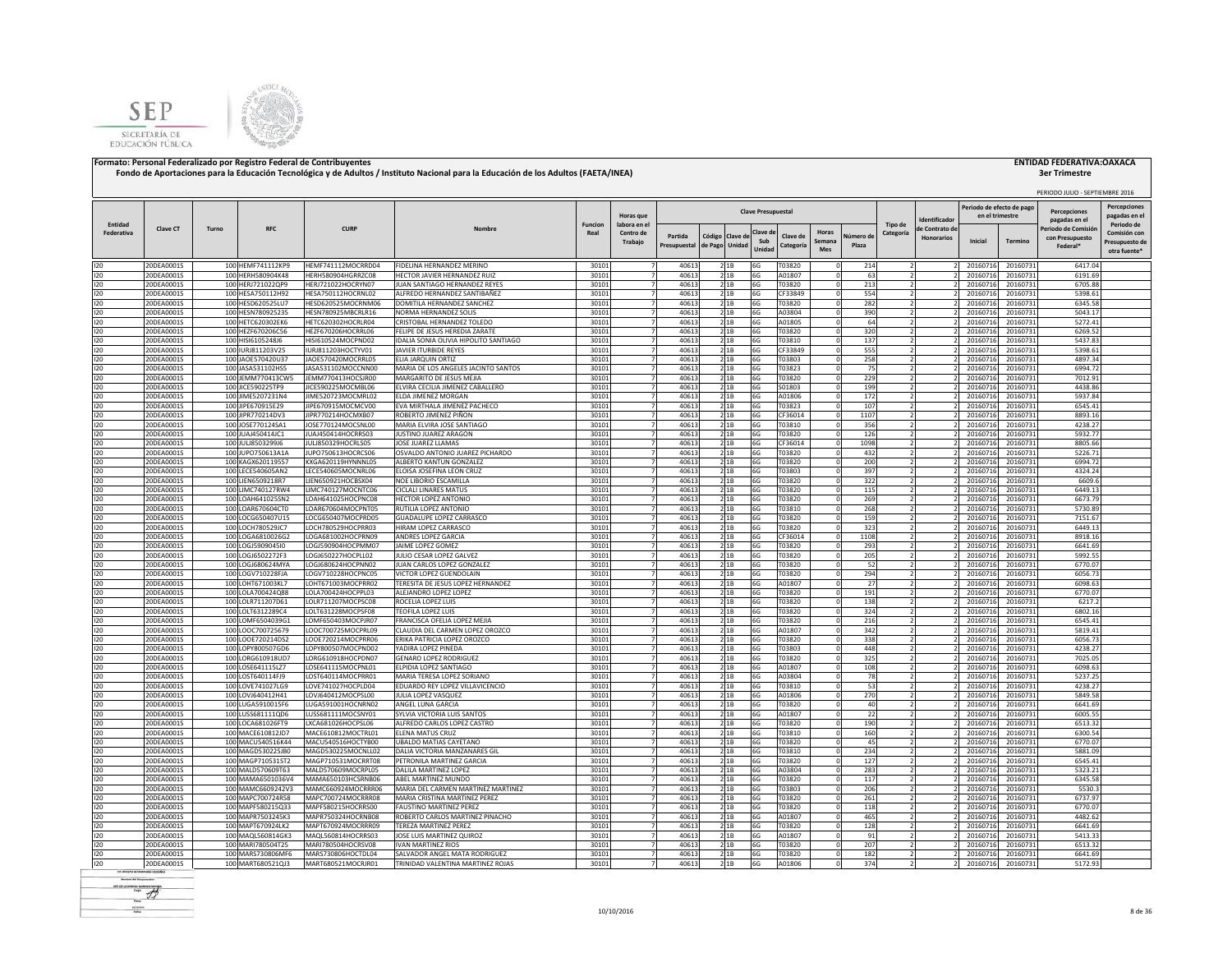



|            |                          |       |                                           |                                          |                                                                       |                |                                  |                         |                            |                |                           |                       |                               |                    |                |                                    | Periodo de efecto de pag |                      | PERIODO JULIO - SEPTIEMBRE 2016<br><b>Percenciones</b> | <b>Percepciones</b>                            |
|------------|--------------------------|-------|-------------------------------------------|------------------------------------------|-----------------------------------------------------------------------|----------------|----------------------------------|-------------------------|----------------------------|----------------|---------------------------|-----------------------|-------------------------------|--------------------|----------------|------------------------------------|--------------------------|----------------------|--------------------------------------------------------|------------------------------------------------|
| Entidad    |                          |       |                                           |                                          |                                                                       | <b>Funcion</b> | Horas que<br>labora en e         |                         |                            |                | <b>Clave Presupuestal</b> |                       |                               |                    | Tipo de        | dentificado                        | en el trimestre          |                      | pagadas en el                                          | pagadas en e<br>Periodo de                     |
| Federativa | Clave CT                 | Turno | <b>RFC</b>                                | <b>CURP</b>                              | Nombr <sub>®</sub>                                                    | Real           | Centro de<br>Trabajo             | Partida<br>Presupuestal | Código Clave de<br>de Pago | Unidad         | Clave d<br>Sub<br>Unidad  | Clave de<br>Categoría | Horas<br>Semana<br><b>Mes</b> | Vúmero de<br>Plaza | Categoría      | e Contrato de<br><b>Honorarios</b> | Inicial                  | Termino              | eriodo de Comisió<br>con Presupuesto<br>Federal*       | Comisión cor<br>Presupuesto de<br>otra fuente' |
| 120        | 20DEA0001S               |       | 100 HEMF741112KP9                         | HEMF741112MOCRRD04                       | FIDELINA HERNANDEZ MERINO                                             | 30101          | $\overline{7}$                   | 40613                   |                            | 21B            | <b>6G</b>                 | T03820                |                               | 214                |                |                                    | 20160716                 | 20160731             | 6417.04                                                |                                                |
| 120<br>120 | 20DEA0001S               |       | 100 HERH580904K48                         | HERH580904HGRRZC08                       | HECTOR JAVIER HERNANDEZ RUIZ<br>JUAN SANTIAGO HERNANDEZ REYES         | 30101<br>30101 | $\overline{7}$<br>$\overline{7}$ | 40613<br>40613          |                            | 21B<br>2 1B    | 6G<br>6G                  | A01807<br>T03820      |                               | 63                 |                |                                    | 20160716                 | 20160731             | 6191.69<br>6705.88                                     |                                                |
| 120        | 20DEA0001S<br>20DEA0001S |       | 100 HERJ721022QP9<br>100 HESA750112H92    | HERJ721022HOCRYN07<br>HESA750112HOCRNL02 | ALFREDO HERNANDEZ SANTIBAÑEZ                                          | 30101          | 7                                | 40613                   |                            | 2 1B           | 6G                        | CF33849               |                               | 213<br>554         |                |                                    | 20160716<br>20160716     | 20160731<br>20160731 | 5398.61                                                |                                                |
| 120        | 20DEA0001S               |       | 100 HESD620525LU7                         | HESD620525MOCRNM06                       | DOMITILA HERNANDEZ SANCHEZ                                            | 30101          | $\overline{7}$                   | 40613                   |                            | 21B            | 6G                        | T03820                |                               | 282                |                |                                    | 20160716                 | 20160731             | 6345.58                                                |                                                |
| 120        | 20DEA0001S               |       | 100 HESN780925235                         | HESN780925MBCRLR16                       | NORMA HERNANDEZ SOLIS                                                 | 30101          |                                  | 40613                   |                            | 21B            | 6G                        | A03804                |                               | 390                |                |                                    | 20160716                 | 20160731             | 5043.17                                                |                                                |
| 120        | 20DEA0001S               |       | 100 HETC620302EK6                         | HETC620302HOCRLR04                       | CRISTOBAL HERNANDEZ TOLEDO                                            | 30101          |                                  | 40613                   |                            | 2 1 B          | 6G                        | A01805                |                               | 64                 |                |                                    | 20160716                 | 20160731             | 5272.41                                                |                                                |
| 120<br>120 | 20DEA0001S<br>20DEA0001S |       | 100 HEZF670206C56<br>100 HISI6105248J6    | HEZF670206HOCRRL06<br>HISI610524MOCPND02 | ELIPE DE JESUS HEREDIA ZARATE<br>DALIA SONIA OLIVIA HIPOLITO SANTIAGO | 30101<br>30101 |                                  | 40613<br>40613          |                            | 21B<br>21B     | 6G<br>6G                  | T03820<br>T03810      |                               | 320<br>137         |                |                                    | 20160716<br>20160716     | 20160731<br>20160731 | 6269.52<br>5437.83                                     |                                                |
| 120        | 20DEA0001S               |       | 100 IURJ811203V25                         | IURJ811203HOCTYV01                       | <b>AVIER ITURBIDE REYES</b>                                           | 30101          | $\overline{7}$                   | 40613                   |                            | 21B            | 6G                        | CF33849               |                               | 555                | $\overline{2}$ |                                    | 20160716                 | 20160731             | 5398.61                                                |                                                |
| 120        | 20DEA0001S               |       | 100 JAOE570420U37                         | JAOE570420MOCRRL05                       | <b>FIIA IAROUIN ORTIZ</b>                                             | 30101          |                                  | 40613                   |                            | 21B            | 6G                        | <b>F03803</b>         |                               | 258                |                |                                    | 20160716                 | 20160731             | 4897.34                                                |                                                |
| 120        | 20DEA0001S               |       | 100 JASA531102HS5                         | JASA531102MOCCNN00                       | MARIA DE LOS ANGELES JACINTO SANTOS                                   | 30101          | $\overline{7}$                   | 40613                   |                            | 2 1 B          | 6G                        | T03823                |                               | 75                 |                |                                    | 20160716                 | 20160731             | 6994.72                                                |                                                |
| 120        | 20DEA0001S               |       | 100 JEMM770413CW5                         | JEMM770413HOCSJR00                       | MARGARITO DE JESUS MEJIA                                              | 30101          | $\overline{7}$                   | 40613                   |                            | 2 1 B          | 6G                        | T03820                |                               | 229                | 2              |                                    | 20160716                 | 20160731             | 7012.91                                                |                                                |
| 120<br>120 | 20DEA0001S<br>20DEA0001S |       | 100 JICE590225TP9<br>100 JIME5207231N4    | JICE590225MOCMBL06<br>JIME520723MOCMRL02 | ELVIRA CECILIA JIMENEZ CABALLERO<br>ELDA JIMENEZ MORGAN               | 30101<br>30101 | $\overline{7}$<br>$\overline{7}$ | 40613<br>40613          |                            | 2 1B<br>21B    | 6G<br>6G                  | S01803<br>A01806      |                               | 199<br>172         |                |                                    | 20160716<br>20160716     | 20160731<br>2016073  | 4438.86<br>5937.84                                     |                                                |
| 120        | 20DEA0001S               |       | 100 JIPE670915E29                         | JIPE670915MOCMCV00                       | EVA MIRTHALA JIMENEZ PACHECO                                          | 30101          | $\overline{7}$                   | 40613                   |                            | 2 1B           | 6G                        | T03823                |                               | 107                |                |                                    | 20160716                 | 2016073              | 6545.4                                                 |                                                |
| 120        | 20DEA0001S               |       | 100 JIPR770214DV3                         | JIPR770214HOCMXB07                       | ROBERTO JIMENEZ PIÑON                                                 | 30101          | $\overline{7}$                   | 40613                   |                            | 2 1B           | 6G                        | CF36014               |                               | 1107               |                |                                    | 20160716                 | 2016073              | 8893.16                                                |                                                |
| 120        | 20DEA0001S               |       | 100 JOSE770124SA1                         | JOSE770124MOCSNL00                       | MARIA ELVIRA JOSE SANTIAGO                                            | 30101          | 7                                | 40613                   |                            | 2 1B           | 6G                        | T03810                |                               | 356                |                |                                    | 20160716                 | 20160731             | 4238.27                                                |                                                |
| 120<br>120 | 20DEA0001S<br>20DEA0001S | 100   | 100 JUAJ450414JC1<br><b>IULI8503299J6</b> | JUAJ450414HOCRRS03<br>JULJ850329HOCRLS05 | JUSTINO JUAREZ ARAGON<br><b>IOSE ILIAREZ II AMAS</b>                  | 30101<br>30101 | 7<br>7                           | 40613<br>40613          |                            | 21B<br>21B     | 6G<br>6G                  | T03820<br>CF36014     |                               | 126<br>1098        |                |                                    | 20160716<br>20160716     | 20160731<br>20160731 | 5932.77<br>8805.66                                     |                                                |
| 120        | 20DEA0001S               |       | 100 JUPO750613A1A                         | JUPO750613HOCRCS06                       | OSVALDO ANTONIO JUAREZ PICHARDO                                       | 30101          | 7                                | 40613                   |                            | 2 1 B          | 6G                        | T03820                |                               | 432                |                |                                    | 20160716                 | 20160731             | 5226.71                                                |                                                |
| 120        | 20DEA0001S               |       | 100 KAGX620119557                         | KXGA620119HYNNNL05                       | ALBERTO KANTUN GONZALEZ                                               | 30101          | 7                                | 40613                   |                            | 21B            | 6G                        | T03820                |                               | 200                |                |                                    | 2016071                  | 20160731             | 6994.72                                                |                                                |
| 120        | 20DEA0001S               | 100   | LECE540605AN2                             | LECE540605MOCNRL06                       | ELOISA JOSEFINA LEON CRUZ                                             | 30101          |                                  | 40613                   |                            | 21B            | 6G                        | T03803                |                               | 397                |                |                                    | 2016071                  | 20160731             | 4324.24                                                |                                                |
| 120        | 20DEA0001S               |       | 100 LIEN6509218R7                         | LIEN650921HOCBSX04                       | NOE LIBORIO ESCAMILLA                                                 | 30101          |                                  | 40613                   |                            | 2 1 B          | 6G                        | T03820                |                               | 322                |                |                                    | 20160716                 | 20160731             | 6609.6                                                 |                                                |
| 120        | 20DEA0001S               | 100   | MC740127RW4                               | LIMC740127MOCNTC06                       | <b>ICLALI LINARES MATUS</b>                                           | 30101          |                                  | 40613                   |                            | 21B            | 6G                        | T03820                |                               | 115                |                |                                    | 2016071                  | 2016073              | 6449.13                                                |                                                |
| 120<br>120 | 20DEA0001S<br>20DEA0001S | 100   | OAH641025SN2<br>100 LOAR670604CT0         | LOAH641025HOCPNC08<br>LOAR670604MOCPNT05 | <b>IFCTOR LOPEZ ANTONIO</b><br><b>NUTILIA LOPEZ ANTONIO</b>           | 30101<br>30101 |                                  | 40613<br>40613          |                            | 2 1 B<br>21B   | 6G<br>6G                  | T03820<br>T03810      |                               | 269<br>268         |                |                                    | 2016071<br>20160716      | 20160731<br>20160731 | 6673.79<br>5730.89                                     |                                                |
| 120        | 20DEA0001S               |       | 100 LOCG650407U15                         | LOCG650407MOCPRD05                       | <b>GUADALUPE LOPEZ CARRASCO</b>                                       | 30101          |                                  | 40613                   |                            | 21B            | 6G                        | T03820                |                               | 159                |                |                                    | 20160716                 | 20160731             | 7151.67                                                |                                                |
| 120        | 20DEA0001S               |       | 100 LOCH780529JC7                         | LOCH780529HOCPRR03                       | HIRAM LOPEZ CARRASCO                                                  | 30101          |                                  | 40613                   |                            | 2 1B           | 6G                        | T03820                |                               | 323                |                |                                    | 20160716                 | 20160731             | 6449.13                                                |                                                |
| 120        | 20DEA0001S               |       | 100 LOGA6810026G2                         | LOGA681002HOCPRN09                       | ANDRES LOPEZ GARCIA                                                   | 30101          |                                  | 40613                   |                            | 2 1 B          | 6G                        | CF36014               |                               | 1108               |                |                                    | 20160716                 | 20160731             | 8918.16                                                |                                                |
| 120        | 20DEA0001S               |       | 100 LOGJ590904510                         | LOGJ590904HOCPMM07                       | JAIME LOPEZ GOMEZ                                                     | 30101          | $\overline{7}$                   | 40613                   |                            | 2 1 B          | 6G                        | T03820                |                               | 293                |                |                                    | 20160716                 | 20160731             | 6641.69                                                |                                                |
| 120<br>120 | 20DEA0001S<br>20DEA0001S |       | 100 LOGJ6502272F3<br>100 LOGJ680624MYA    | LOGJ650227HOCPLL02<br>LOGJ680624HOCPNN02 | JULIO CESAR LOPEZ GALVEZ<br>JUAN CARLOS LOPEZ GONZALEZ                | 30101<br>30101 | 7                                | 40613<br>40613          |                            | 2 1 B<br>2 1 B | 6G<br>6G                  | T03820<br>T03820      |                               | 205<br>52          | 2              |                                    | 20160716<br>20160716     | 20160731<br>20160731 | 5992.55<br>6770.07                                     |                                                |
| 120        | 20DEA0001S               |       | 100 LOGV710228FJA                         | LOGV710228HOCPNC05                       | VICTOR LOPEZ GUENDOLAIN                                               | 30101          | $\overline{7}$                   | 40613                   |                            | 21B            | 6G                        | T03820                |                               | 294                |                |                                    | 20160716                 | 2016073              | 6056.73                                                |                                                |
| 120        | 20DEA0001S               |       | 100 LOHT671003KL7                         | LOHT671003MOCPRR02                       | TERESITA DE JESUS LOPEZ HERNANDEZ                                     | 30101          | $\overline{7}$                   | 40613                   |                            | 2 1B           | 6G                        | A01807                |                               | 27                 |                |                                    | 20160716                 | 20160731             | 6098.63                                                |                                                |
| 120        | 20DEA0001S               |       | 100 LOLA700424Q88                         | LOLA700424HOCPPL03                       | ALEJANDRO LOPEZ LOPEZ                                                 | 30101          | $\overline{7}$                   | 40613                   |                            | 2 1B           | 6G                        | T03820                |                               | 191                |                |                                    | 20160716                 | 20160731             | 6770.07                                                |                                                |
| 120        | 20DEA0001S               |       | 100 LOLR711207D61                         | LOLR711207MOCPSC08                       | ROCELIA LOPEZ LUIS                                                    | 30101          | 7                                | 40613                   |                            | 2 1B           | 6G                        | T03820                |                               | 138                | $\overline{2}$ |                                    | 20160716                 | 20160731             | 6217.2                                                 |                                                |
| 120<br>120 | 20DEA0001S               |       | 100 LOLT6312289C4<br>100 LOMF6504039G1    | LOLT631228MOCPSF08<br>LOMF650403MOCPJR07 | <b>TEOFILA LOPEZ LUIS</b><br>FRANCISCA OFELIA LOPEZ MEJIA             | 30101<br>30101 | 7<br>$\overline{7}$              | 40613<br>40613          |                            | 21B<br>21B     | 6G<br>6G                  | T03820<br>T03820      |                               | 324                | $\overline{2}$ |                                    | 20160716                 | 20160731             | 6802.16<br>6545.41                                     |                                                |
| 120        | 20DEA0001S<br>20DEA0001S |       | 100 LOOC700725679                         | LOOC700725MOCPRL09                       | CLAUDIA DEL CARMEN LOPEZ OROZCO                                       | 30101          | 7                                | 40613                   |                            | 21B            | 6G                        | A01807                |                               | 216<br>342         | $\overline{2}$ |                                    | 20160716<br>20160716     | 20160731<br>20160731 | 5819.41                                                |                                                |
| 120        | 20DEA0001S               |       | 100 LOOE720214DS2                         | LOOE720214MOCPRR06                       | ERIKA PATRICIA LOPEZ OROZCO                                           | 30101          | $\overline{7}$                   | 40613                   |                            | 21B            | 6G                        | T03820                |                               | 338                |                |                                    | 20160716                 | 20160731             | 6056.73                                                |                                                |
| 120        | 20DEA0001S               |       | 100 LOPY800507GD6                         | LOPY800507MOCPND02                       | ADIRA LOPEZ PINEDA                                                    | 30101          |                                  | 40613                   |                            | 21B            | 6G                        | T03803                |                               | 448                |                |                                    | 20160716                 | 20160731             | 4238.27                                                |                                                |
| 120        | 20DEA0001S               |       | 100 LORG610918UD7                         | LORG610918HOCPDN07                       | GENARO LOPEZ RODRIGUEZ                                                | 30101          |                                  | 40613                   |                            | 21B            | 6G                        | T03820                |                               | 325                |                |                                    | 20160716                 | 20160731             | 7025.05                                                |                                                |
| 120        | 20DEA0001S               |       | 100 LOSE641115LZ7                         | LOSE641115MOCPNL01                       | LPIDIA LOPEZ SANTIAGO                                                 | 30101          |                                  | 40613<br>40613          |                            | 21B            | 6G                        | A01807                |                               | 108                |                |                                    | 20160716                 | 20160731             | 6098.63                                                |                                                |
| 120<br>120 | 20DEA0001S<br>20DEA0001S |       | 100 LOST640114FJ9<br>100 LOVE741027LG9    | LOST640114MOCPRR01<br>LOVE741027HOCPLD04 | MARIA TERESA LOPEZ SORIANO<br>EDUARDO REY LOPEZ VILLAVICENCIO         | 30101<br>30101 | $\overline{7}$                   | 40613                   |                            | 2 1B<br>21B    | 6G<br>6G                  | A03804<br>T03810      |                               | 78<br>53           |                |                                    | 20160716<br>20160716     | 20160731<br>20160731 | 5237.25<br>4238.27                                     |                                                |
| 120        | 20DEA0001S               |       | 100 LOVJ640412H41                         | LOVJ640412MOCPSL00                       | IULIA LOPEZ VASQUEZ                                                   | 30101          |                                  | 40613                   |                            | 21B            | 6G                        | A01806                |                               | 270                |                |                                    | 20160716                 | 20160731             | 5849.58                                                |                                                |
| 120        | 20DEA0001S               |       | 100 LUGA5910015F6                         | LUGA591001HOCNRN02                       | ANGEL LUNA GARCIA                                                     | 30101          |                                  | 40613                   |                            | 21B            | 6G                        | T03820                |                               | 40                 |                |                                    | 20160716                 | 20160731             | 6641.69                                                |                                                |
| 120        | 20DEA0001S               |       | 100 LUSS681111QD6                         | LUSS681111MOCSNY01                       | SYLVIA VICTORIA LUIS SANTOS                                           | 30101          | $\overline{7}$                   | 40613                   |                            | 2 1B           | 6G                        | A01807                |                               | 22                 |                |                                    | 20160716                 | 2016073              | 6005.55                                                |                                                |
| 120        | 20DEA0001S               |       | 100 LOCA681026FT9                         | LXCA681026HOCPSL06                       | ALFREDO CARLOS LOPEZ CASTRO                                           | 30101          | 7                                | 40613                   |                            | 21B            | 6G                        | T03820                |                               | 190                |                |                                    | 20160716                 | 20160731             | 6513.32                                                |                                                |
| 120<br>120 | 20DEA0001S<br>20DEA0001S |       | 100 MACE610812JD7<br>100 MACU540516K44    | MACE610812MOCTRL01<br>MACU540516HOCTYB00 | ELENA MATUS CRUZ<br><b>UBALDO MATIAS CAYETANO</b>                     | 30101<br>30101 | $\overline{7}$<br>7              | 40613<br>40613          |                            | 21B<br>2 1 B   | 6G<br>6G                  | T03810<br>T03820      |                               | 160<br>45          |                |                                    | 20160716<br>20160716     | 20160731<br>20160731 | 6300.54<br>6770.07                                     |                                                |
| 120        | 20DEA0001S               |       | 100 MAGD530225JB0                         | MAGD530225MOCNLL02                       | DALIA VICTORIA MANZANARES GIL                                         | 30101          | $\overline{7}$                   | 40613                   |                            | 21B            | 6G                        | T03810                |                               | 234                |                |                                    | 20160716                 | 2016073              | 5881.09                                                |                                                |
| 120        | 20DEA0001S               |       | 100 MAGP710531ST2                         | MAGP710531MOCRRT08                       | PETRONILA MARTINEZ GARCIA                                             | 30101          | $\overline{7}$                   | 40613                   |                            | 2 1B           | 6G                        | T03820                |                               | 127                |                |                                    | 2016071                  | 2016073              | 6545.41                                                |                                                |
| 120        | 20DEA0001S               |       | 100 MALD570609T63                         | MALD570609MOCRPL05                       | DALILA MARTINEZ LOPEZ                                                 | 30101          | 7                                | 40613                   |                            | 2 1B           | 6G                        | A03804                |                               | 283                |                |                                    | 20160716                 | 20160731             | 5323.21                                                |                                                |
| 120        | 20DEA0001S               |       | 100 MAMA6501036V4                         | MAMA650103HCSRNB06                       | ABEL MARTINEZ MUNDO                                                   | 30101          | 7                                | 40613                   |                            | 2 1B           | 6G                        | T03820                |                               | 117                | $\overline{ }$ |                                    | 20160716                 | 20160731             | 6345.58                                                |                                                |
| 120<br>120 | 20DEA0001S<br>20DEA0001S |       | 100 MAMC6609242V3<br>100 MAPC700724R58    | MAMC660924MOCRRR06<br>MAPC700724MOCRRR08 | MARIA DEL CARMEN MARTINEZ MARTINEZ<br>MARIA CRISTINA MARTINEZ PEREZ   | 30101<br>30101 | 7<br>$\overline{7}$              | 40613<br>40613          |                            | 21B<br>21B     | 6G<br>6G                  | T03803<br>T03820      |                               | 206                |                |                                    | 20160716<br>20160716     | 20160731<br>20160731 | 5530.3<br>6737.97                                      |                                                |
| 120        | 20DEA0001S               |       | 100 MAPF580215Q33                         | MAPF580215HOCRRS00                       | <b>FAUSTINO MARTINEZ PEREZ</b>                                        | 30101          | 7                                | 40613                   |                            | 2 1 B          | 6G                        | T03820                |                               | 261<br>118         |                |                                    | 20160716                 | 2016073              | 6770.07                                                |                                                |
| 120        | 20DEA0001S               |       | 100 MAPR7503245K3                         | MAPR750324HOCRNB08                       | ROBERTO CARLOS MARTINEZ PINACHO                                       | 30101          | $\overline{7}$                   | 40613                   |                            | 2 1B           | 6G                        | A01807                |                               | 465                |                |                                    | 20160716                 | 20160731             | 4482.62                                                |                                                |
| 120        | 20DEA0001S               |       | 100 MAPT670924LK2                         | MAPT670924MOCRRR09                       | TEREZA MARTINEZ PEREZ                                                 | 30101          |                                  | 40613                   |                            | 21B            | 6G                        | T03820                |                               | 128                |                |                                    | 2016071                  | 20160731             | 6641.69                                                |                                                |
| 120        | 20DEA0001S               |       | 100 MAQL560814GK3                         | MAQL560814HOCRRS03                       | JOSE LUIS MARTINEZ QUIROZ                                             | 30101          |                                  | 40613                   |                            | 2 1 B          | 6G                        | A01807                |                               | 91                 |                |                                    | 2016071                  | 2016073              | 5413.33                                                |                                                |
| 120        | 20DEA0001S               |       | 100 MARI780504T25                         | MARI780504HOCRSV08                       | VAN MARTINEZ RIOS                                                     | 30101          |                                  | 40613<br>40613          |                            | 21B            | 6G                        | T03820                |                               | 207<br>182         |                |                                    | 2016071                  | 2016073              | 6513.32<br>6641.69                                     |                                                |
| 120<br>120 | 20DEA0001S<br>20DEA0001S |       | 100 MARS730806MF6<br>100 MART680521QJ3    | MARS730806HOCTDL04<br>MART680521MOCRJR01 | SALVADOR ANGEL MATA RODRIGUEZ<br>TRINIDAD VALENTINA MARTINEZ ROJAS    | 30101<br>30101 |                                  | 40613                   |                            | 21B<br>2 1B    | 6G<br>6G                  | T03820<br>A01806      |                               | 374                |                |                                    | 20160716<br>20160716     | 20160731<br>20160731 | 5172.93                                                |                                                |
|            |                          |       |                                           |                                          |                                                                       |                |                                  |                         |                            |                |                           |                       |                               |                    |                |                                    |                          |                      |                                                        |                                                |

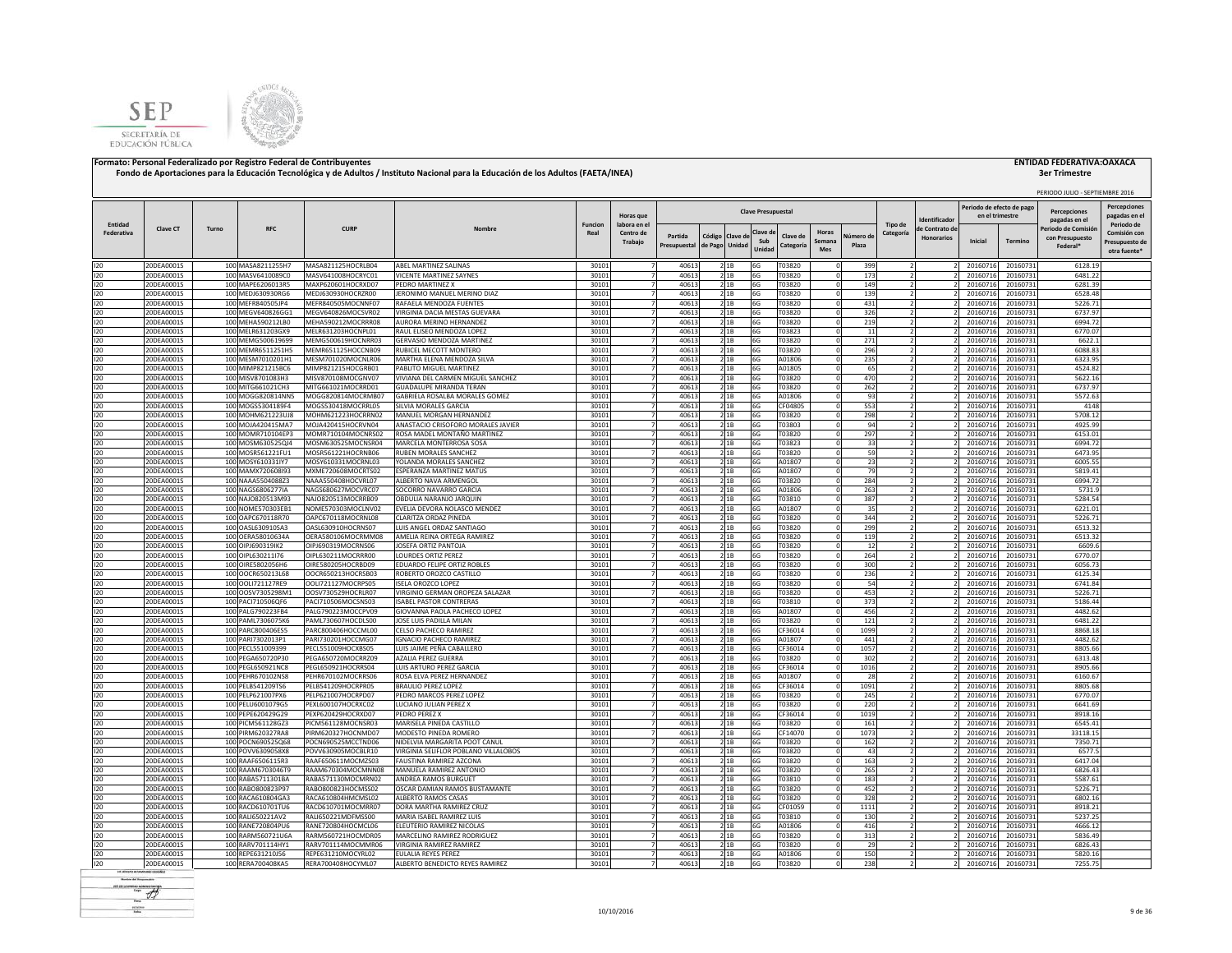



|                       |                          |       |                                        |                                          |                                                                   |                        |                                  |                |                                  |                          |                           |                                   |            |                      |                   | Periodo de efecto de pago |                      | PERIODO JULIO - SEPTIEMBRE 2016      |                                     |
|-----------------------|--------------------------|-------|----------------------------------------|------------------------------------------|-------------------------------------------------------------------|------------------------|----------------------------------|----------------|----------------------------------|--------------------------|---------------------------|-----------------------------------|------------|----------------------|-------------------|---------------------------|----------------------|--------------------------------------|-------------------------------------|
|                       |                          |       |                                        |                                          |                                                                   |                        | Horas que                        |                |                                  |                          | <b>Clave Presupuestal</b> |                                   |            |                      | dentificado       | en el trimestre           |                      | <b>Percenciones</b><br>pagadas en el | <b>Percepciones</b><br>pagadas en e |
| Entidad<br>Federativa | Clave CT                 | Turno | <b>RFC</b>                             | <b>CURP</b>                              | Nombre                                                            | <b>Funcion</b><br>Real | labora en el<br>Centro de        | Partida        |                                  |                          | Clave d                   | Horas<br>Clave de                 | Vúmero di  | Tipo de<br>Categoría | le Contrato de    |                           |                      | Periodo de Comisió                   | Periodo de<br>Comisión con          |
|                       |                          |       |                                        |                                          |                                                                   |                        | Trabajo                          | Presupuestal   | Código Clave d<br>de Pago Unidad |                          | Sub<br>Unidad             | Semana<br>Categoría<br><b>Mes</b> | Plaza      |                      | <b>Honorarios</b> | Inicial                   | Termino              | con Presupuesto<br>Federal*          | Presupuesto de<br>otra fuente'      |
| 120                   | 20DEA0001S               |       | 100 MASA8211255H7                      | MASA821125HOCRLB04                       | <b>ABEL MARTINEZ SALINAS</b>                                      | 30101                  | $\overline{7}$                   | 40613          |                                  | 2 1B                     | 6G                        | T03820                            | 399        |                      |                   | 20160716                  | 20160731             | 6128.19                              |                                     |
| 120                   | 20DEA0001S               |       | 100 MASV6410089C0                      | MASV641008HOCRYC01                       | VICENTE MARTINEZ SAYNES                                           | 30101                  | $\overline{7}$                   | 40613          |                                  | 21B                      | 6G                        | T03820                            | 173        | $\overline{2}$       |                   | 20160716                  | 20160731             | 6481.22                              |                                     |
| 120                   | 20DEA0001S               |       | 100 MAPE6206013R5                      | MAXP620601HOCRXD07                       | PEDRO MARTINEZ X                                                  | 30101                  |                                  | 40613          |                                  | 21B                      | 6G                        | T03820                            | 149        |                      |                   | 20160716                  | 20160731             | 6281.39                              |                                     |
| 120                   | 20DEA0001S               |       | 100 MEDJ630930RG6                      | MEDJ630930HOCRZR00                       | JERONIMO MANUEL MERINO DIAZ                                       | 30101                  |                                  | 40613          |                                  | 21B                      | 6G                        | T03820                            | 139        |                      |                   | 20160716                  | 20160731             | 6528.48                              |                                     |
| 120                   | 20DEA0001S               |       | 100 MEFR840505JP4                      | MEFR840505MOCNNF07                       | RAFAELA MENDOZA FUENTES                                           | 30101                  |                                  | 40613          |                                  | 21B                      | 6G                        | T03820                            | 431        |                      |                   | 20160716                  | 20160731             | 5226.71                              |                                     |
| 120                   | 20DEA0001S               |       | 100 MEGV640826GG1                      | MEGV640826MOCSVR02                       | VIRGINIA DACIA MESTAS GUEVARA                                     | 30101                  |                                  | 40613          |                                  | 21B                      | 6G                        | T03820                            | 326        |                      |                   | 20160716                  | 20160731             | 6737.97                              |                                     |
| 120<br>120            | 20DEA0001S<br>20DEA0001S |       | 100 MEHA590212LB0<br>100 MELR631203GX9 | MEHA590212MOCRRR08<br>MELR631203HOCNPL01 | AURORA MERINO HERNANDEZ<br>RAUL ELISEO MENDOZA LOPEZ              | 30101<br>30101         |                                  | 40613<br>40613 |                                  | 21B<br>21B               | 6G<br>6G                  | T03820<br>T03823                  | 219<br>11  |                      |                   | 20160716<br>20160716      | 20160731<br>20160731 | 6994.72<br>6770.07                   |                                     |
| 120                   | 20DEA0001S               |       | 100 MEMG500619699                      | MEMG500619HOCNRR03                       | <b>GERVASIO MENDOZA MARTINEZ</b>                                  | 30101                  |                                  | 40613          |                                  | 2 1 B                    | 6G                        | T03820                            | 271        |                      |                   | 20160716                  | 20160731             | 6622.1                               |                                     |
| 120                   | 20DEA0001S               |       | 100 MEMR6511251H5                      | MEMR651125HOCCNB09                       | <b>RUBICEL MECOTT MONTERO</b>                                     | 30101                  | $\overline{7}$                   | 40613          |                                  | 2 1 B                    | 6G                        | T03820                            | 296        | $\overline{z}$       |                   | 20160716                  | 20160731             | 6088.83                              |                                     |
| 120                   | 20DEA0001S               |       | 100 MESM7010201H1                      | MESM701020MOCNLR06                       | MARTHA ELENA MENDOZA SILVA                                        | 30101                  |                                  | 40613          |                                  | 2 1 B                    | 6G                        | A01806                            | 235        |                      |                   | 20160716                  | 20160731             | 6323.95                              |                                     |
| 120                   | 20DEA0001S               |       | 100 MIMP821215BC6                      | MIMP821215HOCGRB01                       | PABLITO MIGUEL MARTINEZ                                           | 30101                  |                                  | 40613          |                                  | 2 1 B                    | 6G                        | A01805                            | 65         |                      |                   | 20160716                  | 20160731             | 4524.82                              |                                     |
| 120                   | 20DEA0001S               |       | 100 MISV8701083H3                      | MISV870108MOCGNV07                       | VIVIANA DEL CARMEN MIGUEL SANCHEZ                                 | 30101                  |                                  | 40613          |                                  | 21B                      | 6G                        | T03820                            | 470        |                      |                   | 20160716                  | 2016073              | 5622.16                              |                                     |
| 120                   | 20DEA0001S               |       | 100 MITG661021CH3                      | MITG661021MOCRRD01                       | <b>GUADALUPE MIRANDA TERAN</b>                                    | 30101                  | $\overline{7}$                   | 40613          |                                  | 21B                      | 6G                        | T03820                            | 262        |                      |                   | 20160716                  | 20160731             | 6737.97                              |                                     |
| 120                   | 20DEA0001S               |       | 100 MOGG820814NN5                      | MOGG820814MOCRMB07                       | GABRIELA ROSALBA MORALES GOMEZ                                    | 30101                  | $\overline{7}$                   | 40613          |                                  | 21B                      | 6G                        | A01806                            | 93         |                      | $\overline{z}$    | 20160716                  | 20160731             | 5572.63                              |                                     |
| 120<br>120            | 20DEA0001S<br>20DEA0001S |       | 100 MOGS5304189F4<br>100 MOHM621223UJ8 | MOGS530418MOCRRL05<br>MOHM621223HOCRRN02 | SILVIA MORALES GARCIA<br>MANUEL MORGAN HERNANDEZ                  | 30101<br>30101         | $\overline{7}$<br>$\overline{7}$ | 40613<br>40613 |                                  | 2 1 B<br>21B             | 6G<br>6G                  | CF04805<br>T03820                 | 553<br>298 | $\overline{2}$       |                   | 20160716<br>20160716      | 20160731<br>20160731 | 4148<br>5708.12                      |                                     |
| 120                   | 20DEA0001S               |       | 100 MOJA420415MA7                      | MOJA420415HOCRVN04                       | ANASTACIO CRISOFORO MORALES JAVIER                                | 30101                  | $\overline{7}$                   | 40613          |                                  | 2 1B                     | 6G                        | <b>FO3803</b>                     | 94         | $\overline{2}$       |                   | 20160716                  | 20160731             | 4925.99                              |                                     |
| 120                   | 20DEA0001S               |       | 100 MOMR710104EP3                      | MOMR710104MOCNRS02                       | ROSA MADEL MONTAÑO MARTINEZ                                       | 30101                  | $\overline{7}$                   | 40613          |                                  | 2 1B                     | 6G                        | T03820                            | 297        | $\overline{2}$       |                   | 20160716                  | 20160731             | 6153.01                              |                                     |
| 120                   | 20DEA0001S               |       | 100 MOSM630525QJ4                      | MOSM630525MOCNSR04                       | MARCELA MONTERROSA SOSA                                           | 30101                  |                                  | 40613          |                                  | 2 1 B                    | 6G                        | T03823                            | 33         |                      |                   | 2016071                   | 20160731             | 6994.72                              |                                     |
| 120                   | 20DEA0001S               |       | 100 MOSR561221FU1                      | MOSR561221HOCRNB06                       | RUBEN MORALES SANCHEZ                                             | 30101                  |                                  | 40613          |                                  | 2 1 B                    | 6G                        | T03820                            | 59         |                      |                   | 2016071                   | 20160731             | 6473.95                              |                                     |
| 120                   | 20DEA0001S               |       | 100 MOSY610331lY7                      | MOSY610331MOCRNL03                       | YOLANDA MORALES SANCHEZ                                           | 30101                  |                                  | 4061           |                                  | 21B                      | 6G                        | A01807                            | 23         |                      |                   | 2016071                   | 20160731             | 6005.55                              |                                     |
| 120                   | 20DEA0001S               |       | 100 MAMX720608l93                      | MXME720608MOCRTS02                       | ESPERANZA MARTINEZ MATUS                                          | 30101                  |                                  | 40613          |                                  | 2 1B                     | 6G                        | A01807                            | 79         |                      |                   | 20160716                  | 20160731             | 5819.41                              |                                     |
| 120                   | 20DEA0001S               |       | 100 NAAA5504088Z3                      | NAAA550408HOCVRL07                       | ALBERTO NAVA ARMENGOL                                             | 30101                  |                                  | 40613          |                                  | 2 1 B                    | 6G                        | T03820                            | 284        |                      |                   | 20160716                  | 20160731             | 6994.72                              |                                     |
| 120                   | 20DEA0001S               |       | 100 NAGS6806277IA                      | NAGS680627MOCVRC07                       | SOCORRO NAVARRO GARCIA<br>ORDHIJA NARANJO JAROJJIN                | 30101                  |                                  | 40613          |                                  | 21B                      | 6G                        | A01806                            | 263        |                      |                   | 20160716                  | 20160731             | 5731.9                               |                                     |
| 120<br>120            | 20DEA0001S               |       | 100 NAJO820513M93<br>100 NOME570303EB1 | NAJO820513MOCRRB09<br>NOME570303MOCLNV02 | EVELIA DEVORA NOLASCO MENDEZ                                      | 30101<br>30101         | $\overline{7}$                   | 40613<br>40613 |                                  | 2 1 B<br>21B             | 6G                        | T03810<br>A01807                  | 387<br>35  | $\overline{z}$       |                   | 20160716<br>20160716      | 20160731             | 5284.54<br>6221.01                   |                                     |
| 120                   | 20DEA0001S<br>20DEA0001S |       | 100 OAPC670118R70                      | OAPC670118MOCRNL08                       | CLARITZA ORDAZ PINEDA                                             | 30101                  |                                  | 40613          |                                  | 2 1 B                    | 6G<br>6G                  | T03820                            | 344        |                      |                   | 20160716                  | 20160731<br>20160731 | 5226.71                              |                                     |
| 120                   | 20DEA0001S               |       | 100 OASL630910SA3                      | OASL630910HOCRNS07                       | LUIS ANGEL ORDAZ SANTIAGO                                         | 30101                  |                                  | 40613          |                                  | 21B                      | 6G                        | T03820                            | 299        |                      |                   | 20160716                  | 20160731             | 6513.32                              |                                     |
| 120                   | 20DEA0001S               |       | 100 OERA58010634A                      | OERA580106MOCRMM08                       | AMELIA REINA ORTEGA RAMIREZ                                       | 30101                  | $\overline{7}$                   | 40613          |                                  | 21B                      | 6G                        | T03820                            | 119        |                      |                   | 20160716                  | 20160731             | 6513.32                              |                                     |
| 120                   | 20DEA0001S               |       | 100 OIPJ690319IK2                      | OIPJ690319MOCRNS06                       | JOSEFA ORTIZ PANTOJA                                              | 30101                  | $\overline{7}$                   | 40613          |                                  | 21B                      | 6G                        | T03820                            | 12         |                      |                   | 20160716                  | 20160731             | 6609.6                               |                                     |
| 120                   | 20DEA0001S               |       | 100 OIPL630211I76                      | OIPL630211MOCRRR00                       | LOURDES ORTIZ PEREZ                                               | 30101                  | $\overline{7}$                   | 40613          |                                  | 21B                      | 6G                        | T03820                            | 264        | $\overline{2}$       |                   | 20160716                  | 20160731             | 6770.07                              |                                     |
| 120                   | 20DEA0001S               |       | 100 OIRE5802056H6                      | OIRE580205HOCRBD09                       | EDUARDO FELIPE ORTIZ ROBLES                                       | 30101                  | $\overline{7}$                   | 40613          |                                  | 21B                      | 6G                        | T03820                            | 300        | ν                    |                   | 20160716                  | 20160731             | 6056.73                              |                                     |
| 120                   | 20DEA0001S               |       | 100 OOCR650213L68                      | OOCR650213HOCRSB03                       | ROBERTO OROZCO CASTILLO                                           | 30101                  | $\overline{7}$                   | 40613          |                                  | 21B                      | 6G                        | T03820                            | 236        |                      |                   | 20160716                  | 20160731             | 6125.34                              |                                     |
| 120                   | 20DEA0001S               |       | 100 OOL1721127RE9                      | OOLI721127MOCRPS05                       | <b>ISELA OROZCO LOPEZ</b>                                         | 30101                  | $\overline{7}$<br>$\overline{7}$ | 40613          |                                  | 21B                      | 6G                        | T03820                            | 54         | $\overline{z}$       |                   | 20160716                  | 20160731             | 6741.84                              |                                     |
| 120<br>120            | 20DEA0001S<br>20DEA0001S |       | 100 OOSV7305298M1<br>100 PACI710506QF6 | OOSV730529HOCRLR07<br>PACI710506MOCSNS03 | VIRGINIO GERMAN OROPEZA SALAZAR<br><b>ISABEL PASTOR CONTRERAS</b> | 30101<br>30101         |                                  | 40613<br>40613 |                                  | 21B<br>21B               | 6G<br>6G                  | T03820<br>T03810                  | 453<br>373 |                      |                   | 20160716<br>20160716      | 20160731<br>20160731 | 5226.71<br>5186.44                   |                                     |
| 120                   | 20DEA0001S               |       | 100 PALG790223FB4                      | PALG790223MOCCPV09                       | GIOVANNA PAOLA PACHECO LOPEZ                                      | 30101                  |                                  | 40613          |                                  | 2 1 B                    | 6G                        | A01807                            | 456        |                      |                   | 20160716                  | 20160731             | 4482.62                              |                                     |
| 120                   | 20DEA0001S               |       | 100 PAML7306075K6                      | PAML730607HOCDLS00                       | JOSE LUIS PADILLA MILAN                                           | 30101                  |                                  | 40613          |                                  | 21B                      | 6G                        | T03820                            | 121        |                      |                   | 20160716                  | 20160731             | 6481.22                              |                                     |
| 120                   | 20DEA0001S               |       | 100 PARC800406ES5                      | PARC800406HOCCML00                       | CELSO PACHECO RAMIREZ                                             | 30101                  |                                  | 40613          |                                  | 21B                      | 6G                        | CF36014                           | 1099       |                      |                   | 20160716                  | 20160731             | 8868.18                              |                                     |
| 120                   | 20DEA0001S               |       | 100 PARI7302013P1                      | PARI730201HOCCMG07                       | <b>IGNACIO PACHECO RAMIREZ</b>                                    | 30101                  | $\overline{7}$                   | 40613          |                                  | 21B                      | 6G                        | A01807                            | 441        | $\overline{z}$       |                   | 20160716                  | 20160731             | 4482.62                              |                                     |
| 120                   | 20DEA0001S               |       | 100 PECL551009399                      | PECL551009HOCXBS05                       | LUIS JAIME PEÑA CABALLERO                                         | 30101                  |                                  | 40613          |                                  | 21B                      | 6G                        | CF36014                           | 1057       |                      |                   | 20160716                  | 20160731             | 8805.66                              |                                     |
| 120                   | 20DEA0001S               |       | 100 PEGA650720P30                      | PEGA650720MOCRR709                       | <b>AZALIA PEREZ GUERRA</b>                                        | 30101                  | $\overline{7}$                   | 40613          |                                  | 2 1 B                    | 6G                        | T03820                            | 302        |                      |                   | 20160716                  | 20160731             | 6313.48                              |                                     |
| 120                   | 20DEA0001S               |       | 100 PEGL650921NC8                      | PEGL650921HOCRRS04                       | LUIS ARTURO PEREZ GARCIA                                          | 30101                  | 7                                | 40613          |                                  | 2 1 B                    | 6G                        | CF36014                           | 1016       | 2                    |                   | 20160716                  | 20160731             | 8905.66                              |                                     |
| 120<br>120            | 20DEA0001S<br>20DEA0001S |       | 100 PEHR670102NS8<br>100 PELB541209TS6 | PEHR670102MOCRRS06<br>PELB541209HOCRPR05 | ROSA ELVA PEREZ HERNANDEZ<br><b>BRAULIO PEREZ LOPEZ</b>           | 30101<br>30101         |                                  | 40613<br>40613 |                                  | 2 1 B<br>2 <sup>1B</sup> | 6G<br>6G                  | A01807<br>CF36014                 | 28<br>1091 |                      |                   | 20160716<br>20160716      | 20160731<br>20160731 | 6160.67<br>8805.68                   |                                     |
| 120                   | 20DEA0001S               |       | 100 PELP621007PX6                      | PELP621007HOCRPD07                       | PEDRO MARCOS PEREZ LOPEZ                                          | 30101                  | $\overline{7}$                   | 40613          |                                  | 2 1 B                    | 6G                        | T03820                            | 245        |                      |                   | 20160716                  | 20160731             | 6770.07                              |                                     |
| 120                   | 20DEA0001S               |       | 100 PELU6001079G5                      | PEXL600107HOCRXC02                       | LUCIANO JULIAN PEREZ X                                            | 30101                  | $\overline{7}$                   | 40613          |                                  | 21B                      | 6G                        | T03820                            | 220        |                      |                   | 20160716                  | 20160731             | 6641.69                              |                                     |
| 120                   | 20DEA0001S               |       | 100 PEPE620429G29                      | PEXP620429HOCRXD07                       | PEDRO PEREZ X                                                     | 30101                  | $\overline{7}$                   | 40613          |                                  | 21B                      | 6G                        | CF36014                           | 1019       | $\overline{2}$       |                   | 20160716                  | 20160731             | 8918.16                              |                                     |
| 120                   | 20DEA0001S               |       | 100 PICM561128GZ3                      | PICM561128MOCNSR03                       | MARISELA PINEDA CASTILLO                                          | 30101                  | $\overline{7}$                   | 40613          |                                  | 21B                      | 6G                        | T03820                            | 161        | ν                    |                   | 20160716                  | 20160731             | 6545.41                              |                                     |
| 120                   | 20DEA0001S               |       | 100 PIRM620327RA8                      | PIRM620327HOCNMD07                       | MODESTO PINEDA ROMERO                                             | 30101                  | $\overline{7}$                   | 40613          |                                  | 2 1B                     | 6G                        | CF14070                           | 1073       |                      |                   | 20160716                  | 20160731             | 33118.15                             |                                     |
| 120                   | 20DEA0001S               |       | 100 POCN690525Q68                      | POCN690525MCCTND06                       | NIDELVIA MARGARITA POOT CANUL                                     | 30101                  | $\overline{7}$                   | 40613          |                                  | 21B                      | 6G                        | T03820                            | 162        | $\overline{2}$       |                   | 20160716                  | 20160731             | 7350.71                              |                                     |
| 120                   | 20DEA0001S               |       | 100 POVV6309058X8                      | POVV630905MOCBLR10                       | VIRGINIA SELIFLOR POBLANO VILLALOBOS                              | 30101                  |                                  | 40613          |                                  | 2 1B                     | 6G                        | T03820                            | 43         |                      |                   | 20160716                  | 20160731             | 6577.5                               |                                     |
| 120                   | 20DEA0001S               |       | 100 RAAF6506115R3                      | RAAF650611MOCMZS03                       | FAUSTINA RAMIREZ AZCONA                                           | 30101                  |                                  | 40613          |                                  | 21B                      | 6G                        | T03820                            | 163        |                      |                   | 2016071                   | 20160731             | 6417.04                              |                                     |
| 120<br>120            | 20DEA0001S<br>20DEA0001S |       | 100 RAAM6703046T9<br>100 RABA5711301BA | RAAM670304MOCMNN08<br>RABA571130MOCMRN02 | MANUELA RAMIREZ ANTONIO<br>ANDREA RAMOS BURGUET                   | 30101<br>30101         |                                  | 40613<br>40613 |                                  | 2 1B<br>2 1B             | 6G<br>6G                  | T03820<br>T03810                  | 265<br>183 |                      |                   | 2016071<br>20160716       | 20160731<br>20160731 | 6826.43<br>5587.61                   |                                     |
| 120                   | 20DEA0001S               |       | 100 RABO800823P97                      | RABO800823HOCMSS02                       | OSCAR DAMIAN RAMOS BUSTAMANTE                                     | 30101                  |                                  | 40613          |                                  | 21B                      | 6G                        | T03820                            | 452        |                      |                   | 20160716                  | 20160731             | 5226.71                              |                                     |
| 120                   | 20DEA0001S               |       | 100 RACA610804GA3                      | RACA610804HMCMSL02                       | ALBERTO RAMOS CASAS                                               | 30101                  |                                  | 40613          |                                  | 21B                      | 6G                        | T03820                            | 328        | $\overline{2}$       |                   | 20160716                  | 20160731             | 6802.16                              |                                     |
| 120                   | 20DEA0001S               |       | 100 RACD610701TU6                      | RACD610701MOCMRR07                       | DORA MARTHA RAMIREZ CRUZ                                          | 30101                  |                                  | 40613          |                                  | 2 1 B                    | 6G                        | CF01059                           | 1111       |                      |                   | 20160716                  | 20160731             | 8918.21                              |                                     |
| 120                   | 20DEA0001S               |       | 100 RALI650221AV2                      | RALI650221MDFMSS00                       | MARIA ISAREL RAMIREZ LUIS                                         | 30101                  | $\overline{7}$                   | 40613          |                                  | 2 1 B                    | 6G                        | T03810                            | 130        | $\overline{z}$       |                   | 20160716                  | 20160731             | 5237.25                              |                                     |
| 120                   | 20DEA0001S               |       | 100 RANE720804PU6                      | RANE720804HOCMCL06                       | ELEUTERIO RAMIREZ NICOLAS                                         | 3010                   |                                  | 40613          |                                  | 2 1 B                    | 6G                        | A01806                            | 416        | 2                    |                   | 20160716                  | 20160731             | 4666.12                              |                                     |
| 120                   | 20DEA0001S               |       | 100 RARM560721U6A                      | RARM560721HOCMDR05                       | MARCELINO RAMIREZ RODRIGUEZ                                       | 30101                  |                                  | 40613          |                                  | 21B                      | 6G                        | T03820                            | 313        |                      |                   | 20160716                  | 20160731             | 5836.49                              |                                     |
| 120                   | 20DEA0001S               |       | 100 RARV701114HY1                      | RARV701114MOCMMR06                       | VIRGINIA RAMIREZ RAMIREZ                                          | 3010                   |                                  | 40613          |                                  | 2 1 B                    | 6G                        | T03820                            | 29         |                      |                   | 2016071                   | 2016073              | 6826.43                              |                                     |
| 120                   | 20DEA0001S               |       | 100 REPE631210J56                      | REPE631210MOCYRL02                       | FULAUA REYES PEREZ                                                | 3010                   |                                  | 4061           |                                  | 2 1 B                    | 6G                        | A01806                            | 150        |                      |                   | 20160716                  | 20160731             | 5820.16                              |                                     |
| 120                   | 20DEA0001S               |       | 100 RERA700408KA5                      | RERA700408HOCYML07                       | ALBERTO BENEDICTO REYES RAMIREZ                                   | 30101                  | $\overline{z}$                   | 40613          |                                  | 2 1 B                    | 6G                        | T03820                            | 238        |                      | $\overline{2}$    | 20160716                  | 20160731             | 7255.75                              |                                     |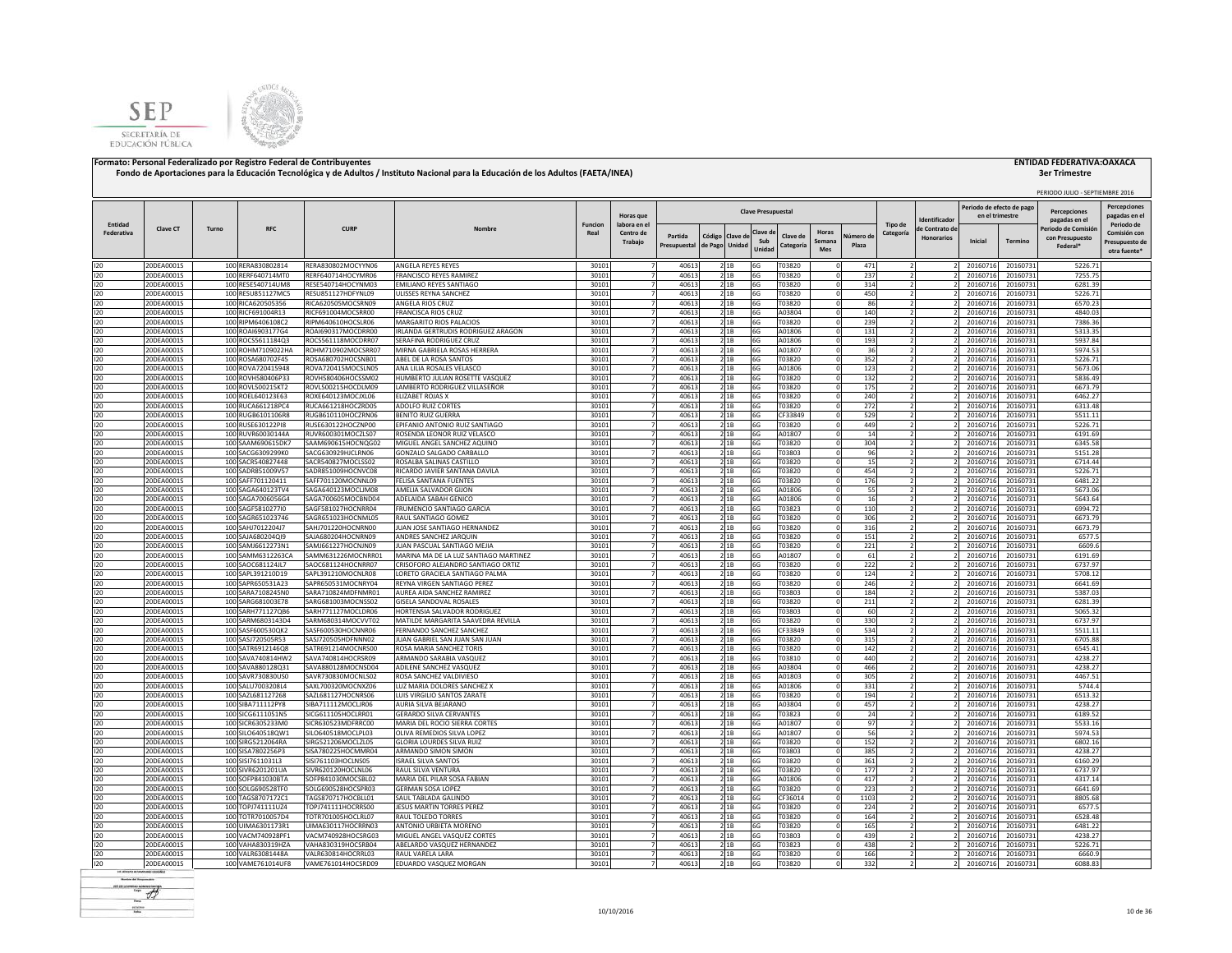



|                       |                          |       |                                        |                                          |                                                              |                        |                                  |                |                 |                |                           |                            |            |                                            |                                     | Periodo de efecto de pag |                      | PERIODO JULIO - SEPTIEMBRE 2016       | <b>Percepciones</b>                        |
|-----------------------|--------------------------|-------|----------------------------------------|------------------------------------------|--------------------------------------------------------------|------------------------|----------------------------------|----------------|-----------------|----------------|---------------------------|----------------------------|------------|--------------------------------------------|-------------------------------------|--------------------------|----------------------|---------------------------------------|--------------------------------------------|
|                       |                          |       |                                        |                                          |                                                              |                        | Horas que                        |                |                 |                | <b>Clave Presupuestal</b> |                            |            |                                            | dentificado                         | en el trimestre          |                      | <b>Percenciones</b><br>pagadas en el  | pagadas en e                               |
| Entidad<br>Federativa | <b>Clave CT</b>          | Turno | <b>RFC</b>                             | <b>CURP</b>                              | Nombre                                                       | <b>Funcion</b><br>Real | labora en el<br>Centro de        | Partida        | Código Clave de |                | Clave d                   | Horas<br>Clave de          | Vúmero de  | Tipo de<br>Categoría                       | le Contrato de<br><b>Honorarios</b> |                          |                      | Periodo de Comisió<br>con Presupuesto | Periodo de<br>Comisión cor                 |
|                       |                          |       |                                        |                                          |                                                              |                        | Trabajo                          | Presupuestal   | de Pago         | Unidad         | Sub<br>Unidad             | Semana<br>Categoría<br>Mes | Plaza      |                                            |                                     | Inicial                  | Termino              | Federal*                              | Presupuesto de<br>otra fuente <sup>®</sup> |
| 120                   | 20DEA0001S               |       | 100 RERA830802814                      | RERA830802MOCYYN06                       | ANGELA REYES REYES                                           | 30101                  | $\overline{7}$                   | 40613          |                 | 2 1B           | 6G                        | T03820                     | 471        |                                            |                                     | 20160716                 | 20160731             | 5226.71                               |                                            |
| 120                   | 20DEA0001S               |       | 100 RERF640714MT0                      | RERF640714HOCYMR06                       | FRANCISCO REYES RAMIREZ                                      | 30101                  | $\overline{7}$                   | 40613          |                 | 21B            | 6G                        | T03820                     | 237        | $\overline{2}$                             |                                     | 20160716                 | 20160731             | 7255.75                               |                                            |
| 120                   | 20DEA0001S               |       | 100 RESE540714UM8                      | RESE540714HOCYNM03                       | EMILIANO REYES SANTIAGO                                      | 30101                  |                                  | 40613          |                 | 2 1B           | 6G                        | T03820                     | 314        |                                            |                                     | 20160716                 | 20160731             | 6281.39                               |                                            |
| 120                   | 20DEA0001S               |       | 100 RESU851127MC5                      | RESU851127HDFYNL09                       | ULISSES REYNA SANCHEZ                                        | 30101                  |                                  | 40613          |                 | 2 1B           | 6G                        | T03820                     | 450        |                                            |                                     | 20160716                 | 20160731             | 5226.71                               |                                            |
| 120<br>120            | 20DEA0001S<br>20DEA0001S |       | 100 RICA620505356<br>100 RICF691004R13 | RICA620505MOCSRN09<br>RICF691004MOCSRR00 | ANGELA RIOS CRUZ<br>FRANCISCA RIOS CRUZ                      | 30101<br>30101         |                                  | 40613<br>40613 |                 | 21B<br>2 1 B   | 6G<br>6G                  | T03820<br>A03804           | 86<br>140  |                                            |                                     | 20160716<br>20160716     | 20160731<br>20160731 | 6570.23<br>4840.03                    |                                            |
| 120                   | 20DEA0001S               |       | 100 RIPM6406108C2                      | RIPM640610HOCSLR06                       | MARGARITO RIOS PALACIOS                                      | 30101                  |                                  | 40613          |                 | 21B            | 6G                        | T03820                     | 239        |                                            |                                     | 20160716                 | 20160731             | 7386.36                               |                                            |
| 120                   | 20DEA0001S               |       | 100 ROAI6903177G4                      | ROAI690317MOCDRR00                       | IRLANDA GERTRUDIS RODRIGUEZ ARAGON                           | 30101                  |                                  | 40613          |                 | 21B            | 6G                        | A01806                     | 131        |                                            |                                     | 20160716                 | 20160731             | 5313.35                               |                                            |
| 120                   | 20DEA0001S               |       | 100 ROCS5611184Q3                      | ROCS561118MOCDRR07                       | SERAFINA RODRIGUEZ CRUZ                                      | 30101                  |                                  | 40613          |                 | 2 1B           | 6G                        | A01806                     | 193        |                                            |                                     | 20160716                 | 20160731             | 5937.84                               |                                            |
| 120                   | 20DEA0001S               |       | 100 ROHM7109022HA                      | ROHM710902MOCSRR07                       | MIRNA GABRIELA ROSAS HERRERA                                 | 30101                  | -7                               | 40613          |                 | 2 1 B          | 6G                        | A01807                     | 36         |                                            |                                     | 20160716                 | 20160731             | 5974.53                               |                                            |
| 120                   | 20DEA0001S               |       | 100 ROSA680702F45                      | ROSA680702HOCSNB01                       | ABEL DE LA ROSA SANTOS                                       | 30101                  | $\overline{7}$                   | 40613          |                 | 2 1B           | 6G                        | T03820                     | 352        | $\overline{z}$                             |                                     | 20160716                 | 20160731             | 5226.71                               |                                            |
| 120<br>120            | 20DEA0001S<br>20DEA0001S |       | 100 ROVA720415948<br>100 ROVH580406P33 | ROVA720415MOCSLN05<br>ROVH580406HOCSSM02 | ANA LILIA ROSALES VELASCO<br>HUMBERTO JULIAN ROSETTE VASQUEZ | 30101<br>30101         |                                  | 40613<br>40613 |                 | 21B<br>2 1 B   | 6G<br>6G                  | A01806<br>T03820           | 123<br>132 | $\overline{z}$                             |                                     | 20160716<br>20160716     | 20160731<br>20160731 | 5673.06<br>5836.49                    |                                            |
| 120                   | 20DEA0001S               |       | 100 ROVL500215KT2                      | ROVL500215HOCDLM09                       | LAMBERTO RODRIGUEZ VILLASEÑOR                                | 30101                  |                                  | 40613          |                 | 2 1 B          | 6G                        | T03820                     | 175        |                                            |                                     | 20160716                 | 20160731             | 6673.79                               |                                            |
| 120                   | 20DEA0001S               |       | 100 ROEL640123E63                      | ROXE640123MOCJXL06                       | <b>FLIZARET ROIAS X</b>                                      | 30101                  | $\overline{7}$                   | 40613          |                 | 2 1 B          | 6G                        | T03820                     | 240        | $\overline{2}$                             |                                     | 20160716                 | 20160731             | 6462.27                               |                                            |
| 120                   | 20DEA0001S               |       | 100 RUCA661218PC4                      | RUCA661218HOCZRD05                       | ADOLFO RUIZ CORTES                                           | 30101                  | $\overline{7}$                   | 40613          |                 | 21B            | 6G                        | T03820                     | 272        | $\overline{\mathcal{L}}$                   |                                     | 20160716                 | 20160731             | 6313.48                               |                                            |
| 120                   | 20DEA0001S               |       | 100 RUGB6101106R8                      | RUGB610110HOCZRN06                       | <b>BENITO RUIZ GUERRA</b>                                    | 30101                  | $\overline{7}$                   | 40613          |                 | 21B            | 6G                        | CF33849                    | 529        | $\overline{2}$                             |                                     | 20160716                 | 20160731             | 5511.11                               |                                            |
| 120                   | 20DEA0001S               |       | 100 RUSE630122PI8                      | RUSE630122HOCZNP00                       | EPIFANIO ANTONIO RUIZ SANTIAGO                               | 30101                  | $\overline{7}$                   | 40613          |                 | 21B            | 6G                        | T03820                     | 449        | ν                                          |                                     | 20160716                 | 20160731             | 5226.71                               |                                            |
| 120                   | 20DEA0001S               |       | 100 RUVR60030144A                      | RUVR600301MOCZLS07                       | ROSENDA LEONOR RUIZ VELASCO                                  | 30101                  | $\overline{7}$                   | 40613          |                 | 21B            | 6G                        | A01807                     | 14         | $\overline{2}$                             |                                     | 20160716                 | 20160731             | 6191.69                               |                                            |
| 120                   | 20DEA0001S               |       | 100 SAAM690615DK7                      | SAAM690615HOCNQG02                       | MIGUEL ANGEL SANCHEZ AQUINO                                  | 30101                  | $\overline{7}$                   | 40613          |                 | 21B            | 6G                        | T03820                     | 304        |                                            |                                     | 2016071                  | 20160731             | 6345.58                               |                                            |
| 120<br>120            | 20DEA0001S<br>20DEA0001S |       | 100 SACG6309299K0<br>100 SACR540827448 | SACG630929HJCLRN06<br>SACR540827MOCLSS02 | GONZALO SALGADO CARBALLO<br>ROSALBA SALINAS CASTILLO         | 30101<br>30101         |                                  | 40613<br>40613 |                 | 2 1 B<br>2 1 B | 6G<br>6G                  | T03803<br>T03820           | 96<br>15   |                                            |                                     | 2016071<br>2016071       | 20160731<br>20160731 | 5151.28<br>6714.44                    |                                            |
| 120                   | 20DEA0001S               |       | 100 SADR851009V57                      | SADR851009HOCNVC08                       | RICARDO JAVIER SANTANA DAVILA                                | 30101                  |                                  | 40613          |                 | 2 1 B          | 6G                        | T03820                     | 454        |                                            |                                     | 2016071                  | 20160731             | 5226.71                               |                                            |
| 120                   | 20DEA0001S               |       | 100 SAFF701120411                      | SAFF701120MOCNNL09                       | FFI ISA SANTANA FUENTES                                      | 30101                  |                                  | 40613          |                 | 2 1B           | 6G                        | T03820                     | 176        |                                            |                                     | 2016071                  | 20160731             | 6481.22                               |                                            |
| 120                   | 20DEA0001S               |       | 100 SAGA640123TV4                      | SAGA640123MOCLIM08                       | AMELIA SALVADOR GIJON                                        | 30101                  |                                  | 40613          |                 | 2 1B           | 6G                        | A01806                     | 55         |                                            |                                     | 20160716                 | 20160731             | 5673.06                               |                                            |
| 120                   | 20DEA0001S               |       | 100 SAGA7006056G4                      | SAGA700605MOCBND04                       | ADELAIDA SABAH GENICO                                        | 30101                  |                                  | 40613          |                 | 2 1B           | 6G                        | A01806                     | 16         |                                            |                                     | 20160716                 | 20160731             | 5643.64                               |                                            |
| 120                   | 20DEA0001S               |       | 100 SAGF581027710                      | SAGF581027HOCNRR04                       | <b>FRUMENCIO SANTIAGO GARCIA</b>                             | 30101                  |                                  | 40613          |                 | 2 1B           | 6G                        | T03823                     | 110        |                                            |                                     | 20160716                 | 20160731             | 6994.72                               |                                            |
| 120                   | 20DEA0001S<br>20DEA0001S |       | 100 SAGR651023746<br>100 SAHJ7012204J7 | SAGR651023HOCNML05<br>SAHJ701220HOCNRN00 | RAUL SANTIAGO GOMEZ<br>JUAN JOSE SANTIAGO HERNANDEZ          | 30101<br>30101         | 7                                | 40613<br>40613 |                 | 2 1 B          | 6G                        | T03820<br>T03820           | 306<br>316 |                                            |                                     | 20160716<br>20160716     | 20160731             | 6673.79<br>6673.79                    |                                            |
| 120<br>120            | 20DEA0001S               |       | 100 SAJA680204QI9                      | SAJA680204HOCNRN09                       | ANDRES SANCHEZ JARQUIN                                       | 3010                   |                                  | 40613          |                 | 21B<br>21B     | 6G<br>6G                  | T03820                     | 151        | 2                                          |                                     | 20160716                 | 20160731<br>20160731 | 6577.5                                |                                            |
| 120                   | 20DEA0001S               |       | 100 SAMJ6612273N1                      | SAMJ661227HOCNJN09                       | JUAN PASCUAL SANTIAGO MEJIA                                  | 30101                  |                                  | 40613          |                 | 21B            | 6G                        | T03820                     | 221        |                                            |                                     | 20160716                 | 20160731             | 6609.6                                |                                            |
| 120                   | 20DEA0001S               |       | 100 SAMM6312263CA                      | SAMM631226MOCNRR01                       | MARINA MA DE LA LUZ SANTIAGO MARTINEZ                        | 30101                  | $\overline{7}$                   | 40613          |                 | 2 1 B          | 6G                        | A01807                     | 61         |                                            |                                     | 20160716                 | 20160731             | 6191.69                               |                                            |
| 120                   | 20DEA0001S               |       | 100 SAOC681124JL7                      | SAOC681124HOCNRR07                       | CRISOFORO ALEJANDRO SANTIAGO ORTIZ                           | 30101                  | $\overline{7}$                   | 40613          |                 | 21B            | 6G                        | T03820                     | 222        |                                            |                                     | 20160716                 | 20160731             | 6737.97                               |                                            |
| 120                   | 20DEA0001S               |       | 100 SAPL391210D19                      | SAPL391210MOCNLR08                       | LORETO GRACIELA SANTIAGO PALMA                               | 30101                  | $\overline{7}$                   | 40613          |                 | 21B            | 6G                        | T03820                     | 124        | $\overline{2}$                             |                                     | 20160716                 | 20160731             | 5708.12                               |                                            |
| 120                   | 20DEA0001S               |       | 100 SAPR650531A23                      | SAPR650531MOCNRY04                       | REYNA VIRGEN SANTIAGO PEREZ                                  | 30101                  | $\overline{7}$                   | 40613          |                 | 21B            | 6G                        | T03820                     | 246        | $\overline{2}$                             |                                     | 20160716                 | 20160731             | 6641.69                               |                                            |
| 120                   | 20DEA0001S               |       | 100 SARA7108245N0                      | SARA710824MDFNMR01                       | AUREA AIDA SANCHEZ RAMIREZ                                   | 30101                  | $\overline{7}$<br>$\overline{z}$ | 40613          |                 | 21B            | 6G                        | T03803                     | 184        | ν                                          |                                     | 20160716                 | 20160731             | 5387.03                               |                                            |
| 120<br>120            | 20DEA0001S<br>20DEA0001S |       | 100 SARG681003E78<br>100 SARH771127QB6 | SARG681003MOCNSS02<br>SARH771127MOCLDR06 | GISELA SANDOVAL ROSALES<br>HORTENSIA SALVADOR RODRIGUEZ      | 30101<br>30101         | $\overline{7}$                   | 40613<br>40613 |                 | 21B<br>21B     | 6G<br>6G                  | T03820<br>T03803           | 211<br>60  |                                            |                                     | 20160716<br>20160716     | 20160731<br>20160731 | 6281.39<br>5065.32                    |                                            |
| 120                   | 20DEA0001S               |       | 100 SARM6803143D4                      | SARM680314MOCVVT02                       | MATILDE MARGARITA SAAVEDRA REVILLA                           | 30101                  |                                  | 40613          |                 | 2 1 B          | 6G                        | T03820                     | 330        | $\overline{z}$                             |                                     | 20160716                 | 20160731             | 6737.97                               |                                            |
| 120                   | 20DEA0001S               |       | 100 SASF600530QK2                      | SASF600530HOCNNR06                       | FERNANDO SANCHEZ SANCHEZ                                     | 30101                  |                                  | 40613          |                 | 21B            | 6G                        | CF33849                    | 534        |                                            |                                     | 20160716                 | 20160731             | 5511.11                               |                                            |
| 120                   | 20DEA0001S               |       | 100 SASJ720505R53                      | SASJ720505HDFNNN02                       | JUAN GABRIEL SAN JUAN SAN JUAN                               | 30101                  |                                  | 40613          |                 | 2 1 B          | 6G                        | T03820                     | 315        |                                            |                                     | 20160716                 | 20160731             | 6705.88                               |                                            |
| 120                   | 20DEA0001S               |       | 100 SATR6912146Q8                      | SATR691214MOCNRS00                       | ROSA MARIA SANCHEZ TORIS                                     | 30101                  |                                  | 40613          |                 | 21B            | 6G                        | T03820                     | 142        |                                            |                                     | 20160716                 | 20160731             | 6545.41                               |                                            |
| 120                   | 20DEA0001S               |       | 100 SAVA740814HW2                      | SAVA740814HOCRSR09                       | ARMANDO SARABIA VASQUEZ                                      | 30101                  |                                  | 40613          |                 | 21B            | 6G                        | T03810                     | 440        |                                            |                                     | 20160716                 | 20160731             | 4238.27                               |                                            |
| 120                   | 20DEA0001S               |       | 100 SAVA880128031                      | SAVA880128MOCNSD04<br>SAVR730830MOCNLS02 | ADILENE SANCHEZ VASQUEZ<br>ROSA SANCHEZ VALDIVIESO           | 30101                  |                                  | 40613<br>40613 |                 | 21B            | 6G                        | A03804<br>A01803           | 466        |                                            |                                     | 20160716<br>20160716     | 20160731<br>20160731 | 4238.27<br>4467.51                    |                                            |
| 120<br>120            | 20DEA0001S<br>20DEA0001S |       | 100 SAVR730830US0<br>100 SALU7003208L4 | SAXL700320MOCNXZ06                       | <b>IUZ MARIA DOLORES SANCHEZ X</b>                           | 30101<br>30101         | 7                                | 40613          |                 | 21B<br>2 1 B   | 6G<br>6G                  | A01806                     | 305<br>331 |                                            |                                     | 20160716                 | 20160731             | 5744.4                                |                                            |
| 120                   | 20DEA0001S               |       | 100 SAZL681127268                      | SAZL681127HOCNRS06                       | LUIS VIRGILIO SANTOS ZARATE                                  | 30101                  | 7                                | 40613          |                 | 2 1 B          | 6G                        | T03820                     | 194        | $\overline{z}$                             |                                     | 20160716                 | 20160731             | 6513.32                               |                                            |
| 120                   | 20DEA0001S               |       | 100 SIBA711112PY8                      | SIBA711112MOCLJR06                       | AURIA SILVA BEIARANO                                         | 30101                  |                                  | 40613          |                 | 2 1 B          | 6G                        | A03804                     | 457        | $\overline{z}$                             |                                     | 20160716                 | 20160731             | 4238.27                               |                                            |
| 120                   | 20DEA0001S               |       | 100 SICG6111051N5                      | SICG611105HOCLRR01                       | <b>GERARDO SILVA CERVANTES</b>                               | 30101                  | $\overline{7}$                   | 40613          |                 | 21B            | 6G                        | T03823                     | 24         |                                            |                                     | 20160716                 | 20160731             | 6189.52                               |                                            |
| 120                   | 20DEA0001S               |       | 100 SICR6305233M0                      | SICR630523MDFRRC00                       | MARIA DEL ROCIO SIERRA CORTES                                | 30101                  | $\overline{7}$                   | 40613          |                 | 2 1 B          | 6G                        | A01807                     | 97         |                                            |                                     | 20160716                 | 20160731             | 5533.16                               |                                            |
| 120                   | 20DEA0001S               |       | 100 SILO640518QW1                      | SILO640518MOCLPL03                       | OLIVA REMEDIOS SILVA LOPEZ                                   | 30101                  | $\overline{7}$                   | 40613          |                 | 21B            | 6G                        | A01807                     | 56         |                                            |                                     | 20160716                 | 20160731             | 5974.53                               |                                            |
| 120<br>120            | 20DEA0001S<br>20DEA0001S |       | 100 SIRG5212064RA<br>100 SISA7802256P3 | SIRG521206MOCLZL05<br>SISA780225HOCMMR04 | GLORIA LOURDES SILVA RUIZ<br>ARMANDO SIMON SIMON             | 30101<br>30101         | $\overline{7}$<br>$\overline{7}$ | 40613<br>40613 |                 | 21B<br>21B     | 6G<br>6G                  | T03820<br>T03803           | 152<br>385 | $\overline{\phantom{a}}$<br>$\overline{2}$ |                                     | 20160716<br>20160716     | 20160731<br>20160731 | 6802.16<br>4238.27                    |                                            |
| 120                   | 20DEA0001S               |       | 100 SISI7611031L3                      | SISI761103HOCLNS05                       | <b>ISRAEL SILVA SANTOS</b>                                   | 30101                  | $\overline{7}$                   | 40613          |                 | 21B            | 6G                        | T03820                     | 361        | $\overline{2}$                             |                                     | 20160716                 | 20160731             | 6160.29                               |                                            |
| 120                   | 20DEA0001S               |       | 100 SIVR6201201UA                      | SIVR620120HOCLNL06                       | RAUL SILVA VENTURA                                           | 30101                  | $\overline{7}$                   | 40613          |                 | 2 1B           | 6G                        | T03820                     | 177        | $\overline{2}$                             |                                     | 20160716                 | 20160731             | 6737.97                               |                                            |
| 120                   | 20DEA0001S               |       | 100 SOFP841030BTA                      | SOFP841030MOCSBL02                       | MARIA DEL PILAR SOSA FABIAN                                  | 30101                  | $\overline{7}$                   | 40613          |                 | 21B            | 6G                        | A01806                     | 417        | $\overline{z}$                             |                                     | 20160716                 | 20160731             | 4317.14                               |                                            |
| 120                   | 20DEA0001S               |       | 100 SOLG690528TF0                      | SOLG690528HOCSPR03                       | <b>GERMAN SOSA LOPEZ</b>                                     | 30101                  |                                  | 40613          |                 | 2 1 B          | 6G                        | T03820                     | 223        |                                            |                                     | 2016071                  | 20160731             | 6641.69                               |                                            |
| 120                   | 20DEA0001S               |       | 100 TAGS8707172C1                      | TAGS870717HOCBLL01                       | SAUL TABLADA GALINDO                                         | 30101                  |                                  | 40613          |                 | 2 1 B          | 6G                        | CF36014                    | 1103       |                                            |                                     | 2016071                  | 2016073              | 8805.68                               |                                            |
| 120                   | 20DEA0001S               |       | 100 TOPJ741111UZ4                      | TOPJ741111HOCRRS00                       | JESUS MARTIN TORRES PEREZ                                    | 30101                  |                                  | 40613          |                 | 2 1B           | 6G                        | T03820                     | 224        |                                            |                                     | 2016071                  | 20160731             | 6577.5                                |                                            |
| 120                   | 20DEA0001S               |       | 100 TOTR7010057D4                      | TOTR701005HOCLRL07                       | RAUL TOLEDO TORRES                                           | 30101                  |                                  | 40613          |                 | 2 1B           | 6G                        | T03820                     | 164        |                                            |                                     | 20160716                 | 20160731             | 6528.48                               |                                            |
| 120<br>120            | 20DEA0001S<br>20DEA0001S |       | 100 UIMA6301173R1<br>100 VACM740928PF1 | UIMA630117HOCRRN03<br>VACM740928HOCSRG03 | ANTONIO URBIETA MORENO<br>MIGUEL ANGEL VASQUEZ CORTES        | 30101<br>30101         |                                  | 40613<br>40613 |                 | 21B<br>21B     | 6G<br>6G                  | T03820<br>T03803           | 165<br>439 |                                            |                                     | 20160716<br>20160716     | 20160731<br>20160731 | 6481.22<br>4238.27                    |                                            |
| 120                   | 20DEA0001S               |       | 100 VAHA830319HZA                      | VAHA830319HOCSRB04                       | ABELARDO VASQUEZ HERNANDEZ                                   | 3010                   |                                  | 40613          |                 | 2 1 B          | 6G                        | T03823                     | 438        |                                            |                                     | 2016071                  | 20160731             | 5226.71                               |                                            |
| 120                   | 20DEA0001S               |       | 100 VALR63081448A                      | VALR630814HOCRRL03                       | RAUL VARELA LARA                                             | 30101                  | $\overline{7}$                   | 40613          | 2 1 B           |                | 6G                        | T03820                     | 166        |                                            |                                     | 20160716                 | 20160731             | 5660                                  |                                            |
| 120                   | 20DEA0001S               |       | 100 VAME761014UF8                      | VAME761014HOCSRD09                       | EDUARDO VASQUEZ MORGAN                                       | 30101                  | $\overline{7}$                   | 40613          |                 | 2 1 B          | 6G                        | T03820                     | 332        | 2                                          |                                     | 20160716                 | 20160731             | 6088.83                               |                                            |
|                       |                          |       |                                        |                                          |                                                              |                        |                                  |                |                 |                |                           |                            |            |                                            |                                     |                          |                      |                                       |                                            |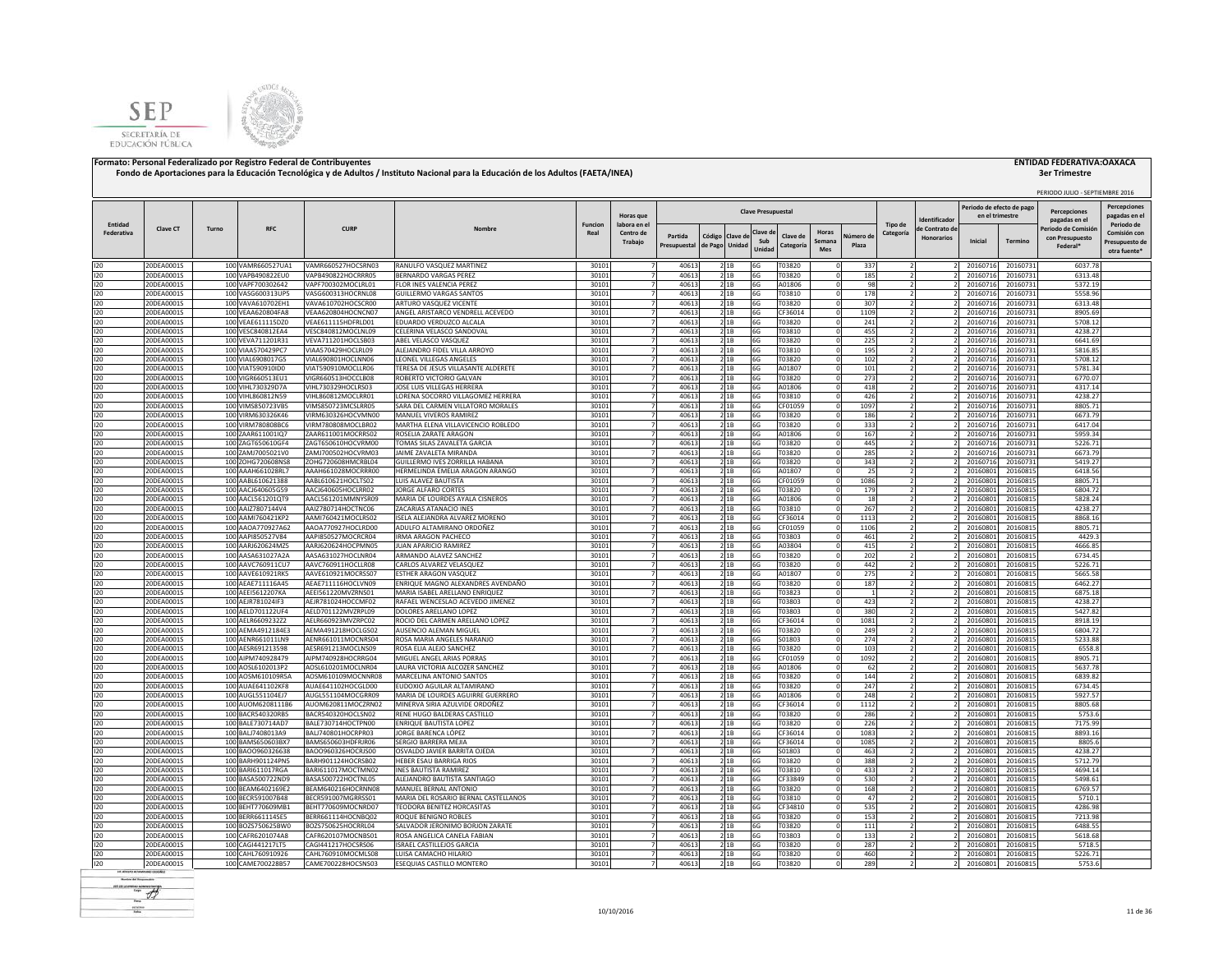



|            |                          |       |                                        |                                          |                                                            |                |                          |                |         |                 | <b>Clave Presupuestal</b> |                   |                      |                |                |                                     | Periodo de efecto de pag |                      | PERIODO JULIO - SEPTIEMBRE 2016<br><b>Percenciones</b> | <b>Percepciones</b>            |
|------------|--------------------------|-------|----------------------------------------|------------------------------------------|------------------------------------------------------------|----------------|--------------------------|----------------|---------|-----------------|---------------------------|-------------------|----------------------|----------------|----------------|-------------------------------------|--------------------------|----------------------|--------------------------------------------------------|--------------------------------|
| Entidad    |                          |       |                                        |                                          |                                                            | <b>Funcion</b> | Horas que<br>labora en e |                |         |                 |                           |                   |                      |                | Tipo de        | dentificado                         | en el trimestre          |                      | pagadas en el                                          | pagadas en e<br>Periodo de     |
| Federativa | <b>Clave CT</b>          | Turno | <b>RFC</b>                             | <b>CURP</b>                              | Nombre                                                     | Real           | Centro de                | Partida        |         | Código Clave de | Clave d<br>Sub            | Clave de          | Horas                | Vúmero de      | Categoría      | le Contrato de<br><b>Honorarios</b> | Inicial                  |                      | 'eriodo de Comisió<br>con Presupuesto                  | Comisión cor                   |
|            |                          |       |                                        |                                          |                                                            |                | Trabajo                  | Presupuestal   | de Pago | Unidad          | Unidad                    | Categoría         | Semana<br><b>Mes</b> | Plaza          |                |                                     |                          | Termino              | Federal*                                               | Presupuesto de<br>otra fuente' |
| 120        | 20DEA0001S               |       | 100 VAMR660527UA1                      | VAMR660527HOCSRN03                       | RANULFO VASQUEZ MARTINEZ                                   | 30101          | $\overline{7}$           | 40613          |         | 2 1 B           | 6G                        | T03820            |                      | 337            |                |                                     | 20160716                 | 20160731             | 6037.78                                                |                                |
| 120        | 20DEA0001S               |       | 100 VAPB490822EU0                      | VAPB490822HOCRRR05                       | BERNARDO VARGAS PEREZ                                      | 30101          | $\overline{7}$           | 40613          |         | 2 1B            | 6G                        | T03820            |                      | 185            |                |                                     | 20160716                 | 20160731             | 6313.48                                                |                                |
| 120        | 20DEA0001S               |       | 100 VAPF700302642                      | VAPF700302MOCLRL01                       | LOR INES VALENCIA PEREZ                                    | 30101          | 7                        | 40613          |         | 2 1B            | 6G                        | A01806            |                      | 98             |                |                                     | 20160716                 | 20160731             | 5372.19                                                |                                |
| 120        | 20DEA0001S               |       | 100 VASG600313UP5                      | VASG600313HOCRNL08                       | <b>GUILLERMO VARGAS SANTOS</b>                             | 30101          | $\overline{7}$           | 40613          |         | 21B             | 6G                        | T03810            |                      | 178            |                |                                     | 20160716                 | 20160731             | 5558.96                                                |                                |
| 120<br>120 | 20DEA0001S               |       | 100 VAVA610702EH1<br>100 VEAA620804FA8 | VAVA610702HOCSCR00<br>VEAA620804HOCNCN07 | ARTURO VASQUEZ VICENTE<br>ANGEL ARISTARCO VENDRELL ACEVEDO | 30101<br>30101 |                          | 40613<br>40613 |         | 21B             | 6G                        | T03820            |                      | 307            |                |                                     | 20160716                 | 20160731             | 6313.48<br>8905.69                                     |                                |
| 120        | 20DEA0001S<br>20DEA0001S |       | 100 VEAE611115DZ0                      | VEAE611115HDFRLD01                       | EDUARDO VERDUZCO ALCALA                                    | 30101          |                          | 40613          |         | 2 1B<br>21B     | 6G<br>6G                  | CF36014<br>T03820 |                      | 1109<br>241    |                |                                     | 20160716<br>20160716     | 20160731<br>20160731 | 5708.12                                                |                                |
| 120        | 20DEA0001S               |       | 100 VESC840812EA4                      | VESC840812MOCLNL09                       | CELERINA VELASCO SANDOVAL                                  | 30101          | 7                        | 40613          |         | 21B             | 6G                        | T03810            |                      | 455            |                |                                     | 20160716                 | 20160731             | 4238.27                                                |                                |
| 120        | 20DEA0001S               |       | 100 VEVA711201R31                      | VEVA711201HOCLSB03                       | ABEL VELASCO VASQUEZ                                       | 30101          |                          | 40613          |         | 21B             | 6G                        | T03820            |                      | 225            |                |                                     | 20160716                 | 20160731             | 6641.69                                                |                                |
| 120        | 20DEA0001S               |       | 100 VIAA570429PC7                      | VIAA570429HOCLRL09                       | ALEJANDRO FIDEL VILLA ARROYO                               | 30101          | $\overline{7}$           | 40613          |         | 2 1B            | 6G                        | T03810            |                      | 195            |                |                                     | 20160716                 | 2016073              | 5816.85                                                |                                |
| 120        | 20DEA0001S               |       | 100 VIAL6908017G5                      | VIAL690801HOCLNN06                       | LEONEL VILLEGAS ANGELES                                    | 30101          | $\overline{7}$           | 40613          |         | 21B             | 6G                        | T03820            |                      | 102            | $\overline{2}$ |                                     | 20160716                 | 2016073              | 5708.12                                                |                                |
| 120        | 20DEA0001S               |       | 100 VIAT590910ID0                      | VIAT590910MOCLLR06                       | TERESA DE JESUS VILLASANTE ALDERETE                        | 30101          | 7 <sub>1</sub>           | 40613          |         | 2 1B            | 6G                        | A01807            |                      | 101            |                |                                     | 20160716                 | 20160731             | 5781.34                                                |                                |
| 120<br>120 | 20DEA0001S<br>20DEA0001S |       | 100 VIGR660513EU1<br>100 VIHL730329D7A | VIGR660513HOCCLB08<br>VIHL730329HOCLRS03 | ROBERTO VICTORIO GALVAN<br>JOSE LUIS VILLEGAS HERRERA      | 30101<br>30101 | 7<br>$\overline{7}$      | 40613<br>40613 |         | 2 1 B<br>21B    | 6G<br>6G                  | T03820<br>A01806  |                      | 273<br>418     |                |                                     | 20160716<br>20160716     | 20160731<br>2016073  | 6770.07<br>4317.14                                     |                                |
| 120        | 20DEA0001S               | 100   | VIHL860812N59                          | VIHL860812MOCLRR01                       | LORENA SOCORRO VILLAGOMEZ HERRERA                          | 30101          | $\overline{7}$           | 40613          |         | 2 1B            | 6G                        | T03810            |                      | 426            |                |                                     | 20160716                 | 2016073              | 4238.27                                                |                                |
| 120        | 20DEA0001S               |       | 100 VIMS850723VB5                      | VIMS850723MCSLRR05                       | SARA DEL CARMEN VILLATORO MORALES                          | 30101          | 7                        | 40613          |         | 21B             | 6G                        | CF01059           |                      | 1097           | $\overline{2}$ |                                     | 20160716                 | 20160731             | 8805.71                                                |                                |
| 120        | 20DEA0001S               |       | 100 VIRM630326K46                      | VIRM630326HOCVMN00                       | MANUEL VIVEROS RAMIREZ                                     | 30101          | 7                        | 40613          |         | 21B             | 6G                        | T03820            |                      | 186            |                |                                     | 20160716                 | 20160731             | 6673.79                                                |                                |
| 120        | 20DEA0001S               |       | 100 VIRM780808BC6                      | VIRM780808MOCLBR02                       | MARTHA ELENA VILLAVICENCIO ROBLEDO                         | 30101          | 7                        | 40613          |         | 21B             | 6G                        | T03820            |                      | 333            |                |                                     | 20160716                 | 2016073              | 6417.04                                                |                                |
| 120        | 20DEA0001S               |       | 100 ZAAR611001lQ7                      | ZAAR611001MOCRRS02                       | ROSELIA ZARATE ARAGON                                      | 30101          | 7                        | 40613          |         | 21B             | 6G                        | A01806            |                      | 167            | $\overline{2}$ |                                     | 2016071                  | 20160731             | 5959.34                                                |                                |
| 120        | 20DEA0001S               |       | 100 ZAGT650610GF4                      | ZAGT650610HOCVRM00                       | TOMAS SILAS ZAVALETA GARCIA                                | 30101          | $\overline{7}$           | 40613          |         | 21B             | 6G                        | T03820            |                      | 445            |                |                                     | 20160716                 | 20160731             | 5226.71                                                |                                |
| 120<br>120 | 20DEA0001S<br>20DEA0001S |       | 100 ZAMJ7005021V0<br>100 ZOHG720608NS8 | ZAMJ700502HOCVRM03<br>ZOHG720608HMCRBL04 | JAIME ZAVALETA MIRANDA<br>GUILLERMO IVES ZORRILLA HABANA   | 30101<br>30101 |                          | 40613<br>40613 |         | 21B<br>2 1 B    | 6G<br>6G                  | T03820<br>T03820  |                      | 285<br>343     |                |                                     | 2016071<br>20160716      | 20160731<br>20160731 | 6673.79<br>5419.27                                     |                                |
| 120        | 20DEA0001S               | 100   | AAAH661028RL7                          | AAAH661028MOCRRR00                       | <b>IERMELINDA EMELIA ARAGON ARANGO</b>                     | 30101          |                          | 40613          |         | 21B             | 6G                        | A01807            |                      | 25             |                |                                     | 2016080                  | 20160815             | 6418.56                                                |                                |
| 120        | 20DEA0001S               | 100   | AABL610621388                          | AABL610621HOCLTS02                       | UIS ALAVEZ BAUTISTA                                        | 30101          |                          | 40613          |         | 2 1 B           | 6G                        | CF01059           |                      | 1086           |                |                                     | 2016080                  | 20160815             | 8805.71                                                |                                |
| 120        | 20DEA0001S               |       | 100 AACJ640605G59                      | AACJ640605HOCLRR02                       | <b>ORGE ALFARO CORTES</b>                                  | 30101          |                          | 40613          |         | 21B             | 6G                        | T03820            |                      | 179            |                |                                     | 20160801                 | 20160815             | 6804.72                                                |                                |
| 120        | 20DEA0001S               |       | 100 AACL561201QT9                      | AACL561201MMNYSR09                       | MARIA DE LOURDES AYALA CISNEROS                            | 30101          |                          | 40613          |         | 2 1 B           | 6G                        | A01806            |                      | 18             |                |                                     | 20160801                 | 20160815             | 5828.24                                                |                                |
| 120        | 20DEA0001S               |       | 100 AAIZ7807144V4                      | AAIZ780714HOCTNC06                       | ZACARIAS ATANACIO INES                                     | 30101          |                          | 40613          |         | 21B             | 6G                        | T03810            |                      | 267            |                |                                     | 20160801                 | 20160815             | 4238.27                                                |                                |
| 120        | 20DEA0001S               |       | 100 AAMI760421KP2                      | AAMI760421MOCLRS02                       | SELA ALEJANDRA ALVAREZ MORENO                              | 30101          |                          | 40613          |         | 21B             | 6G                        | CF36014           |                      | 1113           |                |                                     | 20160801                 | 20160815             | 8868.16                                                |                                |
| 120<br>120 | 20DEA0001S<br>20DEA0001S |       | 100 AAOA770927A62<br>100 AAPI850527V84 | AAOA770927HOCLRD00<br>AAPI850527MOCRCR04 | ADULFO ALTAMIRANO ORDOÑEZ<br>IRMA ARAGON PACHECO           | 30101<br>30101 |                          | 40613<br>40613 |         | 21B<br>21B      | 6G<br>6G                  | CF01059<br>T03803 |                      | 1106<br>461    |                |                                     | 20160801<br>20160801     | 20160815<br>20160815 | 8805.71<br>4429.3                                      |                                |
| 120        | 20DEA0001S               |       | 100 AARJ620624MZ5                      | AARJ620624HOCPMN05                       | IUAN APARICIO RAMIREZ                                      | 30101          |                          | 40613          |         | 21B             | 6G                        | A03804            |                      | 415            |                |                                     | 20160801                 | 20160815             | 4666.85                                                |                                |
| 120        | 20DEA0001S               |       | 100 AASA631027A2A                      | AASA631027HOCLNR04                       | ARMANDO ALAVEZ SANCHEZ                                     | 30101          | $\overline{7}$           | 40613          |         | 21B             | 6G                        | T03820            |                      | 202            |                |                                     | 2016080                  | 20160815             | 6734.45                                                |                                |
| 120        | 20DEA0001S               |       | 100 AAVC760911CU7                      | AAVC760911HOCLLR08                       | CARLOS ALVAREZ VELASQUEZ                                   | 30101          | $\overline{7}$           | 40613          |         | 21B             | 6G                        | T03820            |                      | 442            |                |                                     | 20160801                 | 20160815             | 5226.71                                                |                                |
| 120        | 20DEA0001S               |       | 100 AAVE610921RK5                      | AAVE610921MOCRSS07                       | ESTHER ARAGON VASQUEZ                                      | 30101          | 7 <sup>1</sup>           | 40613          |         | 2 1B            | 6G                        | A01807            |                      | 275            |                |                                     | 20160801                 | 20160815             | 5665.58                                                |                                |
| 120        | 20DEA0001S               |       | 100 AEAE711116A45                      | AEAE711116HOCLVN09                       | ENRIQUE MAGNO ALEXANDRES AVENDAÑO                          | 30101          | 7                        | 40613          |         | 21B             | 6G                        | T03820            |                      | 187            | $\mathcal{P}$  |                                     | 20160801                 | 20160815             | 6462.27                                                |                                |
| 120<br>120 | 20DEA0001S               |       | 100 AEEI5612207KA                      | AEEI561220MVZRNS01                       | MARIA ISABEL ARELLANO ENRIQUEZ                             | 30101          | 7<br>$\overline{7}$      | 40613          |         | 21B             | 6G                        | T03823            |                      | $\overline{1}$ | $\overline{2}$ |                                     | 20160801                 | 20160815             | 6875.18<br>4238.27                                     |                                |
| 120        | 20DEA0001S<br>20DEA0001S |       | 100 AEJR781024IF3<br>100 AELD701122UF4 | AEJR781024HOCCMF02<br>AELD701122MVZRPL09 | RAFAEL WENCESLAO ACEVEDO JIMENEZ<br>DOLORES ARELLANO LOPEZ | 30101<br>30101 | $\overline{7}$           | 40613<br>40613 |         | 21B<br>21B      | 6G<br>6G                  | T03803<br>T03803  |                      | 423<br>380     |                |                                     | 20160801<br>20160801     | 20160815<br>20160815 | 5427.82                                                |                                |
| 120        | 20DEA0001S               |       | 100 AELR6609232Z2                      | AELR660923MVZRPC02                       | ROCIO DEL CARMEN ARELLANO LOPEZ                            | 30101          | $\overline{7}$           | 40613          |         | 2 1B            | 6G                        | CF36014           |                      | 1081           |                |                                     | 20160801                 | 20160815             | 8918.19                                                |                                |
| 120        | 20DEA0001S               |       | 100 AEMA4912184E3                      | AEMA491218HOCLGS02                       | AUSENCIO ALEMAN MIGUEL                                     | 30101          |                          | 40613          |         | 21B             | 6G                        | T03820            |                      | 249            |                |                                     | 20160801                 | 20160815             | 6804.72                                                |                                |
| 120        | 20DEA0001S               |       | 100 AENR661011LN9                      | AENR661011MOCNRS04                       | ROSA MARIA ANGELES NARANJO                                 | 30101          |                          | 40613          |         | 21B             | 6G                        | S01803            |                      | 274            |                |                                     | 2016080                  | 20160815             | 5233.88                                                |                                |
| 120        | 20DEA0001S               |       | 100 AESR691213598                      | AESR691213MOCLNS09                       | ROSA ELIA ALEJO SANCHEZ                                    | 30101          |                          | 40613          |         | 21B             | 6G                        | T03820            |                      | 103            |                |                                     | 20160801                 | 20160815             | 6558.8                                                 |                                |
| 120        | 20DEA0001S               |       | 100 AIPM740928479                      | AIPM740928HOCRRG04                       | MIGUEL ANGEL ARIAS PORRAS                                  | 30101          |                          | 40613          |         | 21B             | 6G                        | CF01059           |                      | 1092           |                |                                     | 20160801                 | 20160815             | 8905.71                                                |                                |
| 120        | 20DEA0001S               |       | 100 AOSL6102013P2                      | AOSL610201MOCLNR04                       | LAURA VICTORIA ALCOZER SANCHEZ                             | 30101          |                          | 40613          |         | 2 1 B           | 6G                        | A01806            |                      | 62             |                |                                     | 20160801                 | 20160815             | 5637.78                                                |                                |
| 120<br>120 | 20DEA0001S<br>20DEA0001S |       | 100 AOSM610109R5A<br>100 AUAE641102KF8 | AOSM610109MOCNNR08<br>AUAE641102HOCGLD00 | MARCELINA ANTONIO SANTOS<br>FUDOXIO AGUILAR ALTAMIRANO     | 30101<br>30101 | $\overline{7}$<br>7      | 40613<br>40613 |         | 2 1B<br>2 1 B   | 6G<br>6G                  | T03820<br>T03820  |                      | 144<br>247     |                |                                     | 20160801<br>20160801     | 20160815<br>20160815 | 6839.82<br>6734.45                                     |                                |
| 120        | 20DEA0001S               |       | 100 AUGL551104EJ7                      | AUGL551104MOCGRR09                       | MARIA DE LOURDES AGUIRRE GUERRERO                          | 30101          | 7                        | 40613          |         | 2 1 B           | 6G                        | A01806            |                      | 248            | $\overline{2}$ |                                     | 20160801                 | 20160815             | 5927.57                                                |                                |
| 120        | 20DEA0001S               |       | 100 AUOM6208111B6                      | AUOM620811MOCZRN02                       | MINERVA SIRIA AZULVIDE ORDOÑEZ                             | 30101          | 7                        | 40613          |         | 2 1 B           | 6G                        | CF36014           |                      | 1112           |                |                                     | 20160801                 | 20160815             | 8805.68                                                |                                |
| 120        | 20DEA0001S               |       | 100 BACR540320RB5                      | BACR540320HOCLSN02                       | RENE HUGO BALDERAS CASTILLO                                | 30101          | $\overline{7}$           | 40613          |         | 2 1B            | 6G                        | T03820            |                      | 286            |                |                                     | 20160801                 | 20160815             | 5753.6                                                 |                                |
| 120        | 20DEA0001S               |       | 100 BALE730714AD7                      | BALE730714HOCTPN00                       | ENRIQUE BAUTISTA LOPEZ                                     | 30101          | $\overline{7}$           | 40613          |         | 2 1B            | 6G                        | T03820            |                      | 226            |                |                                     | 2016080                  | 20160815             | 7175.99                                                |                                |
| 120        | 20DEA0001S               |       | 100 BALJ7408013A9                      | BALJ740801HOCRPR03                       | JORGE BARENCA LÓPEZ                                        | 30101          | $\overline{7}$           | 40613          |         | 2 1B            | 6G                        | CF36014           |                      | 1083           |                |                                     | 2016080                  | 20160815             | 8893.16                                                |                                |
| 120<br>120 | 20DEA0001S<br>20DEA0001S |       | 100 BAMS650603BX7<br>100 BAOO960326638 | BAMS650603HDFRJR06<br>BAO0960326HOCRJS00 | SERGIO BARRERA MEJIA<br>OSVALDO JAVIER BARRITA OJEDA       | 30101<br>30101 | 7<br>7                   | 40613<br>40613 |         | 2 1B<br>21B     | 6G<br>6G                  | CF36014<br>S01803 |                      | 1085<br>463    | $\overline{ }$ |                                     | 20160801<br>20160801     | 20160815<br>20160815 | 8805.6<br>4238.27                                      |                                |
| 120        | 20DEA0001S               |       | 100 BARH901124PN5                      | BARH901124HOCRSB02                       | HEBER ESAU BARRIGA RIOS                                    | 30101          | $\overline{7}$           | 40613          |         | 2 1B            | 6G                        | T03820            |                      | 388            |                |                                     | 20160801                 | 20160815             | 5712.79                                                |                                |
| 120        | 20DEA0001S               |       | 100 BARI611017RGA                      | BARI611017MOCTMN02                       | <b>INES BAUTISTA RAMIREZ</b>                               | 30101          | 7                        | 40613          |         | 2 1B            | 6G                        | T03810            |                      | 433            |                |                                     | 20160801                 | 20160815             | 4694.14                                                |                                |
| 120        | 20DEA0001S               |       | 100 BASA500722ND9                      | BASA500722HOCTNL05                       | ALEJANDRO BAUTISTA SANTIAGO                                | 30101          | $\overline{7}$           | 40613          |         | 2 1B            | 6G                        | CF33849           |                      | 530            |                |                                     | 20160801                 | 20160815             | 5498.61                                                |                                |
| 120        | 20DEA0001S               |       | 100 BEAM6402169E2                      | BEAM640216HOCRNN08                       | MANUEL BERNAL ANTONIO                                      | 30101          |                          | 40613          |         | 2 1 B           | 6G                        | T03820            |                      | 168            |                |                                     | 20160801                 | 20160815             | 6769.57                                                |                                |
| 120        | 20DEA0001S               | 100   | BECR591007B48                          | BECR591007MGRRSS01                       | MARIA DEL ROSARIO BERNAL CASTELLANOS                       | 30101          |                          | 40613          |         | 21B             | 6G                        | T03810            |                      | 47             |                |                                     | 2016080                  | 20160815             | 5710.1                                                 |                                |
| 120        | 20DEA0001S               |       | 100 BEHT770609MB1                      | BEHT770609MOCNRD07                       | TEODORA BENITEZ HORCASITAS                                 | 30101          |                          | 40613          |         | 21B             | 6G                        | CF34810           |                      | 535            |                |                                     | 2016080                  | 20160815             | 4286.98                                                |                                |
| 120<br>120 | 20DEA0001S<br>20DEA0001S |       | 100 BERR661114SE5<br>100 BOZS750625BW0 | BERR661114HOCNBQ02<br>BOZS750625HOCRRL04 | ROQUE BENIGNO ROBLES<br>SALVADOR JERONIMO BORJON ZARATE    | 30101<br>30101 |                          | 40613<br>40613 |         | 21B<br>21B      | 6G<br>6G                  | T03820<br>T03820  |                      | 153<br>111     |                |                                     | 20160801<br>20160801     | 20160815<br>20160815 | 7213.98<br>6488.55                                     |                                |
| 120        | 20DEA0001S               |       | 100 CAFR6201074A8                      | CAFR620107MOCNBS01                       | ROSA ANGELICA CANELA FABIAN                                | 30101          |                          | 40613          |         | 21B             | 6G                        | T03803            |                      | 133            | $\overline{ }$ |                                     | 20160801                 | 20160815             | 5618.68                                                |                                |
| 120        | 20DEA0001S               |       | 100 CAGI441217LT5                      | CAGI441217HOCSRS06                       | SRAEL CASTILLEJOS GARCIA                                   | 30101          |                          | 40613          |         | 21B             | 6G                        | T03820            |                      | 287            |                |                                     | 2016080                  | 20160815             | 5718.                                                  |                                |
| 120        | 20DEA0001S               |       | 100 CAHL760910926                      | CAHI 760910MOCMI 508                     | <b>LUISA CAMACHO HILARIO</b>                               | 30101          |                          | 40613          |         | 21B             | 6G                        | T03820            |                      | 460            |                |                                     | 20160801                 | 20160815             | 5226.71                                                |                                |
| 120        | 20DEA0001S               |       | 100 CAME700228B57                      | CAME700228HOCSNS03                       | ESEQUIAS CASTILLO MONTERO                                  | 30101          | $\overline{7}$           | 40613          |         | 21B             | 6G                        | T03820            |                      | 289            | $\overline{2}$ |                                     | 20160801                 | 20160815             | 5753.6                                                 |                                |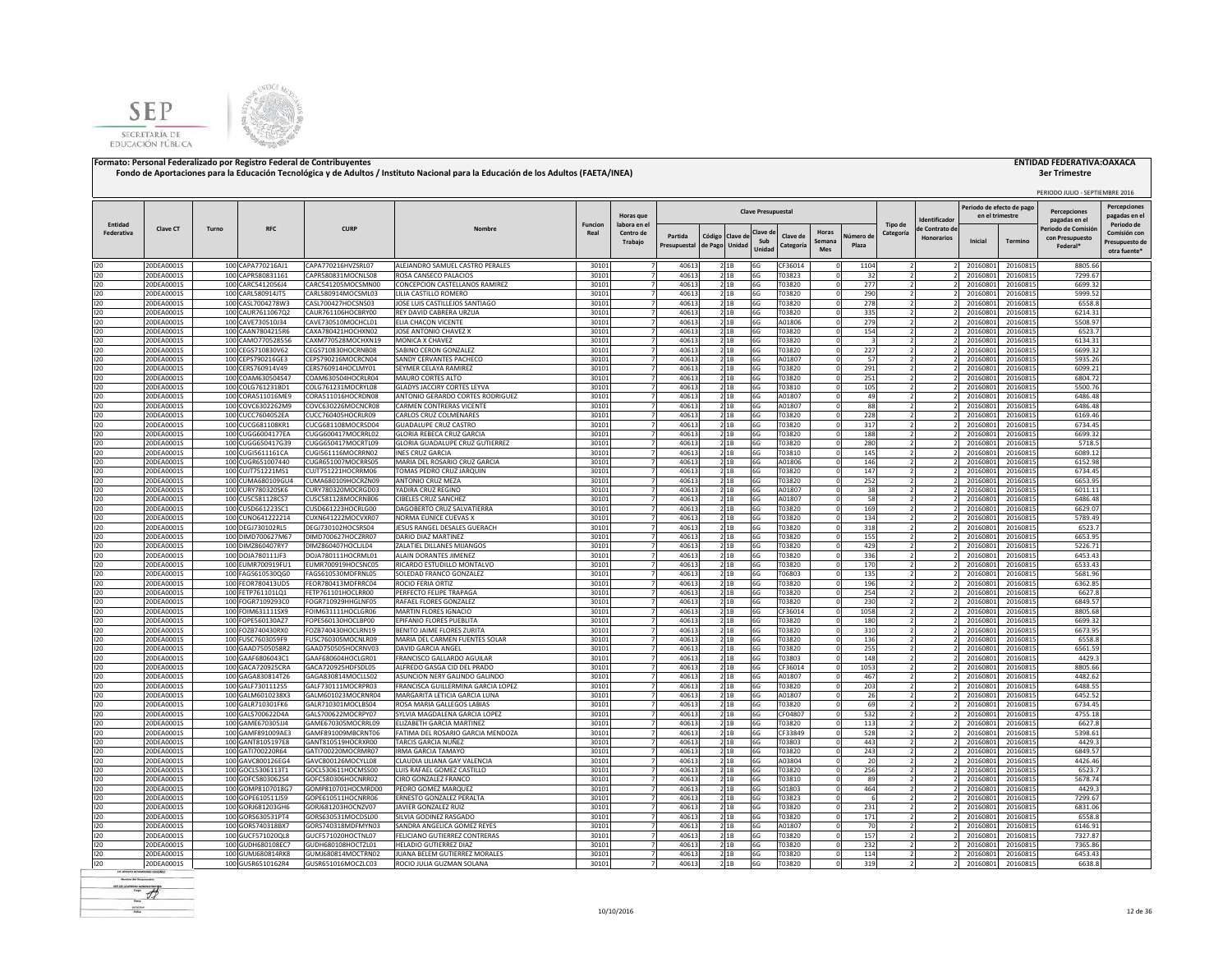



|                       |                          |       |                                        |                                          |                                                              |                        |                                  |                |                |                 |                           |                   |               |             |                                  |                   | Periodo de efecto de pag |                      | PERIODO JULIO - SEPTIEMBRE 2016      | <b>Percepciones</b>            |
|-----------------------|--------------------------|-------|----------------------------------------|------------------------------------------|--------------------------------------------------------------|------------------------|----------------------------------|----------------|----------------|-----------------|---------------------------|-------------------|---------------|-------------|----------------------------------|-------------------|--------------------------|----------------------|--------------------------------------|--------------------------------|
|                       |                          |       |                                        |                                          |                                                              |                        | Horas que                        |                |                |                 | <b>Clave Presupuestal</b> |                   |               |             |                                  | dentificado       | en el trimestre          |                      | <b>Percenciones</b><br>pagadas en el | pagadas en e                   |
| Entidad<br>Federativa | <b>Clave CT</b>          | Turno | <b>RFC</b>                             | <b>CURP</b>                              | Nombr                                                        | <b>Funcion</b><br>Real | labora en el<br>Centro de        | Partida        | Código Clave d |                 | Clave d                   | Clave de          | Horas         | Vúmero de   | Tipo de<br>Categoría             | e Contrato d      |                          |                      | eriodo de Comisió                    | Periodo de<br>Comisión cor     |
|                       |                          |       |                                        |                                          |                                                              |                        | Trabajo                          | Presupuestal   | de Pago Unidad |                 | Sub<br>Unida              | Categoría         | Semana<br>Mes | Plaza       |                                  | <b>Honorarios</b> | Inicial                  | Termino              | con Presupuesto<br>Federal*          | Presupuesto de<br>otra fuente' |
| 120                   | 20DEA0001S               |       | 100 CAPA770216AJ1                      | CAPA770216HVZSRL07                       | ALEJANDRO SAMUEL CASTRO PERALES                              | 30101                  | $\overline{7}$                   | 40613          | 2 1B           |                 | 6G                        | CF36014           |               | 1104        |                                  |                   | 20160801                 | 20160815             | 8805.66                              |                                |
| 120                   | 20DEA0001S               |       | 100 CAPR580831161                      | CAPR580831MOCNLS08                       | ROSA CANSECO PALACIOS                                        | 30101                  | $\overline{7}$                   | 40613          |                | 21B             | 6G                        | T03823            |               | 32          | $\overline{2}$                   |                   | 20160801                 | 20160815             | 7299.67                              |                                |
| 120                   | 20DEA0001S               |       | 100 CARC5412056J4                      | CARC541205MOCSMN00                       | CONCEPCION CASTELLANOS RAMIREZ                               | 30101                  | $\overline{7}$                   | 40613          |                | 21B             | 6G                        | T03820            |               | 277         |                                  |                   | 20160801                 | 20160815             | 6699.32                              |                                |
| 120                   | 20DEA0001S               |       | 100 CARL580914JT5                      | CARL580914MOCSML03                       | LILIA CASTILLO ROMERO                                        | 30101                  |                                  | 40613          |                | 21B             | 6G                        | T03820            |               | 290         |                                  |                   | 20160801                 | 20160815             | 5999.52                              |                                |
| 120                   | 20DEA0001S               |       | 100 CASL7004278W3                      | CASL700427HOCSNS03                       | JOSE LUIS CASTILLEJOS SANTIAGO                               | 30101                  |                                  | 40613          |                | 2 1 B           | 6G                        | T03820            |               | 278         |                                  |                   | 20160801                 | 20160815             | 6558.8                               |                                |
| 120<br>120            | 20DEA0001S<br>20DEA0001S |       | 100 CAUR7611067Q2<br>100 CAVE730510J34 | CAUR761106HOCBRY00<br>CAVE730510MOCHCL01 | REY DAVID CABRERA URZUA<br>ELIA CHACON VICENTE               | 30101<br>30101         |                                  | 40613<br>40613 |                | 2 1 B<br>2 1 B  | 6G<br>6G                  | T03820<br>A01806  |               | 335<br>279  |                                  |                   | 20160801<br>2016080      | 20160815<br>20160815 | 6214.31<br>5508.97                   |                                |
| 120                   | 20DEA0001S               |       | 100 CAAN7804215R6                      | CAXA780421HOCHXN02                       | JOSE ANTONIO CHAVEZ X                                        | 30101                  |                                  | 40613          |                | 21B             | 6G                        | T03820            |               | 154         |                                  |                   | 20160801                 | 20160815             | 6523.7                               |                                |
| 120                   | 20DEA0001S               |       | 100 CAMO770528556                      | CAXM770528MOCHXN19                       | MONICA X CHAVEZ                                              | 30101                  |                                  | 40613          |                | 21B             | 6G                        | T03820            |               |             |                                  |                   | 20160801                 | 20160815             | 6134.31                              |                                |
| 120                   | 20DEA0001S               |       | 100 CEGS710830V62                      | CEGS710830HOCRNB08                       | SABINO CERON GONZALEZ                                        | 30101                  |                                  | 40613          |                | 21B             | 6G                        | T03820            |               | 227         |                                  |                   | 20160801                 | 20160815             | 6699.32                              |                                |
| 120                   | 20DEA0001S               |       | 100 CEPS790216GE3                      | CEPS790216MOCRCN04                       | SANDY CERVANTES PACHECC                                      | 30101                  |                                  | 40613          |                | 21B             | 6G                        | A01807            |               | 57          |                                  |                   | 20160801                 | 20160815             | 5935.26                              |                                |
| 120                   | 20DEA0001S               |       | 100 CERS760914V49                      | CERS760914HOCLMY01                       | SEYMER CELAYA RAMIREZ                                        | 30101<br>30101         |                                  | 40613          |                | 2 1 B           | 6G                        | T03820<br>T03820  |               | 291         |                                  |                   | 20160801                 | 20160815             | 6099.21<br>6804.72                   |                                |
| 120<br>120            | 20DEA0001S<br>20DEA0001S |       | 100 COAM630504S47<br>100 COLG761231BD1 | COAM630504HOCRLR04<br>COLG761231MOCRYL08 | MAURO CORTES ALTO<br>GLADYS JACCIRY CORTES LEYVA             | 30101                  | $\overline{7}$                   | 40613<br>40613 |                | 2 1 B<br>2 1 B  | 6G<br>6G                  | T03810            |               | 251<br>105  | $\overline{z}$                   |                   | 20160801<br>20160801     | 20160815<br>20160815 | 5500.76                              |                                |
| 120                   | 20DEA0001S               |       | 100 CORA511016ME9                      | CORA511016HOCRDN08                       | ANTONIO GERARDO CORTES RODRIGUEZ                             | 30101                  |                                  | 40613          |                | 2 1 B           | 6G                        | A01807            |               | 49          |                                  |                   | 20160801                 | 20160815             | 6486.48                              |                                |
| 120                   | 20DEA0001S               |       | 100 COVC6302262M9                      | COVC630226MOCNCR08                       | <b>CARMEN CONTRERAS VICENTE</b>                              | 30101                  |                                  | 40613          |                | 21B             | 6G                        | A01807            |               | 88          |                                  |                   | 20160801                 | 20160815             | 6486.48                              |                                |
| 120                   | 20DEA0001S               |       | 100 CUCC7604052EA                      | CUCC760405HOCRLR09                       | CARLOS CRUZ COLMENARES                                       | 30101                  | 7                                | 40613          |                | 2 1B            | 6G                        | T03820            |               | 228         |                                  |                   | 2016080                  | 20160815             | 6169.46                              |                                |
| 120                   | 20DEA0001S               |       | 100 CUCG681108KR1                      | CUCG681108MOCRSD04                       | <b>GUADALUPE CRUZ CASTRO</b>                                 | 30101                  | $\overline{7}$                   | 40613          |                | 2 1B            | 6G                        | T03820            |               | 317         | $\overline{\phantom{a}}$         |                   | 2016080                  | 20160815             | 6734.45                              |                                |
| 120                   | 20DEA0001S               |       | 100 CUGG6004177EA                      | CUGG600417MOCRRL02                       | <b>GLORIA REBECA CRUZ GARCIA</b>                             | 30101                  | $\overline{7}$                   | 40613          |                | 21B             | 6G                        | T03820            |               | 188         | $\overline{2}$                   |                   | 20160801                 | 20160815             | 6699.32                              |                                |
| 120                   | 20DEA0001S               |       | 100 CUGG650417G39                      | CUGG650417MOCRTL09                       | GLORIA GUADALUPE CRUZ GUTIERREZ<br><b>INFS CRUZ GARCIA</b>   | 30101                  | $\overline{7}$                   | 40613          |                | 21B             | 6G                        | T03820            |               | 280         | $\overline{z}$<br>$\overline{2}$ |                   | 20160801                 | 20160815             | 5718.5                               |                                |
| 120<br>120            | 20DEA0001S<br>20DEA0001S |       | 100 CUGI5611161CA<br>100 CUGR651007440 | CUGI561116MOCRRN02<br>CUGR651007MOCRRS05 | MARIA DEL ROSARIO CRUZ GARCIA                                | 30101<br>30101         | $\overline{7}$<br>$\overline{z}$ | 40613<br>40613 | 2 1B           | 21B             | 6G<br>6G                  | T03810<br>A01806  |               | 145<br>146  | $\overline{z}$                   |                   | 20160801<br>2016080      | 20160815<br>20160815 | 6089.12<br>6152.98                   |                                |
| 120                   | 20DEA0001S               |       | 100 CUJT751221MS1                      | CUJT751221HOCRRM06                       | TOMAS PEDRO CRUZ JARQUIN                                     | 30101                  |                                  | 40613          |                | 21B             | 6G                        | T03820            |               | 147         |                                  |                   | 20160801                 | 20160815             | 6734.45                              |                                |
| 120                   | 20DEA0001S               |       | 100 CUMA680109GU4                      | CUMA680109HOCRZN09                       | ANTONIO CRUZ MEZA                                            | 30101                  |                                  | 40613          |                | 2 1 B           | 6G                        | T03820            |               | 252         |                                  |                   | 20160801                 | 20160815             | 6653.95                              |                                |
| 120                   | 20DEA0001S               |       | 100 CURY780320SK6                      | CURY780320MOCRGD03                       | YADIRA CRUZ REGINO                                           | 30101                  |                                  | 40613          |                | 21B             | 6G                        | A01807            |               | 38          |                                  |                   | 20160801                 | 20160815             | 6011.11                              |                                |
| 120                   | 20DEA0001S               |       | 100 CUSC581128CS7                      | CUSC581128MOCRNB06                       | CIBELES CRUZ SANCHEZ                                         | 30101                  |                                  | 40613          | 2 1B           |                 | 6G                        | A01807            |               | 58          |                                  |                   | 2016080                  | 20160815             | 6486.48                              |                                |
| 120                   | 20DEA0001S               |       | 100 CUSD661223SC1                      | CUSD661223HOCRLG00                       | DAGOBERTO CRUZ SALVATIERRA                                   | 30101                  |                                  | 40613          |                | 2 1 B           | 6G                        | T03820            |               | 169         |                                  |                   | 2016080                  | 20160815             | 6629.07                              |                                |
| 120                   | 20DEA0001S               |       | 100 CUNO641222214                      | CUXN641222MOCVXR07                       | NORMA EUNICE CUEVAS X                                        | 30101                  |                                  | 40613          |                | 2 1 B           | 6G                        | T03820            |               | 134         |                                  |                   | 20160801                 | 20160815             | 5789.49                              |                                |
| 120<br>120            | 20DEA0001S<br>20DEA0001S |       | 100 DEGJ730102RL5<br>100 DIMD700627M67 | DEGJ730102HOCSRS04<br>DIMD700627HOCZRR07 | JESUS RANGEL DESALES GUERACH<br>DARIO DIAZ MARTINEZ          | 30101<br>30101         |                                  | 40613<br>40613 |                | 21B<br>21B      | 6G<br>6G                  | T03820<br>T03820  |               | 318<br>155  |                                  |                   | 20160801<br>20160801     | 20160815<br>20160815 | 6523.7<br>6653.95                    |                                |
| 120                   | 20DEA0001S               |       | 100 DIMZ860407RY7                      | DIMZ860407HOCLJL04                       | ZALATIEL DILLANES MIJANGOS                                   | 30101                  |                                  | 40613          |                | 2 1 B           | 6G                        | T03820            |               | 429         |                                  |                   | 2016080                  | 20160815             | 5226.71                              |                                |
| 120                   | 20DEA0001S               |       | 100 DOJA780111JF3                      | DOJA780111HOCRML01                       | ALAIN DORANTES JIMENEZ                                       | 30101                  |                                  | 40613          |                | 2 1 B           | 6G                        | T03820            |               | 336         | $\overline{2}$                   |                   | 20160801                 | 20160815             | 6453.43                              |                                |
| 120                   | 20DEA0001S               |       | 100 EUMR700919FU1                      | EUMR700919HOCSNC05                       | RICARDO ESTUDILLO MONTALVO                                   | 30101                  | $\overline{7}$                   | 40613          | 21B            |                 | 6G                        | T03820            |               | 170         | $\overline{z}$                   |                   | 20160801                 | 20160815             | 6533.43                              |                                |
| 120                   | 20DEA0001S               |       | 100 FAGS610530QG0                      | FAGS610530MDFRNL05                       | SOLEDAD FRANCO GONZALEZ                                      | 30101                  |                                  | 40613          |                | 2 1 B           | 6G                        | T06803            |               | 135         |                                  |                   | 20160801                 | 20160815             | 5681.96                              |                                |
| 120                   | 20DEA0001S               |       | 100 FEOR780413UD5                      | FEOR780413MDFRRC04                       | ROCIO FERIA ORTIZ                                            | 30101                  |                                  | 40613          |                | 21B             | 6G                        | T03820            |               | 196         |                                  |                   | 20160801                 | 20160815             | 6362.85                              |                                |
| 120<br>120            | 20DEA0001S               |       | 100 FETP761101LQ1<br>100 FOGR7109293C0 | FETP761101HOCLRR00                       | PERFECTO FELIPE TRAPAGA                                      | 30101                  | $\overline{7}$                   | 40613          |                | 21B<br>21B      | 6G                        | T03820            |               | 254         |                                  |                   | 20160801                 | 20160815             | 6627.8<br>6849.57                    |                                |
| 120                   | 20DEA0001S<br>20DEA0001S |       | 100 FOIM631111SX9                      | FOGR710929HHGLNF05<br>FOIM631111HOCLGR06 | RAFAEL FLORES GONZALEZ<br>MARTIN FLORES IGNACIO              | 30101<br>30101         | $\overline{7}$                   | 40613<br>40613 |                | 21B             | 6G<br>6G                  | T03820<br>CF36014 |               | 230<br>1058 | $\overline{\phantom{a}}$         |                   | 2016080<br>20160801      | 20160815<br>20160815 | 8805.68                              |                                |
| 120                   | 20DEA0001S               |       | 100 FOPE560130AZ7                      | FOPE560130HOCLBP00                       | EPIFANIO FLORES PUEBLITA                                     | 30101                  | $\overline{7}$                   | 40613          |                | 2 1 B           | 6G                        | T03820            |               | 180         | $\overline{2}$                   |                   | 20160801                 | 20160815             | 6699.32                              |                                |
| 120                   | 20DEA0001S               |       | 100 FOZB740430RX0                      | FOZB740430HOCLRN19                       | BENITO JAIME FLORES ZURITA                                   | 30101                  | 7                                | 40613          |                | 21B             | 6G                        | T03820            |               | 310         | $\overline{z}$                   |                   | 20160801                 | 20160815             | 6673.95                              |                                |
| 120                   | 20DEA0001S               |       | 100 FUSC7603059F9                      | FUSC760305MOCNLR09                       | MARIA DEL CARMEN FUENTES SOLAR                               | 30101                  | 7                                | 40613          |                | 21B             | 6G                        | T03820            |               | 136         | $\overline{2}$                   |                   | 20160801                 | 20160815             | 6558.8                               |                                |
| 120                   | 20DEA0001S               |       | 100 GAAD7505058R2                      | GAAD750505HOCRNV03                       | DAVID GARCIA ANGEL                                           | 30101                  | $\overline{z}$                   | 40613          | 21B            |                 | 6G                        | T03820            |               | 255         | $\overline{z}$                   |                   | 20160801                 | 20160815             | 6561.59                              |                                |
| 120                   | 20DEA0001S               |       | 100 GAAF6806043C1                      | GAAF680604HOCLGR01                       | FRANCISCO GALLARDO AGUILAR                                   | 30101                  |                                  | 40613          |                | 21B             | 6G                        | T03803            |               | 148         |                                  |                   | 20160801                 | 20160815             | 4429.3                               |                                |
| 120<br>120            | 20DEA0001S<br>20DEA0001S |       | 100 GACA720925CRA                      | GACA720925HDFSDL05<br>GAGA830814MOCLLS02 | ALFREDO GASGA CID DEL PRADO<br>ASUNCION NERY GALINDO GALINDO | 30101<br>30101         |                                  | 40613<br>40613 |                | 2 1 B           | 6G<br>6G                  | CF36014<br>A01807 |               | 1053<br>467 |                                  |                   | 20160801<br>20160801     | 20160815<br>20160815 | 8805.66<br>4482.62                   |                                |
| 120                   | 20DEA0001S               |       | 100 GAGA830814T26<br>100 GALF7301112S5 | GALF730111MOCRPR03                       | FRANCISCA GUILLERMINA GARCIA LOPEZ                           | 30101                  |                                  | 40613          |                | 21B<br>2 1 B    | 6G                        | T03820            |               | 203         |                                  |                   | 2016080                  | 20160815             | 6488.55                              |                                |
| 120                   | 20DEA0001S               |       | 100 GALM6010238X3                      | GALM601023MOCRNR04                       | MARGARITA LETICIA GARCIA LUNA                                | 30101                  |                                  | 40613          |                | 21B             | 6G                        | A01807            |               | 26          |                                  |                   | 20160801                 | 20160815             | 6452.52                              |                                |
| 120                   | 20DEA0001S               |       | 100 GALR710301FK6                      | GALR710301MOCLBS04                       | ROSA MARIA GALLEGOS LABIAS                                   | 30101                  |                                  | 40613          |                | 21B             | 6G                        | T03820            |               | 69          |                                  |                   | 20160801                 | 20160815             | 6734.45                              |                                |
| 120                   | 20DEA0001S               |       | 100 GALS700622D4A                      | GALS700622MOCRPY07                       | SYLVIA MAGDALENA GARCIA LOPEZ                                | 30101                  |                                  | 40613          |                | 21B             | 6G                        | CF04807           |               | 532         |                                  |                   | 20160801                 | 20160815             | 4755.18                              |                                |
| 120                   | 20DEA0001S               |       | 100 GAME670305JJ4                      | GAME670305MOCRRL09                       | <b>FLIZABETH GARCIA MARTINEZ</b>                             | 30101                  | 7                                | 40613          |                | 2 1 B           | 6G                        | T03820            |               | 113         |                                  |                   | 20160801                 | 20160815             | 6627.8                               |                                |
| 120                   | 20DEA0001S               |       | 100 GAMF891009AE3                      | GAMF891009MBCRNT06                       | FATIMA DEL ROSARIO GARCIA MENDOZA                            | 30101                  |                                  | 40613          |                | 21B             | 6G                        | CF33849           |               | 528         |                                  |                   | 20160801                 | 20160815             | 5398.61                              |                                |
| 120                   | 20DEA0001S               |       | 100 GANT8105197E8                      | GANT810519HOCRXR00                       | TARCIS GARCIA NUÑEZ<br><b>IRMA GARCIA TAMAYO</b>             | 30101                  |                                  | 40613          |                | 2 1 B           | 6G                        | <b>F03803</b>     |               | 443<br>243  |                                  |                   | 20160801<br>20160801     | 20160815             | 4429.3<br>6849.57                    |                                |
| 120<br>120            | 20DEA0001S<br>20DEA0001S |       | 100 GATI700220R64<br>100 GAVC800126EG4 | GATI700220MOCRMR07<br>GAVC800126MOCYLL08 | CLAUDIA LILIANA GAY VALENCIA                                 | 30101<br>30101         | 7                                | 40613<br>40613 |                | 2 1 B<br>2 1 B  | 6G<br>6G                  | T03820<br>A03804  |               | 20          | 2                                |                   | 20160801                 | 20160815<br>20160815 | 4426.46                              |                                |
| 120                   | 20DEA0001S               |       | 100 GOCL5306113T1                      | GOCL530611HOCMSS00                       | LUIS RAFAEL GOMEZ CASTILLO                                   | 30101                  |                                  | 40613          |                | 2 <sup>1B</sup> | 6G                        | T03820            |               | 256         |                                  |                   | 2016080                  | 20160815             | 6523.7                               |                                |
| 120                   | 20DEA0001S               |       | 100 GOFC5803062S4                      | GOFC580306HOCNRR02                       | <b>CIRO GONZALEZ FRANCO</b>                                  | 30101                  | $\overline{7}$                   | 40613          |                | 2 1 B           | 6G                        | T03810            |               | 89          |                                  |                   | 2016080                  | 20160815             | 5678.74                              |                                |
| 120                   | 20DEA0001S               |       | 100 GOMP8107018G7                      | GOMP810701HOCMRD00                       | PEDRO GOMEZ MARQUEZ                                          | 30101                  | $\overline{7}$                   | 40613          |                | 2 1 B           | 6G                        | S01803            |               | 464         |                                  |                   | 2016080                  | 20160815             | 4429.3                               |                                |
| 120                   | 20DEA0001S               |       | 100 GOPE610511J59                      | GOPE610511HOCNRR06                       | ERNESTO GONZALEZ PERALTA                                     | 30101                  | $\overline{7}$                   | 40613          |                | 2 1B            | 6G                        | T03823            |               | 6           | $\overline{\phantom{a}}$         |                   | 20160801                 | 20160815             | 7299.67                              |                                |
| 120                   | 20DEA0001S               |       | 100 GORJ681203GH6                      | GORJ681203HOCNZV07                       | JAVIER GONZALEZ RUIZ                                         | 30101                  | $\overline{7}$                   | 40613          |                | 2 1 B           | 6G                        | T03820            |               | 231         | $\overline{2}$                   |                   | 20160801                 | 20160815             | 6831.06                              |                                |
| 120                   | 20DEA0001S               |       | 100 GORS630531PT4                      | GORS630531MOCDSL00                       | SILVIA GODINEZ RASGADO                                       | 30101                  | $\overline{7}$<br>$\overline{7}$ | 40613<br>40613 |                | 21B             | 6G                        | T03820<br>A01807  |               | 171         | $\overline{2}$                   |                   | 20160801<br>2016080      | 20160815             | 6558.8<br>6146.91                    |                                |
| 120<br>120            | 20DEA0001S<br>20DEA0001S |       | 100 GORS740318BX7<br>100 GUCF571020QL8 | GORS740318MDFMYN03<br>GUCF571020HOCTNL07 | SANDRA ANGELICA GOMEZ REYES<br>FELICIANO GUTIERREZ CONTRERAS | 30101<br>30101         | $\overline{7}$                   | 40613          | 2 1B           | 2 1B            | 6G<br>6G                  | T03820            |               | 70<br>157   |                                  |                   | 20160801                 | 20160815<br>20160815 | 7327.87                              |                                |
| 120                   | 20DEA0001S               |       | 100 GUDH680108EC7                      | GUDH680108HOCTZL01                       | <b>HELADIO GUTIERREZ DIAZ</b>                                | 30101                  |                                  | 40613          |                | 21B             | 6G                        | T03820            |               | 232         |                                  |                   | 2016080                  | 20160815             | 7365.86                              |                                |
| 120                   | 20DEA0001S               |       | 100 GUMJ680814RK8                      | GUMJ680814MOCTRN02                       | JUANA BELEM GUTIERREZ MORALES                                | 30101                  |                                  | 40613          |                | 2 1B            | 6G                        | T03820            |               | 114         |                                  |                   | 20160801                 | 20160815             | 6453.43                              |                                |
| 120                   | 20DEA0001S               |       | 100 GUSR6510162R4                      | GUSR651016MOCZLC03                       | ROCIO JULIA GUZMAN SOLANA                                    | 30101                  |                                  | 40613          |                | 2 1 B           | 6G                        | T03820            |               | 319         |                                  |                   | 20160801                 | 20160815             | 6638.8                               |                                |
|                       |                          |       |                                        |                                          |                                                              |                        |                                  |                |                |                 |                           |                   |               |             |                                  |                   |                          |                      |                                      |                                |

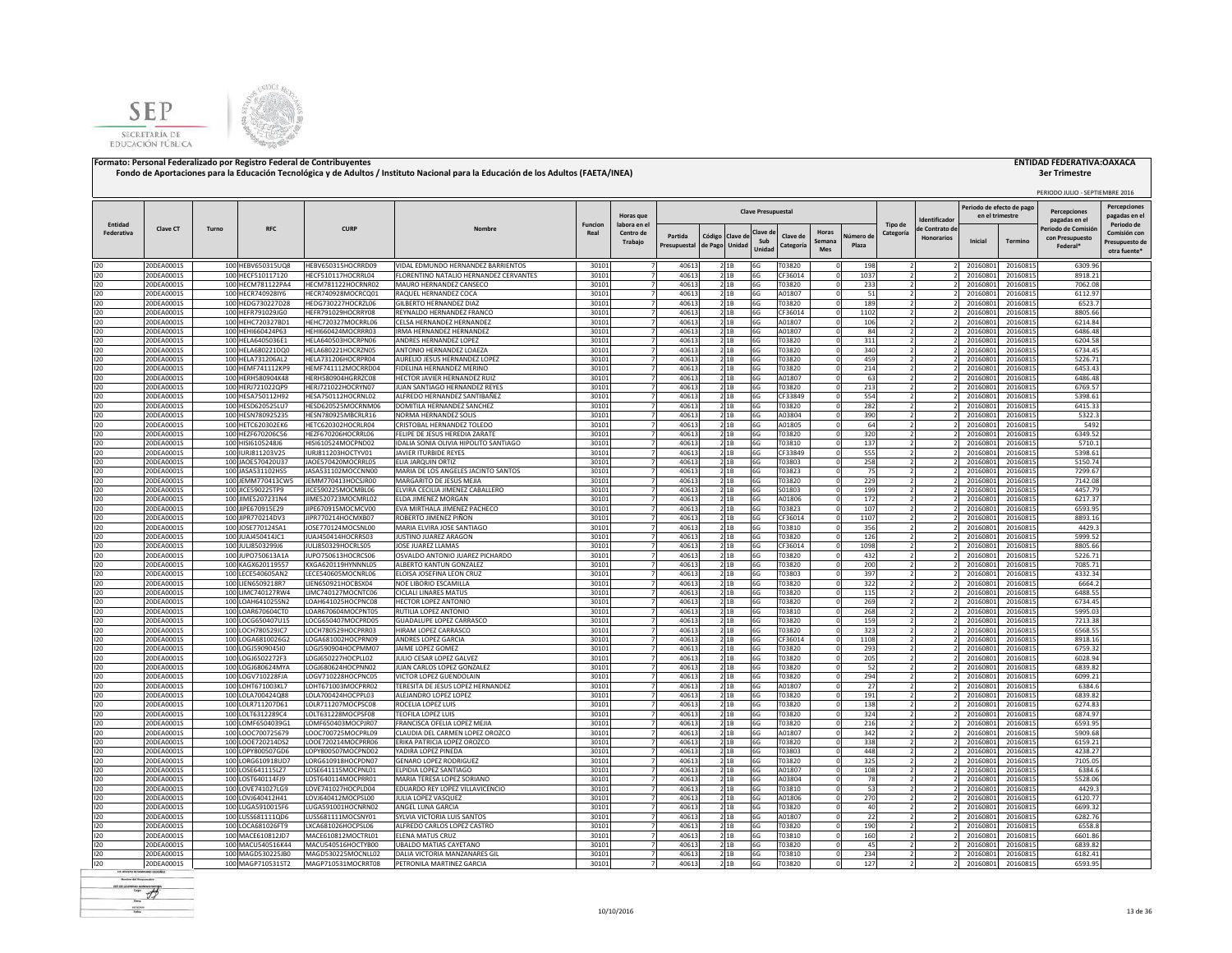



|            |                          |       |                                        |                                          |                                                                |                |                                  |                         |                           |                |                           |                       |                        |                    |                                  |                                     | Periodo de efecto de pago |                      | PERIODO JULIO - SEPTIEMBRE 2016                   | <b>Percepciones</b>                            |
|------------|--------------------------|-------|----------------------------------------|------------------------------------------|----------------------------------------------------------------|----------------|----------------------------------|-------------------------|---------------------------|----------------|---------------------------|-----------------------|------------------------|--------------------|----------------------------------|-------------------------------------|---------------------------|----------------------|---------------------------------------------------|------------------------------------------------|
| Entidad    |                          |       |                                        |                                          |                                                                | <b>Funcion</b> | Horas que<br>labora en el        |                         |                           |                | <b>Clave Presupuestal</b> |                       |                        |                    | Tipo de                          | dentificado                         | en el trimestre           |                      | Percenciones<br>pagadas en el                     | pagadas en e<br>Periodo de                     |
| Federativa | Clave CT                 | Turno | RFC                                    | <b>CURP</b>                              | Nombre                                                         | Real           | Centro de<br>Trabajo             | Partida<br>Presupuestal | Código Clave d<br>de Pago | Unidad         | Clave d<br>Sub<br>Unidad  | Clave de<br>Categoría | Horas<br>Semana<br>Mes | Vúmero de<br>Plaza | Categoría                        | le Contrato de<br><b>Honorarios</b> | Inicial                   | <b>Termino</b>       | Periodo de Comisió<br>con Presupuesto<br>Federal* | Comisión cor<br>Presupuesto de<br>otra fuente' |
| 120        | 20DEA0001S               |       | 100 HEBV650315UQ8                      | HEBV650315HOCRRD09                       | VIDAL EDMUNDO HERNANDEZ BARRIENTOS                             | 30101          | $\overline{7}$                   | 40613                   |                           | 2 1 B          | 6G                        | T03820                |                        | 198                |                                  |                                     | 20160801                  | 20160815             | 6309.96                                           |                                                |
| 120        | 20DEA0001S               |       | 100 HECF510117120                      | HECF510117HOCRRL04                       | FLORENTINO NATALIO HERNANDEZ CERVANTES                         | 30101          | $\overline{7}$                   | 40613                   |                           | 21B            | 6G                        | CF36014               |                        | 1037               | $\overline{2}$                   |                                     | 20160801                  | 20160815             | 8918.21                                           |                                                |
| 120<br>120 | 20DEA0001S<br>20DEA0001S |       | 100 HECM781122PA4<br>100 HECR740928IY6 | HECM781122HOCRNR02<br>HECR740928MOCRCQ01 | MAURO HERNANDEZ CANSECO<br>RAQUEL HERNANDEZ COCA               | 30101<br>30101 | $\overline{7}$                   | 40613<br>40613          |                           | 21B<br>21B     | 6G<br>6G                  | T03820<br>A01807      |                        | 233<br>51          |                                  |                                     | 20160801<br>20160801      | 20160815<br>20160815 | 7062.08<br>6112.97                                |                                                |
| 120        | 20DEA0001S               |       | 100 HEDG730227D28                      | HEDG730227HOCRZL06                       | <b>ILBERTO HERNANDEZ DIAZ</b>                                  | 30101          |                                  | 40613                   |                           | 2 1B           | 6G                        | T03820                |                        | 189                |                                  |                                     | 20160801                  | 20160815             | 6523.7                                            |                                                |
| 120        | 20DEA0001S               |       | 100 HEFR791029JG0                      | HEFR791029HOCRRY08                       | REYNALDO HERNANDEZ FRANCO                                      | 30101          |                                  | 40613                   |                           | 21B            | 6G                        | CF36014               |                        | 1102               |                                  |                                     | 20160801                  | 20160815             | 8805.66                                           |                                                |
| 120        | 20DEA0001S               |       | 100 HEHC720327BD1                      | HEHC720327MOCRRL06                       | CELSA HERNANDEZ HERNANDEZ                                      | 30101          |                                  | 40613                   |                           | 21B            | 6G                        | A01807                |                        | 106                |                                  |                                     | 20160801                  | 20160815             | 6214.84                                           |                                                |
| 120        | 20DEA0001S               |       | 100 HEHI660424P63                      | HEHI660424MOCRRR03                       | RMA HERNANDEZ HERNANDEZ                                        | 30101          | $\overline{7}$                   | 40613                   |                           | 21B            | 6G                        | A01807                |                        | 84                 |                                  |                                     | 20160801                  | 20160815             | 6486.48                                           |                                                |
| 120        | 20DEA0001S               |       | 100 HELA6405036E1                      | HELA640503HOCRPN06                       | ANDRES HERNANDEZ LOPEZ                                         | 30101          | 7                                | 40613                   |                           | 2 1 B          | 6G                        | T03820                |                        | 311                |                                  |                                     | 20160801                  | 20160815             | 6204.58                                           |                                                |
| 120<br>120 | 20DEA0001S<br>20DEA0001S |       | 100 HELA680221DQ0<br>100 HELA731206AL2 | HELA680221HOCRZN05<br>HELA731206HOCRPR04 | ANTONIO HERNANDEZ LOAEZA<br>AURELIO JESUS HERNANDEZ LOPEZ      | 30101<br>30101 | $\overline{7}$<br>7              | 40613<br>40613          |                           | 2 1 B<br>2 1 B | 6G<br>6G                  | T03820<br>T03820      |                        | 340<br>459         | 2                                |                                     | 20160801<br>20160801      | 20160815<br>20160815 | 6734.45<br>5226.71                                |                                                |
| 120        | 20DEA0001S               |       | 100 HEMF741112KP9                      | HEMF741112MOCRRD04                       | FIDELINA HERNANDEZ MERINO                                      | 30101          | $\overline{7}$                   | 40613                   |                           | 21B            | 6G                        | T03820                |                        | 214                |                                  |                                     | 20160801                  | 20160815             | 6453.43                                           |                                                |
| 120        | 20DEA0001S               |       | 100 HERH580904K48                      | HERH580904HGRRZC08                       | HECTOR JAVIER HERNANDEZ RUIZ                                   | 30101          | $\overline{7}$                   | 40613                   |                           | 2 1B           | 6G                        | A01807                |                        | 63                 |                                  |                                     | 2016080                   | 20160815             | 6486.48                                           |                                                |
| 120        | 20DEA0001S               |       | 100 HERJ721022QP9                      | HERJ721022HOCRYN07                       | JUAN SANTIAGO HERNANDEZ REYES                                  | 30101          | 7                                | 40613                   |                           | 21B            | 6G                        | T03820                |                        | 213                |                                  |                                     | 20160801                  | 20160815             | 6769.57                                           |                                                |
| 120        | 20DEA0001S               |       | 100 HESA750112H92                      | HESA750112HOCRNL02                       | ALFREDO HERNANDEZ SANTIBAÑEZ                                   | 30101          | 7                                | 40613                   |                           | 21B            | 6G                        | CF33849               |                        | 554                |                                  |                                     | 20160801                  | 20160815             | 5398.61                                           |                                                |
| 120        | 20DEA0001S               |       | 100 HESD620525LU7                      | HESD620525MOCRNM06                       | DOMITILA HERNANDEZ SANCHEZ                                     | 30101          | 7                                | 40613                   |                           | 21B            | 6G                        | T03820                |                        | 282                | $\overline{2}$                   |                                     | 20160801                  | 20160815             | 6415.33                                           |                                                |
| 120<br>120 | 20DEA0001S<br>20DEA0001S |       | 100 HESN780925235<br>100 HETC620302EK6 | HESN780925MBCRLR16<br>HETC620302HOCRLR04 | NORMA HERNANDEZ SOLIS<br>CRISTOBAL HERNANDEZ TOLEDO            | 30101<br>30101 | 7<br>7                           | 40613<br>40613          |                           | 21B<br>21B     | 6G<br>6G                  | A03804<br>A01805      |                        | 390<br>64          |                                  |                                     | 20160801<br>20160801      | 20160815             | 5322.3<br>5492                                    |                                                |
| 120        | 20DEA0001S               |       | 100 HEZF670206C56                      | HEZF670206HOCRRL06                       | FELIPE DE JESUS HEREDIA ZARATE                                 | 30101          | $\overline{7}$                   | 40613                   |                           | 2 1B           | 6G                        | T03820                |                        | 320                |                                  |                                     | 20160801                  | 20160815<br>20160815 | 6349.52                                           |                                                |
| 120        | 20DEA0001S               | 100   | ISI6105248J6                           | HISI610524MOCPND02                       | DALIA SONIA OLIVIA HIPOLITO SANTIAGO                           | 30101          |                                  | 40613                   |                           | 21B            | 6G                        | T03810                |                        | 137                |                                  |                                     | 2016080                   | 20160815             | 5710.1                                            |                                                |
| 120        | 20DEA0001S               | 100   | JRJ811203V25                           | IURI811203HOCTYV01                       | <b>AVIER ITURBIDE REYES</b>                                    | 30101          |                                  | 40613                   |                           | 21B            | 6G                        | CF33849               |                        | 555                |                                  |                                     | 2016080                   | 20160815             | 5398.61                                           |                                                |
| 120        | 20DEA0001S               | 100   | JAOE570420U37                          | JAOE570420MOCRRL05                       | LIA JARQUIN ORTIZ                                              | 30101          |                                  | 40613                   |                           | 2 1 B          | 6G                        | T03803                |                        | 258                |                                  |                                     | 20160801                  | 20160815             | 5150.74                                           |                                                |
| 120        | 20DEA0001S               |       | 100 JASA531102HS5                      | JASA531102MOCCNN00                       | MARIA DE LOS ANGELES JACINTO SANTOS                            | 30101          |                                  | 40613                   |                           | 21B            | 6G                        | T03823                |                        | 75                 |                                  |                                     | 20160801                  | 20160815             | 7299.67                                           |                                                |
| 120        | 20DEA0001S               |       | 100 JEMM770413CW5                      | JEMM770413HOCSJR00                       | MARGARITO DE JESUS MEJIA                                       | 30101          |                                  | 40613                   |                           | 21B            | 6G                        | T03820                |                        | 229                |                                  |                                     | 20160801                  | 20160815             | 7142.08                                           |                                                |
| 120<br>120 | 20DEA0001S               |       | 100 JICE590225TP9                      | JICE590225MOCMBL06<br>JIME520723MOCMRL02 | FIVIRA CECILIA IIMENEZ CABALLERO<br>ELDA JIMENEZ MORGAN        | 30101          |                                  | 40613<br>40613          |                           | 2 1 B          | 6G                        | S01803                |                        | 199<br>172         | $\mathcal{L}$                    |                                     | 20160801<br>20160801      | 20160815             | 4457.79                                           |                                                |
| 120        | 20DEA0001S<br>20DEA0001S |       | 100 JIME5207231N4<br>100 JIPE670915E29 | JIPE670915MOCMCV00                       | EVA MIRTHALA JIMENEZ PACHECO                                   | 30101<br>30101 |                                  | 40613                   |                           | 21B<br>2 1 B   | 6G<br>6G                  | A01806<br>T03823      |                        | 107                |                                  |                                     | 20160801                  | 20160815<br>20160815 | 6217.37<br>6593.95                                |                                                |
| 120        | 20DEA0001S               |       | 100 JIPR770214DV3                      | JIPR770214HOCMXB07                       | ROBERTO JIMENEZ PIÑON                                          | 30101          | $\overline{7}$                   | 40613                   |                           | 21B            | 6G                        | CF36014               |                        | 1107               |                                  |                                     | 20160801                  | 20160815             | 8893.16                                           |                                                |
| 120        | 20DEA0001S               |       | 100 JOSE770124SA1                      | JOSE770124MOCSNL00                       | MARIA ELVIRA JOSE SANTIAGO                                     | 30101          | $\overline{7}$                   | 40613                   |                           | 21B            | 6G                        | T03810                |                        | 356                |                                  |                                     | 2016080                   | 20160815             | 4429.3                                            |                                                |
| 120        | 20DEA0001S               |       | 100 JUAJ450414JC1                      | JUAJ450414HOCRRS03                       | JUSTINO JUAREZ ARAGON                                          | 30101          | 7                                | 40613                   |                           | 21B            | 6G                        | T03820                |                        | 126                | $\overline{2}$                   |                                     | 20160801                  | 20160815             | 5999.52                                           |                                                |
| 120        | 20DEA0001S               |       | 100 JULI8503299J6                      | JULJ850329HOCRLS05                       | JOSE JUAREZ LLAMAS                                             | 30101          | 7                                | 40613                   |                           | 21B            | 6G                        | CF36014               |                        | 1098               | $\overline{2}$                   |                                     | 20160801                  | 20160815             | 8805.66                                           |                                                |
| 120        | 20DEA0001S               |       | 100 JUPO750613A1A                      | JUPO750613HOCRCS06                       | OSVALDO ANTONIO JUAREZ PICHARDO                                | 30101          | 7                                | 40613                   |                           | 21B            | 6G                        | T03820                |                        | 432                |                                  |                                     | 20160801                  | 20160815             | 5226.71                                           |                                                |
| 120<br>120 | 20DEA0001S<br>20DEA0001S |       | 100 KAGX620119557<br>100 LECE540605AN2 | KXGA620119HYNNNL05<br>LECE540605MOCNRL06 | ALBERTO KANTUN GONZALEZ<br>ELOISA JOSEFINA LEON CRUZ           | 30101<br>30101 | 7<br>$\overline{7}$              | 40613<br>40613          |                           | 21B<br>21B     | 6G<br>6G                  | T03820<br>T03803      |                        | 200<br>397         | $\overline{2}$                   |                                     | 20160801<br>20160801      | 20160815<br>20160815 | 7085.71<br>4332.34                                |                                                |
| 120        | 20DEA0001S               |       | 100 LIEN6509218R7                      | LIEN650921HOCBSX04                       | NOE LIBORIO ESCAMILLA                                          | 30101          | $\overline{7}$                   | 40613                   |                           | 21B            | 6G                        | T03820                |                        | 322                |                                  |                                     | 20160801                  | 20160815             | 6664.2                                            |                                                |
| 120        | 20DEA0001S               |       | 100 LIMC740127RW4                      | LIMC740127MOCNTC06                       | CICLALI LINARES MATUS                                          | 30101          | $\overline{7}$                   | 40613                   |                           | 21B            | 6G                        | T03820                |                        | 115                |                                  |                                     | 20160801                  | 20160815             | 6488.55                                           |                                                |
| 120        | 20DEA0001S               |       | 100 LOAH641025SN2                      | LOAH641025HOCPNC08                       | <b>IECTOR LOPEZ ANTONIO</b>                                    | 30101          |                                  | 40613                   |                           | 21B            | 6G                        | T03820                |                        | 269                |                                  |                                     | 20160801                  | 20160815             | 6734.45                                           |                                                |
| 120        | 20DEA0001S               |       | 100 LOAR670604CT0                      | LOAR670604MOCPNT05                       | RUTILIA LOPEZ ANTONIO                                          | 30101          |                                  | 40613                   |                           | 21B            | 6G                        | T03810                |                        | 268                |                                  |                                     | 20160801                  | 20160815             | 5995.03                                           |                                                |
| 120        | 20DEA0001S               |       | 100 LOCG650407U15                      | LOCG650407MOCPRD05                       | <b>GUADALUPE LOPEZ CARRASCO</b>                                | 30101          | 7                                | 40613                   |                           | 21B            | 6G                        | T03820                |                        | 159                | $\overline{2}$                   |                                     | 20160801                  | 20160815             | 7213.38                                           |                                                |
| 120        | 20DEA0001S               |       | 100 LOCH780529JC7                      | LOCH780529HOCPRR03                       | HIRAM LOPEZ CARRASCO                                           | 30101          |                                  | 40613                   |                           | 21B            | 6G                        | T03820                |                        | 323                |                                  |                                     | 20160801                  | 20160815             | 6568.55                                           |                                                |
| 120<br>120 | 20DEA0001S<br>20DEA0001S |       | 100 LOGA6810026G2<br>100 LOGJ590904510 | LOGA681002HOCPRN09<br>LOGJ590904HOCPMM07 | ANDRES LOPEZ GARCIA<br>JAIME LOPEZ GOMEZ                       | 30101<br>30101 | $\overline{7}$<br>$\overline{7}$ | 40613<br>40613          |                           | 2 1B<br>2 1 B  | 6G<br>6G                  | CF36014<br>T03820     |                        | 1108<br>293        | $\overline{2}$                   |                                     | 20160801<br>20160801      | 20160815<br>20160815 | 8918.16<br>6759.32                                |                                                |
| 120        | 20DEA0001S               |       | 100 LOGJ6502272F3                      | LOGJ650227HOCPLL02                       | JULIO CESAR LOPEZ GALVEZ                                       | 30101          | 7                                | 40613                   |                           | 21B            | 6G                        | T03820                |                        | 205                |                                  |                                     | 20160801                  | 20160815             | 6028.94                                           |                                                |
| 120        | 20DEA0001S               |       | 100 LOGJ680624MYA                      | LOGJ680624HOCPNN02                       | JUAN CARLOS LOPEZ GONZALEZ                                     | 30101          | $\overline{7}$                   | 40613                   |                           | 21B            | 6G                        | T03820                |                        | 52                 |                                  |                                     | 20160801                  | 20160815             | 6839.82                                           |                                                |
| 120        | 20DEA0001S               |       | 100 LOGV710228FJA                      | LOGV710228HOCPNC05                       | VICTOR LOPEZ GUENDOLAIN                                        | 30101          | $\overline{7}$                   | 40613                   |                           | 2 1B           | 6G                        | T03820                |                        | 294                |                                  |                                     | 2016080                   | 20160815             | 6099.21                                           |                                                |
| 120        | 20DEA0001S               |       | 100 LOHT671003KL7                      | LOHT671003MOCPRR02                       | TERESITA DE JESUS LOPEZ HERNANDEZ                              | 30101          | 7 <sup>1</sup>                   | 40613                   |                           | 21B            | 6G                        | A01807                |                        | 27                 |                                  |                                     | 2016080                   | 20160815             | 6384.6                                            |                                                |
| 120<br>120 | 20DEA0001S               |       | 100 LOLA700424Q88                      | LOLA700424HOCPPL03                       | ALEJANDRO LOPEZ LOPEZ                                          | 30101          | 7<br>7                           | 40613<br>40613          |                           | 21B<br>21B     | 6G<br>6G                  | T03820<br>T03820      |                        | 191<br>138         | $\overline{2}$<br>$\overline{2}$ |                                     | 20160801<br>20160801      | 20160815             | 6839.82<br>6274.83                                |                                                |
| 120        | 20DEA0001S<br>20DEA0001S |       | 100 LOLR711207D61<br>100 LOLT6312289C4 | LOLR711207MOCPSC08<br>LOLT631228MOCPSF08 | ROCELIA LOPEZ LUIS<br><b>TEOFILA LOPEZ LUIS</b>                | 30101<br>30101 | 7                                | 40613                   |                           | 21B            | 6G                        | T03820                |                        | 324                |                                  |                                     | 20160801                  | 20160815<br>20160815 | 6874.97                                           |                                                |
| 120        | 20DEA0001S               |       | 100 LOMF6504039G1                      | LOMF650403MOCPJR07                       | FRANCISCA OFELIA LOPEZ MEJIA                                   | 30101          | 7                                | 40613                   |                           | 21B            | 6G                        | T03820                |                        | 216                | $\overline{2}$                   |                                     | 20160801                  | 20160815             | 6593.95                                           |                                                |
| 120        | 20DEA0001S               |       | 100 LOOC700725679                      | LOOC700725MOCPRL09                       | CLAUDIA DEL CARMEN LOPEZ OROZCO                                | 30101          | 7                                | 40613                   |                           | 2 1 B          | 6G                        | A01807                |                        | 342                |                                  |                                     | 20160801                  | 20160815             | 5909.68                                           |                                                |
| 120        | 20DEA0001S               | 100   | OOE720214DS2                           | LOOE720214MOCPRR06                       | ERIKA PATRICIA LOPEZ OROZCO                                    | 30101          |                                  | 40613                   |                           | 21B            | 6G                        | T03820                |                        | 338                |                                  |                                     | 2016080                   | 20160815             | 6159.21                                           |                                                |
| 120        | 20DEA0001S               | 100   | LOPY800507GD6                          | LOPY800507MOCPND02                       | ADIRA LOPEZ PINEDA                                             | 30101          |                                  | 40613                   |                           | 21B            | 6G                        | T03803                |                        | 448                |                                  |                                     | 2016080                   | 20160815             | 4238.27                                           |                                                |
| 120        | 20DEA0001S               |       | 100 LORG610918UD7                      | LORG610918HOCPDN07                       | <b>GENARO LOPEZ RODRIGUEZ</b>                                  | 30101          |                                  | 40613                   |                           | 21B            | 6G                        | T03820                |                        | 325                |                                  |                                     | 20160801                  | 20160815             | 7105.05                                           |                                                |
| 120<br>120 | 20DEA0001S<br>20DEA0001S |       | 100 LOSE641115LZ7<br>100 LOST640114FJ9 | LOSE641115MOCPNL01<br>LOST640114MOCPRR01 | LPIDIA LOPEZ SANTIAGO<br>MARIA TERESA LOPEZ SORIANO            | 30101<br>30101 |                                  | 40613<br>40613          |                           | 21B<br>21B     | 6G<br>6G                  | A01807<br>A03804      |                        | 108<br>78          | $\overline{2}$                   |                                     | 20160801<br>20160801      | 20160815<br>20160815 | 6384.6<br>5528.06                                 |                                                |
| 120        | 20DEA0001S               |       | 100 LOVE741027LG9                      | LOVE741027HOCPLD04                       | EDUARDO REY LOPEZ VILLAVICENCIO                                | 30101          |                                  | 40613                   |                           | 2 1 B          | 6G                        | T03810                |                        | 53                 |                                  |                                     | 2016080                   | 20160815             | 4429.                                             |                                                |
| 120        | 20DEA0001S               |       | 100 LOVJ640412H41                      | LOVJ640412MOCPSL00                       | JULIA LOPEZ VASQUEZ                                            | 30101          | $\overline{7}$                   | 40613                   |                           | 2 1 B          | 6G                        | A01806                |                        | 270                | $\overline{2}$                   |                                     | 20160801                  | 20160815             | 6120.77                                           |                                                |
| 120        | 20DEA0001S               |       | 100 LUGA5910015F6                      | LUGA591001HOCNRN02                       | ANGEL LUNA GARCIA                                              | 30101          | 7                                | 40613                   |                           | 2 1 B          | 6G                        | T03820                |                        | 40                 | 2                                |                                     | 20160801                  | 20160815             | 6699.32                                           |                                                |
| 120        | 20DEA0001S               |       | 100 LUSS681111QD6                      | LUSS681111MOCSNY01                       | SYLVIA VICTORIA LUIS SANTOS                                    | 30101          |                                  | 40613                   |                           | 21B            | 6G                        | A01807                |                        | 22                 |                                  |                                     | 20160801                  | 20160815             | 6282.76                                           |                                                |
| 120        | 20DEA0001S               |       | 100 LOCA681026FT9                      | LXCA681026HOCPSL06                       | ALFREDO CARLOS LOPEZ CASTRO                                    | 30101          | $\overline{7}$                   | 40613                   |                           | 21B            | 6G                        | T03820                |                        | 190                |                                  |                                     | 2016080                   | 20160815             | 6558.8                                            |                                                |
| 120        | 20DEA0001S               |       | 100 MACE610812JD7                      | MACE610812MOCTRL01                       | LENA MATUS CRUZ                                                | 30101          | $\overline{7}$                   | 40613                   |                           | 21B            | 6G                        | T03810                |                        | 160                |                                  |                                     | 2016080                   | 20160815             | 6601.86                                           |                                                |
| 120<br>120 | 20DEA0001S<br>20DEA0001S |       | 100 MACU540516K44<br>100 MAGD530225JB0 | MACU540516HOCTYB00<br>MAGD530225MOCNLL02 | <b>UBALDO MATIAS CAYETANO</b><br>DALIA VICTORIA MANZANARES GIL | 30101<br>30101 | $\overline{7}$                   | 40613<br>71<br>40613    |                           | 21B<br>21B     | 6G<br>6G                  | T03820<br>T03810      |                        | 45<br>234          |                                  |                                     | 2016080<br>20160801       | 20160815<br>20160815 | 6839.82<br>6182.41                                |                                                |
| 120        | 20DEA0001S               |       | 100 MAGP710531ST2                      | MAGP710531MOCRRT08                       | PETRONILA MARTINEZ GARCIA                                      | 30101          | 7                                | 40613                   |                           | 21B            | 6G                        | T03820                |                        | 127                | $\overline{2}$                   |                                     | 20160801                  | 20160815             | 6593.95                                           |                                                |
|            |                          |       |                                        |                                          |                                                                |                |                                  |                         |                           |                |                           |                       |                        |                    |                                  |                                     |                           |                      |                                                   |                                                |

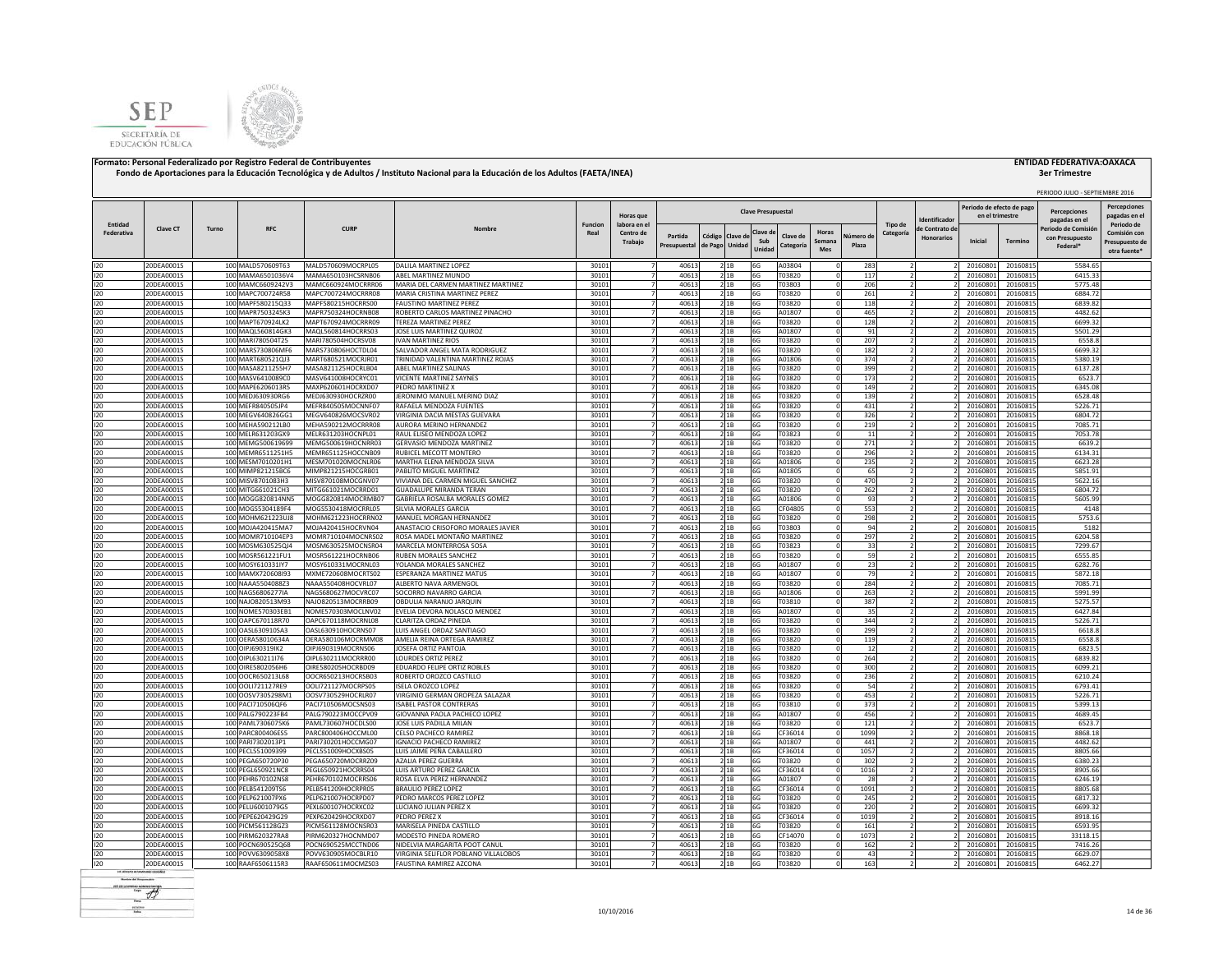



|                       |                          |       |                                        |                                          |                                                                       |                        |                                      |                         |                                  |                 |                           |                                                       |                    |                          |                                    | Periodo de efecto de pag |                      | PERIODO JULIO - SEPTIEMBRE 2016                   | <b>Percepciones</b>                                          |
|-----------------------|--------------------------|-------|----------------------------------------|------------------------------------------|-----------------------------------------------------------------------|------------------------|--------------------------------------|-------------------------|----------------------------------|-----------------|---------------------------|-------------------------------------------------------|--------------------|--------------------------|------------------------------------|--------------------------|----------------------|---------------------------------------------------|--------------------------------------------------------------|
|                       |                          |       |                                        |                                          |                                                                       |                        | Horas que                            |                         |                                  |                 | <b>Clave Presupuestal</b> |                                                       |                    |                          | dentificado                        | en el trimestre          |                      | <b>Percenciones</b><br>pagadas en el              | pagadas en e                                                 |
| Entidad<br>Federativa | <b>Clave CT</b>          | Turno | <b>RFC</b>                             | <b>CURP</b>                              | Nombr                                                                 | <b>Funcion</b><br>Real | labora en el<br>Centro de<br>Trabajo | Partida<br>Presupuestal | Código Clave d<br>de Pago Unidad |                 | Clave d<br>Sub<br>Unida   | Horas<br>Clave de<br>Semana<br><b>Categorí</b><br>Mes | Vúmero de<br>Plaza | Tipo de<br>Categoría     | le Contrato d<br><b>Honorarios</b> | Inicial                  | Termino              | Periodo de Comisió<br>con Presupuesto<br>Federal* | Periodo de<br>Comisión cor<br>Presupuesto de<br>otra fuente' |
| 120                   | 20DEA0001S               |       | 100 MALD570609T63                      | MALD570609MOCRPL05                       | DALILA MARTINEZ LOPEZ                                                 | 30101                  | $\overline{7}$                       | 40613                   | 2 1B                             |                 | 6G                        | A03804                                                | 283                |                          |                                    | 20160801                 | 20160815             | 5584.65                                           |                                                              |
| 120                   | 20DEA0001S               |       | 100 MAMA6501036V4                      | MAMA650103HCSRNB06                       | ABEL MARTINEZ MUNDO                                                   | 30101                  | $\overline{7}$<br>$\overline{7}$     | 40613                   | 21B                              |                 | 6G                        | T03820                                                | 117                | $\overline{2}$           |                                    | 20160801                 | 20160815             | 6415.33                                           |                                                              |
| 120<br>120            | 20DEA0001S<br>20DEA0001S |       | 100 MAMC6609242V3<br>100 MAPC700724R58 | MAMC660924MOCRRR06<br>MAPC700724MOCRRR08 | MARIA DEL CARMEN MARTINEZ MARTINEZ<br>MARIA CRISTINA MARTINEZ PEREZ   | 30101<br>30101         |                                      | 40613<br>40613          |                                  | 21B<br>2 1B     | 6G<br>6G                  | T03803<br>T03820                                      | 206<br>261         |                          |                                    | 20160801<br>20160801     | 20160815<br>20160815 | 5775.48<br>6884.72                                |                                                              |
| 120                   | 20DEA0001S               |       | 100 MAPF580215Q33                      | MAPF580215HOCRRS00                       | <b>FAUSTINO MARTINEZ PEREZ</b>                                        | 30101                  |                                      | 40613                   |                                  | 2 1 B           | 6G                        | T03820                                                | 118                |                          |                                    | 20160801                 | 20160815             | 6839.82                                           |                                                              |
| 120                   | 20DEA0001S               |       | 100 MAPR7503245K3                      | MAPR750324HOCRNB08                       | ROBERTO CARLOS MARTINEZ PINACHO                                       | 30101                  |                                      | 40613                   |                                  | 21B             | 6G                        | A01807                                                | 465                |                          |                                    | 20160801                 | 20160815             | 4482.62                                           |                                                              |
| 120                   | 20DEA0001S               |       | 100 MAPT670924LK2                      | MAPT670924MOCRRR09                       | TEREZA MARTINEZ PEREZ                                                 | 30101                  |                                      | 40613                   |                                  | 2 1B            | 6G                        | T03820                                                | 128                |                          |                                    | 20160801                 | 20160815             | 6699.32                                           |                                                              |
| 120                   | 20DEA0001S               |       | 100 MAQL560814GK3                      | MAQL560814HOCRRS03                       | JOSE LUIS MARTINEZ QUIROZ                                             | 30101                  |                                      | 40613                   |                                  | 21B             | 6G                        | A01807                                                | 91                 |                          |                                    | 20160801                 | 20160815             | 5501.29                                           |                                                              |
| 120<br>120            | 20DEA0001S<br>20DEA0001S |       | 100 MARI780504T25<br>100 MARS730806MF6 | MARI780504HOCRSV08<br>MARS730806HOCTDL04 | <b>IVAN MARTINEZ RIOS</b><br>SALVADOR ANGEL MATA RODRIGUEZ            | 30101<br>30101         |                                      | 40613<br>40613          |                                  | 21B<br>21B      | 6G<br>6G                  | T03820<br>T03820                                      | 207<br>182         |                          |                                    | 20160801<br>20160801     | 20160815<br>20160815 | 6558.8<br>6699.32                                 |                                                              |
| 120                   | 20DEA0001S               |       | 100 MART680521QJ3                      | MART680521MOCRJR01                       | TRINIDAD VALENTINA MARTINEZ ROJAS                                     | 30101                  | 7                                    | 40613                   |                                  | 2 1B            | 6G                        | A01806                                                | 374                |                          |                                    | 20160801                 | 20160815             | 5380.19                                           |                                                              |
| 120                   | 20DEA0001S               |       | 100 MASA8211255H7                      | MASA821125HOCRLB04                       | <b>ABFI MARTINEZ SALINAS</b>                                          | 30101                  |                                      | 40613                   |                                  | 2 1 B           | 6G                        | T03820                                                | 399                |                          |                                    | 20160801                 | 20160815             | 6137.28                                           |                                                              |
| 120                   | 20DEA0001S               |       | 100 MASV6410089C0                      | MASV641008HOCRYC01                       | VICENTE MARTINEZ SAYNES                                               | 30101                  |                                      | 40613                   |                                  | 2 1 B           | 6G                        | T03820                                                | 173                | 2                        |                                    | 20160801                 | 20160815             | 6523.7                                            |                                                              |
| 120                   | 20DEA0001S               |       | 100 MAPE6206013R5                      | MAXP620601HOCRXD07                       | PEDRO MARTINEZ X                                                      | 30101                  |                                      | 40613                   |                                  | 2 1 B           | 6G                        | T03820                                                | 149                |                          |                                    | 20160801                 | 20160815             | 6345.08                                           |                                                              |
| 120                   | 20DEA0001S               |       | 100 MEDJ630930RG6                      | MEDJ630930HOCRZR00                       | JERONIMO MANUEL MERINO DIAZ                                           | 30101                  |                                      | 40613                   |                                  | 21B             | 6G                        | T03820                                                | 139                |                          |                                    | 20160801                 | 20160815             | 6528.48                                           |                                                              |
| 120                   | 20DEA0001S               |       | 100 MEFR840505JP4                      | MEFR840505MOCNNF07                       | RAFAELA MENDOZA FUENTES                                               | 30101                  | $\overline{7}$<br>$\overline{7}$     | 40613                   |                                  | 2 1 B           | 6G                        | T03820                                                | 431                |                          |                                    | 2016080                  | 20160815             | 5226.71<br>6804.72                                |                                                              |
| 120<br>120            | 20DEA0001S<br>20DEA0001S |       | 100 MEGV640826GG1<br>100 MEHA590212LB0 | MEGV640826MOCSVR02<br>MEHA590212MOCRRR08 | VIRGINIA DACIA MESTAS GUEVARA<br>AURORA MERINO HERNANDEZ              | 30101<br>30101         | $\overline{7}$                       | 40613<br>40613          |                                  | 21B<br>2 1 B    | 6G<br>6G                  | T03820<br>T03820                                      | 326<br>219         | $\overline{\phantom{a}}$ |                                    | 2016080<br>20160801      | 20160815<br>20160815 | 7085.71                                           |                                                              |
| 120                   | 20DEA0001S               |       | 100 MELR631203GX9                      | MELR631203HOCNPL01                       | RAUL ELISEO MENDOZA LOPEZ                                             | 30101                  | 7                                    | 40613                   |                                  | 2 1 B           | 6G                        | T03823                                                | 11                 | $\overline{2}$           |                                    | 20160801                 | 20160815             | 7053.78                                           |                                                              |
| 120                   | 20DEA0001S               |       | 100 MEMG500619699                      | MEMG500619HOCNRR03                       | <b>GERVASIO MENDOZA MARTINEZ</b>                                      | 30101                  | $\overline{7}$                       | 40613                   |                                  | 21B             | 6G                        | T03820                                                | 271                | $\overline{2}$           |                                    | 20160801                 | 20160815             | 6639.2                                            |                                                              |
| 120                   | 20DEA0001S               |       | 100 MEMR6511251H5                      | MEMR651125HOCCNB09                       | RUBICEL MECOTT MONTERO                                                | 30101                  | $\overline{7}$                       | 40613                   | 2 1B                             |                 | 6G                        | T03820                                                | 296                |                          |                                    | 20160801                 | 20160815             | 6134.31                                           |                                                              |
| 120                   | 20DEA0001S               |       | 100 MESM7010201H1                      | MESM701020MOCNLR06                       | MARTHA ELENA MENDOZA SILVA                                            | 30101                  | $\overline{7}$                       | 40613                   | 21B                              |                 | 6G                        | A01806                                                | 235                | $\overline{2}$           |                                    | 20160801                 | 20160815             | 6623.28                                           |                                                              |
| 120                   | 20DEA0001S               |       | 100 MIMP821215BC6                      | MIMP821215HOCGRB01                       | PABLITO MIGUEL MARTINEZ                                               | 30101                  |                                      | 40613                   |                                  | 21B             | 6G                        | A01805                                                | 65                 |                          |                                    | 20160801                 | 20160815             | 5851.91                                           |                                                              |
| 120                   | 20DEA0001S               |       | 100 MISV8701083H3                      | MISV870108MOCGNV07                       | VIVIANA DEL CARMEN MIGUEL SANCHEZ                                     | 30101                  |                                      | 40613                   |                                  | 2 1 B           | 6G                        | T03820                                                | 470                |                          |                                    | 20160801                 | 20160815             | 5622.16                                           |                                                              |
| 120<br>120            | 20DEA0001S<br>20DEA0001S |       | 100 MITG661021CH3<br>100 MOGG820814NN5 | MITG661021MOCRRD01<br>MOGG820814MOCRMB07 | <b>GUADALUPE MIRANDA TERAN</b><br>GABRIELA ROSALBA MORALES GOMEZ      | 30101<br>30101         |                                      | 40613<br>40613          |                                  | 2 1 B<br>2 1 B  | 6G<br>6G                  | T03820<br>A01806                                      | 262<br>93          |                          |                                    | 2016080<br>2016080       | 20160815<br>20160815 | 6804.72<br>5605.99                                |                                                              |
| 120                   | 20DEA0001S               |       | 100 MOGS5304189F4                      | MOGS530418MOCRRL05                       | SILVIA MORALES GARCIA                                                 | 30101                  |                                      | 40613                   |                                  | 2 1B            | 6G                        | CF04805                                               | 553                |                          |                                    | 20160801                 | 20160815             | 4148                                              |                                                              |
| 120                   | 20DEA0001S               |       | 100 MOHM621223UJ8                      | MOHM621223HOCRRN02                       | MANUEL MORGAN HERNANDEZ                                               | 30101                  |                                      | 40613                   |                                  | 2 1 B           | 6G                        | T03820                                                | 298                |                          |                                    | 20160801                 | 20160815             | 5753.6                                            |                                                              |
| 120                   | 20DEA0001S               |       | 100 MOJA420415MA7                      | MOJA420415HOCRVN04                       | ANASTACIO CRISOFORO MORALES JAVIER                                    | 30101                  |                                      | 40613                   |                                  | 21B             | 6G                        | T03803                                                | 94                 |                          |                                    | 20160801                 | 20160815             | 5182                                              |                                                              |
| 120                   | 20DEA0001S               |       | 100 MOMR710104EP3                      | MOMR710104MOCNRS02                       | ROSA MADEL MONTAÑO MARTINEZ                                           | 30101                  | 7                                    | 40613                   | 2 1 B                            |                 | 6G                        | T03820                                                | 297                |                          |                                    | 20160801                 | 20160815             | 6204.58                                           |                                                              |
| 120                   | 20DEA0001S               |       | 100 MOSM630525QJ4                      | MOSM630525MOCNSR04                       | MARCELA MONTERROSA SOSA                                               | 30101                  | $\overline{7}$                       | 40613                   |                                  | 2 1B            | 6G                        | T03823                                                | 33                 | $\overline{z}$           |                                    | 20160801                 | 20160815             | 7299.67                                           |                                                              |
| 120<br>120            | 20DEA0001S               |       | 100 MOSR561221FU1                      | MOSR561221HOCRNB06                       | RUBEN MORALES SANCHEZ                                                 | 30101                  |                                      | 40613                   |                                  | 21B             | 6G                        | T03820                                                | 59                 | $\overline{z}$           |                                    | 20160801                 | 20160815             | 6555.85                                           |                                                              |
| 120                   | 20DEA0001S<br>20DEA0001S |       | 100 MOSY610331IY7<br>100 MAMX720608l93 | MOSY610331MOCRNL03<br>MXME720608MOCRTS02 | YOLANDA MORALES SANCHEZ<br>ESPERANZA MARTINEZ MATUS                   | 30101<br>30101         |                                      | 40613<br>40613          |                                  | 2 1 B<br>21B    | 6G<br>6G                  | A01807<br>A01807                                      | 23<br>79           |                          |                                    | 20160801<br>20160801     | 20160815<br>20160815 | 6282.76<br>5872.18                                |                                                              |
| 120                   | 20DEA0001S               |       | 100 NAAA5504088Z3                      | NAAA550408HOCVRL07                       | ALBERTO NAVA ARMENGOL                                                 | 30101                  | $\overline{7}$                       | 40613                   |                                  | 2 1B            | 6G                        | T03820                                                | 284                |                          |                                    | 2016080                  | 20160815             | 7085.71                                           |                                                              |
| 120                   | 20DEA0001S               |       | 100 NAGS6806277IA                      | NAGS680627MOCVRC07                       | SOCORRO NAVARRO GARCIA                                                | 30101                  | $\overline{7}$                       | 40613                   |                                  | 21B             | 6G                        | A01806                                                | 263                | $\overline{2}$           |                                    | 20160801                 | 20160815             | 5991.99                                           |                                                              |
| 120                   | 20DEA0001S               |       | 100 NAJO820513M93                      | NAJ0820513MOCRRB09                       | OBDULIA NARANJO JARQUIN                                               | 30101                  | $\overline{7}$                       | 40613                   |                                  | 21B             | 6G                        | T03810                                                | 387                | $\overline{2}$           |                                    | 20160801                 | 20160815             | 5275.57                                           |                                                              |
| 120                   | 20DEA0001S               |       | 100 NOME570303EB1                      | NOME570303MOCLNV02                       | EVELIA DEVORA NOLASCO MENDEZ                                          | 30101                  | $\overline{7}$                       | 40613                   |                                  | 21B             | 6G                        | A01807                                                | 35                 | $\overline{2}$           |                                    | 20160801                 | 20160815             | 6427.84                                           |                                                              |
| 120                   | 20DEA0001S               |       | 100 OAPC670118R70                      | OAPC670118MOCRNL08                       | CLARITZA ORDAZ PINEDA                                                 | 30101                  | $\overline{7}$<br>$\overline{z}$     | 40613                   |                                  | 21B             | 6G                        | T03820                                                | 344                | ν                        |                                    | 20160801                 | 20160815             | 5226.71                                           |                                                              |
| 120<br>120            | 20DEA0001S<br>20DEA0001S |       | 100 OASL630910SA3<br>100 OERA58010634A | OASL630910HOCRNS07<br>OERA580106MOCRMM08 | LUIS ANGEL ORDAZ SANTIAGO<br>AMELIA REINA ORTEGA RAMIREZ              | 30101<br>30101         |                                      | 40613<br>40613          |                                  | 21B<br>21B      | 6G<br>6G                  | T03820<br>T03820                                      | 299<br>119         |                          |                                    | 20160801<br>20160801     | 20160815<br>20160815 | 6618.8<br>6558.8                                  |                                                              |
| 120                   | 20DEA0001S               |       | 100 OIPJ690319IK2                      | OIPJ690319MOCRNS06                       | JOSEFA ORTIZ PANTOJA                                                  | 30101                  |                                      | 40613                   |                                  | 2 1 B           | 6G                        | T03820                                                | 12                 |                          |                                    | 20160801                 | 20160815             | 6823.5                                            |                                                              |
| 120                   | 20DEA0001S               |       | 100 OIPL630211176                      | OIPL630211MOCRRR00                       | LOURDES ORTIZ PEREZ                                                   | 30101                  |                                      | 40613                   |                                  | 21B             | 6G                        | T03820                                                | 264                |                          |                                    | 20160801                 | 20160815             | 6839.82                                           |                                                              |
| 120                   | 20DEA0001S               |       | 100 OIRE5802056H6                      | OIRE580205HOCRBD09                       | EDUARDO FELIPE ORTIZ ROBLES                                           | 30101                  |                                      | 40613                   |                                  | 2 1 B           | 6G                        | T03820                                                | 300                |                          |                                    | 20160801                 | 20160815             | 6099.21                                           |                                                              |
| 120                   | 20DEA0001S               |       | 100 OOCR650213L68                      | OOCR650213HOCRSB03                       | ROBERTO OROZCO CASTILLO                                               | 30101                  |                                      | 40613                   |                                  | 21B             | 6G                        | T03820                                                | 236                |                          |                                    | 20160801                 | 20160815             | 6210.24                                           |                                                              |
| 120                   | 20DEA0001S               |       | 100 OOL1721127RE9                      | OOLI721127MOCRPS05                       | ISELA OROZCO LOPEZ                                                    | 30101                  |                                      | 40613                   |                                  | 21B             | 6G                        | T03820                                                | 54                 |                          |                                    | 20160801                 | 20160815             | 6793.41                                           |                                                              |
| 120<br>120            | 20DEA0001S<br>20DEA0001S |       | 100 00SV7305298M1<br>100 PACI710506QF6 | OOSV730529HOCRLR07<br>PACI710506MOCSNS03 | VIRGINIO GERMAN OROPEZA SALAZAR<br><b>ISABEL PASTOR CONTRERAS</b>     | 30101<br>30101         |                                      | 40613<br>40613          |                                  | 21B<br>21B      | 6G<br>6G                  | T03820<br>T03810                                      | 453<br>373         |                          |                                    | 20160801<br>20160801     | 20160815<br>20160815 | 5226.71<br>5399.13                                |                                                              |
| 120                   | 20DEA0001S               |       | 100 PALG790223FB4                      | PALG790223MOCCPV09                       | GIOVANNA PAOLA PACHECO LOPEZ                                          | 30101                  | $\overline{7}$                       | 40613                   |                                  | 21B             | 6G                        | A01807                                                | 456                | $\overline{z}$           |                                    | 20160801                 | 20160815             | 4689.45                                           |                                                              |
| 120                   | 20DEA0001S               |       | 100 PAML7306075K6                      | PAML730607HOCDLS00                       | JOSE LUIS PADILLA MILAN                                               | 30101                  | $\overline{7}$                       | 40613                   |                                  | 2 1 B           | 6G                        | T03820                                                | 121                |                          |                                    | 20160801                 | 20160815             | 6523.7                                            |                                                              |
| 120                   | 20DEA0001S               |       | 100 PARC800406ES5                      | PARC800406HOCCML00                       | CELSO PACHECO RAMIREZ                                                 | 30101                  | $\overline{7}$                       | 40613                   |                                  | 2 1 B           | 6G                        | CF36014                                               | 1099               | 2                        |                                    | 20160801                 | 20160815             | 8868.18                                           |                                                              |
| 120                   | 20DEA0001S               |       | 100 PARI7302013P1                      | PARI730201HOCCMG07                       | <b>IGNACIO PACHECO RAMIREZ</b>                                        | 30101                  |                                      | 40613                   |                                  | 2 1 B           | 6G                        | A01807                                                | 441                |                          |                                    | 20160801                 | 20160815             | 4482.62                                           |                                                              |
| 120                   | 20DEA0001S               |       | 100 PECL551009399                      | PECL551009HOCXBS05                       | LUIS JAIME PEÑA CABALLERO                                             | 30101                  |                                      | 40613                   |                                  | 2 <sup>1B</sup> | 6G                        | CF36014                                               | 1057               |                          |                                    | 2016080                  | 20160815             | 8805.66                                           |                                                              |
| 120                   | 20DEA0001S               |       | 100 PEGA650720P30                      | PEGA650720MOCRRZ09                       | <b>AZALIA PEREZ GUERRA</b>                                            | 30101                  | $\overline{7}$                       | 40613                   |                                  | 2 1 B           | 6G                        | T03820                                                | 302                |                          |                                    | 2016080                  | 20160815             | 6380.23                                           |                                                              |
| 120<br>120            | 20DEA0001S<br>20DEA0001S |       | 100 PEGL650921NC8<br>100 PEHR670102NS8 | PEGL650921HOCRRS04<br>PEHR670102MOCRRS06 | LUIS ARTURO PEREZ GARCIA<br>ROSA ELVA PEREZ HERNANDEZ                 | 30101<br>30101         | $\overline{7}$<br>$\overline{7}$     | 40613<br>40613          |                                  | 2 1 B<br>2 1B   | 6G<br>6G                  | CF36014<br>A01807                                     | 1016<br>28         | $\overline{2}$           |                                    | 2016080<br>20160801      | 20160815<br>20160815 | 8905.66<br>6246.19                                |                                                              |
| 120                   | 20DEA0001S               |       | 100 PELB541209TS6                      | PELB541209HOCRPR05                       | <b>BRAULIO PEREZ LOPEZ</b>                                            | 30101                  | $\overline{7}$                       | 40613                   |                                  | 21B             | 6G                        | CF36014                                               | 1091               | ν                        |                                    | 20160801                 | 20160815             | 8805.68                                           |                                                              |
| 120                   | 20DEA0001S               |       | 100 PELP621007PX6                      | PELP621007HOCRPD07                       | PEDRO MARCOS PEREZ LOPEZ                                              | 30101                  | $\overline{7}$                       | 40613                   |                                  | 21B             | 6G                        | T03820                                                | 245                |                          |                                    | 20160801                 | 20160815             | 6817.32                                           |                                                              |
| 120                   | 20DEA0001S               |       | 100 PELU6001079G5                      | PEXL600107HOCRXC02                       | LUCIANO JULIAN PEREZ X                                                | 30101                  | $\overline{7}$                       | 40613                   | 2 1B                             |                 | 6G                        | T03820                                                | 220                | $\overline{2}$           |                                    | 20160801                 | 20160815             | 6699.32                                           |                                                              |
| 120                   | 20DEA0001S               |       | 100 PEPE620429G29                      | PEXP620429HOCRXD07                       | <b>PEDRO PEREZ X</b>                                                  | 30101                  | $\overline{7}$                       | 40613                   |                                  | 2 1B            | 6G                        | CF36014                                               | 1019               |                          |                                    | 20160801                 | 20160815             | 8918.16                                           |                                                              |
| 120                   | 20DEA0001S               |       | 100 PICM561128GZ3                      | PICM561128MOCNSR03                       | MARISELA PINEDA CASTILLO                                              | 30101                  |                                      | 40613                   |                                  | 2 1 B           | 6G                        | T03820                                                | 161                |                          |                                    | 20160801                 | 20160815             | 6593.95                                           |                                                              |
| 120                   | 20DEA0001S               |       | 100 PIRM620327RA8                      | PIRM620327HOCNMD07                       | MODESTO PINEDA ROMERO                                                 | 30101                  |                                      | 40613                   |                                  | 2 1B            | 6G                        | CF14070                                               | 1073               |                          |                                    | 2016080                  | 20160815             | 33118.15                                          |                                                              |
| 120<br>120            | 20DEA0001S<br>20DEA0001S |       | 100 POCN690525Q68<br>100 POVV6309058X8 | POCN690525MCCTND06<br>POVV630905MOCBLR10 | NIDELVIA MARGARITA POOT CANUL<br>VIRGINIA SELIFLOR POBLANO VILLALOBOS | 30101<br>30101         |                                      | 40613<br>40613          |                                  | 21B<br>21B      | 6G<br>6G                  | 03820<br>T03820                                       | 162<br>43          |                          |                                    | 2016080<br>2016080       | 20160815<br>20160815 | 7416.26<br>6629.07                                |                                                              |
| 120                   | 20DEA0001S               |       | 100 RAAF6506115R3                      | RAAF650611MOCMZS03                       | FAUSTINA RAMIREZ AZCONA                                               | 30101                  |                                      | 40613                   |                                  | 21B             | 6G                        | T03820                                                | 163                |                          |                                    | 20160801                 | 20160815             | 6462.27                                           |                                                              |
|                       |                          |       |                                        |                                          |                                                                       |                        |                                      |                         |                                  |                 |                           |                                                       |                    |                          |                                    |                          |                      |                                                   |                                                              |

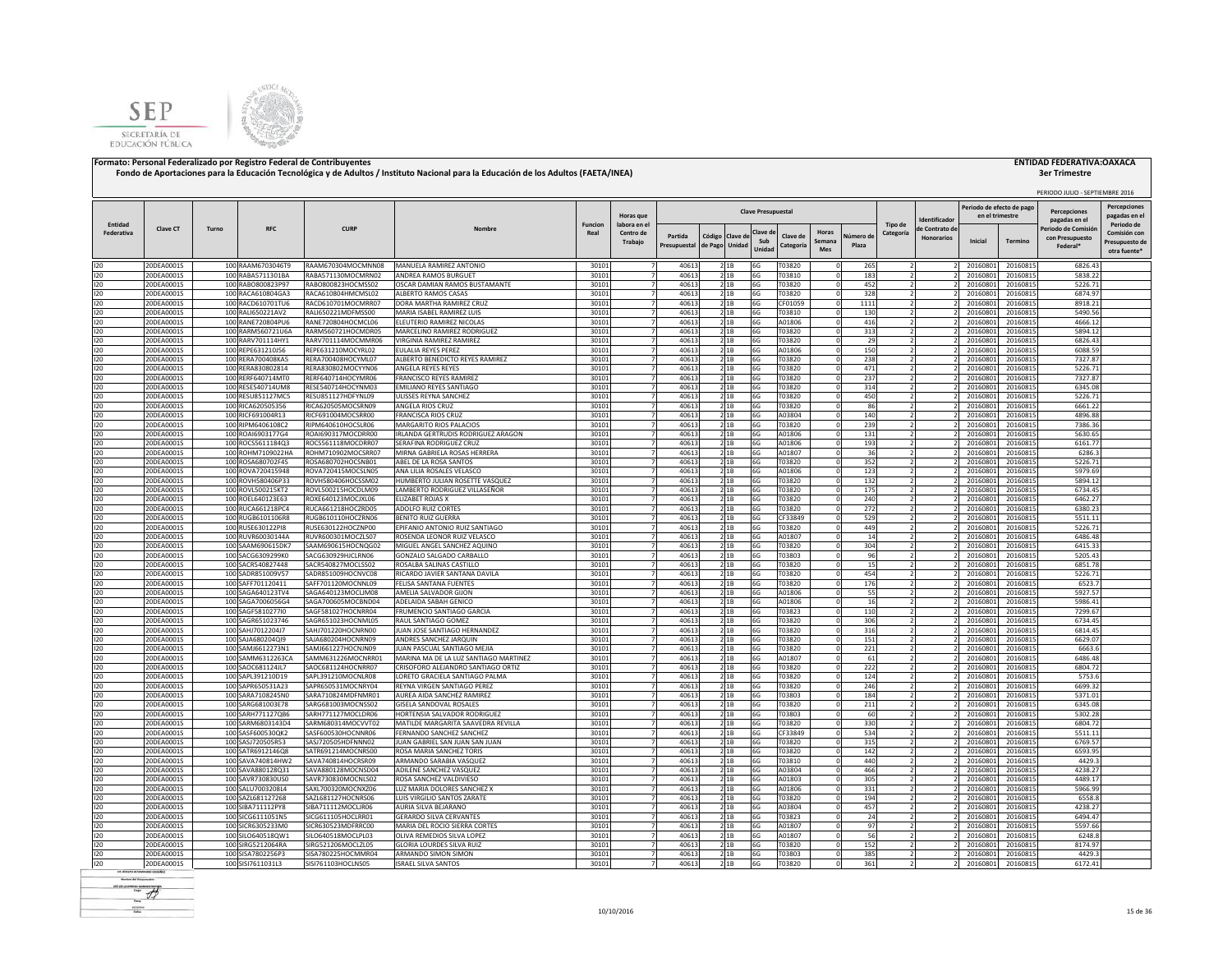



| Entidad<br>Tipo de<br>Periodo de<br>Funcion<br>labora en e<br><b>Clave CT</b><br><b>RFC</b><br><b>CURP</b><br>eriodo de Comisió<br>Turno<br>e Contrato de<br>Clave d<br>Horas<br>Federativa<br>Comisión cor<br>Real<br>Centro de<br>Categoría<br>Partida<br>Código<br>Clave de<br>Clave de<br>Júmero de<br><b>Honorarios</b><br>con Presupuesto<br>Sub<br>Inicial<br>Termino<br>Semana<br>Trabajo<br>Presupuesto de<br>de Pago<br>Unidac<br>Plaza<br>Presupuestal<br>Categoría<br>Federal*<br>Unidad<br>Mes<br>otra fuente'<br>20DEA0001S<br>100 RAAM6703046T9<br>RAAM670304MOCMNN08<br>MANUELA RAMIREZ ANTONIO<br>30101<br>40613<br>T03820<br>265<br>20160801<br>20160815<br>6826.43<br>21B<br>6G<br>$\Omega$<br>100 RABA5711301BA<br>40613<br>120<br>20DEA0001S<br>RABA571130MOCMRN02<br>ANDREA RAMOS BURGUET<br>30101<br>21B<br>6G<br>T03810<br>183<br>20160801<br>20160815<br>5838.22<br>120<br>100 RABO800823P97<br>RABO800823HOCMSS02<br>30101<br>40613<br>452<br>5226.71<br>20DEA0001S<br>OSCAR DAMIAN RAMOS BUSTAMANTE<br>21B<br>6G<br>T03820<br>20160801<br>20160815<br>$\Omega$<br>100 RACA610804GA3<br>RACA610804HMCMSL02<br>40613<br>21B<br>6G<br>328<br>6874.97<br>20DEA0001S<br>ALBERTO RAMOS CASAS<br>30101<br>T03820<br>20160801<br>20160815<br>- 0<br>20DEA0001S<br>100 RACD610701TU6<br>RACD610701MOCMRR07<br>DORA MARTHA RAMIREZ CRUZ<br>30101<br>4061<br>21B<br>6G<br>CF01059<br>1111<br>20160801<br>20160815<br>8918.21<br>!ODEA0001S<br>100 RALI650221AV2<br>RALI650221MDFMSS00<br>MARIA ISABEL RAMIREZ LUIS<br>30101<br>4061<br>6G<br>T03810<br>130<br>20160801<br>20160815<br>5490.56<br>21B<br>120<br>100 RANE720804PU6<br>RANE720804HOCMCL06<br>ELEUTERIO RAMIREZ NICOLAS<br>30101<br>40613<br>416<br>4666.12<br>20DEA0001S<br>2 1B<br>6G<br>A01806<br>20160801<br>20160815<br>100 RARM560721U6A<br>120<br>20DEA0001S<br>RARM560721HOCMDR05<br>MARCELINO RAMIREZ RODRIGUEZ<br>30101<br>40613<br>21B<br>6G<br>T03820<br>313<br>20160801<br>20160815<br>5894.12<br>120<br>20DEA0001S<br>100 RARV701114HY1<br>RARV701114MOCMMR06<br>VIRGINIA RAMIREZ RAMIREZ<br>30101<br>40613<br>21B<br>6G<br>T03820<br>29<br>20160801<br>20160815<br>6826.43<br>$\Omega$<br>20DEA0001S<br>100 REPE631210J56<br>REPE631210MOCYRL02<br><b>EULALIA REYES PEREZ</b><br>30101<br>40613<br>6G<br>A01806<br>150<br>20160801<br>20160815<br>6088.59<br>2 <sup>1B</sup><br>$\Omega$<br>RERA700408HOCYML07<br>40613<br>T03820<br>20DEA0001S<br>100 RERA700408KA5<br>ALBERTO BENEDICTO REYES RAMIREZ<br>30101<br>6G<br>238<br>20160801<br>20160815<br>7327.87<br>21B<br>100 RERA830802814<br>30101<br>40613<br>T03820<br>471<br>5226.71<br>20DEA0001S<br>RERA830802MOCYYN06<br>ANGELA REYES REYES<br>6G<br>20160801<br>20160815<br>21B<br>$\Omega$<br>120<br>100 RERF640714MT0<br>FRANCISCO REYES RAMIREZ<br>30101<br>40613<br>6G<br>T03820<br>237<br>20160801<br>20160815<br>7327.87<br>20DEA0001S<br>RERF640714HOCYMR06<br>21B<br>- 0<br>40613<br>120<br>20DEA0001S<br>100 RESE540714UM8<br>RESE540714HOCYNM03<br><b>EMILIANO REYES SANTIAGO</b><br>30101<br>2 1B<br>6G<br>T03820<br>314<br>20160801<br>20160815<br>6345.08<br>120<br>20DEA0001S<br>100 RESU851127MC5<br>RESU851127HDFYNL09<br>ULISSES REYNA SANCHEZ<br>30101<br>40613<br>21B<br>6G<br>T03820<br>450<br>20160801<br>20160815<br>5226.71<br>100 RICA620505356<br>RICA620505MOCSRN09<br>4061<br>T03820<br>20DEA0001S<br><b>ANGELA RIOS CRUZ</b><br>30101<br>21B<br>6G<br>86<br>2016080<br>20160815<br>6661.22<br>40613<br>20DEA0001S<br>100 RICF691004R13<br>RICF691004MOCSRR00<br><b>FRANCISCA RIOS CRUZ</b><br>30101<br>2 1B<br>6G<br>A03804<br>140<br>20160801<br>20160815<br>4896.88<br>20DEA0001S<br>100 RIPM6406108C2<br>RIPM640610HOCSLR06<br>MARGARITO RIOS PALACIOS<br>30101<br>40613<br>2 1B<br>6G<br>T03820<br>239<br>20160801<br>20160815<br>7386.36<br>20DEA0001S<br>100 ROAI6903177G4<br>ROAI690317MOCDRR00<br>IRLANDA GERTRUDIS RODRIGUEZ ARAGON<br>30101<br>40613<br>21B<br>6G<br>A01806<br>131<br>20160801<br>20160815<br>5630.65<br>20DEA0001S<br>ROCS561118MOCDRR07<br>SERAFINA RODRIGUEZ CRUZ<br>30101<br>40613<br>2 1B<br>6G<br>A01806<br>20160801<br>120<br>100 ROCS5611184Q3<br>193<br>20160815<br>6161.77<br>$\Omega$<br>120<br>100 ROHM7109022HA<br>ROHM710902MOCSRR07<br>MIRNA GABRIELA ROSAS HERRERA<br>30101<br>40613<br>2 1 B<br>6G<br>A01807<br>36<br>20DEA0001S<br>$\Omega$<br>20160801<br>20160815<br>6286.3<br>40613<br>6G<br>120<br>20DEA0001S<br>100 ROSA680702F45<br>ROSA680702HOCSNB01<br>ABEL DE LA ROSA SANTOS<br>30101<br>21B<br>T03820<br>352<br>20160801<br>20160815<br>5226.71<br>4061<br>21B<br>6G<br>20DEA0001S<br>100 ROVA720415948<br>ROVA720415MOCSLN05<br>ANA LILIA ROSALES VELASCO<br>30101<br>A01806<br>123<br>20160801<br>20160815<br>5979.69<br>20DEA0001S<br>100 ROVH580406P33<br>ROVH580406HOCSSM02<br>HUMBERTO JULIAN ROSETTE VASQUEZ<br>30101<br>4061<br>21B<br>6G<br>T03820<br>132<br>20160801<br>20160815<br>5894.12<br>!ODEA0001S<br>100 ROVL500215KT2<br>ROVL500215HOCDLM09<br>LAMBERTO RODRIGUEZ VILLASEÑOR<br>30101<br>4061<br>6G<br>T03820<br>175<br>20160815<br>6734.45<br>21B<br>2016080<br>100 ROEL640123E63<br>40613<br>6G<br>T03820<br>0DEA0001S<br>ROXE640123MOCJXL06<br><b>FIJZARET ROJAS X</b><br>30101<br>2 1 B<br>240<br>2016080<br>20160815<br>6462.27<br>120<br>20DEA0001S<br>100 RUCA661218PC4<br>RUCA661218HOCZRD05<br>ADOLFO RUIZ CORTES<br>30101<br>40613<br>21B<br>6G<br>T03820<br>272<br>20160801<br>20160815<br>6380.23<br>120<br>20DEA0001S<br>100 RUGB6101106R8<br>RUGB610110HOCZRN06<br><b>BENITO RUIZ GUERRA</b><br>30101<br>40613<br>21B<br>6G<br>CF33849<br>529<br>20160801<br>20160815<br>5511.11<br>120<br>20DEA0001S<br>100 RUSE630122PI8<br>RUSE630122HOCZNP00<br>EPIFANIO ANTONIO RUIZ SANTIAGO<br>30101<br>40613<br>6G<br>T03820<br>449<br>20160801<br>20160815<br>21B<br>5226.71<br>100 RUVR60030144A<br>A01807<br>20DEA0001S<br>RUVR600301MOCZLS07<br>ROSENDA LEONOR RUIZ VELASCO<br>30101<br>40613<br>6G<br>14<br>20160801<br>20160815<br>6486.48<br>21B<br>100 SAAM690615DK7<br>40613<br>T03820<br>SAAM690615HOCNQG02<br>MIGUEL ANGEL SANCHEZ AQUINO<br>30101<br>6G<br>304<br>20160801<br>20160815<br>6415.33<br>20DEA0001S<br>21B<br>$\Omega$<br>100 SACG6309299K0<br>SACG630929HJCLRN06<br>30101<br>40613<br>6G<br>T03803<br>96<br>5205.43<br>20DEA0001S<br>GONZALO SALGADO CARBALLO<br>21B<br>20160801<br>20160815<br>- 0<br>100 SACR540827448<br>SACR540827MOCLSS02<br>20DEA0001S<br>ROSALBA SALINAS CASTILLO<br>30101<br>40613<br>2 1B<br>6G<br>T03820<br>15<br>20160801<br>20160815<br>6851.78<br>120<br>20DEA0001S<br>100 SADR851009V57<br>SADR851009HOCNVC08<br>RICARDO JAVIER SANTANA DAVILA<br>30101<br>4061<br>21B<br>6G<br>T03820<br>454<br>20160801<br>20160815<br>5226.71<br>120<br>100 SAFF701120411<br>SAFF701120MOCNNL09<br>40613<br>T03820<br>176<br>20DEA0001S<br>FELISA SANTANA FUENTES<br>30101<br>2 1B<br>6G<br>2016080<br>20160815<br>6523.<br>100 SAGA640123TV4<br>40613<br>120<br>20DEA0001S<br>SAGA640123MOCLIM08<br>AMELIA SALVADOR GIJON<br>30101<br>2 1B<br>6G<br>A01806<br>55<br>20160801<br>20160815<br>5927.57<br>16<br>20DEA0001S<br>100 SAGA7006056G4<br>SAGA700605MOCBND04<br>ADELAIDA SABAH GENICO<br>30101<br>40613<br>2 1B<br>6G<br>A01806<br>20160801<br>20160815<br>5986.41<br>20DEA0001S<br>100 SAGF5810277I0<br>SAGF581027HOCNRR04<br>FRUMENCIO SANTIAGO GARCIA<br>30101<br>40613<br>21B<br>6G<br>T03823<br>110<br>20160801<br>20160815<br>7299.67<br>$\Omega$<br>100 SAGR651023746<br>SAGR651023HOCNML05<br>30101<br>40613<br>21B<br>6G<br>T03820<br>306<br>6734.45<br>20DEA0001S<br>RAUL SANTIAGO GOMEZ<br>20160801<br>20160815<br>100 SAHJ7012204J7<br>SAHJ701220HOCNRN00<br>30101<br>40613<br>21B<br>6G<br>T03820<br>316<br>6814.45<br>20DEA0001S<br>JUAN JOSE SANTIAGO HERNANDEZ<br>$\Omega$<br>20160801<br>20160815<br>120<br>100 SAJA680204QI9<br>40613<br>2 1B<br>151<br>20DEA0001S<br>SAJA680204HOCNRN09<br>ANDRES SANCHEZ JARQUIN<br>30101<br>6G<br>T03820<br>20160801<br>20160815<br>6629.07<br>$\Omega$<br>120<br>100 SAMJ6612273N1<br>SAMJ661227HOCNJN09<br>4061<br>21B<br>T03820<br>221<br>20DEA0001S<br>JUAN PASCUAL SANTIAGO MEJIA<br>30101<br>6G<br>20160801<br>20160815<br>6663.6<br>120<br>20DEA0001S<br>100 SAMM6312263CA<br>SAMM631226MOCNRR01<br>MARINA MA DE LA LUZ SANTIAGO MARTINEZ<br>30101<br>4061<br>21B<br>6G<br>A01807<br>61<br>20160801<br>20160815<br>6486.48<br>!ODEA0001S<br>100 SAOC681124JL7<br>SAOC681124HOCNRR07<br>CRISOFORO ALEJANDRO SANTIAGO ORTIZ<br>30101<br>4061<br>6G<br>T03820<br>222<br>20160801<br>20160815<br>6804.72<br>2 1B<br>100 SAPL391210D19<br>40613<br>0DEA0001S<br>SAPL391210MOCNLR08<br>LORETO GRACIELA SANTIAGO PALMA<br>30101<br>2 1B<br>6G<br>T03820<br>124<br>20160801<br>20160815<br>5753.6<br>20DEA0001S<br>100 SAPR650531A23<br>SAPR650531MOCNRY04<br>REYNA VIRGEN SANTIAGO PEREZ<br>30101<br>40613<br>21B<br>6G<br>T03820<br>246<br>20160801<br>20160815<br>6699.32<br>$\Omega$<br>20DEA0001S<br>100 SARA7108245N0<br>SARA710824MDFNMR01<br>AUREA AIDA SANCHEZ RAMIREZ<br>30101<br>40613<br>21B<br>6G<br>T03803<br>184<br>20160801<br>20160815<br>5371.01<br>120<br>20DEA0001S<br>100 SARG681003E78<br>SARG681003MOCNSS02<br>30101<br>40613<br>T03820<br>211<br>20160801<br>20160815<br>6345.08<br>GISFLA SANDOVAL ROSALES<br>6G<br>2 1 B<br>40613<br>120<br>20DEA0001S<br>100 SARH771127QB6<br>SARH771127MOCLDR06<br>30101<br>T03803<br>20160801<br>20160815<br>5302.28<br>HORTENSIA SALVADOR RODRIGUEZ<br>6G<br>60<br>2 1 B<br>- 0<br>100 SARM6803143D4<br>40613<br>T03820<br>6804.72<br>SARM680314MOCVVT02<br>MATILDE MARGARITA SAAVEDRA REVILLA<br>30101<br>6G<br>330<br>20160801<br>20160815<br>20DEA0001S<br>21B<br>$\Omega$<br>100 SASF600530QK2<br>40613<br>CF33849<br>534<br>20DEA0001S<br>SASF600530HOCNNR06<br>FERNANDO SANCHEZ SANCHEZ<br>30101<br>21B<br>6G<br>20160801<br>20160815<br>5511.11<br>20DEA0001S<br>100 SASJ720505R53<br>SASJ720505HDFNNN02<br>JUAN GABRIEL SAN JUAN SAN JUAN<br>30101<br>40613<br>2 1B<br>6G<br>T03820<br>315<br>20160801<br>20160815<br>6769.57<br>20DEA0001S<br>100 SATR6912146Q8<br>SATR691214MOCNRS00<br>ROSA MARIA SANCHEZ TORIS<br>30101<br>4061<br>21B<br>6G<br>T03820<br>20160801<br>20160815<br>6593.95<br>142<br>100 SAVA740814HW2<br>SAVA740814HOCRSR09<br>ARMANDO SARABIA VASQUEZ<br>40613<br>T03810<br>440<br>20DEA0001S<br>30101<br>2 1B<br>6G<br>2016080<br>20160815<br>4429.<br>120<br>20DEA0001S<br>100 SAVA880128Q31<br>SAVA880128MOCNSD04<br>ADILENE SANCHEZ VASQUEZ<br>30101<br>40613<br>2 1B<br>6G<br>A03804<br>466<br>20160801<br>20160815<br>4238.27<br>120<br>20DEA0001S<br>100 SAVR730830US0<br>SAVR730830MOCNLS02<br>ROSA SANCHEZ VALDIVIESO<br>30101<br>40613<br>2 1B<br>6G<br>A01803<br>305<br>20160801<br>20160815<br>4489.17<br>20DEA0001S<br>100 SALU7003208L4<br>SAXL700320MOCNXZ06<br>LUZ MARIA DOLORES SANCHEZ X<br>30101<br>40613<br>21B<br>6G<br>A01806<br>331<br>20160801<br>20160815<br>5966.99<br>$\Omega$<br>100 SAZL681127268<br>40613<br>T03820<br>20DEA0001S<br>SAZL681127HOCNRS06<br>LUIS VIRGILIO SANTOS ZARATE<br>30101<br>21B<br>6G<br>194<br>20160801<br>20160815<br>6558.8<br>100 SIBA711112PY8<br>SIBA711112MOCLIR06<br>30101<br>40613<br>6G<br>A03804<br>457<br>20DEA0001S<br>AURIA SILVA BEJARANO<br>21B<br>20160801<br>20160815<br>4238.27<br>$\Omega$<br>100 SICG6111051N5<br>SICG611105HOCLRR01<br><b>GERARDO SILVA CERVANTES</b><br>30101<br>40613<br>21B<br>6G<br>T03823<br>24<br>6494.47<br>20DEA0001S<br>$\Omega$<br>20160801<br>20160815<br>20DEA0001S<br>100 SICR6305233M0<br>SICR630523MDFRRC00<br>MARIA DEL ROCIO SIERRA CORTES<br>30101<br>40613<br>2 1B<br>6G<br>A01807<br>97<br>20160801<br>20160815<br>5597.66<br>120<br>20DEA0001S<br>100 SILO640518QW1<br>SILO640518MOCLPL03<br>OLIVA REMEDIOS SILVA LOPEZ<br>30101<br>4061<br>21B<br>6G<br>A01807<br>56<br>20160801<br>20160815<br>6248.8<br>120<br>100 SIRG5212064RA<br>SIRG521206MOCLZL05<br>GLORIA LOURDES SILVA RUIZ<br>30101<br>4061<br>6G<br>T03820<br>152<br>8174.97<br><b>!ODEA0001S</b><br>21B<br>2016080<br>20160815<br>ARMANDO SIMON SIMON<br>40613<br>!ODEA0001S<br>100 SISA7802256P3<br>SISA780225HOCMMR04<br>30101<br>21B<br>6G<br>T03803<br>385<br>20160801<br>20160815<br>4429.3<br>20DEA0001S<br>100 SISI7611031L3<br>SISI761103HOCLNS05<br><b>ISRAEL SILVA SANTOS</b><br>30101<br>40613<br>21B<br>6G<br>T03820<br>361<br>20160801<br>20160815<br>6172.41 |     |  |  |  | Horas que |  | <b>Clave Presupuestal</b> |  |  |             | Periodo de efecto de pag<br>en el trimestre | PERIODO JULIO - SEPTIEMBRE 2016<br><b>Percenciones</b> | <b>Percepciones</b><br>pagadas en e |
|---------------------------------------------------------------------------------------------------------------------------------------------------------------------------------------------------------------------------------------------------------------------------------------------------------------------------------------------------------------------------------------------------------------------------------------------------------------------------------------------------------------------------------------------------------------------------------------------------------------------------------------------------------------------------------------------------------------------------------------------------------------------------------------------------------------------------------------------------------------------------------------------------------------------------------------------------------------------------------------------------------------------------------------------------------------------------------------------------------------------------------------------------------------------------------------------------------------------------------------------------------------------------------------------------------------------------------------------------------------------------------------------------------------------------------------------------------------------------------------------------------------------------------------------------------------------------------------------------------------------------------------------------------------------------------------------------------------------------------------------------------------------------------------------------------------------------------------------------------------------------------------------------------------------------------------------------------------------------------------------------------------------------------------------------------------------------------------------------------------------------------------------------------------------------------------------------------------------------------------------------------------------------------------------------------------------------------------------------------------------------------------------------------------------------------------------------------------------------------------------------------------------------------------------------------------------------------------------------------------------------------------------------------------------------------------------------------------------------------------------------------------------------------------------------------------------------------------------------------------------------------------------------------------------------------------------------------------------------------------------------------------------------------------------------------------------------------------------------------------------------------------------------------------------------------------------------------------------------------------------------------------------------------------------------------------------------------------------------------------------------------------------------------------------------------------------------------------------------------------------------------------------------------------------------------------------------------------------------------------------------------------------------------------------------------------------------------------------------------------------------------------------------------------------------------------------------------------------------------------------------------------------------------------------------------------------------------------------------------------------------------------------------------------------------------------------------------------------------------------------------------------------------------------------------------------------------------------------------------------------------------------------------------------------------------------------------------------------------------------------------------------------------------------------------------------------------------------------------------------------------------------------------------------------------------------------------------------------------------------------------------------------------------------------------------------------------------------------------------------------------------------------------------------------------------------------------------------------------------------------------------------------------------------------------------------------------------------------------------------------------------------------------------------------------------------------------------------------------------------------------------------------------------------------------------------------------------------------------------------------------------------------------------------------------------------------------------------------------------------------------------------------------------------------------------------------------------------------------------------------------------------------------------------------------------------------------------------------------------------------------------------------------------------------------------------------------------------------------------------------------------------------------------------------------------------------------------------------------------------------------------------------------------------------------------------------------------------------------------------------------------------------------------------------------------------------------------------------------------------------------------------------------------------------------------------------------------------------------------------------------------------------------------------------------------------------------------------------------------------------------------------------------------------------------------------------------------------------------------------------------------------------------------------------------------------------------------------------------------------------------------------------------------------------------------------------------------------------------------------------------------------------------------------------------------------------------------------------------------------------------------------------------------------------------------------------------------------------------------------------------------------------------------------------------------------------------------------------------------------------------------------------------------------------------------------------------------------------------------------------------------------------------------------------------------------------------------------------------------------------------------------------------------------------------------------------------------------------------------------------------------------------------------------------------------------------------------------------------------------------------------------------------------------------------------------------------------------------------------------------------------------------------------------------------------------------------------------------------------------------------------------------------------------------------------------------------------------------------------------------------------------------------------------------------------------------------------------------------------------------------------------------------------------------------------------------------------------------------------------------------------------------------------------------------------------------------------------------------------------------------------------------------------------------------------------------------------------------------------------------------------------------------------------------------------------------------------------------------------------------------------------------------------------------------------------------------------------------------------------------------------------------------------------------------------------------------------------------------------------------------------------------------------------------------------------------------------------------------------------------------------------------------------------------------------------------------------------------------------------------------------------------------------------------------------------------------------------------------------------------------------------------------------------------------------------------------------------------------------------------------------------------------------------------------------------------------------------------------------------------------------------------------------------------------------------------------------------------------------------------------------------------------------------------------------------------------------------------------------------------------------------------------------------------------------------------------------------------------------------------------------------------------------------------------------------------------------------------------------------------------------------------------------------------------------------------------------------------------------------------------------------------------------------------------------------------------------------------------------------------------------------------------------------------------------------------------------------------------------------------------------------------------------------------------------------------------------------------------------------------------------------------------------------------------------------------------------------------------------------------------------------------------------------------------------------------------------------------------------------------------------------------------------------------------------------------------------------------------------------------------------------------------------------------------------------------------------------------------------------------------------------------------------------------------------------------------------------------------------------------------------------------------------------------------------------------------------------------------------------------------------------------------------------------------------------------------------------------------------------------------------------------------------------------------------------------------------------------------------------------------------------------------------------------------------------------------------------------------------------------------------------------------------------------------------------------------------------------------------------------------------------------------------------------------------------------------------------------------------------------------------------------------------------------------------------------------------------------------------------------------------------------------------------------------------------------------------------------------------------------------------------------------------------------------------------------------------------------------------------------------------------------------------------------------------------------------------------------------------------------------------------------------------------------------|-----|--|--|--|-----------|--|---------------------------|--|--|-------------|---------------------------------------------|--------------------------------------------------------|-------------------------------------|
|                                                                                                                                                                                                                                                                                                                                                                                                                                                                                                                                                                                                                                                                                                                                                                                                                                                                                                                                                                                                                                                                                                                                                                                                                                                                                                                                                                                                                                                                                                                                                                                                                                                                                                                                                                                                                                                                                                                                                                                                                                                                                                                                                                                                                                                                                                                                                                                                                                                                                                                                                                                                                                                                                                                                                                                                                                                                                                                                                                                                                                                                                                                                                                                                                                                                                                                                                                                                                                                                                                                                                                                                                                                                                                                                                                                                                                                                                                                                                                                                                                                                                                                                                                                                                                                                                                                                                                                                                                                                                                                                                                                                                                                                                                                                                                                                                                                                                                                                                                                                                                                                                                                                                                                                                                                                                                                                                                                                                                                                                                                                                                                                                                                                                                                                                                                                                                                                                                                                                                                                                                                                                                                                                                                                                                                                                                                                                                                                                                                                                                                                                                                                                                                                                                                                                                                                                                                                                                                                                                                                                                                                                                                                                                                                                                                                                                                                                                                                                                                                                                                                                                                                                                                                                                                                                                                                                                                                                                                                                                                                                                                                                                                                                                                                                                                                                                                                                                                                                                                                                                                                                                                                                                                                                                                                                                                                                                                                                                                                                                                                                                                                                                                                                                                                                                                                                                                                                                                                                                                                                                                                                                                                                                                                                                                                                                                                                                                                                                                                                                                                                                                                                                                                                                                                                                                                                                                                                                                                                                                                                                                                                                                                                                                                                                                                                                                                                                                                                                                                                                                                                                                                                                                                                                                                                                                                                                                                                                                                                                                                                                                                                                                                                                                                                                                                                                                                                                                                                                                                                                                                                                                                                                                                                                                                                                                                                                                                                                                                                           |     |  |  |  |           |  |                           |  |  | dentificado |                                             | pagadas en el                                          |                                     |
|                                                                                                                                                                                                                                                                                                                                                                                                                                                                                                                                                                                                                                                                                                                                                                                                                                                                                                                                                                                                                                                                                                                                                                                                                                                                                                                                                                                                                                                                                                                                                                                                                                                                                                                                                                                                                                                                                                                                                                                                                                                                                                                                                                                                                                                                                                                                                                                                                                                                                                                                                                                                                                                                                                                                                                                                                                                                                                                                                                                                                                                                                                                                                                                                                                                                                                                                                                                                                                                                                                                                                                                                                                                                                                                                                                                                                                                                                                                                                                                                                                                                                                                                                                                                                                                                                                                                                                                                                                                                                                                                                                                                                                                                                                                                                                                                                                                                                                                                                                                                                                                                                                                                                                                                                                                                                                                                                                                                                                                                                                                                                                                                                                                                                                                                                                                                                                                                                                                                                                                                                                                                                                                                                                                                                                                                                                                                                                                                                                                                                                                                                                                                                                                                                                                                                                                                                                                                                                                                                                                                                                                                                                                                                                                                                                                                                                                                                                                                                                                                                                                                                                                                                                                                                                                                                                                                                                                                                                                                                                                                                                                                                                                                                                                                                                                                                                                                                                                                                                                                                                                                                                                                                                                                                                                                                                                                                                                                                                                                                                                                                                                                                                                                                                                                                                                                                                                                                                                                                                                                                                                                                                                                                                                                                                                                                                                                                                                                                                                                                                                                                                                                                                                                                                                                                                                                                                                                                                                                                                                                                                                                                                                                                                                                                                                                                                                                                                                                                                                                                                                                                                                                                                                                                                                                                                                                                                                                                                                                                                                                                                                                                                                                                                                                                                                                                                                                                                                                                                                                                                                                                                                                                                                                                                                                                                                                                                                                                                                                                           |     |  |  |  |           |  |                           |  |  |             |                                             |                                                        |                                     |
|                                                                                                                                                                                                                                                                                                                                                                                                                                                                                                                                                                                                                                                                                                                                                                                                                                                                                                                                                                                                                                                                                                                                                                                                                                                                                                                                                                                                                                                                                                                                                                                                                                                                                                                                                                                                                                                                                                                                                                                                                                                                                                                                                                                                                                                                                                                                                                                                                                                                                                                                                                                                                                                                                                                                                                                                                                                                                                                                                                                                                                                                                                                                                                                                                                                                                                                                                                                                                                                                                                                                                                                                                                                                                                                                                                                                                                                                                                                                                                                                                                                                                                                                                                                                                                                                                                                                                                                                                                                                                                                                                                                                                                                                                                                                                                                                                                                                                                                                                                                                                                                                                                                                                                                                                                                                                                                                                                                                                                                                                                                                                                                                                                                                                                                                                                                                                                                                                                                                                                                                                                                                                                                                                                                                                                                                                                                                                                                                                                                                                                                                                                                                                                                                                                                                                                                                                                                                                                                                                                                                                                                                                                                                                                                                                                                                                                                                                                                                                                                                                                                                                                                                                                                                                                                                                                                                                                                                                                                                                                                                                                                                                                                                                                                                                                                                                                                                                                                                                                                                                                                                                                                                                                                                                                                                                                                                                                                                                                                                                                                                                                                                                                                                                                                                                                                                                                                                                                                                                                                                                                                                                                                                                                                                                                                                                                                                                                                                                                                                                                                                                                                                                                                                                                                                                                                                                                                                                                                                                                                                                                                                                                                                                                                                                                                                                                                                                                                                                                                                                                                                                                                                                                                                                                                                                                                                                                                                                                                                                                                                                                                                                                                                                                                                                                                                                                                                                                                                                                                                                                                                                                                                                                                                                                                                                                                                                                                                                                                                                           | 120 |  |  |  |           |  |                           |  |  |             |                                             |                                                        |                                     |
|                                                                                                                                                                                                                                                                                                                                                                                                                                                                                                                                                                                                                                                                                                                                                                                                                                                                                                                                                                                                                                                                                                                                                                                                                                                                                                                                                                                                                                                                                                                                                                                                                                                                                                                                                                                                                                                                                                                                                                                                                                                                                                                                                                                                                                                                                                                                                                                                                                                                                                                                                                                                                                                                                                                                                                                                                                                                                                                                                                                                                                                                                                                                                                                                                                                                                                                                                                                                                                                                                                                                                                                                                                                                                                                                                                                                                                                                                                                                                                                                                                                                                                                                                                                                                                                                                                                                                                                                                                                                                                                                                                                                                                                                                                                                                                                                                                                                                                                                                                                                                                                                                                                                                                                                                                                                                                                                                                                                                                                                                                                                                                                                                                                                                                                                                                                                                                                                                                                                                                                                                                                                                                                                                                                                                                                                                                                                                                                                                                                                                                                                                                                                                                                                                                                                                                                                                                                                                                                                                                                                                                                                                                                                                                                                                                                                                                                                                                                                                                                                                                                                                                                                                                                                                                                                                                                                                                                                                                                                                                                                                                                                                                                                                                                                                                                                                                                                                                                                                                                                                                                                                                                                                                                                                                                                                                                                                                                                                                                                                                                                                                                                                                                                                                                                                                                                                                                                                                                                                                                                                                                                                                                                                                                                                                                                                                                                                                                                                                                                                                                                                                                                                                                                                                                                                                                                                                                                                                                                                                                                                                                                                                                                                                                                                                                                                                                                                                                                                                                                                                                                                                                                                                                                                                                                                                                                                                                                                                                                                                                                                                                                                                                                                                                                                                                                                                                                                                                                                                                                                                                                                                                                                                                                                                                                                                                                                                                                                                                                                           |     |  |  |  |           |  |                           |  |  |             |                                             |                                                        |                                     |
|                                                                                                                                                                                                                                                                                                                                                                                                                                                                                                                                                                                                                                                                                                                                                                                                                                                                                                                                                                                                                                                                                                                                                                                                                                                                                                                                                                                                                                                                                                                                                                                                                                                                                                                                                                                                                                                                                                                                                                                                                                                                                                                                                                                                                                                                                                                                                                                                                                                                                                                                                                                                                                                                                                                                                                                                                                                                                                                                                                                                                                                                                                                                                                                                                                                                                                                                                                                                                                                                                                                                                                                                                                                                                                                                                                                                                                                                                                                                                                                                                                                                                                                                                                                                                                                                                                                                                                                                                                                                                                                                                                                                                                                                                                                                                                                                                                                                                                                                                                                                                                                                                                                                                                                                                                                                                                                                                                                                                                                                                                                                                                                                                                                                                                                                                                                                                                                                                                                                                                                                                                                                                                                                                                                                                                                                                                                                                                                                                                                                                                                                                                                                                                                                                                                                                                                                                                                                                                                                                                                                                                                                                                                                                                                                                                                                                                                                                                                                                                                                                                                                                                                                                                                                                                                                                                                                                                                                                                                                                                                                                                                                                                                                                                                                                                                                                                                                                                                                                                                                                                                                                                                                                                                                                                                                                                                                                                                                                                                                                                                                                                                                                                                                                                                                                                                                                                                                                                                                                                                                                                                                                                                                                                                                                                                                                                                                                                                                                                                                                                                                                                                                                                                                                                                                                                                                                                                                                                                                                                                                                                                                                                                                                                                                                                                                                                                                                                                                                                                                                                                                                                                                                                                                                                                                                                                                                                                                                                                                                                                                                                                                                                                                                                                                                                                                                                                                                                                                                                                                                                                                                                                                                                                                                                                                                                                                                                                                                                                                                           | 120 |  |  |  |           |  |                           |  |  |             |                                             |                                                        |                                     |
|                                                                                                                                                                                                                                                                                                                                                                                                                                                                                                                                                                                                                                                                                                                                                                                                                                                                                                                                                                                                                                                                                                                                                                                                                                                                                                                                                                                                                                                                                                                                                                                                                                                                                                                                                                                                                                                                                                                                                                                                                                                                                                                                                                                                                                                                                                                                                                                                                                                                                                                                                                                                                                                                                                                                                                                                                                                                                                                                                                                                                                                                                                                                                                                                                                                                                                                                                                                                                                                                                                                                                                                                                                                                                                                                                                                                                                                                                                                                                                                                                                                                                                                                                                                                                                                                                                                                                                                                                                                                                                                                                                                                                                                                                                                                                                                                                                                                                                                                                                                                                                                                                                                                                                                                                                                                                                                                                                                                                                                                                                                                                                                                                                                                                                                                                                                                                                                                                                                                                                                                                                                                                                                                                                                                                                                                                                                                                                                                                                                                                                                                                                                                                                                                                                                                                                                                                                                                                                                                                                                                                                                                                                                                                                                                                                                                                                                                                                                                                                                                                                                                                                                                                                                                                                                                                                                                                                                                                                                                                                                                                                                                                                                                                                                                                                                                                                                                                                                                                                                                                                                                                                                                                                                                                                                                                                                                                                                                                                                                                                                                                                                                                                                                                                                                                                                                                                                                                                                                                                                                                                                                                                                                                                                                                                                                                                                                                                                                                                                                                                                                                                                                                                                                                                                                                                                                                                                                                                                                                                                                                                                                                                                                                                                                                                                                                                                                                                                                                                                                                                                                                                                                                                                                                                                                                                                                                                                                                                                                                                                                                                                                                                                                                                                                                                                                                                                                                                                                                                                                                                                                                                                                                                                                                                                                                                                                                                                                                                                                                           | 120 |  |  |  |           |  |                           |  |  |             |                                             |                                                        |                                     |
|                                                                                                                                                                                                                                                                                                                                                                                                                                                                                                                                                                                                                                                                                                                                                                                                                                                                                                                                                                                                                                                                                                                                                                                                                                                                                                                                                                                                                                                                                                                                                                                                                                                                                                                                                                                                                                                                                                                                                                                                                                                                                                                                                                                                                                                                                                                                                                                                                                                                                                                                                                                                                                                                                                                                                                                                                                                                                                                                                                                                                                                                                                                                                                                                                                                                                                                                                                                                                                                                                                                                                                                                                                                                                                                                                                                                                                                                                                                                                                                                                                                                                                                                                                                                                                                                                                                                                                                                                                                                                                                                                                                                                                                                                                                                                                                                                                                                                                                                                                                                                                                                                                                                                                                                                                                                                                                                                                                                                                                                                                                                                                                                                                                                                                                                                                                                                                                                                                                                                                                                                                                                                                                                                                                                                                                                                                                                                                                                                                                                                                                                                                                                                                                                                                                                                                                                                                                                                                                                                                                                                                                                                                                                                                                                                                                                                                                                                                                                                                                                                                                                                                                                                                                                                                                                                                                                                                                                                                                                                                                                                                                                                                                                                                                                                                                                                                                                                                                                                                                                                                                                                                                                                                                                                                                                                                                                                                                                                                                                                                                                                                                                                                                                                                                                                                                                                                                                                                                                                                                                                                                                                                                                                                                                                                                                                                                                                                                                                                                                                                                                                                                                                                                                                                                                                                                                                                                                                                                                                                                                                                                                                                                                                                                                                                                                                                                                                                                                                                                                                                                                                                                                                                                                                                                                                                                                                                                                                                                                                                                                                                                                                                                                                                                                                                                                                                                                                                                                                                                                                                                                                                                                                                                                                                                                                                                                                                                                                                                                                           | 120 |  |  |  |           |  |                           |  |  |             |                                             |                                                        |                                     |
|                                                                                                                                                                                                                                                                                                                                                                                                                                                                                                                                                                                                                                                                                                                                                                                                                                                                                                                                                                                                                                                                                                                                                                                                                                                                                                                                                                                                                                                                                                                                                                                                                                                                                                                                                                                                                                                                                                                                                                                                                                                                                                                                                                                                                                                                                                                                                                                                                                                                                                                                                                                                                                                                                                                                                                                                                                                                                                                                                                                                                                                                                                                                                                                                                                                                                                                                                                                                                                                                                                                                                                                                                                                                                                                                                                                                                                                                                                                                                                                                                                                                                                                                                                                                                                                                                                                                                                                                                                                                                                                                                                                                                                                                                                                                                                                                                                                                                                                                                                                                                                                                                                                                                                                                                                                                                                                                                                                                                                                                                                                                                                                                                                                                                                                                                                                                                                                                                                                                                                                                                                                                                                                                                                                                                                                                                                                                                                                                                                                                                                                                                                                                                                                                                                                                                                                                                                                                                                                                                                                                                                                                                                                                                                                                                                                                                                                                                                                                                                                                                                                                                                                                                                                                                                                                                                                                                                                                                                                                                                                                                                                                                                                                                                                                                                                                                                                                                                                                                                                                                                                                                                                                                                                                                                                                                                                                                                                                                                                                                                                                                                                                                                                                                                                                                                                                                                                                                                                                                                                                                                                                                                                                                                                                                                                                                                                                                                                                                                                                                                                                                                                                                                                                                                                                                                                                                                                                                                                                                                                                                                                                                                                                                                                                                                                                                                                                                                                                                                                                                                                                                                                                                                                                                                                                                                                                                                                                                                                                                                                                                                                                                                                                                                                                                                                                                                                                                                                                                                                                                                                                                                                                                                                                                                                                                                                                                                                                                                                                                           |     |  |  |  |           |  |                           |  |  |             |                                             |                                                        |                                     |
|                                                                                                                                                                                                                                                                                                                                                                                                                                                                                                                                                                                                                                                                                                                                                                                                                                                                                                                                                                                                                                                                                                                                                                                                                                                                                                                                                                                                                                                                                                                                                                                                                                                                                                                                                                                                                                                                                                                                                                                                                                                                                                                                                                                                                                                                                                                                                                                                                                                                                                                                                                                                                                                                                                                                                                                                                                                                                                                                                                                                                                                                                                                                                                                                                                                                                                                                                                                                                                                                                                                                                                                                                                                                                                                                                                                                                                                                                                                                                                                                                                                                                                                                                                                                                                                                                                                                                                                                                                                                                                                                                                                                                                                                                                                                                                                                                                                                                                                                                                                                                                                                                                                                                                                                                                                                                                                                                                                                                                                                                                                                                                                                                                                                                                                                                                                                                                                                                                                                                                                                                                                                                                                                                                                                                                                                                                                                                                                                                                                                                                                                                                                                                                                                                                                                                                                                                                                                                                                                                                                                                                                                                                                                                                                                                                                                                                                                                                                                                                                                                                                                                                                                                                                                                                                                                                                                                                                                                                                                                                                                                                                                                                                                                                                                                                                                                                                                                                                                                                                                                                                                                                                                                                                                                                                                                                                                                                                                                                                                                                                                                                                                                                                                                                                                                                                                                                                                                                                                                                                                                                                                                                                                                                                                                                                                                                                                                                                                                                                                                                                                                                                                                                                                                                                                                                                                                                                                                                                                                                                                                                                                                                                                                                                                                                                                                                                                                                                                                                                                                                                                                                                                                                                                                                                                                                                                                                                                                                                                                                                                                                                                                                                                                                                                                                                                                                                                                                                                                                                                                                                                                                                                                                                                                                                                                                                                                                                                                                                                                           |     |  |  |  |           |  |                           |  |  |             |                                             |                                                        |                                     |
|                                                                                                                                                                                                                                                                                                                                                                                                                                                                                                                                                                                                                                                                                                                                                                                                                                                                                                                                                                                                                                                                                                                                                                                                                                                                                                                                                                                                                                                                                                                                                                                                                                                                                                                                                                                                                                                                                                                                                                                                                                                                                                                                                                                                                                                                                                                                                                                                                                                                                                                                                                                                                                                                                                                                                                                                                                                                                                                                                                                                                                                                                                                                                                                                                                                                                                                                                                                                                                                                                                                                                                                                                                                                                                                                                                                                                                                                                                                                                                                                                                                                                                                                                                                                                                                                                                                                                                                                                                                                                                                                                                                                                                                                                                                                                                                                                                                                                                                                                                                                                                                                                                                                                                                                                                                                                                                                                                                                                                                                                                                                                                                                                                                                                                                                                                                                                                                                                                                                                                                                                                                                                                                                                                                                                                                                                                                                                                                                                                                                                                                                                                                                                                                                                                                                                                                                                                                                                                                                                                                                                                                                                                                                                                                                                                                                                                                                                                                                                                                                                                                                                                                                                                                                                                                                                                                                                                                                                                                                                                                                                                                                                                                                                                                                                                                                                                                                                                                                                                                                                                                                                                                                                                                                                                                                                                                                                                                                                                                                                                                                                                                                                                                                                                                                                                                                                                                                                                                                                                                                                                                                                                                                                                                                                                                                                                                                                                                                                                                                                                                                                                                                                                                                                                                                                                                                                                                                                                                                                                                                                                                                                                                                                                                                                                                                                                                                                                                                                                                                                                                                                                                                                                                                                                                                                                                                                                                                                                                                                                                                                                                                                                                                                                                                                                                                                                                                                                                                                                                                                                                                                                                                                                                                                                                                                                                                                                                                                                                                                           | 120 |  |  |  |           |  |                           |  |  |             |                                             |                                                        |                                     |
|                                                                                                                                                                                                                                                                                                                                                                                                                                                                                                                                                                                                                                                                                                                                                                                                                                                                                                                                                                                                                                                                                                                                                                                                                                                                                                                                                                                                                                                                                                                                                                                                                                                                                                                                                                                                                                                                                                                                                                                                                                                                                                                                                                                                                                                                                                                                                                                                                                                                                                                                                                                                                                                                                                                                                                                                                                                                                                                                                                                                                                                                                                                                                                                                                                                                                                                                                                                                                                                                                                                                                                                                                                                                                                                                                                                                                                                                                                                                                                                                                                                                                                                                                                                                                                                                                                                                                                                                                                                                                                                                                                                                                                                                                                                                                                                                                                                                                                                                                                                                                                                                                                                                                                                                                                                                                                                                                                                                                                                                                                                                                                                                                                                                                                                                                                                                                                                                                                                                                                                                                                                                                                                                                                                                                                                                                                                                                                                                                                                                                                                                                                                                                                                                                                                                                                                                                                                                                                                                                                                                                                                                                                                                                                                                                                                                                                                                                                                                                                                                                                                                                                                                                                                                                                                                                                                                                                                                                                                                                                                                                                                                                                                                                                                                                                                                                                                                                                                                                                                                                                                                                                                                                                                                                                                                                                                                                                                                                                                                                                                                                                                                                                                                                                                                                                                                                                                                                                                                                                                                                                                                                                                                                                                                                                                                                                                                                                                                                                                                                                                                                                                                                                                                                                                                                                                                                                                                                                                                                                                                                                                                                                                                                                                                                                                                                                                                                                                                                                                                                                                                                                                                                                                                                                                                                                                                                                                                                                                                                                                                                                                                                                                                                                                                                                                                                                                                                                                                                                                                                                                                                                                                                                                                                                                                                                                                                                                                                                                                                           | 120 |  |  |  |           |  |                           |  |  |             |                                             |                                                        |                                     |
|                                                                                                                                                                                                                                                                                                                                                                                                                                                                                                                                                                                                                                                                                                                                                                                                                                                                                                                                                                                                                                                                                                                                                                                                                                                                                                                                                                                                                                                                                                                                                                                                                                                                                                                                                                                                                                                                                                                                                                                                                                                                                                                                                                                                                                                                                                                                                                                                                                                                                                                                                                                                                                                                                                                                                                                                                                                                                                                                                                                                                                                                                                                                                                                                                                                                                                                                                                                                                                                                                                                                                                                                                                                                                                                                                                                                                                                                                                                                                                                                                                                                                                                                                                                                                                                                                                                                                                                                                                                                                                                                                                                                                                                                                                                                                                                                                                                                                                                                                                                                                                                                                                                                                                                                                                                                                                                                                                                                                                                                                                                                                                                                                                                                                                                                                                                                                                                                                                                                                                                                                                                                                                                                                                                                                                                                                                                                                                                                                                                                                                                                                                                                                                                                                                                                                                                                                                                                                                                                                                                                                                                                                                                                                                                                                                                                                                                                                                                                                                                                                                                                                                                                                                                                                                                                                                                                                                                                                                                                                                                                                                                                                                                                                                                                                                                                                                                                                                                                                                                                                                                                                                                                                                                                                                                                                                                                                                                                                                                                                                                                                                                                                                                                                                                                                                                                                                                                                                                                                                                                                                                                                                                                                                                                                                                                                                                                                                                                                                                                                                                                                                                                                                                                                                                                                                                                                                                                                                                                                                                                                                                                                                                                                                                                                                                                                                                                                                                                                                                                                                                                                                                                                                                                                                                                                                                                                                                                                                                                                                                                                                                                                                                                                                                                                                                                                                                                                                                                                                                                                                                                                                                                                                                                                                                                                                                                                                                                                                                                                           | 120 |  |  |  |           |  |                           |  |  |             |                                             |                                                        |                                     |
|                                                                                                                                                                                                                                                                                                                                                                                                                                                                                                                                                                                                                                                                                                                                                                                                                                                                                                                                                                                                                                                                                                                                                                                                                                                                                                                                                                                                                                                                                                                                                                                                                                                                                                                                                                                                                                                                                                                                                                                                                                                                                                                                                                                                                                                                                                                                                                                                                                                                                                                                                                                                                                                                                                                                                                                                                                                                                                                                                                                                                                                                                                                                                                                                                                                                                                                                                                                                                                                                                                                                                                                                                                                                                                                                                                                                                                                                                                                                                                                                                                                                                                                                                                                                                                                                                                                                                                                                                                                                                                                                                                                                                                                                                                                                                                                                                                                                                                                                                                                                                                                                                                                                                                                                                                                                                                                                                                                                                                                                                                                                                                                                                                                                                                                                                                                                                                                                                                                                                                                                                                                                                                                                                                                                                                                                                                                                                                                                                                                                                                                                                                                                                                                                                                                                                                                                                                                                                                                                                                                                                                                                                                                                                                                                                                                                                                                                                                                                                                                                                                                                                                                                                                                                                                                                                                                                                                                                                                                                                                                                                                                                                                                                                                                                                                                                                                                                                                                                                                                                                                                                                                                                                                                                                                                                                                                                                                                                                                                                                                                                                                                                                                                                                                                                                                                                                                                                                                                                                                                                                                                                                                                                                                                                                                                                                                                                                                                                                                                                                                                                                                                                                                                                                                                                                                                                                                                                                                                                                                                                                                                                                                                                                                                                                                                                                                                                                                                                                                                                                                                                                                                                                                                                                                                                                                                                                                                                                                                                                                                                                                                                                                                                                                                                                                                                                                                                                                                                                                                                                                                                                                                                                                                                                                                                                                                                                                                                                                                                                           |     |  |  |  |           |  |                           |  |  |             |                                             |                                                        |                                     |
|                                                                                                                                                                                                                                                                                                                                                                                                                                                                                                                                                                                                                                                                                                                                                                                                                                                                                                                                                                                                                                                                                                                                                                                                                                                                                                                                                                                                                                                                                                                                                                                                                                                                                                                                                                                                                                                                                                                                                                                                                                                                                                                                                                                                                                                                                                                                                                                                                                                                                                                                                                                                                                                                                                                                                                                                                                                                                                                                                                                                                                                                                                                                                                                                                                                                                                                                                                                                                                                                                                                                                                                                                                                                                                                                                                                                                                                                                                                                                                                                                                                                                                                                                                                                                                                                                                                                                                                                                                                                                                                                                                                                                                                                                                                                                                                                                                                                                                                                                                                                                                                                                                                                                                                                                                                                                                                                                                                                                                                                                                                                                                                                                                                                                                                                                                                                                                                                                                                                                                                                                                                                                                                                                                                                                                                                                                                                                                                                                                                                                                                                                                                                                                                                                                                                                                                                                                                                                                                                                                                                                                                                                                                                                                                                                                                                                                                                                                                                                                                                                                                                                                                                                                                                                                                                                                                                                                                                                                                                                                                                                                                                                                                                                                                                                                                                                                                                                                                                                                                                                                                                                                                                                                                                                                                                                                                                                                                                                                                                                                                                                                                                                                                                                                                                                                                                                                                                                                                                                                                                                                                                                                                                                                                                                                                                                                                                                                                                                                                                                                                                                                                                                                                                                                                                                                                                                                                                                                                                                                                                                                                                                                                                                                                                                                                                                                                                                                                                                                                                                                                                                                                                                                                                                                                                                                                                                                                                                                                                                                                                                                                                                                                                                                                                                                                                                                                                                                                                                                                                                                                                                                                                                                                                                                                                                                                                                                                                                                                                                           |     |  |  |  |           |  |                           |  |  |             |                                             |                                                        |                                     |
|                                                                                                                                                                                                                                                                                                                                                                                                                                                                                                                                                                                                                                                                                                                                                                                                                                                                                                                                                                                                                                                                                                                                                                                                                                                                                                                                                                                                                                                                                                                                                                                                                                                                                                                                                                                                                                                                                                                                                                                                                                                                                                                                                                                                                                                                                                                                                                                                                                                                                                                                                                                                                                                                                                                                                                                                                                                                                                                                                                                                                                                                                                                                                                                                                                                                                                                                                                                                                                                                                                                                                                                                                                                                                                                                                                                                                                                                                                                                                                                                                                                                                                                                                                                                                                                                                                                                                                                                                                                                                                                                                                                                                                                                                                                                                                                                                                                                                                                                                                                                                                                                                                                                                                                                                                                                                                                                                                                                                                                                                                                                                                                                                                                                                                                                                                                                                                                                                                                                                                                                                                                                                                                                                                                                                                                                                                                                                                                                                                                                                                                                                                                                                                                                                                                                                                                                                                                                                                                                                                                                                                                                                                                                                                                                                                                                                                                                                                                                                                                                                                                                                                                                                                                                                                                                                                                                                                                                                                                                                                                                                                                                                                                                                                                                                                                                                                                                                                                                                                                                                                                                                                                                                                                                                                                                                                                                                                                                                                                                                                                                                                                                                                                                                                                                                                                                                                                                                                                                                                                                                                                                                                                                                                                                                                                                                                                                                                                                                                                                                                                                                                                                                                                                                                                                                                                                                                                                                                                                                                                                                                                                                                                                                                                                                                                                                                                                                                                                                                                                                                                                                                                                                                                                                                                                                                                                                                                                                                                                                                                                                                                                                                                                                                                                                                                                                                                                                                                                                                                                                                                                                                                                                                                                                                                                                                                                                                                                                                                                                           | 120 |  |  |  |           |  |                           |  |  |             |                                             |                                                        |                                     |
|                                                                                                                                                                                                                                                                                                                                                                                                                                                                                                                                                                                                                                                                                                                                                                                                                                                                                                                                                                                                                                                                                                                                                                                                                                                                                                                                                                                                                                                                                                                                                                                                                                                                                                                                                                                                                                                                                                                                                                                                                                                                                                                                                                                                                                                                                                                                                                                                                                                                                                                                                                                                                                                                                                                                                                                                                                                                                                                                                                                                                                                                                                                                                                                                                                                                                                                                                                                                                                                                                                                                                                                                                                                                                                                                                                                                                                                                                                                                                                                                                                                                                                                                                                                                                                                                                                                                                                                                                                                                                                                                                                                                                                                                                                                                                                                                                                                                                                                                                                                                                                                                                                                                                                                                                                                                                                                                                                                                                                                                                                                                                                                                                                                                                                                                                                                                                                                                                                                                                                                                                                                                                                                                                                                                                                                                                                                                                                                                                                                                                                                                                                                                                                                                                                                                                                                                                                                                                                                                                                                                                                                                                                                                                                                                                                                                                                                                                                                                                                                                                                                                                                                                                                                                                                                                                                                                                                                                                                                                                                                                                                                                                                                                                                                                                                                                                                                                                                                                                                                                                                                                                                                                                                                                                                                                                                                                                                                                                                                                                                                                                                                                                                                                                                                                                                                                                                                                                                                                                                                                                                                                                                                                                                                                                                                                                                                                                                                                                                                                                                                                                                                                                                                                                                                                                                                                                                                                                                                                                                                                                                                                                                                                                                                                                                                                                                                                                                                                                                                                                                                                                                                                                                                                                                                                                                                                                                                                                                                                                                                                                                                                                                                                                                                                                                                                                                                                                                                                                                                                                                                                                                                                                                                                                                                                                                                                                                                                                                                                                           | 120 |  |  |  |           |  |                           |  |  |             |                                             |                                                        |                                     |
|                                                                                                                                                                                                                                                                                                                                                                                                                                                                                                                                                                                                                                                                                                                                                                                                                                                                                                                                                                                                                                                                                                                                                                                                                                                                                                                                                                                                                                                                                                                                                                                                                                                                                                                                                                                                                                                                                                                                                                                                                                                                                                                                                                                                                                                                                                                                                                                                                                                                                                                                                                                                                                                                                                                                                                                                                                                                                                                                                                                                                                                                                                                                                                                                                                                                                                                                                                                                                                                                                                                                                                                                                                                                                                                                                                                                                                                                                                                                                                                                                                                                                                                                                                                                                                                                                                                                                                                                                                                                                                                                                                                                                                                                                                                                                                                                                                                                                                                                                                                                                                                                                                                                                                                                                                                                                                                                                                                                                                                                                                                                                                                                                                                                                                                                                                                                                                                                                                                                                                                                                                                                                                                                                                                                                                                                                                                                                                                                                                                                                                                                                                                                                                                                                                                                                                                                                                                                                                                                                                                                                                                                                                                                                                                                                                                                                                                                                                                                                                                                                                                                                                                                                                                                                                                                                                                                                                                                                                                                                                                                                                                                                                                                                                                                                                                                                                                                                                                                                                                                                                                                                                                                                                                                                                                                                                                                                                                                                                                                                                                                                                                                                                                                                                                                                                                                                                                                                                                                                                                                                                                                                                                                                                                                                                                                                                                                                                                                                                                                                                                                                                                                                                                                                                                                                                                                                                                                                                                                                                                                                                                                                                                                                                                                                                                                                                                                                                                                                                                                                                                                                                                                                                                                                                                                                                                                                                                                                                                                                                                                                                                                                                                                                                                                                                                                                                                                                                                                                                                                                                                                                                                                                                                                                                                                                                                                                                                                                                                                                           | 120 |  |  |  |           |  |                           |  |  |             |                                             |                                                        |                                     |
|                                                                                                                                                                                                                                                                                                                                                                                                                                                                                                                                                                                                                                                                                                                                                                                                                                                                                                                                                                                                                                                                                                                                                                                                                                                                                                                                                                                                                                                                                                                                                                                                                                                                                                                                                                                                                                                                                                                                                                                                                                                                                                                                                                                                                                                                                                                                                                                                                                                                                                                                                                                                                                                                                                                                                                                                                                                                                                                                                                                                                                                                                                                                                                                                                                                                                                                                                                                                                                                                                                                                                                                                                                                                                                                                                                                                                                                                                                                                                                                                                                                                                                                                                                                                                                                                                                                                                                                                                                                                                                                                                                                                                                                                                                                                                                                                                                                                                                                                                                                                                                                                                                                                                                                                                                                                                                                                                                                                                                                                                                                                                                                                                                                                                                                                                                                                                                                                                                                                                                                                                                                                                                                                                                                                                                                                                                                                                                                                                                                                                                                                                                                                                                                                                                                                                                                                                                                                                                                                                                                                                                                                                                                                                                                                                                                                                                                                                                                                                                                                                                                                                                                                                                                                                                                                                                                                                                                                                                                                                                                                                                                                                                                                                                                                                                                                                                                                                                                                                                                                                                                                                                                                                                                                                                                                                                                                                                                                                                                                                                                                                                                                                                                                                                                                                                                                                                                                                                                                                                                                                                                                                                                                                                                                                                                                                                                                                                                                                                                                                                                                                                                                                                                                                                                                                                                                                                                                                                                                                                                                                                                                                                                                                                                                                                                                                                                                                                                                                                                                                                                                                                                                                                                                                                                                                                                                                                                                                                                                                                                                                                                                                                                                                                                                                                                                                                                                                                                                                                                                                                                                                                                                                                                                                                                                                                                                                                                                                                                                                           | 120 |  |  |  |           |  |                           |  |  |             |                                             |                                                        |                                     |
|                                                                                                                                                                                                                                                                                                                                                                                                                                                                                                                                                                                                                                                                                                                                                                                                                                                                                                                                                                                                                                                                                                                                                                                                                                                                                                                                                                                                                                                                                                                                                                                                                                                                                                                                                                                                                                                                                                                                                                                                                                                                                                                                                                                                                                                                                                                                                                                                                                                                                                                                                                                                                                                                                                                                                                                                                                                                                                                                                                                                                                                                                                                                                                                                                                                                                                                                                                                                                                                                                                                                                                                                                                                                                                                                                                                                                                                                                                                                                                                                                                                                                                                                                                                                                                                                                                                                                                                                                                                                                                                                                                                                                                                                                                                                                                                                                                                                                                                                                                                                                                                                                                                                                                                                                                                                                                                                                                                                                                                                                                                                                                                                                                                                                                                                                                                                                                                                                                                                                                                                                                                                                                                                                                                                                                                                                                                                                                                                                                                                                                                                                                                                                                                                                                                                                                                                                                                                                                                                                                                                                                                                                                                                                                                                                                                                                                                                                                                                                                                                                                                                                                                                                                                                                                                                                                                                                                                                                                                                                                                                                                                                                                                                                                                                                                                                                                                                                                                                                                                                                                                                                                                                                                                                                                                                                                                                                                                                                                                                                                                                                                                                                                                                                                                                                                                                                                                                                                                                                                                                                                                                                                                                                                                                                                                                                                                                                                                                                                                                                                                                                                                                                                                                                                                                                                                                                                                                                                                                                                                                                                                                                                                                                                                                                                                                                                                                                                                                                                                                                                                                                                                                                                                                                                                                                                                                                                                                                                                                                                                                                                                                                                                                                                                                                                                                                                                                                                                                                                                                                                                                                                                                                                                                                                                                                                                                                                                                                                                                                           |     |  |  |  |           |  |                           |  |  |             |                                             |                                                        |                                     |
|                                                                                                                                                                                                                                                                                                                                                                                                                                                                                                                                                                                                                                                                                                                                                                                                                                                                                                                                                                                                                                                                                                                                                                                                                                                                                                                                                                                                                                                                                                                                                                                                                                                                                                                                                                                                                                                                                                                                                                                                                                                                                                                                                                                                                                                                                                                                                                                                                                                                                                                                                                                                                                                                                                                                                                                                                                                                                                                                                                                                                                                                                                                                                                                                                                                                                                                                                                                                                                                                                                                                                                                                                                                                                                                                                                                                                                                                                                                                                                                                                                                                                                                                                                                                                                                                                                                                                                                                                                                                                                                                                                                                                                                                                                                                                                                                                                                                                                                                                                                                                                                                                                                                                                                                                                                                                                                                                                                                                                                                                                                                                                                                                                                                                                                                                                                                                                                                                                                                                                                                                                                                                                                                                                                                                                                                                                                                                                                                                                                                                                                                                                                                                                                                                                                                                                                                                                                                                                                                                                                                                                                                                                                                                                                                                                                                                                                                                                                                                                                                                                                                                                                                                                                                                                                                                                                                                                                                                                                                                                                                                                                                                                                                                                                                                                                                                                                                                                                                                                                                                                                                                                                                                                                                                                                                                                                                                                                                                                                                                                                                                                                                                                                                                                                                                                                                                                                                                                                                                                                                                                                                                                                                                                                                                                                                                                                                                                                                                                                                                                                                                                                                                                                                                                                                                                                                                                                                                                                                                                                                                                                                                                                                                                                                                                                                                                                                                                                                                                                                                                                                                                                                                                                                                                                                                                                                                                                                                                                                                                                                                                                                                                                                                                                                                                                                                                                                                                                                                                                                                                                                                                                                                                                                                                                                                                                                                                                                                                                                                           |     |  |  |  |           |  |                           |  |  |             |                                             |                                                        |                                     |
|                                                                                                                                                                                                                                                                                                                                                                                                                                                                                                                                                                                                                                                                                                                                                                                                                                                                                                                                                                                                                                                                                                                                                                                                                                                                                                                                                                                                                                                                                                                                                                                                                                                                                                                                                                                                                                                                                                                                                                                                                                                                                                                                                                                                                                                                                                                                                                                                                                                                                                                                                                                                                                                                                                                                                                                                                                                                                                                                                                                                                                                                                                                                                                                                                                                                                                                                                                                                                                                                                                                                                                                                                                                                                                                                                                                                                                                                                                                                                                                                                                                                                                                                                                                                                                                                                                                                                                                                                                                                                                                                                                                                                                                                                                                                                                                                                                                                                                                                                                                                                                                                                                                                                                                                                                                                                                                                                                                                                                                                                                                                                                                                                                                                                                                                                                                                                                                                                                                                                                                                                                                                                                                                                                                                                                                                                                                                                                                                                                                                                                                                                                                                                                                                                                                                                                                                                                                                                                                                                                                                                                                                                                                                                                                                                                                                                                                                                                                                                                                                                                                                                                                                                                                                                                                                                                                                                                                                                                                                                                                                                                                                                                                                                                                                                                                                                                                                                                                                                                                                                                                                                                                                                                                                                                                                                                                                                                                                                                                                                                                                                                                                                                                                                                                                                                                                                                                                                                                                                                                                                                                                                                                                                                                                                                                                                                                                                                                                                                                                                                                                                                                                                                                                                                                                                                                                                                                                                                                                                                                                                                                                                                                                                                                                                                                                                                                                                                                                                                                                                                                                                                                                                                                                                                                                                                                                                                                                                                                                                                                                                                                                                                                                                                                                                                                                                                                                                                                                                                                                                                                                                                                                                                                                                                                                                                                                                                                                                                                                                           | 120 |  |  |  |           |  |                           |  |  |             |                                             |                                                        |                                     |
|                                                                                                                                                                                                                                                                                                                                                                                                                                                                                                                                                                                                                                                                                                                                                                                                                                                                                                                                                                                                                                                                                                                                                                                                                                                                                                                                                                                                                                                                                                                                                                                                                                                                                                                                                                                                                                                                                                                                                                                                                                                                                                                                                                                                                                                                                                                                                                                                                                                                                                                                                                                                                                                                                                                                                                                                                                                                                                                                                                                                                                                                                                                                                                                                                                                                                                                                                                                                                                                                                                                                                                                                                                                                                                                                                                                                                                                                                                                                                                                                                                                                                                                                                                                                                                                                                                                                                                                                                                                                                                                                                                                                                                                                                                                                                                                                                                                                                                                                                                                                                                                                                                                                                                                                                                                                                                                                                                                                                                                                                                                                                                                                                                                                                                                                                                                                                                                                                                                                                                                                                                                                                                                                                                                                                                                                                                                                                                                                                                                                                                                                                                                                                                                                                                                                                                                                                                                                                                                                                                                                                                                                                                                                                                                                                                                                                                                                                                                                                                                                                                                                                                                                                                                                                                                                                                                                                                                                                                                                                                                                                                                                                                                                                                                                                                                                                                                                                                                                                                                                                                                                                                                                                                                                                                                                                                                                                                                                                                                                                                                                                                                                                                                                                                                                                                                                                                                                                                                                                                                                                                                                                                                                                                                                                                                                                                                                                                                                                                                                                                                                                                                                                                                                                                                                                                                                                                                                                                                                                                                                                                                                                                                                                                                                                                                                                                                                                                                                                                                                                                                                                                                                                                                                                                                                                                                                                                                                                                                                                                                                                                                                                                                                                                                                                                                                                                                                                                                                                                                                                                                                                                                                                                                                                                                                                                                                                                                                                                                                                           | 120 |  |  |  |           |  |                           |  |  |             |                                             |                                                        |                                     |
|                                                                                                                                                                                                                                                                                                                                                                                                                                                                                                                                                                                                                                                                                                                                                                                                                                                                                                                                                                                                                                                                                                                                                                                                                                                                                                                                                                                                                                                                                                                                                                                                                                                                                                                                                                                                                                                                                                                                                                                                                                                                                                                                                                                                                                                                                                                                                                                                                                                                                                                                                                                                                                                                                                                                                                                                                                                                                                                                                                                                                                                                                                                                                                                                                                                                                                                                                                                                                                                                                                                                                                                                                                                                                                                                                                                                                                                                                                                                                                                                                                                                                                                                                                                                                                                                                                                                                                                                                                                                                                                                                                                                                                                                                                                                                                                                                                                                                                                                                                                                                                                                                                                                                                                                                                                                                                                                                                                                                                                                                                                                                                                                                                                                                                                                                                                                                                                                                                                                                                                                                                                                                                                                                                                                                                                                                                                                                                                                                                                                                                                                                                                                                                                                                                                                                                                                                                                                                                                                                                                                                                                                                                                                                                                                                                                                                                                                                                                                                                                                                                                                                                                                                                                                                                                                                                                                                                                                                                                                                                                                                                                                                                                                                                                                                                                                                                                                                                                                                                                                                                                                                                                                                                                                                                                                                                                                                                                                                                                                                                                                                                                                                                                                                                                                                                                                                                                                                                                                                                                                                                                                                                                                                                                                                                                                                                                                                                                                                                                                                                                                                                                                                                                                                                                                                                                                                                                                                                                                                                                                                                                                                                                                                                                                                                                                                                                                                                                                                                                                                                                                                                                                                                                                                                                                                                                                                                                                                                                                                                                                                                                                                                                                                                                                                                                                                                                                                                                                                                                                                                                                                                                                                                                                                                                                                                                                                                                                                                                                                           | 120 |  |  |  |           |  |                           |  |  |             |                                             |                                                        |                                     |
|                                                                                                                                                                                                                                                                                                                                                                                                                                                                                                                                                                                                                                                                                                                                                                                                                                                                                                                                                                                                                                                                                                                                                                                                                                                                                                                                                                                                                                                                                                                                                                                                                                                                                                                                                                                                                                                                                                                                                                                                                                                                                                                                                                                                                                                                                                                                                                                                                                                                                                                                                                                                                                                                                                                                                                                                                                                                                                                                                                                                                                                                                                                                                                                                                                                                                                                                                                                                                                                                                                                                                                                                                                                                                                                                                                                                                                                                                                                                                                                                                                                                                                                                                                                                                                                                                                                                                                                                                                                                                                                                                                                                                                                                                                                                                                                                                                                                                                                                                                                                                                                                                                                                                                                                                                                                                                                                                                                                                                                                                                                                                                                                                                                                                                                                                                                                                                                                                                                                                                                                                                                                                                                                                                                                                                                                                                                                                                                                                                                                                                                                                                                                                                                                                                                                                                                                                                                                                                                                                                                                                                                                                                                                                                                                                                                                                                                                                                                                                                                                                                                                                                                                                                                                                                                                                                                                                                                                                                                                                                                                                                                                                                                                                                                                                                                                                                                                                                                                                                                                                                                                                                                                                                                                                                                                                                                                                                                                                                                                                                                                                                                                                                                                                                                                                                                                                                                                                                                                                                                                                                                                                                                                                                                                                                                                                                                                                                                                                                                                                                                                                                                                                                                                                                                                                                                                                                                                                                                                                                                                                                                                                                                                                                                                                                                                                                                                                                                                                                                                                                                                                                                                                                                                                                                                                                                                                                                                                                                                                                                                                                                                                                                                                                                                                                                                                                                                                                                                                                                                                                                                                                                                                                                                                                                                                                                                                                                                                                                                                           | 120 |  |  |  |           |  |                           |  |  |             |                                             |                                                        |                                     |
|                                                                                                                                                                                                                                                                                                                                                                                                                                                                                                                                                                                                                                                                                                                                                                                                                                                                                                                                                                                                                                                                                                                                                                                                                                                                                                                                                                                                                                                                                                                                                                                                                                                                                                                                                                                                                                                                                                                                                                                                                                                                                                                                                                                                                                                                                                                                                                                                                                                                                                                                                                                                                                                                                                                                                                                                                                                                                                                                                                                                                                                                                                                                                                                                                                                                                                                                                                                                                                                                                                                                                                                                                                                                                                                                                                                                                                                                                                                                                                                                                                                                                                                                                                                                                                                                                                                                                                                                                                                                                                                                                                                                                                                                                                                                                                                                                                                                                                                                                                                                                                                                                                                                                                                                                                                                                                                                                                                                                                                                                                                                                                                                                                                                                                                                                                                                                                                                                                                                                                                                                                                                                                                                                                                                                                                                                                                                                                                                                                                                                                                                                                                                                                                                                                                                                                                                                                                                                                                                                                                                                                                                                                                                                                                                                                                                                                                                                                                                                                                                                                                                                                                                                                                                                                                                                                                                                                                                                                                                                                                                                                                                                                                                                                                                                                                                                                                                                                                                                                                                                                                                                                                                                                                                                                                                                                                                                                                                                                                                                                                                                                                                                                                                                                                                                                                                                                                                                                                                                                                                                                                                                                                                                                                                                                                                                                                                                                                                                                                                                                                                                                                                                                                                                                                                                                                                                                                                                                                                                                                                                                                                                                                                                                                                                                                                                                                                                                                                                                                                                                                                                                                                                                                                                                                                                                                                                                                                                                                                                                                                                                                                                                                                                                                                                                                                                                                                                                                                                                                                                                                                                                                                                                                                                                                                                                                                                                                                                                                                                           |     |  |  |  |           |  |                           |  |  |             |                                             |                                                        |                                     |
|                                                                                                                                                                                                                                                                                                                                                                                                                                                                                                                                                                                                                                                                                                                                                                                                                                                                                                                                                                                                                                                                                                                                                                                                                                                                                                                                                                                                                                                                                                                                                                                                                                                                                                                                                                                                                                                                                                                                                                                                                                                                                                                                                                                                                                                                                                                                                                                                                                                                                                                                                                                                                                                                                                                                                                                                                                                                                                                                                                                                                                                                                                                                                                                                                                                                                                                                                                                                                                                                                                                                                                                                                                                                                                                                                                                                                                                                                                                                                                                                                                                                                                                                                                                                                                                                                                                                                                                                                                                                                                                                                                                                                                                                                                                                                                                                                                                                                                                                                                                                                                                                                                                                                                                                                                                                                                                                                                                                                                                                                                                                                                                                                                                                                                                                                                                                                                                                                                                                                                                                                                                                                                                                                                                                                                                                                                                                                                                                                                                                                                                                                                                                                                                                                                                                                                                                                                                                                                                                                                                                                                                                                                                                                                                                                                                                                                                                                                                                                                                                                                                                                                                                                                                                                                                                                                                                                                                                                                                                                                                                                                                                                                                                                                                                                                                                                                                                                                                                                                                                                                                                                                                                                                                                                                                                                                                                                                                                                                                                                                                                                                                                                                                                                                                                                                                                                                                                                                                                                                                                                                                                                                                                                                                                                                                                                                                                                                                                                                                                                                                                                                                                                                                                                                                                                                                                                                                                                                                                                                                                                                                                                                                                                                                                                                                                                                                                                                                                                                                                                                                                                                                                                                                                                                                                                                                                                                                                                                                                                                                                                                                                                                                                                                                                                                                                                                                                                                                                                                                                                                                                                                                                                                                                                                                                                                                                                                                                                                                                                           |     |  |  |  |           |  |                           |  |  |             |                                             |                                                        |                                     |
|                                                                                                                                                                                                                                                                                                                                                                                                                                                                                                                                                                                                                                                                                                                                                                                                                                                                                                                                                                                                                                                                                                                                                                                                                                                                                                                                                                                                                                                                                                                                                                                                                                                                                                                                                                                                                                                                                                                                                                                                                                                                                                                                                                                                                                                                                                                                                                                                                                                                                                                                                                                                                                                                                                                                                                                                                                                                                                                                                                                                                                                                                                                                                                                                                                                                                                                                                                                                                                                                                                                                                                                                                                                                                                                                                                                                                                                                                                                                                                                                                                                                                                                                                                                                                                                                                                                                                                                                                                                                                                                                                                                                                                                                                                                                                                                                                                                                                                                                                                                                                                                                                                                                                                                                                                                                                                                                                                                                                                                                                                                                                                                                                                                                                                                                                                                                                                                                                                                                                                                                                                                                                                                                                                                                                                                                                                                                                                                                                                                                                                                                                                                                                                                                                                                                                                                                                                                                                                                                                                                                                                                                                                                                                                                                                                                                                                                                                                                                                                                                                                                                                                                                                                                                                                                                                                                                                                                                                                                                                                                                                                                                                                                                                                                                                                                                                                                                                                                                                                                                                                                                                                                                                                                                                                                                                                                                                                                                                                                                                                                                                                                                                                                                                                                                                                                                                                                                                                                                                                                                                                                                                                                                                                                                                                                                                                                                                                                                                                                                                                                                                                                                                                                                                                                                                                                                                                                                                                                                                                                                                                                                                                                                                                                                                                                                                                                                                                                                                                                                                                                                                                                                                                                                                                                                                                                                                                                                                                                                                                                                                                                                                                                                                                                                                                                                                                                                                                                                                                                                                                                                                                                                                                                                                                                                                                                                                                                                                                                                                           | 120 |  |  |  |           |  |                           |  |  |             |                                             |                                                        |                                     |
|                                                                                                                                                                                                                                                                                                                                                                                                                                                                                                                                                                                                                                                                                                                                                                                                                                                                                                                                                                                                                                                                                                                                                                                                                                                                                                                                                                                                                                                                                                                                                                                                                                                                                                                                                                                                                                                                                                                                                                                                                                                                                                                                                                                                                                                                                                                                                                                                                                                                                                                                                                                                                                                                                                                                                                                                                                                                                                                                                                                                                                                                                                                                                                                                                                                                                                                                                                                                                                                                                                                                                                                                                                                                                                                                                                                                                                                                                                                                                                                                                                                                                                                                                                                                                                                                                                                                                                                                                                                                                                                                                                                                                                                                                                                                                                                                                                                                                                                                                                                                                                                                                                                                                                                                                                                                                                                                                                                                                                                                                                                                                                                                                                                                                                                                                                                                                                                                                                                                                                                                                                                                                                                                                                                                                                                                                                                                                                                                                                                                                                                                                                                                                                                                                                                                                                                                                                                                                                                                                                                                                                                                                                                                                                                                                                                                                                                                                                                                                                                                                                                                                                                                                                                                                                                                                                                                                                                                                                                                                                                                                                                                                                                                                                                                                                                                                                                                                                                                                                                                                                                                                                                                                                                                                                                                                                                                                                                                                                                                                                                                                                                                                                                                                                                                                                                                                                                                                                                                                                                                                                                                                                                                                                                                                                                                                                                                                                                                                                                                                                                                                                                                                                                                                                                                                                                                                                                                                                                                                                                                                                                                                                                                                                                                                                                                                                                                                                                                                                                                                                                                                                                                                                                                                                                                                                                                                                                                                                                                                                                                                                                                                                                                                                                                                                                                                                                                                                                                                                                                                                                                                                                                                                                                                                                                                                                                                                                                                                                                                           | 120 |  |  |  |           |  |                           |  |  |             |                                             |                                                        |                                     |
|                                                                                                                                                                                                                                                                                                                                                                                                                                                                                                                                                                                                                                                                                                                                                                                                                                                                                                                                                                                                                                                                                                                                                                                                                                                                                                                                                                                                                                                                                                                                                                                                                                                                                                                                                                                                                                                                                                                                                                                                                                                                                                                                                                                                                                                                                                                                                                                                                                                                                                                                                                                                                                                                                                                                                                                                                                                                                                                                                                                                                                                                                                                                                                                                                                                                                                                                                                                                                                                                                                                                                                                                                                                                                                                                                                                                                                                                                                                                                                                                                                                                                                                                                                                                                                                                                                                                                                                                                                                                                                                                                                                                                                                                                                                                                                                                                                                                                                                                                                                                                                                                                                                                                                                                                                                                                                                                                                                                                                                                                                                                                                                                                                                                                                                                                                                                                                                                                                                                                                                                                                                                                                                                                                                                                                                                                                                                                                                                                                                                                                                                                                                                                                                                                                                                                                                                                                                                                                                                                                                                                                                                                                                                                                                                                                                                                                                                                                                                                                                                                                                                                                                                                                                                                                                                                                                                                                                                                                                                                                                                                                                                                                                                                                                                                                                                                                                                                                                                                                                                                                                                                                                                                                                                                                                                                                                                                                                                                                                                                                                                                                                                                                                                                                                                                                                                                                                                                                                                                                                                                                                                                                                                                                                                                                                                                                                                                                                                                                                                                                                                                                                                                                                                                                                                                                                                                                                                                                                                                                                                                                                                                                                                                                                                                                                                                                                                                                                                                                                                                                                                                                                                                                                                                                                                                                                                                                                                                                                                                                                                                                                                                                                                                                                                                                                                                                                                                                                                                                                                                                                                                                                                                                                                                                                                                                                                                                                                                                                                                           | 120 |  |  |  |           |  |                           |  |  |             |                                             |                                                        |                                     |
|                                                                                                                                                                                                                                                                                                                                                                                                                                                                                                                                                                                                                                                                                                                                                                                                                                                                                                                                                                                                                                                                                                                                                                                                                                                                                                                                                                                                                                                                                                                                                                                                                                                                                                                                                                                                                                                                                                                                                                                                                                                                                                                                                                                                                                                                                                                                                                                                                                                                                                                                                                                                                                                                                                                                                                                                                                                                                                                                                                                                                                                                                                                                                                                                                                                                                                                                                                                                                                                                                                                                                                                                                                                                                                                                                                                                                                                                                                                                                                                                                                                                                                                                                                                                                                                                                                                                                                                                                                                                                                                                                                                                                                                                                                                                                                                                                                                                                                                                                                                                                                                                                                                                                                                                                                                                                                                                                                                                                                                                                                                                                                                                                                                                                                                                                                                                                                                                                                                                                                                                                                                                                                                                                                                                                                                                                                                                                                                                                                                                                                                                                                                                                                                                                                                                                                                                                                                                                                                                                                                                                                                                                                                                                                                                                                                                                                                                                                                                                                                                                                                                                                                                                                                                                                                                                                                                                                                                                                                                                                                                                                                                                                                                                                                                                                                                                                                                                                                                                                                                                                                                                                                                                                                                                                                                                                                                                                                                                                                                                                                                                                                                                                                                                                                                                                                                                                                                                                                                                                                                                                                                                                                                                                                                                                                                                                                                                                                                                                                                                                                                                                                                                                                                                                                                                                                                                                                                                                                                                                                                                                                                                                                                                                                                                                                                                                                                                                                                                                                                                                                                                                                                                                                                                                                                                                                                                                                                                                                                                                                                                                                                                                                                                                                                                                                                                                                                                                                                                                                                                                                                                                                                                                                                                                                                                                                                                                                                                                                                                           | 120 |  |  |  |           |  |                           |  |  |             |                                             |                                                        |                                     |
|                                                                                                                                                                                                                                                                                                                                                                                                                                                                                                                                                                                                                                                                                                                                                                                                                                                                                                                                                                                                                                                                                                                                                                                                                                                                                                                                                                                                                                                                                                                                                                                                                                                                                                                                                                                                                                                                                                                                                                                                                                                                                                                                                                                                                                                                                                                                                                                                                                                                                                                                                                                                                                                                                                                                                                                                                                                                                                                                                                                                                                                                                                                                                                                                                                                                                                                                                                                                                                                                                                                                                                                                                                                                                                                                                                                                                                                                                                                                                                                                                                                                                                                                                                                                                                                                                                                                                                                                                                                                                                                                                                                                                                                                                                                                                                                                                                                                                                                                                                                                                                                                                                                                                                                                                                                                                                                                                                                                                                                                                                                                                                                                                                                                                                                                                                                                                                                                                                                                                                                                                                                                                                                                                                                                                                                                                                                                                                                                                                                                                                                                                                                                                                                                                                                                                                                                                                                                                                                                                                                                                                                                                                                                                                                                                                                                                                                                                                                                                                                                                                                                                                                                                                                                                                                                                                                                                                                                                                                                                                                                                                                                                                                                                                                                                                                                                                                                                                                                                                                                                                                                                                                                                                                                                                                                                                                                                                                                                                                                                                                                                                                                                                                                                                                                                                                                                                                                                                                                                                                                                                                                                                                                                                                                                                                                                                                                                                                                                                                                                                                                                                                                                                                                                                                                                                                                                                                                                                                                                                                                                                                                                                                                                                                                                                                                                                                                                                                                                                                                                                                                                                                                                                                                                                                                                                                                                                                                                                                                                                                                                                                                                                                                                                                                                                                                                                                                                                                                                                                                                                                                                                                                                                                                                                                                                                                                                                                                                                                                                           |     |  |  |  |           |  |                           |  |  |             |                                             |                                                        |                                     |
|                                                                                                                                                                                                                                                                                                                                                                                                                                                                                                                                                                                                                                                                                                                                                                                                                                                                                                                                                                                                                                                                                                                                                                                                                                                                                                                                                                                                                                                                                                                                                                                                                                                                                                                                                                                                                                                                                                                                                                                                                                                                                                                                                                                                                                                                                                                                                                                                                                                                                                                                                                                                                                                                                                                                                                                                                                                                                                                                                                                                                                                                                                                                                                                                                                                                                                                                                                                                                                                                                                                                                                                                                                                                                                                                                                                                                                                                                                                                                                                                                                                                                                                                                                                                                                                                                                                                                                                                                                                                                                                                                                                                                                                                                                                                                                                                                                                                                                                                                                                                                                                                                                                                                                                                                                                                                                                                                                                                                                                                                                                                                                                                                                                                                                                                                                                                                                                                                                                                                                                                                                                                                                                                                                                                                                                                                                                                                                                                                                                                                                                                                                                                                                                                                                                                                                                                                                                                                                                                                                                                                                                                                                                                                                                                                                                                                                                                                                                                                                                                                                                                                                                                                                                                                                                                                                                                                                                                                                                                                                                                                                                                                                                                                                                                                                                                                                                                                                                                                                                                                                                                                                                                                                                                                                                                                                                                                                                                                                                                                                                                                                                                                                                                                                                                                                                                                                                                                                                                                                                                                                                                                                                                                                                                                                                                                                                                                                                                                                                                                                                                                                                                                                                                                                                                                                                                                                                                                                                                                                                                                                                                                                                                                                                                                                                                                                                                                                                                                                                                                                                                                                                                                                                                                                                                                                                                                                                                                                                                                                                                                                                                                                                                                                                                                                                                                                                                                                                                                                                                                                                                                                                                                                                                                                                                                                                                                                                                                                                                                           |     |  |  |  |           |  |                           |  |  |             |                                             |                                                        |                                     |
|                                                                                                                                                                                                                                                                                                                                                                                                                                                                                                                                                                                                                                                                                                                                                                                                                                                                                                                                                                                                                                                                                                                                                                                                                                                                                                                                                                                                                                                                                                                                                                                                                                                                                                                                                                                                                                                                                                                                                                                                                                                                                                                                                                                                                                                                                                                                                                                                                                                                                                                                                                                                                                                                                                                                                                                                                                                                                                                                                                                                                                                                                                                                                                                                                                                                                                                                                                                                                                                                                                                                                                                                                                                                                                                                                                                                                                                                                                                                                                                                                                                                                                                                                                                                                                                                                                                                                                                                                                                                                                                                                                                                                                                                                                                                                                                                                                                                                                                                                                                                                                                                                                                                                                                                                                                                                                                                                                                                                                                                                                                                                                                                                                                                                                                                                                                                                                                                                                                                                                                                                                                                                                                                                                                                                                                                                                                                                                                                                                                                                                                                                                                                                                                                                                                                                                                                                                                                                                                                                                                                                                                                                                                                                                                                                                                                                                                                                                                                                                                                                                                                                                                                                                                                                                                                                                                                                                                                                                                                                                                                                                                                                                                                                                                                                                                                                                                                                                                                                                                                                                                                                                                                                                                                                                                                                                                                                                                                                                                                                                                                                                                                                                                                                                                                                                                                                                                                                                                                                                                                                                                                                                                                                                                                                                                                                                                                                                                                                                                                                                                                                                                                                                                                                                                                                                                                                                                                                                                                                                                                                                                                                                                                                                                                                                                                                                                                                                                                                                                                                                                                                                                                                                                                                                                                                                                                                                                                                                                                                                                                                                                                                                                                                                                                                                                                                                                                                                                                                                                                                                                                                                                                                                                                                                                                                                                                                                                                                                                                                           | 120 |  |  |  |           |  |                           |  |  |             |                                             |                                                        |                                     |
|                                                                                                                                                                                                                                                                                                                                                                                                                                                                                                                                                                                                                                                                                                                                                                                                                                                                                                                                                                                                                                                                                                                                                                                                                                                                                                                                                                                                                                                                                                                                                                                                                                                                                                                                                                                                                                                                                                                                                                                                                                                                                                                                                                                                                                                                                                                                                                                                                                                                                                                                                                                                                                                                                                                                                                                                                                                                                                                                                                                                                                                                                                                                                                                                                                                                                                                                                                                                                                                                                                                                                                                                                                                                                                                                                                                                                                                                                                                                                                                                                                                                                                                                                                                                                                                                                                                                                                                                                                                                                                                                                                                                                                                                                                                                                                                                                                                                                                                                                                                                                                                                                                                                                                                                                                                                                                                                                                                                                                                                                                                                                                                                                                                                                                                                                                                                                                                                                                                                                                                                                                                                                                                                                                                                                                                                                                                                                                                                                                                                                                                                                                                                                                                                                                                                                                                                                                                                                                                                                                                                                                                                                                                                                                                                                                                                                                                                                                                                                                                                                                                                                                                                                                                                                                                                                                                                                                                                                                                                                                                                                                                                                                                                                                                                                                                                                                                                                                                                                                                                                                                                                                                                                                                                                                                                                                                                                                                                                                                                                                                                                                                                                                                                                                                                                                                                                                                                                                                                                                                                                                                                                                                                                                                                                                                                                                                                                                                                                                                                                                                                                                                                                                                                                                                                                                                                                                                                                                                                                                                                                                                                                                                                                                                                                                                                                                                                                                                                                                                                                                                                                                                                                                                                                                                                                                                                                                                                                                                                                                                                                                                                                                                                                                                                                                                                                                                                                                                                                                                                                                                                                                                                                                                                                                                                                                                                                                                                                                                                                           | 120 |  |  |  |           |  |                           |  |  |             |                                             |                                                        |                                     |
|                                                                                                                                                                                                                                                                                                                                                                                                                                                                                                                                                                                                                                                                                                                                                                                                                                                                                                                                                                                                                                                                                                                                                                                                                                                                                                                                                                                                                                                                                                                                                                                                                                                                                                                                                                                                                                                                                                                                                                                                                                                                                                                                                                                                                                                                                                                                                                                                                                                                                                                                                                                                                                                                                                                                                                                                                                                                                                                                                                                                                                                                                                                                                                                                                                                                                                                                                                                                                                                                                                                                                                                                                                                                                                                                                                                                                                                                                                                                                                                                                                                                                                                                                                                                                                                                                                                                                                                                                                                                                                                                                                                                                                                                                                                                                                                                                                                                                                                                                                                                                                                                                                                                                                                                                                                                                                                                                                                                                                                                                                                                                                                                                                                                                                                                                                                                                                                                                                                                                                                                                                                                                                                                                                                                                                                                                                                                                                                                                                                                                                                                                                                                                                                                                                                                                                                                                                                                                                                                                                                                                                                                                                                                                                                                                                                                                                                                                                                                                                                                                                                                                                                                                                                                                                                                                                                                                                                                                                                                                                                                                                                                                                                                                                                                                                                                                                                                                                                                                                                                                                                                                                                                                                                                                                                                                                                                                                                                                                                                                                                                                                                                                                                                                                                                                                                                                                                                                                                                                                                                                                                                                                                                                                                                                                                                                                                                                                                                                                                                                                                                                                                                                                                                                                                                                                                                                                                                                                                                                                                                                                                                                                                                                                                                                                                                                                                                                                                                                                                                                                                                                                                                                                                                                                                                                                                                                                                                                                                                                                                                                                                                                                                                                                                                                                                                                                                                                                                                                                                                                                                                                                                                                                                                                                                                                                                                                                                                                                                                                           | 120 |  |  |  |           |  |                           |  |  |             |                                             |                                                        |                                     |
|                                                                                                                                                                                                                                                                                                                                                                                                                                                                                                                                                                                                                                                                                                                                                                                                                                                                                                                                                                                                                                                                                                                                                                                                                                                                                                                                                                                                                                                                                                                                                                                                                                                                                                                                                                                                                                                                                                                                                                                                                                                                                                                                                                                                                                                                                                                                                                                                                                                                                                                                                                                                                                                                                                                                                                                                                                                                                                                                                                                                                                                                                                                                                                                                                                                                                                                                                                                                                                                                                                                                                                                                                                                                                                                                                                                                                                                                                                                                                                                                                                                                                                                                                                                                                                                                                                                                                                                                                                                                                                                                                                                                                                                                                                                                                                                                                                                                                                                                                                                                                                                                                                                                                                                                                                                                                                                                                                                                                                                                                                                                                                                                                                                                                                                                                                                                                                                                                                                                                                                                                                                                                                                                                                                                                                                                                                                                                                                                                                                                                                                                                                                                                                                                                                                                                                                                                                                                                                                                                                                                                                                                                                                                                                                                                                                                                                                                                                                                                                                                                                                                                                                                                                                                                                                                                                                                                                                                                                                                                                                                                                                                                                                                                                                                                                                                                                                                                                                                                                                                                                                                                                                                                                                                                                                                                                                                                                                                                                                                                                                                                                                                                                                                                                                                                                                                                                                                                                                                                                                                                                                                                                                                                                                                                                                                                                                                                                                                                                                                                                                                                                                                                                                                                                                                                                                                                                                                                                                                                                                                                                                                                                                                                                                                                                                                                                                                                                                                                                                                                                                                                                                                                                                                                                                                                                                                                                                                                                                                                                                                                                                                                                                                                                                                                                                                                                                                                                                                                                                                                                                                                                                                                                                                                                                                                                                                                                                                                                                                                           | 120 |  |  |  |           |  |                           |  |  |             |                                             |                                                        |                                     |
|                                                                                                                                                                                                                                                                                                                                                                                                                                                                                                                                                                                                                                                                                                                                                                                                                                                                                                                                                                                                                                                                                                                                                                                                                                                                                                                                                                                                                                                                                                                                                                                                                                                                                                                                                                                                                                                                                                                                                                                                                                                                                                                                                                                                                                                                                                                                                                                                                                                                                                                                                                                                                                                                                                                                                                                                                                                                                                                                                                                                                                                                                                                                                                                                                                                                                                                                                                                                                                                                                                                                                                                                                                                                                                                                                                                                                                                                                                                                                                                                                                                                                                                                                                                                                                                                                                                                                                                                                                                                                                                                                                                                                                                                                                                                                                                                                                                                                                                                                                                                                                                                                                                                                                                                                                                                                                                                                                                                                                                                                                                                                                                                                                                                                                                                                                                                                                                                                                                                                                                                                                                                                                                                                                                                                                                                                                                                                                                                                                                                                                                                                                                                                                                                                                                                                                                                                                                                                                                                                                                                                                                                                                                                                                                                                                                                                                                                                                                                                                                                                                                                                                                                                                                                                                                                                                                                                                                                                                                                                                                                                                                                                                                                                                                                                                                                                                                                                                                                                                                                                                                                                                                                                                                                                                                                                                                                                                                                                                                                                                                                                                                                                                                                                                                                                                                                                                                                                                                                                                                                                                                                                                                                                                                                                                                                                                                                                                                                                                                                                                                                                                                                                                                                                                                                                                                                                                                                                                                                                                                                                                                                                                                                                                                                                                                                                                                                                                                                                                                                                                                                                                                                                                                                                                                                                                                                                                                                                                                                                                                                                                                                                                                                                                                                                                                                                                                                                                                                                                                                                                                                                                                                                                                                                                                                                                                                                                                                                                                                                           |     |  |  |  |           |  |                           |  |  |             |                                             |                                                        |                                     |
|                                                                                                                                                                                                                                                                                                                                                                                                                                                                                                                                                                                                                                                                                                                                                                                                                                                                                                                                                                                                                                                                                                                                                                                                                                                                                                                                                                                                                                                                                                                                                                                                                                                                                                                                                                                                                                                                                                                                                                                                                                                                                                                                                                                                                                                                                                                                                                                                                                                                                                                                                                                                                                                                                                                                                                                                                                                                                                                                                                                                                                                                                                                                                                                                                                                                                                                                                                                                                                                                                                                                                                                                                                                                                                                                                                                                                                                                                                                                                                                                                                                                                                                                                                                                                                                                                                                                                                                                                                                                                                                                                                                                                                                                                                                                                                                                                                                                                                                                                                                                                                                                                                                                                                                                                                                                                                                                                                                                                                                                                                                                                                                                                                                                                                                                                                                                                                                                                                                                                                                                                                                                                                                                                                                                                                                                                                                                                                                                                                                                                                                                                                                                                                                                                                                                                                                                                                                                                                                                                                                                                                                                                                                                                                                                                                                                                                                                                                                                                                                                                                                                                                                                                                                                                                                                                                                                                                                                                                                                                                                                                                                                                                                                                                                                                                                                                                                                                                                                                                                                                                                                                                                                                                                                                                                                                                                                                                                                                                                                                                                                                                                                                                                                                                                                                                                                                                                                                                                                                                                                                                                                                                                                                                                                                                                                                                                                                                                                                                                                                                                                                                                                                                                                                                                                                                                                                                                                                                                                                                                                                                                                                                                                                                                                                                                                                                                                                                                                                                                                                                                                                                                                                                                                                                                                                                                                                                                                                                                                                                                                                                                                                                                                                                                                                                                                                                                                                                                                                                                                                                                                                                                                                                                                                                                                                                                                                                                                                                                                                           |     |  |  |  |           |  |                           |  |  |             |                                             |                                                        |                                     |
|                                                                                                                                                                                                                                                                                                                                                                                                                                                                                                                                                                                                                                                                                                                                                                                                                                                                                                                                                                                                                                                                                                                                                                                                                                                                                                                                                                                                                                                                                                                                                                                                                                                                                                                                                                                                                                                                                                                                                                                                                                                                                                                                                                                                                                                                                                                                                                                                                                                                                                                                                                                                                                                                                                                                                                                                                                                                                                                                                                                                                                                                                                                                                                                                                                                                                                                                                                                                                                                                                                                                                                                                                                                                                                                                                                                                                                                                                                                                                                                                                                                                                                                                                                                                                                                                                                                                                                                                                                                                                                                                                                                                                                                                                                                                                                                                                                                                                                                                                                                                                                                                                                                                                                                                                                                                                                                                                                                                                                                                                                                                                                                                                                                                                                                                                                                                                                                                                                                                                                                                                                                                                                                                                                                                                                                                                                                                                                                                                                                                                                                                                                                                                                                                                                                                                                                                                                                                                                                                                                                                                                                                                                                                                                                                                                                                                                                                                                                                                                                                                                                                                                                                                                                                                                                                                                                                                                                                                                                                                                                                                                                                                                                                                                                                                                                                                                                                                                                                                                                                                                                                                                                                                                                                                                                                                                                                                                                                                                                                                                                                                                                                                                                                                                                                                                                                                                                                                                                                                                                                                                                                                                                                                                                                                                                                                                                                                                                                                                                                                                                                                                                                                                                                                                                                                                                                                                                                                                                                                                                                                                                                                                                                                                                                                                                                                                                                                                                                                                                                                                                                                                                                                                                                                                                                                                                                                                                                                                                                                                                                                                                                                                                                                                                                                                                                                                                                                                                                                                                                                                                                                                                                                                                                                                                                                                                                                                                                                                                                                           | 120 |  |  |  |           |  |                           |  |  |             |                                             |                                                        |                                     |
|                                                                                                                                                                                                                                                                                                                                                                                                                                                                                                                                                                                                                                                                                                                                                                                                                                                                                                                                                                                                                                                                                                                                                                                                                                                                                                                                                                                                                                                                                                                                                                                                                                                                                                                                                                                                                                                                                                                                                                                                                                                                                                                                                                                                                                                                                                                                                                                                                                                                                                                                                                                                                                                                                                                                                                                                                                                                                                                                                                                                                                                                                                                                                                                                                                                                                                                                                                                                                                                                                                                                                                                                                                                                                                                                                                                                                                                                                                                                                                                                                                                                                                                                                                                                                                                                                                                                                                                                                                                                                                                                                                                                                                                                                                                                                                                                                                                                                                                                                                                                                                                                                                                                                                                                                                                                                                                                                                                                                                                                                                                                                                                                                                                                                                                                                                                                                                                                                                                                                                                                                                                                                                                                                                                                                                                                                                                                                                                                                                                                                                                                                                                                                                                                                                                                                                                                                                                                                                                                                                                                                                                                                                                                                                                                                                                                                                                                                                                                                                                                                                                                                                                                                                                                                                                                                                                                                                                                                                                                                                                                                                                                                                                                                                                                                                                                                                                                                                                                                                                                                                                                                                                                                                                                                                                                                                                                                                                                                                                                                                                                                                                                                                                                                                                                                                                                                                                                                                                                                                                                                                                                                                                                                                                                                                                                                                                                                                                                                                                                                                                                                                                                                                                                                                                                                                                                                                                                                                                                                                                                                                                                                                                                                                                                                                                                                                                                                                                                                                                                                                                                                                                                                                                                                                                                                                                                                                                                                                                                                                                                                                                                                                                                                                                                                                                                                                                                                                                                                                                                                                                                                                                                                                                                                                                                                                                                                                                                                                                                                           | 120 |  |  |  |           |  |                           |  |  |             |                                             |                                                        |                                     |
|                                                                                                                                                                                                                                                                                                                                                                                                                                                                                                                                                                                                                                                                                                                                                                                                                                                                                                                                                                                                                                                                                                                                                                                                                                                                                                                                                                                                                                                                                                                                                                                                                                                                                                                                                                                                                                                                                                                                                                                                                                                                                                                                                                                                                                                                                                                                                                                                                                                                                                                                                                                                                                                                                                                                                                                                                                                                                                                                                                                                                                                                                                                                                                                                                                                                                                                                                                                                                                                                                                                                                                                                                                                                                                                                                                                                                                                                                                                                                                                                                                                                                                                                                                                                                                                                                                                                                                                                                                                                                                                                                                                                                                                                                                                                                                                                                                                                                                                                                                                                                                                                                                                                                                                                                                                                                                                                                                                                                                                                                                                                                                                                                                                                                                                                                                                                                                                                                                                                                                                                                                                                                                                                                                                                                                                                                                                                                                                                                                                                                                                                                                                                                                                                                                                                                                                                                                                                                                                                                                                                                                                                                                                                                                                                                                                                                                                                                                                                                                                                                                                                                                                                                                                                                                                                                                                                                                                                                                                                                                                                                                                                                                                                                                                                                                                                                                                                                                                                                                                                                                                                                                                                                                                                                                                                                                                                                                                                                                                                                                                                                                                                                                                                                                                                                                                                                                                                                                                                                                                                                                                                                                                                                                                                                                                                                                                                                                                                                                                                                                                                                                                                                                                                                                                                                                                                                                                                                                                                                                                                                                                                                                                                                                                                                                                                                                                                                                                                                                                                                                                                                                                                                                                                                                                                                                                                                                                                                                                                                                                                                                                                                                                                                                                                                                                                                                                                                                                                                                                                                                                                                                                                                                                                                                                                                                                                                                                                                                                                                           | 120 |  |  |  |           |  |                           |  |  |             |                                             |                                                        |                                     |
|                                                                                                                                                                                                                                                                                                                                                                                                                                                                                                                                                                                                                                                                                                                                                                                                                                                                                                                                                                                                                                                                                                                                                                                                                                                                                                                                                                                                                                                                                                                                                                                                                                                                                                                                                                                                                                                                                                                                                                                                                                                                                                                                                                                                                                                                                                                                                                                                                                                                                                                                                                                                                                                                                                                                                                                                                                                                                                                                                                                                                                                                                                                                                                                                                                                                                                                                                                                                                                                                                                                                                                                                                                                                                                                                                                                                                                                                                                                                                                                                                                                                                                                                                                                                                                                                                                                                                                                                                                                                                                                                                                                                                                                                                                                                                                                                                                                                                                                                                                                                                                                                                                                                                                                                                                                                                                                                                                                                                                                                                                                                                                                                                                                                                                                                                                                                                                                                                                                                                                                                                                                                                                                                                                                                                                                                                                                                                                                                                                                                                                                                                                                                                                                                                                                                                                                                                                                                                                                                                                                                                                                                                                                                                                                                                                                                                                                                                                                                                                                                                                                                                                                                                                                                                                                                                                                                                                                                                                                                                                                                                                                                                                                                                                                                                                                                                                                                                                                                                                                                                                                                                                                                                                                                                                                                                                                                                                                                                                                                                                                                                                                                                                                                                                                                                                                                                                                                                                                                                                                                                                                                                                                                                                                                                                                                                                                                                                                                                                                                                                                                                                                                                                                                                                                                                                                                                                                                                                                                                                                                                                                                                                                                                                                                                                                                                                                                                                                                                                                                                                                                                                                                                                                                                                                                                                                                                                                                                                                                                                                                                                                                                                                                                                                                                                                                                                                                                                                                                                                                                                                                                                                                                                                                                                                                                                                                                                                                                                                                                           | 120 |  |  |  |           |  |                           |  |  |             |                                             |                                                        |                                     |
|                                                                                                                                                                                                                                                                                                                                                                                                                                                                                                                                                                                                                                                                                                                                                                                                                                                                                                                                                                                                                                                                                                                                                                                                                                                                                                                                                                                                                                                                                                                                                                                                                                                                                                                                                                                                                                                                                                                                                                                                                                                                                                                                                                                                                                                                                                                                                                                                                                                                                                                                                                                                                                                                                                                                                                                                                                                                                                                                                                                                                                                                                                                                                                                                                                                                                                                                                                                                                                                                                                                                                                                                                                                                                                                                                                                                                                                                                                                                                                                                                                                                                                                                                                                                                                                                                                                                                                                                                                                                                                                                                                                                                                                                                                                                                                                                                                                                                                                                                                                                                                                                                                                                                                                                                                                                                                                                                                                                                                                                                                                                                                                                                                                                                                                                                                                                                                                                                                                                                                                                                                                                                                                                                                                                                                                                                                                                                                                                                                                                                                                                                                                                                                                                                                                                                                                                                                                                                                                                                                                                                                                                                                                                                                                                                                                                                                                                                                                                                                                                                                                                                                                                                                                                                                                                                                                                                                                                                                                                                                                                                                                                                                                                                                                                                                                                                                                                                                                                                                                                                                                                                                                                                                                                                                                                                                                                                                                                                                                                                                                                                                                                                                                                                                                                                                                                                                                                                                                                                                                                                                                                                                                                                                                                                                                                                                                                                                                                                                                                                                                                                                                                                                                                                                                                                                                                                                                                                                                                                                                                                                                                                                                                                                                                                                                                                                                                                                                                                                                                                                                                                                                                                                                                                                                                                                                                                                                                                                                                                                                                                                                                                                                                                                                                                                                                                                                                                                                                                                                                                                                                                                                                                                                                                                                                                                                                                                                                                                                                                           |     |  |  |  |           |  |                           |  |  |             |                                             |                                                        |                                     |
|                                                                                                                                                                                                                                                                                                                                                                                                                                                                                                                                                                                                                                                                                                                                                                                                                                                                                                                                                                                                                                                                                                                                                                                                                                                                                                                                                                                                                                                                                                                                                                                                                                                                                                                                                                                                                                                                                                                                                                                                                                                                                                                                                                                                                                                                                                                                                                                                                                                                                                                                                                                                                                                                                                                                                                                                                                                                                                                                                                                                                                                                                                                                                                                                                                                                                                                                                                                                                                                                                                                                                                                                                                                                                                                                                                                                                                                                                                                                                                                                                                                                                                                                                                                                                                                                                                                                                                                                                                                                                                                                                                                                                                                                                                                                                                                                                                                                                                                                                                                                                                                                                                                                                                                                                                                                                                                                                                                                                                                                                                                                                                                                                                                                                                                                                                                                                                                                                                                                                                                                                                                                                                                                                                                                                                                                                                                                                                                                                                                                                                                                                                                                                                                                                                                                                                                                                                                                                                                                                                                                                                                                                                                                                                                                                                                                                                                                                                                                                                                                                                                                                                                                                                                                                                                                                                                                                                                                                                                                                                                                                                                                                                                                                                                                                                                                                                                                                                                                                                                                                                                                                                                                                                                                                                                                                                                                                                                                                                                                                                                                                                                                                                                                                                                                                                                                                                                                                                                                                                                                                                                                                                                                                                                                                                                                                                                                                                                                                                                                                                                                                                                                                                                                                                                                                                                                                                                                                                                                                                                                                                                                                                                                                                                                                                                                                                                                                                                                                                                                                                                                                                                                                                                                                                                                                                                                                                                                                                                                                                                                                                                                                                                                                                                                                                                                                                                                                                                                                                                                                                                                                                                                                                                                                                                                                                                                                                                                                                                                                           | 120 |  |  |  |           |  |                           |  |  |             |                                             |                                                        |                                     |
|                                                                                                                                                                                                                                                                                                                                                                                                                                                                                                                                                                                                                                                                                                                                                                                                                                                                                                                                                                                                                                                                                                                                                                                                                                                                                                                                                                                                                                                                                                                                                                                                                                                                                                                                                                                                                                                                                                                                                                                                                                                                                                                                                                                                                                                                                                                                                                                                                                                                                                                                                                                                                                                                                                                                                                                                                                                                                                                                                                                                                                                                                                                                                                                                                                                                                                                                                                                                                                                                                                                                                                                                                                                                                                                                                                                                                                                                                                                                                                                                                                                                                                                                                                                                                                                                                                                                                                                                                                                                                                                                                                                                                                                                                                                                                                                                                                                                                                                                                                                                                                                                                                                                                                                                                                                                                                                                                                                                                                                                                                                                                                                                                                                                                                                                                                                                                                                                                                                                                                                                                                                                                                                                                                                                                                                                                                                                                                                                                                                                                                                                                                                                                                                                                                                                                                                                                                                                                                                                                                                                                                                                                                                                                                                                                                                                                                                                                                                                                                                                                                                                                                                                                                                                                                                                                                                                                                                                                                                                                                                                                                                                                                                                                                                                                                                                                                                                                                                                                                                                                                                                                                                                                                                                                                                                                                                                                                                                                                                                                                                                                                                                                                                                                                                                                                                                                                                                                                                                                                                                                                                                                                                                                                                                                                                                                                                                                                                                                                                                                                                                                                                                                                                                                                                                                                                                                                                                                                                                                                                                                                                                                                                                                                                                                                                                                                                                                                                                                                                                                                                                                                                                                                                                                                                                                                                                                                                                                                                                                                                                                                                                                                                                                                                                                                                                                                                                                                                                                                                                                                                                                                                                                                                                                                                                                                                                                                                                                                                                                           | 120 |  |  |  |           |  |                           |  |  |             |                                             |                                                        |                                     |
|                                                                                                                                                                                                                                                                                                                                                                                                                                                                                                                                                                                                                                                                                                                                                                                                                                                                                                                                                                                                                                                                                                                                                                                                                                                                                                                                                                                                                                                                                                                                                                                                                                                                                                                                                                                                                                                                                                                                                                                                                                                                                                                                                                                                                                                                                                                                                                                                                                                                                                                                                                                                                                                                                                                                                                                                                                                                                                                                                                                                                                                                                                                                                                                                                                                                                                                                                                                                                                                                                                                                                                                                                                                                                                                                                                                                                                                                                                                                                                                                                                                                                                                                                                                                                                                                                                                                                                                                                                                                                                                                                                                                                                                                                                                                                                                                                                                                                                                                                                                                                                                                                                                                                                                                                                                                                                                                                                                                                                                                                                                                                                                                                                                                                                                                                                                                                                                                                                                                                                                                                                                                                                                                                                                                                                                                                                                                                                                                                                                                                                                                                                                                                                                                                                                                                                                                                                                                                                                                                                                                                                                                                                                                                                                                                                                                                                                                                                                                                                                                                                                                                                                                                                                                                                                                                                                                                                                                                                                                                                                                                                                                                                                                                                                                                                                                                                                                                                                                                                                                                                                                                                                                                                                                                                                                                                                                                                                                                                                                                                                                                                                                                                                                                                                                                                                                                                                                                                                                                                                                                                                                                                                                                                                                                                                                                                                                                                                                                                                                                                                                                                                                                                                                                                                                                                                                                                                                                                                                                                                                                                                                                                                                                                                                                                                                                                                                                                                                                                                                                                                                                                                                                                                                                                                                                                                                                                                                                                                                                                                                                                                                                                                                                                                                                                                                                                                                                                                                                                                                                                                                                                                                                                                                                                                                                                                                                                                                                                                                                           | 120 |  |  |  |           |  |                           |  |  |             |                                             |                                                        |                                     |
|                                                                                                                                                                                                                                                                                                                                                                                                                                                                                                                                                                                                                                                                                                                                                                                                                                                                                                                                                                                                                                                                                                                                                                                                                                                                                                                                                                                                                                                                                                                                                                                                                                                                                                                                                                                                                                                                                                                                                                                                                                                                                                                                                                                                                                                                                                                                                                                                                                                                                                                                                                                                                                                                                                                                                                                                                                                                                                                                                                                                                                                                                                                                                                                                                                                                                                                                                                                                                                                                                                                                                                                                                                                                                                                                                                                                                                                                                                                                                                                                                                                                                                                                                                                                                                                                                                                                                                                                                                                                                                                                                                                                                                                                                                                                                                                                                                                                                                                                                                                                                                                                                                                                                                                                                                                                                                                                                                                                                                                                                                                                                                                                                                                                                                                                                                                                                                                                                                                                                                                                                                                                                                                                                                                                                                                                                                                                                                                                                                                                                                                                                                                                                                                                                                                                                                                                                                                                                                                                                                                                                                                                                                                                                                                                                                                                                                                                                                                                                                                                                                                                                                                                                                                                                                                                                                                                                                                                                                                                                                                                                                                                                                                                                                                                                                                                                                                                                                                                                                                                                                                                                                                                                                                                                                                                                                                                                                                                                                                                                                                                                                                                                                                                                                                                                                                                                                                                                                                                                                                                                                                                                                                                                                                                                                                                                                                                                                                                                                                                                                                                                                                                                                                                                                                                                                                                                                                                                                                                                                                                                                                                                                                                                                                                                                                                                                                                                                                                                                                                                                                                                                                                                                                                                                                                                                                                                                                                                                                                                                                                                                                                                                                                                                                                                                                                                                                                                                                                                                                                                                                                                                                                                                                                                                                                                                                                                                                                                                                                                           | 120 |  |  |  |           |  |                           |  |  |             |                                             |                                                        |                                     |
|                                                                                                                                                                                                                                                                                                                                                                                                                                                                                                                                                                                                                                                                                                                                                                                                                                                                                                                                                                                                                                                                                                                                                                                                                                                                                                                                                                                                                                                                                                                                                                                                                                                                                                                                                                                                                                                                                                                                                                                                                                                                                                                                                                                                                                                                                                                                                                                                                                                                                                                                                                                                                                                                                                                                                                                                                                                                                                                                                                                                                                                                                                                                                                                                                                                                                                                                                                                                                                                                                                                                                                                                                                                                                                                                                                                                                                                                                                                                                                                                                                                                                                                                                                                                                                                                                                                                                                                                                                                                                                                                                                                                                                                                                                                                                                                                                                                                                                                                                                                                                                                                                                                                                                                                                                                                                                                                                                                                                                                                                                                                                                                                                                                                                                                                                                                                                                                                                                                                                                                                                                                                                                                                                                                                                                                                                                                                                                                                                                                                                                                                                                                                                                                                                                                                                                                                                                                                                                                                                                                                                                                                                                                                                                                                                                                                                                                                                                                                                                                                                                                                                                                                                                                                                                                                                                                                                                                                                                                                                                                                                                                                                                                                                                                                                                                                                                                                                                                                                                                                                                                                                                                                                                                                                                                                                                                                                                                                                                                                                                                                                                                                                                                                                                                                                                                                                                                                                                                                                                                                                                                                                                                                                                                                                                                                                                                                                                                                                                                                                                                                                                                                                                                                                                                                                                                                                                                                                                                                                                                                                                                                                                                                                                                                                                                                                                                                                                                                                                                                                                                                                                                                                                                                                                                                                                                                                                                                                                                                                                                                                                                                                                                                                                                                                                                                                                                                                                                                                                                                                                                                                                                                                                                                                                                                                                                                                                                                                                                                                           | 120 |  |  |  |           |  |                           |  |  |             |                                             |                                                        |                                     |
|                                                                                                                                                                                                                                                                                                                                                                                                                                                                                                                                                                                                                                                                                                                                                                                                                                                                                                                                                                                                                                                                                                                                                                                                                                                                                                                                                                                                                                                                                                                                                                                                                                                                                                                                                                                                                                                                                                                                                                                                                                                                                                                                                                                                                                                                                                                                                                                                                                                                                                                                                                                                                                                                                                                                                                                                                                                                                                                                                                                                                                                                                                                                                                                                                                                                                                                                                                                                                                                                                                                                                                                                                                                                                                                                                                                                                                                                                                                                                                                                                                                                                                                                                                                                                                                                                                                                                                                                                                                                                                                                                                                                                                                                                                                                                                                                                                                                                                                                                                                                                                                                                                                                                                                                                                                                                                                                                                                                                                                                                                                                                                                                                                                                                                                                                                                                                                                                                                                                                                                                                                                                                                                                                                                                                                                                                                                                                                                                                                                                                                                                                                                                                                                                                                                                                                                                                                                                                                                                                                                                                                                                                                                                                                                                                                                                                                                                                                                                                                                                                                                                                                                                                                                                                                                                                                                                                                                                                                                                                                                                                                                                                                                                                                                                                                                                                                                                                                                                                                                                                                                                                                                                                                                                                                                                                                                                                                                                                                                                                                                                                                                                                                                                                                                                                                                                                                                                                                                                                                                                                                                                                                                                                                                                                                                                                                                                                                                                                                                                                                                                                                                                                                                                                                                                                                                                                                                                                                                                                                                                                                                                                                                                                                                                                                                                                                                                                                                                                                                                                                                                                                                                                                                                                                                                                                                                                                                                                                                                                                                                                                                                                                                                                                                                                                                                                                                                                                                                                                                                                                                                                                                                                                                                                                                                                                                                                                                                                                                                                           |     |  |  |  |           |  |                           |  |  |             |                                             |                                                        |                                     |
|                                                                                                                                                                                                                                                                                                                                                                                                                                                                                                                                                                                                                                                                                                                                                                                                                                                                                                                                                                                                                                                                                                                                                                                                                                                                                                                                                                                                                                                                                                                                                                                                                                                                                                                                                                                                                                                                                                                                                                                                                                                                                                                                                                                                                                                                                                                                                                                                                                                                                                                                                                                                                                                                                                                                                                                                                                                                                                                                                                                                                                                                                                                                                                                                                                                                                                                                                                                                                                                                                                                                                                                                                                                                                                                                                                                                                                                                                                                                                                                                                                                                                                                                                                                                                                                                                                                                                                                                                                                                                                                                                                                                                                                                                                                                                                                                                                                                                                                                                                                                                                                                                                                                                                                                                                                                                                                                                                                                                                                                                                                                                                                                                                                                                                                                                                                                                                                                                                                                                                                                                                                                                                                                                                                                                                                                                                                                                                                                                                                                                                                                                                                                                                                                                                                                                                                                                                                                                                                                                                                                                                                                                                                                                                                                                                                                                                                                                                                                                                                                                                                                                                                                                                                                                                                                                                                                                                                                                                                                                                                                                                                                                                                                                                                                                                                                                                                                                                                                                                                                                                                                                                                                                                                                                                                                                                                                                                                                                                                                                                                                                                                                                                                                                                                                                                                                                                                                                                                                                                                                                                                                                                                                                                                                                                                                                                                                                                                                                                                                                                                                                                                                                                                                                                                                                                                                                                                                                                                                                                                                                                                                                                                                                                                                                                                                                                                                                                                                                                                                                                                                                                                                                                                                                                                                                                                                                                                                                                                                                                                                                                                                                                                                                                                                                                                                                                                                                                                                                                                                                                                                                                                                                                                                                                                                                                                                                                                                                                                                                           | 120 |  |  |  |           |  |                           |  |  |             |                                             |                                                        |                                     |
|                                                                                                                                                                                                                                                                                                                                                                                                                                                                                                                                                                                                                                                                                                                                                                                                                                                                                                                                                                                                                                                                                                                                                                                                                                                                                                                                                                                                                                                                                                                                                                                                                                                                                                                                                                                                                                                                                                                                                                                                                                                                                                                                                                                                                                                                                                                                                                                                                                                                                                                                                                                                                                                                                                                                                                                                                                                                                                                                                                                                                                                                                                                                                                                                                                                                                                                                                                                                                                                                                                                                                                                                                                                                                                                                                                                                                                                                                                                                                                                                                                                                                                                                                                                                                                                                                                                                                                                                                                                                                                                                                                                                                                                                                                                                                                                                                                                                                                                                                                                                                                                                                                                                                                                                                                                                                                                                                                                                                                                                                                                                                                                                                                                                                                                                                                                                                                                                                                                                                                                                                                                                                                                                                                                                                                                                                                                                                                                                                                                                                                                                                                                                                                                                                                                                                                                                                                                                                                                                                                                                                                                                                                                                                                                                                                                                                                                                                                                                                                                                                                                                                                                                                                                                                                                                                                                                                                                                                                                                                                                                                                                                                                                                                                                                                                                                                                                                                                                                                                                                                                                                                                                                                                                                                                                                                                                                                                                                                                                                                                                                                                                                                                                                                                                                                                                                                                                                                                                                                                                                                                                                                                                                                                                                                                                                                                                                                                                                                                                                                                                                                                                                                                                                                                                                                                                                                                                                                                                                                                                                                                                                                                                                                                                                                                                                                                                                                                                                                                                                                                                                                                                                                                                                                                                                                                                                                                                                                                                                                                                                                                                                                                                                                                                                                                                                                                                                                                                                                                                                                                                                                                                                                                                                                                                                                                                                                                                                                                                                                           | 120 |  |  |  |           |  |                           |  |  |             |                                             |                                                        |                                     |
|                                                                                                                                                                                                                                                                                                                                                                                                                                                                                                                                                                                                                                                                                                                                                                                                                                                                                                                                                                                                                                                                                                                                                                                                                                                                                                                                                                                                                                                                                                                                                                                                                                                                                                                                                                                                                                                                                                                                                                                                                                                                                                                                                                                                                                                                                                                                                                                                                                                                                                                                                                                                                                                                                                                                                                                                                                                                                                                                                                                                                                                                                                                                                                                                                                                                                                                                                                                                                                                                                                                                                                                                                                                                                                                                                                                                                                                                                                                                                                                                                                                                                                                                                                                                                                                                                                                                                                                                                                                                                                                                                                                                                                                                                                                                                                                                                                                                                                                                                                                                                                                                                                                                                                                                                                                                                                                                                                                                                                                                                                                                                                                                                                                                                                                                                                                                                                                                                                                                                                                                                                                                                                                                                                                                                                                                                                                                                                                                                                                                                                                                                                                                                                                                                                                                                                                                                                                                                                                                                                                                                                                                                                                                                                                                                                                                                                                                                                                                                                                                                                                                                                                                                                                                                                                                                                                                                                                                                                                                                                                                                                                                                                                                                                                                                                                                                                                                                                                                                                                                                                                                                                                                                                                                                                                                                                                                                                                                                                                                                                                                                                                                                                                                                                                                                                                                                                                                                                                                                                                                                                                                                                                                                                                                                                                                                                                                                                                                                                                                                                                                                                                                                                                                                                                                                                                                                                                                                                                                                                                                                                                                                                                                                                                                                                                                                                                                                                                                                                                                                                                                                                                                                                                                                                                                                                                                                                                                                                                                                                                                                                                                                                                                                                                                                                                                                                                                                                                                                                                                                                                                                                                                                                                                                                                                                                                                                                                                                                                                                           | 120 |  |  |  |           |  |                           |  |  |             |                                             |                                                        |                                     |
|                                                                                                                                                                                                                                                                                                                                                                                                                                                                                                                                                                                                                                                                                                                                                                                                                                                                                                                                                                                                                                                                                                                                                                                                                                                                                                                                                                                                                                                                                                                                                                                                                                                                                                                                                                                                                                                                                                                                                                                                                                                                                                                                                                                                                                                                                                                                                                                                                                                                                                                                                                                                                                                                                                                                                                                                                                                                                                                                                                                                                                                                                                                                                                                                                                                                                                                                                                                                                                                                                                                                                                                                                                                                                                                                                                                                                                                                                                                                                                                                                                                                                                                                                                                                                                                                                                                                                                                                                                                                                                                                                                                                                                                                                                                                                                                                                                                                                                                                                                                                                                                                                                                                                                                                                                                                                                                                                                                                                                                                                                                                                                                                                                                                                                                                                                                                                                                                                                                                                                                                                                                                                                                                                                                                                                                                                                                                                                                                                                                                                                                                                                                                                                                                                                                                                                                                                                                                                                                                                                                                                                                                                                                                                                                                                                                                                                                                                                                                                                                                                                                                                                                                                                                                                                                                                                                                                                                                                                                                                                                                                                                                                                                                                                                                                                                                                                                                                                                                                                                                                                                                                                                                                                                                                                                                                                                                                                                                                                                                                                                                                                                                                                                                                                                                                                                                                                                                                                                                                                                                                                                                                                                                                                                                                                                                                                                                                                                                                                                                                                                                                                                                                                                                                                                                                                                                                                                                                                                                                                                                                                                                                                                                                                                                                                                                                                                                                                                                                                                                                                                                                                                                                                                                                                                                                                                                                                                                                                                                                                                                                                                                                                                                                                                                                                                                                                                                                                                                                                                                                                                                                                                                                                                                                                                                                                                                                                                                                                                                                           | 120 |  |  |  |           |  |                           |  |  |             |                                             |                                                        |                                     |
|                                                                                                                                                                                                                                                                                                                                                                                                                                                                                                                                                                                                                                                                                                                                                                                                                                                                                                                                                                                                                                                                                                                                                                                                                                                                                                                                                                                                                                                                                                                                                                                                                                                                                                                                                                                                                                                                                                                                                                                                                                                                                                                                                                                                                                                                                                                                                                                                                                                                                                                                                                                                                                                                                                                                                                                                                                                                                                                                                                                                                                                                                                                                                                                                                                                                                                                                                                                                                                                                                                                                                                                                                                                                                                                                                                                                                                                                                                                                                                                                                                                                                                                                                                                                                                                                                                                                                                                                                                                                                                                                                                                                                                                                                                                                                                                                                                                                                                                                                                                                                                                                                                                                                                                                                                                                                                                                                                                                                                                                                                                                                                                                                                                                                                                                                                                                                                                                                                                                                                                                                                                                                                                                                                                                                                                                                                                                                                                                                                                                                                                                                                                                                                                                                                                                                                                                                                                                                                                                                                                                                                                                                                                                                                                                                                                                                                                                                                                                                                                                                                                                                                                                                                                                                                                                                                                                                                                                                                                                                                                                                                                                                                                                                                                                                                                                                                                                                                                                                                                                                                                                                                                                                                                                                                                                                                                                                                                                                                                                                                                                                                                                                                                                                                                                                                                                                                                                                                                                                                                                                                                                                                                                                                                                                                                                                                                                                                                                                                                                                                                                                                                                                                                                                                                                                                                                                                                                                                                                                                                                                                                                                                                                                                                                                                                                                                                                                                                                                                                                                                                                                                                                                                                                                                                                                                                                                                                                                                                                                                                                                                                                                                                                                                                                                                                                                                                                                                                                                                                                                                                                                                                                                                                                                                                                                                                                                                                                                                                                                           | 120 |  |  |  |           |  |                           |  |  |             |                                             |                                                        |                                     |
|                                                                                                                                                                                                                                                                                                                                                                                                                                                                                                                                                                                                                                                                                                                                                                                                                                                                                                                                                                                                                                                                                                                                                                                                                                                                                                                                                                                                                                                                                                                                                                                                                                                                                                                                                                                                                                                                                                                                                                                                                                                                                                                                                                                                                                                                                                                                                                                                                                                                                                                                                                                                                                                                                                                                                                                                                                                                                                                                                                                                                                                                                                                                                                                                                                                                                                                                                                                                                                                                                                                                                                                                                                                                                                                                                                                                                                                                                                                                                                                                                                                                                                                                                                                                                                                                                                                                                                                                                                                                                                                                                                                                                                                                                                                                                                                                                                                                                                                                                                                                                                                                                                                                                                                                                                                                                                                                                                                                                                                                                                                                                                                                                                                                                                                                                                                                                                                                                                                                                                                                                                                                                                                                                                                                                                                                                                                                                                                                                                                                                                                                                                                                                                                                                                                                                                                                                                                                                                                                                                                                                                                                                                                                                                                                                                                                                                                                                                                                                                                                                                                                                                                                                                                                                                                                                                                                                                                                                                                                                                                                                                                                                                                                                                                                                                                                                                                                                                                                                                                                                                                                                                                                                                                                                                                                                                                                                                                                                                                                                                                                                                                                                                                                                                                                                                                                                                                                                                                                                                                                                                                                                                                                                                                                                                                                                                                                                                                                                                                                                                                                                                                                                                                                                                                                                                                                                                                                                                                                                                                                                                                                                                                                                                                                                                                                                                                                                                                                                                                                                                                                                                                                                                                                                                                                                                                                                                                                                                                                                                                                                                                                                                                                                                                                                                                                                                                                                                                                                                                                                                                                                                                                                                                                                                                                                                                                                                                                                                                                                           |     |  |  |  |           |  |                           |  |  |             |                                             |                                                        |                                     |
|                                                                                                                                                                                                                                                                                                                                                                                                                                                                                                                                                                                                                                                                                                                                                                                                                                                                                                                                                                                                                                                                                                                                                                                                                                                                                                                                                                                                                                                                                                                                                                                                                                                                                                                                                                                                                                                                                                                                                                                                                                                                                                                                                                                                                                                                                                                                                                                                                                                                                                                                                                                                                                                                                                                                                                                                                                                                                                                                                                                                                                                                                                                                                                                                                                                                                                                                                                                                                                                                                                                                                                                                                                                                                                                                                                                                                                                                                                                                                                                                                                                                                                                                                                                                                                                                                                                                                                                                                                                                                                                                                                                                                                                                                                                                                                                                                                                                                                                                                                                                                                                                                                                                                                                                                                                                                                                                                                                                                                                                                                                                                                                                                                                                                                                                                                                                                                                                                                                                                                                                                                                                                                                                                                                                                                                                                                                                                                                                                                                                                                                                                                                                                                                                                                                                                                                                                                                                                                                                                                                                                                                                                                                                                                                                                                                                                                                                                                                                                                                                                                                                                                                                                                                                                                                                                                                                                                                                                                                                                                                                                                                                                                                                                                                                                                                                                                                                                                                                                                                                                                                                                                                                                                                                                                                                                                                                                                                                                                                                                                                                                                                                                                                                                                                                                                                                                                                                                                                                                                                                                                                                                                                                                                                                                                                                                                                                                                                                                                                                                                                                                                                                                                                                                                                                                                                                                                                                                                                                                                                                                                                                                                                                                                                                                                                                                                                                                                                                                                                                                                                                                                                                                                                                                                                                                                                                                                                                                                                                                                                                                                                                                                                                                                                                                                                                                                                                                                                                                                                                                                                                                                                                                                                                                                                                                                                                                                                                                                                                                           | 120 |  |  |  |           |  |                           |  |  |             |                                             |                                                        |                                     |
|                                                                                                                                                                                                                                                                                                                                                                                                                                                                                                                                                                                                                                                                                                                                                                                                                                                                                                                                                                                                                                                                                                                                                                                                                                                                                                                                                                                                                                                                                                                                                                                                                                                                                                                                                                                                                                                                                                                                                                                                                                                                                                                                                                                                                                                                                                                                                                                                                                                                                                                                                                                                                                                                                                                                                                                                                                                                                                                                                                                                                                                                                                                                                                                                                                                                                                                                                                                                                                                                                                                                                                                                                                                                                                                                                                                                                                                                                                                                                                                                                                                                                                                                                                                                                                                                                                                                                                                                                                                                                                                                                                                                                                                                                                                                                                                                                                                                                                                                                                                                                                                                                                                                                                                                                                                                                                                                                                                                                                                                                                                                                                                                                                                                                                                                                                                                                                                                                                                                                                                                                                                                                                                                                                                                                                                                                                                                                                                                                                                                                                                                                                                                                                                                                                                                                                                                                                                                                                                                                                                                                                                                                                                                                                                                                                                                                                                                                                                                                                                                                                                                                                                                                                                                                                                                                                                                                                                                                                                                                                                                                                                                                                                                                                                                                                                                                                                                                                                                                                                                                                                                                                                                                                                                                                                                                                                                                                                                                                                                                                                                                                                                                                                                                                                                                                                                                                                                                                                                                                                                                                                                                                                                                                                                                                                                                                                                                                                                                                                                                                                                                                                                                                                                                                                                                                                                                                                                                                                                                                                                                                                                                                                                                                                                                                                                                                                                                                                                                                                                                                                                                                                                                                                                                                                                                                                                                                                                                                                                                                                                                                                                                                                                                                                                                                                                                                                                                                                                                                                                                                                                                                                                                                                                                                                                                                                                                                                                                                                                                           | 120 |  |  |  |           |  |                           |  |  |             |                                             |                                                        |                                     |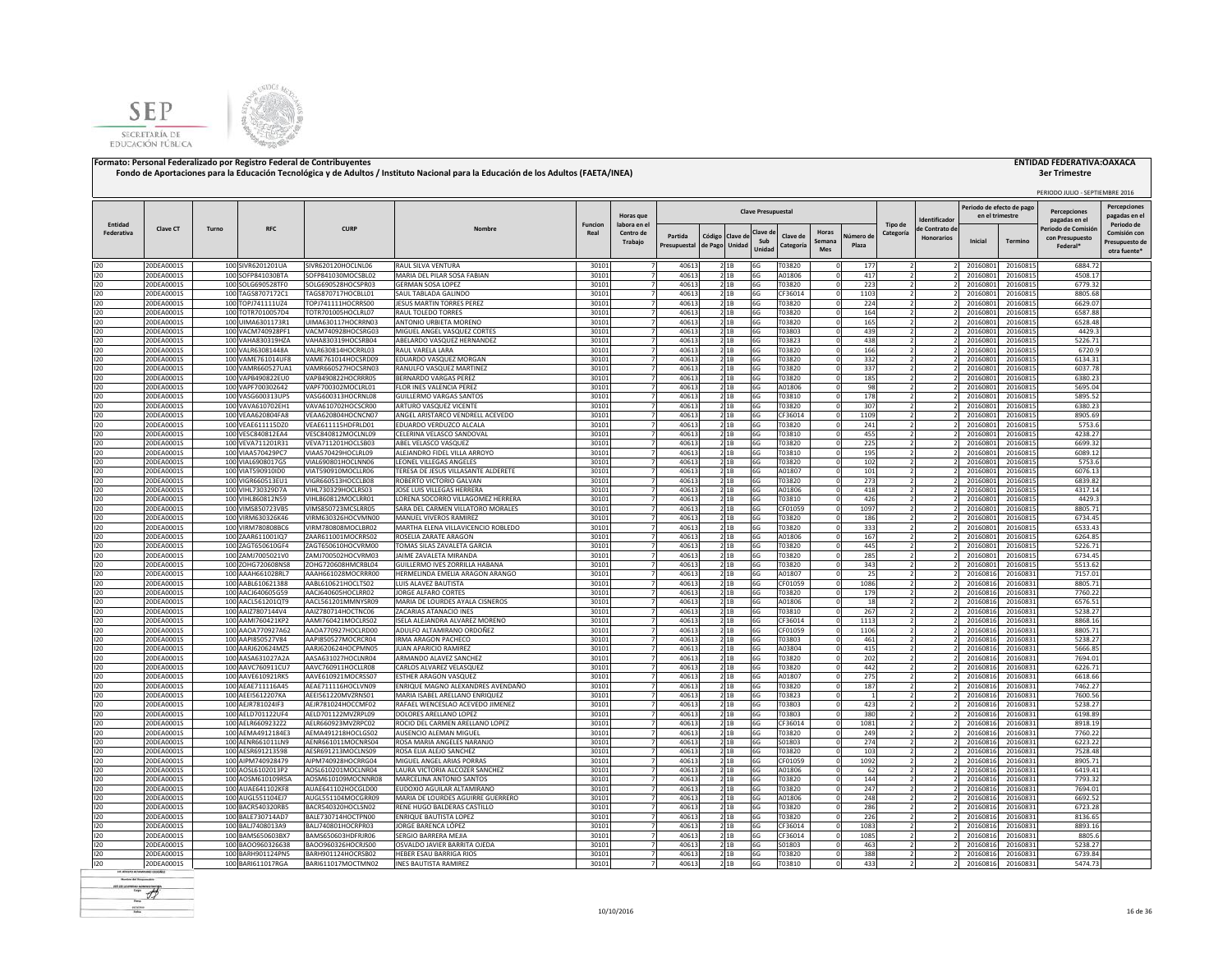



# **3er Trimestre**

|                       |                          |       |                                        |                                          |                                                                   |                        | Horas que                           |                                  |                          |         | <b>Clave Presupuestal</b> |                       |                        |                    |                      | dentificado                         | Periodo de efecto de pago<br>en el trimestre |                      | PERIODO JULIO - SEPTIEMBRE 2016<br><b>Percenciones</b><br>pagadas en el | <b>Percepciones</b><br>pagadas en e                          |
|-----------------------|--------------------------|-------|----------------------------------------|------------------------------------------|-------------------------------------------------------------------|------------------------|-------------------------------------|----------------------------------|--------------------------|---------|---------------------------|-----------------------|------------------------|--------------------|----------------------|-------------------------------------|----------------------------------------------|----------------------|-------------------------------------------------------------------------|--------------------------------------------------------------|
| Entidad<br>Federativa | Clave CT                 | Turno | <b>RFC</b>                             | <b>CURF</b>                              | Nombre                                                            | <b>Funcion</b><br>Real | labora en e<br>Centro de<br>Trabajo | Partida<br>Presupuestal          | Código<br>de Pago Unidad | Clave d | Clave d<br>Sub<br>Unida   | Clave de<br>Categoría | Horas<br>Semana<br>Mes | Vúmero de<br>Plaza | Tipo de<br>Categoría | le Contrato de<br><b>Honorarios</b> | Inicial                                      | <b>Termino</b>       | Periodo de Comisió<br>con Presupuesto<br>Federal*                       | Periodo de<br>Comisión cor<br>Presupuesto de<br>otra fuente' |
| 120                   | 20DEA0001S               |       | 100 SIVR6201201UA                      | SIVR620120HOCLNL06                       | RAUL SILVA VENTURA                                                | 30101                  |                                     | 40613                            | 21B                      |         | 6G                        | T03820                |                        | 177                |                      |                                     | 20160801                                     | 20160815             | 6884.72                                                                 |                                                              |
| 120                   | 20DEA0001S               |       | 100 SOFP841030BTA                      | SOFP841030MOCSBL02                       | MARIA DEL PILAR SOSA FABIAN                                       | 30101                  | $\overline{7}$                      | 40613                            | 21B                      |         | 6G                        | A01806                |                        | 417                |                      |                                     | 20160801                                     | 20160815             | 4508.17                                                                 |                                                              |
| 120                   | 20DEA0001S               |       | 100 SOLG690528TF0                      | SOLG690528HOCSPR03                       | GERMAN SOSA LOPEZ                                                 | 3010                   |                                     | 4061                             | 21B                      |         | 6G                        | T03820                |                        | 223                |                      |                                     | 20160801                                     | 20160815             | 6779.32                                                                 |                                                              |
| 120                   | 20DEA0001S               |       | 100 TAGS8707172C1                      | TAGS870717HOCBLL01                       | SAUL TABLADA GALINDO                                              | 30101                  |                                     | 4061                             | 21B                      |         | 6G                        | CF36014               |                        | 1103               |                      |                                     | 20160801                                     | 20160815             | 8805.68                                                                 |                                                              |
| 120                   | 20DEA0001S               |       | 100 TOPJ741111UZ4                      | TOPJ741111HOCRRS00                       | JESUS MARTIN TORRES PEREZ                                         | 30101                  |                                     | 40613                            | 21B                      |         | 6G                        | T03820                |                        | 224                |                      |                                     | 20160801                                     | 20160815             | 6629.07                                                                 |                                                              |
| 120<br>120            | 20DEA0001S<br>20DEA0001S |       | 100 TOTR7010057D4<br>100 UIMA6301173R1 | TOTR701005HOCLRL07<br>UIMA630117HOCRRN03 | RAUL TOLEDO TORRES<br>ANTONIO URBIETA MORENO                      | 30101<br>30101         |                                     | 40613<br>40613                   | 21B<br>21B               |         | 6G<br>6G                  | T03820<br>T03820      |                        | 164<br>165         |                      |                                     | 20160801<br>20160801                         | 20160815<br>20160815 | 6587.88<br>6528.48                                                      |                                                              |
| 120                   | 20DEA0001S               |       | 100 VACM740928PF1                      | VACM740928HOCSRG03                       | MIGUEL ANGEL VASQUEZ CORTES                                       | 30101                  |                                     | 40613                            | 21B                      |         | 6G                        | T03803                |                        | 439                |                      |                                     | 20160801                                     | 20160815             | 4429.3                                                                  |                                                              |
| 120                   | 20DEA0001S               |       | 100 VAHA830319HZA                      | VAHA830319HOCSRB04                       | ABELARDO VASQUEZ HERNANDEZ                                        | 30101                  |                                     | 40613                            | 21B                      |         | 6G                        | T03823                |                        | 438                |                      |                                     | 20160801                                     | 20160815             | 5226.71                                                                 |                                                              |
| 120                   | 20DEA0001S               |       | 100 VALR63081448A                      | VALR630814HOCRRL03                       | RAIII VAREIA I ARA                                                | 30101                  | 7                                   | 40613                            | 2 1 B                    |         | 6G                        | T03820                |                        | 166                |                      |                                     | 20160801                                     | 20160815             | 6720.9                                                                  |                                                              |
| 120                   | 20DEA0001S               |       | 100 VAME761014UF8                      | VAME761014HOCSRD09                       | EDUARDO VASQUEZ MORGAN                                            | 30101                  | $\overline{7}$                      | 40613                            | 2 1 B                    |         | 6G                        | T03820                |                        | 332                |                      |                                     | 20160801                                     | 20160815             | 6134.31                                                                 |                                                              |
| 120                   | 20DEA0001S               |       | 100 VAMR660527UA1                      | VAMR660527HOCSRN03                       | RANULFO VASQUEZ MARTINEZ                                          | 3010:                  |                                     | 40613                            | 2 1 B                    |         | 6G                        | T03820                |                        | 337                |                      |                                     | 20160801                                     | 20160815             | 6037.78                                                                 |                                                              |
| 120                   | 20DEA0001S               |       | 100 VAPB490822EU0                      | VAPB490822HOCRRR05                       | BERNARDO VARGAS PEREZ                                             | 3010:                  |                                     | 40613                            | 21B                      |         | 6G                        | T03820                |                        | 185                |                      |                                     | 20160801                                     | 20160815             | 6380.23                                                                 |                                                              |
| 120<br>120            | 20DEA0001S<br>20DEA0001S |       | 100 VAPF700302642<br>100 VASG600313UP5 | VAPF700302MOCLRL01<br>VASG600313HOCRNL08 | FLOR INES VALENCIA PEREZ<br><b>GUILLERMO VARGAS SANTOS</b>        | 30101<br>30101         | $\overline{7}$                      | 40613<br>40613                   | 2 1 B<br>21B             |         | 6G<br>6G                  | A01806<br>T03810      |                        | 98<br>178          |                      |                                     | 2016080<br>2016080                           | 20160815<br>20160815 | 5695.04<br>5895.52                                                      |                                                              |
| 120                   | 20DEA0001S               |       | 100 VAVA610702EH1                      | VAVA610702HOCSCR00                       | ARTURO VASQUEZ VICENTE                                            | 30101                  |                                     | $\overline{z}$<br>40613          | 2 1 B                    |         | 6G                        | T03820                |                        | 307                |                      |                                     | 20160801                                     | 20160815             | 6380.23                                                                 |                                                              |
| 120                   | 20DEA0001S               |       | 100 VEAA620804FA8                      | VEAA620804HOCNCN07                       | ANGEL ARISTARCO VENDRELL ACEVEDO                                  | 30101                  | $\overline{7}$                      | 40613                            | 21B                      |         | 6G                        | CF36014               |                        | 1109               |                      |                                     | 20160801                                     | 20160815             | 8905.69                                                                 |                                                              |
| 120                   | 20DEA0001S               |       | 100 VEAE611115DZ0                      | VEAE611115HDFRLD01                       | EDUARDO VERDUZCO ALCALA                                           | 30101                  | $\overline{7}$                      | 40613                            | 21B                      |         | 6G                        | T03820                |                        | 241                |                      |                                     | 20160801                                     | 20160815             | 5753.6                                                                  |                                                              |
| 120                   | 20DEA0001S               |       | 100 VESC840812EA4                      | VESC840812MOCLNL09                       | CELERINA VELASCO SANDOVAL                                         | 30101                  | $\overline{7}$                      | 40613                            | 21B                      |         | 6G                        | T03810                |                        | 455                |                      |                                     | 20160801                                     | 20160815             | 4238.27                                                                 |                                                              |
| 120                   | 20DEA0001S               |       | 100 VEVA711201R31                      | VEVA711201HOCLSB03                       | ABEL VELASCO VASQUEZ                                              | 3010                   |                                     | 40613                            | 21B                      |         | 6G                        | T03820                |                        | 225                |                      |                                     | 20160801                                     | 20160815             | 6699.32                                                                 |                                                              |
| 120                   | 20DEA0001S               |       | 100 VIAA570429PC7                      | VIAA570429HOCLRL09                       | ALEJANDRO FIDEL VILLA ARROYO                                      | 3010:                  |                                     | 40613                            | 21B                      |         | 6G                        | T03810                |                        | 195                |                      |                                     | 2016080                                      | 20160815             | 6089.12                                                                 |                                                              |
| 120                   | 20DEA0001S               |       | 100 VIAL6908017G5                      | VIAL690801HOCLNN06                       | LEONEL VILLEGAS ANGELES                                           | 30101                  |                                     | 40613                            | 21B                      |         | 6G                        | T03820                |                        | 102                |                      |                                     | 2016080                                      | 20160815             | 5753.6                                                                  |                                                              |
| 120<br>120            | 20DEA0001S               |       | 100 VIAT590910ID0                      | VIAT590910MOCLLR06                       | <b>FERESA DE JESUS VILLASANTE ALDERETE</b>                        | 30101                  |                                     | 40613                            | 21B<br>21B               |         | 6G                        | A01807                |                        | 101                |                      |                                     | 2016080                                      | 20160815             | 6076.13                                                                 |                                                              |
| 120                   | 20DEA0001S<br>20DEA0001S |       | 100 VIGR660513EU1<br>100 VIHL730329D7A | VIGR660513HOCCLB08<br>VIHL730329HOCLRS03 | ROBERTO VICTORIO GALVAN<br>JOSE LUIS VILLEGAS HERRERA             | 30101<br>30101         |                                     | 40613<br>40613                   | 21B                      |         | 6G<br>6G                  | T03820<br>A01806      |                        | 273<br>418         |                      |                                     | 20160801<br>20160801                         | 20160815<br>20160815 | 6839.82<br>4317.14                                                      |                                                              |
| 120                   | 20DEA0001S               |       | 100 VIHL860812N59                      | VIHL860812MOCLRR01                       | LORENA SOCORRO VILLAGOMEZ HERRERA                                 | 3010                   |                                     | 40613                            | 21B                      |         | 6G                        | T03810                |                        | 426                |                      |                                     | 20160803                                     | 20160815             | 4429.3                                                                  |                                                              |
| 120                   | 20DEA0001S               |       | 100 VIMS850723VB5                      | VIMS850723MCSLRR05                       | SARA DEL CARMEN VILLATORO MORALES                                 | 3010:                  | 7                                   | 40613                            | 2 1 B                    |         | 6G                        | CF01059               |                        | 1097               |                      |                                     | 20160801                                     | 20160815             | 8805 71                                                                 |                                                              |
| 120                   | 20DEA0001S               |       | 100 VIRM630326K46                      | VIRM630326HOCVMN00                       | MANUEL VIVEROS RAMIREZ                                            | 3010:                  | $\overline{7}$                      | 40613                            | 2 1B                     |         | 6G                        | T03820                |                        | 186                |                      |                                     | 20160801                                     | 20160815             | 6734.45                                                                 |                                                              |
| 120                   | 20DEA0001S               |       | 100 VIRM780808BC6                      | VIRM780808MOCLBR02                       | MARTHA ELENA VILLAVICENCIO ROBLEDO                                | 3010:                  |                                     | 40613                            | 2 1 B                    |         | 6G                        | T03820                |                        | 333                |                      |                                     | 20160801                                     | 20160815             | 6533.43                                                                 |                                                              |
| 120                   | 20DEA0001S               |       | 100 ZAAR611001lQ7                      | ZAAR611001MOCRRS02                       | ROSELIA ZARATE ARAGON                                             | 3010:                  |                                     | 40613                            | 21B                      |         | 6G                        | A01806                |                        | 167                |                      |                                     | 20160801                                     | 20160815             | 6264.85                                                                 |                                                              |
| 120                   | 20DEA0001S               |       | 100 ZAGT650610GF4                      | ZAGT650610HOCVRM00                       | TOMAS SILAS ZAVALETA GARCIA                                       | 3010                   | $\overline{7}$                      | 40613                            | 2 1B                     |         | 6G                        | T03820                |                        | 445                |                      |                                     | 2016080                                      | 20160815             | 5226.71                                                                 |                                                              |
| 120                   | 20DEA0001S               |       | 100 ZAMJ7005021V0                      | ZAMJ700502HOCVRM03                       | JAIME ZAVALETA MIRANDA                                            | 3010:                  | $\overline{7}$                      | 40613                            | 21B                      |         | 6G                        | T03820                |                        | 285                |                      |                                     | 2016080                                      | 20160815             | 6734.45                                                                 |                                                              |
| 120<br>120            | 20DEA0001S<br>20DEA0001S |       | 100 ZOHG720608NS8<br>100 AAAH661028RL7 | ZOHG720608HMCRBL04<br>AAAH661028MOCRRR00 | GUILLERMO IVES ZORRILLA HABANA<br>HERMELINDA EMELIA ARAGON ARANGO | 3010:<br>30101         | $\overline{7}$                      | $\overline{z}$<br>40613<br>40613 | 2 1 B<br>21B             |         | 6G<br>6G                  | T03820<br>A01807      |                        | 343<br>25          |                      |                                     | 20160801<br>20160816                         | 20160815<br>20160831 | 5513.62<br>7157.01                                                      |                                                              |
| 120                   | 20DEA0001S               |       | 100 AABL610621388                      | AABL610621HOCLTS02                       | LUIS ALAVEZ BAUTISTA                                              | 3010                   | $\overline{7}$                      | 40613                            | 21B                      |         | 6G                        | CF01059               |                        | 1086               |                      |                                     | 20160816                                     | 20160831             | 8805.71                                                                 |                                                              |
| 120                   | 20DEA0001S               |       | 100 AACJ640605G59                      | AACJ640605HOCLRR02                       | <b>JORGE ALFARO CORTES</b>                                        | 3010                   | $\overline{7}$                      | 40613                            | 21B                      |         | 6G                        | T03820                |                        | 179                |                      |                                     | 20160816                                     | 20160831             | 7760.22                                                                 |                                                              |
| 120                   | 20DEA0001S               |       | 100 AACL561201QT9                      | AACL561201MMNYSR09                       | MARIA DE LOURDES AYALA CISNEROS                                   | 30101                  | $\overline{7}$                      | 40613                            | 21B                      |         | 6G                        | A01806                |                        | 18                 |                      |                                     | 20160816                                     | 20160831             | 6576.51                                                                 |                                                              |
| 120                   | 20DEA0001S               |       | 100 AAIZ7807144V4                      | AAIZ780714HOCTNC06                       | ZACARIAS ATANACIO INES                                            | 3010:                  |                                     | 40613                            | 2 1B                     |         | 6G                        | T03810                |                        | 267                |                      |                                     | 20160816                                     | 20160831             | 5238.27                                                                 |                                                              |
| 120                   | 20DEA0001S               |       | 100 AAMI760421KP2                      | AAMI760421MOCLRS02                       | ISELA ALEJANDRA ALVAREZ MORENO                                    | 30101                  |                                     | 40613                            | 21B                      |         | 6G                        | CF36014               |                        | 1113               |                      |                                     | 20160816                                     | 20160831             | 8868.16                                                                 |                                                              |
| 120                   | 20DEA0001S               |       | 100 AAOA770927A62                      | AAOA770927HOCLRD00                       | ADULFO ALTAMIRANO ORDOÑEZ                                         | 30101                  |                                     | 40613                            | 21B                      |         | 6G                        | CF01059               |                        | 1106               |                      |                                     | 20160816                                     | 20160831             | 8805.71                                                                 |                                                              |
| 120                   | 20DEA0001S               |       | 100 AAPI850527V84                      | AAPI850527MOCRCR04                       | RMA ARAGON PACHECO                                                | 30101                  |                                     | 40613                            | 21B                      |         | 6G                        | T03803                |                        | 461                |                      |                                     | 20160816                                     | 20160831             | 5238.27                                                                 |                                                              |
| 120                   | 20DEA0001S<br>20DEA0001S |       | 100 AARJ620624MZ5<br>100 AASA631027A2A | AARJ620624HOCPMN05<br>AASA631027HOCLNR04 | JUAN APARICIO RAMIREZ<br>ARMANDO ALAVEZ SANCHEZ                   | 30101<br>30101         |                                     | 40613<br>40613                   | 21B                      |         | 6G                        | A03804<br>T03820      |                        | 415                |                      |                                     | 20160816<br>20160816                         | 20160831<br>20160831 | 5666.85<br>7694.01                                                      |                                                              |
| 120<br>120            | 20DEA0001S               |       | 100 AAVC760911CU7                      | AAVC760911HOCLLR08                       | CARLOS ALVAREZ VELASQUEZ                                          | 30101                  |                                     | 40613                            | 21B<br>2 1 B             |         | 6G<br>6G                  | T03820                |                        | 202<br>442         |                      |                                     | 20160816                                     | 20160831             | 6226.71                                                                 |                                                              |
| 120                   | 20DEA0001S               |       | 100 AAVE610921RK5                      | AAVE610921MOCRSS07                       | <b>ESTHER ARAGON VASQUEZ</b>                                      | 30101                  | $\overline{ }$                      | 40613                            | 21B                      |         | 6G                        | A01807                |                        | 275                |                      |                                     | 20160816                                     | 20160831             | 6618.66                                                                 |                                                              |
| 120                   | 20DEA0001S               |       | 100 AEAE711116A45                      | AEAE711116HOCLVN09                       | ENRIQUE MAGNO ALEXANDRES AVENDAÑO                                 | 30101                  |                                     | 40613                            | 21B                      |         | 6G                        | T03820                |                        | 187                |                      |                                     | 20160816                                     | 20160831             | 7462.27                                                                 |                                                              |
| 120                   | 20DEA0001S               |       | 100 AEEI5612207KA                      | AEEI561220MVZRNS01                       | MARIA ISABEL ARELLANO ENRIQUEZ                                    | 3010:                  |                                     | 40613                            | 21B                      |         | 6G                        | T03823                |                        |                    |                      |                                     | 20160816                                     | 20160831             | 7600.56                                                                 |                                                              |
| 120                   | 20DEA0001S               |       | 100 AEJR781024IF3                      | AEJR781024HOCCMF02                       | RAFAEL WENCESLAO ACEVEDO JIMENEZ                                  | 30101                  |                                     | 40613                            | 21B                      |         | 6G                        | T03803                |                        | 423                |                      |                                     | 20160816                                     | 20160831             | 5238.27                                                                 |                                                              |
| 120                   | 20DEA0001S               |       | 100 AELD701122UF4                      | AELD701122MVZRPL09                       | DOLORES ARELLANO LOPEZ                                            | 30101                  | $\overline{7}$                      | 40613                            | 21B                      |         | 6G                        | T03803                |                        | 380                |                      |                                     | 20160816                                     | 20160831             | 6198.89                                                                 |                                                              |
| 120                   | 20DEA0001S               |       | 100 AELR6609232Z2                      | AELR660923MVZRPC02                       | ROCIO DEL CARMEN ARELLANO LOPEZ                                   | 30101                  | $\overline{7}$                      | 40613                            | 21B                      |         | 6G                        | CF36014               |                        | 1081               |                      |                                     | 20160816                                     | 20160831             | 8918.19                                                                 |                                                              |
| 120                   | 20DEA0001S               |       | 100 AEMA4912184E3                      | AEMA491218HOCLGS02                       | AUSENCIO ALEMAN MIGUEL<br>ROSA MARIA ANGELES NARANJO              | 30101<br>30101         | $\overline{7}$                      | $\overline{7}$<br>40613<br>40613 | 21B<br>21B               |         | 6G                        | T03820                |                        | 249                |                      |                                     | 20160816                                     | 20160831             | 7760.22<br>6223.22                                                      |                                                              |
| 120<br>120            | 20DEA0001S<br>20DEA0001S |       | 100 AENR661011LN9<br>100 AESR691213598 | AENR661011MOCNRS04<br>AESR691213MOCLNS09 | ROSA ELIA ALEJO SANCHEZ                                           | 30101                  | $\overline{7}$                      | 40613                            | 21B                      |         | 6G<br>6G                  | S01803<br>T03820      |                        | 274<br>103         |                      |                                     | 20160816<br>20160816                         | 20160831<br>20160831 | 7528.48                                                                 |                                                              |
| 120                   | 20DEA0001S               |       | 100 AIPM740928479                      | AIPM740928HOCRRG04                       | MIGUEL ANGEL ARIAS PORRAS                                         | 30101                  | $\overline{7}$                      | 40613                            | 21B                      |         | 6G                        | CF01059               |                        | 1092               |                      |                                     | 20160816                                     | 20160831             | 8905.71                                                                 |                                                              |
| 120                   | 20DEA0001S               |       | 100 AOSL6102013P2                      | AOSL610201MOCLNR04                       | LAURA VICTORIA ALCOZER SANCHEZ                                    | 3010:                  |                                     | 40613                            | 21B                      |         | 6G                        | A01806                |                        | 62                 |                      |                                     | 20160816                                     | 20160831             | 6419.41                                                                 |                                                              |
| 120                   | 20DEA0001S               |       | 100 AOSM610109R5A                      | AOSM610109MOCNNR08                       | MARCELINA ANTONIO SANTOS                                          | 3010:                  |                                     | 4061                             | 2 1B                     |         | 6G                        | T03820                |                        | 144                |                      |                                     | 2016081                                      | 20160831             | 7793.32                                                                 |                                                              |
| 120                   | 20DEA0001S               |       | 100 AUAE641102KF8                      | AUAE641102HOCGLD00                       | EUDOXIO AGUILAR ALTAMIRANO                                        | 30101                  |                                     | 40613                            | 21B                      |         | 6G                        | F03820                |                        | 247                |                      |                                     | 2016081                                      | 20160831             | 7694.01                                                                 |                                                              |
| 120                   | 20DEA0001S               |       | 100 AUGL551104EJ7                      | AUGL551104MOCGRR09                       | MARIA DE LOURDES AGUIRRE GUERRERO                                 | 30101                  |                                     | 40613                            | 2 1 B                    |         | 6G                        | A01806                |                        | 248                |                      |                                     | 20160816                                     | 20160831             | 6692.52                                                                 |                                                              |
| 120                   | 20DEA0001S               |       | 100 BACR540320RB5                      | BACR540320HOCLSN02                       | RENE HUGO BALDERAS CASTILLO                                       | 30101                  |                                     | 40613                            | 2 1 B                    |         | 6G                        | T03820                |                        | 286                |                      |                                     | 20160816                                     | 20160831             | 6723.28                                                                 |                                                              |
| 120                   | 20DEA0001S               |       | 100 BALE730714AD7                      | BALE730714HOCTPN00                       | <b>ENRIQUE BAUTISTA LOPEZ</b>                                     | 30101                  |                                     | 40613                            | 21B                      |         | 6G                        | T03820                |                        | 226                |                      |                                     | 20160816                                     | 20160831             | 8136.65                                                                 |                                                              |
| 120<br>120            | 20DEA0001S<br>20DEA0001S |       | 100 BAL17408013A9<br>100 BAMS650603BX7 | BAL1740801HOCRPR03<br>BAMS650603HDERIR06 | JORGE BARENCA LÓPEZ<br>SERGIO BARRERA MEJIA                       | 3010:<br>3010          |                                     | 40613<br>40613                   | 2 1 B<br>2 1 B           |         | 6G                        | CF36014<br>CF36014    |                        | 1083<br>1085       |                      |                                     | 20160816<br>20160816                         | 20160831<br>20160831 | 8893.16<br>8805.6                                                       |                                                              |
| 120                   | 20DEA0001S               |       | 100 BAOO960326638                      | BAOO960326HOCRJS00                       | OSVALDO JAVIER BARRITA OJEDA                                      | 3010:                  |                                     | 40613                            | 2 1 B                    |         | 6G<br>6G                  | S01803                |                        | 463                |                      |                                     | 20160816                                     | 20160831             | 5238.27                                                                 |                                                              |
| 120                   | 20DEA0001S               |       | 100 BARH901124PN5                      | BARH901124HOCRSB02                       | HEBER ESAU BARRIGA RIOS                                           | 3010:                  |                                     | 40613                            | 21B                      |         | 6G                        | T03820                |                        | 388                |                      |                                     | 20160816                                     | 20160831             | 6739.84                                                                 |                                                              |
| 120                   | 20DEA0001S               |       | 100 BARI611017RGA                      | BARI611017MOCTMN02                       | <b>INES BAUTISTA RAMIREZ</b>                                      | 30101                  | $\overline{7}$                      | 40613                            | 2 1B                     |         | 6G                        | T03810                |                        | 433                |                      |                                     | 20160816                                     | 20160831             | 5474.73                                                                 |                                                              |
|                       |                          |       |                                        |                                          |                                                                   |                        |                                     |                                  |                          |         |                           |                       |                        |                    |                      |                                     |                                              |                      |                                                                         |                                                              |

 $-45$ **First** scopes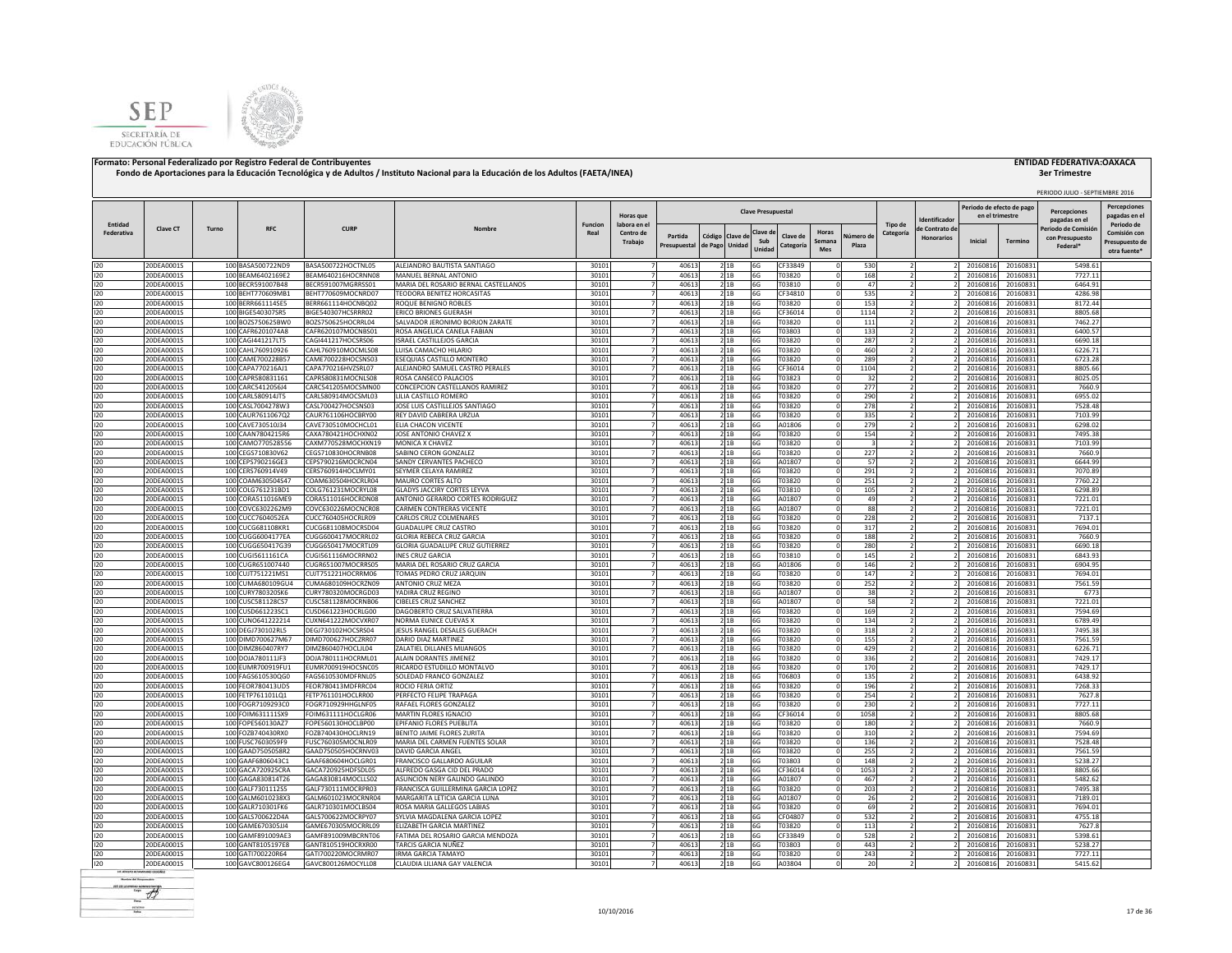



## **3er Trimestre**

|                   |                          |       |                                        |                                          |                                                              |                |                                  |                         |                                     |                           |                       |                               |                    |           |                                    |                                              |                      | PERIODO JULIO - SEPTIEMBRE 2016                   |                                                |
|-------------------|--------------------------|-------|----------------------------------------|------------------------------------------|--------------------------------------------------------------|----------------|----------------------------------|-------------------------|-------------------------------------|---------------------------|-----------------------|-------------------------------|--------------------|-----------|------------------------------------|----------------------------------------------|----------------------|---------------------------------------------------|------------------------------------------------|
|                   |                          |       |                                        |                                          |                                                              |                | <b>Horas</b> que                 |                         |                                     | <b>Clave Presupuestal</b> |                       |                               |                    |           |                                    | Periodo de efecto de pago<br>en el trimestro |                      | Percepciones                                      | <b>Percepciones</b><br>pagadas en e            |
| Entidad           |                          |       |                                        |                                          |                                                              | <b>Funcion</b> | labora en e                      |                         |                                     |                           |                       |                               |                    | Tipo de   | Identificado                       |                                              |                      | pagadas en el                                     | Periodo de                                     |
| <b>Federativa</b> | <b>Clave CT</b>          | Turno | <b>RFC</b>                             | <b>CURP</b>                              | Nombre                                                       | Real           | Centro de<br>Trabaio             | Partida<br>Presupuestal | Código<br>Clave c<br>de Pago Unidad | Clave d<br>Sub<br>Unida   | Clave di<br>Categoría | <b>Horas</b><br>Semana<br>Mes | Vúmero di<br>Plaza | Categoría | le Contrato d<br><b>Honorarios</b> | Inicial                                      | Termino              | Periodo de Comisió<br>con Presupuesto<br>Federal* | Comisión con<br>Presupuesto de<br>otra fuente* |
| 120               | 20DEA0001S               |       | 100 BASA500722ND9                      | BASA500722HOCTNL05                       | ALEJANDRO BAUTISTA SANTIAGO                                  | 30101          |                                  | 40613                   | 21B                                 | 6G                        | CF33849               |                               | 530                |           |                                    | 20160816                                     | 20160831             | 5498.61                                           |                                                |
| 120               | 20DEA0001S               |       | 100 BEAM6402169E2                      | BEAM640216HOCRNN08                       | MANUEL BERNAL ANTONIO                                        | 3010:          |                                  | 40613                   | 21B                                 | 6G                        | T03820                |                               | 168                |           |                                    | 20160816                                     | 20160831             | 7727.11                                           |                                                |
| 120               | 20DEA0001S               |       | 100 BECR591007B48                      | BECR591007MGRRSS01                       | MARIA DEL ROSARIO BERNAL CASTELLANOS                         | 30101          |                                  | 4061                    | 21B                                 | 6G                        | T03810                |                               | 47                 |           |                                    | 20160816                                     | 20160831             | 6464.91                                           |                                                |
| 120               | 20DEA0001S               |       | 100 BEHT770609MB1                      | BEHT770609MOCNRD07                       | TEODORA BENITEZ HORCASITAS                                   | 30101          |                                  | 40613                   | 21B                                 | 6G                        | CF34810               |                               | 535                |           |                                    | 20160816                                     | 20160831             | 4286.98                                           |                                                |
| 120               | 20DEA0001S               |       | 100 BERR661114SE5                      | BERR661114HOCNBQ02                       | ROQUE BENIGNO ROBLES                                         | 30101          |                                  | 40613                   | 21B                                 | 6G                        | T03820                |                               | 153                |           |                                    | 20160816                                     | 20160831             | 8172.44                                           |                                                |
| 120               | 20DEA0001S<br>20DEA0001S |       | 100 BIGE540307SR5<br>100 BOZS750625BW0 | BIGE540307HCSRRR02<br>BOZS750625HOCRRL04 | ERICO BRIONES GUERASH<br>SALVADOR JERONIMO BORJON ZARATE     | 30101<br>30101 |                                  | 40613<br>40613          | 2 1 B                               | 6G<br>6G                  | CF36014<br>T03820     |                               | 1114<br>111        |           |                                    | 20160816<br>20160816                         | 20160831<br>20160831 | 8805.68<br>7462.27                                |                                                |
| 120<br>120        | 20DEA0001S               |       | 100 CAFR6201074A8                      | CAFR620107MOCNBS01                       | ROSA ANGELICA CANELA FABIAN                                  | 3010           |                                  | 40613                   | 21B                                 | 6G                        | <b>FO3803</b>         |                               | 133                |           |                                    | 20160816                                     | 20160831             | 6400.57                                           |                                                |
| 120               | 20DEA0001S               |       | 100 CAG1441217LT5                      | CAGI441217HOCSRS06                       | <b>ISRAEL CASTILLEJOS GARCIA</b>                             | 30101          | 7<br>$\overline{ }$              | 40613                   | 2 1 B<br>2 1 B                      | 6G                        | T03820                |                               | 287                |           |                                    | 20160816                                     | 20160831             | 6690.18                                           |                                                |
| 120               | 20DEA0001S               |       | 100 CAHL760910926                      | CAHL760910MOCMLS08                       | LUISA CAMACHO HILARIO                                        | 3010:          |                                  | 40613                   | 2 1 B                               | 6G                        | T03820                |                               | 460                |           |                                    | 20160816                                     | 20160831             | 6226.71                                           |                                                |
| 120               | 20DEA0001S               |       | 100 CAME700228B57                      | CAME700228HOCSNS03                       | ESEQUIAS CASTILLO MONTERO                                    | 3010:          |                                  | 40613                   | 2 1 B                               | 6G                        | T03820                |                               | 289                |           |                                    | 20160816                                     | 20160831             | 6723.28                                           |                                                |
| 120               | 20DEA0001S               |       | 100 CAPA770216AJ1                      | CAPA770216HVZSRL07                       | ALEJANDRO SAMUEL CASTRO PERALES                              | 3010:          |                                  | 40613                   | 21B                                 | 6G                        | CF36014               |                               | 1104               |           |                                    | 20160816                                     | 20160831             | 8805.66                                           |                                                |
| 120               | 20DEA0001S               |       | 100 CAPR580831161                      | CAPR580831MOCNLS08                       | ROSA CANSECO PALACIOS                                        | 30101          | $\overline{7}$                   | 40613                   | 2 1 B                               | 6G                        | T03823                |                               | 32                 |           |                                    | 20160816                                     | 20160831             | 8025.05                                           |                                                |
| 120               | 20DEA0001S               |       | 100 CARC5412056J4                      | CARC541205MOCSMN00                       | CONCEPCION CASTELLANOS RAMIREZ                               | 30101          | $\overline{7}$                   | 40613                   | 21B                                 | 6G                        | T03820                |                               | 277                |           |                                    | 20160816                                     | 20160831             | 7660.9                                            |                                                |
| 120               | 20DEA0001S               |       | 100 CARL580914JT5                      | CARL580914MOCSML03                       | LILIA CASTILLO ROMERO                                        | 30101          | $\overline{z}$                   | 40613                   | 2 1 B                               | 6G                        | T03820                |                               | 290                |           |                                    | 20160816                                     | 20160831             | 6955.02                                           |                                                |
| 120               | 20DEA0001S               |       | 100 CASL7004278W3                      | CASL700427HOCSNS03                       | JOSE LUIS CASTILLEJOS SANTIAGO                               | 30101          | $\overline{7}$                   | 40613                   | 21B                                 | 6G                        | T03820                |                               | 278                |           |                                    | 20160816                                     | 20160831             | 7528.48                                           |                                                |
| 120               | 20DEA0001S               |       | 100 CAUR7611067Q2                      | CAUR761106HOCBRY00                       | REY DAVID CABRERA URZUA                                      | 3010           | $\overline{7}$                   | 40613                   | 21B                                 | 6G                        | T03820                |                               | 335                |           |                                    | 20160816                                     | 20160831             | 7103.99                                           |                                                |
| 120               | 20DEA0001S               |       | 100 CAVE730510J34                      | CAVE730510MOCHCL01                       | ELIA CHACON VICENTE                                          | 30101          | $\overline{7}$                   | 40613                   | 21B                                 | 6G                        | A01806                |                               | 279                |           |                                    | 20160816                                     | 20160831             | 6298.02                                           |                                                |
| 120               | 20DEA0001S               |       | 100 CAAN7804215R6                      | CAXA780421HOCHXN02                       | JOSE ANTONIO CHAVEZ X                                        | 3010           |                                  | 4061                    | 2 1B                                | 6G                        | T03820                |                               | 154                |           |                                    | 2016081                                      | 20160831             | 7495.38                                           |                                                |
| 120               | 20DEA0001S               |       | 100 CAMO770528556                      | CAXM770528MOCHXN19                       | MONICA X CHAVEZ                                              | 3010:          |                                  | 40613                   | 21B                                 | 6G                        | T03820                |                               |                    |           |                                    | 2016081                                      | 20160831             | 7103.99                                           |                                                |
| 120               | 20DEA0001S               |       | 100 CEGS710830V62                      | CEGS710830HOCRNB08                       | SABINO CERON GONZALEZ                                        | 30101          |                                  | 4061                    | 2 1 B                               | 6G                        | T03820                |                               | 227                |           |                                    | 20160816                                     | 20160831             | 7660.9                                            |                                                |
| 120<br>120        | 20DEA0001S<br>20DEA0001S |       | 100 CEPS790216GE3<br>100 CERS760914V49 | CEPS790216MOCRCN04<br>CERS760914HOCLMY01 | SANDY CERVANTES PACHECO<br>SEYMER CELAYA RAMIREZ             | 30101<br>30101 |                                  | 40613<br>40613          | 21B<br>2 1 B                        | 6G<br>6G                  | A01807<br>T03820      |                               | 57<br>291          |           |                                    | 2016081<br>2016081                           | 20160831<br>20160831 | 6644.99<br>7070.89                                |                                                |
| 120               | 20DEA0001S               |       | 100 COAM630504S47                      | COAM630504HOCRLR04                       | MAURO CORTES ALTO                                            | 30101          |                                  | 40613                   | 2 1 B                               | 6G                        | T03820                |                               | 251                |           |                                    | 20160816                                     | 20160831             | 7760.22                                           |                                                |
| 120               | 20DEA0001S               |       | 100 COLG761231BD1                      | COLG761231MOCRYL08                       | <b>GLADYS JACCIRY CORTES LEYVA</b>                           | 3010:          |                                  | 40613                   | 2 1 B                               | 6G                        | T03810                |                               | 105                |           |                                    | 20160816                                     | 20160831             | 6298.89                                           |                                                |
| 120               | 20DEA0001S               |       | 100 CORA511016ME9                      | CORA511016HOCRDN08                       | ANTONIO GERARDO CORTES RODRIGUEZ                             | 3010           |                                  | 40613                   | 21B                                 | 6G                        | A01807                |                               | 49                 |           |                                    | 20160816                                     | 20160831             | 7221.01                                           |                                                |
| 120               | 20DEA0001S               |       | 100 COVC6302262M9                      | COVC630226MOCNCR08                       | CARMEN CONTRERAS VICENTE                                     | 3010:          |                                  | 40613                   | 2 1 B                               | 6G                        | A01807                |                               | 88                 |           |                                    | 20160816                                     | 20160831             | 7221.01                                           |                                                |
| 120               | 20DEA0001S               |       | 100 CUCC7604052EA                      | CUCC760405HOCRLR09                       | CARLOS CRUZ COLMENARES                                       | 3010:          |                                  | 40613                   | 2 1 B                               | 6G                        | T03820                |                               | 228                |           |                                    | 20160816                                     | 20160831             | 7137.1                                            |                                                |
| 120               | 20DEA0001S               |       | 100 CUCG681108KR1                      | CUCG681108MOCRSD04                       | <b>GUADALUPE CRUZ CASTRO</b>                                 | 3010:          |                                  | 40613                   | 2 1 B                               | 6G                        | T03820                |                               | 317                |           |                                    | 20160816                                     | 20160831             | 7694.01                                           |                                                |
| 120               | 20DEA0001S               |       | 100 CUGG6004177EA                      | CUGG600417MOCRRL02                       | GLORIA REBECA CRUZ GARCIA                                    | 3010:          |                                  | 40613                   | 21B                                 | 6G                        | T03820                |                               | 188                |           |                                    | 20160816                                     | 20160831             | 7660.9                                            |                                                |
| 120               | 20DEA0001S               |       | 100 CUGG650417G39                      | CUGG650417MOCRTL09                       | GLORIA GUADALUPE CRUZ GUTIERREZ                              | 3010:          | $\overline{7}$                   | 40613                   | 2 1B                                | 6G                        | T03820                |                               | 280                |           |                                    | 20160816                                     | 20160831             | 6690.18                                           |                                                |
| 120               | 20DEA0001S               |       | 100 CUGI5611161CA                      | CUGI561116MOCRRN02                       | <b>INES CRUZ GARCIA</b>                                      | 3010:          | $\overline{7}$                   | 40613                   | 21B                                 | 6G                        | T03810                |                               | 145                |           |                                    | 20160816                                     | 20160831             | 6843.93                                           |                                                |
| 120               | 20DEA0001S               |       | 100 CUGR651007440                      | CUGR651007MOCRRS05                       | MARIA DEL ROSARIO CRUZ GARCIA                                | 3010:          | $\overline{7}$                   | 40613                   | 21B                                 | 6G                        | A01806                |                               | 146                |           |                                    | 20160816                                     | 20160831             | 6904.95                                           |                                                |
| 120               | 20DEA0001S               |       | 100 CUJT751221MS1                      | CUJT751221HOCRRM06                       | TOMAS PEDRO CRUZ JARQUIN                                     | 3010:          | $\overline{7}$                   | 40613                   | 21B                                 | 6G                        | T03820                |                               | 147                |           |                                    | 20160816                                     | 20160831             | 7694.01                                           |                                                |
| 120               | 20DEA0001S               |       | 100 CUMA680109GU4                      | CUMA680109HOCRZN09                       | ANTONIO CRUZ MEZA                                            | 3010           | $\overline{7}$                   | 40613                   | 21B                                 | 6G                        | T03820                |                               | 252                |           |                                    | 20160816                                     | 20160831             | 7561.59                                           |                                                |
| 120               | 20DEA0001S               |       | 100 CURY780320SK6                      | CURY780320MOCRGD03                       | YADIRA CRUZ REGINO                                           | 3010:          | $\overline{7}$                   | 40613                   | 21B                                 | 6G                        | A01807                |                               | 38                 |           |                                    | 20160816                                     | 20160831             | 6773                                              |                                                |
| 120               | 20DEA0001S               |       | 100 CUSC581128CS7                      | CUSC581128MOCRNB06                       | CIBELES CRUZ SANCHEZ                                         | 3010           |                                  | 4061                    | 21B                                 | 6G                        | A01807                |                               | 58                 |           |                                    | 20160816                                     | 20160831             | 7221.01                                           |                                                |
| 120<br>120        | 20DEA0001S<br>20DEA0001S |       | 100 CUSD661223SC1<br>100 CUNO641222214 | CUSD661223HOCRLG00<br>CUXN641222MOCVXR07 | DAGOBERTO CRUZ SALVATIERRA<br>NORMA EUNICE CUEVAS X          | 3010<br>3010:  |                                  | 40613<br>4061           | 21B<br>21B                          | 6G<br>6G                  | T03820<br>T03820      |                               | 169<br>134         |           |                                    | 20160816<br>20160816                         | 20160831<br>20160831 | 7594.69<br>6789.49                                |                                                |
| 120               | 20DEA0001S               |       | 100 DEGJ730102RL5                      | DEGJ730102HOCSRS04                       | JESUS RANGEL DESALES GUERACH                                 | 30101          |                                  | 40613                   | 2 1B                                | 6G                        | T03820                |                               | 318                |           |                                    | 20160816                                     | 20160831             | 7495.38                                           |                                                |
| 120               | 20DEA0001S               |       | 100 DIMD700627M67                      | DIMD700627HOCZRR07                       | DARIO DIAZ MARTINEZ                                          | 30101          |                                  | 40613                   | 2 1 B                               | 6G                        | T03820                |                               | 155                |           |                                    | 20160816                                     | 20160831             | 7561.59                                           |                                                |
| 120               | 20DEA0001S               |       | 100 DIMZ860407RY7                      | DIMZ860407HOCLJL04                       | ZALATIEL DILLANES MIJANGOS                                   | 30101          |                                  | 40613                   | 21B                                 | 6G                        | T03820                |                               | 429                |           |                                    | 20160816                                     | 20160831             | 6226.71                                           |                                                |
| 120               | 20DEA0001S               |       | 100 DOJA780111JF3                      | DOJA780111HOCRML01                       | ALAIN DORANTES JIMENEZ                                       | 30101          |                                  | 40613                   | 2 1 B                               | 6G                        | T03820                |                               | 336                |           |                                    | 20160816                                     | 20160831             | 7429.17                                           |                                                |
| 120               | 20DEA0001S               |       | 100 EUMR700919FU1                      | EUMR700919HOCSNC05                       | RICARDO ESTUDILLO MONTALVO                                   | 30101          |                                  | 40613                   | 2 1 B                               | 6G                        | T03820                |                               | 170                |           |                                    | 20160816                                     | 20160831             | 7429.17                                           |                                                |
| 120               | 20DEA0001S               |       | 100 FAGS610530QG0                      | FAGS610530MDFRNL05                       | SOLEDAD FRANCO GONZALEZ                                      | 30101          |                                  | 40613                   | 2 1 B                               | 6G                        | <b>FO6803</b>         |                               | 135                |           |                                    | 20160816                                     | 20160831             | 6438.92                                           |                                                |
| 120               | 20DEA0001S               |       | 100 FEOR780413UD5                      | FFOR780413MDFRRC04                       | ROCIO FERIA ORTIZ                                            | 30101          |                                  | 40613                   | 21B                                 | 6G                        | T03820                |                               | 196                |           |                                    | 20160816                                     | 20160831             | 7268.33                                           |                                                |
| 120               | 20DEA0001S               |       | 100 FETP761101LQ1                      | FETP761101HOCLRR00                       | PERFECTO FELIPE TRAPAGA                                      | 30101          |                                  | 40613                   | 2 1 B                               | 6G                        | T03820                |                               | 254                |           |                                    | 20160816                                     | 20160831             | 7627.8                                            |                                                |
| 120               | 20DEA0001S               |       | 100 FOGR7109293C0                      | FOGR710929HHGLNF05                       | RAFAEL FLORES GONZALEZ                                       | 3010:          |                                  | 40613                   | 21B                                 | 6G                        | T03820                |                               | 230                |           |                                    | 20160816                                     | 20160831             | 7727.11                                           |                                                |
| 120               | 20DEA0001S               |       | 100 FOIM631111SX9                      | FOIM631111HOCLGR06                       | MARTIN FLORES IGNACIO                                        | 3010:          | $\overline{7}$                   | 40613                   | 21B                                 | 6G                        | CF36014               |                               | 1058               |           |                                    | 20160816                                     | 20160831             | 8805.68                                           |                                                |
| 120               | 20DEA0001S               |       | 100 FOPE560130AZ7                      | FOPE560130HOCLBP00                       | EPIFANIO FLORES PUEBLIT/                                     | 30101          | $\overline{7}$                   | 40613                   | 2 1 B                               | 6G                        | T03820                |                               | 180                |           |                                    | 20160816                                     | 20160831             | 7660.9                                            |                                                |
| 120<br>120        | 20DEA0001S<br>20DEA0001S |       | 100 FOZB740430RX0<br>100 FUSC7603059F9 | FOZB740430HOCLRN19<br>FUSC760305MOCNLR09 | BENITO JAIME FLORES ZURITA<br>MARIA DEL CARMEN FUENTES SOLAR | 30101<br>30101 | $\overline{7}$<br>$\overline{7}$ | 40613<br>40613          | 21B<br>21B                          | 6G<br>6G                  | T03820<br>T03820      |                               | 310<br>136         |           |                                    | 20160816<br>20160816                         | 20160831<br>20160831 | 7594.69<br>7528.48                                |                                                |
| 120               | 20DEA0001S               |       | 100 GAAD7505058R2                      | GAAD750505HOCRNV03                       | DAVID GARCIA ANGEL                                           | 30101          | $\overline{7}$                   | 40613                   | 21B                                 | 6G                        | T03820                |                               | 255                |           |                                    | 20160816                                     | 20160831             | 7561.59                                           |                                                |
| 120               | 20DEA0001S               |       | 100 GAAF6806043C1                      | GAAF680604HOCLGR01                       | FRANCISCO GALLARDO AGUILAR                                   | 3010           | $\overline{7}$                   | 40613                   | 21B                                 | 6G                        | T03803                |                               | 148                |           |                                    | 20160816                                     | 20160831             | 5238.27                                           |                                                |
| 120               | 20DEA0001S               |       | 100 GACA720925CRA                      | GACA720925HDFSDL05                       | ALFREDO GASGA CID DEL PRADO                                  | 30101          | $\overline{7}$                   | 40613                   | 21B                                 | 6G                        | CF36014               |                               | 1053               |           |                                    | 20160816                                     | 20160831             | 8805.66                                           |                                                |
| 120               | 20DEA0001S               |       | 100 GAGA830814T26                      | GAGA830814MOCLLS02                       | ASUNCION NERY GALINDO GALINDO                                | 30101          |                                  | 40613                   | 21B                                 | 6G                        | A01807                |                               | 467                |           |                                    | 20160816                                     | 20160831             | 5482.62                                           |                                                |
| 120               | 20DEA0001S               |       | 100 GALF7301112S5                      | GALF730111MOCRPR03                       | FRANCISCA GUILLERMINA GARCIA LOPEZ                           | 3010:          |                                  | 40613                   | 21B                                 | 6G                        | T03820                |                               | 203                |           |                                    | 2016081                                      | 20160831             | 7495.38                                           |                                                |
| 120               | 20DEA0001S               |       | 100 GALM6010238X3                      | GALM601023MOCRNR04                       | MARGARITA LETICIA GARCIA LUNA                                | 30101          |                                  | 40613                   | 2 1B                                | 6G                        | A01807                |                               | 26                 |           |                                    | 2016081                                      | 20160831             | 7189.01                                           |                                                |
| 120               | 20DEA0001S               |       | 100 GALR710301FK6                      | GALR710301MOCLBS04                       | ROSA MARIA GALLEGOS LABIAS                                   | 30101          |                                  | 40613                   | 21B                                 | 6G                        | F03820                |                               | 69                 |           |                                    | 2016081                                      | 20160831             | 7694.01                                           |                                                |
| 120               | 20DEA0001S               |       | 100 GALS700622D4A                      | GALS700622MOCRPY07                       | SYLVIA MAGDALENA GARCIA LOPEZ                                | 30101          |                                  | 40613                   | 2 1 B                               | 6G                        | CF04807               |                               | 532                |           |                                    | 20160816                                     | 20160831             | 4755.18                                           |                                                |
| 120               | 20DEA0001S               |       | 100 GAME670305JJ4                      | GAME670305MOCRRL09                       | ELIZABETH GARCIA MARTINEZ                                    | 30101          |                                  | 40613                   | 21B                                 | 6G                        | T03820                |                               | 113                |           |                                    | 20160816                                     | 20160831             | 7627.8                                            |                                                |
| 120               | 20DEA0001S               |       | 100 GAMF891009AE3                      | GAMF891009MBCRNT06                       | FATIMA DEL ROSARIO GARCIA MENDOZA                            | 30101          |                                  | 40613                   | 21B                                 | 6G                        | CF33849               |                               | 528                |           |                                    | 20160816                                     | 20160831             | 5398.61                                           |                                                |
| 120               | 20DEA0001S               |       | 100 GANT8105197F8                      | GANT810519HOCRXR00                       | TARCIS GARCIA NUÑEZ                                          | 3010           |                                  | 40613                   | 2 1 B                               | 6G                        | <b>2803</b>           |                               | 443                |           |                                    | 20160816                                     | 20160831             | 5238.27                                           |                                                |
| 120               | 20DEA0001S               |       | 100 GATI700220R64                      | GATI700220MOCRMR07                       | <b>IRMA GARCIA TAMAYO</b>                                    | 3010           | $\overline{ }$                   | 40613                   | 21B                                 | 6G                        | T03820                |                               | 743                |           |                                    | 20160816                                     | 20160831             | 7727.11                                           |                                                |
| 120               | 20DEA0001S               |       | 100 GAVC800126EG4                      | GAVC800126MOCYLL08                       | CLAUDIA LILIANA GAY VALENCIA                                 | 30101          | 7                                | 40613                   | 2 1 B                               | 6G                        | A03804                |                               | 20                 |           |                                    | 20160816                                     | 20160831             | 5415.62                                           |                                                |

**Render del Francesco**  $-45$ scales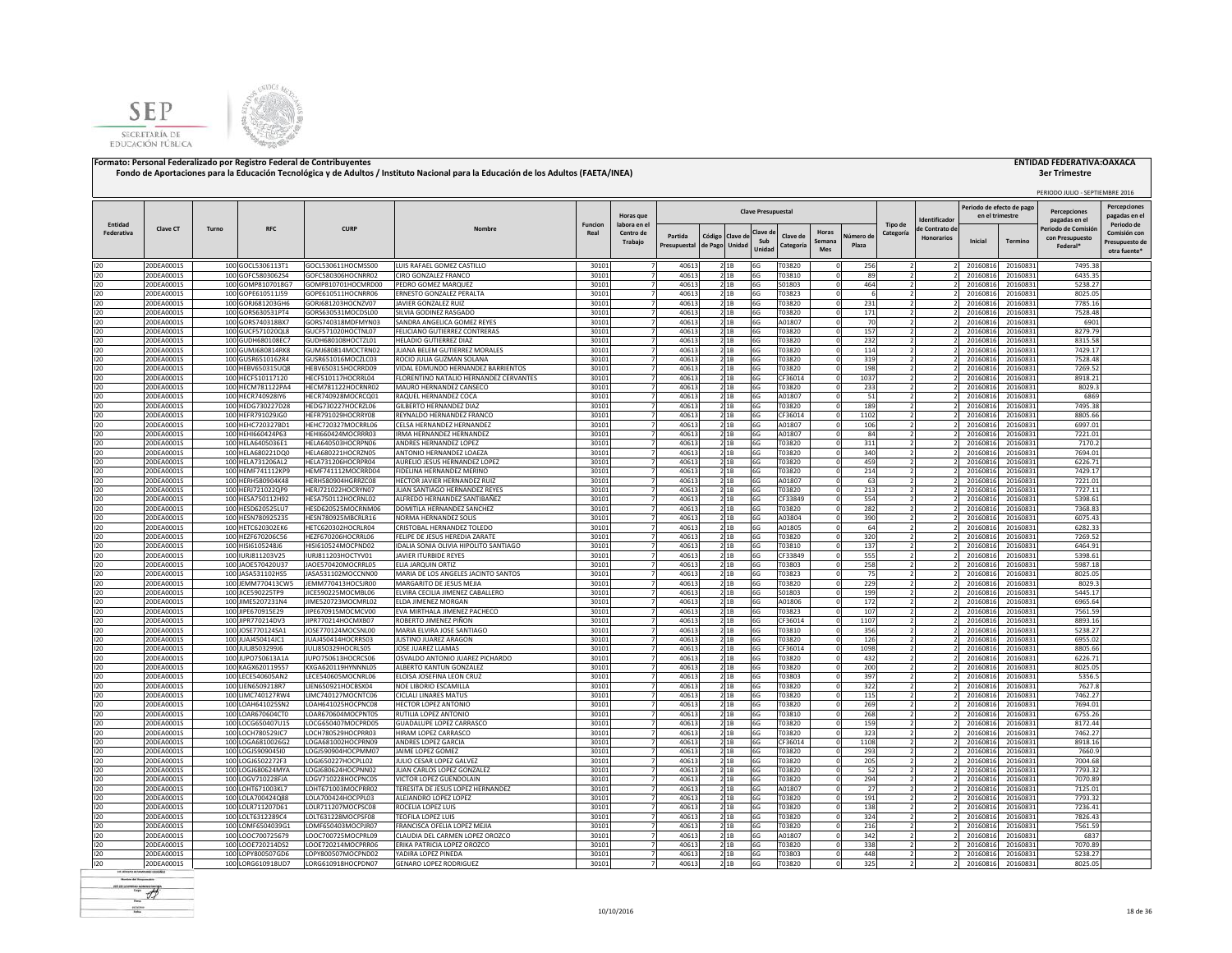



| Entidad<br>Federativa | <b>Clave CT</b>          | Turno |                                        |                                          |                                                           |                        |                           |                |                |                | <b>Clave Presupuestal</b> |                                  |             |                          |                                     | Periodo de efecto de pago |                      | <b>Percenciones</b>         | <b>Percepciones</b>                        |
|-----------------------|--------------------------|-------|----------------------------------------|------------------------------------------|-----------------------------------------------------------|------------------------|---------------------------|----------------|----------------|----------------|---------------------------|----------------------------------|-------------|--------------------------|-------------------------------------|---------------------------|----------------------|-----------------------------|--------------------------------------------|
|                       |                          |       |                                        |                                          |                                                           |                        | Horas que                 |                |                |                |                           |                                  |             |                          | dentificado                         | en el trimestre           |                      | pagadas en el               | pagadas en e                               |
|                       |                          |       | <b>RFC</b>                             | <b>CURP</b>                              | Nombr                                                     | <b>Funcion</b><br>Real | labora en el<br>Centro de | Partida        | Código Clave d |                | Clave d                   | Horas<br>Clave de                | Vúmero de   | Tipo de<br>Categoría     | le Contrato de<br><b>Honorarios</b> |                           |                      | Periodo de Comisió          | Periodo de<br>Comisión cor                 |
|                       |                          |       |                                        |                                          |                                                           |                        | Trabajo                   | Presupuestal   | de Pago Unidad |                | Sub<br>Unidad             | Semana<br><b>Categorí</b><br>Mes | Plaza       |                          |                                     | Inicial                   | Termino              | con Presupuesto<br>Federal* | Presupuesto de<br>otra fuente <sup>®</sup> |
| 120                   | 20DEA0001S               |       | 100 GOCL5306113T1                      | GOCL530611HOCMSS00                       | LUIS RAFAEL GOMEZ CASTILLO                                | 30101                  | $\overline{7}$            | 40613          |                | 2 1B           | 6G                        | T03820                           | 256         |                          |                                     | 20160816                  | 20160831             | 7495.38                     |                                            |
| 120                   | 20DEA0001S               |       | 100 GOFC5803062S4                      | GOFC580306HOCNRR02                       | CIRO GONZALEZ FRANCO                                      | 30101                  | $\overline{z}$            | 40613          |                | 21B            | 6G                        | T03810                           | 89          | $\overline{2}$           |                                     | 20160816                  | 20160831             | 6435.35                     |                                            |
| 120                   | 20DEA0001S               |       | 100 GOMP8107018G7                      | GOMP810701HOCMRD00                       | PEDRO GOMEZ MARQUEZ                                       | 30101                  |                           | 40613          |                | 21B            | 6G                        | S01803                           | 464         |                          |                                     | 20160816                  | 20160831             | 5238.27                     |                                            |
| 120                   | 20DEA0001S               |       | 100 GOPE610511J59                      | GOPE610511HOCNRR06                       | ERNESTO GONZALEZ PERALTA                                  | 30101                  |                           | 40613          |                | 2 1 B          | 6G                        | T03823                           | 6           |                          |                                     | 20160816                  | 20160831             | 8025.05                     |                                            |
| 120                   | 20DEA0001S               |       | 100 GORJ681203GH6                      | GORJ681203HOCNZV07                       | JAVIER GONZALEZ RUIZ                                      | 30101                  |                           | 40613          |                | 21B            | 6G                        | T03820                           | 231         |                          |                                     | 20160816                  | 20160831             | 7785.16                     |                                            |
| 120<br>120            | 20DEA0001S<br>20DEA0001S |       | 100 GORS630531PT4<br>100 GORS740318BX7 | GORS630531MOCDSL00<br>GORS740318MDFMYN03 | SILVIA GODINEZ RASGADO<br>SANDRA ANGELICA GOMEZ REYES     | 30101<br>30101         |                           | 40613<br>40613 |                | 21B<br>21B     | 6G<br>6G                  | T03820<br>A01807                 | 171<br>70   |                          |                                     | 20160816<br>20160816      | 20160831<br>20160831 | 7528.48<br>6901             |                                            |
| 120                   | 20DEA0001S               |       | 100 GUCF571020QL8                      | GUCF571020HOCTNL07                       | FELICIANO GUTIERREZ CONTRERAS                             | 30101                  |                           | 40613          |                | 21B            | 6G                        | T03820                           | 157         |                          |                                     | 20160816                  | 20160831             | 8279.79                     |                                            |
| 120                   | 20DEA0001S               |       | 100 GUDH680108EC7                      | GUDH680108HOCTZL01                       | HELADIO GUTIERREZ DIAZ                                    | 30101                  |                           | 40613          |                | 21B            | 6G                        | T03820                           | 232         |                          |                                     | 20160816                  | 20160831             | 8315.58                     |                                            |
| 120                   | 20DEA0001S               |       | 100 GUMJ680814RK8                      | GUMJ680814MOCTRN02                       | JUANA BELEM GUTIERREZ MORALES                             | 30101                  | 7                         | 40613          |                | 2 1 B          | 6G                        | T03820                           | 114         |                          |                                     | 20160816                  | 20160831             | 7429.17                     |                                            |
| 120                   | 20DEA0001S               |       | 100 GUSR6510162R4                      | GUSR651016MOCZLC03                       | ROCIO IUI IA GUZMAN SOLANA                                | 30101                  |                           | 40613          |                | 2 1 B          | 6G                        | T03820                           | 319         |                          |                                     | 20160816                  | 20160831             | 7528.48                     |                                            |
| 120                   | 20DEA0001S               |       | 100 HEBV650315UQ8                      | HEBV650315HOCRRD09                       | VIDAL EDMUNDO HERNANDEZ BARRIENTOS                        | 30101                  |                           | 40613          |                | 21B            | 6G                        | T03820                           | 198         |                          |                                     | 20160816                  | 20160831             | 7269.52                     |                                            |
| 120                   | 20DEA0001S               |       | 100 HECF510117120                      | HECF510117HOCRRL04                       | FLORENTINO NATALIO HERNANDEZ CERVANTES                    | 30101                  |                           | 40613          |                | 2 1 B          | 6G                        | CF36014                          | 1037        | 2                        |                                     | 20160816                  | 20160831             | 8918.21                     |                                            |
| 120<br>120            | 20DEA0001S<br>20DEA0001S |       | 100 HECM781122PA4<br>100 HECR740928IY6 | HECM781122HOCRNR02<br>HECR740928MOCRCQ01 | MAURO HERNANDEZ CANSECO<br>RAQUEL HERNANDEZ COCA          | 30101<br>30101         | $\overline{7}$            | 40613<br>40613 |                | 2 1B           | 6G<br>6G                  | T03820<br>A01807                 | 233<br>51   |                          |                                     | 20160816<br>20160816      | 20160831<br>20160831 | 8029.3<br>6869              |                                            |
| 120                   | 20DEA0001S               |       | 100 HEDG730227D28                      | HEDG730227HOCRZL06                       | GILBERTO HERNANDEZ DIAZ                                   | 30101                  | $\overline{7}$            | 40613          |                | 2 1B<br>2 1 B  | 6G                        | T03820                           | 189         |                          |                                     | 2016081                   | 20160831             | 7495.38                     |                                            |
| 120                   | 20DEA0001S               |       | 100 HEFR791029JG0                      | HEFR791029HOCRRY08                       | REYNALDO HERNANDEZ FRANCO                                 | 30101                  | $\overline{7}$            | 40613          |                | 21B            | 6G                        | CF36014                          | 1102        | $\overline{2}$           |                                     | 20160816                  | 20160831             | 8805.66                     |                                            |
| 120                   | 20DEA0001S               |       | 100 HEHC720327BD1                      | HEHC720327MOCRRL06                       | CELSA HERNANDEZ HERNANDEZ                                 | 30101                  | $\overline{7}$            | 40613          |                | 21B            | 6G                        | A01807                           | 106         | $\overline{2}$           |                                     | 20160816                  | 20160831             | 6997.01                     |                                            |
| 120                   | 20DEA0001S               |       | 100 HEHI660424P63                      | HEHI660424MOCRRR03                       | <b>IRMA HERNANDEZ HERNANDEZ</b>                           | 30101                  | $\overline{7}$            | 40613          |                | 21B            | 6G                        | A01807                           | 84          | ν                        |                                     | 20160816                  | 20160831             | 7221.01                     |                                            |
| 120                   | 20DEA0001S               |       | 100 HELA6405036E1                      | HELA640503HOCRPN06                       | ANDRES HERNANDEZ LOPEZ                                    | 30101                  | $\overline{7}$            | 40613          |                | 2 1B           | 6G                        | T03820                           | 311         |                          |                                     | 20160816                  | 20160831             | 7170.2                      |                                            |
| 120                   | 20DEA0001S               |       | 100 HELA680221DQ0                      | HELA680221HOCRZN05                       | ANTONIO HERNANDEZ LOAEZA                                  | 30101                  | $\overline{7}$            | 40613          |                | 21B            | 6G                        | T03820                           | 340         | $\overline{z}$           |                                     | 20160816                  | 20160831             | 7694.01                     |                                            |
| 120                   | 20DEA0001S               |       | 100 HELA731206AL2                      | HELA731206HOCRPR04                       | AURELIO JESUS HERNANDEZ LOPEZ                             | 30101                  |                           | 40613          |                | 2 1B           | 6G                        | T03820                           | 459         |                          |                                     | 20160816                  | 20160831             | 6226.71                     |                                            |
| 120<br>120            | 20DEA0001S<br>20DEA0001S |       | 100 HEMF741112KP9<br>100 HERH580904K48 | HEMF741112MOCRRD04<br>HERH580904HGRRZC08 | FIDELINA HERNANDEZ MERINO<br>HECTOR JAVIER HERNANDEZ RUIZ | 30101<br>30101         |                           | 40613<br>40613 |                | 2 1 B<br>2 1 B | 6G<br>6G                  | T03820<br>A01807                 | 214<br>63   |                          |                                     | 2016081<br>2016081        | 20160831<br>20160831 | 7429.17<br>7221.01          |                                            |
| 120                   | 20DEA0001S               |       | 100 HERJ721022QP9                      | HERJ721022HOCRYN07                       | JUAN SANTIAGO HERNANDEZ REYES                             | 30101                  |                           | 40613          |                | 2 1 B          | 6G                        | T03820                           | 213         |                          |                                     | 2016081                   | 20160831             | 7727.11                     |                                            |
| 120                   | 20DEA0001S               |       | 100 HESA750112H92                      | HESA750112HOCRNL02                       | ALFREDO HERNANDEZ SANTIBAÑEZ                              | 30101                  |                           | 40613          |                | 2 1B           | 6G                        | CF33849                          | 554         |                          |                                     | 20160816                  | 20160831             | 5398.61                     |                                            |
| 120                   | 20DEA0001S               |       | 100 HESD620525LU7                      | HESD620525MOCRNM06                       | DOMITILA HERNANDEZ SANCHEZ                                | 30101                  |                           | 40613          |                | 2 1 B          | 6G                        | T03820                           | 282         |                          |                                     | 20160816                  | 20160831             | 7368.83                     |                                            |
| 120                   | 20DEA0001S               |       | 100 HESN780925235                      | HESN780925MBCRLR16                       | NORMA HERNANDEZ SOLIS                                     | 30101                  |                           | 40613          |                | 21B            | 6G                        | A03804                           | 390         |                          |                                     | 20160816                  | 20160831             | 6075.43                     |                                            |
| 120                   | 20DEA0001S               |       | 100 HETC620302EK6                      | HETC620302HOCRLR04                       | CRISTOBAL HERNANDEZ TOLEDO                                | 30101                  | 7                         | 40613          |                | 2 1 B          | 6G                        | A01805                           | 64          |                          |                                     | 20160816                  | 20160831             | 6282.33                     |                                            |
| 120                   | 20DEA0001S               |       | 100 HEZF670206C56                      | HEZF670206HOCRRL06                       | FFLIPE DE JESUS HEREDIA ZARATE                            | 30101                  | $\overline{7}$            | 40613          |                | 2 1B           | 6G                        | T03820                           | 320         | $\overline{z}$           |                                     | 20160816                  | 20160831             | 7269.52                     |                                            |
| 120                   | 20DEA0001S               |       | 100 HISI6105248J6                      | HISI610524MOCPND02                       | IDALIA SONIA OLIVIA HIPOLITO SANTIAGO                     | 30101                  |                           | 40613          |                | 21B            | 6G                        | T03810                           | 137         |                          |                                     | 20160816                  | 20160831             | 6464.91                     |                                            |
| 120                   | 20DEA0001S               |       | 100 IURJ811203V25                      | IURJ811203HOCTYV01                       | JAVIER ITURBIDE REYES                                     | 30101                  |                           | 40613          |                | 21B            | 6G                        | CF33849                          | 555         | $\overline{z}$           |                                     | 20160816                  | 20160831             | 5398.61                     |                                            |
| 120<br>120            | 20DEA0001S<br>20DEA0001S |       | 100 JAOE570420U37<br>100 JASA531102HS5 | JAOE570420MOCRRL05<br>JASA531102MOCCNN00 | ELIA JARQUIN ORTIZ<br>MARIA DE LOS ANGELES JACINTO SANTOS | 30101<br>30101         | $\overline{7}$            | 40613<br>40613 |                | 21B<br>21B     | 6G<br>6G                  | T03803<br>T03823                 | 258<br>75   |                          |                                     | 20160816<br>20160816      | 20160831<br>20160831 | 5987.18<br>8025.05          |                                            |
| 120                   | 20DEA0001S               |       | 100 JEMM770413CW5                      | JEMM770413HOCSJR00                       | MARGARITO DE JESUS MEJIA                                  | 30101                  | $\overline{7}$            | 40613          |                | 21B            | 6G                        | T03820                           | 229         | $\overline{\mathcal{L}}$ |                                     | 20160816                  | 20160831             | 8029.3                      |                                            |
| 120                   | 20DEA0001S               |       | 100 JICE590225TP9                      | JICE590225MOCMBL06                       | ELVIRA CECILIA JIMENEZ CABALLERO                          | 30101                  | $\overline{7}$            | 40613          |                | 2 1 B          | 6G                        | S01803                           | 199         | $\overline{2}$           |                                     | 20160816                  | 20160831             | 5445.17                     |                                            |
| 120                   | 20DEA0001S               |       | 100 JIME5207231N4                      | JIME520723MOCMRL02                       | <b>ELDA JIMENEZ MORGAN</b>                                | 30101                  | $\overline{7}$            | 40613          |                | 21B            | 6G                        | A01806                           | 172         | ν                        |                                     | 20160816                  | 20160831             | 6965.64                     |                                            |
| 120                   | 20DEA0001S               |       | 100 JIPE670915E29                      | JIPE670915MOCMCV00                       | EVA MIRTHALA JIMENEZ PACHECO                              | 30101                  | $\overline{7}$            | 40613          |                | 21B            | 6G                        | T03823                           | 107         | $\overline{2}$           |                                     | 20160816                  | 20160831             | 7561.59                     |                                            |
| 120                   | 20DEA0001S               |       | 100 JIPR770214DV3                      | JIPR770214HOCMXB07                       | ROBERTO JIMENEZ PIÑON                                     | 30101                  | $\overline{7}$            | 40613          |                | 21B            | 6G                        | CF36014                          | 1107        |                          |                                     | 20160816                  | 20160831             | 8893.16                     |                                            |
| 120                   | 20DEA0001S               |       | 100 JOSE770124SA1                      | JOSE770124MOCSNL00                       | MARIA ELVIRA JOSE SANTIAGO                                | 30101                  |                           | 40613          |                | 21B            | 6G                        | T03810                           | 356         |                          |                                     | 20160816                  | 20160831             | 5238.27                     |                                            |
| 120                   | 20DEA0001S               |       | 100 JUAJ450414JC1                      | JUAJ450414HOCRRS03                       | JUSTINO JUAREZ ARAGON                                     | 30101                  |                           | 40613          |                | 2 1 B          | 6G                        | T03820                           | 126         |                          |                                     | 20160816                  | 20160831             | 6955.02                     |                                            |
| 120<br>120            | 20DEA0001S<br>20DEA0001S |       | 100 JULI8503299J6<br>100 JUPO750613A1A | JULJ850329HOCRLS05<br>JUPO750613HOCRCS06 | JOSE JUAREZ LLAMAS<br>OSVALDO ANTONIO JUAREZ PICHARDO     | 30101<br>30101         |                           | 40613<br>40613 |                | 2 1 B<br>2 1B  | 6G<br>6G                  | CF36014<br>T03820                | 1098<br>432 |                          |                                     | 20160816<br>20160816      | 20160831<br>20160831 | 8805.66<br>6226.71          |                                            |
| 120                   | 20DEA0001S               |       | 100 KAGX620119557                      | KXGA620119HYNNNL05                       | ALBERTO KANTUN GONZALEZ                                   | 30101                  |                           | 40613          |                | 21B            | 6G                        | T03820                           | 200         |                          |                                     | 20160816                  | 20160831             | 8025.05                     |                                            |
| 120                   | 20DEA0001S               |       | 100 LECE540605AN2                      | LECE540605MOCNRL06                       | ELOISA JOSEFINA LEON CRUZ                                 | 30101                  |                           | 40613          |                | 21B            | 6G                        | T03803                           | 397         |                          |                                     | 20160816                  | 20160831             | 5356.5                      |                                            |
| 120                   | 20DEA0001S               |       | 100 LIEN6509218R7                      | IEN650921HOCBSX04                        | NOE LIBORIO ESCAMILLA                                     | 30101                  |                           | 40613          |                | 21B            | 6G                        | T03820                           | 322         |                          |                                     | 20160816                  | 20160831             | 7627.8                      |                                            |
| 120                   | 20DEA0001S               |       | 100 LIMC740127RW4                      | LIMC740127MOCNTC06                       | CICLALL UNARES MATUS                                      | 30101                  | 7                         | 40613          |                | 2 1B           | 6G                        | T03820                           | 115         |                          |                                     | 20160816                  | 20160831             | 7462.27                     |                                            |
| 120                   | 20DEA0001S               |       | 100 LOAH641025SN2                      | LOAH641025HOCPNC08                       | HECTOR LOPEZ ANTONIO                                      | 30101                  |                           | 40613          |                | 2 1B           | 6G                        | T03820                           | 269         |                          |                                     | 20160816                  | 20160831             | 7694.01                     |                                            |
| 120                   | 20DEA0001S               |       | 100 LOAR670604CT0                      | LOAR670604MOCPNT05                       | RUTILIA LOPEZ ANTONIO                                     | 30101                  |                           | 40613          |                | 2 1 B          | 6G                        | T03810                           | 268         | 2                        |                                     | 20160816                  | 20160831             | 6755.26                     |                                            |
| 120<br>120            | 20DEA0001S<br>20DEA0001S |       | 100 LOCG650407U15<br>100 LOCH780529JC7 | LOCG650407MOCPRD05<br>LOCH780529HOCPRR03 | <b>GUADALUPE LOPEZ CARRASCO</b><br>HIRAM LOPEZ CARRASCO   | 30101<br>30101         | $\overline{7}$            | 40613<br>40613 |                | 2 1 B<br>21B   | 6G<br>6G                  | T03820<br>T03820                 | 159<br>323  |                          |                                     | 20160816<br>20160816      | 20160831<br>20160831 | 8172.44<br>7462.27          |                                            |
| 120                   | 20DEA0001S               |       | 100 LOGA6810026G2                      | LOGA681002HOCPRN09                       | ANDRES LOPEZ GARCIA                                       | 30101                  | $\overline{7}$            | 40613          |                | 2 1 B          | 6G                        | CF36014                          | 1108        |                          |                                     | 2016081                   | 20160831             | 8918.16                     |                                            |
| 120                   | 20DEA0001S               |       | 100 LOGJ590904510                      | LOGJ590904HOCPMM07                       | JAIME LOPEZ GOMEZ                                         | 30101                  | $\overline{7}$            | 40613          |                | 21B            | 6G                        | T03820                           | 293         |                          |                                     | 20160816                  | 20160831             | 7660.9                      |                                            |
| 120                   | 20DEA0001S               |       | 100 LOGJ6502272F3                      | LOGJ650227HOCPLL02                       | JULIO CESAR LOPEZ GALVEZ                                  | 30101                  | $\overline{7}$            | 40613          |                | 21B            | 6G                        | T03820                           | 205         | $\overline{2}$           |                                     | 20160816                  | 20160831             | 7004.68                     |                                            |
| 120                   | 20DEA0001S               |       | 100 LOGJ680624MYA                      | LOGJ680624HOCPNN02                       | JUAN CARLOS LOPEZ GONZALEZ                                | 30101                  | $\overline{7}$            | 40613          |                | 21B            | 6G                        | T03820                           | 52          | ν                        |                                     | 20160816                  | 20160831             | 7793.32                     |                                            |
| 120                   | 20DEA0001S               |       | 100 LOGV710228FJA                      | LOGV710228HOCPNC05                       | VICTOR LOPEZ GUENDOLAIN                                   | 30101                  | $\overline{7}$            | 40613          |                | 21B            | 6G                        | T03820                           | 294         |                          |                                     | 20160816                  | 20160831             | 7070.89                     |                                            |
| 120                   | 20DEA0001S               |       | 100 LOHT671003KL7                      | LOHT671003MOCPRR02                       | TERESITA DE JESUS LOPEZ HERNANDEZ                         | 30101                  | $\overline{7}$            | 40613          |                | 2 1B           | 6G                        | A01807                           | 27          | $\overline{2}$           |                                     | 20160816                  | 20160831             | 7125.01                     |                                            |
| 120                   | 20DEA0001S               |       | 100 LOLA700424Q88                      | LOLA700424HOCPPL03                       | ALEJANDRO LOPEZ LOPEZ                                     | 30101                  | $\overline{7}$            | 40613          |                | 21B            | 6G                        | T03820                           | 191         | $\overline{z}$           |                                     | 20160816                  | 20160831             | 7793.32                     |                                            |
| 120<br>120            | 20DEA0001S<br>20DEA0001S |       | 100 LOLR711207D61<br>100 LOLT6312289C4 | LOLR711207MOCPSC08<br>LOLT631228MOCPSF08 | ROCELIA LOPEZ LUIS<br>TEOFILA LOPEZ LUIS                  | 30101<br>30101         |                           | 40613<br>40613 |                | 21B            | 6G                        | T03820<br>T03820                 | 138<br>324  |                          |                                     | 2016081<br>2016081        | 20160831<br>20160831 | 7236.41<br>7826.43          |                                            |
| 120                   | 20DEA0001S               |       | 100 LOMF6504039G1                      | LOMF650403MOCPJR07                       | FRANCISCA OFELIA LOPEZ MEJIA                              | 30101                  |                           | 4061           |                | 2 1 B<br>21B   | 6G<br>6G                  | T03820                           | 216         |                          |                                     | 2016081                   | 20160831             | 7561.59                     |                                            |
| 120                   | 20DEA0001S               |       | 100 LOOC700725679                      | LOOC700725MOCPRL09                       | CLAUDIA DEL CARMEN LOPEZ OROZCO                           | 30101                  |                           | 40613          |                | 2 1B           | 6G                        | A01807                           | 342         |                          |                                     | 2016081                   | 20160831             | 6837                        |                                            |
| 120                   | 20DEA0001S               |       | 100 LOOE720214DS2                      | LOOE720214MOCPRR06                       | ERIKA PATRICIA LOPEZ OROZCO                               | 30101                  |                           | 40613          |                | 2 1B           | 6G                        | T03820                           | 338         |                          |                                     | 20160816                  | 20160831             | 7070.89                     |                                            |
| 120                   | 20DEA0001S               |       | 100 LOPY800507GD6                      | LOPY800507MOCPND02                       | YADIRA LOPEZ PINEDA                                       | 30101                  |                           | 40613          |                | 21B            | 6G                        | T03803                           | 448         |                          |                                     | 20160816                  | 20160831             | 5238.27                     |                                            |
| 120                   | 20DEA0001S               |       | 100 LORG610918UD7                      | LORG610918HOCPDN07                       | <b>GENARO LOPEZ RODRIGUEZ</b>                             | 30101                  | 7                         | 40613          |                | 2 1 B          | 6G                        | T03820                           | 325         |                          |                                     | 20160816                  | 20160831             | 8025.05                     |                                            |

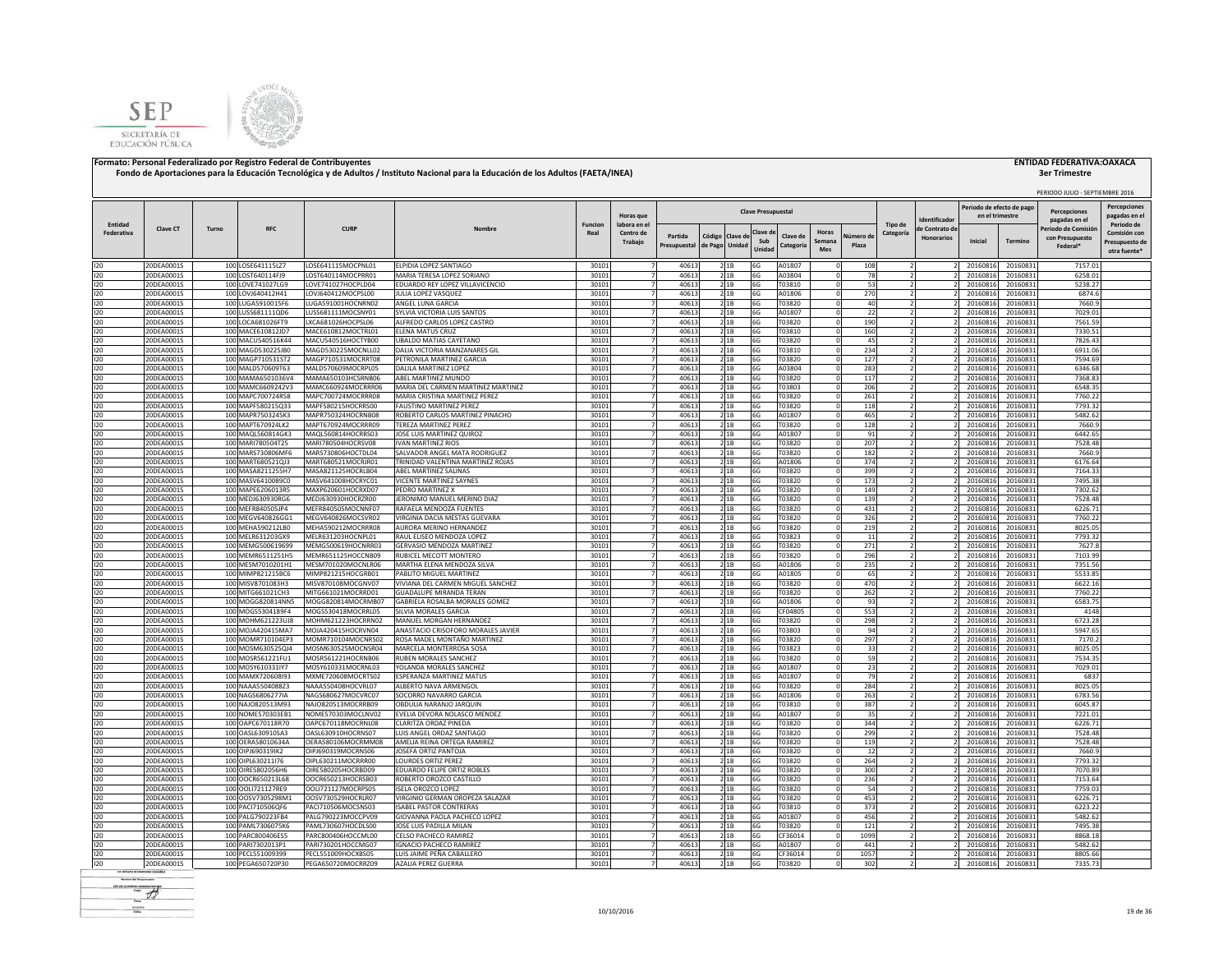



|                       |                          |       |                                        |                                          |                                                                     |                        |                                  |                |                           |                 |                           |                   |                        |                      |                                  | Periodo de efecto de pag |                      | PERIODO JULIO - SEPTIEMBRE 2016      |                                     |
|-----------------------|--------------------------|-------|----------------------------------------|------------------------------------------|---------------------------------------------------------------------|------------------------|----------------------------------|----------------|---------------------------|-----------------|---------------------------|-------------------|------------------------|----------------------|----------------------------------|--------------------------|----------------------|--------------------------------------|-------------------------------------|
|                       |                          |       |                                        |                                          |                                                                     |                        | Horas que                        |                |                           |                 | <b>Clave Presupuestal</b> |                   |                        |                      | dentificado                      | en el trimestre          |                      | <b>Percenciones</b><br>pagadas en el | <b>Percepciones</b><br>pagadas en e |
| Entidad<br>Federativa | <b>Clave CT</b>          | Turno | <b>RFC</b>                             | <b>CURP</b>                              | Nombre                                                              | <b>Funcion</b><br>Real | labora en el<br>Centro de        | Partida        |                           |                 | Clave d                   | Clave de          | Horas<br>Vúmero de     | Tipo de<br>Categoría | le Contrato de                   |                          |                      | Periodo de Comisió                   | Periodo de<br>Comisión cor          |
|                       |                          |       |                                        |                                          |                                                                     |                        | Trabajo                          | Presupuestal   | Código Clave d<br>de Pago | Unidad          | Sub<br>Unida              | Categoría         | Semana<br>Plaza<br>Mes |                      | <b>Honorarios</b>                | Inicial                  | Termino              | con Presupuesto<br>Federal*          | Presupuesto de<br>otra fuente'      |
| 120                   | 20DEA0001S               |       | 100 LOSE641115LZ7                      | LOSE641115MOCPNL01                       | ELPIDIA LOPEZ SANTIAGO                                              | 30101                  | $\overline{7}$                   | 40613          |                           | 2 1B            | 6G                        | A01807            |                        | 108                  |                                  | 20160816                 | 20160831             | 7157.01                              |                                     |
| 120                   | 20DEA0001S               |       | 100 LOST640114FJ9                      | LOST640114MOCPRR01                       | MARIA TERESA LOPEZ SORIANO                                          | 30101                  | $\overline{7}$                   | 40613          |                           | 21B             | 6G                        | A03804            |                        | 78                   | $\overline{2}$                   | 20160816                 | 20160831             | 6258.01                              |                                     |
| 120                   | 20DEA0001S               |       | 100 LOVE741027LG9                      | LOVE741027HOCPLD04                       | EDUARDO REY LOPEZ VILLAVICENCIO                                     | 30101                  |                                  | 40613          |                           | 2 1B            | 6G                        | T03810            |                        | 53                   |                                  | 20160816                 | 20160831             | 5238.27                              |                                     |
| 120                   | 20DEA0001S               |       | 100 LOVJ640412H41                      | LOVJ640412MOCPSL00                       | JULIA LOPEZ VASQUEZ                                                 | 30101                  |                                  | 40613          |                           | 21B             | 6G                        | A01806            |                        | 270                  |                                  | 20160816                 | 20160831             | 6874.6                               |                                     |
| 120                   | 20DEA0001S               |       | 100 LUGA5910015F6                      | LUGA591001HOCNRN02                       | ANGEL LUNA GARCIA                                                   | 30101                  |                                  | 40613          |                           | 21B             | 6G                        | T03820            |                        | 40                   |                                  | 20160816                 | 20160831             | 7660.9                               |                                     |
| 120<br>120            | 20DEA0001S<br>20DEA0001S |       | 100 LUSS681111QD6<br>100 LOCA681026FT9 | LUSS681111MOCSNY01<br>LXCA681026HOCPSL06 | SYLVIA VICTORIA LUIS SANTOS<br>ALFREDO CARLOS LOPEZ CASTRO          | 30101<br>30101         |                                  | 40613<br>40613 |                           | 2 1 B<br>21B    | 6G<br>6G                  | A01807<br>T03820  |                        | 22<br>190            |                                  | 20160816<br>20160816     | 20160831<br>20160831 | 7029.01<br>7561.59                   |                                     |
| 120                   | 20DEA0001S               |       | 100 MACE610812JD7                      | MACE610812MOCTRL01                       | ELENA MATUS CRUZ                                                    | 30101                  |                                  | 40613          |                           | 21B             | 6G                        | T03810            |                        | 160                  |                                  | 20160816                 | 20160831             | 7330.51                              |                                     |
| 120                   | 20DEA0001S               |       | 100 MACU540516K44                      | MACU540516HOCTYB00                       | <b>UBALDO MATIAS CAYETANO</b>                                       | 30101                  |                                  | 40613          |                           | 2 1B            | 6G                        | T03820            |                        | 45                   |                                  | 20160816                 | 20160831             | 7826.43                              |                                     |
| 120                   | 20DEA0001S               |       | 100 MAGD530225JB0                      | MAGD530225MOCNLL02                       | DALIA VICTORIA MANZANARES GIL                                       | 30101                  | 7                                | 40613          |                           | 2 1 B           | 6G                        | T03810            |                        | 234                  |                                  | 20160816                 | 20160831             | 6911.06                              |                                     |
| 120                   | 20DEA0001S               |       | 100 MAGP710531ST2                      | MAGP710531MOCRRT08                       | PETRONILA MARTINEZ GARCIA                                           | 30101                  | $\overline{7}$                   | 40613          |                           | 2 1 B           | 6G                        | T03820            |                        | 127                  |                                  | 20160816                 | 20160831             | 7594.69                              |                                     |
| 120                   | 20DEA0001S               |       | 100 MALD570609T63                      | MALD570609MOCRPL05                       | DALILA MARTINEZ LOPEZ                                               | 30101                  |                                  | 40613          |                           | 21B             | 6G                        | A03804            |                        | 283                  |                                  | 20160816                 | 20160831             | 6346.68                              |                                     |
| 120                   | 20DEA0001S               |       | 100 MAMA6501036V4                      | MAMA650103HCSRNB06                       | ABEL MARTINEZ MUNDO                                                 | 30101                  |                                  | 40613          |                           | 2 1 B           | 6G                        | T03820            |                        | 117                  | $\overline{z}$                   | 20160816                 | 20160831             | 7368.83                              |                                     |
| 120                   | 20DEA0001S               |       | 100 MAMC6609242V3                      | MAMC660924MOCRRR06                       | MARIA DEL CARMEN MARTINEZ MARTINEZ                                  | 30101                  |                                  | 40613          |                           | 2 1 B           | 6G                        | T03803            |                        | 206                  |                                  | 20160816                 | 20160831             | 6548.35                              |                                     |
| 120                   | 20DEA0001S               |       | 100 MAPC700724R58                      | MAPC700724MOCRRR08                       | MARIA CRISTINA MARTINEZ PEREZ                                       | 30101                  | $\overline{7}$<br>$\overline{7}$ | 40613          |                           | 2 1 B           | 6G                        | T03820            |                        | 261                  | $\overline{\phantom{a}}$         | 2016081                  | 20160831             | 7760.22                              |                                     |
| 120<br>120            | 20DEA0001S<br>20DEA0001S |       | 100 MAPF580215Q33<br>100 MAPR7503245K3 | MAPF580215HOCRRS00<br>MAPR750324HOCRNB08 | <b>FAUSTINO MARTINEZ PEREZ</b><br>ROBERTO CARLOS MARTINEZ PINACHO   | 30101<br>30101         | $\overline{7}$                   | 40613<br>40613 |                           | 21B<br>21B      | 6G<br>6G                  | T03820<br>A01807  |                        | 118<br>465           | $\overline{z}$                   | 20160816<br>20160816     | 20160831<br>20160831 | 7793.32<br>5482.62                   |                                     |
| 120                   | 20DEA0001S               |       | 100 MAPT670924LK2                      | MAPT670924MOCRRR09                       | <b>TEREZA MARTINEZ PEREZ</b>                                        | 30101                  | $\overline{7}$                   | 40613          |                           | 21B             | 6G                        | T03820            |                        | 128                  | $\overline{z}$                   | 20160816                 | 20160831             | 7660.9                               |                                     |
| 120                   | 20DEA0001S               |       | 100 MAQL560814GK3                      | MAQL560814HOCRRS03                       | JOSE LUIS MARTINEZ QUIROZ                                           | 30101                  | $\overline{7}$                   | 40613          |                           | 21B             | 6G                        | A01807            |                        | 91                   | $\overline{z}$                   | 20160816                 | 20160831             | 6442.65                              |                                     |
| 120                   | 20DEA0001S               |       | 100 MARI780504T25                      | MARI780504HOCRSV08                       | <b>IVAN MARTINEZ RIOS</b>                                           | 30101                  | $\overline{7}$                   | 40613          |                           | 21B             | 6G                        | T03820            |                        | 207                  |                                  | 2016081                  | 20160831             | 7528.48                              |                                     |
| 120                   | 20DEA0001S               |       | 100 MARS730806MF6                      | MARS730806HOCTDL04                       | SALVADOR ANGEL MATA RODRIGUEZ                                       | 30101                  |                                  | 40613          |                           | 2 1 B           | 6G                        | T03820            |                        | 182                  |                                  | 2016081                  | 20160831             | 7660.9                               |                                     |
| 120                   | 20DEA0001S               |       | 100 MART680521QJ3                      | MART680521MOCRJR01                       | TRINIDAD VALENTINA MARTINEZ ROJAS                                   | 30101                  |                                  | 40613          |                           | 21B             | 6G                        | A01806            |                        | 374                  |                                  | 20160816                 | 20160831             | 6176.64                              |                                     |
| 120                   | 20DEA0001S               |       | 100 MASA8211255H7                      | MASA821125HOCRLB04                       | ABEL MARTINEZ SALINAS                                               | 30101                  |                                  | 40613          |                           | 2 1 B           | 6G                        | 03820             |                        | 399                  |                                  | 2016081                  | 20160831             | 7164.33                              |                                     |
| 120                   | 20DEA0001S               |       | 100 MASV6410089C0                      | MASV641008HOCRYC01                       | <b>VICENTE MARTINEZ SAYNES</b>                                      | 30101                  |                                  | 40613          |                           | 2 1B            | 6G                        | T03820            |                        | 173                  |                                  | 2016081                  | 20160831             | 7495.38                              |                                     |
| 120<br>120            | 20DEA0001S<br>20DEA0001S |       | 100 MAPE6206013R5<br>100 MEDJ630930RG6 | MAXP620601HOCRXD07<br>MEDJ630930HOCRZR00 | PEDRO MARTINEZ X<br>JERONIMO MANUEL MERINO DIAZ                     | 30101<br>30101         |                                  | 40613<br>40613 |                           | 2 1B<br>2 1B    | 6G<br>6G                  | T03820<br>T03820  |                        | 149<br>139           |                                  | 20160816<br>2016081      | 20160831<br>20160831 | 7302.62<br>7528.48                   |                                     |
| 120                   | 20DEA0001S               |       | 100 MEFR840505JP4                      | MEFR840505MOCNNF07                       | RAFAELA MENDOZA FUENTES                                             | 30101                  |                                  | 40613          |                           | 2 1B            | 6G                        | T03820            |                        | 431                  |                                  | 20160816                 | 20160831             | 6226.71                              |                                     |
| 120                   | 20DEA0001S               |       | 100 MEGV640826GG1                      | MEGV640826MOCSVR02                       | VIRGINIA DACIA MESTAS GUEVARA                                       | 30101                  | 7                                | 40613          |                           | 2 1 B           | 6G                        | T03820            |                        | 326                  |                                  | 20160816                 | 20160831             | 7760.22                              |                                     |
| 120                   | 20DEA0001S               |       | 100 MEHA590212LB0                      | MEHA590212MOCRRR08                       | AURORA MERINO HERNANDEZ                                             | 30101                  |                                  | 40613          |                           | 21B             | 6G                        | T03820            |                        | 219                  |                                  | 20160816                 | 20160831             | 8025.05                              |                                     |
| 120                   | 20DEA0001S               |       | 100 MELR631203GX9                      | MELR631203HOCNPL01                       | RAUL ELISEO MENDOZA LOPEZ                                           | 3010                   |                                  | 40613          |                           | 21B             | 6G                        | T03823            |                        | 11                   |                                  | 20160816                 | 20160831             | 7793.32                              |                                     |
| 120                   | 20DEA0001S               |       | 100 MEMG500619699                      | MEMG500619HOCNRR03                       | <b>GERVASIO MENDOZA MARTINEZ</b>                                    | 30101                  |                                  | 40613          |                           | 21B             | 6G                        | T03820            |                        | 271                  |                                  | 20160816                 | 20160831             | 7627.8                               |                                     |
| 120                   | 20DEA0001S               |       | 100 MEMR6511251H5                      | MEMR651125HOCCNB09                       | RUBICEL MECOTT MONTERO                                              | 30101                  | $\overline{7}$                   | 40613          |                           | 2 1 B           | 6G                        | T03820            |                        | 296                  |                                  | 20160816                 | 20160831             | 7103.99                              |                                     |
| 120                   | 20DEA0001S               |       | 100 MESM7010201H1                      | MESM701020MOCNLR06                       | MARTHA ELENA MENDOZA SILVA                                          | 30101                  | $\overline{7}$                   | 40613          |                           | 21B             | 6G                        | A01806            |                        | 235                  |                                  | 20160816                 | 20160831             | 7351.56                              |                                     |
| 120                   | 20DEA0001S               |       | 100 MIMP821215BC6                      | MIMP821215HOCGRB01                       | PABLITO MIGUEL MARTINEZ                                             | 30101                  | $\overline{7}$<br>$\overline{7}$ | 40613          |                           | 21B             | 6G                        | A01805            |                        | 65                   | $\overline{2}$<br>$\overline{z}$ | 20160816                 | 20160831             | 5533.85                              |                                     |
| 120<br>120            | 20DEA0001S<br>20DEA0001S |       | 100 MISV8701083H3<br>100 MITG661021CH3 | MISV870108MOCGNV07<br>MITG661021MOCRRD01 | VIVIANA DEL CARMEN MIGUEL SANCHEZ<br><b>GUADALUPE MIRANDA TERAN</b> | 30101<br>30101         | $\overline{7}$                   | 40613<br>40613 |                           | 21B<br>21B      | 6G<br>6G                  | T03820<br>T03820  |                        | 470<br>262           | ν                                | 20160816<br>20160816     | 20160831<br>20160831 | 6622.16<br>7760.22                   |                                     |
| 120                   | 20DEA0001S               |       | 100 MOGG820814NN5                      | MOGG820814MOCRMB07                       | GABRIELA ROSALBA MORALES GOMEZ                                      | 30101                  | $\overline{7}$                   | 40613          |                           | 21B             | 6G                        | A01806            |                        | 93                   |                                  | 20160816                 | 20160831             | 6583.75                              |                                     |
| 120                   | 20DEA0001S               |       | 100 MOGS5304189F4                      | MOGS530418MOCRRL05                       | SILVIA MORALES GARCIA                                               | 30101                  | $\overline{7}$                   | 40613          |                           | 21B             | 6G                        | CF04805           |                        | 553                  |                                  | 20160816                 | 20160831             | 4148                                 |                                     |
| 120                   | 20DEA0001S               |       | 100 MOHM621223UJ8                      | MOHM621223HOCRRN02                       | MANUEL MORGAN HERNANDEZ                                             | 30101                  |                                  | 40613          |                           | 2 1 B           | 6G                        | T03820            |                        | 298                  | $\overline{z}$                   | 20160816                 | 20160831             | 6723.28                              |                                     |
| 120                   | 20DEA0001S               |       | 100 MOJA420415MA7                      | MOJA420415HOCRVN04                       | ANASTACIO CRISOFORO MORALES JAVIER                                  | 30101                  |                                  | 40613          |                           | 21B             | 6G                        | T03803            |                        | 94                   |                                  | 20160816                 | 20160831             | 5947.65                              |                                     |
| 120                   | 20DEA0001S               |       | 100 MOMR710104EP3                      | MOMR710104MOCNRS02                       | ROSA MADEL MONTAÑO MARTINEZ                                         | 30101                  |                                  | 40613          |                           | 2 1 B           | 6G                        | T03820            |                        | 297                  |                                  | 20160816                 | 20160831             | 7170.2                               |                                     |
| 120                   | 20DEA0001S               |       | 100 MOSM630525QJ4                      | MOSM630525MOCNSR04                       | MARCELA MONTERROSA SOSA                                             | 30101                  |                                  | 40613          |                           | 21B             | 6G                        | T03823            |                        | 33                   |                                  | 20160816                 | 20160831             | 8025.05                              |                                     |
| 120                   | 20DEA0001S               |       | 100 MOSR561221FU1                      | MOSR561221HOCRNB06                       | RUBEN MORALES SANCHEZ                                               | 30101                  |                                  | 40613          |                           | 21B             | 6G                        | T03820            |                        | 59                   |                                  | 20160816                 | 20160831             | 7534.35                              |                                     |
| 120<br>120            | 20DEA0001S<br>20DEA0001S |       | 100 MOSY610331lY7<br>100 MAMX720608l93 | MOSY610331MOCRNL03<br>MXME720608MOCRTS02 | YOLANDA MORALES SANCHEZ<br><b>ESPERANZA MARTINEZ MATUS</b>          | 30101<br>30101         | 7                                | 40613<br>40613 |                           | 21B<br>21B      | 6G<br>6G                  | A01807<br>A01807  |                        | 23<br>79             |                                  | 20160816<br>20160816     | 20160831<br>20160831 | 7029.01<br>6837                      |                                     |
| 120                   | 20DEA0001S               |       | 100 NAAA5504088Z3                      | NAAA550408HOCVRL07                       | AI BERTO NAVA ARMENGOI                                              | 30101                  |                                  | 40613          |                           | 2 1 B           | 6G                        | T03820            |                        | 284                  |                                  | 20160816                 | 20160831             | 8025.05                              |                                     |
| 120                   | 20DEA0001S               |       | 100 NAGS6806277IA                      | NAGS680627MOCVRC07                       | SOCORRO NAVARRO GARCIA                                              | 30101                  | 7                                | 40613          |                           | 2 1 B           | 6G                        | A01806            |                        | 263                  | $\overline{\phantom{a}}$         | 20160816                 | 20160831             | 6783.56                              |                                     |
| 120                   | 20DEA0001S               |       | 100 NAJO820513M93                      | NAJO820513MOCRRB09                       | OBDULIA NARANJO JARQUIN                                             | 30101                  |                                  | 40613          |                           | 2 1 B           | 6G                        | T03810            |                        | 387                  | $\overline{\phantom{a}}$         | 20160816                 | 20160831             | 6045.87                              |                                     |
| 120                   | 20DEA0001S               |       | 100 NOME570303EB1                      | NOME570303MOCLNV02                       | EVELIA DEVORA NOLASCO MENDEZ                                        | 30101                  |                                  | 40613          |                           | 2 <sup>1B</sup> | 6G                        | A01807            |                        | 35                   |                                  | 20160816                 | 20160831             | 7221.01                              |                                     |
| 120                   | 20DEA0001S               |       | 100 OAPC670118R70                      | OAPC670118MOCRNL08                       | CLARITZA ORDAZ PINEDA                                               | 30101                  | $\overline{7}$                   | 40613          |                           | 2 1 B           | 6G                        | T03820            |                        | 344                  |                                  | 2016081                  | 20160831             | 6226.71                              |                                     |
| 120                   | 20DEA0001S               |       | 100 OASL630910SA3                      | OASL630910HOCRNS07                       | LUIS ANGEL ORDAZ SANTIAGO                                           | 30101                  | $\overline{7}$                   | 40613          |                           | 21B             | 6G                        | T03820            |                        | 299                  |                                  | 20160816                 | 20160831             | 7528.48                              |                                     |
| 120                   | 20DEA0001S               |       | 100 OERA58010634A                      | OERA580106MOCRMM08                       | AMELIA REINA ORTEGA RAMIREZ                                         | 30101                  | $\overline{7}$                   | 40613          |                           | 2 1 B           | 6G                        | T03820            |                        | 119                  | $\overline{\phantom{a}}$<br>ν    | 20160816                 | 20160831             | 7528.48                              |                                     |
| 120<br>120            | 20DEA0001S<br>20DEA0001S |       | 100 OIPJ690319IK2<br>100 OIPL630211I76 | OIPJ690319MOCRNS06<br>OIPL630211MOCRRR00 | JOSEFA ORTIZ PANTOJA<br><b>LOURDES ORTIZ PEREZ</b>                  | 30101<br>30101         | $\overline{7}$<br>$\overline{7}$ | 40613<br>40613 |                           | 21B<br>21B      | 6G<br>6G                  | T03820<br>T03820  |                        | 12<br>264            |                                  | 20160816<br>20160816     | 20160831<br>20160831 | 7660.9<br>7793.32                    |                                     |
| 120                   | 20DEA0001S               |       | 100 OIRE5802056H6                      | OIRE580205HOCRBD09                       | EDUARDO FELIPE ORTIZ ROBLES                                         | 30101                  | $\overline{7}$                   | 40613          |                           | 2 1B            | 6G                        | T03820            |                        | 300                  | $\overline{2}$                   | 20160816                 | 20160831             | 7070.89                              |                                     |
| 120                   | 20DEA0001S               |       | 100 OOCR650213L68                      | OOCR650213HOCRSB03                       | ROBERTO OROZCO CASTILLO                                             | 30101                  | $\overline{7}$                   | 40613          |                           | 21B             | 6G                        | T03820            |                        | 236                  | $\overline{z}$                   | 20160816                 | 20160831             | 7153.64                              |                                     |
| 120                   | 20DEA0001S               |       | 100 OOL1721127RE9                      | OOLI721127MOCRPS05                       | <b>ISELA OROZCO LOPEZ</b>                                           | 30101                  |                                  | 40613          |                           | 2 1 B           | 6G                        | T03820            |                        | 54                   |                                  | 2016081                  | 20160831             | 7759.03                              |                                     |
| 120                   | 20DEA0001S               |       | 100 OOSV7305298M1                      | OOSV730529HOCRLR07                       | VIRGINIO GERMAN OROPEZA SALAZAR                                     | 30101                  |                                  | 40613          |                           | 2 1 B           | 6G                        | T03820            |                        | 453                  |                                  | 2016081                  | 20160831             | 6226.71                              |                                     |
| 120                   | 20DEA0001S               |       | 100 PAC1710506QF6                      | PACI710506MOCSNS03                       | <b>ISABEL PASTOR CONTRERAS</b>                                      | 30101                  |                                  | 40613          |                           | 2 1B            | 6G                        | T03810            |                        | 373                  |                                  | 2016081                  | 20160831             | 6223.22                              |                                     |
| 120                   | 20DEA0001S               |       | 100 PALG790223FB4                      | PALG790223MOCCPV09                       | GIOVANNA PAOLA PACHECO LOPEZ                                        | 30101                  |                                  | 40613          |                           | 2 1B            | 6G                        | A01807            |                        | 456                  |                                  | 20160816                 | 20160831             | 5482.62                              |                                     |
| 120                   | 20DEA0001S               |       | 100 PAML7306075K6                      | PAML730607HOCDLS00                       | JOSE LUIS PADILLA MILAN                                             | 30101                  |                                  | 40613          |                           | 21B             | 6G                        | T03820            |                        | 121                  |                                  | 20160816                 | 20160831             | 7495.38                              |                                     |
| 120                   | 20DEA0001S               |       | 100 PARC800406ES5                      | PARC800406HOCCML00                       | CELSO PACHECO RAMIREZ                                               | 30101                  |                                  | 40613          |                           | 21B             | 6G                        | CF36014           |                        | 1099                 |                                  | 20160816                 | 20160831             | 8868.18                              |                                     |
| 120                   | 20DEA0001S<br>20DEA0001S |       | 100 PARI7302013P1<br>100 PECL551009399 | PARI730201HOCCMG07<br>PECL551009HOCXBS05 | <b>IGNACIO PACHECO RAMIREZ</b><br>LUIS JAIME PEÑA CABALLERO         | 30101<br>30101         |                                  | 4061<br>40613  |                           | 2 1 B           | 6G                        | A01807<br>CF36014 |                        | 441<br>1057          |                                  | 2016081<br>20160816      | 20160831             | 5482.62<br>8805.66                   |                                     |
| 120<br>120            | 20DEA0001S               |       | 100 PEGA650720P30                      | PEGA650720MOCRRZ09                       | AZALIA PEREZ GUERRA                                                 | 30101                  | $\overline{7}$<br>7              | 40613          |                           | 2 1 B<br>2 1 B  | 6G<br>6G                  | T03820            |                        | 302                  | 2                                | 20160816                 | 20160831<br>20160831 | 7335.73                              |                                     |
|                       |                          |       |                                        |                                          |                                                                     |                        |                                  |                |                           |                 |                           |                   |                        |                      |                                  |                          |                      |                                      |                                     |

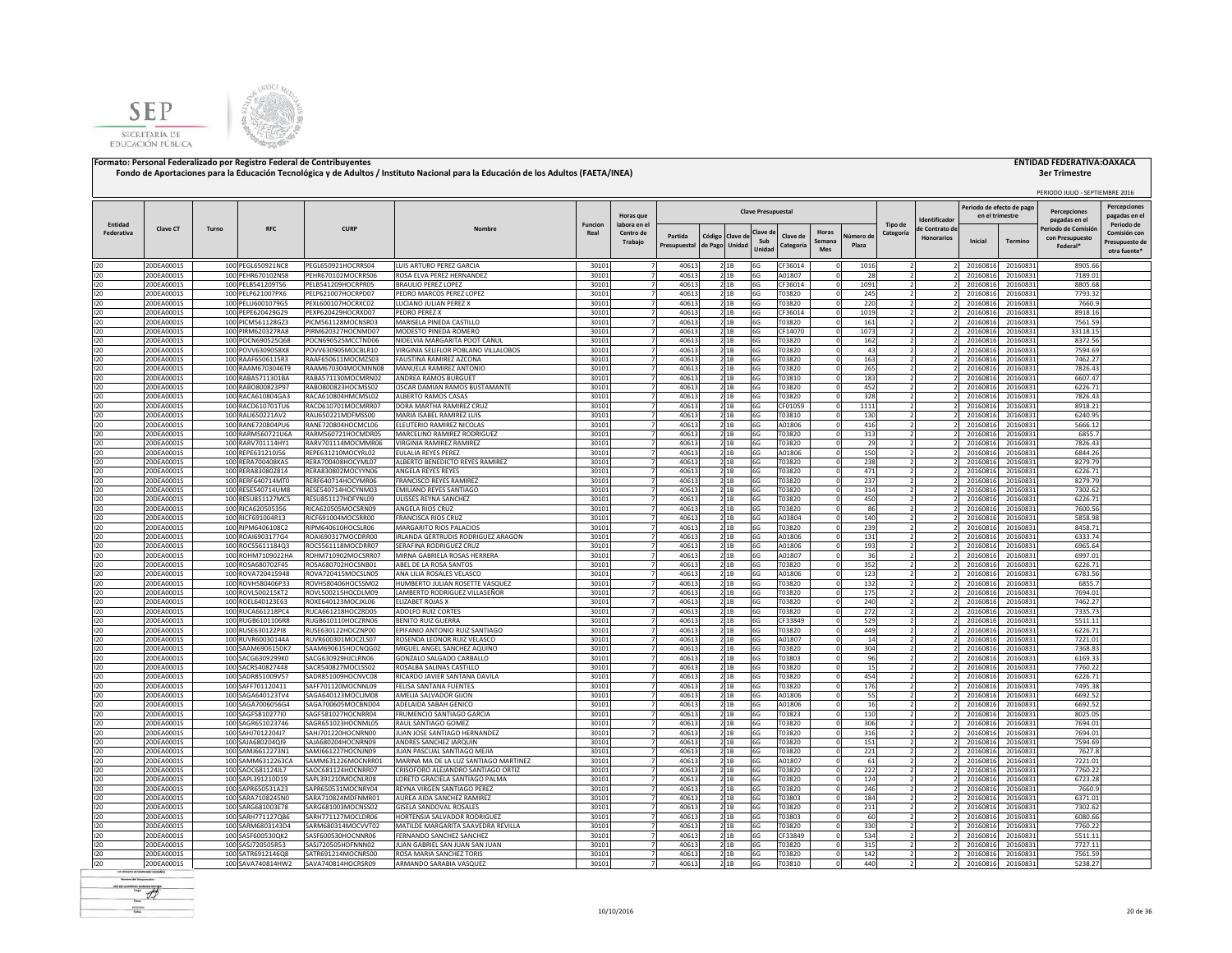



# **3er Trimestre**

|                              |                          |       |                                        |                                          |                                                        |                        |                          |                                           |                          |         |                           |                  |               |            |                      |                   |                                              |                      | PERIODO JULIO - SEPTIEMBRE 2016 |                                     |
|------------------------------|--------------------------|-------|----------------------------------------|------------------------------------------|--------------------------------------------------------|------------------------|--------------------------|-------------------------------------------|--------------------------|---------|---------------------------|------------------|---------------|------------|----------------------|-------------------|----------------------------------------------|----------------------|---------------------------------|-------------------------------------|
|                              |                          |       |                                        |                                          |                                                        |                        | <b>Horas</b> que         |                                           |                          |         | <b>Clave Presupuestal</b> |                  |               |            |                      | Identificado      | Periodo de efecto de pago<br>en el trimestre |                      | Percepciones<br>pagadas en el   | <b>Percepciones</b><br>pagadas en e |
| Entidad<br><b>Federativa</b> | Clave CT                 | Turno | <b>RFC</b>                             | <b>CURP</b>                              | Nombre                                                 | <b>Funcion</b><br>Real | labora en e<br>Centro de | Partida                                   |                          |         | Clave d                   | Clave de         | <b>Horas</b>  | Iúmero d   | Tipo de<br>Categoría | le Contrato di    |                                              |                      | Periodo de Comisió              | Periodo de<br>Comisión cor          |
|                              |                          |       |                                        |                                          |                                                        |                        | Trabajo                  | Presupuestal                              | Código<br>de Pago Unidad | Clave c | Sub<br>Unida              | Categoría        | Semana<br>Mes | Plaza      |                      | <b>Honorarios</b> | Inicial                                      | Termino              | con Presupuesto<br>Federal*     | Presupuesto de<br>otra fuente*      |
| 120                          | 20DEA0001S               |       | 100 PEGL650921NC8                      | PEGL650921HOCRRS04                       | LUIS ARTURO PEREZ GARCIA                               | 30101                  |                          | 40613                                     | 2 1 B                    |         | 6G                        | CF36014          |               | 1016       |                      |                   | 20160816                                     | 20160831             | 8905.66                         |                                     |
| 120                          | 20DEA0001S               |       | 100 PEHR670102NS8                      | PEHR670102MOCRRS06                       | ROSA ELVA PEREZ HERNANDEZ                              | 3010:                  |                          | 40613                                     | 2 1B                     |         | 6G                        | A01807           |               | 28         |                      |                   | 20160816                                     | 20160831             | 7189.01                         |                                     |
| 120                          | 20DEA0001S               |       | 100 PELB541209TS6                      | PELB541209HOCRPR05                       | <b>BRAULIO PEREZ LOPEZ</b>                             | 30101                  |                          | 40613                                     | 21B                      |         | 6G                        | CF36014          |               | 1091       |                      |                   | 20160816                                     | 20160831             | 8805.68                         |                                     |
| 120                          | 20DEA0001S               |       | 100 PELP621007PX6                      | PELP621007HOCRPD07                       | PEDRO MARCOS PEREZ LOPEZ                               | 30101                  |                          | 40613                                     | 2 1 B                    |         | 6G                        | T03820           |               | 245        |                      |                   | 20160816                                     | 20160831             | 7793.32                         |                                     |
| 120                          | 20DEA0001S               |       | 100 PELU6001079G5                      | PEXL600107HOCRXC02                       | LUCIANO JULIAN PEREZ X                                 | 30101                  |                          | 40613                                     | 2 1 B                    |         | 6G                        | T03820           |               | 220        |                      |                   | 20160816                                     | 20160831             | 7660.9                          |                                     |
| 120                          | 20DEA0001S               |       | 100 PEPE620429G29                      | PEXP620429HOCRXD07                       | PEDRO PEREZ X                                          | 30101                  | 7                        | 40613                                     | 2 1 B                    |         | 6G                        | CF36014          |               | 1019       |                      |                   | 20160816                                     | 20160831             | 8918.16                         |                                     |
| 120                          | 20DEA0001S               |       | 100 PICM561128GZ3                      | PICM561128MOCNSR03                       | MARISFI A PINFDA CASTILLO                              | 3010:                  |                          | 40613                                     | 2 1 B                    |         | 6G                        | T03820           |               | 161        |                      |                   | 20160816                                     | 20160831             | 7561.59                         |                                     |
| 120                          | 20DEA0001S               |       | 100 PIRM620327RA8                      | PIRM620327HOCNMD07                       | MODESTO PINEDA ROMERO                                  | 30101                  |                          | 40613                                     | 2 1 B                    |         | 6G                        | CF14070          |               | 1073       |                      |                   | 20160816                                     | 20160831             | 33118.15                        |                                     |
| 120                          | 20DEA0001S               |       | 100 POCN690525Q68                      | POCN690525MCCTND06                       | NIDELVIA MARGARITA POOT CANUL                          | 3010:                  |                          | 40613                                     | 2 1 B                    |         | 6G                        | T03820           |               | 162        |                      |                   | 20160816                                     | 20160831             | 8372.56                         |                                     |
| 120                          | 20DEA0001S               |       | 100 POVV6309058X8                      | POVV630905MOCBLR10                       | VIRGINIA SELIFLOR POBLANO VILLALOBOS                   | 3010:                  |                          | 40613                                     | 21B                      |         | 6G                        | T03820           |               | 43         |                      |                   | 20160816                                     | 20160831             | 7594.69                         |                                     |
| 120                          | 20DEA0001S               |       | 100 RAAF6506115R3                      | RAAF650611MOCMZS03                       | <b>FAUSTINA RAMIREZ AZCONA</b>                         | 30101                  |                          | 40613<br>7 <sup>1</sup>                   | 2 1 B                    |         | 6G                        | T03820           |               | 163        |                      |                   | 2016081                                      | 20160831             | 7462.27                         |                                     |
| 120                          | 20DEA0001S               |       | 100 RAAM6703046T9                      | RAAM670304MOCMNN08                       | MANUELA RAMIREZ ANTONIO                                | 30101                  |                          | $\overline{7}$<br>40613                   | 21B                      |         | 6G                        | T03820           |               | 265        |                      |                   | 20160816                                     | 20160831             | 7826.43                         |                                     |
| 120                          | 20DEA0001S               |       | 100 RABA5711301BA                      | RABA571130MOCMRN02                       | ANDREA RAMOS BURGUET                                   | 30101                  |                          | $\overline{7}$<br>40613                   | 21B                      |         | 6G                        | T03810           |               | 183        |                      |                   | 20160816                                     | 20160831             | 6607.47                         |                                     |
| 120                          | 20DEA0001S               |       | 100 RABO800823P97                      | RABO800823HOCMSS02                       | OSCAR DAMIAN RAMOS BUSTAMANTE                          | 30101                  |                          | $\overline{7}$<br>40613                   | 21B                      |         | 6G                        | T03820           |               | 452        |                      |                   | 20160816                                     | 20160831             | 6226.71                         |                                     |
| 120                          | 20DEA0001S               |       | 100 RACA610804GA3                      | RACA610804HMCMSL02                       | <b>ALBERTO RAMOS CASAS</b>                             | 30101                  | $\overline{7}$           | 40613                                     | 21B                      |         | 6G                        | T03820           |               | 328        |                      |                   | 20160816                                     | 20160831             | 7826.43                         |                                     |
| 120                          | 20DEA0001S               |       | 100 RACD610701TU6                      | RACD610701MOCMRR07                       | DORA MARTHA RAMIREZ CRUZ                               | 3010                   |                          | 40613                                     | 2 1B                     |         | 6G                        | CF01059          |               | 1111       |                      |                   | 2016081                                      | 20160831             | 8918.21                         |                                     |
| 120                          | 20DEA0001S               |       | 100 RALI650221AV2                      | RALI650221MDFMSS00                       | MARIA ISABEL RAMIREZ LUIS                              | 3010:                  |                          | 40613                                     | 2 1 B                    |         | 6G                        | T03810           |               | 130        |                      |                   | 20160816                                     | 20160831             | 6240.95                         |                                     |
| 120                          | 20DEA0001S               |       | 100 RANE720804PU6                      | RANE720804HOCMCL06                       | ELEUTERIO RAMIREZ NICOLAS                              | 30101                  |                          | 4061                                      | 2 1B                     |         | 6G                        | A01806           |               | 416        |                      |                   | 2016081                                      | 20160831             | 5666.12                         |                                     |
| 120                          | 20DEA0001S               |       | 100 RARM560721U6A                      | RARM560721HOCMDR05                       | MARCELINO RAMIREZ RODRIGUEZ                            | 30101                  |                          | 40613                                     | 21B                      |         | 6G                        | T03820           |               | 313        |                      |                   | 2016081                                      | 20160831             | 6855.7                          |                                     |
| 120                          | 20DEA0001S               |       | 100 RARV701114HY1                      | RARV701114MOCMMR06                       | VIRGINIA RAMIREZ RAMIREZ                               | 3010:                  |                          | 40613                                     | 2 1 B                    |         | 6G                        | T03820           |               | 29         |                      |                   | 20160816                                     | 20160831             | 7826.43                         |                                     |
| 120                          | 20DEA0001S               |       | 100 REPE631210J56                      | REPE631210MOCYRL02                       | EULALIA REYES PEREZ                                    | 3010:                  |                          | 40613                                     | 2 1 B                    |         | 6G                        | A01806           |               | 150        |                      |                   | 20160816                                     | 20160831             | 6844.26                         |                                     |
| 120<br>120                   | 20DEA0001S               |       | 100 RERA700408KA5                      | RERA700408HOCYML07                       | ALBERTO BENEDICTO REYES RAMIREZ                        | 3010                   |                          | 40613                                     | 21B                      |         | 6G                        | T03820           |               | 238        |                      |                   | 20160816                                     | 20160831             | 8279.79                         |                                     |
|                              | 20DEA0001S               |       | 100 RERA830802814                      | RERA830802MOCYYN06                       | ANGELA REYES REYES                                     | 3010:                  | 7                        | 40613                                     | 2 1 B                    |         | 6G                        | T03820           |               | 471        |                      |                   | 20160816                                     | 20160831             | 6226.71                         |                                     |
| 120<br>120                   | 20DEA0001S               |       | 100 RERF640714MT0                      | RERF640714HOCYMR06                       | FRANCISCO REYES RAMIREZ                                | 3010:                  |                          | 40613                                     | 21B                      |         | 6G                        | T03820           |               | 237        |                      |                   | 20160816                                     | 20160831             | 8279.79                         |                                     |
|                              | 20DEA0001S               |       | 100 RESE540714UM8                      | RESE540714HOCYNM03                       | EMILIANO REYES SANTIAGO                                | 3010:                  |                          | 40613                                     | 2 1 B                    |         | 6G                        | T03820           |               | 314        |                      |                   | 20160816                                     | 20160831             | 7302.62                         |                                     |
|                              | 20DEA0001S               |       | 100 RESU851127MC5                      | RESU851127HDFYNL09                       | ULISSES REYNA SANCHEZ                                  | 3010:                  |                          | 40613                                     | 21B                      |         | 6G                        | T03820           |               | 450        |                      |                   | 20160816                                     | 20160831             | 6226.71                         |                                     |
|                              | 20DEA0001S               |       | 100 RICA620505356                      | RICA620505MOCSRN09                       | ANGELA RIOS CRUZ                                       | 3010:                  |                          | 40613<br>$\overline{7}$                   | 21B                      |         | 6G                        | T03820           |               | 86         |                      |                   | 20160816                                     | 20160831             | 7600.56                         |                                     |
| 120                          | 20DEA0001S               |       | 100 RICF691004R13                      | RICF691004MOCSRR00                       | <b>FRANCISCA RIOS CRUZ</b>                             | 3010:                  |                          | 7 <sup>1</sup><br>40613<br>$\overline{7}$ | 21B                      |         | 6G                        | A03804           |               | 140        |                      |                   | 20160816                                     | 20160831             | 5858.98                         |                                     |
| 120                          | 20DEA0001S               |       | 100 RIPM6406108C2                      | RIPM640610HOCSLR06                       | <b>MARGARITO RIOS PALACIOS</b>                         | 3010:                  |                          | 40613<br>$\overline{7}$                   | 21B                      |         | 6G                        | T03820           |               | 239        |                      |                   | 20160816                                     | 20160831             | 8458.71                         |                                     |
| 120<br>120                   | 20DEA0001S               |       | 100 ROAI6903177G4                      | ROAI690317MOCDRR00                       | IRLANDA GERTRUDIS RODRIGUEZ ARAGON                     | 3010                   |                          | 4061<br>$\overline{7}$                    | 21B<br>21B               |         | 6G                        | A01806           |               | 131<br>193 |                      |                   | 20160816                                     | 20160831             | 6333.74<br>6965.64              |                                     |
|                              | 20DEA0001S               |       | 100 ROCS5611184Q3                      | ROCS561118MOCDRR07<br>ROHM710902MOCSRR07 | SERAFINA RODRIGUEZ CRUZ                                | 3010<br>3010           |                          | 40613<br>40613                            | 21B                      |         | 6G                        | A01806<br>A01807 |               | 36         |                      |                   | 20160816                                     | 20160831             | 6997.01                         |                                     |
| 120                          | 20DEA0001S<br>20DEA0001S |       | 100 ROHM7109022HA<br>100 ROSA680702F45 | ROSA680702HOCSNB01                       | MIRNA GABRIELA ROSAS HERRERA<br>ABEL DE LA ROSA SANTOS | 3010:                  |                          | 4061                                      | 21B                      |         | 6G<br>6G                  | T03820           |               | 352        |                      |                   | 20160816<br>20160816                         | 20160831<br>20160831 | 6226.71                         |                                     |
| 120                          | 20DEA0001S               |       | 100 ROVA720415948                      | ROVA720415MOCSLN05                       | ANA LILIA ROSALES VELASCO                              | 30101                  |                          | 4061                                      | 21B                      |         | 6G                        | A01806           |               | 123        |                      |                   | 20160816                                     | 20160831             | 6783.56                         |                                     |
| 120<br>120                   | 20DEA0001S               |       | 100 ROVH580406P33                      | ROVH580406HOCSSM02                       | HUMBERTO JULIAN ROSETTE VASQUEZ                        | 30101                  |                          | 40613                                     | 21B                      |         | 6G                        | F03820           |               | 132        |                      |                   | 20160816                                     | 20160831             | 6855.                           |                                     |
| 120                          | 20DEA0001S               |       | 100 ROVL500215KT2                      | ROVL500215HOCDLM09                       | LAMBERTO RODRIGUEZ VILLASEÑOR                          | 30101                  |                          | 40613                                     | 21B                      |         | 6G                        | T03820           |               | 175        |                      |                   | 20160816                                     | 20160831             | 7694.01                         |                                     |
| 120                          | 20DEA0001S               |       | 100 ROEL640123E63                      | ROXE640123MOCJXL06                       | ELIZABET ROJAS X                                       | 30101                  |                          | 40613                                     | 21B                      |         | 6G                        | T03820           |               | 240        |                      |                   | 20160816                                     | 20160831             | 7462.27                         |                                     |
| 120                          | 20DEA0001S               |       | 100 RUCA661218PC4                      | RUCA661218HOCZRD05                       | <b>ADOLFO RUIZ CORTES</b>                              | 30101                  |                          | 40613                                     | 21B                      |         | 6G                        | T03820           |               | 272        |                      |                   | 20160816                                     | 20160831             | 7335.73                         |                                     |
| 120                          | 20DEA0001S               |       | 100 RUGB6101106R8                      | RUGB610110HOCZRN06                       | <b>BENITO RUIZ GUERRA</b>                              | 30101                  |                          | 40613                                     | 2 1 B                    |         | 6G                        | CF33849          |               | 529        |                      |                   | 20160816                                     | 20160831             | 5511.11                         |                                     |
|                              | 20DEA0001S               |       | 100 RUSE630122PI8                      | RUSE630122HOCZNP00                       | EPIFANIO ANTONIO RUIZ SANTIAGO                         | 30101                  | $\overline{ }$           | 40613                                     | 2 1 B                    |         | 6G                        | T03820           |               | 449        |                      |                   | 20160816                                     | 20160831             | 6226.71                         |                                     |
| 120<br>120                   | 20DEA0001S               |       | 100 RUVR60030144A                      | RUVR600301MOCZLS07                       | ROSENDA LEONOR RUIZ VELASCO                            | 3010:                  |                          | 40613                                     | 2 1 B                    |         | 6G                        | A01807           |               | 14         |                      |                   | 20160816                                     | 20160831             | 7221.01                         |                                     |
| 120                          | 20DEA0001S               |       | 100 SAAM690615DK7                      | SAAM690615HOCNQG02                       | MIGUEL ANGEL SANCHEZ AQUINO                            | 3010:                  |                          | 40613                                     | 21B                      |         | 6G                        | T03820           |               | 304        |                      |                   | 20160816                                     | 20160831             | 7368.83                         |                                     |
| 120                          | 20DEA0001S               |       | 100 SACG6309299K0                      | SACG630929HJCLRN06                       | GONZALO SALGADO CARBALLO                               | 30101                  |                          | 40613<br>$\overline{7}$                   | 2 1 B                    |         | 6G                        | T03803           |               | 96         |                      |                   | 20160816                                     | 20160831             | 6169.33                         |                                     |
|                              | 20DEA0001S               |       | 100 SACR540827448                      | SACR540827MOCLSS02                       | ROSALBA SALINAS CASTILLO                               | 30101                  |                          | $\overline{7}$<br>40613                   | 21B                      |         | 6G                        | T03820           |               | 15         |                      |                   | 20160816                                     | 20160831             | 7760.22                         |                                     |
| 120<br>120                   | 20DEA0001S               |       | 100 SADR851009V57                      | SADR851009HOCNVC08                       | RICARDO JAVIER SANTANA DAVILA                          | 30101                  |                          | $\overline{z}$<br>40613                   | 2 1 B                    |         | 6G                        | T03820           |               | 454        |                      |                   | 20160816                                     | 20160831             | 6226.71                         |                                     |
|                              | 20DEA0001S               |       | 100 SAFF701120411                      | SAFF701120MOCNNL09                       | FELISA SANTANA FUENTES                                 | 30101                  |                          | $\overline{7}$<br>40613                   | 21B                      |         | 6G                        | T03820           |               | 176        |                      |                   | 20160816                                     | 20160831             | 7495.38                         |                                     |
|                              | 20DEA0001S               |       | 100 SAGA640123TV4                      | SAGA640123MOCLIM08                       | AMELIA SALVADOR GIJON                                  | 3010                   | $\overline{7}$           | 40613                                     | 21B                      |         | 6G                        | A01806           |               | 55         |                      |                   | 20160816                                     | 20160831             | 6692.52                         |                                     |
|                              | 20DEA0001S               |       | 100 SAGA7006056G4                      | SAGA700605MOCBND04                       | ADELAIDA SABAH GENICO                                  | 30101                  | $\overline{7}$           | 40613                                     | 21B                      |         | 6G                        | A01806           |               | 16         |                      |                   | 20160816                                     | 20160831             | 6692.52                         |                                     |
|                              | 20DEA0001S               |       | 100 SAGF5810277I0                      | SAGF581027HOCNRR04                       | FRUMENCIO SANTIAGO GARCIA                              | 3010                   |                          | 40613                                     | 21B                      |         | 6G                        | T03823           |               | 110        |                      |                   | 20160816                                     | 20160831             | 8025.05                         |                                     |
|                              | 20DEA0001S               |       | 100 SAGR651023746                      | SAGR651023HOCNML05                       | RAUL SANTIAGO GOMEZ                                    | 3010:                  |                          | 4061                                      | 2 1B                     |         | 6G                        | T03820           |               | 306        |                      |                   | 2016081                                      | 20160831             | 7694.01                         |                                     |
|                              | 20DEA0001S               |       | 100 SAHJ7012204J7                      | SAHJ701220HOCNRN00                       | JUAN JOSE SANTIAGO HERNANDEZ                           | 30101                  |                          | 40613                                     | 21B                      |         | 6G                        | T03820           |               | 316        |                      |                   | 2016081                                      | 20160831             | 7694.01                         |                                     |
|                              | 20DEA0001S               |       | 100 SAJA680204QI9                      | SAJA680204HOCNRN09                       | ANDRES SANCHEZ JARQUIN                                 | 30101                  |                          | 40613                                     | 2 1 B                    |         | 6G                        | T03820           |               | 151        |                      |                   | 20160816                                     | 20160831             | 7594.69                         |                                     |
|                              | 20DEA0001S               |       | 100 SAMJ6612273N1                      | SAMJ661227HOCNJN09                       | IUAN PASCUAL SANTIAGO MEJIA                            | 30101                  |                          | 40613                                     | 21B                      |         | 6G                        | T03820           |               | 221        |                      |                   | 20160816                                     | 20160831             | 7627.8                          |                                     |
|                              | 20DEA0001S               |       | 100 SAMM6312263CA                      | SAMM631226MOCNRR01                       | MARINA MA DE LA LUZ SANTIAGO MARTINEZ                  | 30101                  |                          | 40613                                     | 21B                      |         | 6G                        | A01807           |               | 61         |                      |                   | 20160816                                     | 20160831             | 7221.01                         |                                     |
|                              | 20DEA0001S               |       | 100 SAOC681124JL7                      | SAOC681124HOCNRR07                       | CRISOFORO ALEJANDRO SANTIAGO ORTIZ                     | 3010:                  |                          | 40613                                     | 2 1 B                    |         | 6G                        | T03820           |               | 222        |                      |                   | 20160816                                     | 20160831             | 7760.22                         |                                     |
|                              | 20DEA0001S               |       | 100 SAPL391210D19                      | SAPL391210MOCNLR08                       | LORETO GRACIELA SANTIAGO PALMA                         | 3010                   |                          | 40613                                     | 2 1 B                    |         | 6G                        | T03820           |               | 124        |                      |                   | 20160816                                     | 20160831             | 6723.28                         |                                     |
|                              | 20DEA0001S               |       | 100 SAPR650531A23                      | SAPR650531MOCNRY04                       | REYNA VIRGEN SANTIAGO PEREZ                            | 3010:                  |                          | 40613                                     | 2 1 B                    |         | 6G                        | T03820           |               | 246        |                      |                   | 20160816                                     | 20160831             | 7660.9                          |                                     |
|                              | 20DEA0001S               |       | 100 SARA7108245N0                      | SARA710824MDFNMR01                       | AUREA AIDA SANCHEZ RAMIREZ                             | 3010:                  |                          | 40613                                     | 21B                      |         | 6G                        | T03803           |               | 184        |                      |                   | 20160816                                     | 20160831             | 6371.01                         |                                     |
|                              | 20DEA0001S               |       | 100 SARG681003E78                      | SARG681003MOCNSS02                       | GISELA SANDOVAL ROSALES                                | 3010:                  |                          | 40613<br>$\overline{7}$                   | 2 1B                     |         | 6G                        | T03820           |               | 211        |                      |                   | 20160816                                     | 20160831             | 7302.62                         |                                     |
|                              | 20DEA0001S               |       | 100 SARH771127QB6                      | SARH771127MOCLDR06                       | HORTENSIA SALVADOR RODRIGUEZ                           | 3010:                  |                          | $\overline{7}$<br>40613                   | 21B                      |         | 6G                        | T03803           |               | 60         |                      |                   | 20160816                                     | 20160831             | 6080.66                         |                                     |
|                              | 20DEA0001S               |       | 100 SARM6803143D4                      | SARM680314MOCVVT02                       | MATILDE MARGARITA SAAVEDRA REVILLA                     | 3010:                  |                          | 40613<br>$\overline{7}$                   | 21B                      |         | 6G                        | T03820           |               | 330        |                      |                   | 20160816                                     | 20160831             | 7760.22                         |                                     |
|                              | 20DEA0001S               |       | 100 SASF600530QK2                      | SASF600530HOCNNR06                       | FERNANDO SANCHEZ SANCHEZ                               | 3010                   |                          | 40613<br>$\overline{7}$                   | 21B                      |         | 6G                        | CF33849          |               | 534        |                      |                   | 20160816                                     | 20160831             | 5511.11                         |                                     |
|                              | 20DEA0001S               |       | 100 SASJ720505R53                      | SASJ720505HDFNNN02                       | JUAN GABRIEL SAN JUAN SAN JUAN                         | 3010                   |                          | 40613<br>$\overline{7}$                   | 21B                      |         | 6G                        | T03820           |               | 315        |                      |                   | 20160816                                     | 20160831             | 7727.11                         |                                     |
|                              | 20DEA0001S               |       | 100 SATR6912146Q8                      | SATR691214MOCNRS00                       | ROSA MARIA SANCHEZ TORIS                               | 3010                   |                          | 4061                                      | 21B                      |         | 6G                        | T03820           |               | 142        |                      |                   | 20160816                                     | 20160831             | 7561.59                         |                                     |
| 120<br>120                   | 20DEA0001S               |       | 100 SAVA740814HW2                      | SAVA740814HOCRSR09                       | ARMANDO SARABIA VASQUEZ                                | 30101                  |                          | 40613                                     | 21B                      |         | 6G                        | T03810           |               | 440        |                      |                   | 20160816                                     | 20160831             | 5238.27                         |                                     |
|                              |                          |       |                                        |                                          |                                                        |                        |                          |                                           |                          |         |                           |                  |               |            |                      |                   |                                              |                      |                                 |                                     |

**Rental de Segundro**  $-$  + **First** scales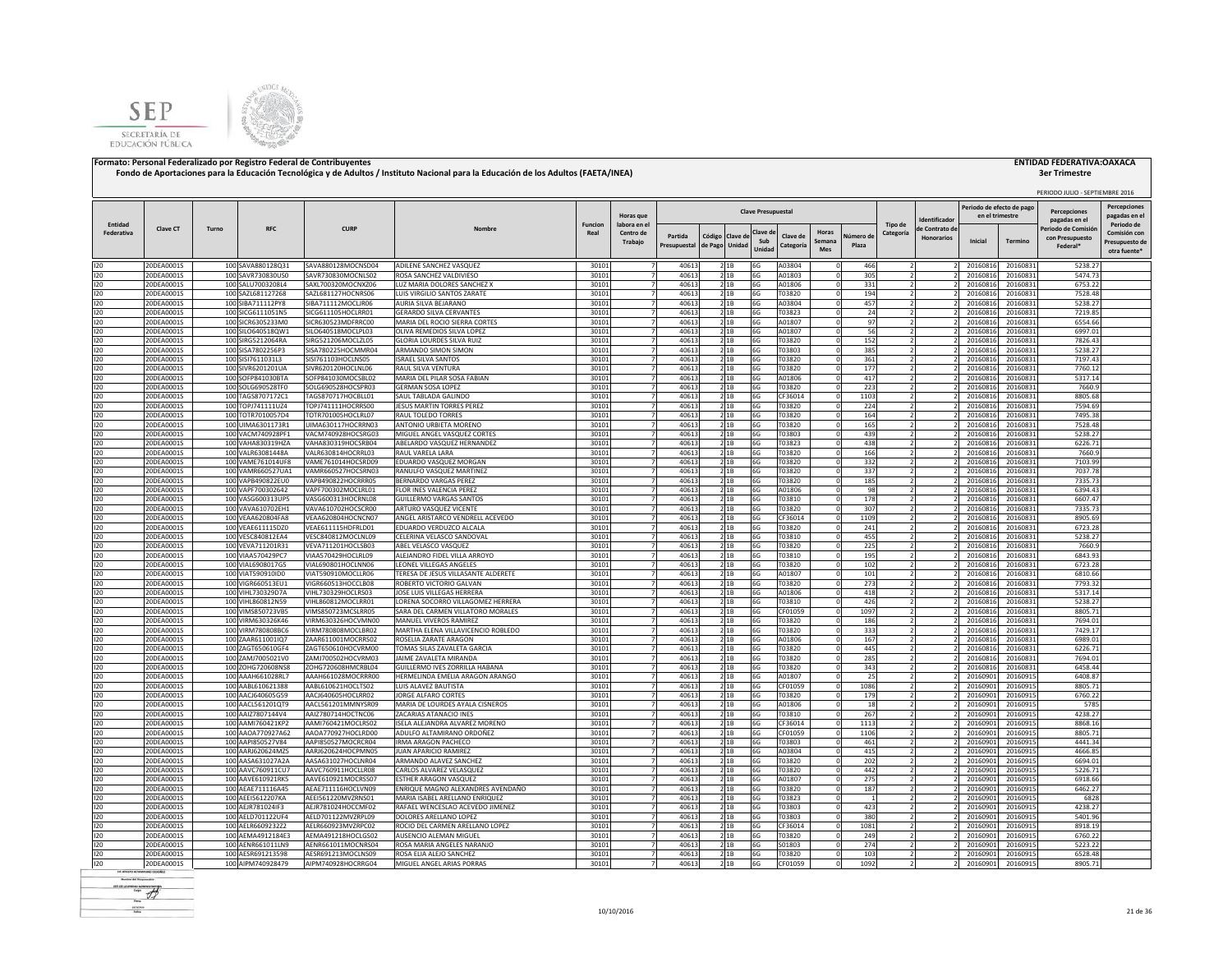



|            |                          |       |                                        |                                          |                                                        |                |                      |                |                |             |                           |                  |                                     |                |                          |                           |                      | PERIODO JULIO - SEPTIEMBRE 2016 |                                |
|------------|--------------------------|-------|----------------------------------------|------------------------------------------|--------------------------------------------------------|----------------|----------------------|----------------|----------------|-------------|---------------------------|------------------|-------------------------------------|----------------|--------------------------|---------------------------|----------------------|---------------------------------|--------------------------------|
|            |                          |       |                                        |                                          |                                                        |                |                      |                |                |             |                           |                  |                                     |                |                          | Periodo de efecto de pago |                      | Percenciones                    | <b>Percepciones</b>            |
|            |                          |       |                                        |                                          |                                                        |                | <b>Horas</b> que     |                |                |             | <b>Clave Presupuestal</b> |                  |                                     |                | dentificado              | en el trimestre           |                      | pagadas en el                   | pagadas en e                   |
| Entidad    | <b>Clave CT</b>          | Turno | <b>RFC</b>                             | <b>CURP</b>                              | Nombre                                                 | <b>Funcion</b> | labora en el         |                |                |             |                           |                  |                                     | Tipo de        | de Contrato de           |                           |                      | Periodo de Comisió              | Periodo de                     |
| Federativa |                          |       |                                        |                                          |                                                        | Real           | Centro de<br>Trabaio | Partida        | Código Clave d |             | Clave d<br>Sub            | Clave de         | <b>Horas</b><br>Vúmero di<br>Semana | Categoría      | <b>Honorarios</b>        | Inicial                   | <b>Termino</b>       | con Presupuesto                 | Comisión con<br>Presupuesto de |
|            |                          |       |                                        |                                          |                                                        |                |                      | Presupuestal   | de Pago Unidad |             | Unidad                    | Categoría        | Plaza<br>Mes                        |                |                          |                           |                      | Federal <sup>®</sup>            | otra fuente*                   |
|            |                          |       |                                        |                                          |                                                        |                |                      |                |                |             |                           |                  |                                     |                |                          |                           |                      |                                 |                                |
| 120        | 20DEA0001S               |       | 100 SAVA880128Q31                      | SAVA880128MOCNSD04                       | ADILENE SANCHEZ VASQUEZ                                | 30101          |                      | 40613          | 21B            |             | 6G                        | A03804           |                                     | 466            |                          | 20160816                  | 20160831             | 5238.27                         |                                |
| 120        | 20DEA0001S               |       | 100 SAVR730830US0                      | SAVR730830MOCNLS02                       | ROSA SANCHEZ VALDIVIESO                                | 30101          |                      | 40613          |                | 2 1 B       | 6G                        | A01803           |                                     | 305            |                          | 20160816                  | 20160831             | 5474.73                         |                                |
| 120        | 20DEA0001S               |       | 100 SALU7003208L4                      | SAXL700320MOCNXZ06                       | LUZ MARIA DOLORES SANCHEZ X                            | 30101          |                      | 40613          |                | 21B         | 6G                        | A01806           |                                     | 331            |                          | 20160816                  | 20160831             | 6753.22                         |                                |
| 120        | 20DEA0001S               |       | 100 SAZL681127268                      | SAZL681127HOCNRS06                       | LUIS VIRGILIO SANTOS ZARATE                            | 30101          |                      | 40613          |                | 21B         | 6G                        | T03820           |                                     | 194            |                          | 20160816                  | 20160831             | 7528.48                         |                                |
| 120<br>120 | 20DEA0001S<br>20DEA0001S |       | 100 SIBA711112PY8<br>100 SICG6111051N5 | SIBA711112MOCLIR06<br>SICG611105HOCLRR01 | AURIA SILVA BEJARANO<br><b>GERARDO SILVA CERVANTES</b> | 30101<br>30101 |                      | 40613<br>40613 |                | 2 1B<br>21B | 6G<br>6G                  | A03804<br>T03823 |                                     | 457<br>24      |                          | 20160816<br>20160816      | 20160831<br>20160831 | 5238.27<br>7219.85              |                                |
| 120        | 20DEA0001S               |       | 100 SICR6305233M0                      | SICR630523MDFRRC00                       | MARIA DEL ROCIO SIERRA CORTES                          | 30101          |                      | 40613          |                | 21B         | 6G                        | A01807           |                                     | 97             |                          | 20160816                  | 20160831             | 6554.66                         |                                |
| 120        | 20DEA0001S               |       | 100 SILO6405180W1                      | SILO640518MOCLPL03                       | OLIVA REMEDIOS SILVA LOPEZ                             | 30101          |                      | 40613          |                | 21B         | 6G                        | A01807           |                                     | 56             |                          | 20160816                  | 20160831             | 6997.01                         |                                |
| 120        | 20DEA0001S               |       | 100 SIRG5212064RA                      | SIRG521206MOCLZL05                       | <b>GLORIA LOURDES SILVA RUIZ</b>                       | 30101          | 7                    | 40613          |                | 21B         | 6G                        | T03820           |                                     | 152            |                          | 20160816                  | 20160831             | 7826.43                         |                                |
| 120        | 20DEA0001S               |       | 100 SISA7802256P3                      | SISA780225HOCMMR04                       | ARMANDO SIMON SIMON                                    | 30101          | 7                    | 40613          |                | 2 1 B       | 6G                        | T03803           |                                     | 385            |                          | 20160816                  | 20160831             | 5238.27                         |                                |
| 120        | 20DEA0001S               |       | 100 SISI7611031L3                      | SISI761103HOCLNS05                       | <b>ISRAEL SILVA SANTOS</b>                             | 30101          | $\overline{7}$       | 40613          |                | 2 1 B       | 6G                        | T03820           |                                     | 361            | $\overline{\phantom{a}}$ | 20160816                  | 20160831             | 7197.43                         |                                |
| 120        | 20DEA0001S               |       | 100 SIVR6201201UA                      | SIVR620120HOCLNL06                       | RAUL SILVA VENTURA                                     | 30101          |                      | 40613          |                | 2 1 B       | 6G                        | T03820           |                                     | 177            | 2                        | 20160816                  | 20160831             | 7760.12                         |                                |
| 120        | 20DEA0001S               |       | 100 SOFP841030BTA                      | SOFP841030MOCSBL02                       | MARIA DEL PILAR SOSA FABIAN                            | 30101          |                      | 40613          |                | 21B         | 6G                        | A01806           |                                     | 417            |                          | 20160816                  | 20160831             | 5317.14                         |                                |
| 120        | 20DEA0001S               |       | 100 SOLG690528TF0                      | SOLG690528HOCSPR03                       | <b>GERMAN SOSA LOPEZ</b>                               | 30101          |                      | 40613          |                | 21B         | 6G                        | T03820           |                                     | 223            |                          | 20160816                  | 20160831             | 7660.9                          |                                |
| 120        | 20DEA0001S               |       | 100 TAGS8707172C1                      | TAGS870717HOCBLL01                       | SAUL TABLADA GALINDO                                   | 30101          | $\overline{7}$       | 40613          |                | 2 1 B       | 6G                        | CF36014          | 1103                                |                |                          | 20160816                  | 20160831             | 8805.68                         |                                |
| 120        | 20DEA0001S               |       | 100 TOPJ741111UZ4                      | TOPJ741111HOCRRS00                       | JESUS MARTIN TORRES PEREZ                              | 30101          | $\overline{7}$       | 40613          |                | 2 1 B       | 6G                        | T03820           |                                     | 224            | $\overline{z}$           | 20160816                  | 20160831             | 7594.69                         |                                |
| 120        | 20DEA0001S               |       | 100 TOTR7010057D4                      | TOTR701005HOCLRL07                       | RAUL TOLEDO TORRES                                     | 30101          | $\overline{7}$       | 40613          |                | 21B         | 6G                        | T03820           |                                     | 164            | $\overline{z}$           | 20160816                  | 20160831             | 7495.38                         |                                |
| 120        | 20DEA0001S               |       | 100 UIMA6301173R1                      | UIMA630117HOCRRN03                       | <b>ANTONIO URBIETA MORENO</b>                          | 30101          | $\overline{7}$       | 40613          |                | 21B         | 6G                        | T03820           |                                     | 165            | $\overline{z}$           | 20160816                  | 20160831             | 7528.48                         |                                |
| 120        | 20DEA0001S               |       | 100 VACM740928PF1                      | VACM740928HOCSRG03                       | MIGUEL ANGEL VASQUEZ CORTES                            | 30101          | 7                    | 40613          | 21B            |             | 6G                        | T03803           |                                     | 439            | $\overline{z}$           | 20160816                  | 20160831             | 5238.27                         |                                |
| 120        | 20DEA0001S               |       | 100 VAHA830319HZA                      | VAHA830319HOCSRB04                       | ABELARDO VASQUEZ HERNANDEZ                             | 30101          | $\overline{7}$       | 40613          | 2 1B           |             | 6G                        | T03823           |                                     | 438            | $\overline{z}$           | 20160816                  | 20160831             | 6226.71                         |                                |
| 120        | 20DEA0001S               |       | 100 VALR63081448A                      | VALR630814HOCRRL03                       | RAUL VARELA LARA                                       | 30101          |                      | 40613          |                | 21B         | 6G                        | T03820           |                                     | 166            |                          | 2016081                   | 20160831             | 7660.9                          |                                |
| 120        | 20DEA0001S               |       | 100 VAME761014UF8                      | VAME761014HOCSRD09                       | EDUARDO VASQUEZ MORGAN                                 | 30101          |                      | 40613          |                | 2 1 B       | 6G                        | T03820           |                                     | 332            |                          | 2016081                   | 20160831             | 7103.99                         |                                |
| 120        | 20DEA0001S               |       | 100 VAMR660527UA1                      | VAMR660527HOCSRN03                       | RANULFO VASQUEZ MARTINEZ                               | 30101          |                      | 40613          |                | 21B         | 6G                        | T03820           |                                     | 337            |                          | 20160816                  | 20160831             | 7037.78                         |                                |
| 120        | 20DEA0001S               |       | 100 VAPB490822EU0                      | VAPB490822HOCRRR05                       | BERNARDO VARGAS PEREZ                                  | 30101          |                      | 40613          |                | 21B         | 6G                        | 03820            |                                     | 185            |                          | 2016081                   | 20160831             | 7335.73                         |                                |
| 120        | 20DEA0001S               |       | 100 VAPF700302642                      | VAPF700302MOCLRL01                       | FLOR INES VALENCIA PEREZ                               | 30101          |                      | 40613          |                | 2 1B        | 6G                        | A01806           |                                     | 98             |                          | 2016081                   | 20160831             | 6394.43                         |                                |
| 120        | 20DEA0001S               |       | 100 VASG600313UP5                      | VASG600313HOCRNL08                       | <b>GUILLERMO VARGAS SANTOS</b>                         | 30101          |                      | 40613          |                | 2 1 B       | 6G                        | T03810           |                                     | 178            |                          | 20160816                  | 20160831             | 6607.47                         |                                |
| 120        | 20DEA0001S               |       | 100 VAVA610702EH1                      | VAVA610702HOCSCR00                       | ARTURO VASQUEZ VICENTE                                 | 30101          |                      | 40613          |                | 2 1B        | 6G                        | T03820           |                                     | 307            |                          | 20160816                  | 20160831             | 7335.73                         |                                |
| 120        | 20DEA0001S               |       | 100 VEAA620804FA8                      | VEAA620804HOCNCN07                       | ANGEL ARISTARCO VENDRELL ACEVEDO                       | 30101          |                      | 40613          | 2 1B           |             | 6G                        | CF36014          | 1109                                |                |                          | 20160816                  | 20160831             | 8905.69                         |                                |
| 120        | 20DEA0001S               |       | 100 VEAE611115DZ0                      | VEAE611115HDFRLD01                       | EDUARDO VERDUZCO ALCALA                                | 30101          |                      | 40613          | 2 1 B          |             | 6G                        | T03820           |                                     | 241            |                          | 20160816                  | 20160831             | 6723.28                         |                                |
| 120        | 20DEA0001S               |       | 100 VESC840812EA4                      | VESC840812MOCLNL09                       | CELERINA VELASCO SANDOVAL                              | 30101          |                      | 40613          |                | 2 1 B       | 6G                        | T03810           |                                     | 455            |                          | 20160816                  | 20160831             | 5238.27                         |                                |
| 120        | 20DEA0001S               |       | 100 VEVA711201R31                      | VEVA711201HOCLSB03                       | ABEL VELASCO VASQUEZ                                   | 30101          |                      | 40613          |                | 2 1 B       | 6G                        | T03820           |                                     | 225            | 2                        | 20160816                  | 20160831             | 7660.9                          |                                |
| 120        | 20DEA0001S               |       | 100 VIAA570429PC7                      | VIAA570429HOCLRL09                       | ALEJANDRO FIDEL VILLA ARROYO                           | 30101          |                      | 40613          |                | 2 1 B       | 6G                        | T03810           |                                     | 195            |                          | 20160816                  | 20160831             | 6843.93                         |                                |
| 120        | 20DEA0001S               |       | 100 VIAL6908017G5                      | VIAL690801HOCLNN06                       | LEONEL VILLEGAS ANGELES                                | 30101          |                      | 40613          |                | 21B         | 6G                        | T03820           |                                     | 102            |                          | 20160816                  | 20160831             | 6723.28                         |                                |
| 120        | 20DEA0001S               |       | 100 VIAT590910ID0                      | VIAT590910MOCLLR06                       | TERESA DE JESUS VILLASANTE ALDERETE                    | 30101          | $\overline{7}$       | 40613          |                | 2 1 B       | 6G                        | A01807           |                                     | 101            |                          | 20160816                  | 20160831             | 6810.66                         |                                |
| 120        | 20DEA0001S               |       | 100 VIGR660513EU1                      | VIGR660513HOCCLB08                       | ROBERTO VICTORIO GALVAN                                | 30101          | $\overline{7}$       | 40613          |                | 21B         | 6G                        | T03820           |                                     | 273            |                          | 20160816                  | 20160831             | 7793.32                         |                                |
| 120        | 20DEA0001S               |       | 100 VIHL730329D7A                      | VIHL730329HOCLRS03                       | JOSE LUIS VILLEGAS HERRERA                             | 30101          | $\overline{7}$       | 40613          |                | 21B         | 6G                        | A01806           |                                     | 418            | $\overline{z}$           | 20160816                  | 20160831             | 5317.14                         |                                |
| 120        | 20DEA0001S               |       | 100 VIHL860812N59                      | VIHL860812MOCLRR01                       | LORENA SOCORRO VILLAGOMEZ HERRERA                      | 30101          | $\overline{7}$       | 40613          |                | 2 1 B       | 6G                        | T03810           |                                     | 426            | $\overline{z}$           | 20160816                  | 20160831             | 5238.27                         |                                |
| 120        | 20DEA0001S               |       | 100 VIMS850723VB5                      | VIMS850723MCSLRR05                       | SARA DEL CARMEN VILLATORO MORALES                      | 30101          | $\overline{7}$       | 40613          |                | 21B         | 6G                        | CF01059          | 1097                                |                | $\overline{z}$           | 20160816                  | 20160831             | 8805.71                         |                                |
| 120        | 20DEA0001S               |       | 100 VIRM630326K46                      | VIRM630326HOCVMN00                       | MANUEL VIVEROS RAMIREZ                                 | 30101          | $\overline{7}$       | 40613          |                | 21B         | 6G                        | T03820           |                                     | 186            | $\overline{z}$           | 20160816                  | 20160831             | 7694.01                         |                                |
| 120        | 20DEA0001S               |       | 100 VIRM780808BC6                      | VIRM780808MOCLBR02                       | MARTHA ELENA VILLAVICENCIO ROBLEDO                     | 30101          | 7                    | 40613          |                | 21B         | 6G                        | T03820           |                                     | 333            | $\overline{2}$           | 20160816                  | 20160831             | 7429.17                         |                                |
| 120        | 20DEA0001S               |       | 100 ZAAR611001IQ7                      | ZAAR611001MOCRRS02                       | ROSELIA ZARATE ARAGON                                  | 30101          |                      | 40613          |                | 2 1B        | 6G                        | A01806           |                                     | 167            |                          | 20160816                  | 20160831             | 6989.01                         |                                |
| 120        | 20DEA0001S               |       | 100 ZAGT650610GF4                      | ZAGT650610HOCVRM00                       | TOMAS SILAS ZAVALETA GARCIA                            | 30101          |                      | 40613          |                | 21B         | 6G                        | T03820           |                                     | 445            |                          | 20160816                  | 20160831             | 6226.71                         |                                |
| 120        | 20DEA0001S               |       | 100 ZAMJ7005021V0                      | ZAMJ700502HOCVRM03                       | JAIME ZAVALETA MIRANDA                                 | 30101          |                      | 40613          |                | 21B         | 6G                        | T03820           |                                     | 285            |                          | 20160816                  | 20160831             | 7694.01                         |                                |
| 120        | 20DEA0001S               |       | 100 ZOHG720608NS8                      | ZOHG720608HMCRBL04                       | GUILLERMO IVES ZORRILLA HABANA                         | 30101          |                      | 40613          |                | 2 1 B       | 6G                        | T03820           |                                     | 343            |                          | 20160816                  | 20160831             | 6458.44                         |                                |
| 120        | 20DEA0001S               |       | 100 AAAH661028RL7                      | AAAH661028MOCRRR00                       | HERMELINDA EMELIA ARAGON ARANGO                        | 30101          |                      | 40613          |                | 21B         | 6G                        | A01807           |                                     | 25             |                          | 20160901                  | 20160915             | 6408.87                         |                                |
| 120        | 20DEA0001S               |       | 100 AABL610621388                      | AABL610621HOCLTS02                       | LUIS ALAVEZ BAUTISTA                                   | 30101          |                      | 40613          |                | 21B         | 6G                        | CF01059          | 1086                                |                |                          | 20160901                  | 20160915             | 8805.71                         |                                |
| 120        | 20DEA0001S               |       | 100 AACJ640605G59                      | AACJ640605HOCLRR02                       | JORGE ALFARO CORTES                                    | 30101          |                      | 40613          |                | 21B         | 6G                        | T03820           |                                     | 179            |                          | 20160901                  | 20160915             | 6760.22                         |                                |
| 120        | 20DEA0001S               |       | 100 AACL561201QT9                      | AACL561201MMNYSR09                       | MARIA DE LOURDES AYALA CISNEROS                        | 30101          | 7                    | 40613          |                | 21B         | 6G                        | A01806           |                                     | 18             |                          | 20160901                  | 20160915             | 5785                            |                                |
| 120        | 20DEA0001S               |       | 100 AAIZ7807144V4                      | AAIZ780714HOCTNC06                       | <b>ZACARIAS ATANACIO INES</b>                          | 30101          |                      | 40613          |                | 2 1 B       | 6G                        | T03810           |                                     | 267            |                          | 20160901                  | 20160915             | 4238.27                         |                                |
| 120        | 20DEA0001S               |       | 100 AAMI760421KP2                      | AAMI760421MOCLRS02                       | ISELA ALEJANDRA ALVAREZ MORENO                         | 30101          |                      | 40613          |                | 21B         | 6G                        | CF36014          | 1113                                |                |                          | 20160901                  | 20160915             | 8868.16                         |                                |
| 120        | 20DEA0001S               |       | 100 AAOA770927A62                      | AAOA770927HOCLRD00                       | ADULFO ALTAMIRANO ORDOÑEZ                              | 30101          |                      | 40613          |                | 2 1 B       | 6G                        | CF01059          | 1106                                |                |                          | 20160901                  | 20160915             | 8805.71                         |                                |
| 120        | 20DEA0001S               |       | 100 AAPI850527V84                      | AAPI850527MOCRCR04                       | <b>IRMA ARAGON PACHECO</b>                             | 30101          |                      | 40613          |                | 21B         | 6G                        | T03803           |                                     | 461            |                          | 20160901                  | 20160915             | 4441.34                         |                                |
| 120        | 20DEA0001S               |       | 100 AARJ620624MZ5                      | AARJ620624HOCPMN05                       | JUAN APARICIO RAMIREZ                                  | 30101          | $\overline{7}$       | 40613          |                | 2 1B        | 6G                        | A03804           |                                     | 415            |                          | 2016090                   | 20160915             | 4666.85                         |                                |
| 120        | 20DEA0001S               |       | 100 AASA631027A2A                      | AASA631027HOCLNR04                       | ARMANDO ALAVEZ SANCHEZ                                 | 30101          | $\overline{7}$       | 40613          |                | 2 1 B       | 6G                        | T03820           |                                     | 202            |                          | 2016090                   | 20160915             | 6694.01                         |                                |
| 120        | 20DEA0001S               |       | 100 AAVC760911CU7                      | AAVC760911HOCLLR08                       | CARLOS ALVAREZ VELASQUEZ                               | 30101          | $\overline{7}$       | 40613          |                | 21B         | 6G                        | T03820           |                                     | 442            | $\overline{2}$           | 20160901                  | 20160915             | 5226.71                         |                                |
| 120        | 20DEA0001S               |       | 100 AAVE610921RK5                      | AAVE610921MOCRSS07                       | <b>ESTHER ARAGON VASQUEZ</b>                           | 30101          | $\overline{7}$       | 40613          |                | 21B         | 6G                        | A01807           |                                     | 275            | $\overline{2}$           | 20160901                  | 20160915             | 6918.66                         |                                |
| 120        | 20DEA0001S               |       | 100 AEAE711116A45                      | AEAE711116HOCLVN09                       | ENRIQUE MAGNO ALEXANDRES AVENDAÑO                      | 30101          | $\overline{7}$       | 40613          |                | 21B         | 6G                        | T03820           |                                     | 187            | ν                        | 20160901                  | 20160915             | 6462.27                         |                                |
| 120        | 20DEA0001S               |       | 100 AEEI5612207KA                      | AEEI561220MVZRNS01                       | MARIA ISABEL ARELLANO ENRIQUEZ                         | 30101          | $\overline{7}$       | 40613          |                | 21B         | 6G                        | T03823           |                                     | $\overline{1}$ |                          | 20160901                  | 20160915             | 6828                            |                                |
| 120        | 20DEA0001S               |       | 100 AEJR781024IF3                      | AEJR781024HOCCMF02                       | RAFAEL WENCESLAO ACEVEDO JIMENEZ                       | 30101          | $\overline{7}$       | 40613          | 2 1B           |             | 6G                        | T03803           |                                     | 423            | $\overline{z}$           | 20160901                  | 20160915             | 4238.27                         |                                |
| 120        | 20DEA0001S               |       | 100 AELD701122UF4                      | AELD701122MVZRPL09                       | DOLORES ARELLANO LOPEZ                                 | 30101          | $\overline{7}$       | 40613          |                | 2 1B        | 6G                        | T03803           |                                     | 380            |                          | 20160901                  | 20160915             | 5401.96                         |                                |
| 120        | 20DEA0001S               |       | 100 AELR6609232Z2                      | AELR660923MVZRPC02                       | ROCIO DEL CARMEN ARELLANO LOPEZ                        | 30101          |                      | 40613          |                | 2 1 B       | 6G                        | CF36014          | 1081                                |                |                          | 20160901                  | 20160915             | 8918.19                         |                                |
| 120        | 20DEA0001S               |       | 100 AEMA4912184E3                      | AEMA491218HOCLGS02                       | AUSENCIO ALEMAN MIGUEL                                 | 30101          |                      | 40613          |                | 2 1B        | 6G                        | T03820           |                                     | 249            |                          | 2016090                   | 20160915             | 6760.22                         |                                |
| 120        | 20DEA0001S               |       | 100 AENR661011LN9                      | AENR661011MOCNRS04                       | ROSA MARIA ANGELES NARANJO                             | 30101          |                      | 40613          |                | 21B         | 6G                        | S01803           |                                     | 274            |                          | 2016090                   | 20160915             | 5223.22                         |                                |
| 120        | 20DEA0001S               |       | 100 AESR691213598                      | AESR691213MOCLNS09                       | ROSA ELIA ALEJO SANCHEZ                                | 30101          |                      | 40613          |                | 21B         | 6G                        | T03820           |                                     | 103            |                          | 20160901                  | 20160915             | 6528.48                         |                                |
| 120        | 20DEA0001S               |       | 100 AIPM740928479                      | AIPM740928HOCRRG04                       | MIGUEL ANGEL ARIAS PORRAS                              | 30101          |                      | 40613          |                | 21B         | 6G                        | CF01059          | 1092                                |                |                          | 20160901                  | 20160915             | 8905.71                         |                                |
|            |                          |       |                                        |                                          |                                                        |                |                      |                |                |             |                           |                  |                                     |                |                          |                           |                      |                                 |                                |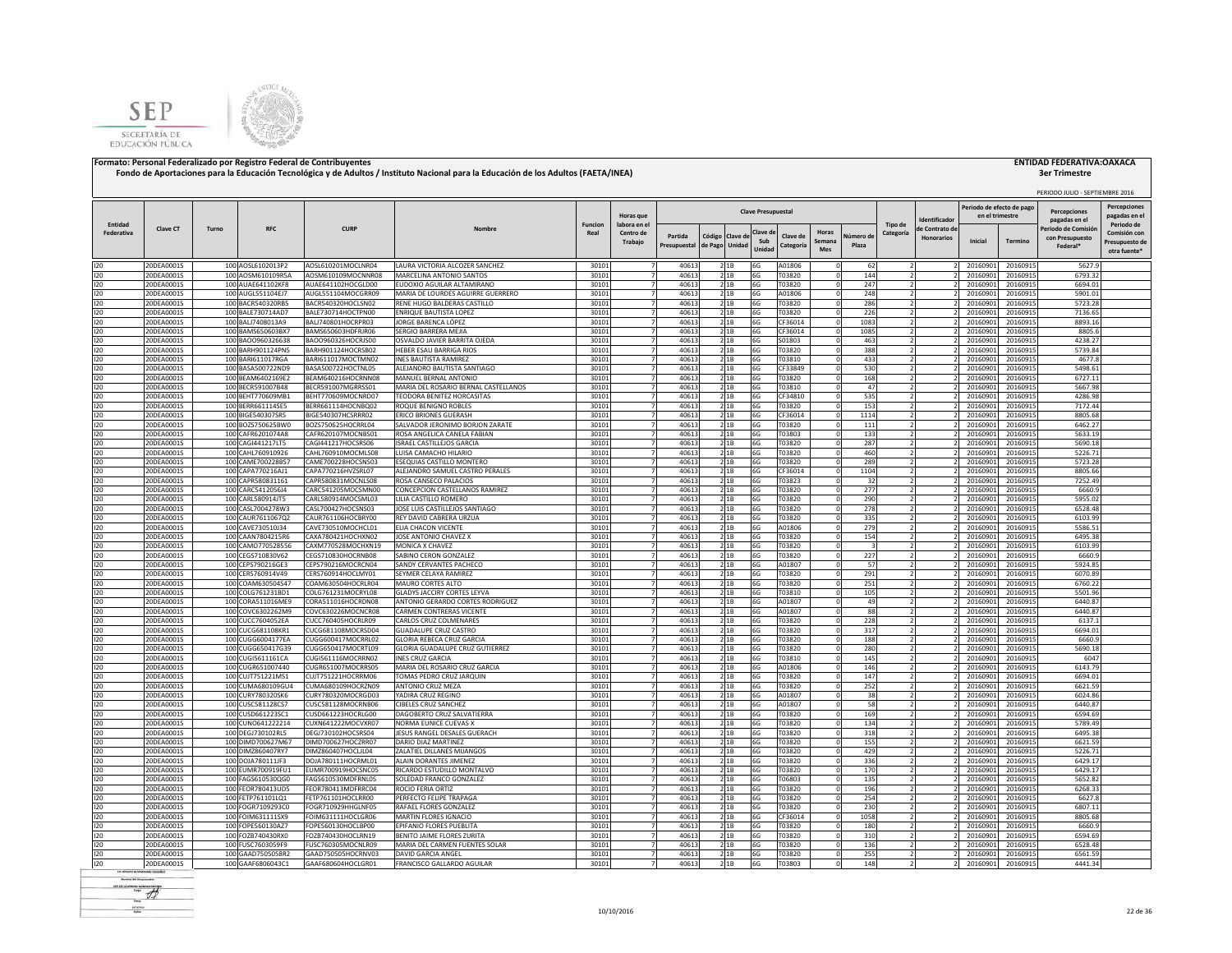



|                |                                 |       |                                        |                                          |                                                                 |                |                          |                         |                   |                   | <b>Clave Presupuestal</b> |                       |                          |                    |                |                                    | Periodo de efecto de pag |                      | PERIODO JULIO - SEPTIEMBRE 2016<br><b>Percenciones</b> | <b>Percepciones</b>                            |
|----------------|---------------------------------|-------|----------------------------------------|------------------------------------------|-----------------------------------------------------------------|----------------|--------------------------|-------------------------|-------------------|-------------------|---------------------------|-----------------------|--------------------------|--------------------|----------------|------------------------------------|--------------------------|----------------------|--------------------------------------------------------|------------------------------------------------|
| Entidad        |                                 |       |                                        |                                          |                                                                 | Funcion        | Horas que<br>labora en e |                         |                   |                   |                           |                       |                          |                    | Tipo de        | dentificado                        | en el trimestre          |                      | pagadas en el                                          | pagadas en e<br>Periodo de                     |
| Federativa     | <b>Clave CT</b>                 | Turno | <b>RFC</b>                             | <b>CURP</b>                              |                                                                 | Real           | Centro de<br>Trabajo     | Partida<br>Presupuestal | Código<br>de Pago | Clave d<br>Unidac | Clave d<br>Sub<br>Unida   | Clave de<br>Categoría | Horas<br>Semana<br>Mes   | Júmero de<br>Plaza | Categoría      | e Contrato de<br><b>Honorarios</b> | Inicial                  | <b>Termino</b>       | eriodo de Comisió<br>con Presupuesto<br>Federal*       | Comisión cor<br>Presupuesto de<br>otra fuente* |
| 120            | 20DEA0001S                      |       | 100 AOSL6102013P2                      | AOSL610201MOCLNR04                       | LAURA VICTORIA ALCOZER SANCHEZ                                  | 30101          |                          | 40613                   |                   | 2 1 B             | 6G                        | A01806                | - 0                      | 62                 |                |                                    | 20160901                 | 20160915             | 5627.9                                                 |                                                |
| 120            | 20DEA0001S                      |       | 100 AOSM610109R5A                      | AOSM610109MOCNNR08                       | MARCELINA ANTONIO SANTOS                                        | 30101          |                          | 40613                   |                   | 21B               | 6G                        | T03820                |                          | 144                |                |                                    | 20160901                 | 20160915             | 6793.32                                                |                                                |
| 120<br>120     | 20DEA0001S<br>20DEA0001S        |       | 100 AUAE641102KF8<br>100 AUGL551104EJ7 | AUAE641102HOCGLD00<br>AUGL551104MOCGRR09 | EUDOXIO AGUILAR ALTAMIRANO<br>MARIA DE LOURDES AGUIRRE GUERRERO | 30101<br>30101 |                          | 4061<br>4061            |                   | 21B<br>21B        | 6G<br>6G                  | T03820<br>A01806      |                          | 247<br>248         |                |                                    | 20160901<br>20160901     | 20160915<br>20160915 | 6694.01<br>5901.01                                     |                                                |
| 120            | !ODEA0001S                      |       | 100 BACR540320RB5                      | BACR540320HOCLSN02                       | RENE HUGO BALDERAS CASTILLO                                     | 30101          |                          | 4061                    |                   | 2 1B              | 6G                        | T03820                |                          | 286                |                |                                    | 20160901                 | 20160915             | 5723.28                                                |                                                |
| 120            | 0DFA0001S                       |       | 100 BALE730714AD7                      | BALE730714HOCTPN00                       | ENRIQUE BAUTISTA LOPEZ                                          | 30101          |                          | 40613                   |                   | 2 1B              | 6G                        | T03820                |                          | 226                |                |                                    | 20160901                 | 20160915             | 7136.65                                                |                                                |
| 120            | 20DEA0001S                      |       | 100 BALJ7408013A9                      | BALJ740801HOCRPR03                       | JORGE BARENCA LÓPEZ                                             | 30101          |                          | 40613                   |                   | 21B               | 6G                        | CF36014               | $\Omega$                 | 1083               |                |                                    | 20160901                 | 20160915             | 8893.16                                                |                                                |
| 120            | 20DEA0001S                      |       | 100 BAMS650603BX7                      | BAMS650603HDFRJR06                       | SERGIO BARRERA MEJIA                                            | 30101          |                          | 40613                   |                   | 21B               | 6G                        | CF36014               |                          | 1085               |                |                                    | 20160901                 | 20160915             | 8805.6                                                 |                                                |
| 120<br>120     | 20DEA0001S<br>20DEA0001S        |       | 100 BAOO960326638<br>100 BARH901124PN5 | BAO0960326HOCRJS00<br>BARH901124HOCRSB02 | OSVALDO JAVIER BARRITA OJEDA<br>HEBER ESAU BARRIGA RIOS         | 30101<br>30101 |                          | 40613<br>40613          |                   | 2 1 B             | 6G<br>6G                  | S01803<br>T03820      | $\Omega$                 | 463<br>388         |                |                                    | 20160901<br>20160901     | 20160915<br>20160915 | 4238.27<br>5739.84                                     |                                                |
| 120            | 20DEA0001S                      |       | 100 BARI611017RGA                      | BARI611017MOCTMN02                       | <b>INES BAUTISTA RAMIREZ</b>                                    | 30101          |                          | 40613                   |                   | 2 1 B<br>21B      | 6G                        | T03810                | $\Omega$                 | 433                |                |                                    | 20160901                 | 20160915             | 4677.8                                                 |                                                |
| 120            | 20DEA0001S                      |       | 100 BASA500722ND9                      | BASA500722HOCTNL05                       | ALEJANDRO BAUTISTA SANTIAGO                                     | 30101          |                          | 40613                   |                   | 2 1B              | 6G                        | CF33849               |                          | 530                |                |                                    | 20160901                 | 20160915             | 5498.61                                                |                                                |
| 120            | 20DEA0001S                      |       | 100 BEAM6402169E2                      | BEAM640216HOCRNN08                       | MANUEL BERNAL ANTONIO                                           | 30101          |                          | 40613                   |                   | 2 1B              | 6G                        | T03820                |                          | 168                |                |                                    | 20160901                 | 20160915             | 6727.11                                                |                                                |
| 120            | 20DEA0001S                      |       | 100 BECR591007B48                      | BECR591007MGRRSS01                       | MARIA DEL ROSARIO BERNAL CASTELLANOS                            | 30101          |                          | 4061                    |                   | 2 1 B             | 6G                        | T03810                |                          | 47                 |                |                                    | 20160901                 | 20160915             | 5667.98                                                |                                                |
| 120            | 20DEA0001S                      |       | 100 BEHT770609MB1                      | BEHT770609MOCNRD07                       | TEODORA BENITEZ HORCASITAS                                      | 30101          |                          | 40613                   |                   | 2 1B              | 6G                        | CF34810               |                          | 535                |                |                                    | 2016090                  | 20160915             | 4286.98                                                |                                                |
| 120            | 20DEA0001S                      |       | 100 BERR661114SE5                      | BERR661114HOCNBQ02                       | ROQUE BENIGNO ROBLES                                            | 30101          |                          | 40613                   |                   | 21B               | 6G                        | T03820                |                          | 153                |                |                                    | 20160901                 | 20160915             | 7172.44                                                |                                                |
| 120<br>$120 -$ | 20DEA0001S<br>20DEA0001S        |       | 100 BIGE540307SR5<br>100 BOZS750625BW0 | BIGE540307HCSRRR02<br>BOZS750625HOCRRL04 | ERICO BRIONES GUERASH<br>SALVADOR JERONIMO BORJON ZARATE        | 30101<br>30101 |                          | 40613<br>40613          |                   | 21B<br>21B        | 6G<br>6G                  | CF36014<br>T03820     | $\Omega$                 | 1114<br>111        |                |                                    | 20160901<br>20160901     | 20160915<br>20160915 | 8805.68<br>6462.27                                     |                                                |
| 120            | 20DEA0001S                      |       | 100 CAFR6201074A8                      | CAFR620107MOCNBS01                       | ROSA ANGELICA CANELA FABIAN                                     | 30101          |                          | 40613                   |                   | 21B               | 6G                        | T03803                | - 0                      | 133                |                |                                    | 20160901                 | 20160915             | 5633.19                                                |                                                |
| 120            | 20DEA0001S                      |       | 100 CAGI441217LT5                      | CAGI441217HOCSRS06                       | <b>ISRAEL CASTILLEJOS GARCIA</b>                                | 30101          |                          | 40613                   |                   | 21B               | 6G                        | T03820                | $\Omega$                 | 287                |                |                                    | 20160901                 | 20160915             | 5690.18                                                |                                                |
| 120            | 20DEA0001S                      |       | 100 CAHL760910926                      | CAHL760910MOCMLS08                       | LUISA CAMACHO HILARIO                                           | 30101          |                          | 40613                   |                   | 21B               | 6G                        | T03820                | $\Omega$                 | 460                |                |                                    | 20160901                 | 20160915             | 5226.71                                                |                                                |
| 120            | !ODEA0001S                      |       | 100 CAME700228B57                      | CAME700228HOCSNS03                       | ESEQUIAS CASTILLO MONTERO                                       | 30101          |                          | 4061                    |                   | 21B               | 6G                        | T03820                |                          | 289                |                |                                    | 20160901                 | 20160915             | 5723.28                                                |                                                |
| 120            | !ODEA0001S                      |       | 100 CAPA770216AJ1                      | CAPA770216HVZSRL07                       | ALEJANDRO SAMUEL CASTRO PERALES                                 | 30101          |                          | 4061                    |                   | 2 1B              | 6G                        | CF36014               |                          | 1104               |                |                                    | 2016090                  | 20160915             | 8805.66                                                |                                                |
| 120            | 0DEA0001S                       |       | 100 CAPR580831161                      | CAPR580831MOCNLS08                       | ROSA CANSECO PALACIOS                                           | 30101          |                          | 40613                   |                   | 21B               | 6G                        | T03823                |                          | 32                 |                |                                    | 20160901                 | 20160915             | 7252.49                                                |                                                |
| 120<br>120     | 20DEA0001S<br>20DEA0001S        |       | 100 CARC5412056J4<br>100 CARL580914JT5 | CARC541205MOCSMN00<br>CARL580914MOCSML03 | CONCEPCION CASTELLANOS RAMIREZ<br>LILIA CASTILLO ROMERO         | 30101<br>30101 |                          | 40613<br>40613          |                   | 21B<br>21B        | 6G<br>6G                  | T03820<br>T03820      | $\Omega$                 | 277<br>290         |                |                                    | 20160901<br>20160901     | 20160915<br>20160915 | 6660.9<br>5955.02                                      |                                                |
| 120            | 20DEA0001S                      |       | 100 CASL7004278W3                      | CASL700427HOCSNS03                       | JOSE LUIS CASTILLEJOS SANTIAGO                                  | 30101          |                          | 40613                   |                   | 21B               | 6G                        | T03820                |                          | 278                |                |                                    | 20160901                 | 20160915             | 6528.48                                                |                                                |
| 120            | 20DEA0001S                      |       | 100 CAUR7611067Q2                      | CAUR761106HOCBRY00                       | REY DAVID CABRERA URZUA                                         | 30101          |                          | 40613                   |                   | 2 1 B             | 6G                        | T03820                | - 0                      | 335                |                |                                    | 20160901                 | 20160915             | 6103.99                                                |                                                |
| 120            | 20DEA0001S                      |       | 100 CAVE730510J34                      | CAVE730510MOCHCL01                       | ELIA CHACON VICENTE                                             | 30101          |                          | 40613                   |                   | 21B               | 6G                        | A01806                | $\Omega$                 | 279                | $\overline{ }$ |                                    | 20160901                 | 20160915             | 5586.51                                                |                                                |
| 120            | 20DEA0001S                      |       | 100 CAAN7804215R6                      | CAXA780421HOCHXN02                       | JOSE ANTONIO CHAVEZ X                                           | 30101          |                          | 40613                   |                   | 21B               | 6G                        | T03820                |                          | 154                |                |                                    | 20160901                 | 20160915             | 6495.38                                                |                                                |
| 120            | 20DEA0001S                      |       | 100 CAMO770528556                      | CAXM770528MOCHXN19                       | MONICA X CHAVEZ                                                 | 30101          |                          | 40613                   |                   | 21B               | 6G                        | T03820                |                          | $\overline{3}$     |                |                                    | 20160901                 | 20160915             | 6103.99                                                |                                                |
| 120            | 20DEA0001S                      |       | 100 CEGS710830V62                      | CEGS710830HOCRNB08                       | SABINO CERON GONZALEZ                                           | 30101          |                          | 4061                    |                   | 21B               | 6G                        | T03820                |                          | 227                |                |                                    | 20160901                 | 20160915             | 6660.9                                                 |                                                |
| 120<br>120     | !ODEA0001S<br>20DEA0001S        |       | 100 CEPS790216GE3<br>100 CERS760914V49 | CEPS790216MOCRCN04<br>CERS760914HOCLMY01 | SANDY CERVANTES PACHECO<br>SEYMER CELAYA RAMIREZ                | 30101<br>30101 |                          | 4061<br>40613           |                   | 21B<br>21B        | 6G<br>6G                  | A01807<br>T03820      |                          | 57<br>291          |                |                                    | 20160901<br>20160901     | 20160915<br>20160915 | 5924.85<br>6070.89                                     |                                                |
| 120            | 20DEA0001S                      |       | 100 COAM630504S47                      | COAM630504HOCRLR04                       | MAURO CORTES ALTO                                               | 30101          |                          | 40613                   |                   | 21B               | 6G                        | T03820                |                          | 251                |                |                                    | 20160901                 | 20160915             | 6760.22                                                |                                                |
| 120            | 20DEA0001S                      |       | 100 COLG761231BD1                      | COLG761231MOCRYL08                       | <b>GLADYS JACCIRY CORTES LEYVA</b>                              | 30101          |                          | 40613                   |                   | 2 1B              | 6G                        | T03810                |                          | 105                |                |                                    | 20160901                 | 20160915             | 5501.96                                                |                                                |
| 120            | 20DEA0001S                      |       | 100 CORA511016ME9                      | CORA511016HOCRDN08                       | ANTONIO GERARDO CORTES RODRIGUEZ                                | 30101          |                          | 40613                   |                   | 21B               | 6G                        | A01807                | $\Omega$                 | 49                 |                |                                    | 20160901                 | 20160915             | 6440.87                                                |                                                |
| 120            | 20DEA0001S                      |       | 100 COVC6302262M9                      | COVC630226MOCNCR08                       | CARMEN CONTRERAS VICENTE                                        | 30101          |                          | 40613                   |                   | 21B               | 6G                        | A01807                |                          | 88                 |                |                                    | 20160901                 | 20160915             | 6440.87                                                |                                                |
| 120            | 20DEA0001S                      |       | 100 CUCC7604052EA                      | CUCC760405HOCRLR09                       | CARLOS CRUZ COLMENARES                                          | 30101          |                          | 4061                    |                   | 21B               | 6G                        | T03820                |                          | 228                |                |                                    | 20160901                 | 20160915             | 6137.1                                                 |                                                |
| 120            | 20DEA0001S                      |       | 100 CUCG681108KR1                      | CUCG681108MOCRSD04                       | <b>GUADALUPE CRUZ CASTRO</b>                                    | 30101          |                          | 4061                    |                   | 21B               | 6G                        | T03820                |                          | 317                |                |                                    | 20160901                 | 20160915             | 6694.01                                                |                                                |
| 120<br>120     | <b>!ODEA0001S</b><br>20DEA0001S |       | 100 CUGG6004177EA<br>100 CUGG650417G39 | CUGG600417MOCRRL02<br>CUGG650417MOCRTL09 | GLORIA REBECA CRUZ GARCIA<br>GLORIA GUADALUPE CRUZ GUTIERREZ    | 30101<br>30101 |                          | 4061<br>40613           |                   | 21B<br>21B        | 6G<br>6G                  | T03820<br>T03820      |                          | 188<br>280         |                |                                    | 20160901<br>20160901     | 20160915<br>20160915 | 6660.9<br>5690.18                                      |                                                |
| 120            | 20DEA0001S                      |       | 100 CUGI5611161CA                      | CUGI561116MOCRRN02                       | <b>INES CRUZ GARCIA</b>                                         | 30101          |                          | 40613                   |                   | 21B               | 6G                        | T03810                | $\Omega$                 | 145                |                |                                    | 20160901                 | 20160915             | 6047                                                   |                                                |
| 120            | 20DEA0001S                      |       | 100 CUGR651007440                      | CUGR651007MOCRRS05                       | MARIA DEL ROSARIO CRUZ GARCIA                                   | 30101          |                          | 40613                   |                   | 2 1B              | 6G                        | A01806                |                          | 146                |                |                                    | 20160901                 | 20160915             | 6143.79                                                |                                                |
| 120            | 20DEA0001S                      |       | 100 CUJT751221MS1                      | CUJT751221HOCRRM06                       | TOMAS PEDRO CRUZ JARQUIN                                        | 30101          |                          | 40613                   |                   | 2 1 B             | 6G                        | T03820                |                          | 147                |                |                                    | 20160901                 | 20160915             | 6694.01                                                |                                                |
| 120            | 20DEA0001S                      |       | 100 CUMA680109GU4                      | CUMA680109HOCRZN09                       | ANTONIO CRUZ MEZA                                               | 30101          |                          | 40613                   |                   | 2 1 B             | 6G                        | T03820                | - 0                      | 252                |                |                                    | 20160901                 | 20160915             | 6621.59                                                |                                                |
| 120            | 20DEA0001S                      |       | 100 CURY780320SK6                      | CURY780320MOCRGD03                       | YADIRA CRUZ REGINO                                              | 30101          |                          | 40613                   |                   | 21B               | 6G                        | A01807                |                          | 38                 |                |                                    | 20160901                 | 20160915             | 6024.86                                                |                                                |
| 120            | 20DEA0001S                      |       | 100 CUSC581128CS7                      | CUSC581128MOCRNB06                       | <b>CIBELES CRUZ SANCHEZ</b>                                     | 30101          |                          | 40613                   |                   | 21B               | 6G                        | A01807                |                          | 58                 |                |                                    | 20160901                 | 20160915             | 6440.87                                                |                                                |
| 120<br>120     | 20DEA0001S<br>20DEA0001S        |       | 100 CUSD661223SC1<br>100 CUNO641222214 | CUSD661223HOCRLG00<br>CUXN641222MOCVXR07 | DAGOBERTO CRUZ SALVATIERRA<br><b>NORMA EUNICE CUEVAS &gt;</b>   | 30101<br>30101 |                          | 40613<br>40613          |                   | 21B<br>2 1B       | 6G<br>6G                  | T03820<br>T03820      |                          | 169<br>134         |                |                                    | 20160901<br>2016090      | 20160915<br>20160915 | 6594.69<br>5789.49                                     |                                                |
| 120            | 20DEA0001S                      |       | 100 DEGJ730102RL5                      | DEGJ730102HOCSRS04                       | JESUS RANGEL DESALES GUERACH                                    | 30101          |                          | 40613                   |                   | 21B               | 6G                        | T03820                |                          | 318                |                |                                    | 20160901                 | 20160915             | 6495.38                                                |                                                |
| 120            | 20DEA0001S                      |       | 100 DIMD700627M67                      | DIMD700627HOCZRR07                       | DARIO DIAZ MARTINEZ                                             | 30101          |                          | 40613                   |                   | 21B               | 6G                        | T03820                |                          | 155                |                |                                    | 20160901                 | 20160915             | 6621.59                                                |                                                |
| 120            | 20DEA0001S                      |       | 100 DIMZ860407RY7                      | DIMZ860407HOCLJL04                       | ZALATIEL DILLANES MIJANGOS                                      | 30101          |                          | 40613                   |                   | 21B               | 6G                        | T03820                | $\Omega$                 | 429                |                |                                    | 20160901                 | 20160915             | 5226.71                                                |                                                |
| 120            | 20DEA0001S                      |       | 100 DOJA780111JF3                      | DOJA780111HOCRML01                       | ALAIN DORANTES JIMENEZ                                          | 30101          |                          | 40613                   |                   | 21B               | 6G                        | T03820                | $\Omega$                 | 336                |                |                                    | 20160901                 | 20160915             | 6429.17                                                |                                                |
| 120            | 20DEA0001S                      |       | 100 EUMR700919FU1                      | EUMR700919HOCSNC05                       | RICARDO ESTUDILLO MONTALVO                                      | 30101          |                          | 40613                   |                   | 2 1B              | 6G                        | T03820                | $\Omega$                 | 170                |                |                                    | 20160901                 | 20160915             | 6429.17                                                |                                                |
| 120            | 20DEA0001S                      |       | 100 FAGS610530QG0                      | FAGS610530MDFRNL05                       | SOLEDAD FRANCO GONZALEZ                                         | 30101          |                          | 40613                   |                   | 21B               | 6G                        | T06803                | $\Omega$                 | 135                |                |                                    | 20160901                 | 20160915             | 5652.82                                                |                                                |
| 120<br>120     | 20DEA0001S<br>!ODEA0001S        |       | 100 FEOR780413UD5<br>100 FETP761101LQ1 | FEOR780413MDFRRC04<br>FETP761101HOCLRR00 | ROCIO FERIA ORTIZ<br>PERFECTO FELIPE TRAPAGA                    | 30101<br>30101 |                          | 4061<br>4061            |                   | 2 1B<br>21B       | 6G<br>6G                  | T03820<br>T03820      |                          | 196<br>254         |                |                                    | 20160901<br>20160901     | 20160915<br>20160915 | 6268.33<br>6627.8                                      |                                                |
| 120            | 0DEA0001S                       |       | 100 FOGR7109293C0                      | FOGR710929HHGLNF05                       | RAFAEL FLORES GONZALEZ                                          | 30101          |                          | 40613                   |                   | 21B               | 6G                        | T03820                |                          | 230                |                |                                    | 20160901                 | 20160915             | 6807.11                                                |                                                |
| 120            | 20DEA0001S                      |       | 100 FOIM631111SX9                      | FOIM631111HOCLGR06                       | MARTIN FLORES IGNACIO                                           | 30101          |                          | 40613                   |                   | 21B               | 6G                        | CF36014               |                          | 1058               |                |                                    | 20160901                 | 20160915             | 8805.68                                                |                                                |
| 120            | 20DEA0001S                      |       | 100 FOPE560130AZ7                      | FOPE560130HOCLBP00                       | EPIFANIO FLORES PUEBLITA                                        | 30101          |                          | 40613                   |                   | 21B               | 6G                        | T03820                |                          | 180                |                |                                    | 20160901                 | 20160915             | 6660.9                                                 |                                                |
| 120            | 20DEA0001S                      |       | 100 FOZB740430RX0                      | FOZB740430HOCLRN19                       | BENITO JAIME FLORES ZURITA                                      | 30101          |                          | 40613                   |                   | 2 <sup>1B</sup>   | 6G                        | T03820                | $\Omega$                 | 310                |                |                                    | 20160901                 | 20160915             | 6594.69                                                |                                                |
| 120            | 20DFA0001S                      |       | 100 FUSC7603059F9                      | EUSC760305MOCNLR09                       | MARIA DEL CARMEN FUENTES SOLAR                                  | 30101          |                          | 40613                   |                   | 2 1 B             | 6G                        | T03820                |                          | 136                |                |                                    | 2016090                  | 20160915             | 6528.48                                                |                                                |
| 120<br>120     | 20DEA0001S<br>20DEA0001S        |       | 100 GAAD7505058R2<br>100 GAAF6806043C1 | GAAD750505HOCRNV03                       | DAVID GARCIA ANGEL                                              | 30101<br>30101 |                          | 40613<br>40613          |                   | 2 1 B             | 6G                        | T03820<br>T03803      | $\Omega$<br>$\mathbf{0}$ | 255<br>148         |                |                                    | 20160901                 | 20160915             | 6561.59<br>4441.34                                     |                                                |
|                |                                 |       |                                        | GAAF680604HOCLGR01                       | FRANCISCO GALLARDO AGUILAR                                      |                |                          |                         |                   | 21B               | 6G                        |                       |                          |                    |                |                                    | 20160901                 | 20160915             |                                                        |                                                |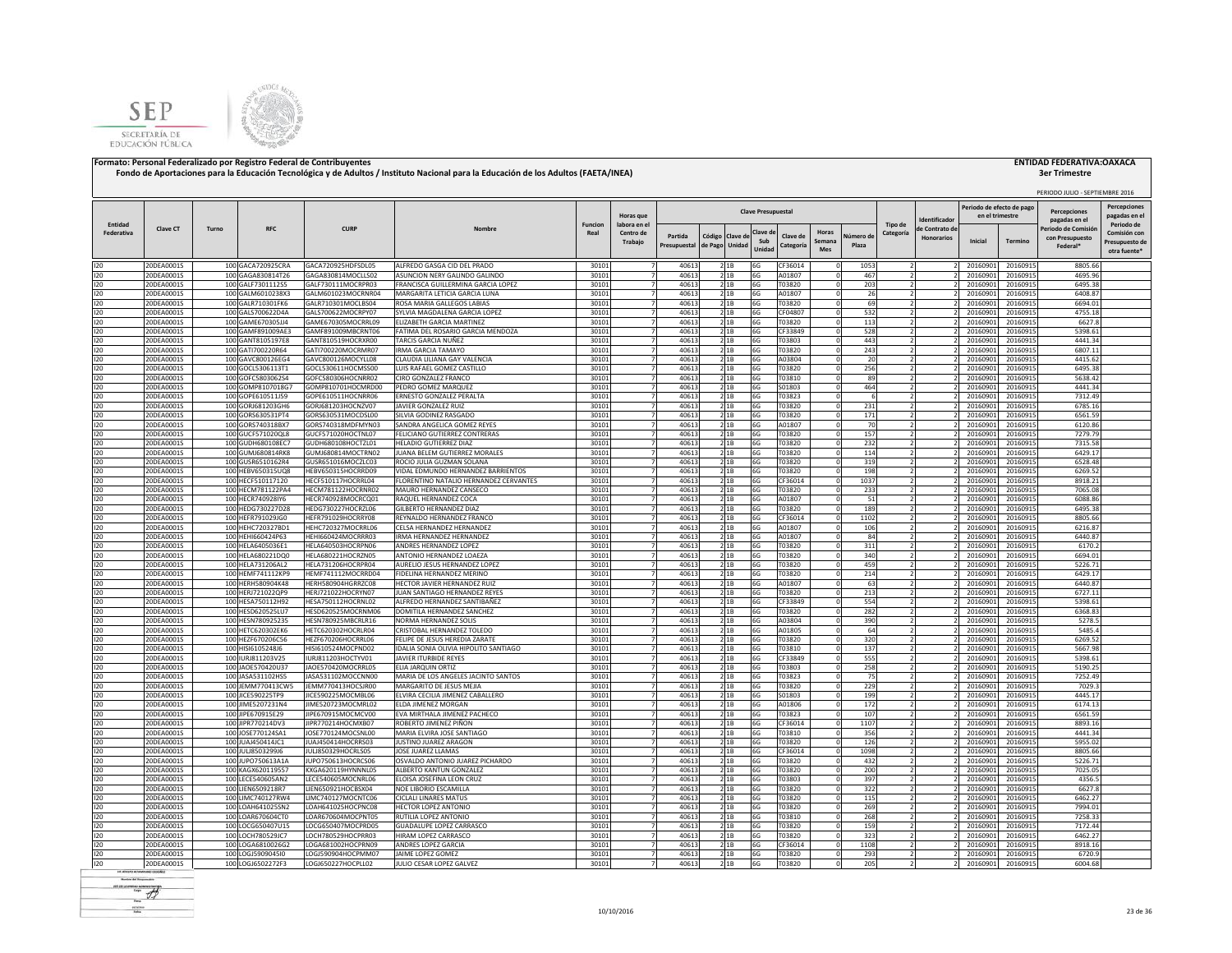



|                       |                          |       |                                        |                                          |                                                                 |                        |                                  |                |                                   |                |                           |                            |            |                          |                          | Periodo de efecto de pag |                      | PERIODO JULIO - SEPTIEMBRE 2016      |                                            |
|-----------------------|--------------------------|-------|----------------------------------------|------------------------------------------|-----------------------------------------------------------------|------------------------|----------------------------------|----------------|-----------------------------------|----------------|---------------------------|----------------------------|------------|--------------------------|--------------------------|--------------------------|----------------------|--------------------------------------|--------------------------------------------|
|                       |                          |       |                                        |                                          |                                                                 |                        | Horas que                        |                |                                   |                | <b>Clave Presupuestal</b> |                            |            |                          | dentificado              | en el trimestre          |                      | <b>Percenciones</b><br>pagadas en el | <b>Percepciones</b><br>pagadas en e        |
| Entidad<br>Federativa | <b>Clave CT</b>          | Turno | <b>RFC</b>                             | <b>CURP</b>                              | Nombre                                                          | <b>Funcion</b><br>Real | labora en el<br>Centro de        | Partida        |                                   |                | Clave d                   | Horas<br>Clave de          | Vúmero de  | Tipo de<br>Categoría     | le Contrato de           |                          |                      | Periodo de Comisió                   | Periodo de<br>Comisión cor                 |
|                       |                          |       |                                        |                                          |                                                                 |                        | Trabajo                          | Presupuestal   | Código Clave de<br>de Pago Unidad |                | Sub<br>Unida              | Semana<br>Categoría<br>Mes | Plaza      |                          | <b>Honorarios</b>        | Inicial                  | Termino              | con Presupuesto<br>Federal*          | Presupuesto de<br>otra fuente <sup>®</sup> |
| 120                   | 20DEA0001S               |       | 100 GACA720925CRA                      | GACA720925HDFSDL05                       | ALFREDO GASGA CID DEL PRADO                                     | 30101                  | $\overline{7}$                   | 40613          |                                   | 2 1B           | 6G                        | CF36014                    | 1053       |                          |                          | 20160901                 | 20160915             | 8805.66                              |                                            |
| 120                   | 20DEA0001S               |       | 100 GAGA830814T26                      | GAGA830814MOCLLS02                       | ASUNCION NERY GALINDO GALINDO                                   | 30101                  | $\overline{7}$                   | 40613          |                                   | 21B            | 6G                        | A01807                     | 467        | $\overline{2}$           |                          | 20160901                 | 20160915             | 4695.96                              |                                            |
| 120                   | 20DEA0001S               |       | 100 GALF7301112S5                      | GALF730111MOCRPR03                       | FRANCISCA GUILLERMINA GARCIA LOPEZ                              | 30101                  |                                  | 40613          |                                   | 2 1B           | 6G                        | T03820                     | 203        |                          |                          | 20160901                 | 20160915             | 6495.38                              |                                            |
| 120                   | 20DEA0001S               |       | 100 GALM6010238X3                      | GALM601023MOCRNR04                       | MARGARITA LETICIA GARCIA LUNA                                   | 30101                  |                                  | 40613          |                                   | 2 1B           | 6G                        | A01807                     | 26         |                          |                          | 20160901                 | 20160915             | 6408.87                              |                                            |
| 120                   | 20DEA0001S<br>20DEA0001S |       | 100 GALR710301FK6<br>100 GALS700622D4A | GALR710301MOCLBS04<br>GALS700622MOCRPY07 | ROSA MARIA GALLEGOS LABIAS<br>SYLVIA MAGDALENA GARCIA LOPEZ     | 30101<br>30101         |                                  | 40613<br>40613 |                                   | 21B<br>2 1 B   | 6G                        | T03820                     | 69         |                          |                          | 20160901<br>20160901     | 20160915<br>20160915 | 6694.01<br>4755.18                   |                                            |
| 120<br>120            | 20DEA0001S               |       | 100 GAME670305JJ4                      | GAME670305MOCRRL09                       | ELIZABETH GARCIA MARTINEZ                                       | 30101                  |                                  | 40613          |                                   | 21B            | 6G<br>6G                  | CF04807<br>T03820          | 532<br>113 |                          |                          | 20160901                 | 20160915             | 6627.8                               |                                            |
| 120                   | 20DEA0001S               |       | 100 GAMF891009AE3                      | GAMF891009MBCRNT06                       | FATIMA DEL ROSARIO GARCIA MENDOZA                               | 30101                  |                                  | 40613          |                                   | 21B            | 6G                        | CF33849                    | 528        |                          |                          | 20160901                 | 20160915             | 5398.61                              |                                            |
| 120                   | 20DEA0001S               |       | 100 GANT8105197E8                      | GANT810519HOCRXR00                       | TARCIS GARCIA NUÑEZ                                             | 30101                  |                                  | 40613          |                                   | 2 1B           | 6G                        | T03803                     | 443        |                          |                          | 20160901                 | 20160915             | 4441.34                              |                                            |
| 120                   | 20DEA0001S               |       | 100 GATI700220R64                      | GATI700220MOCRMR07                       | <b>IRMA GARCIA TAMAYO</b>                                       | 30101                  | 7                                | 40613          |                                   | 2 1 B          | 6G                        | T03820                     | 243        |                          |                          | 20160901                 | 20160915             | 6807.11                              |                                            |
| 120                   | 20DEA0001S               |       | 100 GAVC800126EG4                      | GAVC800126MOCYLL08                       | CLAUDIA LILIANA GAY VALENCIA                                    | 30101                  | $\overline{7}$                   | 40613          |                                   | 2 1 B          | 6G                        | A03804                     | 20         |                          |                          | 20160901                 | 20160915             | 4415.62                              |                                            |
| 120                   | 20DEA0001S               |       | 100 GOCL5306113T1                      | GOCL530611HOCMSS00                       | LUIS RAFAEL GOMEZ CASTILLO                                      | 30101                  |                                  | 40613          |                                   | 21B            | 6G                        | T03820                     | 256        |                          |                          | 20160901                 | 20160915             | 6495.38                              |                                            |
| 120<br>120            | 20DEA0001S<br>20DEA0001S |       | 100 GOFC5803062S4<br>100 GOMP8107018G7 | GOFC580306HOCNRR02<br>GOMP810701HOCMRD00 | <b>CIRO GONZALEZ FRANCO</b><br>PEDRO GOMEZ MARQUEZ              | 30101<br>30101         |                                  | 40613<br>40613 |                                   | 2 1 B<br>2 1 B | 6G<br>6G                  | T03810<br>S01803           | 89<br>464  | $\overline{z}$           |                          | 20160901<br>20160901     | 20160915<br>20160915 | 5638.42<br>4441.34                   |                                            |
| 120                   | 20DEA0001S               |       | 100 GOPE610511J59                      | GOPE610511HOCNRR06                       | ERNESTO GONZALEZ PERALTA                                        | 30101                  | $\overline{7}$                   | 40613          |                                   | 2 1 B          | 6G                        | T03823                     | 6          |                          |                          | 2016090                  | 20160915             | 7312.49                              |                                            |
| 120                   | 20DEA0001S               |       | 100 GORJ681203GH6                      | GORJ681203HOCNZV07                       | JAVIER GONZALEZ RUIZ                                            | 30101                  | $\overline{7}$                   | 40613          |                                   | 21B            | 6G                        | T03820                     | 231        |                          | $\overline{\phantom{a}}$ | 20160901                 | 20160915             | 6785.16                              |                                            |
| 120                   | 20DEA0001S               |       | 100 GORS630531PT4                      | GORS630531MOCDSL00                       | SILVIA GODINEZ RASGADO                                          | 30101                  | $\overline{7}$                   | 40613          |                                   | 21B            | 6G                        | T03820                     | 171        | $\overline{2}$           |                          | 20160901                 | 20160915             | 6561.59                              |                                            |
| 120                   | 20DEA0001S               |       | 100 GORS740318BX7                      | GORS740318MDFMYN03                       | SANDRA ANGELICA GOMEZ REYES                                     | 30101                  | $\overline{7}$                   | 40613          |                                   | 21B            | 6G                        | A01807                     | 70         | $\overline{2}$           |                          | 20160901                 | 20160915             | 6120.86                              |                                            |
| 120                   | 20DEA0001S               |       | 100 GUCF571020QL8                      | GUCF571020HOCTNL07                       | FELICIANO GUTIERREZ CONTRERAS                                   | 30101                  | $\overline{7}$                   | 40613          |                                   | 21B            | 6G                        | T03820                     | 157        | $\overline{2}$           |                          | 20160901                 | 20160915             | 7279.79                              |                                            |
| 120                   | 20DEA0001S               |       | 100 GUDH680108EC7                      | GUDH680108HOCTZL01                       | <b>HELADIO GUTIERREZ DIAZ</b>                                   | 30101                  | $\overline{7}$                   | 40613          |                                   | 21B            | 6G                        | T03820                     | 232        |                          |                          | 20160901                 | 20160915             | 7315.58                              |                                            |
| 120                   | 20DEA0001S               |       | 100 GUMJ680814RK8                      | GUMJ680814MOCTRN02                       | JUANA BELEM GUTIERREZ MORALES                                   | 30101                  |                                  | 40613          |                                   | 2 1 B          | 6G                        | T03820                     | 114        |                          |                          | 20160901                 | 20160915             | 6429.17                              |                                            |
| 120                   | 20DEA0001S<br>20DEA0001S |       | 100 GUSR6510162R4<br>100 HEBV650315UQ8 | GUSR651016MOCZLC03<br>HEBV650315HOCRRD09 | ROCIO JULIA GUZMAN SOLANA<br>VIDAL EDMUNDO HERNANDEZ BARRIENTOS | 30101<br>30101         |                                  | 40613<br>40613 |                                   | 2 1 B          | 6G                        | T03820<br>T03820           | 319<br>198 |                          |                          | 20160901<br>2016090      | 20160915<br>20160915 | 6528.48<br>6269.52                   |                                            |
| 120<br>120            | 20DEA0001S               |       | 100 HECF510117120                      | HECF510117HOCRRL04                       | FLORENTINO NATALIO HERNANDEZ CERVANTES                          | 30101                  |                                  | 40613          |                                   | 2 1 B<br>2 1B  | 6G<br>6G                  | CF36014                    | 1037       |                          |                          | 2016090                  | 20160915             | 8918.21                              |                                            |
| 120                   | 20DEA0001S               |       | 100 HECM781122PA4                      | HECM781122HOCRNR02                       | MAURO HERNANDEZ CANSECO                                         | 30101                  |                                  | 40613          |                                   | 2 1B           | 6G                        | T03820                     | 233        |                          |                          | 20160901                 | 20160915             | 7065.08                              |                                            |
| 120                   | 20DEA0001S               |       | 100 HECR740928IY6                      | HECR740928MOCRCO01                       | RAQUEL HERNANDEZ COCA                                           | 30101                  |                                  | 40613          |                                   | 2 1B           | 6G                        | A01807                     | 51         |                          |                          | 20160901                 | 20160915             | 6088.86                              |                                            |
| 120                   | 20DEA0001S               |       | 100 HEDG730227D28                      | HEDG730227HOCRZL06                       | GILBERTO HERNANDEZ DIAZ                                         | 30101                  |                                  | 40613          |                                   | 2 1B           | 6G                        | T03820                     | 189        |                          |                          | 20160901                 | 20160915             | 6495.38                              |                                            |
| 120                   | 20DEA0001S               |       | 100 HEFR791029JG0                      | HEFR791029HOCRRY08                       | REYNALDO HERNANDEZ FRANCO                                       | 30101                  | 7                                | 40613          |                                   | 2 1 B          | 6G                        | CF36014                    | 1102       |                          |                          | 20160901                 | 20160915             | 8805.66                              |                                            |
| 120                   | 20DEA0001S               |       | 100 HEHC720327BD1                      | HEHC720327MOCRRL06                       | CELSA HERNANDEZ HERNANDEZ                                       | 30101                  |                                  | 40613          |                                   | 21B            | 6G                        | A01807                     | 106        |                          |                          | 20160901                 | 20160915             | 6216.87                              |                                            |
| 120                   | 20DEA0001S               |       | 100 HEHI660424P63                      | HEHI660424MOCRRR03                       | <b>IRMA HERNANDEZ HERNANDEZ</b>                                 | 3010                   |                                  | 40613          |                                   | 21B            | 6G                        | A01807                     | 84         |                          |                          | 20160901                 | 20160915             | 6440.87                              |                                            |
| 120                   | 20DEA0001S               |       | 100 HELA6405036E1                      | HELA640503HOCRPN06                       | ANDRES HERNANDEZ LOPEZ                                          | 30101                  |                                  | 40613          |                                   | 21B            | 6G                        | T03820                     | 311        |                          |                          | 20160901                 | 20160915             | 6170.2                               |                                            |
| 120<br>120            | 20DEA0001S<br>20DEA0001S |       | 100 HELA680221DQ0<br>100 HELA731206AL2 | HELA680221HOCRZN05<br>HELA731206HOCRPR04 | ANTONIO HERNANDEZ LOAEZA<br>AURELIO JESUS HERNANDEZ LOPEZ       | 30101<br>30101         | $\overline{7}$<br>$\overline{7}$ | 40613<br>40613 |                                   | 2 1 B<br>21B   | 6G<br>6G                  | T03820<br>T03820           | 340<br>459 |                          |                          | 2016090<br>20160901      | 20160915<br>20160915 | 6694.01<br>5226.71                   |                                            |
| 120                   | 20DEA0001S               |       | 100 HEMF741112KP9                      | HEMF741112MOCRRD04                       | FIDELINA HERNANDEZ MERINO                                       | 30101                  | $\overline{7}$                   | 40613          |                                   | 21B            | 6G                        | T03820                     | 214        |                          | $\overline{2}$           | 20160901                 | 20160915             | 6429.17                              |                                            |
| 120                   | 20DEA0001S               |       | 100 HERH580904K48                      | HERH580904HGRRZC08                       | HECTOR JAVIER HERNANDEZ RUIZ                                    | 30101                  | $\overline{7}$                   | 40613          |                                   | 21B            | 6G                        | A01807                     | 63         | $\overline{2}$           |                          | 20160901                 | 20160915             | 6440.87                              |                                            |
| 120                   | 20DEA0001S               |       | 100 HERJ721022QP9                      | HERJ721022HOCRYN07                       | JUAN SANTIAGO HERNANDEZ REYES                                   | 30101                  | $\overline{7}$                   | 40613          |                                   | 21B            | 6G                        | T03820                     | 213        | ν                        |                          | 20160901                 | 20160915             | 6727.11                              |                                            |
| 120                   | 20DEA0001S               |       | 100 HESA750112H92                      | HESA750112HOCRNL02                       | ALFREDO HERNANDEZ SANTIBAÑEZ                                    | 30101                  | $\overline{7}$                   | 40613          |                                   | 21B            | 6G                        | CF33849                    | 554        |                          |                          | 20160901                 | 20160915             | 5398.61                              |                                            |
| 120                   | 20DEA0001S               |       | 100 HESD620525LU7                      | HESD620525MOCRNM06                       | DOMITILA HERNANDEZ SANCHEZ                                      | 30101                  | $\overline{7}$                   | 40613          |                                   | 21B            | 6G                        | T03820                     | 282        | $\overline{2}$           |                          | 20160901                 | 20160915             | 6368.83                              |                                            |
| 120                   | 20DEA0001S               |       | 100 HESN780925235                      | HESN780925MBCRLR16                       | NORMA HERNANDEZ SOLIS                                           | 30101                  |                                  | 40613          |                                   | 2 1 B          | 6G                        | A03804                     | 390        | $\overline{\phantom{a}}$ |                          | 20160901                 | 20160915             | 5278.5                               |                                            |
| 120                   | 20DEA0001S               |       | 100 HETC620302EK6                      | HETC620302HOCRLR04                       | CRISTOBAL HERNANDEZ TOLEDO                                      | 30101                  |                                  | 40613          |                                   | 21B            | 6G                        | A01805                     | 64         |                          |                          | 20160901                 | 20160915             | 5485.4                               |                                            |
| 120                   | 20DEA0001S               |       | 100 HEZF670206C56                      | HEZF670206HOCRRL06                       | FELIPE DE JESUS HEREDIA ZARATE                                  | 30101                  |                                  | 40613<br>40613 |                                   | 2 1 B          | 6G                        | T03820                     | 320        |                          |                          | 20160901                 | 20160915             | 6269.52<br>5667.98                   |                                            |
| 120<br>120            | 20DEA0001S<br>20DEA0001S |       | 100 HISI6105248J6<br>100 IURJ811203V25 | HISI610524MOCPND02<br>URJ811203HOCTYV01  | IDALIA SONIA OLIVIA HIPOLITO SANTIAGO<br>JAVIER ITURBIDE REYES  | 30101<br>30101         |                                  | 40613          |                                   | 21B<br>21B     | 6G<br>6G                  | T03810<br>CF33849          | 137<br>555 |                          |                          | 20160901<br>20160901     | 20160915<br>20160915 | 5398.61                              |                                            |
| 120                   | 20DEA0001S               |       | 100 JAOE570420U37                      | JAOE570420MOCRRL05                       | ELIA JARQUIN ORTIZ                                              | 30101                  |                                  | 40613          |                                   | 21B            | 6G                        | T03803                     | 258        |                          |                          | 20160901                 | 20160915             | 5190.25                              |                                            |
| 120                   | 20DEA0001S               |       | 100 JASA531102HS5                      | JASA531102MOCCNN00                       | MARIA DE LOS ANGELES JACINTO SANTOS                             | 30101                  | 7                                | 40613          |                                   | 21B            | 6G                        | T03823                     | 75         |                          |                          | 20160901                 | 20160915             | 7252.49                              |                                            |
| 120                   | 20DEA0001S               |       | 100 JEMM770413CW5                      | JEMM770413HOCSJR00                       | MARGARITO DE JESUS MEJIA                                        | 30101                  |                                  | 40613          |                                   | 2 1 B          | 6G                        | T03820                     | 229        |                          |                          | 20160901                 | 20160915             | 7029.3                               |                                            |
| 120                   | 20DEA0001S               |       | 100 JICE590225TP9                      | JICE590225MOCMBL06                       | ELVIRA CECILIA JIMENEZ CABALLERO                                | 30101                  | 7                                | 40613          |                                   | 2 1 B          | 6G                        | S01803                     | 199        | $\overline{z}$           |                          | 20160901                 | 20160915             | 4445.17                              |                                            |
| 120                   | 20DEA0001S               |       | 100 JIME5207231N4                      | JIME520723MOCMRL02                       | ELDA JIMENEZ MORGAN                                             | 30101                  |                                  | 40613          |                                   | 2 1 B          | 6G                        | A01806                     | 172        | $\overline{z}$           |                          | 20160901                 | 20160915             | 6174.13                              |                                            |
| 120                   | 20DEA0001S               |       | 100 JIPE670915E29                      | JIPE670915MOCMCV00                       | EVA MIRTHALA JIMENEZ PACHECO                                    | 30101                  | $\overline{7}$                   | 40613          |                                   | 2 1 B          | 6G                        | T03823                     | 107        |                          |                          | 20160901                 | 20160915             | 6561.59                              |                                            |
| 120                   | 20DEA0001S               |       | 100 JIPR770214DV3                      | JIPR770214HOCMXB07                       | ROBERTO JIMENEZ PIÑON                                           | 30101                  | $\overline{7}$<br>$\overline{7}$ | 40613          |                                   | 2 1 B          | 6G                        | CF36014                    | 1107       |                          |                          | 2016090                  | 20160915             | 8893.16                              |                                            |
| 120<br>120            | 20DEA0001S<br>20DEA0001S |       | 100 JOSE770124SA1<br>100 JUAJ450414JC1 | JOSE770124MOCSNL00<br>JUAJ450414HOCRRS03 | MARIA ELVIRA JOSE SANTIAGO<br>JUSTINO JUAREZ ARAGON             | 30101<br>30101         | $\overline{7}$                   | 40613<br>40613 |                                   | 21B<br>21B     | 6G<br>6G                  | T03810<br>T03820           | 356<br>126 |                          | $\overline{\phantom{a}}$ | 2016090<br>20160901      | 20160915<br>20160915 | 4441.34<br>5955.02                   |                                            |
| 120                   | 20DEA0001S               |       | 100 JULJ8503299J6                      | JULJ850329HOCRLS05                       | JOSE JUAREZ LLAMAS                                              | 30101                  | $\overline{7}$                   | 40613          |                                   | 21B            | 6G                        | CF36014                    | 1098       | ν                        |                          | 20160901                 | 20160915             | 8805.66                              |                                            |
| 120                   | 20DEA0001S               |       | 100 JUPO750613A1A                      | JUPO750613HOCRCS06                       | OSVALDO ANTONIO JUAREZ PICHARDO                                 | 30101                  | $\overline{7}$                   | 40613          |                                   | 21B            | 6G                        | T03820                     | 432        | $\overline{2}$           |                          | 20160901                 | 20160915             | 5226.71                              |                                            |
| 120                   | 20DEA0001S               |       | 100 KAGX620119557                      | KXGA620119HYNNNL05                       | ALBERTO KANTUN GONZALEZ                                         | 30101                  | $\overline{7}$                   | 40613          |                                   | 2 1B           | 6G                        | T03820                     | 200        | $\overline{2}$           |                          | 20160901                 | 20160915             | 7025.05                              |                                            |
| 120                   | 20DEA0001S               |       | 100 LECE540605AN2                      | LECE540605MOCNRL06                       | ELOISA JOSEFINA LEON CRUZ                                       | 30101                  | $\overline{7}$                   | 40613          |                                   | 21B            | 6G                        | T03803                     | 397        | $\overline{\phantom{a}}$ |                          | 20160901                 | 20160915             | 4356.5                               |                                            |
| 120                   | 20DEA0001S               |       | 100 LIEN6509218R7                      | LIEN650921HOCBSX04                       | NOE LIBORIO ESCAMILLA                                           | 30101                  |                                  | 40613          |                                   | 2 1 B          | 6G                        | T03820                     | 322        |                          |                          | 20160901                 | 20160915             | 6627.8                               |                                            |
| 120                   | 20DEA0001S               |       | 100 LIMC740127RW4                      | LIMC740127MOCNTC06                       | CICLALI LINARES MATUS                                           | 30101                  |                                  | 40613          |                                   | 2 1 B          | 6G                        | T03820                     | 115        |                          |                          | 2016090                  | 20160915             | 6462.27                              |                                            |
| 120                   | 20DEA0001S               |       | 100 LOAH641025SN2                      | LOAH641025HOCPNC08                       | HECTOR LOPEZ ANTONIO                                            | 30101                  |                                  | 40613          |                                   | 2 1B           | 6G                        | T03820                     | 269        |                          |                          | 2016090                  | 20160915             | 7994.01                              |                                            |
| 120<br>120            | 20DEA0001S<br>20DEA0001S |       | 100 LOAR670604CT0<br>100 LOCG650407U15 | LOAR670604MOCPNT05<br>LOCG650407MOCPRD05 | RUTILIA LOPEZ ANTONIO<br>GUADALUPE LOPEZ CARRASCO               | 30101<br>30101         |                                  | 40613<br>40613 |                                   | 2 1B<br>21B    | 6G<br>6G                  | T03810<br>T03820           | 268<br>159 |                          |                          | 20160901<br>20160901     | 20160915<br>20160915 | 7258.33<br>7172.44                   |                                            |
| 120                   | 20DEA0001S               |       | 100 LOCH780529JC7                      | LOCH780529HOCPRR03                       | HIRAM LOPEZ CARRASCO                                            | 30101                  |                                  | 40613          |                                   | 21B            | 6G                        | T03820                     | 323        |                          |                          | 20160901                 | 20160915             | 6462.27                              |                                            |
| 120                   | 20DEA0001S               |       | 100 LOGA6810026G2                      | LOGA681002HOCPRN09                       | ANDRES LOPEZ GARCIA                                             | 3010                   |                                  | 4061           |                                   | 2 1 B          | 6G                        | CF36014                    | 1108       |                          |                          | 2016090                  | 20160915             | 8918.16                              |                                            |
| 120                   | 20DEA0001S               |       | 100 LOGJ590904510                      | LOG1590904HOCPMM07                       | JAIME LOPEZ GOMEZ                                               | 30101                  | $\overline{7}$                   | 40613          |                                   | 2 1 B          | 6G                        | T03820                     | 793        |                          |                          | 20160901                 | 20160915             | 6720.9                               |                                            |
| 120                   | 20DEA0001S               |       | 100 LOGJ6502272F3                      | LOGJ650227HOCPLL02                       | JULIO CESAR LOPEZ GALVEZ                                        | 30101                  | $\overline{7}$                   | 40613          |                                   | 2 1 B          | 6G                        | T03820                     | 205        | 2                        |                          | 20160901                 | 20160915             | 6004.68                              |                                            |
|                       |                          |       |                                        |                                          |                                                                 |                        |                                  |                |                                   |                |                           |                            |            |                          |                          |                          |                      |                                      |                                            |

**Render del Francesco**  $-46$ scales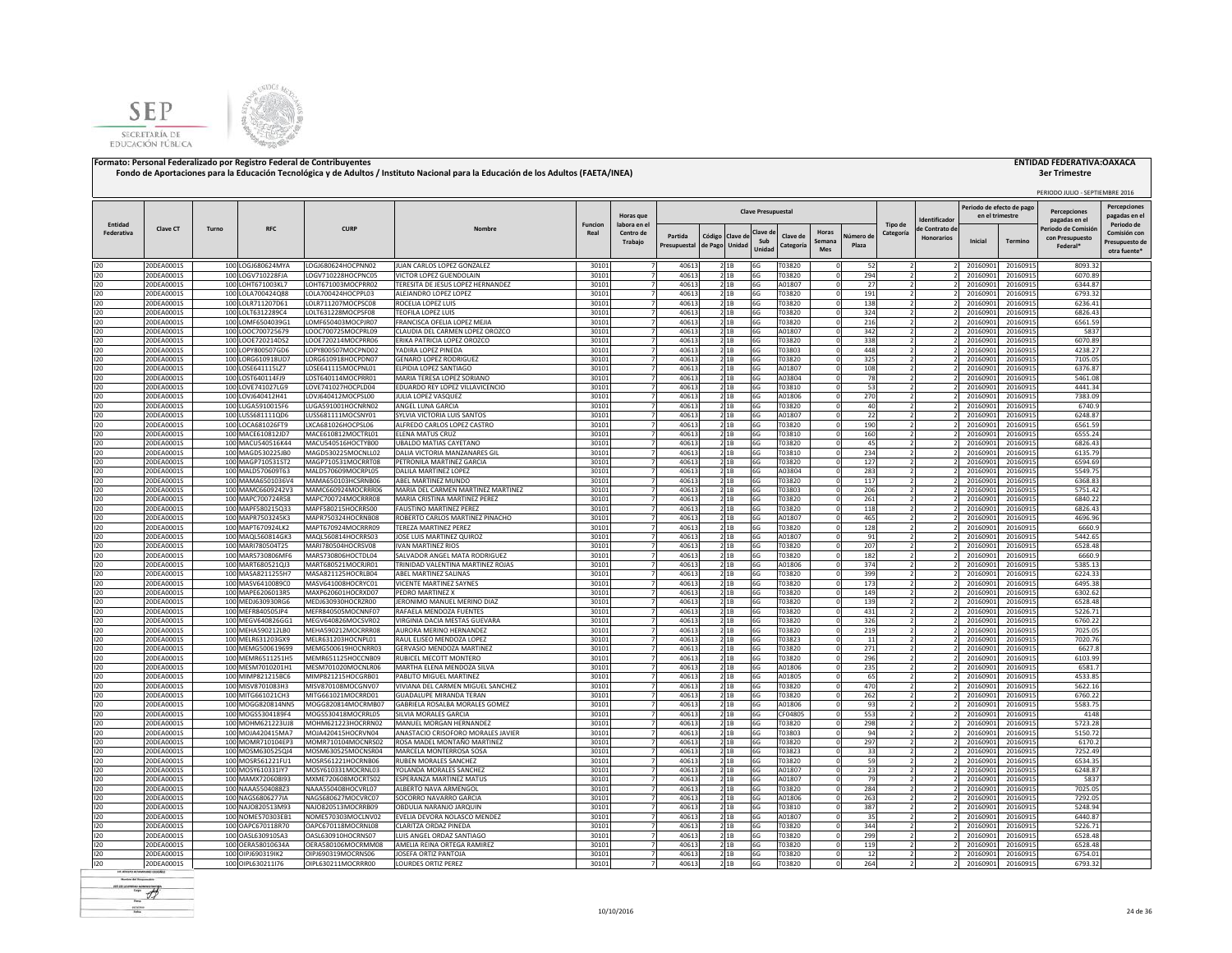



|                       |                          |       |                                        |                                          |                                                            |                        | Horas que                           |                         |                          |         | <b>Clave Presupuestal</b> |                       |                        |                    |                      | dentificado                         | Periodo de efecto de pago<br>en el trimestre |                      | PERIODO JULIO - SEPTIEMBRE 2016<br><b>Percenciones</b>             | <b>Percepciones</b><br>pagadas en e                          |
|-----------------------|--------------------------|-------|----------------------------------------|------------------------------------------|------------------------------------------------------------|------------------------|-------------------------------------|-------------------------|--------------------------|---------|---------------------------|-----------------------|------------------------|--------------------|----------------------|-------------------------------------|----------------------------------------------|----------------------|--------------------------------------------------------------------|--------------------------------------------------------------|
| Entidad<br>Federativa | <b>Clave CT</b>          | Turno | <b>RFC</b>                             | <b>CURF</b>                              | Nombr <sub>®</sub>                                         | <b>Funcion</b><br>Real | labora en e<br>Centro de<br>Trabajo | Partida<br>Presupuestal | Código<br>de Pago Unidad | Clave d | Clave d<br>Sub<br>Unida   | Clave de<br>Categoría | Horas<br>Semana<br>Mes | Vúmero di<br>Plaza | Tipo de<br>Categoría | le Contrato de<br><b>Honorarios</b> | Inicial                                      | Termino              | pagadas en el<br>Periodo de Comisió<br>con Presupuesto<br>Federal* | Periodo de<br>Comisión cor<br>Presupuesto de<br>otra fuente' |
|                       |                          |       |                                        |                                          |                                                            |                        |                                     |                         |                          |         |                           |                       |                        |                    |                      |                                     |                                              |                      |                                                                    |                                                              |
| 120<br>120            | 20DEA0001S<br>20DEA0001S |       | 100 LOGJ680624MYA<br>100 LOGV710228FJA | LOGJ680624HOCPNN02<br>LOGV710228HOCPNC05 | JUAN CARLOS LOPEZ GONZALEZ<br>VICTOR LOPEZ GUENDOLAIN      | 30101<br>3010          | $\overline{7}$<br>$\overline{7}$    | 40613<br>40613          | 2 1B<br>21B              |         | 6G<br>6G                  | T03820<br>T03820      |                        | 52<br>294          |                      |                                     | 20160901<br>20160901                         | 20160915<br>20160915 | 8093.32<br>6070.89                                                 |                                                              |
| 120                   | 20DEA0001S               |       | 100 LOHT671003KL7                      | LOHT671003MOCPRR02                       | TERESITA DE JESUS LOPEZ HERNANDEZ                          | 3010                   |                                     | 4061                    | 21B                      |         | 6G                        | A01807                |                        | 27                 |                      |                                     | 20160901                                     | 20160915             | 6344.87                                                            |                                                              |
| 120                   | 20DEA0001S               |       | 100 LOLA700424Q88                      | LOLA700424HOCPPL03                       | ALEJANDRO LOPEZ LOPEZ                                      | 3010:                  |                                     | 40613                   | 2 1 B                    |         | 6G                        | T03820                |                        | 191                |                      |                                     | 20160901                                     | 20160915             | 6793.32                                                            |                                                              |
| 120                   | 20DEA0001S               |       | 100 LOLR711207D61                      | LOLR711207MOCPSC08                       | ROCELIA LOPEZ LUIS                                         | 30101                  |                                     | 4061                    | 21B                      |         | 6G                        | T03820                |                        | 138                |                      |                                     | 20160901                                     | 20160915             | 6236.41                                                            |                                                              |
| 120                   | 20DEA0001S               |       | 100 LOLT6312289C4                      | LOLT631228MOCPSF08                       | <b>TEOFILA LOPEZ LUIS</b>                                  | 30101                  |                                     | 40613                   | 21B                      |         | 6G                        | F03820                |                        | 324                |                      |                                     | 20160901                                     | 20160915             | 6826.43                                                            |                                                              |
| 120                   | 20DEA0001S               |       | 100 LOMF6504039G1                      | LOMF650403MOCPJR07                       | FRANCISCA OFELIA LOPEZ MEJIA                               | 30101                  |                                     | 40613                   | 21B                      |         | 6G                        | T03820                |                        | 216                |                      |                                     | 20160901                                     | 20160915             | 6561.59                                                            |                                                              |
| 120                   | 20DEA0001S<br>20DEA0001S |       | 100 LOOC700725679                      | LOOC700725MOCPRL09<br>LOOE720214MOCPRR06 | CLAUDIA DEL CARMEN LOPEZ OROZCO                            | 30101<br>30101         |                                     | 40613<br>40613          | 2 1 B                    |         | 6G                        | A01807<br>T03820      |                        | 342<br>338         |                      |                                     | 20160901<br>20160901                         | 20160915<br>20160915 | 5837<br>6070.89                                                    |                                                              |
| 120<br>120            | 20DEA0001S               |       | 100 LOOE720214DS2<br>100 LOPY800507GD6 | LOPY800507MOCPND02                       | ERIKA PATRICIA LOPEZ OROZCO<br>YADIRA LOPEZ PINEDA         | 30101                  | 7                                   | 40613                   | 2 1 B<br>2 1 B           |         | 6G<br>6G                  | T03803                |                        | 448                |                      |                                     | 20160901                                     | 20160915             | 4238.27                                                            |                                                              |
| 120                   | 20DEA0001S               |       | 100 LORG610918UD7                      | LORG610918HOCPDN07                       | <b>GENARO LOPEZ RODRIGUEZ</b>                              | 30101                  |                                     | 40613                   | 2 1 B                    |         | 6G                        | T03820                |                        | 325                |                      |                                     | 20160901                                     | 20160915             | 7105.05                                                            |                                                              |
| 120                   | 20DEA0001S               |       | 100 LOSE641115LZ7                      | LOSE641115MOCPNL01                       | ELPIDIA LOPEZ SANTIAGO                                     | 3010                   |                                     | 40613                   | 2 1 B                    |         | 6G                        | A01807                |                        | 108                |                      |                                     | 20160901                                     | 20160915             | 6376.87                                                            |                                                              |
| 120                   | 20DEA0001S               |       | 100 LOST640114FJ9                      | LOST640114MOCPRR01                       | MARIA TERESA LOPEZ SORIANO                                 | 30101                  |                                     | 40613                   | 2 1 B                    |         | 6G                        | A03804                |                        | 78                 |                      |                                     | 20160901                                     | 20160915             | 5461.08                                                            |                                                              |
| 120                   | 20DEA0001S               |       | 100 LOVE741027LG9                      | LOVE741027HOCPLD04                       | EDUARDO REY LOPEZ VILLAVICENCIO                            | 3010:                  |                                     | 40613                   | 2 1B                     |         | 6G                        | T03810                |                        | 53                 |                      |                                     | 2016090                                      | 20160915             | 4441.34                                                            |                                                              |
| 120                   | 20DEA0001S               |       | 100 LOVJ640412H41                      | LOVJ640412MOCPSL00                       | JULIA LOPEZ VASQUEZ                                        | 30101                  | $\overline{7}$                      | 40613                   | 2 1 B                    |         | 6G                        | A01806                |                        | 270                |                      |                                     | 2016090                                      | 20160915             | 7383.09                                                            |                                                              |
| 120                   | 20DEA0001S               |       | 100 LUGA5910015F6                      | LUGA591001HOCNRN02                       | ANGEL LUNA GARCIA                                          | 30101                  | $\overline{7}$                      | 40613                   | 21B                      |         | 6G                        | T03820                |                        | 40                 |                      |                                     | 20160901                                     | 20160915             | 6740.9                                                             |                                                              |
| 120                   | 20DEA0001S               |       | 100 LUSS681111QD6                      | LUSS681111MOCSNY01                       | SYLVIA VICTORIA LUIS SANTOS                                | 30101                  | $\overline{7}$                      | 40613                   | 21B                      |         | 6G                        | A01807                |                        | 22                 |                      |                                     | 20160901                                     | 20160915             | 6248.87                                                            |                                                              |
| 120                   | 20DEA0001S               |       | 100 LOCA681026FT9                      | LXCA681026HOCPSL06                       | ALFREDO CARLOS LOPEZ CASTRO                                | 3010                   | $\overline{7}$                      | 40613                   | 21B                      |         | 6G                        | T03820                |                        | 190                |                      |                                     | 20160901                                     | 20160915             | 6561.59                                                            |                                                              |
| 120<br>120            | 20DEA0001S<br>20DEA0001S |       | 100 MACE610812JD7<br>100 MACU540516K44 | MACE610812MOCTRL01<br>MACU540516HOCTYB00 | ELENA MATUS CRUZ<br><b>UBALDO MATIAS CAYETANO</b>          | 30101<br>3010          | $\overline{7}$                      | 40613<br>40613          | 21B<br>21B               |         | 6G<br>6G                  | T03810<br>T03820      |                        | 160<br>45          |                      |                                     | 20160901<br>2016090                          | 20160915<br>20160915 | 6555.24<br>6826.43                                                 |                                                              |
| 120                   | 20DEA0001S               |       | 100 MAGD530225JB0                      | MAGD530225MOCNLL02                       | DALIA VICTORIA MANZANARES GIL                              | 3010                   |                                     | 40613                   | 2 1B                     |         | 6G                        | T03810                |                        | 234                |                      |                                     | 2016090                                      | 20160915             | 6135.79                                                            |                                                              |
| 120                   | 20DEA0001S               |       | 100 MAGP710531ST2                      | MAGP710531MOCRRT08                       | PETRONILA MARTINEZ GARCIA                                  | 30101                  |                                     | 40613                   | 21B                      |         | 6G                        | T03820                |                        | 127                |                      |                                     | 2016090                                      | 20160915             | 6594.69                                                            |                                                              |
| 120                   | 20DEA0001S               |       | 100 MALD570609T63                      | MALD570609MOCRPL05                       | DALILA MARTINEZ LOPEZ                                      | 30101                  |                                     | 40613                   | 21B                      |         | 6G                        | A03804                |                        | 283                |                      |                                     | 2016090                                      | 20160915             | 5549.75                                                            |                                                              |
| 120                   | 20DEA0001S               |       | 100 MAMA6501036V4                      | MAMA650103HCSRNB06                       | ABEL MARTINEZ MUNDO                                        | 30101                  |                                     | 40613                   | 21B                      |         | 6G                        | F03820                |                        | 117                |                      |                                     | 2016090                                      | 20160915             | 6368.83                                                            |                                                              |
| 120                   | 20DEA0001S               |       | 100 MAMC6609242V3                      | MAMC660924MOCRRR06                       | MARIA DEL CARMEN MARTINEZ MARTINEZ                         | 30101                  |                                     | 40613                   | 2 1 B                    |         | 6G                        | T03803                |                        | 206                |                      |                                     | 20160901                                     | 20160915             | 5751.42                                                            |                                                              |
| 120                   | 20DEA0001S               |       | 100 MAPC700724R58                      | MAPC700724MOCRRR08                       | MARIA CRISTINA MARTINEZ PEREZ                              | 3010:                  |                                     | 40613                   | 2 1 B                    |         | 6G                        | T03820                |                        | 261                |                      |                                     | 20160903                                     | 20160915             | 6840.22                                                            |                                                              |
| 120                   | 20DEA0001S               |       | 100 MAPF580215Q33                      | MAPF580215HOCRRS00                       | <b>FAUSTINO MARTINEZ PEREZ</b>                             | 3010                   |                                     | 40613                   | 2 1 B                    |         | 6G                        | T03820                |                        | 118                |                      |                                     | 2016090                                      | 20160915             | 6826.43                                                            |                                                              |
| 120                   | 20DEA0001S               |       | 100 MAPR7503245K3                      | MAPR750324HOCRNB08                       | ROBERTO CARLOS MARTINEZ PINACHO                            | 3010:                  |                                     | 40613                   | 2 1 B                    |         | 6G                        | A01807                |                        | 465                |                      |                                     | 20160903                                     | 20160915             | 4696.96                                                            |                                                              |
| 120                   | 20DEA0001S               |       | 100 MAPT670924LK2                      | MAPT670924MOCRRR09                       | TEREZA MARTINEZ PEREZ                                      | 3010:                  |                                     | 40613                   | 21B                      |         | 6G                        | T03820                |                        | 128                |                      |                                     | 20160901                                     | 20160915             | 6660.9                                                             |                                                              |
| 120                   | 20DEA0001S               |       | 100 MAQL560814GK3                      | MAQL560814HOCRRS03                       | JOSE LUIS MARTINEZ QUIROZ                                  | 3010                   |                                     | 40613                   | 21B                      |         | 6G                        | A01807                |                        | 91                 |                      |                                     | 20160901                                     | 20160915             | 5442.65                                                            |                                                              |
| 120<br>120            | 20DEA0001S<br>20DEA0001S |       | 100 MARI780504T25<br>100 MARS730806MF6 | MARI780504HOCRSV08<br>MARS730806HOCTDL04 | <b>IVAN MARTINEZ RIOS</b><br>SALVADOR ANGEL MATA RODRIGUEZ | 3010:<br>3010:         | $\overline{7}$                      | 40613<br>40613          | 21B<br>2 1B              |         | 6G<br>6G                  | T03820<br>T03820      |                        | 207<br>182         |                      |                                     | 2016090<br>2016090                           | 20160915<br>20160915 | 6528.48<br>6660.9                                                  |                                                              |
| 120                   | 20DEA0001S               |       | 100 MART680521QJ3                      | MART680521MOCRJR01                       | TRINIDAD VALENTINA MARTINEZ ROJAS                          | 3010:                  | $\overline{7}$                      | 40613                   | 21B                      |         | 6G                        | A01806                |                        | 374                |                      |                                     | 2016090                                      | 20160915             | 5385.13                                                            |                                                              |
| 120                   | 20DEA0001S               |       | 100 MASA8211255H7                      | MASA821125HOCRLB04                       | ABEL MARTINEZ SALINAS                                      | 3010:                  | $\overline{7}$                      | 40613                   | 21B                      |         | 6G                        | T03820                |                        | 399                |                      |                                     | 20160901                                     | 20160915             | 6224.33                                                            |                                                              |
| 120                   | 20DEA0001S               |       | 100 MASV6410089C0                      | MASV641008HOCRYC01                       | VICENTE MARTINEZ SAYNES                                    | 3010:                  | $\overline{7}$                      | 40613                   | 21B                      |         | 6G                        | T03820                |                        | 173                |                      |                                     | 20160901                                     | 20160915             | 6495.38                                                            |                                                              |
| 120                   | 20DEA0001S               |       | 100 MAPE6206013R5                      | MAXP620601HOCRXD07                       | PEDRO MARTINEZ X                                           | 30101                  | $\overline{7}$                      | 40613                   | 21B                      |         | 6G                        | T03820                |                        | 149                |                      |                                     | 20160901                                     | 20160915             | 6302.62                                                            |                                                              |
| 120                   | 20DEA0001S               |       | 100 MEDJ630930RG6                      | MEDJ630930HOCRZR00                       | JERONIMO MANUEL MERINO DIAZ                                | 3010:                  | $\overline{7}$                      | 40613                   | 21B                      |         | 6G                        | T03820                |                        | 139                |                      |                                     | 20160901                                     | 20160915             | 6528.48                                                            |                                                              |
| 120                   | 20DEA0001S               |       | 100 MEFR840505JP4                      | MEFR840505MOCNNF07                       | RAFAELA MENDOZA FUENTES                                    | 3010                   |                                     | 40613                   | 21B                      |         | 6G                        | T03820                |                        | 431                |                      |                                     | 20160901                                     | 20160915             | 5226.71                                                            |                                                              |
| 120                   | 20DEA0001S               |       | 100 MEGV640826GG1                      | MEGV640826MOCSVR02                       | VIRGINIA DACIA MESTAS GUEVARA                              | 3010:                  |                                     | 40613                   | 21B                      |         | 6G                        | T03820                |                        | 326                |                      |                                     | 20160901                                     | 20160915             | 6760.22                                                            |                                                              |
| 120                   | 20DEA0001S               |       | 100 MEHA590212LB0                      | MEHA590212MOCRRR08                       | AURORA MERINO HERNANDEZ                                    | 3010:                  |                                     | 4061                    | 2 1B                     |         | 6G                        | T03820                |                        | 219                |                      |                                     | 20160901                                     | 20160915             | 7025.05                                                            |                                                              |
| 120                   | 20DEA0001S               |       | 100 MELR631203GX9                      | MELR631203HOCNPL01                       | RAUL ELISEO MENDOZA LOPEZ                                  | 30101                  |                                     | 40613<br>40613          | 2 1B                     |         | 6G                        | T03823                |                        | 11                 |                      |                                     | 20160901                                     | 20160915             | 7020.76<br>6627.8                                                  |                                                              |
| 120                   | 20DEA0001S               |       | 100 MEMG500619699                      | MEMG500619HOCNRR03                       | GERVASIO MENDOZA MARTINEZ                                  | 30101                  |                                     |                         | 21B                      |         | 6G                        | T03820                |                        | 271                |                      |                                     | 20160901                                     | 20160915             |                                                                    |                                                              |
| 120<br>120            | 20DEA0001S<br>20DEA0001S |       | 100 MEMR6511251H5<br>100 MESM7010201H1 | MEMR651125HOCCNB09<br>MESM701020MOCNLR06 | RUBICEL MECOTT MONTERO<br>MARTHA ELENA MENDOZA SILVA       | 30101<br>30101         |                                     | 40613<br>40613          | 21B<br>2 1 B             |         | 6G<br>6G                  | T03820<br>A01806      |                        | 296<br>235         |                      |                                     | 20160901<br>20160901                         | 20160915<br>20160915 | 6103.99<br>6581.7                                                  |                                                              |
| 120                   | 20DEA0001S               |       | 100 MIMP821215BC6                      | MIMP821215HOCGRB01                       | PABLITO MIGUEL MARTINEZ                                    | 30101                  |                                     | 40613                   | 2 1 B                    |         | 6G                        | A01805                |                        | 65                 |                      |                                     | 20160901                                     | 20160915             | 4533.85                                                            |                                                              |
| 120                   | 20DEA0001S               |       | 100 MISV8701083H3                      | MISV870108MOCGNV07                       | VIVIANA DEL CARMEN MIGUEL SANCHEZ                          | 30101                  |                                     | 40613                   | 2 1 B                    |         | 6G                        | T03820                |                        | 470                |                      |                                     | 20160901                                     | 20160915             | 5622.16                                                            |                                                              |
| 120                   | 20DEA0001S               |       | 100 MITG661021CH3                      | MITG661021MOCRRD01                       | <b>GUADALUPE MIRANDA TERAN</b>                             | 30101                  |                                     | 40613                   | 2 1 B                    |         | 6G                        | T03820                |                        | 262                |                      |                                     | 20160901                                     | 20160915             | 6760.22                                                            |                                                              |
| 120                   | 20DEA0001S               |       | 100 MOGG820814NN5                      | MOGG820814MOCRMB07                       | GABRIELA ROSALBA MORALES GOMEZ                             | 30101                  |                                     | 40613                   | 2 1 B                    |         | 6G                        | A01806                |                        | 93                 |                      |                                     | 20160901                                     | 20160915             | 5583.75                                                            |                                                              |
| 120                   | 20DEA0001S               |       | 100 MOGS5304189F4                      | MOGS530418MOCRRL05                       | SILVIA MORALES GARCIA                                      | 3010:                  |                                     | 40613                   | 21B                      |         | 6G                        | CF04805               |                        | 553                |                      |                                     | 2016090                                      | 20160915             | 4148                                                               |                                                              |
| 120                   | 20DEA0001S               |       | 100 MOHM621223UJ8                      | MOHM621223HOCRRN02                       | MANUEL MORGAN HERNANDEZ                                    | 30101                  | $\overline{7}$                      | 40613                   | 2 1 B                    |         | 6G                        | T03820                |                        | 298                |                      |                                     | 2016090                                      | 20160915             | 5723.28                                                            |                                                              |
| 120                   | 20DEA0001S               |       | 100 MOJA420415MA7                      | MOJA420415HOCRVN04                       | ANASTACIO CRISOFORO MORALES JAVIER                         | 30101                  | $\overline{7}$                      | 40613                   | 21B                      |         | 6G                        | T03803                |                        | 94                 |                      |                                     | 2016090                                      | 20160915             | 5150.72                                                            |                                                              |
| 120<br>120            | 20DEA0001S<br>20DEA0001S |       | 100 MOMR710104EP3<br>100 MOSM630525QJ4 | MOMR710104MOCNRS02<br>MOSM630525MOCNSR04 | ROSA MADEL MONTAÑO MARTINEZ<br>MARCELA MONTERROSA SOSA     | 30101<br>30101         | $\overline{7}$<br>$\overline{7}$    | 40613<br>40613          | 21B<br>21B               |         | 6G<br>6G                  | T03820<br>T03823      |                        | 297<br>33          |                      |                                     | 20160901<br>20160901                         | 20160915<br>20160915 | 6170.2<br>7252.49                                                  |                                                              |
| 120                   | 20DEA0001S               |       | 100 MOSR561221FU1                      | MOSR561221HOCRNB06                       | RUBEN MORALES SANCHEZ                                      | 30101                  | $\overline{7}$                      | 40613                   | 21B                      |         | 6G                        | T03820                |                        | 59                 |                      |                                     | 20160901                                     | 20160915             | 6534.35                                                            |                                                              |
| 120                   | 20DEA0001S               |       | 100 MOSY610331IY7                      | MOSY610331MOCRNL03                       | YOLANDA MORALES SANCHEZ                                    | 30101                  | $\overline{7}$                      | 40613                   | 21B                      |         | 6G                        | A01807                |                        | 23                 |                      |                                     | 20160901                                     | 20160915             | 6248.87                                                            |                                                              |
| 120                   | 20DEA0001S               |       | 100 MAMX720608l93                      | MXME720608MOCRTS02                       | <b>ESPERANZA MARTINEZ MATUS</b>                            | 30101                  | $\overline{7}$                      | 40613                   | 21B                      |         | 6G                        | A01807                |                        | 79                 |                      |                                     | 20160901                                     | 20160915             | 5837                                                               |                                                              |
| 120                   | 20DEA0001S               |       | 100 NAAA5504088Z3                      | NAAA550408HOCVRL07                       | ALBERTO NAVA ARMENGOL                                      | 3010:                  |                                     | 40613                   | 21B                      |         | 6G                        | T03820                |                        | 284                |                      |                                     | 2016090                                      | 20160915             | 7025.05                                                            |                                                              |
| 120                   | 20DEA0001S               |       | 100 NAGS6806277IA                      | NAGS680627MOCVRC07                       | SOCORRO NAVARRO GARCIA                                     | 3010:                  |                                     | 4061                    | 2 1B                     |         | 6G                        | A01806                |                        | 263                |                      |                                     | 2016090                                      | 20160915             | 7292.05                                                            |                                                              |
| 120                   | 20DEA0001S               |       | 100 NAJO820513M93                      | NAJO820513MOCRRB09                       | OBDULIA NARANJO JARQUIN                                    | 30101                  |                                     | 40613                   | 21B                      |         | 6G                        | T03810                |                        | 387                |                      |                                     | 2016090                                      | 20160915             | 5248.94                                                            |                                                              |
| 120                   | 20DEA0001S               |       | 100 NOME570303EB1                      | NOME570303MOCLNV02                       | EVELIA DEVORA NOLASCO MENDEZ                               | 3010:                  |                                     | 40613                   | 2 1 B                    |         | 6G                        | A01807                |                        | 35                 |                      |                                     | 2016090                                      | 20160915             | 6440.87                                                            |                                                              |
| 120                   | 20DEA0001S               |       | 100 OAPC670118R70                      | OAPC670118MOCRNL08                       | CLARITZA ORDAZ PINEDA                                      | 30101                  |                                     | 40613                   | 2 1 B                    |         | 6G                        | T03820                |                        | 344                |                      |                                     | 20160901                                     | 20160915             | 5226.71                                                            |                                                              |
| 120                   | 20DEA0001S               |       | 100 OASL630910SA3                      | OASL630910HOCRNS07                       | LUIS ANGEL ORDAZ SANTIAGO                                  | 3010                   |                                     | 40613                   | 21B                      |         | 6G                        | T03820                |                        | 299                |                      |                                     | 20160901                                     | 20160915             | 6528.48                                                            |                                                              |
| 120                   | 20DEA0001S               |       | 100 OERA58010634A                      | OERA580106MOCRMM08                       | AMELIA REINA ORTEGA RAMIREZ                                | 3010:                  |                                     | 40613                   | 2 1 B                    |         | 6G                        | 103820                |                        | 119                |                      |                                     | 2016090                                      | 20160915             | 6528.48                                                            |                                                              |
| 120                   | 20DEA0001S               |       | 100 OIPJ690319IK2                      | OIPJ690319MOCRNS06                       | JOSEFA ORTIZ PANTOJA                                       | 3010                   | $\overline{ }$                      | 40613                   | 2 1 B                    |         | 6G                        | T03820                |                        | 12                 |                      |                                     | 20160901                                     | 20160915             | 6754.01                                                            |                                                              |
| 120                   | 20DEA0001S               |       | 100 OIPL630211I76                      | OIPL630211MOCRRR00                       | LOURDES ORTIZ PEREZ                                        | 30101                  | 7                                   | 40613                   | 2 1 B                    |         | 6G                        | T03820                |                        | 264                |                      |                                     | 20160901                                     | 20160915             | 6793.32                                                            |                                                              |

**Render del Francesco**  $-$  of scales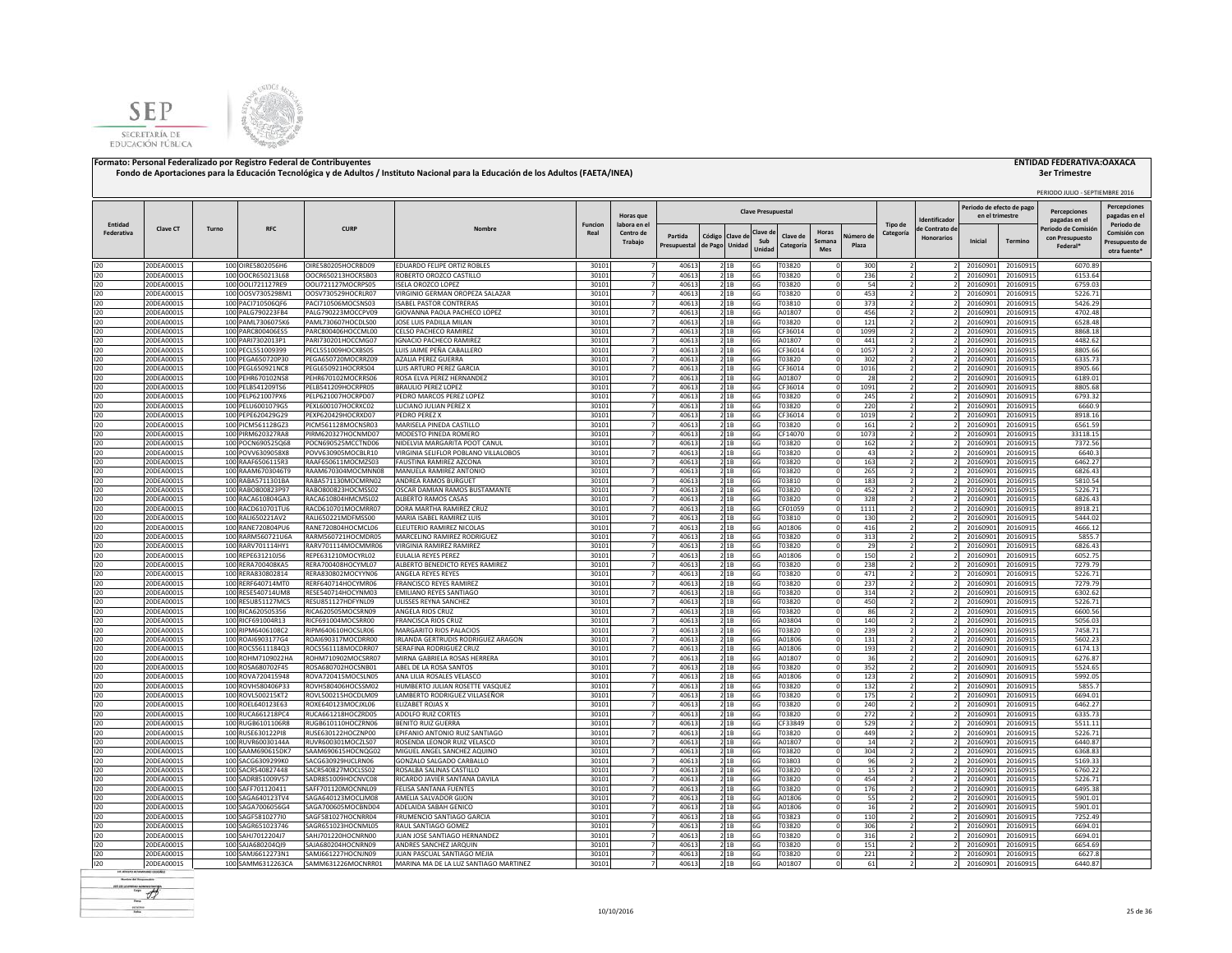



# **3er Trimestre**

|                       |                          |       |                                        |                                          |                                                              |                 |                                     |                         |                                      |                           |                       |                        |                   |                      |                                    |                                              |                      | PERIODO JULIO - SEPTIEMBRE 2016                   |                                                              |
|-----------------------|--------------------------|-------|----------------------------------------|------------------------------------------|--------------------------------------------------------------|-----------------|-------------------------------------|-------------------------|--------------------------------------|---------------------------|-----------------------|------------------------|-------------------|----------------------|------------------------------------|----------------------------------------------|----------------------|---------------------------------------------------|--------------------------------------------------------------|
|                       |                          |       |                                        |                                          |                                                              |                 | Horas que                           |                         |                                      | <b>Clave Presupuestal</b> |                       |                        |                   |                      | dentificado                        | Periodo de efecto de pago<br>en el trimestre |                      | <b>Percepciones</b><br>pagadas en el              | Percepciones<br>pagadas en el                                |
| Entidad<br>Federativa | <b>Clave CT</b>          | Turno | RFC                                    | <b>CURP</b>                              | Nombre                                                       | Funcion<br>Real | labora en e<br>Centro de<br>Trabajo | Partida<br>Presupuestal | Código Clave de<br>Unidad<br>de Pago | Clave de<br>Sub<br>Unida  | Clave de<br>Categoría | Horas<br>Semana<br>Mes | lúmero d<br>Plaza | Tipo de<br>Categoría | e Contrato de<br><b>Honorarios</b> | Inicial                                      | <b>Termino</b>       | Periodo de Comisio<br>con Presupuesto<br>Federal* | Periodo de<br>Comisión cor<br>Presupuesto de<br>otra fuente' |
| 120                   | 20DEA0001S               |       | 100 OIRE5802056H6                      | OIRE580205HOCRBD09                       | EDUARDO FELIPE ORTIZ ROBLES                                  | 30101           |                                     | 40613                   | 21B                                  | 6G                        | T03820                |                        | 300               |                      |                                    | 20160901                                     | 20160915             | 6070.89                                           |                                                              |
| 120                   | 20DEA0001S               |       | 100 OOCR650213L68                      | OOCR650213HOCRSB03                       | ROBERTO OROZCO CASTILLO                                      | 30101           |                                     | 40613                   | 21B                                  | 6G                        | T03820                |                        | 236               |                      |                                    | 20160901                                     | 20160915             | 6153.64                                           |                                                              |
| 120                   | 20DEA0001S               |       | 100 OOL1721127RE9                      | OOLI721127MOCRPS05                       | <b>ISELA OROZCO LOPEZ</b>                                    | 30101           |                                     | 40613                   | 21B                                  | 6G                        | T03820                |                        | 54                |                      |                                    | 20160901                                     | 20160915             | 6759.03                                           |                                                              |
| 120                   | 20DEA0001S               |       | 100 OOSV7305298M1                      | 005V730529HOCRLR07                       | VIRGINIO GERMAN OROPEZA SALAZAR                              | 30101           | $\overline{7}$                      | 40613                   | 21B                                  | 6G                        | T03820                | $\Omega$               | 453               |                      |                                    | 20160901                                     | 20160915             | 5226.71                                           |                                                              |
| 120                   | 20DEA0001S               |       | 100 PACI710506QF6                      | PACI710506MOCSNS03                       | <b>ISABEL PASTOR CONTRERAS</b>                               | 30101           |                                     | 40613                   | 21B                                  | 6G                        | T03810                | $\Omega$               | 373               |                      |                                    | 20160901                                     | 20160915             | 5426.29                                           |                                                              |
| 120                   | 20DEA0001S               |       | 100 PALG790223FB4                      | PALG790223MOCCPV09                       | GIOVANNA PAOLA PACHECO LOPEZ                                 | 30101           |                                     | 40613                   | 2 1B                                 | 6G                        | A01807                |                        | 456               |                      |                                    | 20160901                                     | 20160915             | 4702.48                                           |                                                              |
| 120                   | 20DEA0001S               |       | 100 PAML7306075K6                      | PAML730607HOCDLS00                       | JOSE LUIS PADILLA MILAN                                      | 30101           |                                     | 40613                   | 21B                                  | 6G                        | T03820                | $\Omega$               | 121               |                      |                                    | 20160901                                     | 20160915             | 6528.48                                           |                                                              |
| 120<br>120            | 20DEA0001S<br>20DEA0001S |       | 100 PARC800406ES5<br>100 PARI7302013P1 | PARC800406HOCCML00<br>PARI730201HOCCMG07 | CELSO PACHECO RAMIREZ<br><b>IGNACIO PACHECO RAMIREZ</b>      | 30101<br>30101  | $\overline{7}$                      | 40613<br>40613          | 21B<br>21B                           | 6G<br>6G                  | CF36014<br>A01807     |                        | 1099<br>441       |                      |                                    | 2016090<br>20160901                          | 20160915<br>20160915 | 8868.18<br>4482.62                                |                                                              |
| 120                   | 20DEA0001S               |       | 100 PECL551009399                      | PECL551009HOCXBS05                       | LUIS JAIME PEÑA CABALLERO                                    | 30101           | $\overline{7}$                      | 40613                   | 21B                                  | 6G                        | CF36014               | $\Omega$               | 1057              |                      |                                    | 20160901                                     | 20160915             | 8805.66                                           |                                                              |
| 120                   | 20DEA0001S               |       | 100 PEGA650720P30                      | PEGA650720MOCRRZ09                       | <b>AZALIA PEREZ GUERRA</b>                                   | 30101           | $\overline{7}$                      | 40613                   | 21B                                  | 6G                        | T03820                |                        | 302               |                      |                                    | 20160901                                     | 20160915             | 6335.73                                           |                                                              |
| 120                   | 20DEA0001S               |       | 100 PEGL650921NC8                      | PEGL650921HOCRRS04                       | LUIS ARTURO PEREZ GARCIA                                     | 30101           | 7                                   | 40613                   | 2 1B                                 | 6G                        | CF36014               |                        | 1016              |                      |                                    | 20160901                                     | 20160915             | 8905.66                                           |                                                              |
| 120                   | 20DEA0001S               |       | 100 PEHR670102NS8                      | PEHR670102MOCRRS06                       | ROSA ELVA PEREZ HERNANDEZ                                    | 30101           | 7                                   | 40613                   | 2 1B                                 | 6G                        | A01807                | $\Omega$               | 28                |                      |                                    | 20160901                                     | 20160915             | 6189.01                                           |                                                              |
| 120                   | 20DEA0001S               |       | 100 PELB541209TS6                      | PELB541209HOCRPR05                       | <b>BRAULIO PEREZ LOPEZ</b>                                   | 30101           |                                     | 40613                   | 2 1B                                 | 6G                        | CF36014               |                        | 1091              |                      |                                    | 20160901                                     | 20160915             | 8805.68                                           |                                                              |
| 120                   | 20DEA0001S               |       | 100 PELP621007PX6                      | PELP621007HOCRPD07                       | PEDRO MARCOS PEREZ LOPEZ                                     | 30101           |                                     | 40613                   | 21B                                  | 6G                        | T03820                |                        | 245               |                      |                                    | 2016090                                      | 20160915             | 6793.32                                           |                                                              |
| 120                   | 20DEA0001S               |       | 100 PELU6001079G5                      | PEXL600107HOCRXC02                       | LUCIANO JULIAN PEREZ X                                       | 30101           |                                     | 40613                   | 21B                                  | 6G                        | T03820                |                        | 220               |                      |                                    | 20160903                                     | 20160915             | 6660.9                                            |                                                              |
| 120                   | 20DEA0001S               |       | 100 PEPE620429G29                      | PEXP620429HOCRXD07                       | PFDRO PFRF7 X                                                | 30101           |                                     | 40613                   | 21B                                  | 6G                        | CF36014               |                        | 1019              |                      |                                    | 20160901                                     | 20160915             | 8918.16                                           |                                                              |
| 120<br>120            | 20DEA0001S<br>20DEA0001S |       | 100 PICM561128GZ3<br>100 PIRM620327RA8 | PICM561128MOCNSR03<br>PIRM620327HOCNMD07 | MARISELA PINEDA CASTILLO<br>MODESTO PINEDA ROMERO            | 30101<br>30101  |                                     | 40613<br>40613          | 21B                                  | 6G                        | T03820<br>CF14070     |                        | 161<br>1073       |                      |                                    | 20160901<br>20160901                         | 20160915<br>20160915 | 6561.59<br>33118.15                               |                                                              |
| 120                   | 20DEA0001S               |       | 100 POCN690525Q68                      | POCN690525MCCTND06                       | NIDEI VIA MARGARITA POOT CANUI                               | 30101           |                                     | 40613                   | 2 1B                                 | 6G<br>6G                  | T03820                | $\Omega$               | 162               |                      |                                    | 20160901                                     | 20160915             | 7372.56                                           |                                                              |
| 120                   | 20DEA0001S               |       | 100 POVV6309058X8                      | POVV630905MOCBLR10                       | VIRGINIA SELIFLOR POBLANO VILLALOBOS                         | 30101           | $\overline{7}$                      | 40613                   | 2 1 B<br>21B                         | 6G                        | T03820                | n<br>$\Omega$          | 43                |                      |                                    | 20160901                                     | 20160915             | 6640.3                                            |                                                              |
| 120                   | 20DEA0001S               |       | 100 RAAF6506115R3                      | RAAF650611MOCMZS03                       | FAUSTINA RAMIREZ AZCONA                                      | 30101           |                                     | 40613                   | 2 1 B                                | 6G                        | T03820                |                        | 163               |                      |                                    | 20160901                                     | 20160915             | 6462.27                                           |                                                              |
| 120                   | 20DEA0001S               |       | 100 RAAM6703046T9                      | RAAM670304MOCMNN08                       | MANUELA RAMIREZ ANTONIO                                      | 30101           |                                     | 40613                   | 21B                                  | 6G                        | T03820                |                        | 265               |                      |                                    | 20160901                                     | 20160915             | 6826.43                                           |                                                              |
| 120                   | 20DEA0001S               |       | 100 RABA5711301BA                      | RABA571130MOCMRN02                       | ANDREA RAMOS BURGUET                                         | 30101           | $\overline{7}$                      | 40613                   | 21B                                  | 6G                        | T03810                |                        | 183               |                      |                                    | 2016090                                      | 20160915             | 5810.54                                           |                                                              |
| 120                   | 20DEA0001S               |       | 100 RABO800823P97                      | RABO800823HOCMSS02                       | OSCAR DAMIAN RAMOS BUSTAMANTE                                | 30101           | $\overline{7}$                      | 40613                   | 21B                                  | 6G                        | T03820                |                        | 452               |                      |                                    | 20160901                                     | 20160915             | 5226.71                                           |                                                              |
| 120                   | 20DEA0001S               |       | 100 RACA610804GA3                      | RACA610804HMCMSL02                       | ALBERTO RAMOS CASAS                                          | 30101           | $\overline{7}$                      | 40613                   | 21B                                  | 6G                        | T03820                |                        | 328               |                      |                                    | 20160901                                     | 20160915             | 6826.43                                           |                                                              |
| 120                   | 20DEA0001S               |       | 100 RACD610701TU6                      | RACD610701MOCMRR07                       | DORA MARTHA RAMIREZ CRUZ                                     | 30101           | $\overline{7}$                      | 40613                   | 21B                                  | 6G                        | CF01059               | $\Omega$               | 1111              |                      |                                    | 20160901                                     | 20160915             | 8918.21                                           |                                                              |
| 120                   | 20DEA0001S               |       | 100 RALI650221AV2                      | RALI650221MDFMSS00                       | <b>MARIA ISABEL RAMIREZ LUIS</b>                             | 30101           | $\overline{7}$                      | 40613                   | 2 1B                                 | 6G                        | T03810                |                        | 130               |                      |                                    | 20160901                                     | 20160915             | 5444.02                                           |                                                              |
| 120                   | 20DEA0001S               |       | 100 RANE720804PU6                      | RANE720804HOCMCL06                       | ELEUTERIO RAMIREZ NICOLAS                                    | 30101           |                                     | 40613                   | 21B                                  | 6G                        | A01806                |                        | 416               |                      |                                    | 20160901                                     | 20160915             | 4666.12                                           |                                                              |
| 120                   | 20DEA0001S               |       | 100 RARM560721U6A                      | RARM560721HOCMDR05                       | MARCELINO RAMIREZ RODRIGUEZ                                  | 30101           |                                     | 40613                   | 2 1B                                 | 6G                        | T03820                |                        | 313               |                      |                                    | 20160901                                     | 20160915             | 5855.7                                            |                                                              |
| 120                   | 20DEA0001S               |       | 100 RARV701114HY1                      | RARV701114MOCMMR06                       | VIRGINIA RAMIREZ RAMIREZ                                     | 30101           |                                     | 40613                   | 2 1B                                 | 6G                        | T03820                |                        | 29                |                      |                                    | 20160901                                     | 20160915             | 6826.43                                           |                                                              |
| 120<br>120            | 20DEA0001S               |       | 100 REPE631210J56                      | REPE631210MOCYRL02                       | FULALIA REYES PEREZ                                          | 30101           |                                     | 40613                   | 21B                                  | 6G                        | A01806                | $\Omega$               | 150<br>238        |                      |                                    | 20160901                                     | 20160915             | 6052.75                                           |                                                              |
| 120                   | 20DEA0001S<br>20DEA0001S |       | 100 RERA700408KA5<br>100 RERA830802814 | RERA700408HOCYML07<br>RERA830802MOCYYN06 | ALBERTO BENEDICTO REYES RAMIREZ<br>ANGELA REYES REYES        | 30101<br>30101  |                                     | 40613<br>40613          | 21B<br>21B                           | 6G<br>6G                  | T03820<br>T03820      |                        | 471               |                      |                                    | 20160901<br>20160901                         | 20160915<br>20160915 | 7279.79<br>5226.71                                |                                                              |
| 120                   | 20DEA0001S               |       | 100 RERF640714MT0                      | RERF640714HOCYMR06                       | FRANCISCO REYES RAMIREZ                                      | 30101           |                                     | 40613                   | 21B                                  | 6G                        | T03820                |                        | 237               |                      |                                    | 20160901                                     | 20160915             | 7279.79                                           |                                                              |
| 120                   | 20DEA0001S               |       | 100 RESE540714UM8                      | RESE540714HOCYNM03                       | <b>EMILIANO REYES SANTIAGO</b>                               | 30101           | $\overline{7}$                      | 40613                   | 2 1 B                                | 6G                        | T03820                | $\Omega$               | 314               |                      |                                    | 20160901                                     | 20160915             | 6302.62                                           |                                                              |
| 120                   | 20DEA0001S               |       | 100 RESU851127MC5                      | RESU851127HDFYNL09                       | ULISSES REYNA SANCHEZ                                        | 30101           |                                     | 40613                   | 21B                                  | 6G                        | T03820                |                        | 450               |                      |                                    | 20160901                                     | 20160915             | 5226.71                                           |                                                              |
| 120                   | 20DEA0001S               |       | 100 RICA620505356                      | RICA620505MOCSRN09                       | ANGELA RIOS CRUZ                                             | 30101           |                                     | 40613                   | 2 1B                                 | 6G                        | T03820                | $\Omega$               | 86                |                      |                                    | 20160901                                     | 20160915             | 6600.56                                           |                                                              |
| 120                   | 20DEA0001S               |       | 100 RICF691004R13                      | RICF691004MOCSRR00                       | <b>FRANCISCA RIOS CRUZ</b>                                   | 30101           | $\overline{7}$                      | 40613                   | 21B                                  | 6G                        | A03804                |                        | 140               |                      |                                    | 20160901                                     | 20160915             | 5056.03                                           |                                                              |
| 120                   | 20DEA0001S               |       | 100 RIPM6406108C2                      | RIPM640610HOCSLR06                       | MARGARITO RIOS PALACIOS                                      | 30101           | $\overline{7}$                      | 40613                   | 2 1 B                                | 6G                        | T03820                |                        | 239               |                      |                                    | 2016090                                      | 20160915             | 7458.71                                           |                                                              |
| 120                   | 20DEA0001S               |       | 100 ROAI6903177G4                      | ROAI690317MOCDRR00                       | IRLANDA GERTRUDIS RODRIGUEZ ARAGON                           | 30101           | $\overline{7}$                      | 40613                   | 21B                                  | 6G                        | A01806                |                        | 131               |                      |                                    | 20160901                                     | 20160915             | 5602.23                                           |                                                              |
| 120                   | 20DEA0001S               |       | 100 ROCS5611184Q3                      | ROCS561118MOCDRR07                       | SERAFINA RODRIGUEZ CRUZ                                      | 30101           | $\overline{7}$                      | 40613                   | 21B                                  | 6G                        | A01806                | $\Omega$               | 193               |                      |                                    | 20160901                                     | 20160915             | 6174.13                                           |                                                              |
| 120                   | 20DEA0001S               |       | 100 ROHM7109022HA                      | ROHM710902MOCSRR07                       | MIRNA GABRIELA ROSAS HERRERA                                 | 30101           | $\overline{7}$                      | 40613                   | 2 1B                                 | 6G                        | A01807                |                        | 36                |                      |                                    | 20160901                                     | 20160915             | 6276.87                                           |                                                              |
| 120                   | 20DEA0001S               |       | 100 ROSA680702F45                      | ROSA680702HOCSNB01                       | ABEL DE LA ROSA SANTOS                                       | 30101           | $\overline{7}$<br>$\overline{7}$    | 40613                   | 21B                                  | 6G                        | T03820                | $\Omega$               | 352               |                      |                                    | 20160901                                     | 20160915             | 5524.65                                           |                                                              |
| 120<br>120            | 20DEA0001S<br>20DEA0001S |       | 100 ROVA720415948<br>100 ROVH580406P33 | ROVA720415MOCSLN05<br>ROVH580406HOCSSM02 | ANA LILIA ROSALES VELASCO<br>HUMBERTO JULIAN ROSETTE VASQUEZ | 30101<br>30101  |                                     | 40613<br>40613          | 2 1B<br>21B                          | 6G<br>6G                  | A01806<br>T03820      | $\Omega$               | 123<br>132        |                      |                                    | 20160901<br>2016090                          | 20160915<br>20160915 | 5992.05<br>5855.7                                 |                                                              |
| 120                   | 20DEA0001S               |       | 100 ROVL500215KT2                      | ROVL500215HOCDLM09                       | LAMBERTO RODRIGUEZ VILLASEÑOR                                | 30101           |                                     | 40613                   | 2 1B                                 | 6G                        | T03820                |                        | 175               |                      |                                    | 2016090                                      | 20160915             | 6694.01                                           |                                                              |
| 120                   | 20DEA0001S               |       | 100 ROEL640123E63                      | ROXE640123MOCJXL06                       | <b>FLIZABET ROJAS X</b>                                      | 30101           |                                     | 40613                   | 21B                                  | 6G                        | T03820                |                        | 240               |                      |                                    | 20160901                                     | 20160915             | 6462.27                                           |                                                              |
| 120                   | 20DEA0001S               |       | 100 RUCA661218PC4                      | RUCA661218HOCZRD05                       | ADOLFO RUIZ CORTES                                           | 30101           |                                     | 40613                   | 21B                                  | 6G                        | T03820                |                        | 272               |                      |                                    | 20160901                                     | 20160915             | 6335.73                                           |                                                              |
| 120                   | 20DEA0001S               |       | 100 RUGB6101106R8                      | RUGB610110HOCZRN06                       | <b>BENITO RUIZ GUERRA</b>                                    | 30101           |                                     | 40613                   | 21B                                  | 6G                        | CF33849               |                        | 529               |                      |                                    | 20160901                                     | 20160915             | 5511.11                                           |                                                              |
| 120                   | 20DEA0001S               |       | 100 RUSE630122PI8                      | RUSE630122HOCZNP00                       | EPIFANIO ANTONIO RUIZ SANTIAGO                               | 30101           |                                     | 40613                   | 2 1B                                 | 6G                        | T03820                |                        | 449               |                      |                                    | 20160901                                     | 20160915             | 5226.71                                           |                                                              |
| 120                   | 20DEA0001S               |       | 100 RUVR60030144A                      | RUVR600301MOCZLS07                       | ROSENDA LEONOR RUIZ VELASCO                                  | 30101           | $\overline{7}$                      | 40613                   | 21B                                  | 6G                        | A01807                | $\Omega$               | 14                |                      |                                    | 20160901                                     | 20160915             | 6440.87                                           |                                                              |
| 120                   | 20DEA0001S               |       | 100 SAAM690615DK7                      | SAAM690615HOCNQG02                       | MIGUEL ANGEL SANCHEZ AQUINO                                  | 30101           |                                     | 40613                   | 21B                                  | 6G                        | T03820                | $\Omega$               | 304               |                      |                                    | 20160901                                     | 20160915             | 6368.83                                           |                                                              |
| 120                   | 20DEA0001S               |       | 100 SACG6309299K0                      | SACG630929HJCLRN06                       | GONZALO SALGADO CARBALLO                                     | 30101           |                                     | 40613                   | 21B                                  | 6G                        | T03803                |                        | 96                |                      |                                    | 20160901                                     | 20160915             | 5169.33                                           |                                                              |
| 120                   | 20DEA0001S               |       | 100 SACR540827448                      | SACR540827MOCLSS02                       | ROSALBA SALINAS CASTILLO                                     | 30101           | $\overline{7}$                      | 40613                   | 2 1B                                 | 6G                        | T03820                |                        | 15                |                      |                                    | 2016090                                      | 20160915             | 6760.22                                           |                                                              |
| 120                   | 20DEA0001S               |       | 100 SADR851009V57                      | SADR851009HOCNVC08                       | RICARDO JAVIER SANTANA DAVILA                                | 30101           | $\overline{7}$<br>$\overline{7}$    | 40613                   | 21B                                  | 6G                        | T03820                |                        | 454               |                      |                                    | 20160901                                     | 20160915             | 5226.71                                           |                                                              |
| 120<br>120            | 20DEA0001S<br>20DEA0001S |       | 100 SAFF701120411<br>100 SAGA640123TV4 | SAFF701120MOCNNL09<br>SAGA640123MOCLIM08 | FELISA SANTANA FUENTES<br>AMELIA SALVADOR GIJON              | 30101<br>30101  | $\overline{7}$                      | 40613<br>40613          | 21B<br>2 1B                          | 6G<br>6G                  | T03820<br>A01806      |                        | 176<br>55         |                      |                                    | 20160901<br>20160901                         | 20160915<br>20160915 | 6495.38<br>5901.01                                |                                                              |
| 120                   | 20DEA0001S               |       | 100 SAGA7006056G4                      | SAGA700605MOCBND04                       | ADELAIDA SABAH GENICO                                        | 30101           | 7                                   | 40613                   | 2 1B                                 | 6G                        | A01806                | $\Omega$               | 16                |                      |                                    | 20160901                                     | 20160915             | 5901.01                                           |                                                              |
| 120                   | 20DEA0001S               |       | 100 SAGF581027710                      | SAGF581027HOCNRR04                       | FRUMENCIO SANTIAGO GARCIA                                    | 30101           | $\overline{7}$                      | 40613                   | 2 1B                                 | 6G                        | T03823                |                        | 110               |                      |                                    | 20160901                                     | 20160915             | 7252.49                                           |                                                              |
| 120                   | 20DEA0001S               |       | 100 SAGR651023746                      | SAGR651023HOCNML05                       | RAUL SANTIAGO GOMEZ                                          | 30101           |                                     | 40613                   | 21B                                  | 6G                        | T03820                |                        | 306               |                      |                                    | 20160901                                     | 20160915             | 6694.01                                           |                                                              |
| 120                   | 20DEA0001S               |       | 100 SAHJ7012204J7                      | SAHJ701220HOCNRN00                       | JUAN JOSE SANTIAGO HERNANDEZ                                 | 30101           |                                     | 40613                   | 2 1B                                 | 6G                        | T03820                |                        | 316               |                      |                                    | 20160901                                     | 20160915             | 6694.01                                           |                                                              |
| 120                   | 20DEA0001S               |       | 100 SAJA680204QI9                      | SAJA680204HOCNRN09                       | ANDRES SANCHEZ JARQUIN                                       | 30101           |                                     | 40613                   | 21B                                  | 6G                        | T03820                |                        | 151               |                      |                                    | 2016090                                      | 20160915             | 6654.69                                           |                                                              |
| 120                   | 20DEA0001S               |       | 100 SAMJ6612273N1                      | SAMJ661227HOCNJN09                       | JUAN PASCUAL SANTIAGO MEJIA                                  | 30101           |                                     | 40613                   | 2 1B                                 | 6G                        | T03820                |                        | 221               |                      |                                    | 20160901                                     | 20160915             | 6627.8                                            |                                                              |
| 120                   | 20DEA0001S               |       | 100 SAMM6312263CA                      | SAMM631226MOCNRR01                       | MARINA MA DE LA LUZ SANTIAGO MARTINEZ                        | 30101           |                                     | 40613                   | 21B                                  | 6G                        | A01807                |                        | 61                |                      |                                    | 20160901                                     | 20160915             | 6440.87                                           |                                                              |

 $\#$ scales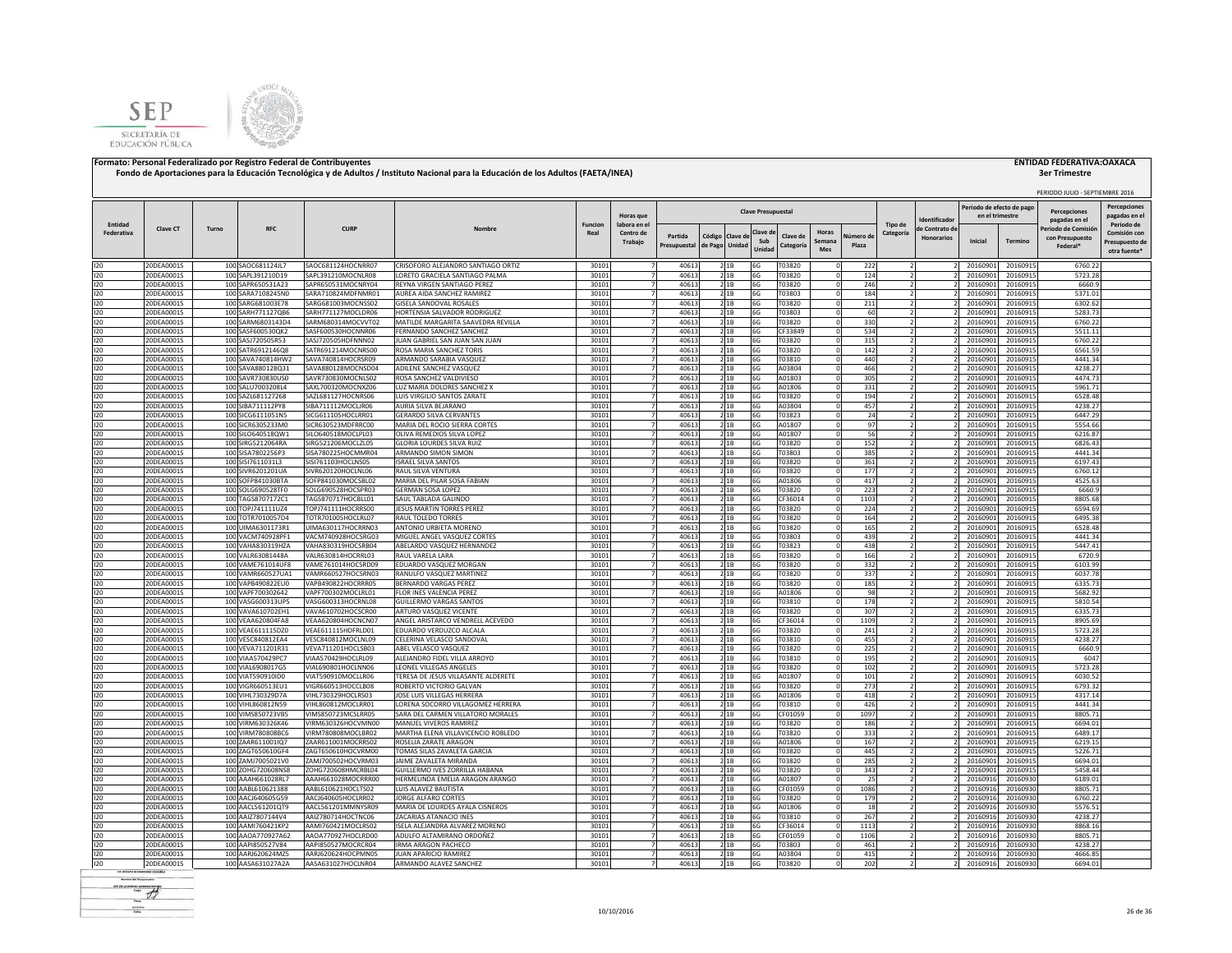



|            |                          |       |                                        |                                          |                                                        |                |                                  |                |                |                |                           |                  |               |            |                                            |                                     |                           |                      | PERIODO JULIO - SEPTIEMBRE 2016       |                |
|------------|--------------------------|-------|----------------------------------------|------------------------------------------|--------------------------------------------------------|----------------|----------------------------------|----------------|----------------|----------------|---------------------------|------------------|---------------|------------|--------------------------------------------|-------------------------------------|---------------------------|----------------------|---------------------------------------|----------------|
|            |                          |       |                                        |                                          |                                                        |                |                                  |                |                |                |                           |                  |               |            |                                            |                                     | Periodo de efecto de pago |                      |                                       | Percepciones   |
|            |                          |       |                                        |                                          |                                                        |                | <b>Horas</b> que                 |                |                |                | <b>Clave Presupuestal</b> |                  |               |            |                                            |                                     | en el trimestre           |                      | Percepciones                          | pagadas en e   |
| Entidad    |                          |       |                                        | <b>CURP</b>                              |                                                        | Funcion        | labora en el                     |                |                |                |                           |                  |               |            | Tipo de                                    | Identificado                        |                           |                      | pagadas en el                         | Periodo de     |
| Federativa | Clave CT                 | Turno | <b>RFC</b>                             |                                          | Nombre                                                 | Real           | Centro de                        | Partida        | Código Clave d |                | Clave d                   | Clave de         | Horas         | lúmero     | Categoría                                  | le Contrato de<br><b>Honorarios</b> |                           |                      | Periodo de Comisió<br>con Presupuesto | Comisión cor   |
|            |                          |       |                                        |                                          |                                                        |                | Trabajo                          | Presupuestal   | de Pago Unidad |                | Sub                       | <b>Categorí</b>  | <b>Semana</b> | Plaza      |                                            |                                     | <b>Inicial</b>            | Termino              | Federal*                              | Presupuesto de |
|            |                          |       |                                        |                                          |                                                        |                |                                  |                |                |                | Unida                     |                  | <b>Mes</b>    |            |                                            |                                     |                           |                      |                                       | otra fuente'   |
| 120        | 20DEA0001S               |       | 100 SAOC681124JL7                      | SAOC681124HOCNRR07                       | CRISOFORO ALEJANDRO SANTIAGO ORTIZ                     | 30101          |                                  | 40613          |                | 2 1 B          | 6G                        | T03820           |               | 222        |                                            |                                     | 20160901                  | 20160915             | 6760.22                               |                |
| 120        | 20DEA0001S               |       | 100 SAPL391210D19                      | SAPL391210MOCNLR08                       | LORETO GRACIELA SANTIAGO PALMA                         | 30101          |                                  | 40613          |                | 21B            | 6G                        | T03820           |               | 124        |                                            |                                     | 20160901                  | 20160915             | 5723.28                               |                |
| 120        | 20DEA0001S               |       | 100 SAPR650531A23                      | SAPR650531MOCNRY04                       | REYNA VIRGEN SANTIAGO PEREZ                            | 30101          |                                  | 40613          |                | 21B            | 6G                        | T03820           |               | 246        |                                            |                                     | 20160901                  | 20160915             | 6660.9                                |                |
| 120        | 20DEA0001S               |       | 100 SARA7108245N0                      | SARA710824MDFNMR01                       | AUREA AIDA SANCHEZ RAMIREZ                             | 30101          |                                  | 40613          |                | 21B            | 6G                        | T03803           |               | 184        |                                            |                                     | 20160901                  | 20160915             | 5371.01                               |                |
| 120        | 20DEA0001S               |       | 100 SARG681003E78                      | SARG681003MOCNSS02                       | GISELA SANDOVAL ROSALES                                | 30101          |                                  | 40613          |                | 21B            | 6G                        | T03820           |               | 211        |                                            |                                     | 20160901                  | 20160915             | 6302.62                               |                |
| 120        | 20DEA0001S               |       | 100 SARH771127QB6                      | SARH771127MOCLDR06                       | HORTENSIA SALVADOR RODRIGUEZ                           | 30101          |                                  | 40613          |                | 21B            | 6G                        | T03803           |               | 60         |                                            |                                     | 20160901                  | 20160915             | 5283.73                               |                |
| 120        | 20DEA0001S               |       | 100 SARM6803143D4                      | SARM680314MOCVVT02                       | MATILDE MARGARITA SAAVEDRA REVILLA                     | 30101          | 7                                | 40613          |                | 2 1 B          | 6G                        | T03820           |               | 330        |                                            |                                     | 20160901                  | 20160915             | 6760.22                               |                |
| 120        | 20DEA0001S               |       | 100 SASF600530QK2                      | SASF600530HOCNNR06                       | FERNANDO SANCHEZ SANCHEZ                               | 30101          |                                  | 40613          |                | 21B            | 6G                        | CF33849          |               | 534        |                                            |                                     | 20160901                  | 20160915             | 5511.11                               |                |
| 120        | 20DEA0001S               |       | 100 SASJ720505R53                      | SASJ720505HDFNNN02                       | JUAN GABRIEL SAN JUAN SAN JUAN                         | 30101          |                                  | 40613          |                | 21B            | 6G                        | T03820           |               | 315        | 2                                          |                                     | 20160901                  | 20160915             | 6760.22                               |                |
| 120        | 20DEA0001S               |       | 100 SATR6912146Q8                      | SATR691214MOCNRS00                       | ROSA MARIA SANCHEZ TORIS                               | 30101          |                                  | 40613          |                | 2 1 B          | 6G                        | T03820           |               | 142        | $\overline{z}$                             |                                     | 20160901                  | 20160915             | 6561.59                               |                |
| 120        | 20DEA0001S               |       | 100 SAVA740814HW2                      | SAVA740814HOCRSR09                       | ARMANDO SARABIA VASQUEZ                                | 30101          | $\overline{7}$                   | 40613          |                | 21B            | 6G                        | T03810           |               | 440        |                                            |                                     | 20160901                  | 20160915             | 4441.34                               |                |
| 120        | 20DEA0001S               |       | 100 SAVA880128Q31                      | SAVA880128MOCNSD04                       | ADILENE SANCHEZ VASQUEZ                                | 30101          | $\overline{7}$                   | 40613          |                | 2 1 B          | 6G                        | A03804           |               | 466        |                                            |                                     | 2016090                   | 20160915             | 4238.27                               |                |
| 120        | 20DEA0001S               |       | 100 SAVR730830US0                      | SAVR730830MOCNLS02                       | ROSA SANCHEZ VALDIVIESO                                | 30101          | $\overline{7}$                   | 40613          |                | 21B            | 6G                        | A01803           |               | 305        |                                            |                                     | 20160901                  | 20160915             | 4474.7                                |                |
| 120        | 20DEA0001S               |       | 100 SALU7003208L4                      | SAXL700320MOCNXZ06                       | LUZ MARIA DOLORES SANCHEZ X                            | 30101          | $\overline{7}$                   | 40613          |                | 2 1 B          | 6G                        | A01806           |               | 331        | $\overline{\phantom{a}}$                   |                                     | 20160901                  | 20160915             | 5961.71                               |                |
| 120        | 20DEA0001S               |       | 100 SAZL681127268                      | SAZL681127HOCNRS06                       | LUIS VIRGILIO SANTOS ZARATE                            | 30101          | 7                                | 40613          |                | 2 1 B          | 6G                        | T03820           |               | 194        | $\overline{z}$                             |                                     | 20160901                  | 20160915             | 6528.48                               |                |
| 120        | 20DEA0001S               |       | 100 SIBA711112PY8                      | SIBA711112MOCLJR06                       | AURIA SILVA BEJARANO                                   | 30101          | $\overline{7}$                   | 40613          |                | 21B            | 6G                        | A03804           |               | 457        | $\overline{z}$                             |                                     | 20160901                  | 20160915             | 4238.27                               |                |
| 120        | 20DEA0001S               |       | 100 SICG6111051N5                      | SICG611105HOCLRR01                       | <b>GERARDO SILVA CERVANTES</b>                         | 30101          | $\overline{7}$                   | 40613          | 2 1B           |                | 6G                        | T03823           |               | 24         | $\overline{2}$                             |                                     | 20160901                  | 20160915             | 6447.29                               |                |
| 120        | 20DEA0001S               |       | 100 SICR6305233M0                      | SICR630523MDFRRC00                       | MARIA DEL ROCIO SIERRA CORTES                          | 30101          | $\overline{7}$                   | 40613          |                | 21B            | 6G                        | A01807           |               | 97         | $\overline{z}$                             |                                     | 20160901                  | 20160915             | 5554.66                               |                |
| 120        | 20DEA0001S               |       | 100 SILO640518QW1                      | SILO640518MOCLPL03                       | OLIVA REMEDIOS SILVA LOPEZ                             | 30101          |                                  | 40613          |                | 21B            | 6G                        | A01807           |               | 56         |                                            |                                     | 20160901                  | 20160915             | 6216.87                               |                |
| 120        | 20DEA0001S               |       | 100 SIRG5212064RA                      | SIRG521206MOCLZL05                       | GLORIA LOURDES SILVA RUIZ                              | 30101          |                                  | 40613          |                | 2 1B           | 6G                        | T03820           |               | 152        |                                            |                                     | 20160901                  | 20160915             | 6826.43                               |                |
| 120        | 20DEA0001S               |       | 100 SISA7802256P3                      | SISA780225HOCMMR04                       | ARMANDO SIMON SIMON                                    | 30101          |                                  | 40613          |                | 2 1 B          | 6G                        | T03803           |               | 385        |                                            |                                     | 20160901                  | 20160915             | 4441.34                               |                |
| 120        | 20DEA0001S               |       | 100 SISI7611031L3                      | SISI761103HOCLNS05                       | SRAEL SILVA SANTOS                                     | 30101          |                                  | 40613          |                | 2 1 B          | 6G                        | T03820           |               | 361        |                                            |                                     | 2016090                   | 20160915             | 6197.43                               |                |
| 120        | 20DEA0001S               |       | 100 SIVR6201201UA                      | SIVR620120HOCLNL06                       | RAUL SILVA VENTURA                                     | 30101          |                                  | 40613          |                | 2 1B           | 6G                        | T03820           |               | 177        |                                            |                                     | 20160901                  | 20160915             | 6760.12                               |                |
| 120        | 20DEA0001S               |       | 100 SOFP841030BTA                      | SOFP841030MOCSBL02                       | MARIA DEL PILAR SOSA FABIAN                            | 30101          |                                  | 40613          |                | 2 1 B          | 6G                        | A01806           |               | 417        |                                            |                                     | 20160901                  | 20160915             | 4525.63                               |                |
| 120        | 20DEA0001S               |       | 100 SOLG690528TF0                      | SOLG690528HOCSPR03                       | <b>GERMAN SOSA LOPEZ</b>                               | 30101          |                                  | 40613          |                | 21B            | 6G                        | T03820           |               | 223        |                                            |                                     | 20160901                  | 20160915             | 6660.9                                |                |
| 120        | 20DEA0001S               |       | 100 TAGS8707172C1                      | TAGS870717HOCBLL01                       | SAUL TABLADA GALINDO                                   | 3010           | 7                                | 40613          | 2 1 B          |                | 6G                        | CF36014          |               | 1103       |                                            |                                     | 2016090                   | 20160915             | 8805.68                               |                |
| 120        | 20DEA0001S               |       | 100 TOPJ741111UZ4                      | TOPJ741111HOCRRS00                       | JESUS MARTIN TORRES PEREZ                              | 30101          | 7                                | 40613          |                | 2 1 B          | 6G                        | T03820           |               | 224        | $\mathcal{L}$                              |                                     | 20160901                  | 20160915             | 6594.69                               |                |
| 120        | 20DEA0001S               |       | 100 TOTR7010057D4                      | TOTR701005HOCLRL07                       | RAUL TOLEDO TORRES                                     | 30101          |                                  | 40613          |                | 21B            | 6G                        | T03820           |               | 164        |                                            |                                     | 20160901                  | 20160915             | 6495.38                               |                |
| 120        | 20DEA0001S               |       | 100 UIMA6301173R1                      | UIMA630117HOCRRN03                       | ANTONIO URBIETA MORENO                                 | 3010           |                                  | 40613          |                | 2 1 B          | 6G                        | T03820           |               | 165        | 2                                          |                                     | 20160901                  | 20160915             | 6528.48                               |                |
| 120        | 20DEA0001S               |       | 100 VACM740928PF1                      | VACM740928HOCSRG03                       | MIGUEL ANGEL VASQUEZ CORTES                            | 30101          |                                  | 40613          |                | 21B            | 6G                        | T03803           |               | 439        |                                            |                                     | 20160901                  | 20160915             | 4441.34                               |                |
| 120        | 20DEA0001S               |       | 100 VAHA830319HZA                      | VAHA830319HOCSRB04                       | ABELARDO VASQUEZ HERNANDEZ                             | 30101          | $\overline{7}$                   | 40613          |                | 2 1 B          | 6G                        | T03823           |               | 438        |                                            |                                     | 20160901                  | 20160915             | 5447.41                               |                |
| 120        | 20DEA0001S               |       | 100 VALR63081448A                      | VALR630814HOCRRL03                       | RAUL VARFIA LARA                                       | 30101          | $\overline{7}$                   | 40613          |                | 2 1 B          | 6G                        | T03820           |               | 166        |                                            |                                     | 2016090                   | 20160915             | 6720.9                                |                |
| 120        | 20DEA0001S               |       | 100 VAME761014UF8                      | VAME761014HOCSRD09                       | EDUARDO VASQUEZ MORGAN                                 | 30101          | $\overline{7}$                   | 40613          |                | 21B            | 6G                        | T03820           |               | 332        | $\overline{2}$                             |                                     | 20160901                  | 20160915             | 6103.99                               |                |
| 120        | 20DEA0001S               |       | 100 VAMR660527UA1                      | VAMR660527HOCSRN03                       | RANULFO VASQUEZ MARTINEZ                               | 30101          | $\overline{7}$                   | 40613          |                | 21B            | 6G                        | T03820           |               | 337        | $\overline{2}$                             |                                     | 20160901                  | 20160915             | 6037.78                               |                |
| 120        | 20DEA0001S               |       | 100 VAPB490822EU0                      | VAPB490822HOCRRR05                       | <b>BERNARDO VARGAS PEREZ</b>                           | 30101          | $\overline{7}$                   | 40613          |                | 21B            | 6G                        | T03820           |               | 185        | $\overline{2}$                             |                                     | 20160901                  | 20160915             | 6335.73                               |                |
| 120        | 20DEA0001S               |       | 100 VAPF700302642                      | VAPF700302MOCLRL01                       | FLOR INES VALENCIA PEREZ                               | 30101          | $\overline{7}$                   | 40613          |                | 21B            | 6G                        | A01806           |               | 98         |                                            |                                     | 20160901                  | 20160915             | 5682.92                               |                |
| 120        | 20DEA0001S               |       | 100 VASG600313UP5                      | VASG600313HOCRNL08                       | <b>GUILLERMO VARGAS SANTOS</b>                         | 30101          | $\overline{7}$                   | 40613          |                | 21B            | 6G                        | T03810           |               | 178        | $\overline{z}$                             |                                     | 20160901                  | 20160915             | 5810.54                               |                |
| 120        | 20DEA0001S               |       | 100 VAVA610702EH1                      | VAVA610702HOCSCR00                       | ARTURO VASQUEZ VICENTE                                 | 30101          | $\overline{7}$                   | 40613          |                | 21B            | 6G                        | T03820           |               | 307        | $\overline{2}$                             |                                     | 20160901                  | 20160915             | 6335.73                               |                |
| 120        | 20DEA0001S               |       | 100 VEAA620804FA8                      | VEAA620804HOCNCN07                       | ANGEL ARISTARCO VENDRELL ACEVEDO                       | 30101          |                                  | 40613          |                | 21B            | 6G                        | CF36014          |               | 1109       |                                            |                                     | 20160901                  | 20160915             | 8905.69                               |                |
| 120        | 20DEA0001S               |       | 100 VEAE611115DZ0                      | VEAE611115HDFRLD01                       | EDUARDO VERDUZCO ALCALA                                | 30101          |                                  | 40613          |                | 21B            | 6G                        | T03820           |               | 241        |                                            |                                     | 20160901                  | 20160915             | 5723.28                               |                |
| 120        | 20DEA0001S               |       | 100 VESC840812EA4                      | VESC840812MOCLNL09                       | CELERINA VELASCO SANDOVAL                              | 30101          |                                  | 40613          |                | 21B            | 6G                        | T03810           |               | 455        |                                            |                                     | 20160901                  | 20160915             | 4238.27                               |                |
| 120        | 20DEA0001S               |       | 100 VEVA711201R31                      | VEVA711201HOCLSB03                       | ABEL VELASCO VASQUEZ                                   | 30101          |                                  | 40613          |                | 21B            | 6G                        | T03820           |               | 225        |                                            |                                     | 20160901                  | 20160915             | 6660.9                                |                |
| 120        | 20DEA0001S               |       | 100 VIAA570429PC7                      | VIAA570429HOCLRL09                       | ALEJANDRO FIDEL VILLA ARROYO                           | 30101          |                                  | 40613          |                | 21B            | 6G                        | T03810           |               | 195        |                                            |                                     | 20160901                  | 20160915             | 6047                                  |                |
| 120        | 20DEA0001S               |       | 100 VIAL6908017G5                      | VIAL690801HOCLNN06                       | LEONEL VILLEGAS ANGELES                                | 30101          |                                  | 40613          |                | 21B            | 6G                        | T03820           |               | 102        | $\overline{2}$                             |                                     | 20160901                  | 20160915             | 5723.28                               |                |
| 120        | 20DEA0001S               |       | 100 VIAT590910ID0                      | VIAT590910MOCLLR06                       | TERESA DE JESUS VILLASANTE ALDERETE                    | 30101          |                                  | 40613          |                | 2 1 B          | 6G                        | A01807           |               | 101        |                                            |                                     | 20160901                  | 20160915             | 6030.52                               |                |
| 120        | 20DEA0001S               |       | 100 VIGR660513EU1                      | VIGR660513HOCCLB08                       | ROBERTO VICTORIO GALVAN                                | 30101          | -7                               | 40613          | 2 1 B          |                | 6G                        | T03820           |               | 273        |                                            |                                     | 20160901                  | 20160915             | 6793.32                               |                |
| 120        | 20DEA0001S               |       | 100 VIHL730329D7A                      | VIHL730329HOCLRS03                       | <b>IOSE LUIS VILLEGAS HERRERA</b>                      | 30101          | $\overline{7}$                   | 40613          |                | 2 1 B          | 6G                        | A01806           |               | 418        | $\overline{z}$                             |                                     | 20160901                  | 20160915             | 4317.14                               |                |
| 120        | 20DEA0001S               |       | 100 VIHL860812N59                      | VIHL860812MOCLRR01                       | LORENA SOCORRO VILLAGOMEZ HERRERA                      | 30101          |                                  | 40613          |                | 21B            | 6G                        | T03810           |               | 426        |                                            |                                     | 20160901                  | 20160915             | 4441.34                               |                |
| 120        | 20DEA0001S               |       | 100 VIMS850723VB5                      | VIMS850723MCSLRR05                       | SARA DEL CARMEN VILLATORO MORALES                      | 30101          |                                  | 40613          |                | 2 1 B          | 6G                        | CF01059          |               | 1097       | $\overline{z}$                             |                                     | 20160901                  | 20160915             | 8805.71                               |                |
| 120        | 20DEA0001S               |       | 100 VIRM630326K46                      | VIRM630326HOCVMN00                       | MANUEL VIVEROS RAMIREZ                                 | 30101          |                                  | 40613          |                | 2 1B           | 6G                        | T03820           |               | 186        |                                            |                                     | 20160901                  | 20160915             | 6694.01                               |                |
| 120        | 20DEA0001S               |       | 100 VIRM780808BC6                      | VIRM780808MOCLBR02                       | MARTHA ELENA VILLAVICENCIO ROBLEDO                     | 30101          | $\overline{7}$                   | 40613          |                | 2 1 B          | 6G                        | T03820           |               | 333        |                                            |                                     | 2016090                   | 20160915             | 6489.17                               |                |
| 120        | 20DEA0001S               |       | 100 ZAAR611001lQ7                      | ZAAR611001MOCRRS02                       | ROSELIA ZARATE ARAGON                                  | 30101          | $\overline{7}$                   | 40613          |                | 21B            | 6G                        | A01806           |               | 167        | $\overline{\phantom{a}}$<br>$\overline{2}$ |                                     | 20160901                  | 20160915             | 6219.15                               |                |
| 120        | 20DEA0001S               |       | 100 ZAGT650610GF4                      | ZAGT650610HOCVRM00                       | TOMAS SILAS ZAVALETA GARCIA<br>JAIME ZAVALETA MIRANDA  | 30101<br>30101 | $\overline{7}$<br>$\overline{7}$ | 40613<br>40613 |                | 21B<br>21B     | 6G<br>6G                  | T03820<br>T03820 |               | 445<br>285 | $\overline{z}$                             |                                     | 20160901<br>20160901      | 20160915             | 5226.71<br>6694.01                    |                |
| 120<br>120 | 20DEA0001S<br>20DEA0001S |       | 100 ZAMJ7005021V0<br>100 ZOHG720608NS8 | ZAMJ700502HOCVRM03<br>ZOHG720608HMCRBL04 | GUILLERMO IVES ZORRILLA HABANA                         | 30101          | $\overline{7}$                   | 40613          |                | 21B            |                           | T03820           |               | 343        | ν                                          |                                     | 20160901                  | 20160915             | 5458.44                               |                |
|            | 20DEA0001S               |       | 100 AAAH661028RL7                      | AAAH661028MOCRRR00                       | HERMELINDA EMELIA ARAGON ARANGO                        | 30101          | $\overline{7}$                   | 40613          |                |                | 6G                        | A01807           |               |            |                                            |                                     | 20160916                  | 20160915<br>20160930 | 6189.01                               |                |
| 120        |                          |       |                                        |                                          |                                                        | 30101          | $\overline{7}$                   | 40613          |                | 2 1 B          | 6G                        |                  |               | 25<br>1086 |                                            |                                     | 20160916                  | 20160930             | 8805.71                               |                |
| 120        | 20DEA0001S               |       | 100 AABL610621388                      | AABL610621HOCLTS02                       | LUIS ALAVEZ BAUTISTA                                   |                | $\overline{7}$                   |                |                | 2 1B           | 6G                        | CF01059          |               |            |                                            |                                     |                           |                      |                                       |                |
| 120<br>120 | 20DEA0001S<br>20DEA0001S |       | 100 AACJ640605G59<br>100 AACL561201QT9 | AACJ640605HOCLRR02<br>AACL561201MMNYSR09 | JORGE ALFARO CORTES<br>MARIA DE LOURDES AYALA CISNEROS | 30101<br>30101 |                                  | 40613<br>40613 |                | 2 1B           | 6G                        | T03820<br>A01806 |               | 179<br>18  |                                            |                                     | 20160916<br>2016091       | 20160930<br>20160930 | 6760.22<br>5576.51                    |                |
| 120        | 20DEA0001S               |       | 100 AAIZ7807144V4                      | AAIZ780714HOCTNC06                       | ZACARIAS ATANACIO INES                                 | 30101          |                                  | 40613          |                | 2 1 B<br>2 1 B | 6G<br>6G                  | T03810           |               | 267        |                                            |                                     | 2016091                   | 20160930             | 4238.27                               |                |
|            | 20DEA0001S               |       | 100 AAMI760421KP2                      | AAMI760421MOCLRS02                       | ISELA ALEJANDRA ALVAREZ MORENO                         | 30101          |                                  | 40613          |                | 2 1 B          | 6G                        | CF36014          |               | 1113       |                                            |                                     | 2016091                   | 20160930             | 8868.16                               |                |
| 120<br>120 | 20DEA0001S               |       | 100 AAOA770927A62                      | AAOA770927HOCLRD00                       | ADULFO ALTAMIRANO ORDOÑEZ                              | 30101          |                                  | 40613          |                | 2 1B           | 6G                        | CF01059          |               | 1106       |                                            |                                     | 2016091                   | 20160930             | 8805.71                               |                |
| 120        | 20DEA0001S               |       | 100 AAPI850527V84                      | AAPI850527MOCRCR04                       | IRMA ARAGON PACHECO                                    | 30101          |                                  | 40613          |                | 2 1B           | 6G                        | T03803           |               | 461        |                                            |                                     | 20160916                  | 20160930             | 4238.27                               |                |
| 120        | 20DEA0001S               |       | 100 AARJ620624MZ5                      | AARJ620624HOCPMN05                       | <b>JUAN APARICIO RAMIREZ</b>                           | 30101          |                                  | 40613          |                | 21B            | 6G                        | A03804           |               | 415        |                                            |                                     | 20160916                  | 20160930             | 4666.85                               |                |
|            |                          |       |                                        | AASA631027HOCLNR04                       | ARMANDO ALAVEZ SANCHEZ                                 | 30101          |                                  | 40613          |                |                |                           | T03820           |               |            |                                            |                                     |                           |                      | 6694.01                               |                |
| 120        | 20DEA0001S               |       | 100 AASA631027A2A                      |                                          |                                                        |                | 7                                |                | 2 1B           |                | 6G                        |                  |               | 202        |                                            |                                     | 20160916                  | 20160930             |                                       |                |

**Color del Terminale**  $\#$ econos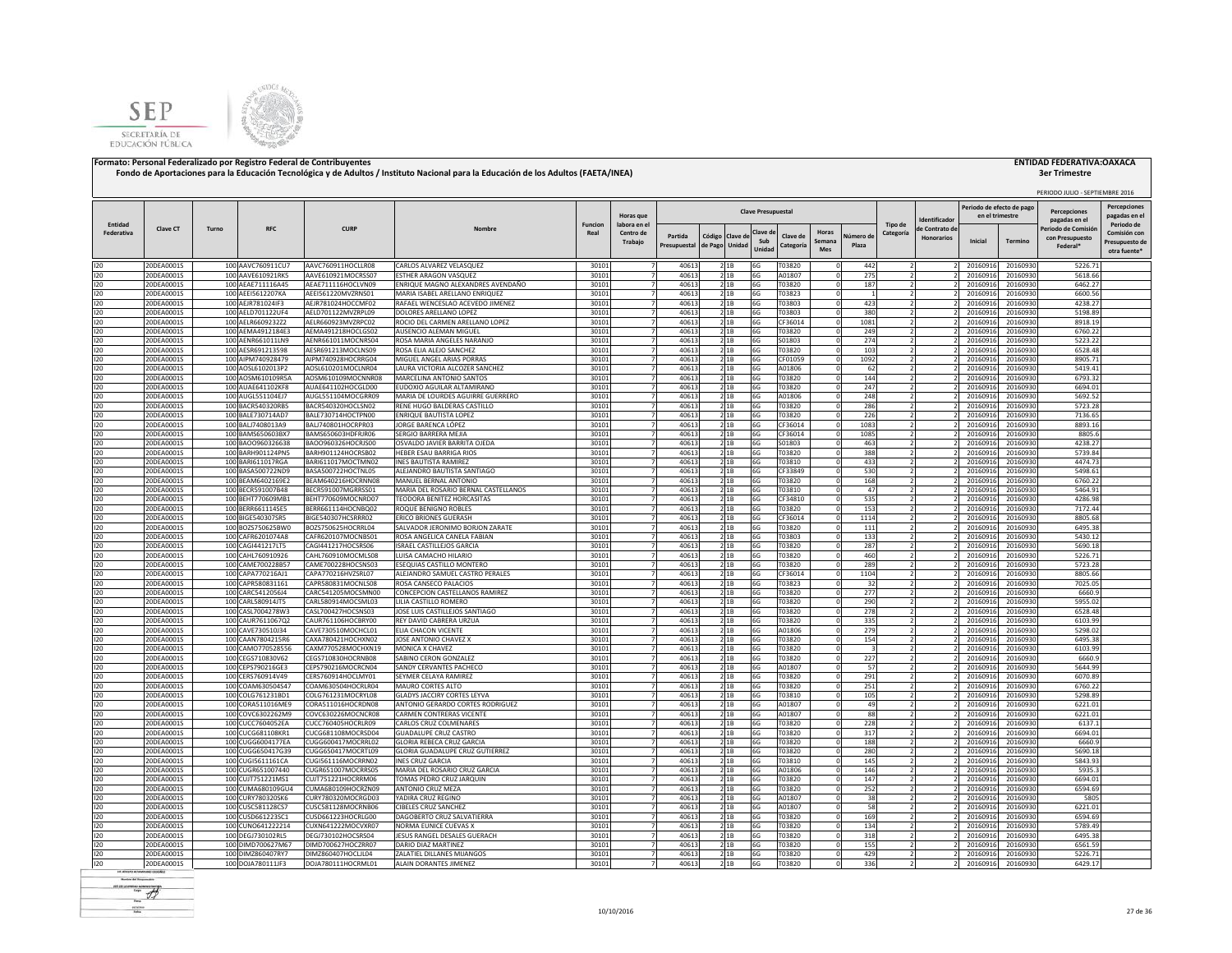



# **3er Trimestre**

|                       |                          |       |                                        |                                          |                                                                     |                        |                           |                         |                                  |              |                           |                                       |                    |                          |                   |                                              |                      | PERIODO JULIO - SEPTIEMBRE 2016     |                                     |
|-----------------------|--------------------------|-------|----------------------------------------|------------------------------------------|---------------------------------------------------------------------|------------------------|---------------------------|-------------------------|----------------------------------|--------------|---------------------------|---------------------------------------|--------------------|--------------------------|-------------------|----------------------------------------------|----------------------|-------------------------------------|-------------------------------------|
|                       |                          |       |                                        |                                          |                                                                     |                        | Horas que                 |                         |                                  |              | <b>Clave Presupuestal</b> |                                       |                    |                          | dentificado       | Periodo de efecto de pago<br>en el trimestre |                      | Percenciones                        | <b>Percepciones</b><br>pagadas en e |
| Entidad<br>Federativa | <b>Clave CT</b>          | Turno | <b>RFC</b>                             | <b>CURP</b>                              | Nombre                                                              | <b>Funcion</b><br>Real | labora en el<br>Centro de |                         |                                  |              | Clave c                   | Horas                                 |                    | Tipo de                  | de Contrato de    |                                              |                      | pagadas en el<br>Periodo de Comisió | Periodo de<br>Comisión cor          |
|                       |                          |       |                                        |                                          |                                                                     |                        | Trabajo                   | Partida<br>Presupuestal | Código Clave d<br>de Pago Unidad |              | Sub<br>Unidad             | Clave de<br>Semana<br>Categorí<br>Mes | Vúmero di<br>Plaza | Categoría                | <b>Honorarios</b> | Inicial                                      | <b>Termino</b>       | con Presupuesto<br>Federal*         | Presupuesto de<br>otra fuente'      |
| 120                   | 20DEA0001S               |       | 100 AAVC760911CU7                      | AAVC760911HOCLLR08                       | CARLOS ALVAREZ VELASQUEZ                                            | 30101                  |                           | 40613                   |                                  | 2 1B         | 6G                        | T03820                                | 442                |                          |                   | 20160916                                     | 20160930             | 5226.71                             |                                     |
| 120                   | 20DEA0001S               |       | 100 AAVE610921RK5                      | AAVE610921MOCRSS07                       | ESTHER ARAGON VASQUEZ                                               | 30101                  | $\overline{7}$            | 40613                   |                                  | 21B          | 6G                        | A01807                                | 275                | $\overline{z}$           |                   | 20160916                                     | 20160930             | 5618.66                             |                                     |
| 120                   | 20DEA0001S               |       | 100 AEAE711116A45                      | AEAE711116HOCLVN09                       | ENRIQUE MAGNO ALEXANDRES AVENDAÑO                                   | 30101                  |                           | 40613                   |                                  | 21B          | 6G                        | T03820                                | 187                |                          |                   | 20160916                                     | 20160930             | 6462.27                             |                                     |
| 120                   | 20DEA0001S               |       | 100 AEEI5612207KA                      | AEEI561220MVZRNS01                       | MARIA ISABEL ARELLANO ENRIQUEZ                                      | 30101                  |                           | 40613                   |                                  | 2 1 B        | 6G                        | T03823                                |                    |                          |                   | 20160916                                     | 20160930             | 6600.56                             |                                     |
| 120                   | 20DEA0001S               |       | 100 AEJR781024IF3                      | AEJR781024HOCCMF02                       | RAFAEL WENCESLAO ACEVEDO JIMENEZ                                    | 30101                  |                           | 40613                   |                                  | 21B          | 6G                        | T03803                                | 423                |                          |                   | 20160916                                     | 20160930             | 4238.27                             |                                     |
| 120                   | 20DEA0001S<br>20DEA0001S |       | 100 AELD701122UF4<br>100 AELR6609232Z2 | AELD701122MVZRPL09<br>AELR660923MVZRPC02 | DOLORES ARELLANO LOPEZ<br>ROCIO DEL CARMEN ARELLANO LOPEZ           | 30101<br>30101         |                           | 40613<br>40613          |                                  | 21B          | 6G<br>6G                  | T03803<br>CF36014                     | 380<br>1081        |                          |                   | 20160916<br>20160916                         | 20160930<br>20160930 | 5198.89<br>8918.19                  |                                     |
| 120<br>120            | 20DEA0001S               |       | 100 AEMA4912184E3                      | AEMA491218HOCLGS02                       | AUSENCIO ALEMAN MIGUEL                                              | 30101                  | 7                         | 40613                   |                                  | 21B<br>21B   | 6G                        | T03820                                | 249                |                          |                   | 20160916                                     | 20160930             | 6760.22                             |                                     |
| 120                   | 20DEA0001S               |       | 100 AENR661011LN9                      | AENR661011MOCNRS04                       | ROSA MARIA ANGELES NARANJO                                          | 30101                  |                           | 40613                   |                                  | 2 1B         | 6G                        | S01803                                | 274                |                          |                   | 20160916                                     | 20160930             | 5223.22                             |                                     |
| 120                   | 20DEA0001S               |       | 100 AESR691213598                      | AESR691213MOCLNS09                       | ROSA ELIA ALEJO SANCHEZ                                             | 30101                  |                           | 40613                   |                                  | 21B          | 6G                        | T03820                                | 103                |                          |                   | 20160916                                     | 20160930             | 6528.48                             |                                     |
| 120                   | 20DEA0001S               |       | 100 AIPM740928479                      | AIPM740928HOCRRG04                       | MIGUEL ANGEL ARIAS PORRAS                                           | 30101                  |                           | 40613                   |                                  | 21B          | 6G                        | CF01059                               | 1092               | $\overline{z}$           |                   | 20160916                                     | 20160930             | 8905.71                             |                                     |
| 120                   | 20DEA0001S               |       | 100 AOSL6102013P2                      | AOSL610201MOCLNR04                       | LAURA VICTORIA ALCOZER SANCHEZ                                      | 30101                  | 7                         | 40613                   |                                  | 2 1 B        | 6G                        | A01806                                | 62                 |                          |                   | 20160916                                     | 20160930             | 5419.41                             |                                     |
| 120                   | 20DEA0001S               |       | 100 AOSM610109R5A                      | AOSM610109MOCNNR08                       | MARCELINA ANTONIO SANTOS                                            | 30101                  | $\overline{7}$            | 40613                   |                                  | 2 1B         | 6G                        | T03820                                | 144                | $\overline{\phantom{a}}$ |                   | 20160916                                     | 20160930             | 6793.32                             |                                     |
| 120                   | 20DEA0001S               |       | 100 AUAE641102KF8                      | AUAE641102HOCGLD00                       | EUDOXIO AGUILAR ALTAMIRANO                                          | 30101                  | $\overline{7}$            | 40613                   |                                  | 21B          | 6G                        | T03820                                | 247                | $\overline{2}$           |                   | 20160916                                     | 20160930             | 6694.01                             |                                     |
| 120                   | 20DEA0001S               |       | 100 AUGL551104EJ7                      | AUGL551104MOCGRR09                       | MARIA DE LOURDES AGUIRRE GUERRERO                                   | 30101                  | $\overline{7}$            | 40613                   |                                  | 21B          | 6G                        | A01806                                | 248                | J                        |                   | 20160916                                     | 20160930             | 5692.52                             |                                     |
| 120                   | 20DEA0001S               |       | 100 BACR540320RB5                      | BACR540320HOCLSN02                       | RENE HUGO BALDERAS CASTILLO                                         | 30101                  | $\overline{7}$            | 40613                   | 21B                              |              | 6G                        | T03820                                | 286                | $\overline{2}$           |                   | 20160916                                     | 20160930             | 5723.28                             |                                     |
| 120                   | 20DEA0001S               |       | 100 BALE730714AD7                      | BALE730714HOCTPN00                       | ENRIQUE BAUTISTA LOPEZ                                              | 30101                  | 7                         | 40613                   | 21B                              |              | 6G                        | T03820                                | 226                | $\overline{z}$           |                   | 20160916                                     | 20160930             | 7136.65                             |                                     |
| 120                   | 20DEA0001S               |       | 100 BALJ7408013A9                      | BALJ740801HOCRPR03                       | JORGE BARENCA LÓPEZ                                                 | 30101                  |                           | 40613                   |                                  | 2 1 B        | 6G                        | CF36014                               | 1083               |                          |                   | 2016091                                      | 20160930             | 8893.16                             |                                     |
| 120                   | 20DEA0001S               |       | 100 BAMS650603BX7                      | BAMS650603HDFRJR06                       | SERGIO BARRERA MEJIA                                                | 30101                  |                           | 40613                   | 2 1B                             |              | 6G                        | CF36014                               | 1085               |                          |                   | 2016091                                      | 20160930             | 8805.6                              |                                     |
| 120                   | 20DEA0001S               |       | 100 BAO0960326638                      | BAOO960326HOCRJS00                       | OSVALDO JAVIER BARRITA OJEDA                                        | 30101                  |                           | 40613                   |                                  | 21B          | 6G                        | S01803                                | 463                |                          |                   | 2016091                                      | 20160930             | 4238.27                             |                                     |
| 120                   | 20DEA0001S               |       | 100 BARH901124PN5                      | BARH901124HOCRSB02                       | HEBER ESAU BARRIGA RIOS                                             | 30101                  |                           | 40613                   |                                  | 2 1B         | 6G                        | T03820                                | 388                |                          |                   | 20160916                                     | 20160930             | 5739.84                             |                                     |
| 120                   | 20DEA0001S               |       | 100 BARI611017RGA                      | BARI611017MOCTMN02                       | <b>INES BAUTISTA RAMIREZ</b>                                        | 30101                  |                           | 40613                   |                                  | 21B          | 6G                        | T03810                                | 433                |                          |                   | 20160916                                     | 20160930             | 4474.73                             |                                     |
| 120                   | 20DEA0001S               |       | 100 BASA500722ND9                      | BASA500722HOCTNL05                       | ALEJANDRO BAUTISTA SANTIAGO                                         | 30101                  |                           | 40613                   |                                  | 21B          | 6G                        | CF33849                               | 530                |                          |                   | 20160916                                     | 20160930             | 5498.61                             |                                     |
| 120                   | 20DEA0001S               |       | 100 BEAM6402169E2                      | BEAM640216HOCRNN08                       | MANUEL BERNAL ANTONIO                                               | 30101                  |                           | 40613                   | 2 1 B                            |              | 6G                        | T03820                                | 168                |                          |                   | 20160916                                     | 20160930             | 6760.22                             |                                     |
| 120                   | 20DEA0001S               |       | 100 BECR591007B48                      | BECR591007MGRRSS01                       | MARIA DEL ROSARIO BERNAL CASTELLANOS                                | 30101                  | $\overline{7}$            | 40613                   |                                  | 21B          | 6G                        | T03810                                | 47                 | $\overline{z}$           |                   | 20160916                                     | 20160930             | 5464.91                             |                                     |
| 120                   | 20DEA0001S               |       | 100 BEHT770609MB1                      | BEHT770609MOCNRD07                       | TEODORA BENITEZ HORCASITAS                                          | 30101                  |                           | 40613                   |                                  | 2 1 B        | 6G                        | CF34810                               | 535                |                          |                   | 20160916                                     | 20160930             | 4286.98                             |                                     |
| 120                   | 20DEA0001S               |       | 100 BERR661114SE5                      | BERR661114HOCNBQ02<br>BIGE540307HCSRRR02 | ROQUE BENIGNO ROBLES<br><b>ERICO BRIONES GUERASH</b>                | 30101                  | $\overline{7}$            | 40613<br>40613          |                                  | 21B          | 6G                        | T03820                                | 153<br>1114        |                          |                   | 20160916<br>20160916                         | 20160930             | 7172.44<br>8805.68                  |                                     |
| 120<br>120            | 20DEA0001S<br>20DEA0001S |       | 100 BIGE540307SR5<br>100 BOZS750625BW0 | BOZS750625HOCRRL04                       | SALVADOR JERONIMO BORJON ZARATE                                     | 30101<br>30101         | $\overline{7}$            | 40613                   |                                  | 21B<br>21B   | 6G<br>6G                  | CF36014<br>T03820                     | 111                |                          |                   | 20160916                                     | 20160930<br>20160930 | 6495.38                             |                                     |
| 120                   | 20DEA0001S               |       | 100 CAFR6201074A8                      | CAFR620107MOCNBS01                       | ROSA ANGELICA CANELA FABIAN                                         | 30101                  | $\overline{7}$            | 40613                   |                                  | 21B          | 6G                        | T03803                                | 133                | $\overline{2}$           |                   | 20160916                                     | 20160930             | 5430.12                             |                                     |
| 120                   | 20DEA0001S               |       | 100 CAGI441217LT5                      | CAGI441217HOCSRS06                       | <b>ISRAEL CASTILLEJOS GARCIA</b>                                    | 30101                  | $\overline{7}$            | 40613                   |                                  | 21B          | 6G                        | T03820                                | 287                | ν                        |                   | 20160916                                     | 20160930             | 5690.18                             |                                     |
| 120                   | 20DEA0001S               |       | 100 CAHL760910926                      | CAHL760910MOCMLS08                       | LUISA CAMACHO HILARIO                                               | 30101                  | $\overline{7}$            | 40613                   |                                  | 21B          | 6G                        | T03820                                | 460                |                          |                   | 20160916                                     | 20160930             | 5226.71                             |                                     |
| 120                   | 20DEA0001S               |       | 100 CAME700228B57                      | CAME700228HOCSNS03                       | ESEQUIAS CASTILLO MONTERO                                           | 30101                  | $\overline{7}$            | 40613                   |                                  | 21B          | 6G                        | T03820                                | 289                | $\overline{2}$           |                   | 20160916                                     | 20160930             | 5723.28                             |                                     |
| 120                   | 20DEA0001S               |       | 100 CAPA770216AJ1                      | CAPA770216HVZSRL07                       | ALEJANDRO SAMUEL CASTRO PERALES                                     | 30101                  |                           | 40613                   |                                  | 2 1 B        | 6G                        | CF36014                               | 1104               |                          |                   | 20160916                                     | 20160930             | 8805.66                             |                                     |
| 120                   | 20DEA0001S               |       | 100 CAPR580831161                      | CAPR580831MOCNLS08                       | ROSA CANSECO PALACIOS                                               | 30101                  |                           | 40613                   |                                  | 21B          | 6G                        | T03823                                | 32                 |                          |                   | 20160916                                     | 20160930             | 7025.05                             |                                     |
| 120                   | 20DEA0001S               |       | 100 CARC5412056J4                      | CARC541205MOCSMN00                       | CONCEPCION CASTELLANOS RAMIREZ                                      | 30101                  |                           | 40613                   |                                  | 21B          | 6G                        | T03820                                | 277                |                          |                   | 20160916                                     | 20160930             | 6660.9                              |                                     |
| 120                   | 20DEA0001S               |       | 100 CARL580914JT5                      | CARL580914MOCSML03                       | LILIA CASTILLO ROMERO                                               | 30101                  |                           | 40613                   |                                  | 21B          | 6G                        | T03820                                | 290                |                          |                   | 20160916                                     | 20160930             | 5955.02                             |                                     |
| 120                   | 20DEA0001S               |       | 100 CASL7004278W3                      | CASL700427HOCSNS03                       | JOSE LUIS CASTILLEJOS SANTIAGO                                      | 30101                  |                           | 40613                   |                                  | 21B          | 6G                        | T03820                                | 278                |                          |                   | 20160916                                     | 20160930             | 6528.48                             |                                     |
| 120                   | 20DEA0001S               |       | 100 CAUR7611067Q2                      | CAUR761106HOCBRY00                       | REY DAVID CABRERA URZUA                                             | 30101                  |                           | 40613                   |                                  | 21B          | 6G                        | T03820                                | 335                |                          |                   | 20160916                                     | 20160930             | 6103.99                             |                                     |
| 120                   | 20DEA0001S               |       | 100 CAVE730510J34                      | CAVE730510MOCHCL01                       | <b>FIIA CHACON VICENTE</b>                                          | 30101                  | 7                         | 40613                   |                                  | 2 1 B        | 6G                        | A01806                                | 279                |                          |                   | 20160916                                     | 20160930             | 5298.02                             |                                     |
| 120                   | 20DEA0001S               |       | 100 CAAN7804215R6                      | CAXA780421HOCHXN02                       | JOSE ANTONIO CHAVEZ X                                               | 30101                  |                           | 40613                   |                                  | 21B          | 6G                        | T03820                                | 154                |                          |                   | 20160916                                     | 20160930             | 6495.38                             |                                     |
| 120                   | 20DEA0001S               |       | 100 CAMO770528556                      | CAXM770528MOCHXN19                       | MONICA X CHAVEZ                                                     | 30101                  |                           | 40613                   |                                  | 2 1 B        | 6G                        | T03820                                |                    |                          |                   | 20160916                                     | 20160930             | 6103.99                             |                                     |
| 120                   | 20DEA0001S               |       | 100 CEGS710830V62                      | CEGS710830HOCRNB08                       | SABINO CERON GONZALEZ                                               | 30101                  |                           | 40613                   |                                  | 2 1 B        | 6G                        | T03820                                | 227                |                          |                   | 20160916                                     | 20160930             | 6660.9                              |                                     |
| 120                   | 20DEA0001S               |       | 100 CEPS790216GE3                      | CEPS790216MOCRCN04                       | SANDY CERVANTES PACHECC                                             | 30101                  | $\overline{7}$            | 40613                   |                                  | 2 1 B        | 6G                        | A01807                                | 57                 |                          |                   | 20160916                                     | 20160930             | 5644.99                             |                                     |
| 120                   | 20DEA0001S               |       | 100 CERS760914V49                      | CERS760914HOCLMY01                       | SEYMER CELAYA RAMIREZ                                               | 30101                  | $\overline{7}$            | 40613                   |                                  | 21B          | 6G                        | T03820                                | 291                | $\overline{\mathcal{L}}$ |                   | 20160916                                     | 20160930             | 6070.89                             |                                     |
| 120                   | 20DEA0001S               |       | 100 COAM630504S47                      | COAM630504HOCRLR04                       | MAURO CORTES ALTO                                                   | 30101                  | $\overline{7}$            | 40613                   |                                  | 21B          | 6G                        | T03820                                | 251                | $\overline{2}$           |                   | 20160916                                     | 20160930             | 6760.22                             |                                     |
| 120                   | 20DEA0001S               |       | 100 COLG761231BD1                      | COLG761231MOCRYL08                       | <b>GLADYS JACCIRY CORTES LEYVA</b>                                  | 30101                  | $\overline{7}$            | 40613                   |                                  | 21B          | 6G                        | T03810                                | 105                | $\overline{2}$           |                   | 20160916                                     | 20160930             | 5298.89                             |                                     |
| 120                   | 20DEA0001S               |       | 100 CORA511016ME9                      | CORA511016HOCRDN08                       | ANTONIO GERARDO CORTES RODRIGUEZ                                    | 30101                  | $\overline{7}$            | 40613                   | 2 1B                             |              | 6G                        | A01807                                | 49                 | $\overline{z}$           |                   | 20160916                                     | 20160930             | 6221.01                             |                                     |
| 120                   | 20DEA0001S               |       | 100 COVC6302262M9                      | COVC630226MOCNCR08                       | CARMEN CONTRERAS VICENTE                                            | 30101                  | $\overline{7}$            | 40613                   |                                  | 2 1B         | 6G                        | A01807                                | 88                 |                          |                   | 20160916                                     | 20160930             | 6221.01                             |                                     |
| 120                   | 20DEA0001S               |       | 100 CUCC7604052EA                      | CUCC760405HOCRLR09                       | CARLOS CRUZ COLMENARES                                              | 30101                  |                           | 40613                   |                                  | 2 1 B        | 6G                        | T03820                                | 228                |                          |                   | 2016091                                      | 20160930             | 6137.1                              |                                     |
| 120<br>120            | 20DEA0001S               |       | 100 CUCG681108KR1<br>100 CUGG6004177EA | CUCG681108MOCRSD04                       | <b>GUADALUPE CRUZ CASTRO</b>                                        | 30101<br>30101         |                           | 40613<br>40613          |                                  | 2 1 B        | 6G                        | T03820                                | 317                |                          |                   | 2016091<br>2016091                           | 20160930             | 6694.01<br>6660.9                   |                                     |
| 120                   | 20DEA0001S<br>20DEA0001S |       | 100 CUGG650417G39                      | CUGG600417MOCRRL02<br>CUGG650417MOCRTL09 | <b>GLORIA REBECA CRUZ GARCIA</b><br>GLORIA GUADALUPE CRUZ GUTIERREZ | 30101                  |                           | 40613                   |                                  | 2 1 B<br>21B | 6G<br>6G                  | T03820<br>T03820                      | 188<br>280         |                          |                   | 20160916                                     | 20160930<br>20160930 | 5690.18                             |                                     |
| 120                   | 20DEA0001S               |       | 100 CUGI5611161CA                      | CUGI561116MOCRRN02                       | <b>INES CRUZ GARCIA</b>                                             | 30101                  |                           | 40613                   |                                  | 2 1 B        | 6G                        | T03810                                | 145                | $\overline{ }$           |                   | 20160916                                     | 20160930             | 5843.93                             |                                     |
| 120                   | 20DEA0001S               |       | 100 CUGR651007440                      | CUGR651007MOCRRS05                       | MARIA DEL ROSARIO CRUZ GARCIA                                       | 30101                  |                           | 40613                   |                                  | 2 1 B        | 6G                        | A01806                                | 146                |                          |                   | 20160916                                     | 20160930             | 5935.                               |                                     |
| 120                   | 20DEA0001S               |       | 100 CUJT751221MS1                      | CUJT751221HOCRRM06                       | TOMAS PEDRO CRUZ JAROUIN                                            | 30101                  | $\overline{7}$            | 40613                   |                                  | 2 1 B        | 6G                        | T03820                                | 147                | $\overline{z}$           |                   | 20160916                                     | 20160930             | 6694.01                             |                                     |
| 120                   | 20DEA0001S               |       | 100 CUMA680109GU4                      | CUMA680109HOCRZN09                       | ANTONIO CRUZ MEZA                                                   | 30101                  | $\overline{7}$            | 40613                   |                                  | 2 1 B        | 6G                        | T03820                                | 252                | 2                        |                   | 20160916                                     | 20160930             | 6594.69                             |                                     |
| 120                   | 20DEA0001S               |       | 100 CURY780320SK6                      | CURY780320MOCRGD03                       | YADIRA CRUZ REGINO                                                  | 30101                  |                           | 40613                   |                                  | 2 1 B        | 6G                        | A01807                                | 38                 |                          |                   | 20160916                                     | 20160930             | 5805                                |                                     |
| 120                   | 20DEA0001S               |       | 100 CUSC581128CS7                      | CUSC581128MOCRNB06                       | <b>CIBELES CRUZ SANCHEZ</b>                                         | 30101                  | $\overline{7}$            | 40613                   |                                  | 2 1 B        | 6G                        | A01807                                | 58                 |                          |                   | 20160916                                     | 20160930             | 6221.01                             |                                     |
| 120                   | 20DEA0001S               |       | 100 CUSD661223SC1                      | CUSD661223HOCRLG00                       | DAGOBERTO CRUZ SALVATIERRA                                          | 30101                  | $\overline{7}$            | 40613                   |                                  | 21B          | 6G                        | T03820                                | 169                |                          |                   | 20160916                                     | 20160930             | 6594.69                             |                                     |
| 120                   | 20DEA0001S               |       | 100 CUNO641222214                      | CUXN641222MOCVXR07                       | NORMA EUNICE CUEVAS X                                               | 30101                  | $\overline{7}$            | 40613                   |                                  | 21B          | 6G                        | T03820                                | 134                | $\overline{2}$           |                   | 20160916                                     | 20160930             | 5789.49                             |                                     |
| 120                   | 20DEA0001S               |       | 100 DEGJ730102RL5                      | DEGJ730102HOCSRS04                       | JESUS RANGEL DESALES GUERACH                                        | 30101                  | $\overline{7}$            | 40613                   |                                  | 21B          | 6G                        | T03820                                | 318                | $\overline{\phantom{a}}$ |                   | 20160916                                     | 20160930             | 6495.38                             |                                     |
| 120                   | 20DEA0001S               |       | 100 DIMD700627M67                      | DIMD700627HOCZRR07                       | DARIO DIAZ MARTINEZ                                                 | 30101                  | $\overline{7}$            | 40613                   |                                  | 21B          | 6G                        | T03820                                | 155                | $\overline{2}$           |                   | 20160916                                     | 20160930             | 6561.59                             |                                     |
| 120                   | 20DEA0001S               |       | 100 DIMZ860407RY7                      | DIMZ860407HOCLIL04                       | ZALATIEL DILLANES MIJANGOS                                          | 30101                  | $\overline{7}$            | 40613                   |                                  | 2 1B         | 6G                        | T03820                                | 429                |                          |                   | 20160916                                     | 20160930             | 5226.71                             |                                     |
| 120                   | 20DEA0001S               |       | 100 DOJA780111JF3                      | DOJA780111HOCRML01                       | ALAIN DORANTES JIMENEZ                                              | 30101                  |                           | 40613                   |                                  | 21B          | 6G                        | T03820                                | 336                |                          |                   | 20160916                                     | 20160930             | 6429.17                             |                                     |

**Rental de Segundro**  $-$  + **First** scales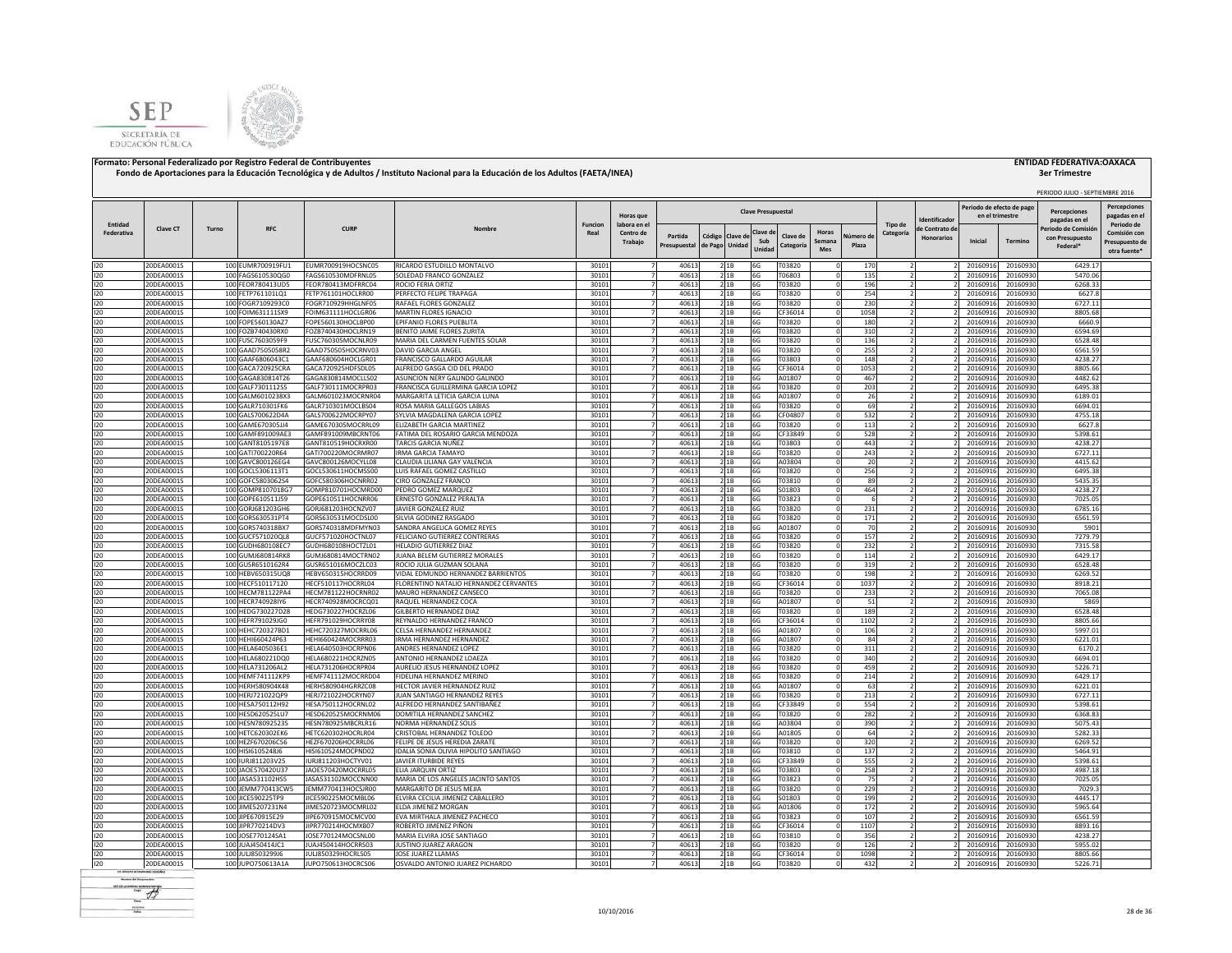



|            |                          |       |                                        |                                          |                                                                     |                |                |                |                |                           |                            |            |                          |                                     |                                             |                      | PERIODO JULIO - SEPTIEMBRE 2016       |                                     |
|------------|--------------------------|-------|----------------------------------------|------------------------------------------|---------------------------------------------------------------------|----------------|----------------|----------------|----------------|---------------------------|----------------------------|------------|--------------------------|-------------------------------------|---------------------------------------------|----------------------|---------------------------------------|-------------------------------------|
|            |                          |       |                                        |                                          |                                                                     |                | Horas que      |                |                | <b>Clave Presupuestal</b> |                            |            |                          |                                     | Periodo de efecto de pag<br>en el trimestre |                      | <b>Percenciones</b>                   | <b>Percepciones</b><br>pagadas en e |
| Entidad    |                          |       |                                        |                                          |                                                                     | <b>Funcion</b> | labora en el   |                |                |                           |                            |            | Tipo de                  | dentificado                         |                                             |                      | pagadas en el                         | Periodo de                          |
| Federativa | Clave CT                 | Turno | <b>RFC</b>                             | <b>CURP</b>                              | Nombre                                                              | Real           | Centro de      | Partida        | Código Clave d | Clave d                   | Horas<br>Clave de          | Vúmero di  | Categoría                | le Contrato de<br><b>Honorarios</b> |                                             |                      | Periodo de Comisió<br>con Presupuesto | Comisión cor                        |
|            |                          |       |                                        |                                          |                                                                     |                | Trabajo        | Presupuestal   | de Pago Unidad | Sub<br>Unidad             | Semana<br>Categoría<br>Mes | Plaza      |                          |                                     | Inicial                                     | Termino              | Federal*                              | Presupuesto de                      |
|            |                          |       |                                        |                                          |                                                                     |                |                |                |                |                           |                            |            |                          |                                     |                                             |                      |                                       | otra fuente <sup>®</sup>            |
| 120        | 20DEA0001S               |       | 100 EUMR700919FU1                      | EUMR700919HOCSNC05                       | RICARDO ESTUDILLO MONTALVO                                          | 30101          | $\overline{7}$ | 40613          | 2 1B           | 6G                        | T03820                     | 170        |                          |                                     | 20160916                                    | 20160930             | 6429.17                               |                                     |
| 120        | 20DEA0001S               |       | 100 FAGS610530QG0                      | FAGS610530MDFRNL05                       | SOLEDAD FRANCO GONZALEZ                                             | 30101          | $\overline{z}$ | 40613          | 21B            | 6G                        | T06803                     | 135        | $\overline{z}$           |                                     | 20160916                                    | 20160930             | 5470.06                               |                                     |
| 120<br>120 | 20DEA0001S<br>20DEA0001S |       | 100 FEOR780413UD5<br>100 FETP761101LQ1 | FEOR780413MDFRRC04<br>FETP761101HOCLRR00 | ROCIO FERIA ORTIZ<br>PERFECTO FELIPE TRAPAGA                        | 30101<br>30101 |                | 40613<br>40613 | 21B<br>21B     | 6G<br>6G                  | T03820<br>T03820           | 196<br>254 |                          |                                     | 20160916<br>20160916                        | 20160930<br>20160930 | 6268.33<br>6627.8                     |                                     |
| 120        | 20DEA0001S               |       | 100 FOGR7109293C0                      | FOGR710929HHGLNF05                       | RAFAEL FLORES GONZALEZ                                              | 30101          |                | 40613          | 21B            | 6G                        | T03820                     | 230        |                          |                                     | 20160916                                    | 20160930             | 6727.11                               |                                     |
| 120        | 20DEA0001S               |       | 100 FOIM631111SX9                      | FOIM631111HOCLGR06                       | MARTIN FLORES IGNACIO                                               | 30101          |                | 40613          | 21B            | 6G                        | CF36014                    | 1058       |                          |                                     | 20160916                                    | 20160930             | 8805.68                               |                                     |
| 120        | 20DEA0001S               |       | 100 FOPE560130AZ7                      | FOPE560130HOCLBP00                       | EPIFANIO FLORES PUEBLITA                                            | 30101          |                | 40613          | 21B            | 6G                        | T03820                     | 180        |                          |                                     | 20160916                                    | 20160930             | 6660.9                                |                                     |
| 120        | 20DEA0001S               |       | 100 FOZB740430RX0                      | FOZB740430HOCLRN19                       | BENITO JAIME FLORES ZURITA                                          | 30101          |                | 40613          | 21B            | 6G                        | T03820                     | 310        | $\overline{2}$           |                                     | 20160916                                    | 20160930             | 6594.69                               |                                     |
| 120        | 20DEA0001S               |       | 100 FUSC7603059F9                      | FUSC760305MOCNLR09                       | MARIA DEL CARMEN FUENTES SOLAR                                      | 30101          |                | 40613          | 2 1 B          | 6G                        | T03820                     | 136        |                          |                                     | 20160916                                    | 20160930             | 6528.48                               |                                     |
| 120        | 20DEA0001S               |       | 100 GAAD7505058R2                      | GAAD750505HOCRNV03                       | DAVID GARCIA ANGEL                                                  | 30101          | -7             | 40613          | 2 1 B          | 6G                        | T03820                     | 255        |                          |                                     | 20160916                                    | 20160930             | 6561.59                               |                                     |
| 120        | 20DEA0001S               |       | 100 GAAF6806043C1                      | GAAF680604HOCLGR01                       | FRANCISCO GALLARDO AGUILAR                                          | 30101          | 7              | 40613          | 2 1 B          | 6G                        | T03803                     | 148        | 2                        |                                     | 20160916                                    | 20160930             | 4238.27                               |                                     |
| 120        | 20DEA0001S               |       | 100 GACA720925CRA                      | GACA720925HDFSDL05                       | ALFREDO GASGA CID DEL PRADO                                         | 30101          |                | 40613          | 2 1 B          | 6G                        | CF36014                    | 1053       |                          |                                     | 20160916                                    | 20160930             | 8805.66                               |                                     |
| 120        | 20DEA0001S               |       | 100 GAGA830814T26                      | GAGA830814MOCLLS02                       | ASUNCION NERY GALINDO GALINDO                                       | 30101          |                | 40613          | 21B            | 6G                        | A01807                     | 467        |                          |                                     | 20160916                                    | 20160930             | 4482.62                               |                                     |
| 120<br>120 | 20DEA0001S<br>20DEA0001S |       | 100 GALF7301112S5<br>100 GALM6010238X3 | GALF730111MOCRPR03<br>GALM601023MOCRNR04 | FRANCISCA GUILLERMINA GARCIA LOPEZ<br>MARGARITA LETICIA GARCIA LUNA | 30101<br>30101 | $\overline{7}$ | 40613<br>40613 | 2 1 B<br>2 1B  | 6G<br>6G                  | T03820<br>A01807           | 203<br>26  |                          |                                     | 20160916<br>20160916                        | 20160930<br>20160930 | 6495.38<br>6189.01                    |                                     |
| 120        | 20DEA0001S               |       | 100 GALR710301FK6                      | GALR710301MOCLBS04                       | ROSA MARIA GALLEGOS LABIAS                                          | 30101          | $\overline{7}$ | 40613          | 21B            | 6G                        | T03820                     | 69         | $\overline{2}$           |                                     | 20160916                                    | 20160930             | 6694.01                               |                                     |
| 120        | 20DEA0001S               |       | 100 GALS700622D4A                      | GALS700622MOCRPY07                       | SYLVIA MAGDALENA GARCIA LOPEZ                                       | 30101          | $\overline{7}$ | 40613          | 21B            | 6G                        | CF04807                    | 532        | ν                        |                                     | 20160916                                    | 20160930             | 4755.18                               |                                     |
| 120        | 20DEA0001S               |       | 100 GAME670305JJ4                      | GAME670305MOCRRL09                       | ELIZABETH GARCIA MARTINEZ                                           | 30101          | $\overline{7}$ | 40613          | 21B            | 6G                        | T03820                     | 113        |                          |                                     | 20160916                                    | 20160930             | 6627.8                                |                                     |
| 120        | 20DEA0001S               |       | 100 GAMF891009AE3                      | GAMF891009MBCRNT06                       | FATIMA DEL ROSARIO GARCIA MENDOZA                                   | 30101          | 7              | 40613          | 21B            | 6G                        | CF33849                    | 528        | J                        |                                     | 20160916                                    | 20160930             | 5398.61                               |                                     |
| 120        | 20DEA0001S               |       | 100 GANT8105197E8                      | GANT810519HOCRXR00                       | TARCIS GARCIA NUÑEZ                                                 | 30101          | $\overline{7}$ | 40613          | 2 1B           | 6G                        | T03803                     | 443        |                          |                                     | 20160916                                    | 20160930             | 4238.27                               |                                     |
| 120        | 20DEA0001S               |       | 100 GATI700220R64                      | GATI700220MOCRMR07                       | <b>IRMA GARCIA TAMAYO</b>                                           | 30101          |                | 40613          | 2 1 B          | 6G                        | T03820                     | 243        |                          |                                     | 2016091                                     | 20160930             | 6727.11                               |                                     |
| 120        | 20DEA0001S               |       | 100 GAVC800126EG4                      | GAVC800126MOCYLL08                       | CLAUDIA LILIANA GAY VALENCIA                                        | 30101          |                | 40613          | 2 1 B          | 6G                        | A03804                     | 20         |                          |                                     | 2016091                                     | 20160930             | 4415.62                               |                                     |
| 120        | 20DEA0001S               |       | 100 GOCL5306113T1                      | GOCL530611HOCMSS00                       | LUIS RAFAEL GOMEZ CASTILLO                                          | 30101          |                | 40613          | 21B            | 6G                        | T03820                     | 256        |                          |                                     | 2016091                                     | 20160930             | 6495.38                               |                                     |
| 120        | 20DEA0001S               |       | 100 GOFC5803062S4                      | GOFC580306HOCNRR02                       | CIRO GONZALEZ FRANCO                                                | 30101          |                | 40613          | 2 1B           | 6G                        | T03810                     | 89         |                          |                                     | 20160916                                    | 20160930             | 5435.35                               |                                     |
| 120        | 20DEA0001S               |       | 100 GOMP8107018G7                      | GOMP810701HOCMRD00                       | PEDRO GOMEZ MARQUEZ                                                 | 30101          |                | 40613          | 2 1 B          | 6G                        | S01803                     | 464        |                          |                                     | 20160916                                    | 20160930             | 4238.27                               |                                     |
| 120        | 20DEA0001S               |       | 100 GOPE610511J59                      | GOPE610511HOCNRR06                       | ERNESTO GONZALEZ PERALTA                                            | 30101          |                | 40613          | 21B            | 6G                        | T03823                     | 6          |                          |                                     | 20160916                                    | 20160930             | 7025.05                               |                                     |
| 120        | 20DEA0001S               |       | 100 GORJ681203GH6                      | GORJ681203HOCNZV07                       | <b>IAVIER GONZALEZ RUIZ</b>                                         | 30101          |                | 40613          | 2 1 B          | 6G                        | T03820                     | 231        |                          |                                     | 20160916                                    | 20160930             | 6785.16                               |                                     |
| 120<br>120 | 20DEA0001S               |       | 100 GORS630531PT4<br>100 GORS740318BX7 | GORS630531MOCDSL00                       | SILVIA GODINEZ RASGADO                                              | 30101          | $\overline{7}$ | 40613          | 21B            | 6G                        | T03820                     | 171        | $\overline{z}$           |                                     | 20160916                                    | 20160930             | 6561.59                               |                                     |
| 120        | 20DEA0001S<br>20DEA0001S |       | 100 GUCF571020QL8                      | GORS740318MDFMYN03<br>GUCF571020HOCTNL07 | SANDRA ANGELICA GOMEZ REYES<br>FELICIANO GUTIERREZ CONTRERAS        | 30101<br>30101 |                | 40613<br>40613 | 2 1 B<br>21B   | 6G<br>6G                  | A01807<br>T03820           | 70<br>157  |                          |                                     | 20160916<br>20160916                        | 20160930<br>20160930 | 5901<br>7279.79                       |                                     |
| 120        | 20DEA0001S               |       | 100 GUDH680108EC7                      | GUDH680108HOCTZL01                       | <b>HELADIO GUTIERREZ DIAZ</b>                                       | 30101          | $\overline{7}$ | 40613          | 21B            | 6G                        | T03820                     | 232        |                          |                                     | 20160916                                    | 20160930             | 7315.58                               |                                     |
| 120        | 20DEA0001S               |       | 100 GUMJ680814RK8                      | GUMJ680814MOCTRN02                       | JUANA BELEM GUTIERREZ MORALES                                       | 30101          | $\overline{7}$ | 40613          | 21B            | 6G                        | T03820                     | 114        |                          |                                     | 20160916                                    | 20160930             | 6429.17                               |                                     |
| 120        | 20DEA0001S               |       | 100 GUSR6510162R4                      | GUSR651016MOCZLC03                       | ROCIO JULIA GUZMAN SOLANA                                           | 30101          | $\overline{7}$ | 40613          | 21B            | 6G                        | T03820                     | 319        | $\overline{2}$           |                                     | 20160916                                    | 20160930             | 6528.48                               |                                     |
| 120        | 20DEA0001S               |       | 100 HEBV650315UQ8                      | HEBV650315HOCRRD09                       | VIDAL EDMUNDO HERNANDEZ BARRIENTOS                                  | 30101          | $\overline{7}$ | 40613          | 21B            | 6G                        | T03820                     | 198        | ν                        |                                     | 20160916                                    | 20160930             | 6269.52                               |                                     |
| 120        | 20DEA0001S               |       | 100 HECF510117120                      | HECF510117HOCRRL04                       | FLORENTINO NATALIO HERNANDEZ CERVANTES                              | 30101          | $\overline{7}$ | 40613          | 21B            | 6G                        | CF36014                    | 1037       |                          |                                     | 20160916                                    | 20160930             | 8918.21                               |                                     |
| 120        | 20DEA0001S               |       | 100 HECM781122PA4                      | HECM781122HOCRNR02                       | MAURO HERNANDEZ CANSECO                                             | 30101          | $\overline{7}$ | 40613          | 21B            | 6G                        | T03820                     | 233        | $\overline{z}$           |                                     | 20160916                                    | 20160930             | 7065.08                               |                                     |
| 120        | 20DEA0001S               |       | 100 HECR740928IY6                      | HECR740928MOCRCQ01                       | RAQUEL HERNANDEZ COCA                                               | 30101          | $\overline{7}$ | 40613          | 21B            | 6G                        | A01807                     | 51         | $\overline{2}$           |                                     | 20160916                                    | 20160930             | 5869                                  |                                     |
| 120        | 20DEA0001S               |       | 100 HEDG730227D28                      | HEDG730227HOCRZL06                       | GILBERTO HERNANDEZ DIAZ                                             | 30101          |                | 40613          | 21B            | 6G                        | T03820                     | 189        |                          |                                     | 20160916                                    | 20160930             | 6528.48                               |                                     |
| 120        | 20DEA0001S               |       | 100 HEFR791029JG0                      | HEFR791029HOCRRY08                       | REYNALDO HERNANDEZ FRANCO                                           | 30101          |                | 40613          | 21B            | 6G                        | CF36014                    | 1102       |                          |                                     | 20160916                                    | 20160930             | 8805.66                               |                                     |
| 120        | 20DEA0001S               |       | 100 HEHC720327BD1                      | HEHC720327MOCRRL06                       | CELSA HERNANDEZ HERNANDEZ                                           | 30101          |                | 40613          | 21B            | 6G                        | A01807                     | 106        |                          |                                     | 20160916                                    | 20160930             | 5997.01                               |                                     |
| 120<br>120 | 20DEA0001S<br>20DEA0001S |       | 100 HEHI660424P63<br>100 HELA6405036E1 | HEHI660424MOCRRR03<br>HELA640503HOCRPN06 | IRMA HERNANDEZ HERNANDEZ<br>ANDRES HERNANDEZ LOPEZ                  | 30101<br>30101 |                | 40613<br>40613 | 21B<br>21B     | 6G<br>6G                  | A01807<br>T03820           | 84<br>311  |                          |                                     | 20160916<br>20160916                        | 20160930<br>20160930 | 6221.01<br>6170.2                     |                                     |
| 120        | 20DEA0001S               |       | 100 HELA680221DQ0                      | HELA680221HOCRZN05                       | ANTONIO HERNANDEZ LOAEZA                                            | 30101          |                | 40613          | 21B            | 6G                        | T03820                     | 340        |                          |                                     | 20160916                                    | 20160930             | 6694.01                               |                                     |
| 120        | 20DEA0001S               |       | 100 HELA731206AL2                      | HELA731206HOCRPR04                       | AURELIO JESUS HERNANDEZ LOPEZ                                       | 30101          |                | 40613          | 2 1 B          | 6G                        | T03820                     | 459        |                          |                                     | 20160916                                    | 20160930             | 5226.71                               |                                     |
| 120        | 20DEA0001S               |       | 100 HEMF741112KP9                      | HEMF741112MOCRRD04                       | FIDELINA HERNANDEZ MERINO                                           | 30101          | 7 <sup>1</sup> | 40613          | 2 1 B          | 6G                        | T03820                     | 214        | $\overline{z}$           |                                     | 20160916                                    | 20160930             | 6429.17                               |                                     |
| 120        | 20DEA0001S               |       | 100 HERH580904K48                      | HERH580904HGRRZC08                       | <b>HECTOR JAVIER HERNANDEZ RUIZ</b>                                 | 30101          |                | 40613          | 2 1 B          | 6G                        | A01807                     | 63         |                          |                                     | 20160916                                    | 20160930             | 6221.01                               |                                     |
| 120        | 20DEA0001S               |       | 100 HERJ721022QP9                      | HERJ721022HOCRYN07                       | JUAN SANTIAGO HERNANDEZ REYES                                       | 30101          |                | 40613          | 2 1 B          | 6G                        | T03820                     | 213        |                          |                                     | 20160916                                    | 20160930             | 6727.11                               |                                     |
| 120        | 20DEA0001S               |       | 100 HESA750112H92                      | HESA750112HOCRNL02                       | ALFREDO HERNANDEZ SANTIBAÑEZ                                        | 30101          |                | 40613          | 21B            | 6G                        | CF33849                    | 554        |                          |                                     | 20160916                                    | 20160930             | 5398.61                               |                                     |
| 120        | 20DEA0001S               |       | 100 HESD620525LU7                      | HESD620525MOCRNM06                       | DOMITILA HERNANDEZ SANCHEZ                                          | 30101          | $\overline{7}$ | 40613          | 21B            | 6G                        | T03820                     | 282        |                          |                                     | 20160916                                    | 20160930             | 6368.83                               |                                     |
| 120        | 20DEA0001S               |       | 100 HESN780925235                      | HESN780925MBCRLR16                       | NORMA HERNANDEZ SOLIS                                               | 30101          | $\overline{7}$ | 40613          | 2 1 B          | 6G                        | A03804                     | 390        | $\overline{\phantom{a}}$ |                                     | 20160916                                    | 20160930             | 5075.43                               |                                     |
| 120        | 20DEA0001S               |       | 100 HETC620302EK6                      | HETC620302HOCRLR04                       | CRISTOBAL HERNANDEZ TOLEDO                                          | 30101          | 7              | 40613          | 2 1 B          | 6G                        | A01805                     | 64         | $\overline{2}$           |                                     | 20160916                                    | 20160930             | 5282.33                               |                                     |
| 120        | 20DEA0001S               |       | 100 HEZF670206C56                      | HEZF670206HOCRRL06                       | FELIPE DE JESUS HEREDIA ZARATE                                      | 30101          | $\overline{7}$ | 40613          | 21B            | 6G                        | T03820                     | 320        | $\overline{z}$           |                                     | 20160916                                    | 20160930             | 6269.52                               |                                     |
| 120        | 20DEA0001S               |       | 100 HISI6105248J6                      | HISI610524MOCPND02                       | IDALIA SONIA OLIVIA HIPOLITO SANTIAGO                               | 30101          | $\overline{7}$ | 40613          | 2 1B           | 6G                        | T03810                     | 137        | $\overline{2}$           |                                     | 20160916                                    | 20160930             | 5464.91                               |                                     |
| 120        | 20DEA0001S               |       | 100 IURJ811203V25                      | IURJ811203HOCTYV01                       | JAVIER ITURBIDE REYES                                               | 30101          | $\overline{7}$ | 40613          | 21B            | 6G                        | CF33849                    | 555        | $\overline{2}$           |                                     | 20160916                                    | 20160930             | 5398.61                               |                                     |
| 120<br>120 | 20DEA0001S<br>20DEA0001S |       | 100 JAOE570420U37<br>100 JASA531102HS5 | JAOE570420MOCRRL05<br>JASA531102MOCCNN00 | ELIA JARQUIN ORTIZ<br>MARIA DE LOS ANGELES JACINTO SANTOS           | 30101<br>30101 |                | 40613<br>40613 | 21B<br>2 1 B   | 6G<br>6G                  | T03803<br>T03823           | 258<br>75  |                          |                                     | 2016091<br>2016091                          | 20160930<br>20160930 | 4987.18<br>7025.05                    |                                     |
| 120        | 20DEA0001S               |       | 100 JEMM770413CW5                      | JEMM770413HOCSJR00                       | MARGARITO DE JESUS MEJIA                                            | 30101          |                | 40613          | 2 1B           | 6G                        | T03820                     | 229        |                          |                                     | 2016091                                     | 20160930             | 7029.3                                |                                     |
| 120        | 20DEA0001S               |       | 100 JICE590225TP9                      | IICE590225MOCMBL06                       | ELVIRA CECILIA JIMENEZ CABALLERO                                    | 30101          |                | 40613          | 2 1B           | 6G                        | S01803                     | 199        |                          |                                     | 20160916                                    | 20160930             | 4445.17                               |                                     |
| 120        | 20DEA0001S               |       | 100 JIME5207231N4                      | JIME520723MOCMRL02                       | ELDA JIMENEZ MORGAN                                                 | 30101          |                | 40613          | 21B            | 6G                        | A01806                     | 172        |                          |                                     | 20160916                                    | 20160930             | 5965.64                               |                                     |
| 120        | 20DEA0001S               |       | 100 JIPE670915E29                      | JIPE670915MOCMCV00                       | EVA MIRTHALA JIMENEZ PACHECO                                        | 30101          | $\overline{7}$ | 40613          | 21B            | 6G                        | T03823                     | 107        | $\overline{ }$           |                                     | 20160916                                    | 20160930             | 6561.59                               |                                     |
| 120        | 20DEA0001S               |       | 100 JIPR770214DV3                      | JIPR770214HOCMXB07                       | ROBERTO JIMENEZ PIÑON                                               | 30101          |                | 40613          | 2 1 B          | 6G                        | CF36014                    | 1107       |                          |                                     | 20160916                                    | 20160930             | 8893.16                               |                                     |
| 120        | 20DEA0001S               |       | 100 JOSE770124SA1                      | JOSE770124MOCSNL00                       | MARIA ELVIRA JOSE SANTIAGO                                          | 30101          | $\overline{7}$ | 40613          | 2 1 B          | 6G                        | T03810                     | 356        | $\overline{2}$           |                                     | 20160916                                    | 20160930             | 4238.27                               |                                     |
| 120        | 20DEA0001S               |       | 100 JUAJ450414JC1                      | JUAJ450414HOCRRS03                       | JUSTINO JUAREZ ARAGON                                               | 3010           |                | 40613          | 2 1 B          | 6G                        | T03820                     | 126        |                          |                                     | 20160916                                    | 20160930             | 5955.02                               |                                     |
| 120        | 20DEA0001S               |       | 100 JULI8503299J6                      | JULJ850329HOCRLS05                       | JOSE JUAREZ LLAMAS                                                  | 30101          |                | 40613          | 21B            | 6G                        | CF36014                    | 1098       |                          |                                     | 20160916                                    | 20160930             | 8805.66                               |                                     |
| 120        | 20DEA0001S               |       | 100 JUPO750613A1A                      | JUPO750613HOCRCS06                       | OSVALDO ANTONIO JUAREZ PICHARDO                                     | 30101          | $\overline{7}$ | 40613          | 2 1 B          | 6G                        | T03820                     | 432        |                          |                                     | 20160916                                    | 20160930             | 5226.71                               |                                     |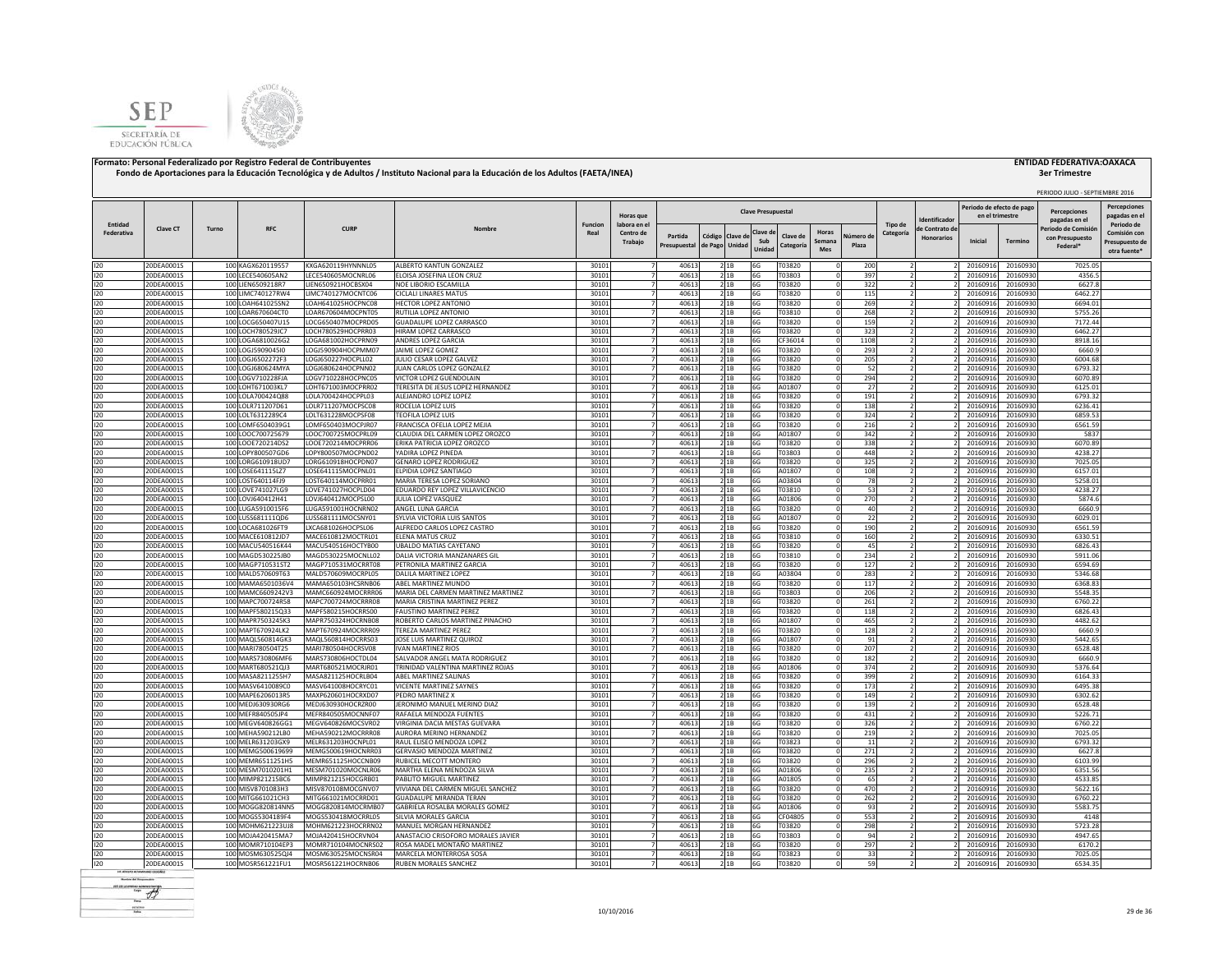



|                       |                          |       |                                        |                                          |                                                                 |                        |                                  |                |                 |                |                           |                  |                      |            |                          |                                     |                                              |                      | PERIODO JULIO - SEPTIEMBRE 2016      |                                     |
|-----------------------|--------------------------|-------|----------------------------------------|------------------------------------------|-----------------------------------------------------------------|------------------------|----------------------------------|----------------|-----------------|----------------|---------------------------|------------------|----------------------|------------|--------------------------|-------------------------------------|----------------------------------------------|----------------------|--------------------------------------|-------------------------------------|
|                       |                          |       |                                        |                                          |                                                                 |                        | Horas que                        |                |                 |                | <b>Clave Presupuestal</b> |                  |                      |            |                          | dentificado                         | Periodo de efecto de pago<br>en el trimestre |                      | <b>Percenciones</b><br>pagadas en el | <b>Percepciones</b><br>pagadas en e |
| Entidad<br>Federativa | Clave CT                 | Turno | RFC                                    | <b>CURF</b>                              | Nombre                                                          | <b>Funcion</b><br>Real | labora en el<br>Centro de        | Partida        | Código Clave de |                | Clave d                   | Clave de         | Horas                | Vúmero de  | Tipo de<br>Categoría     | le Contrato de<br><b>Honorarios</b> |                                              |                      | Periodo de Comisió                   | Periodo de<br>Comisión cor          |
|                       |                          |       |                                        |                                          |                                                                 |                        | Trabajo                          | Presupuestal   | de Pago         | Unidad         | Sub<br>Unidad             | Categoría        | Semana<br><b>Mes</b> | Plaza      |                          |                                     | Inicial                                      | Termino              | con Presupuesto<br>Federal*          | Presupuesto de<br>otra fuente'      |
| 120                   | 20DEA0001S               |       | 100 KAGX620119557                      | KXGA620119HYNNNL05                       | ALBERTO KANTUN GONZALEZ                                         | 30101                  | $\overline{7}$                   | 40613          |                 | 2 1 B          | 6G                        | T03820           |                      | 200        |                          |                                     | 20160916                                     | 20160930             | 7025.05                              |                                     |
| 120                   | 20DEA0001S               |       | 100 LECE540605AN2                      | LECE540605MOCNRL06                       | ELOISA JOSEFINA LEON CRUZ                                       | 30101                  | $\overline{7}$                   | 40613          |                 | 21B            | 6G                        | T03803           |                      | 397        |                          |                                     | 20160916                                     | 20160930             | 4356.5                               |                                     |
| 120                   | 20DEA0001S               |       | 100 LIEN6509218R7                      | LIEN650921HOCBSX04                       | NOE LIBORIO ESCAMILLA                                           | 30101                  | $\overline{7}$                   | 40613          |                 | 21B            | 6G                        | T03820           |                      | 322        |                          |                                     | 20160916                                     | 20160930             | 6627.8                               |                                     |
| 120                   | 20DEA0001S               |       | 100 LIMC740127RW4                      | LIMC740127MOCNTC06                       | CICLALI LINARES MATUS                                           | 30101                  |                                  | 40613          |                 | 21B            | 6G                        | T03820           |                      | 115        |                          |                                     | 20160916                                     | 20160930             | 6462.27                              |                                     |
| 120<br>120            | 20DEA0001S               |       | 100 LOAH641025SN2<br>100 LOAR670604CT0 | LOAH641025HOCPNC08                       | <b>IECTOR LOPEZ ANTONIO</b>                                     | 30101                  |                                  | 40613          |                 | 2 1B           | 6G                        | T03820           |                      | 269        |                          |                                     | 20160916                                     | 20160930             | 6694.01                              |                                     |
| 120                   | 20DEA0001S<br>20DEA0001S |       | 100 LOCG650407U15                      | LOAR670604MOCPNT05<br>LOCG650407MOCPRD05 | <b>NUTILIA LOPEZ ANTONIO</b><br><b>GUADALUPE LOPEZ CARRASCO</b> | 30101<br>30101         |                                  | 40613<br>40613 |                 | 2 1B<br>2 1B   | 6G<br>6G                  | T03810<br>T03820 |                      | 268<br>159 |                          |                                     | 20160916<br>20160916                         | 20160930<br>20160930 | 5755.26<br>7172.44                   |                                     |
| 120                   | 20DEA0001S               |       | 100 LOCH780529JC7                      | LOCH780529HOCPRR03                       | HIRAM LOPEZ CARRASCO                                            | 30101                  |                                  | 40613          |                 | 2 1B           | 6G                        | T03820           |                      | 323        |                          |                                     | 20160916                                     | 20160930             | 6462.27                              |                                     |
| 120                   | 20DEA0001S               |       | 100 LOGA6810026G2                      | LOGA681002HOCPRN09                       | ANDRES LOPEZ GARCIA                                             | 30101                  |                                  | 40613          |                 | 21B            | 6G                        | CF36014          |                      | 1108       |                          |                                     | 20160916                                     | 20160930             | 8918.16                              |                                     |
| 120                   | 20DEA0001S               |       | 100 LOGJ590904510                      | LOG1590904HOCPMM07                       | <b>IAIME LOPEZ GOMEZ</b>                                        | 30101                  | $\overline{7}$                   | 40613          |                 | 2 1 B          | 6G                        | T03820           |                      | 293        | $\overline{2}$           |                                     | 20160916                                     | 20160930             | 6660.9                               |                                     |
| 120                   | 20DEA0001S               |       | 100 LOGJ6502272F3                      | LOGJ650227HOCPLL02                       | JULIO CESAR LOPEZ GALVEZ                                        | 30101                  | 7                                | 40613          |                 | 21B            | 6G                        | T03820           |                      | 205        |                          |                                     | 20160916                                     | 20160930             | 6004.68                              |                                     |
| 120<br>120            | 20DEA0001S               |       | 100 LOGJ680624MYA<br>100 LOGV710228FJA | LOGJ680624HOCPNN02<br>LOGV710228HOCPNC05 | JUAN CARLOS LOPEZ GONZALEZ<br>VICTOR LOPEZ GUENDOLAIN           | 30101<br>30101         | $\overline{7}$<br>$\overline{7}$ | 40613<br>40613 |                 | 2 1B           | 6G<br>6G                  | T03820<br>T03820 |                      | 52<br>294  |                          |                                     | 20160916<br>20160916                         | 20160930<br>20160930 | 6793.32<br>6070.89                   |                                     |
| 120                   | 20DEA0001S<br>20DEA0001S |       | 100 LOHT671003KL7                      | LOHT671003MOCPRR02                       | TERESITA DE JESUS LOPEZ HERNANDEZ                               | 30101                  | $\overline{7}$                   | 40613          |                 | 21B<br>2 1B    | 6G                        | A01807           |                      | 27         |                          |                                     | 20160916                                     | 20160930             | 6125.01                              |                                     |
| 120                   | 20DEA0001S               |       | 100 LOLA700424Q88                      | LOLA700424HOCPPL03                       | ALEJANDRO LOPEZ LOPEZ                                           | 30101                  | 7                                | 40613          |                 | 2 1B           | 6G                        | T03820           |                      | 191        |                          |                                     | 20160916                                     | 20160930             | 6793.32                              |                                     |
| 120                   | 20DEA0001S               |       | 100 LOLR711207D61                      | LOLR711207MOCPSC08                       | ROCELIA LOPEZ LUIS                                              | 30101                  | 7                                | 40613          |                 | 21B            | 6G                        | T03820           |                      | 138        | $\overline{2}$           |                                     | 20160916                                     | 20160930             | 6236.41                              |                                     |
| 120                   | 20DEA0001S               |       | 100 LOLT6312289C4                      | LOLT631228MOCPSF08                       | <b>TEOFILA LOPEZ LUIS</b>                                       | 30101                  | $\overline{7}$                   | 40613          |                 | 21B            | 6G                        | T03820           |                      | 324        |                          |                                     | 20160916                                     | 20160930             | 6859.53                              |                                     |
| 120                   | 20DEA0001S               |       | 100 LOMF6504039G1                      | LOMF650403MOCPJR07                       | FRANCISCA OFELIA LOPEZ MEJIA                                    | 30101                  | 7                                | 40613          |                 | 2 1 B          | 6G                        | T03820           |                      | 216        |                          |                                     | 20160916                                     | 20160930             | 6561.59                              |                                     |
| 120<br>120            | 20DEA0001S<br>20DEA0001S | 100   | 100 LOOC700725679<br>LOOE720214DS2     | LOOC700725MOCPRL09<br>LOOE720214MOCPRR06 | CLAUDIA DEL CARMEN LOPEZ OROZCO<br>ERIKA PATRICIA LOPEZ OROZCO  | 30101<br>30101         | $\overline{7}$                   | 40613<br>40613 |                 | 2 1B<br>2 1 B  | 6G<br>6G                  | A01807<br>T03820 |                      | 342<br>338 |                          |                                     | 20160916<br>2016091                          | 20160930<br>20160930 | 5837<br>6070.89                      |                                     |
| 120                   | 20DEA0001S               | 100   | OPY800507GD6                           | LOPY800507MOCPND02                       | ADIRA LOPEZ PINEDA                                              | 30101                  |                                  | 40613          |                 | 21B            | 6G                        | T03803           |                      | 448        |                          |                                     | 2016091                                      | 2016093              | 4238.27                              |                                     |
| 120                   | 20DEA0001S               | 100   | LORG610918UD7                          | LORG610918HOCPDN07                       | <b>GENARO LOPEZ RODRIGUEZ</b>                                   | 30101                  |                                  | 40613          |                 | 21B            | 6G                        | T03820           |                      | 325        |                          |                                     | 2016091                                      | 20160930             | 7025.05                              |                                     |
| 120                   | 20DEA0001S               |       | 100 LOSE641115LZ7                      | LOSE641115MOCPNL01                       | LPIDIA LOPEZ SANTIAGO                                           | 30101                  |                                  | 40613          |                 | 2 1 B          | 6G                        | A01807           |                      | 108        |                          |                                     | 20160916                                     | 20160930             | 6157.01                              |                                     |
| 120                   | 20DEA0001S               |       | 100 LOST640114FJ9                      | LOST640114MOCPRR01                       | MARIA TERESA LOPEZ SORIANO                                      | 30101                  |                                  | 40613          |                 | 21B            | 6G                        | A03804           |                      | 78         |                          |                                     | 20160916                                     | 20160930             | 5258.01                              |                                     |
| 120                   | 20DEA0001S               |       | 100 LOVE741027LG9                      | LOVE741027HOCPLD04                       | EDUARDO REY LOPEZ VILLAVICENCIO                                 | 30101                  |                                  | 40613          |                 | 21B            | 6G                        | T03810           |                      | 53         |                          |                                     | 20160916                                     | 20160930             | 4238.27                              |                                     |
| 120                   | 20DEA0001S               |       | 100 LOVJ640412H41                      | LOVJ640412MOCPSL00                       | <b>IULIA LOPEZ VASOUEZ</b>                                      | 30101                  |                                  | 40613          |                 | 21B            | 6G                        | A01806           |                      | 270        | $\overline{\phantom{0}}$ |                                     | 20160916                                     | 20160930             | 5874.6                               |                                     |
| 120<br>120            | 20DEA0001S<br>20DEA0001S |       | 100 LUGA5910015F6<br>100 LUSS681111QD6 | LUGA591001HOCNRN02<br>LUSS681111MOCSNY01 | ANGEL LUNA GARCIA<br>SYLVIA VICTORIA LUIS SANTOS                | 30101<br>30101         | $\overline{7}$                   | 40613<br>40613 |                 | 2 1 B<br>2 1 B | 6G<br>6G                  | T03820<br>A01807 |                      | 40<br>22   | $\overline{2}$           |                                     | 20160916<br>20160916                         | 20160930<br>20160930 | 6660.9<br>6029.01                    |                                     |
| 120                   | 20DEA0001S               |       | 100 LOCA681026FT9                      | LXCA681026HOCPSL06                       | ALFREDO CARLOS LOPEZ CASTRO                                     | 30101                  | $\overline{7}$                   | 40613          |                 | 21B            | 6G                        | T03820           |                      | 190        |                          |                                     | 20160916                                     | 20160930             | 6561.59                              |                                     |
| 120                   | 20DEA0001S               |       | 100 MACE610812JD7                      | MACE610812MOCTRL01                       | <b>LENA MATUS CRUZ</b>                                          | 30101                  | $\overline{7}$                   | 40613          |                 | 2 1 B          | 6G                        | T03810           |                      | 160        |                          |                                     | 20160916                                     | 20160930             | 6330.51                              |                                     |
| 120                   | 20DEA0001S               |       | 100 MACU540516K44                      | MACU540516HOCTYB00                       | <b>UBALDO MATIAS CAYETANO</b>                                   | 30101                  | $\overline{7}$                   | 40613          |                 | 2 1B           | 6G                        | T03820           |                      | 45         |                          |                                     | 20160916                                     | 20160930             | 6826.43                              |                                     |
| 120                   | 20DEA0001S               |       | 100 MAGD530225JB0                      | MAGD530225MOCNLL02                       | DALIA VICTORIA MANZANARES GIL                                   | 30101                  | 7                                | 40613          |                 | 2 1B           | 6G                        | T03810           |                      | 234        | $\overline{2}$           |                                     | 20160916                                     | 20160930             | 5911.06                              |                                     |
| 120                   | 20DEA0001S               |       | 100 MAGP710531ST2                      | MAGP710531MOCRRT08                       | PETRONILA MARTINEZ GARCIA                                       | 30101                  | $\overline{7}$                   | 40613          |                 | 21B            | 6G                        | T03820           |                      | 127        | $\overline{2}$           |                                     | 20160916                                     | 20160930             | 6594.69                              |                                     |
| 120<br>120            | 20DEA0001S<br>20DEA0001S |       | 100 MALD570609T63<br>100 MAMA6501036V4 | MALD570609MOCRPL05<br>MAMA650103HCSRNB06 | DALILA MARTINEZ LOPEZ<br>ABEL MARTINEZ MUNDO                    | 30101<br>30101         | 7<br>$\overline{7}$              | 40613<br>40613 |                 | 2 1B<br>21B    | 6G<br>6G                  | A03804<br>T03820 |                      | 283<br>117 | $\overline{2}$           |                                     | 20160916<br>20160916                         | 20160930<br>20160930 | 5346.68<br>6368.83                   |                                     |
| 120                   | 20DEA0001S               |       | 100 MAMC6609242V3                      | MAMC660924MOCRRR06                       | MARIA DEL CARMEN MARTINEZ MARTINEZ                              | 30101                  | $\overline{7}$                   | 40613          |                 | 21B            | 6G                        | T03803           |                      | 206        |                          |                                     | 20160916                                     | 20160930             | 5548.35                              |                                     |
| 120                   | 20DEA0001S               |       | 100 MAPC700724R58                      | MAPC700724MOCRRR08                       | MARIA CRISTINA MARTINEZ PEREZ                                   | 30101                  |                                  | 40613          |                 | 21B            | 6G                        | T03820           |                      | 261        |                          |                                     | 20160916                                     | 20160930             | 6760.22                              |                                     |
| 120                   | 20DEA0001S               |       | 100 MAPF580215Q33                      | MAPF580215HOCRRS00                       | AUSTINO MARTINEZ PEREZ                                          | 30101                  |                                  | 40613          |                 | 21B            | 6G                        | T03820           |                      | 118        |                          |                                     | 20160916                                     | 20160930             | 6826.43                              |                                     |
| 120                   | 20DEA0001S               |       | 100 MAPR7503245K3                      | MAPR750324HOCRNB08                       | ROBERTO CARLOS MARTINEZ PINACHO                                 | 30101                  |                                  | 40613          |                 | 21B            | 6G                        | A01807           |                      | 465        |                          |                                     | 20160916                                     | 20160930             | 4482.62                              |                                     |
| 120                   | 20DEA0001S               |       | 100 MAPT670924LK2                      | MAPT670924MOCRRR09                       | <b>FEREZA MARTINEZ PEREZ</b>                                    | 30101                  |                                  | 40613          |                 | 2 1B           | 6G                        | T03820           |                      | 128        |                          |                                     | 20160916                                     | 20160930             | 6660.9                               |                                     |
| 120<br>120            | 20DEA0001S<br>20DEA0001S |       | 100 MAQL560814GK3<br>100 MARI780504T25 | MAQL560814HOCRRS03<br>MARI780504HOCRSV08 | JOSE LUIS MARTINEZ QUIROZ<br>VAN MARTINEZ RIOS                  | 30101<br>30101         | $\overline{7}$                   | 40613<br>40613 |                 | 21B            | 6G<br>6G                  | A01807<br>T03820 |                      | 91<br>207  | $\overline{2}$           |                                     | 20160916<br>20160916                         | 20160930<br>20160930 | 5442.65<br>6528.48                   |                                     |
| 120                   | 20DEA0001S               |       | 100 MARS730806MF6                      | MARS730806HOCTDL04                       | SALVADOR ANGEL MATA RODRIGUEZ                                   | 30101                  | 7                                | 40613          |                 | 2 1B<br>2 1 B  | 6G                        | T03820           |                      | 182        |                          |                                     | 20160916                                     | 20160930             | 6660.9                               |                                     |
| 120                   | 20DEA0001S               |       | 100 MART680521QJ3                      | MART680521MOCRJR01                       | TRINIDAD VALENTINA MARTINEZ ROJAS                               | 30101                  | $\overline{7}$                   | 40613          |                 | 2 1 B          | 6G                        | A01806           |                      | 374        | 2                        |                                     | 20160916                                     | 20160930             | 5376.64                              |                                     |
| 120                   | 20DEA0001S               |       | 100 MASA8211255H7                      | MASA821125HOCRLB04                       | ABEL MARTINEZ SALINAS                                           | 30101                  | 7                                | 40613          |                 | 2 1B           | 6G                        | T03820           |                      | 399        |                          |                                     | 20160916                                     | 20160930             | 6164.33                              |                                     |
| 120                   | 20DEA0001S               |       | 100 MASV6410089C0                      | MASV641008HOCRYC01                       | VICENTE MARTINEZ SAYNES                                         | 30101                  | $\overline{7}$                   | 40613          |                 | 21B            | 6G                        | T03820           |                      | 173        |                          |                                     | 20160916                                     | 20160930             | 6495.38                              |                                     |
| 120                   | 20DEA0001S               |       | 100 MAPE6206013R5                      | MAXP620601HOCRXD07                       | PEDRO MARTINEZ X                                                | 30101                  | $\overline{7}$                   | 40613          |                 | 2 1B           | 6G                        | T03820           |                      | 149        |                          |                                     | 2016091                                      | 20160930             | 6302.62                              |                                     |
| 120<br>120            | 20DEA0001S<br>20DEA0001S |       | 100 MEDJ630930RG6<br>100 MEFR840505JP4 | MEDJ630930HOCRZR00<br>MEFR840505MOCNNF07 | JERONIMO MANUEL MERINO DIAZ<br>RAFAELA MENDOZA FUENTES          | 30101<br>30101         | 7 <sup>1</sup><br>7              | 40613<br>40613 |                 | 21B<br>21B     | 6G<br>6G                  | T03820<br>T03820 |                      | 139<br>431 | $\overline{2}$           |                                     | 20160916<br>20160916                         | 20160930<br>20160930 | 6528.48<br>5226.71                   |                                     |
| 120                   | 20DEA0001S               |       | 100 MEGV640826GG1                      | MEGV640826MOCSVR02                       | VIRGINIA DACIA MESTAS GUEVARA                                   | 30101                  | 7                                | 40613          |                 | 21B            | 6G                        | T03820           |                      | 326        | $\overline{2}$           |                                     | 20160916                                     | 20160930             | 6760.22                              |                                     |
| 120                   | 20DEA0001S               |       | 100 MEHA590212LB0                      | MEHA590212MOCRRR08                       | AURORA MERINO HERNANDEZ                                         | 30101                  | 7                                | 40613          |                 | 21B            | 6G                        | T03820           |                      | 219        |                          |                                     | 20160916                                     | 20160930             | 7025.05                              |                                     |
| 120                   | 20DEA0001S               |       | 100 MELR631203GX9                      | MELR631203HOCNPL01                       | RAUL ELISEO MENDOZA LOPEZ                                       | 30101                  | $\overline{7}$                   | 40613          |                 | 2 1B           | 6G                        | T03823           |                      | 11         |                          |                                     | 20160916                                     | 20160930             | 6793.32                              |                                     |
| 120                   | 20DEA0001S               |       | 100 MEMG500619699                      | MEMG500619HOCNRR03                       | GERVASIO MENDOZA MARTINEZ                                       | 30101                  | $\overline{7}$                   | 40613          |                 | 21B            | 6G                        | T03820           |                      | 271        |                          |                                     | 20160916                                     | 20160930             | 6627.8                               |                                     |
| 120                   | 20DEA0001S               |       | 100 MEMR6511251H5                      | MEMR651125HOCCNB09                       | RUBICEL MECOTT MONTERO                                          | 30101                  |                                  | 40613          |                 | 21B            | 6G                        | T03820           |                      | 296        |                          |                                     | 2016091                                      | 20160930             | 6103.99                              |                                     |
| 120<br>120            | 20DEA0001S               |       | 100 MESM7010201H1                      | MESM701020MOCNLR06                       | MARTHA ELENA MENDOZA SILVA                                      | 30101                  |                                  | 40613          |                 | 2 1 B          | 6G                        | A01806           |                      | 235        |                          |                                     | 2016091                                      | 20160930             | 6351.56                              |                                     |
| 120                   | 20DEA0001S<br>20DEA0001S |       | 100 MIMP821215BC6<br>100 MISV8701083H3 | MIMP821215HOCGRB01<br>MISV870108MOCGNV07 | ABLITO MIGUEL MARTINEZ<br>/IVIANA DEL CARMEN MIGUEL SANCHEZ     | 30101<br>30101         |                                  | 40613<br>40613 |                 | 21B<br>21B     | 6G<br>6G                  | A01805<br>T03820 |                      | 65<br>470  |                          |                                     | 20160916<br>20160916                         | 20160930<br>20160930 | 4533.85<br>5622.16                   |                                     |
| 120                   | 20DEA0001S               |       | 100 MITG661021CH3                      | MITG661021MOCRRD01                       | <b>GUADALUPE MIRANDA TERAN</b>                                  | 30101                  |                                  | 40613          |                 | 21B            | 6G                        | T03820           |                      | 262        | $\overline{2}$           |                                     | 20160916                                     | 20160930             | 6760.22                              |                                     |
| 120                   | 20DEA0001S               |       | 100 MOGG820814NN5                      | MOGG820814MOCRMB07                       | GABRIELA ROSALBA MORALES GOMEZ                                  | 30101                  |                                  | 40613          |                 | 2 1 B          | 6G                        | A01806           |                      | 93         |                          |                                     | 20160916                                     | 20160930             | 5583.75                              |                                     |
| 120                   | 20DEA0001S               |       | 100 MOGS5304189F4                      | MOGS530418MOCRRL05                       | SILVIA MORALES GARCIA                                           | 30101                  | $\overline{7}$                   | 40613          |                 | 2 1 B          | 6G                        | CF04805          |                      | 553        | $\overline{2}$           |                                     | 20160916                                     | 20160930             | 4148                                 |                                     |
| 120                   | 20DEA0001S               |       | 100 MOHM621223UJ8                      | MOHM621223HOCRRN02                       | MANUEL MORGAN HERNANDEZ                                         | 30101                  | 7                                | 40613          |                 | 2 1 B          | 6G                        | T03820           |                      | 298        | 2                        |                                     | 20160916                                     | 20160930             | 5723.28                              |                                     |
| 120                   | 20DEA0001S               |       | 100 MOJA420415MA7                      | MOJA420415HOCRVN04                       | ANASTACIO CRISOFORO MORALES JAVIER                              | 30101                  |                                  | 40613          |                 | 21B            | 6G                        | T03803           |                      | 94         |                          |                                     | 20160916                                     | 20160930             | 4947.65                              |                                     |
| 120<br>120            | 20DEA0001S<br>20DEA0001S |       | 100 MOMR710104EP3<br>100 MOSM630525QJ4 | MOMR710104MOCNRS02<br>MOSM630525MOCNSR04 | ROSA MADEL MONTAÑO MARTINEZ<br>MARCELA MONTERROSA SOSA          | 30101<br>30101         |                                  | 40613<br>40613 |                 | 21B<br>21B     | 6G<br>6G                  | T03820<br>T03823 |                      | 297<br>33  |                          |                                     | 2016091<br>20160916                          | 20160930<br>20160930 | 6170.<br>7025.05                     |                                     |
| 120                   | 20DEA0001S               |       | 100 MOSR561221FU1                      | MOSR561221HOCRNB06                       | RUBEN MORALES SANCHEZ                                           | 30101                  | 7 <sup>1</sup>                   | 40613          |                 | 21B            | 6G                        | T03820           |                      | 59         |                          |                                     | 20160916                                     | 20160930             | 6534.35                              |                                     |
|                       |                          |       |                                        |                                          |                                                                 |                        |                                  |                |                 |                |                           |                  |                      |            |                          |                                     |                                              |                      |                                      |                                     |

 $-45$ **First** scales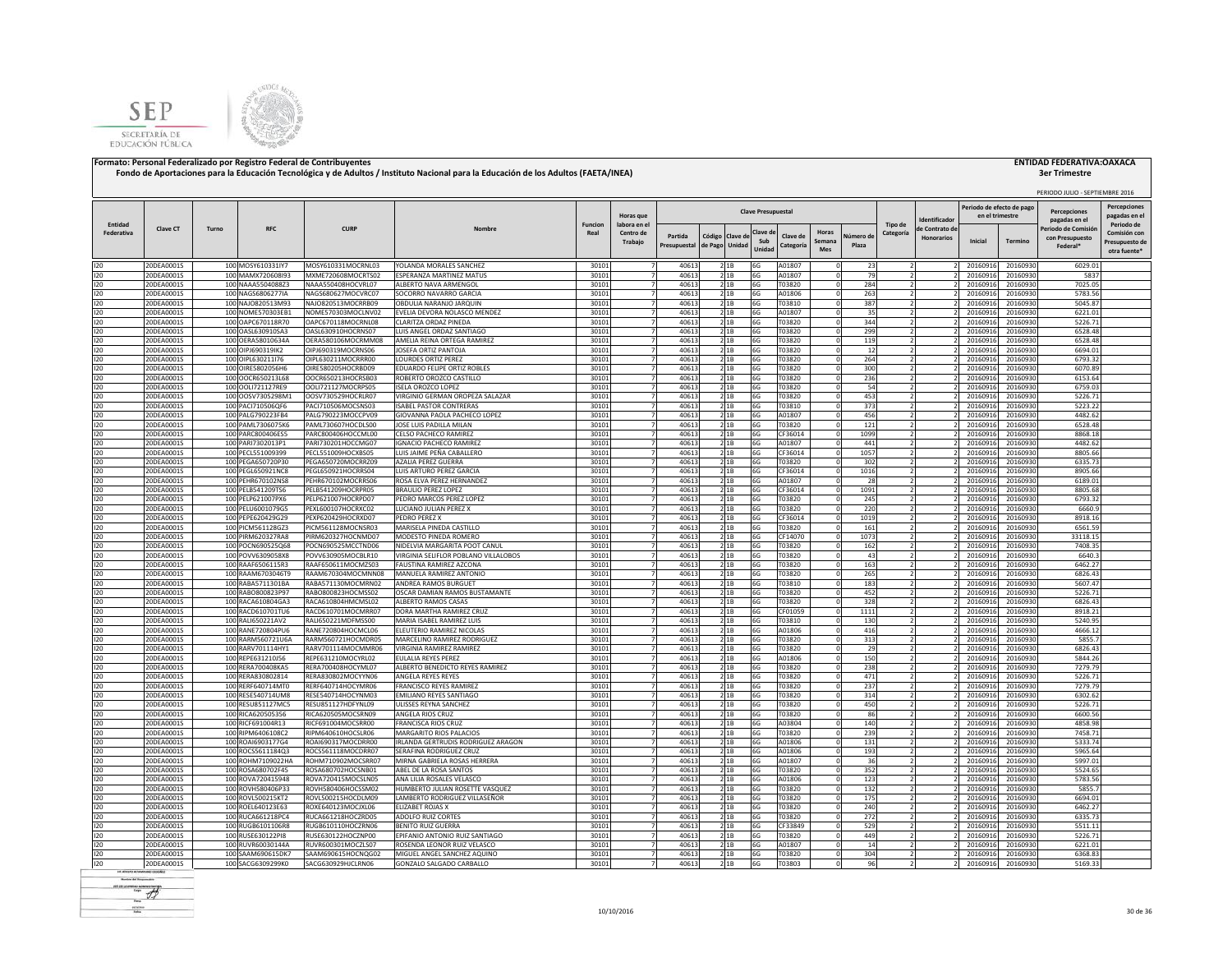



# **3er Trimestre**

|            |                 |       |                   |                            |                                      |                |                  |              |                |       |                           |           |               |          |                          |                   |                           |          | PERIODO JULIO - SEPTIEMBRE 2016 |                     |
|------------|-----------------|-------|-------------------|----------------------------|--------------------------------------|----------------|------------------|--------------|----------------|-------|---------------------------|-----------|---------------|----------|--------------------------|-------------------|---------------------------|----------|---------------------------------|---------------------|
|            |                 |       |                   |                            |                                      |                |                  |              |                |       |                           |           |               |          |                          |                   | Periodo de efecto de pago |          |                                 | <b>Percepciones</b> |
|            |                 |       |                   |                            |                                      |                | <b>Horas</b> que |              |                |       | <b>Clave Presupuestal</b> |           |               |          |                          | Identificado      | en el trimestre           |          | Percepciones<br>pagadas en el   | pagadas en e        |
| Entidad    | <b>Clave CT</b> | Turno | <b>RFC</b>        | <b>CURP</b>                | Nombre                               | <b>Funcion</b> | labora en el     |              |                |       |                           |           |               |          | Tipo de                  | de Contrato de    |                           |          | Periodo de Comisió              | Periodo de          |
| Federativa |                 |       |                   |                            |                                      | Real           | Centro de        | Partida      | Código Clave d |       | Clave d<br>Sub            | Clave di  | <b>Horas</b>  | Vúmero d | Categoría                | <b>Honorarios</b> | Inicial                   | Termino  | con Presupuesto                 | Comisión cor        |
|            |                 |       |                   |                            |                                      |                | Trabaio          | Presupuestal | de Pago Unidad |       | Unidad                    | Categoría | Semana<br>Mes | Plaza    |                          |                   |                           |          | Federal <sup>®</sup>            | Presupuesto de      |
|            |                 |       |                   |                            |                                      |                |                  |              |                |       |                           |           |               |          |                          |                   |                           |          |                                 | otra fuente*        |
| 120        | 20DEA0001S      |       | 100 MOSY610331lY7 | MOSY610331MOCRNL03         | YOLANDA MORALES SANCHEZ              | 30101          |                  | 40613        |                | 21B   | 6G                        | A01807    |               | 23       |                          |                   | 20160916                  | 20160930 | 6029.01                         |                     |
| 120        | 20DEA0001S      |       | 100 MAMX720608l93 | MXME720608MOCRTS02         | ESPERANZA MARTINEZ MATUS             | 30101          |                  | 40613        |                | 2 1 B | 6G                        | A01807    |               | 79       |                          |                   | 20160916                  | 20160930 | 5837                            |                     |
| 120        | 20DEA0001S      |       | 100 NAAA5504088Z3 | NAAA550408HOCVRL07         | ALBERTO NAVA ARMENGOL                | 30101          |                  | 40613        |                | 21B   | 6G                        | T03820    |               | 284      |                          |                   | 20160916                  | 20160930 | 7025.05                         |                     |
| 120        | 20DEA0001S      |       | 100 NAGS6806277IA | NAGS680627MOCVRC07         | SOCORRO NAVARRO GARCIA               | 30101          |                  | 40613        |                | 2 1 B | 6G                        | A01806    |               | 263      |                          |                   | 20160916                  | 20160930 | 5783.56                         |                     |
| 120        | 20DEA0001S      |       | 100 NAJ0820513M93 | NAJO820513MOCRRB09         | OBDULIA NARANJO JARQUIN              | 30101          |                  | 40613        |                | 21B   | 6G                        | T03810    |               | 387      |                          |                   | 20160916                  | 20160930 | 5045.87                         |                     |
| 120        | 20DEA0001S      |       | 100 NOME570303EB1 | NOME570303MOCLNV02         | EVELIA DEVORA NOLASCO MENDEZ         | 30101          |                  | 40613        |                | 21B   | 6G                        | A01807    |               | 35       |                          |                   | 20160916                  | 20160930 | 6221.01                         |                     |
| 120        | 20DEA0001S      |       | 100 OAPC670118R70 | OAPC670118MOCRNL08         | CLARITZA ORDAZ PINEDA                | 30101          |                  | 40613        |                | 21B   | 6G                        | T03820    |               | 344      |                          |                   | 20160916                  | 20160930 | 5226.71                         |                     |
| 120        | 20DEA0001S      |       | 100 OASL630910SA3 | <b>DASI 630910HOCRNS07</b> | LUIS ANGEL ORDAZ SANTIAGO            | 30101          | 7                | 40613        |                | 21B   | 6G                        | T03820    |               | 299      |                          |                   | 20160916                  | 20160930 | 6528.48                         |                     |
| 120        | 20DEA0001S      |       | 100 OERA58010634A | OERA580106MOCRMM08         | AMELIA REINA ORTEGA RAMIREZ          | 30101          |                  | 40613        |                | 2 1 B | 6G                        | T03820    |               | 119      |                          |                   | 20160916                  | 20160930 | 6528.48                         |                     |
| 120        | 20DEA0001S      |       | 100 OIPJ690319IK2 | OIPJ690319MOCRNS06         | JOSEFA ORTIZ PANTOJA                 | 30101          |                  | 40613        |                | 21B   | 6G                        | T03820    |               | 12       |                          |                   | 20160916                  | 20160930 | 6694.01                         |                     |
| 120        | 20DEA0001S      |       | 100 OIPL630211176 | OIPL630211MOCRRR00         | <b>LOURDES ORTIZ PEREZ</b>           | 30101          |                  | 40613        |                | 2 1 B | 6G                        | T03820    |               | 264      | $\overline{z}$           |                   | 20160916                  | 20160930 | 6793.32                         |                     |
| 120        | 20DEA0001S      |       | 100 OIRE5802056H6 | OIRE580205HOCRBD09         | EDUARDO FELIPE ORTIZ ROBLES          | 30101          |                  | 40613        |                | 2 1B  | 6G                        | T03820    |               | 300      |                          |                   | 20160916                  | 20160930 | 6070.89                         |                     |
| 120        | 20DEA0001S      |       | 100 OOCR650213L68 | OOCR650213HOCRSB03         | ROBERTO OROZCO CASTILLO              | 30101          | $\overline{7}$   | 40613        |                | 2 1 B | 6G                        | T03820    |               | 236      |                          |                   | 20160916                  | 20160930 | 6153.64                         |                     |
| 120        | 20DEA0001S      |       | 100 OOLI721127RE9 | OOLI721127MOCRPS05         | <b>ISELA OROZCO LOPEZ</b>            | 30101          | $\overline{7}$   | 40613        |                | 21B   | 6G                        | T03820    |               | 54       |                          |                   | 20160916                  | 20160930 | 6759.03                         |                     |
| 120        | 20DEA0001S      |       | 100 OOSV7305298M1 | OOSV730529HOCRLR07         | VIRGINIO GERMAN OROPEZA SALAZAR      | 30101          | $\overline{7}$   | 40613        |                | 21B   | 6G                        | T03820    |               | 453      | $\overline{2}$           |                   | 20160916                  | 20160930 | 5226.71                         |                     |
| 120        | 20DEA0001S      |       | 100 PAC1710506QF6 | PACI710506MOCSNS03         | <b>ISABEL PASTOR CONTRERAS</b>       | 30101          | $\overline{7}$   | 40613        |                | 21B   | 6G                        | T03810    |               | 373      | $\overline{2}$           |                   | 20160916                  | 20160930 | 5223.22                         |                     |
| 120        | 20DEA0001S      |       | 100 PALG790223FB4 | PALG790223MOCCPV09         | GIOVANNA PAOLA PACHECO LOPEZ         | 30101          | $\overline{7}$   | 40613        |                | 21B   | 6G                        | A01807    |               | 456      | $\overline{2}$           |                   | 20160916                  | 20160930 | 4482.62                         |                     |
| 120        | 20DEA0001S      |       | 100 PAML7306075K6 | PAML730607HOCDLS00         | JOSE LUIS PADILLA MILAN              | 30101          | $\overline{7}$   | 40613        |                | 2 1 B | 6G                        | T03820    |               | 121      |                          |                   | 20160916                  | 20160930 | 6528.48                         |                     |
| 120        | 20DEA0001S      |       | 100 PARC800406ES5 | PARC800406HOCCML00         | CELSO PACHECO RAMIREZ                | 30101          | $\overline{7}$   | 40613        |                | 2 1B  | 6G                        | CF36014   |               | 1099     | $\overline{2}$           |                   | 20160916                  | 20160930 | 8868.18                         |                     |
| 120        | 20DEA0001S      |       | 100 PARI7302013P1 | PARI730201HOCCMG07         | <b>IGNACIO PACHECO RAMIREZ</b>       | 30101          |                  | 40613        |                | 2 1 B | 6G                        | A01807    |               | 441      |                          |                   | 20160916                  | 20160930 | 4482.62                         |                     |
| 120        | 20DEA0001S      |       | 100 PECL551009399 | PECL551009HOCXBS05         | LUIS JAIME PEÑA CABALLERO            | 30101          |                  | 40613        |                | 21B   | 6G                        | CF36014   |               | 1057     |                          |                   | 2016091                   | 20160930 | 8805.66                         |                     |
| 120        | 20DEA0001S      |       | 100 PEGA650720P30 | PEGA650720MOCRRZ09         | AZALIA PEREZ GUERRA                  | 30101          |                  | 40613        |                | 2 1 B | 6G                        | T03820    |               | 302      |                          |                   | 2016091                   | 20160930 | 6335.73                         |                     |
| 120        | 20DEA0001S      |       | 100 PEGL650921NC8 | PEGL650921HOCRRS04         | UIS ARTURO PEREZ GARCIA              | 30101          |                  | 40613        |                | 2 1B  | 6G                        | CF36014   |               | 1016     |                          |                   | 2016091                   | 20160930 | 8905.66                         |                     |
| 120        | 20DEA0001S      |       | 100 PEHR670102NS8 | PEHR670102MOCRRS06         | ROSA ELVA PEREZ HERNANDEZ            | 30101          |                  | 40613        |                | 21B   | 6G                        | A01807    |               | 28       |                          |                   | 20160916                  | 20160930 | 6189.01                         |                     |
| 120        | 20DEA0001S      |       | 100 PELB541209TS6 | PELB541209HOCRPR05         | <b>BRAULIO PEREZ LOPEZ</b>           | 30101          |                  | 40613        |                | 2 1 B | 6G                        | CF36014   |               | 1091     | $\overline{ }$           |                   | 20160916                  | 20160930 | 8805.68                         |                     |
| 120        | 20DEA0001S      |       | 100 PELP621007PX6 | PELP621007HOCRPD07         | PEDRO MARCOS PEREZ LOPEZ             | 30101          |                  | 40613        |                | 2 1 B | 6G                        | T03820    |               | 245      |                          |                   | 20160916                  | 20160930 | 6793.32                         |                     |
| 120        | 20DEA0001S      |       | 100 PELU6001079G5 | PEXL600107HOCRXC02         | LUCIANO JULIAN PEREZ X               | 30101          | 7                | 40613        |                | 2 1 B | 6G                        | T03820    |               | 220      |                          |                   | 20160916                  | 20160930 | 5660                            |                     |
| 120        | 20DEA0001S      |       | 100 PEPE620429G29 | PEXP620429HOCRXD07         | PEDRO PEREZ X                        | 30101          | $\overline{7}$   | 40613        | 21B            |       | 6G                        | CF36014   |               | 1019     | $\overline{z}$           |                   | 20160916                  | 20160930 | 8918.16                         |                     |
| 120        | 20DEA0001S      |       | 100 PICM561128GZ3 | PICM561128MOCNSR03         | MARISELA PINEDA CASTILLO             | 30101          |                  | 40613        |                | 2 1 B | 6G                        | T03820    |               | 161      |                          |                   | 20160916                  | 20160930 | 6561.59                         |                     |
| 120        | 20DEA0001S      |       | 100 PIRM620327RA8 | PIRM620327HOCNMD07         | MODESTO PINEDA ROMERO                | 30101          |                  | 40613        |                | 21B   | 6G                        | CF14070   |               | 1073     |                          |                   | 20160916                  | 20160930 | 33118.15                        |                     |
| 120        | 20DEA0001S      |       | 100 POCN690525Q68 | POCN690525MCCTND06         | NIDELVIA MARGARITA POOT CANUL        | 30101          | $\overline{7}$   | 40613        |                | 21B   | 6G                        | T03820    |               | 162      |                          |                   | 20160916                  | 20160930 | 7408.35                         |                     |
| 120        | 20DEA0001S      |       | 100 POVV6309058X8 | POVV630905MOCBLR10         | VIRGINIA SELIFLOR POBLANO VILLALOBOS | 30101          | $\overline{7}$   | 40613        |                | 21B   | 6G                        | T03820    |               | 43       |                          |                   | 20160916                  | 20160930 | 6640.3                          |                     |
| 120        | 20DEA0001S      |       | 100 RAAF6506115R3 | RAAF650611MOCMZS03         | <b>FAUSTINA RAMIREZ AZCONA</b>       | 30101          | $\overline{7}$   | 40613        |                | 21B   | 6G                        | T03820    |               | 163      | $\overline{2}$           |                   | 20160916                  | 20160930 | 6462.27                         |                     |
| 120        | 20DEA0001S      |       | 100 RAAM6703046T9 | RAAM670304MOCMNN08         | MANUELA RAMIREZ ANTONIO              | 30101          | $\overline{7}$   | 40613        |                | 2 1 B | 6G                        | T03820    |               | 265      | $\overline{z}$           |                   | 20160916                  | 20160930 | 6826.43                         |                     |
| 120        | 20DEA0001S      |       | 100 RABA5711301BA | RABA571130MOCMRN02         | ANDREA RAMOS BURGUET                 | 30101          | $\overline{7}$   | 40613        |                | 21B   | 6G                        | T03810    |               | 183      | $\overline{2}$           |                   | 20160916                  | 20160930 | 5607.47                         |                     |
| 120        | 20DEA0001S      |       | 100 RABO800823P97 | RABO800823HOCMSS02         | OSCAR DAMIAN RAMOS BUSTAMANTE        | 30101          | $\overline{7}$   | 40613        | 21B            |       | 6G                        | T03820    |               | 452      | $\overline{z}$           |                   | 20160916                  | 20160930 | 5226.71                         |                     |
| 120        | 20DEA0001S      |       | 100 RACA610804GA3 | RACA610804HMCMSL02         | ALBERTO RAMOS CASAS                  | 30101          | $\overline{z}$   | 40613        |                | 21B   | 6G                        | T03820    |               | 328      | $\overline{z}$           |                   | 20160916                  | 20160930 | 6826.43                         |                     |
| 120        | 20DEA0001S      |       | 100 RACD610701TU6 | RACD610701MOCMRR07         | DORA MARTHA RAMIREZ CRUZ             | 30101          |                  | 40613        |                | 2 1B  | 6G                        | CF01059   |               | 1111     |                          |                   | 20160916                  | 20160930 | 8918.21                         |                     |
| 120        | 20DEA0001S      |       | 100 RALI650221AV2 | RALI650221MDFMSS00         | MARIA ISABEL RAMIREZ LUIS            | 30101          |                  | 40613        |                | 2 1 B | 6G                        | T03810    |               | 130      |                          |                   | 20160916                  | 20160930 | 5240.95                         |                     |
| 120        | 20DEA0001S      |       | 100 RANE720804PU6 | RANE720804HOCMCL06         | ELEUTERIO RAMIREZ NICOLAS            | 30101          |                  | 40613        |                | 2 1 B | 6G                        | A01806    |               | 416      |                          |                   | 20160916                  | 20160930 | 4666.12                         |                     |
| 120        | 20DEA0001S      |       | 100 RARM560721U6A | RARM560721HOCMDR05         | MARCELINO RAMIREZ RODRIGUEZ          | 30101          |                  | 40613        |                | 2 1 B | 6G                        | T03820    |               | 313      |                          |                   | 20160916                  | 20160930 | 5855.7                          |                     |
| 120        | 20DEA0001S      |       | 100 RARV701114HY1 | RARV701114MOCMMR06         | VIRGINIA RAMIREZ RAMIREZ             | 30101          |                  | 40613        |                | 21B   | 6G                        | T03820    |               | 29       |                          |                   | 20160916                  | 20160930 | 6826.43                         |                     |
| 120        | 20DEA0001S      |       | 100 REPE631210J56 | REPE631210MOCYRL02         | EULALIA REYES PEREZ                  | 30101          |                  | 40613        |                | 21B   | 6G                        | A01806    |               | 150      |                          |                   | 20160916                  | 20160930 | 5844.26                         |                     |
| 120        | 20DEA0001S      |       | 100 RERA700408KA5 | RERA700408HOCYML07         | ALBERTO BENEDICTO REYES RAMIREZ      | 30101          |                  | 40613        |                | 2 1B  | 6G                        | T03820    |               | 238      |                          |                   | 20160916                  | 20160930 | 7279.79                         |                     |
| 120        | 20DEA0001S      |       | 100 RERA830802814 | RERA830802MOCYYN06         | <b>ANGELA REYES REYES</b>            | 30101          | 7                | 40613        |                | 2 1 B | 6G                        | T03820    |               | 471      |                          |                   | 20160916                  | 20160930 | 5226.71                         |                     |
| 120        | 20DEA0001S      |       | 100 RERF640714MT0 | RERE640714HOCYMR06         | FRANCISCO REYES RAMIREZ              | 30101          |                  | 40613        |                | 21B   | 6G                        | T03820    |               | 237      |                          |                   | 20160916                  | 20160930 | 7279.79                         |                     |
| 120        | 20DEA0001S      |       | 100 RESE540714UM8 | RESE540714HOCYNM03         | <b>EMILIANO REYES SANTIAGO</b>       | 30101          |                  | 40613        |                | 21B   | 6G                        | T03820    |               | 314      |                          |                   | 20160916                  | 20160930 | 6302.62                         |                     |
| 120        | 20DEA0001S      |       | 100 RESU851127MC5 | RESU851127HDFYNL09         | ULISSES REYNA SANCHEZ                | 30101          |                  | 40613        |                | 21B   | 6G                        | T03820    |               | 450      | $\overline{z}$           |                   | 20160916                  | 20160930 | 5226.71                         |                     |
| 120        | 20DEA0001S      |       | 100 RICA620505356 | RICA620505MOCSRN09         | ANGELA RIOS CRUZ                     | 30101          | $\overline{7}$   | 40613        |                | 21B   | 6G                        | T03820    |               | 86       |                          |                   | 20160916                  | 20160930 | 6600.56                         |                     |
| 120        | 20DEA0001S      |       | 100 RICF691004R13 | RICF691004MOCSRR00         | <b>FRANCISCA RIOS CRUZ</b>           | 30101          | $\overline{7}$   | 40613        |                | 2 1 B | 6G                        | A03804    |               | 140      |                          |                   | 2016091                   | 20160930 | 4858.98                         |                     |
| 120        | 20DEA0001S      |       | 100 RIPM6406108C2 | RIPM640610HOCSLR06         | MARGARITO RIOS PALACIOS              | 30101          | $\overline{7}$   | 40613        |                | 21B   | 6G                        | T03820    |               | 239      | $\overline{z}$           |                   | 20160916                  | 20160930 | 7458.71                         |                     |
| 120        | 20DEA0001S      |       | 100 ROAI6903177G4 | ROAI690317MOCDRR00         | IRLANDA GERTRUDIS RODRIGUEZ ARAGON   | 30101          | $\overline{7}$   | 40613        |                | 21B   | 6G                        | A01806    |               | 131      | $\overline{z}$           |                   | 20160916                  | 20160930 | 5333.74                         |                     |
| 120        | 20DEA0001S      |       | 100 ROCS5611184Q3 | ROCS561118MOCDRR07         | SERAFINA RODRIGUEZ CRUZ              | 30101          | $\overline{7}$   | 40613        |                | 21B   | 6G                        | A01806    |               | 193      | ν                        |                   | 20160916                  | 20160930 | 5965.64                         |                     |
| 120        | 20DEA0001S      |       | 100 ROHM7109022HA | ROHM710902MOCSRR07         | MIRNA GABRIELA ROSAS HERRERA         | 30101          | $\overline{7}$   | 40613        | 21B            |       | 6G                        | A01807    |               | 36       |                          |                   | 20160916                  | 20160930 | 5997.01                         |                     |
| 120        | 20DEA0001S      |       | 100 ROSA680702F45 | ROSA680702HOCSNB01         | ABEL DE LA ROSA SANTOS               | 30101          | $\overline{7}$   | 40613        |                | 21B   | 6G                        | T03820    |               | 352      |                          |                   | 20160916                  | 20160930 | 5524.65                         |                     |
| 120        | 20DEA0001S      |       | 100 ROVA720415948 | ROVA720415MOCSLN05         | ANA LILIA ROSALES VELASCO            | 30101          | $\overline{7}$   | 40613        |                | 2 1B  | 6G                        | A01806    |               | 123      | $\overline{\phantom{a}}$ |                   | 20160916                  | 20160930 | 5783.56                         |                     |
| 120        | 20DEA0001S      |       | 100 ROVH580406P33 | ROVH580406HOCSSM02         | HUMBERTO JULIAN ROSETTE VASQUEZ      | 30101          |                  | 40613        |                | 2 1 B | 6G                        | T03820    |               | 132      |                          |                   | 2016091                   | 20160930 | 5855.7                          |                     |
| 120        | 20DEA0001S      |       | 100 ROVL500215KT2 | ROVL500215HOCDLM09         | LAMBERTO RODRIGUEZ VILLASEÑOR        | 30101          |                  | 40613        | 2 1B           |       | 6G                        | T03820    |               | 175      |                          |                   | 2016091                   | 20160930 | 6694.01                         |                     |
| 120        | 20DEA0001S      |       | 100 ROEL640123E63 | ROXE640123MOCJXL06         | ELIZABET ROJAS X                     | 30101          |                  | 40613        |                | 2 1 B | 6G                        | T03820    |               | 240      |                          |                   | 2016091                   | 20160930 | 6462.27                         |                     |
| 120        | 20DEA0001S      |       | 100 RUCA661218PC4 | RUCA661218HOCZRD05         | ADOLFO RUIZ CORTES                   | 30101          |                  | 40613        |                | 2 1B  | 6G                        | T03820    |               | 272      |                          |                   | 20160916                  | 20160930 | 6335.73                         |                     |
| 120        | 20DEA0001S      |       | 100 RUGB6101106R8 | RUGB610110HOCZRN06         | <b>BENITO RUIZ GUERRA</b>            | 30101          |                  | 40613        |                | 21B   | 6G                        | CF33849   |               | 529      |                          |                   | 20160916                  | 20160930 | 5511.11                         |                     |
| 120        | 20DEA0001S      |       | 100 RUSE630122PI8 | RUSE630122HOCZNP00         | EPIFANIO ANTONIO RUIZ SANTIAGO       | 30101          |                  | 40613        |                | 21B   | 6G                        | T03820    |               | 449      |                          |                   | 20160916                  | 20160930 | 5226.71                         |                     |
| 120        | 20DEA0001S      |       | 100 RUVR60030144A | RUVR600301MOCZLS07         | ROSENDA LEONOR RUIZ VELASCO          | 3010           |                  | 4061         |                | 2 1 B | 6G                        | A01807    |               | 14       |                          |                   | 2016091                   | 20160930 | 6221.01                         |                     |
| 120        | 20DEA0001S      |       | 100 SAAM690615DK7 | SAAM690615HOCNOG02         | MIGUEL ANGEL SANCHEZ AQUINO          | 30101          | $\overline{7}$   | 40613        | 2 1 B          |       | 6G                        | T03820    |               | 304      |                          |                   | 20160916                  | 20160930 | 6368.83                         |                     |
| 120        | 20DEA0001S      |       | 100 SACG6309299K0 | SACG630929HJCLRN06         | GONZALO SALGADO CARBALLO             | 30101          | $\overline{7}$   | 40613        |                | 2 1 B | 6G                        | T03803    |               | 96       | 2                        |                   | 20160916                  | 20160930 | 5169.33                         |                     |
|            |                 |       |                   |                            |                                      |                |                  |              |                |       |                           |           |               |          |                          |                   |                           |          |                                 |                     |

**Render del Francesco**  $-$  + scales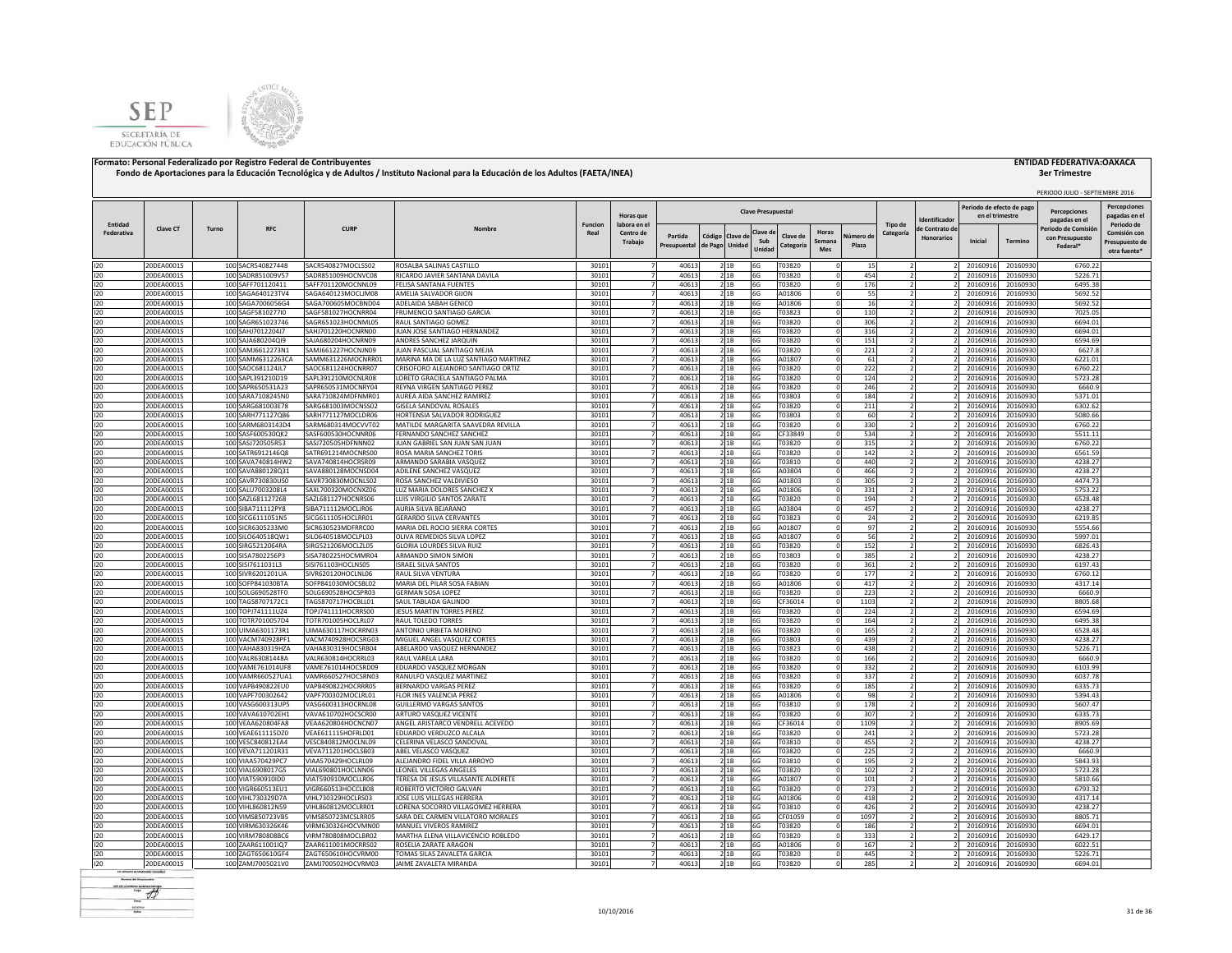



|                       |                          |       |                                        |                                          |                                                                      |                        |                                  |                         |                                   |                |                           |                       |                                     |                      |                          |                                             |                      | PERIODO JULIO - SEPTIEMBRE 2016      |                                     |
|-----------------------|--------------------------|-------|----------------------------------------|------------------------------------------|----------------------------------------------------------------------|------------------------|----------------------------------|-------------------------|-----------------------------------|----------------|---------------------------|-----------------------|-------------------------------------|----------------------|--------------------------|---------------------------------------------|----------------------|--------------------------------------|-------------------------------------|
|                       |                          |       |                                        |                                          |                                                                      |                        | Horas que                        |                         |                                   |                | <b>Clave Presupuestal</b> |                       |                                     |                      | dentificado              | Periodo de efecto de pag<br>en el trimestre |                      | <b>Percenciones</b><br>pagadas en el | <b>Percepciones</b><br>pagadas en e |
| Entidad<br>Federativa | <b>Clave CT</b>          | Turno | <b>RFC</b>                             | <b>CURP</b>                              | Nombre                                                               | <b>Funcion</b><br>Real | labora en el<br>Centro de        |                         |                                   |                | Clave d                   |                       | Horas                               | Tipo de<br>Categoría | le Contrato de           |                                             |                      | Periodo de Comisió                   | Periodo de<br>Comisión cor          |
|                       |                          |       |                                        |                                          |                                                                      |                        | Trabajo                          | Partida<br>Presupuestal | Código Clave de<br>de Pago Unidad |                | Sub<br>Unidad             | Clave de<br>Categoría | Vúmero de<br>Semana<br>Plaza<br>Mes |                      | <b>Honorarios</b>        | Inicial                                     | Termino              | con Presupuesto<br>Federal*          | Presupuesto de<br>otra fuente'      |
| 120                   | 20DEA0001S               |       | 100 SACR540827448                      | SACR540827MOCLSS02                       | ROSALBA SALINAS CASTILLO                                             | 30101                  | $\overline{7}$                   | 40613                   |                                   | 2 1B           | 6G                        | T03820                |                                     | 15                   |                          | 20160916                                    | 20160930             | 6760.22                              |                                     |
| 120                   | 20DEA0001S               |       | 100 SADR851009V57                      | SADR851009HOCNVC08                       | RICARDO JAVIER SANTANA DAVILA                                        | 30101                  | $\overline{7}$                   | 40613                   |                                   | 21B            | 6G                        | T03820                |                                     | 454                  | $\overline{2}$           | 20160916                                    | 20160930             | 5226.71                              |                                     |
| 120                   | 20DEA0001S               |       | 100 SAFF701120411                      | SAFF701120MOCNNL09                       | FELISA SANTANA FUENTES                                               | 30101                  |                                  | 40613                   |                                   | 2 1B           | 6G                        | T03820                |                                     | 176                  |                          | 20160916                                    | 20160930             | 6495.38                              |                                     |
| 120<br>120            | 20DEA0001S<br>20DEA0001S |       | 100 SAGA640123TV4<br>100 SAGA7006056G4 | SAGA640123MOCLJM08<br>SAGA700605MOCBND04 | AMELIA SALVADOR GIJON<br>ADELAIDA SABAH GENICO                       | 30101<br>30101         |                                  | 40613<br>40613          |                                   | 21B            | 6G<br>6G                  | A01806<br>A01806      |                                     | 55<br>16             |                          | 20160916<br>20160916                        | 20160930<br>20160930 | 5692.52<br>5692.52                   |                                     |
| 120                   | 20DEA0001S               |       | 100 SAGF5810277I0                      | SAGF581027HOCNRR04                       | FRUMENCIO SANTIAGO GARCIA                                            | 30101                  |                                  | 40613                   |                                   | 21B<br>2 1 B   | 6G                        | T03823                |                                     | 110                  |                          | 20160916                                    | 20160930             | 7025.05                              |                                     |
| 120                   | 20DEA0001S               |       | 100 SAGR651023746                      | SAGR651023HOCNML05                       | RAUL SANTIAGO GOMEZ                                                  | 30101                  |                                  | 40613                   |                                   | 21B            | 6G                        | T03820                |                                     | 306                  |                          | 20160916                                    | 20160930             | 6694.01                              |                                     |
| 120                   | 20DEA0001S               |       | 100 SAHJ7012204J7                      | SAHJ701220HOCNRN00                       | JUAN JOSE SANTIAGO HERNANDEZ                                         | 30101                  |                                  | 40613                   |                                   | 21B            | 6G                        | T03820                |                                     | 316                  |                          | 20160916                                    | 20160930             | 6694.01                              |                                     |
| 120                   | 20DEA0001S               |       | 100 SAJA680204QI9                      | SAJA680204HOCNRN09                       | ANDRES SANCHEZ JAROUIN                                               | 30101                  |                                  | 40613                   |                                   | 2 1B           | 6G                        | T03820                |                                     | 151                  |                          | 20160916                                    | 20160930             | 6594.69                              |                                     |
| 120                   | 20DEA0001S               |       | 100 SAMJ6612273N1                      | SAMJ661227HOCNJN09                       | <b>IUAN PASCUAL SANTIAGO MEILA</b>                                   | 30101                  | -7                               | 40613                   |                                   | 2 1 B          | 6G                        | T03820                |                                     | 221                  |                          | 20160916                                    | 20160930             | 6627.8                               |                                     |
| 120                   | 20DEA0001S               |       | 100 SAMM6312263CA                      | SAMM631226MOCNRR01                       | MARINA MA DE LA LUZ SANTIAGO MARTINEZ                                | 30101                  | $\overline{7}$                   | 40613                   |                                   | 2 1 B          | 6G                        | A01807                |                                     | 61                   | $\overline{z}$           | 20160916                                    | 20160930             | 6221.01                              |                                     |
| 120<br>120            | 20DEA0001S<br>20DEA0001S |       | 100 SAOC681124JL7<br>100 SAPL391210D19 | SAOC681124HOCNRR07<br>SAPL391210MOCNLR08 | CRISOFORO ALEJANDRO SANTIAGO ORTIZ<br>LORETO GRACIELA SANTIAGO PALMA | 30101<br>30101         |                                  | 40613<br>40613          |                                   | 21B<br>2 1 B   | 6G<br>6G                  | T03820<br>T03820      |                                     | 222<br>124           | $\overline{z}$           | 20160916<br>20160916                        | 20160930<br>20160930 | 6760.22<br>5723.28                   |                                     |
| 120                   | 20DEA0001S               |       | 100 SAPR650531A23                      | SAPR650531MOCNRY04                       | REYNA VIRGEN SANTIAGO PEREZ                                          | 30101                  |                                  | 40613                   |                                   | 2 1 B          | 6G                        | T03820                |                                     | 246                  |                          | 20160916                                    | 20160930             | 6660.9                               |                                     |
| 120                   | 20DEA0001S               |       | 100 SARA7108245N0                      | SARA710824MDFNMR01                       | AUREA AIDA SANCHEZ RAMIREZ                                           | 30101                  | $\overline{7}$                   | 40613                   |                                   | 2 1 B          | 6G                        | T03803                |                                     | 184                  | $\overline{2}$           | 20160916                                    | 20160930             | 5371.01                              |                                     |
| 120                   | 20DEA0001S               |       | 100 SARG681003E78                      | SARG681003MOCNSS02                       | GISELA SANDOVAL ROSALES                                              | 30101                  | $\overline{7}$                   | 40613                   |                                   | 21B            | 6G                        | T03820                |                                     | 211                  | $\overline{2}$           | 20160916                                    | 20160930             | 6302.62                              |                                     |
| 120                   | 20DEA0001S               |       | 100 SARH771127QB6                      | SARH771127MOCLDR06                       | HORTENSIA SALVADOR RODRIGUEZ                                         | 30101                  | $\overline{7}$                   | 40613                   |                                   | 21B            | 6G                        | T03803                |                                     | 60                   | $\overline{2}$           | 20160916                                    | 20160930             | 5080.66                              |                                     |
| 120                   | 20DEA0001S               |       | 100 SARM6803143D4                      | SARM680314MOCVVT02                       | MATILDE MARGARITA SAAVEDRA REVILLA                                   | 30101                  | $\overline{7}$                   | 40613                   |                                   | 21B            | 6G                        | T03820                |                                     | 330                  | $\overline{2}$           | 20160916                                    | 20160930             | 6760.22                              |                                     |
| 120                   | 20DEA0001S               |       | 100 SASF600530QK2                      | SASF600530HOCNNR06                       | FERNANDO SANCHEZ SANCHEZ                                             | 30101                  | $\overline{7}$                   | 40613                   |                                   | 21B            | 6G                        | CF33849               |                                     | 534                  | $\overline{2}$           | 20160916                                    | 20160930             | 5511.11                              |                                     |
| 120                   | 20DEA0001S               |       | 100 SASJ720505R53                      | SASJ720505HDFNNN02                       | JUAN GABRIEL SAN JUAN SAN JUAN                                       | 30101                  | $\overline{7}$                   | 40613                   |                                   | 21B            | 6G                        | T03820                |                                     | 315                  |                          | 2016091                                     | 20160930             | 6760.22                              |                                     |
| 120<br>120            | 20DEA0001S<br>20DEA0001S |       | 100 SATR6912146Q8<br>100 SAVA740814HW2 | SATR691214MOCNRS00<br>SAVA740814HOCRSR09 | ROSA MARIA SANCHEZ TORIS<br>ARMANDO SARABIA VASQUEZ                  | 30101<br>30101         |                                  | 40613<br>40613          |                                   | 2 1 B<br>2 1 B | 6G<br>6G                  | T03820<br>T03810      |                                     | 142<br>440           |                          | 2016091<br>20160916                         | 20160930<br>20160930 | 6561.59<br>4238.27                   |                                     |
| 120                   | 20DEA0001S               |       | 100 SAVA880128Q31                      | SAVA880128MOCNSD04                       | ADILENE SANCHEZ VASQUEZ                                              | 30101                  |                                  | 40613                   |                                   | 2 1 B          | 6G                        | A03804                |                                     | 466                  |                          | 2016091                                     | 20160930             | 4238.27                              |                                     |
| 120                   | 20DEA0001S               |       | 100 SAVR730830US0                      | SAVR730830MOCNLS02                       | ROSA SANCHEZ VALDIVIESO                                              | 30101                  |                                  | 40613                   |                                   | 2 1B           | 6G                        | A01803                |                                     | 305                  |                          | 2016091                                     | 20160930             | 4474.73                              |                                     |
| 120                   | 20DEA0001S               |       | 100 SALU7003208L4                      | SAXL700320MOCNXZ06                       | LUZ MARIA DOLORES SANCHEZ X                                          | 30101                  |                                  | 40613                   |                                   | 2 1B           | 6G                        | A01806                |                                     | 331                  |                          | 20160916                                    | 20160930             | 5753.22                              |                                     |
| 120                   | 20DEA0001S               |       | 100 SAZL681127268                      | SAZL681127HOCNRS06                       | LUIS VIRGILIO SANTOS ZARATE                                          | 30101                  |                                  | 40613                   |                                   | 2 1B           | 6G                        | T03820                |                                     | 194                  |                          | 2016091                                     | 20160930             | 6528.48                              |                                     |
| 120                   | 20DEA0001S               |       | 100 SIBA711112PY8                      | SIBA711112MOCLJR06                       | AURIA SILVA BEJARANO                                                 | 30101                  |                                  | 40613                   |                                   | 2 1B           | 6G                        | A03804                |                                     | 457                  |                          | 20160916                                    | 20160930             | 4238.27                              |                                     |
| 120                   | 20DEA0001S<br>20DEA0001S |       | 100 SICG6111051N5<br>100 SICR6305233M0 | SICG611105HOCLRR01<br>SICR630523MDFRRC00 | <b>GERARDO SILVA CERVANTES</b><br>MARIA DEL ROCIO SIERRA CORTES      | 30101<br>30101         | 7                                | 40613<br>40613          |                                   | 2 1 B          | 6G                        | T03823                |                                     | 24<br>97             |                          | 20160916<br>20160916                        | 20160930<br>20160930 | 6219.85<br>5554.66                   |                                     |
| 120<br>120            | 20DEA0001S               |       | 100 SILO640518QW1                      | SILO640518MOCLPL03                       | OLIVA REMEDIOS SILVA LOPEZ                                           | 3010                   |                                  | 40613                   |                                   | 21B<br>21B     | 6G<br>6G                  | A01807<br>A01807      |                                     | 56                   |                          | 20160916                                    | 20160930             | 5997.01                              |                                     |
| 120                   | 20DEA0001S               |       | 100 SIRG5212064RA                      | SIRG521206MOCLZL05                       | GLORIA LOURDES SILVA RUIZ                                            | 30101                  |                                  | 40613                   |                                   | 21B            | 6G                        | T03820                |                                     | 152                  |                          | 20160916                                    | 20160930             | 6826.43                              |                                     |
| 120                   | 20DEA0001S               |       | 100 SISA7802256P3                      | SISA780225HOCMMR04                       | ARMANDO SIMON SIMON                                                  | 30101                  | $\overline{7}$                   | 40613                   |                                   | 2 1 B          | 6G                        | T03803                |                                     | 385                  |                          | 20160916                                    | 20160930             | 4238.27                              |                                     |
| 120                   | 20DEA0001S               |       | 100 SISI7611031L3                      | SISI761103HOCLNS05                       | <b>ISRAEL SILVA SANTOS</b>                                           | 30101                  | $\overline{7}$                   | 40613                   |                                   | 21B            | 6G                        | T03820                |                                     | 361                  |                          | 20160916                                    | 20160930             | 6197.43                              |                                     |
| 120                   | 20DEA0001S               |       | 100 SIVR6201201UA                      | SIVR620120HOCLNL06                       | RAUL SILVA VENTURA                                                   | 30101                  | $\overline{7}$                   | 40613                   |                                   | 21B            | 6G                        | T03820                |                                     | 177                  | $\overline{2}$           | 20160916                                    | 20160930             | 6760.12                              |                                     |
| 120                   | 20DEA0001S               |       | 100 SOFP841030BTA                      | SOFP841030MOCSBL02                       | MARIA DEL PILAR SOSA FABIAN                                          | 30101                  | $\overline{7}$                   | 40613                   |                                   | 21B            | 6G                        | A01806                |                                     | 417                  | $\overline{2}$           | 20160916                                    | 20160930             | 4317.14                              |                                     |
| 120                   | 20DEA0001S               |       | 100 SOLG690528TF0                      | SOLG690528HOCSPR03                       | <b>GERMAN SOSA LOPEZ</b>                                             | 30101                  | $\overline{7}$<br>$\overline{z}$ | 40613                   |                                   | 21B            | 6G                        | T03820                |                                     | 223                  | ν                        | 20160916                                    | 20160930             | 6660.9<br>8805.68                    |                                     |
| 120<br>120            | 20DEA0001S<br>20DEA0001S |       | 100 TAGS8707172C1<br>100 TOPJ741111UZ4 | TAGS870717HOCBLL01<br>TOPJ741111HOCRRS00 | SAUL TABLADA GALINDO<br>JESUS MARTIN TORRES PEREZ                    | 30101<br>30101         | $\overline{7}$                   | 40613<br>40613          |                                   | 21B<br>21B     | 6G<br>6G                  | CF36014<br>T03820     |                                     | 1103<br>224          | $\overline{2}$           | 20160916<br>20160916                        | 20160930<br>20160930 | 6594.69                              |                                     |
| 120                   | 20DEA0001S               |       | 100 TOTR7010057D4                      | TOTR701005HOCLRL07                       | <b>RAUL TOLEDO TORRES</b>                                            | 30101                  |                                  | 40613                   |                                   | 2 1 B          | 6G                        | T03820                |                                     | 164                  | $\overline{\phantom{a}}$ | 20160916                                    | 20160930             | 6495.38                              |                                     |
| 120                   | 20DEA0001S               |       | 100 UIMA6301173R1                      | UIMA630117HOCRRN03                       | ANTONIO URBIETA MORENO                                               | 30101                  |                                  | 40613                   |                                   | 21B            | 6G                        | T03820                |                                     | 165                  |                          | 20160916                                    | 20160930             | 6528.48                              |                                     |
| 120                   | 20DEA0001S               |       | 100 VACM740928PF1                      | VACM740928HOCSRG03                       | MIGUEL ANGEL VASQUEZ CORTES                                          | 30101                  |                                  | 40613                   |                                   | 2 1 B          | 6G                        | T03803                |                                     | 439                  |                          | 20160916                                    | 20160930             | 4238.27                              |                                     |
| 120                   | 20DEA0001S               |       | 100 VAHA830319HZA                      | VAHA830319HOCSRB04                       | ABELARDO VASQUEZ HERNANDEZ                                           | 30101                  |                                  | 40613                   |                                   | 21B            | 6G                        | T03823                |                                     | 438                  |                          | 20160916                                    | 20160930             | 5226.71                              |                                     |
| 120                   | 20DEA0001S               |       | 100 VALR63081448A                      | VALR630814HOCRRL03                       | RAUL VARELA LARA                                                     | 30101                  |                                  | 40613                   |                                   | 21B            | 6G                        | T03820                |                                     | 166                  |                          | 20160916                                    | 20160930             | 6660.9                               |                                     |
| 120<br>120            | 20DEA0001S               |       | 100 VAME761014UF8<br>100 VAMR660527UA1 | VAME761014HOCSRD09<br>VAMR660527HOCSRN03 | EDUARDO VASQUEZ MORGAN                                               | 30101<br>30101         |                                  | 40613<br>40613          |                                   | 21B            | 6G                        | T03820<br>T03820      |                                     | 332<br>337           |                          | 20160916<br>20160916                        | 20160930<br>20160930 | 6103.99<br>6037.78                   |                                     |
| 120                   | 20DEA0001S<br>20DEA0001S |       | 100 VAPB490822EU0                      | VAPB490822HOCRRR05                       | RANULFO VASQUEZ MARTINEZ<br>BERNARDO VARGAS PEREZ                    | 30101                  | 7                                | 40613                   |                                   | 21B<br>2 1 B   | 6G<br>6G                  | T03820                |                                     | 185                  |                          | 20160916                                    | 20160930             | 6335.73                              |                                     |
| 120                   | 20DEA0001S               |       | 100 VAPF700302642                      | VAPF700302MOCLRL01                       | FLOR INES VALENCIA PEREZ                                             | 30101                  | 7                                | 40613                   |                                   | 2 1 B          | 6G                        | A01806                |                                     | 98                   | $\overline{z}$           | 20160916                                    | 20160930             | 5394.43                              |                                     |
| 120                   | 20DEA0001S               |       | 100 VASG600313UP5                      | VASG600313HOCRNL08                       | <b>GUILLERMO VARGAS SANTOS</b>                                       | 30101                  |                                  | 40613                   |                                   | 2 1 B          | 6G                        | T03810                |                                     | 178                  | $\overline{z}$           | 20160916                                    | 20160930             | 5607.47                              |                                     |
| 120                   | 20DEA0001S               |       | 100 VAVA610702EH1                      | VAVA610702HOCSCR00                       | ARTURO VASQUEZ VICENTE                                               | 30101                  | $\overline{7}$                   | 40613                   |                                   | 21B            | 6G                        | T03820                |                                     | 307                  |                          | 20160916                                    | 20160930             | 6335.73                              |                                     |
| 120                   | 20DEA0001S               |       | 100 VEAA620804FA8                      | VEAA620804HOCNCN07                       | ANGEL ARISTARCO VENDRELL ACEVEDO                                     | 30101                  | $\overline{7}$                   | 40613                   |                                   | 2 1 B          | 6G                        | CF36014               |                                     | 1109                 |                          | 20160916                                    | 20160930             | 8905.69                              |                                     |
| 120                   | 20DEA0001S               |       | 100 VEAE611115DZ0                      | VEAE611115HDFRLD01                       | EDUARDO VERDUZCO ALCALA                                              | 30101                  | $\overline{7}$                   | 40613                   |                                   | 21B            | 6G                        | T03820                |                                     | 241                  |                          | 20160916                                    | 20160930             | 5723.28                              |                                     |
| 120<br>120            | 20DEA0001S               |       | 100 VESC840812EA4                      | VESC840812MOCLNL09                       | CELERINA VELASCO SANDOVAL                                            | 30101<br>30101         | $\overline{7}$<br>$\overline{7}$ | 40613<br>40613          |                                   | 21B<br>21B     | 6G<br>6G                  | T03810<br>T03820      |                                     | 455<br>225           | $\overline{z}$<br>ν      | 20160916<br>20160916                        | 20160930<br>20160930 | 4238.27<br>6660.9                    |                                     |
| 120                   | 20DEA0001S<br>20DEA0001S |       | 100 VEVA711201R31<br>100 VIAA570429PC7 | VEVA711201HOCLSB03<br>VIAA570429HOCLRL09 | ABEL VELASCO VASQUEZ<br>ALEJANDRO FIDEL VILLA ARROYO                 | 30101                  | $\overline{7}$                   | 40613                   |                                   | 21B            | 6G                        | T03810                |                                     | 195                  |                          | 20160916                                    | 20160930             | 5843.93                              |                                     |
| 120                   | 20DEA0001S               |       | 100 VIAL6908017G5                      | VIAL690801HOCLNN06                       | LEONEL VILLEGAS ANGELES                                              | 30101                  | $\overline{7}$                   | 40613                   |                                   | 2 1B           | 6G                        | T03820                |                                     | 102                  | $\overline{2}$           | 20160916                                    | 20160930             | 5723.28                              |                                     |
| 120                   | 20DEA0001S               |       | 100 VIAT590910ID0                      | VIAT590910MOCLLR06                       | TERESA DE JESUS VILLASANTE ALDERETE                                  | 30101                  | $\overline{7}$                   | 40613                   |                                   | 21B            | 6G                        | A01807                |                                     | 101                  | $\overline{\phantom{a}}$ | 20160916                                    | 20160930             | 5810.66                              |                                     |
| 120                   | 20DEA0001S               |       | 100 VIGR660513EU1                      | VIGR660513HOCCLB08                       | ROBERTO VICTORIO GALVAN                                              | 30101                  |                                  | 40613                   |                                   | 2 1 B          | 6G                        | T03820                |                                     | 273                  |                          | 2016091                                     | 20160930             | 6793.32                              |                                     |
| 120                   | 20DEA0001S               |       | 100 VIHL730329D7A                      | VIHL730329HOCLRS03                       | JOSE LUIS VILLEGAS HERRERA                                           | 30101                  |                                  | 40613                   |                                   | 2 1 B          | 6G                        | A01806                |                                     | 418                  |                          | 2016091                                     | 20160930             | 4317.14                              |                                     |
| 120                   | 20DEA0001S               |       | 100 VIHL860812N59                      | VIHL860812MOCLRR01                       | LORENA SOCORRO VILLAGOMEZ HERRERA                                    | 30101                  |                                  | 40613                   |                                   | 2 1B           | 6G                        | T03810                |                                     | 426                  |                          | 2016091                                     | 20160930             | 4238.27                              |                                     |
| 120                   | 20DEA0001S               |       | 100 VIMS850723VB5                      | VIMS850723MCSLRR05                       | SARA DEL CARMEN VILLATORO MORALES                                    | 30101                  |                                  | 40613                   |                                   | 2 1B           | 6G                        | CF01059               |                                     | 1097                 |                          | 20160916                                    | 20160930             | 8805.71                              |                                     |
| 120<br>120            | 20DEA0001S<br>20DEA0001S |       | 100 VIRM630326K46<br>100 VIRM780808BC6 | VIRM630326HOCVMN00<br>VIRM780808MOCLBR02 | MANUEL VIVEROS RAMIREZ<br>MARTHA ELENA VILLAVICENCIO ROBLEDO         | 30101<br>30101         |                                  | 40613<br>40613          |                                   | 21B            | 6G                        | T03820<br>T03820      |                                     | 186<br>333           |                          | 20160916<br>20160916                        | 20160930<br>20160930 | 6694.01<br>6429.17                   |                                     |
| 120                   | 20DEA0001S               |       | 100 ZAAR611001lQ7                      | ZAAR611001MOCRRS02                       | ROSELIA ZARATE ARAGON                                                | 3010                   |                                  | 40613                   |                                   | 21B<br>2 1 B   | 6G<br>6G                  | A01806                |                                     | 167                  |                          | 2016091                                     | 20160930             | 6022.51                              |                                     |
| 120                   | 20DEA0001S               |       | 100 ZAGT650610GF4                      | 7AGT650610HOCVRM00                       | TOMAS SILAS ZAVALETA GARCIA                                          | 30101                  | $\overline{7}$                   | 40613                   |                                   | 2 1 B          | 6G                        | T03820                |                                     | 445                  |                          | 20160916                                    | 20160930             | 5226.71                              |                                     |
| 120                   | 20DEA0001S               |       | 100 ZAMJ7005021V0                      | ZAMJ700502HOCVRM03                       | JAIME ZAVALETA MIRANDA                                               | 30101                  | $\overline{7}$                   | 40613                   |                                   | 2 1 B          | 6G                        | T03820                |                                     | 285                  | 2                        | 20160916                                    | 20160930             | 6694.01                              |                                     |
|                       |                          |       |                                        |                                          |                                                                      |                        |                                  |                         |                                   |                |                           |                       |                                     |                      |                          |                                             |                      |                                      |                                     |

**Render del Francesco**  $-46$ scales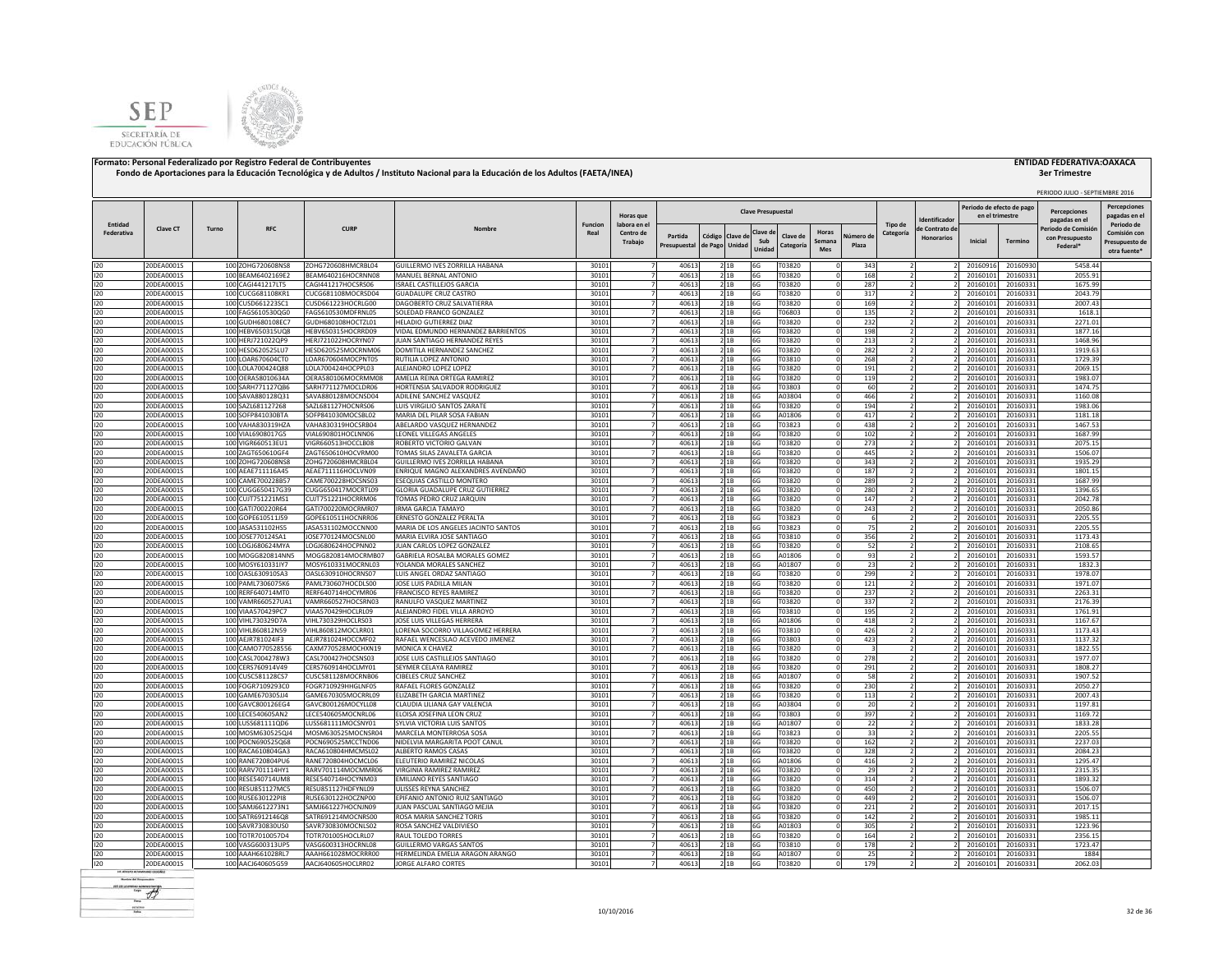



|                       |                          |                  |                                           |                                          |                                                                      |                        |                                  |                |                            |               |                           |                       |                      |                    |                      |                   |                                             |                      | PERIODO JULIO - SEPTIEMBRE 2016      |                                     |
|-----------------------|--------------------------|------------------|-------------------------------------------|------------------------------------------|----------------------------------------------------------------------|------------------------|----------------------------------|----------------|----------------------------|---------------|---------------------------|-----------------------|----------------------|--------------------|----------------------|-------------------|---------------------------------------------|----------------------|--------------------------------------|-------------------------------------|
|                       |                          |                  |                                           |                                          |                                                                      |                        | Horas que                        |                |                            |               | <b>Clave Presupuestal</b> |                       |                      |                    |                      | dentificado       | Periodo de efecto de pag<br>en el trimestre |                      | <b>Percenciones</b><br>pagadas en el | <b>Percepciones</b><br>pagadas en e |
| Entidad<br>Federativa | Clave CT                 | Turno            | <b>RFC</b>                                | <b>CURP</b>                              | Nombre                                                               | <b>Funcion</b><br>Real | labora en el<br>Centro de        | Partida        |                            |               | Clave d                   |                       | Horas                |                    | Tipo de<br>Categoría | le Contrato de    |                                             |                      | 'eriodo de Comisió                   | Periodo de<br>Comisión cor          |
|                       |                          |                  |                                           |                                          |                                                                      |                        | Trabajo                          | Presupuestal   | Código Clave de<br>de Pago | Unidad        | Sub<br>Unidad             | Clave de<br>Categoría | Semana<br><b>Mes</b> | Vúmero de<br>Plaza |                      | <b>Honorarios</b> | Inicial                                     | Termino              | con Presupuesto<br>Federal*          | Presupuesto de<br>otra fuente'      |
|                       |                          |                  |                                           |                                          |                                                                      |                        |                                  |                |                            |               |                           |                       |                      |                    |                      |                   |                                             |                      |                                      |                                     |
| 120<br>120            | 20DEA0001S<br>20DEA0001S |                  | 100 ZOHG720608NS8<br>100 BEAM6402169E2    | ZOHG720608HMCRBL04<br>BEAM640216HOCRNN08 | GUILLERMO IVES ZORRILLA HABANA<br>MANUEL BERNAL ANTONIO              | 30101<br>30101         | $\overline{7}$<br>$\overline{7}$ | 40613<br>40613 |                            | 2 1 B<br>2 1B | 6G<br>6G                  | T03820<br>T03820      |                      | 343<br>168         |                      |                   | 20160916<br>20160101                        | 20160930<br>20160331 | 5458.44<br>2055.91                   |                                     |
| 120                   | 20DEA0001S               |                  | 100 CAGI441217LT5                         | CAGI441217HOCSRS06                       | SRAEL CASTILLEJOS GARCIA                                             | 30101                  | 7                                | 40613          |                            | 2 1B          | 6G                        | T03820                |                      | 287                |                      |                   | 20160101                                    | 20160331             | 1675.99                              |                                     |
| 120                   | 20DEA0001S               |                  | 100 CUCG681108KR1                         | CUCG681108MOCRSD04                       | <b>GUADALUPE CRUZ CASTRO</b>                                         | 30101                  | $\overline{7}$                   | 40613          |                            | 21B           | 6G                        | T03820                |                      | 317                |                      |                   | 20160101                                    | 20160331             | 2043.79                              |                                     |
| 120                   | 20DEA0001S               |                  | 100 CUSD661223SC1                         | CUSD661223HOCRLG00                       | DAGOBERTO CRUZ SALVATIERRA                                           | 30101                  |                                  | 40613          |                            | 21B           | 6G                        | T03820                |                      | 169                |                      |                   | 20160101                                    | 20160331             | 2007.43                              |                                     |
| 120                   | 20DEA0001S               |                  | 100 FAGS610530QG0                         | FAGS610530MDFRNL05                       | <b>SOLEDAD FRANCO GONZALEZ</b>                                       | 30101                  |                                  | 40613          |                            | 2 1B          | 6G                        | T06803                |                      | 135                |                      |                   | 20160101                                    | 20160331             | 1618.1                               |                                     |
| 120<br>120            | 20DEA0001S<br>20DEA0001S |                  | 100 GUDH680108EC7<br>100 HEBV650315UQ8    | GUDH680108HOCTZL01<br>HEBV650315HOCRRD09 | HELADIO GUTIERREZ DIAZ<br>VIDAL EDMUNDO HERNANDEZ BARRIENTOS         | 30101<br>30101         |                                  | 40613<br>40613 |                            | 21B<br>21B    | 6G<br>6G                  | T03820<br>T03820      |                      | 232<br>198         |                      |                   | 20160101<br>20160101                        | 20160331<br>20160331 | 2271.01<br>1877.16                   |                                     |
| 120                   | 20DEA0001S               |                  | 100 HERJ721022QP9                         | HERJ721022HOCRYN07                       | <b>UAN SANTIAGO HERNANDEZ REYES</b>                                  | 30101                  | 7                                | 40613          |                            | 21B           | 6G                        | T03820                |                      | 213                |                      |                   | 20160101                                    | 20160331             | 1468.96                              |                                     |
| 120                   | 20DEA0001S               |                  | 100 HESD620525LU7                         | HESD620525MOCRNM06                       | DOMITILA HERNANDEZ SANCHEZ                                           | 30101                  | $\overline{7}$                   | 40613          |                            | 2 1B          | 6G                        | T03820                |                      | 282                |                      |                   | 20160101                                    | 2016033              | 1919.63                              |                                     |
| 120                   | 20DEA0001S               |                  | 100 LOAR670604CT0                         | LOAR670604MOCPNT05                       | RUTILIA LOPEZ ANTONIO                                                | 30101                  | $\overline{7}$                   | 40613          |                            | 21B           | 6G                        | T03810                |                      | 268                | $\overline{2}$       |                   | 20160101                                    | 2016033              | 1729.39                              |                                     |
| 120                   | 20DEA0001S               |                  | 100 LOLA700424Q88                         | LOLA700424HOCPPL03                       | ALEJANDRO LOPEZ LOPEZ                                                | 30101                  | $\overline{7}$                   | 40613          |                            | 2 1B          | 6G                        | T03820                |                      | 191                |                      |                   | 20160101                                    | 20160331             | 2069.15                              |                                     |
| 120                   | 20DEA0001S               |                  | 100 OERA58010634A                         | OERA580106MOCRMM08                       | AMELIA REINA ORTEGA RAMIREZ                                          | 30101                  | 7                                | 40613          |                            | 2 1 B         | 6G                        | T03820                |                      | 119                |                      |                   | 20160101                                    | 20160331             | 1983.07                              |                                     |
| 120                   | 20DEA0001S               |                  | 100 SARH771127QB6                         | SARH771127MOCLDR06                       | HORTENSIA SALVADOR RODRIGUEZ                                         | 30101                  | $\overline{7}$                   | 40613          |                            | 21B           | 6G                        | T03803                |                      | 60                 |                      |                   | 20160101                                    | 2016033              | 1474.75                              |                                     |
| 120<br>120            | 20DEA0001S<br>20DEA0001S |                  | 100 SAVA880128Q31<br>100 SAZL681127268    | SAVA880128MOCNSD04<br>SAZL681127HOCNRS06 | ADILENE SANCHEZ VASQUEZ<br>LUIS VIRGILIO SANTOS ZARATE               | 30101<br>30101         | $\overline{7}$<br>7              | 40613<br>40613 |                            | 2 1B<br>21B   | 6G<br>6G                  | A03804<br>T03820      |                      | 466<br>194         | $\overline{2}$       |                   | 2016010<br>20160101                         | 2016033<br>20160331  | 1160.08<br>1983.06                   |                                     |
| 120                   | 20DEA0001S               |                  | 100 SOFP841030BTA                         | SOFP841030MOCSBL02                       | MARIA DEL PILAR SOSA FABIAN                                          | 30101                  | 7                                | 40613          |                            | 21B           | 6G                        | A01806                |                      | 417                |                      |                   | 20160101                                    | 20160331             | 1181.18                              |                                     |
| 120                   | 20DEA0001S               |                  | 100 VAHA830319HZA                         | VAHA830319HOCSRB04                       | ABELARDO VASQUEZ HERNANDEZ                                           | 30101                  | 7                                | 40613          |                            | 21B           | 6G                        | T03823                |                      | 438                |                      |                   | 20160101                                    | 20160331             | 1467.53                              |                                     |
| 120                   | 20DEA0001S               |                  | 100 VIAL6908017G5                         | VIAL690801HOCLNN06                       | LEONEL VILLEGAS ANGELES                                              | 30101                  | 7                                | 40613          |                            | 21B           | 6G                        | T03820                |                      | 102                | $\overline{2}$       |                   | 2016010                                     | 20160331             | 1687.99                              |                                     |
| 120                   | 20DEA0001S               |                  | 100 VIGR660513EU1                         | VIGR660513HOCCLB08                       | ROBERTO VICTORIO GALVAN                                              | 30101                  | $\overline{7}$                   | 40613          |                            | 21B           | 6G                        | T03820                |                      | 273                |                      |                   | 2016010                                     | 20160331             | 2075.15                              |                                     |
| 120                   | 20DEA0001S               |                  | 100 ZAGT650610GF4                         | ZAGT650610HOCVRM00                       | TOMAS SILAS ZAVALETA GARCIA                                          | 30101                  |                                  | 40613          |                            | 21B           | 6G                        | T03820                |                      | 445                |                      |                   | 2016010                                     | 2016033              | 1506.07                              |                                     |
| 120                   | 20DEA0001S               |                  | 100 ZOHG720608NS8                         | ZOHG720608HMCRBL04                       | GUILLERMO IVES ZORRILLA HABANA                                       | 30101                  |                                  | 40613          |                            | 21B           | 6G                        | T03820                |                      | 343                |                      |                   | 20160101                                    | 20160331             | 1935.29                              |                                     |
| 120<br>120            | 20DEA0001S               | 100<br>100       | AEAE711116A45<br>AMF700228B57             | AEAE711116HOCLVN09<br>CAME700228HOCSNS03 | NRIQUE MAGNO ALEXANDRES AVENDAÑO<br>SEQUIAS CASTILLO MONTERO         | 30101                  |                                  | 40613<br>40613 |                            | 21B           | 6G<br>6G                  | T03820                |                      | 187                |                      |                   | 2016010<br>2016010                          | 2016033              | 1801.15<br>1687.99                   |                                     |
| 120                   | 20DEA0001S<br>20DEA0001S |                  | 100 CUGG650417G39                         | CUGG650417MOCRTL09                       | <b>GLORIA GUADALUPE CRUZ GUTIERREZ</b>                               | 30101<br>30101         |                                  | 40613          |                            | 2 1 B<br>21B  | 6G                        | T03820<br>T03820      |                      | 289<br>280         |                      |                   | 20160101                                    | 20160331<br>20160331 | 1396.65                              |                                     |
| 120                   | 20DEA0001S               |                  | 100 CUJT751221MS1                         | CUJT751221HOCRRM06                       | OMAS PEDRO CRUZ JARQUIN                                              | 30101                  |                                  | 40613          |                            | 2 1 B         | 6G                        | T03820                |                      | 147                |                      |                   | 20160101                                    | 20160331             | 2042.78                              |                                     |
| 120                   | 20DEA0001S               |                  | 100 GATI700220R64                         | GATI700220MOCRMR07                       | RMA GARCIA TAMAYO                                                    | 30101                  |                                  | 40613          |                            | 21B           | 6G                        | T03820                |                      | 243                |                      |                   | 20160101                                    | 20160331             | 2050.86                              |                                     |
| 120                   | 20DEA0001S               |                  | 100 GOPE610511J59                         | GOPE610511HOCNRR06                       | ERNESTO GONZALEZ PERALTA                                             | 30101                  |                                  | 40613          |                            | 21B           | 6G                        | T03823                |                      | -6                 |                      |                   | 20160101                                    | 20160331             | 2205.55                              |                                     |
| 120                   | 20DEA0001S               |                  | 100 JASA531102HS5                         | JASA531102MOCCNN00                       | MARIA DE LOS ANGELES JACINTO SANTOS                                  | 30101                  |                                  | 40613          |                            | 21B           | 6G                        | T03823                |                      | 75                 |                      |                   | 2016010                                     | 20160331             | 2205.55                              |                                     |
| 120                   | 20DEA0001S               |                  | 100 JOSE770124SA1                         | JOSE770124MOCSNL00                       | MARIA ELVIRA JOSE SANTIAGO                                           | 30101                  |                                  | 40613          |                            | 21B           | 6G                        | T03810                |                      | 356                |                      |                   | 20160101                                    | 20160331             | 1173.43                              |                                     |
| 120                   | 20DEA0001S<br>20DEA0001S |                  | 100 LOGJ680624MYA<br>100 MOGG820814NN5    | LOGJ680624HOCPNN02<br>MOGG820814MOCRMB07 | JUAN CARLOS LOPEZ GONZALEZ<br>GABRIELA ROSALBA MORALES GOMEZ         | 30101                  | $\overline{7}$                   | 40613<br>40613 |                            | 21B           | 6G<br>6G                  | T03820                |                      | 52<br>93           |                      |                   | 20160101<br>2016010                         | 20160331             | 2108.65<br>1593.57                   |                                     |
| 120<br>120            | 20DEA0001S               |                  | 100 MOSY610331lY7                         | MOSY610331MOCRNL03                       | <b>/OLANDA MORALES SANCHEZ</b>                                       | 30101<br>30101         | $\overline{7}$                   | 40613          |                            | 21B<br>21B    | 6G                        | A01806<br>A01807      |                      | 23                 |                      |                   | 20160101                                    | 20160331<br>20160331 | 1832.3                               |                                     |
| 120                   | 20DEA0001S               |                  | 100 OASL630910SA3                         | OASL630910HOCRNS07                       | LUIS ANGEL ORDAZ SANTIAGO                                            | 30101                  | 7 <sup>1</sup>                   | 40613          |                            | 21B           | 6G                        | T03820                |                      | 299                |                      |                   | 20160101                                    | 20160331             | 1978.07                              |                                     |
| 120                   | 20DEA0001S               |                  | 100 PAML7306075K6                         | PAML730607HOCDLS00                       | JOSE LUIS PADILLA MILAN                                              | 30101                  | 7                                | 40613          |                            | 21B           | 6G                        | T03820                |                      | 121                | $\mathcal{P}$        |                   | 20160101                                    | 20160331             | 1971.07                              |                                     |
| 120                   | 20DEA0001S               |                  | 100 RERF640714MT0                         | RERF640714HOCYMR06                       | FRANCISCO REYES RAMIREZ                                              | 30101                  | 7                                | 40613          |                            | 21B           | 6G                        | T03820                |                      | 237                | $\overline{2}$       |                   | 20160101                                    | 20160331             | 2263.31                              |                                     |
| 120                   | 20DEA0001S               |                  | 100 VAMR660527UA1                         | VAMR660527HOCSRN03                       | RANULFO VASQUEZ MARTINEZ                                             | 30101                  | $\overline{7}$                   | 40613          |                            | 21B           | 6G                        | T03820                |                      | 337                |                      |                   | 20160101                                    | 20160331             | 2176.39                              |                                     |
| 120                   | 20DEA0001S               |                  | 100 VIAA570429PC7                         | VIAA570429HOCLRL09                       | ALEJANDRO FIDEL VILLA ARROYO                                         | 30101                  | $\overline{7}$                   | 40613          |                            | 21B           | 6G                        | T03810                |                      | 195                |                      |                   | 20160101                                    | 20160331             | 1761.91                              |                                     |
| 120<br>120            | 20DEA0001S               |                  | 100 VIHL730329D7A                         | VIHL730329HOCLRS03                       | JOSE LUIS VILLEGAS HERRERA                                           | 30101                  | $\overline{7}$                   | 40613          |                            | 2 1B          | 6G                        | A01806                |                      | 418                |                      |                   | 20160101                                    | 20160331             | 1167.67                              |                                     |
| 120                   | 20DEA0001S<br>20DEA0001S | 100 <sub>l</sub> | VIHL860812N59<br>100 AEJR781024IF3        | VIHL860812MOCLRR01<br>AEJR781024HOCCMF02 | ORENA SOCORRO VILLAGOMEZ HERRERA<br>RAFAEL WENCESLAO ACEVEDO JIMENEZ | 30101<br>30101         |                                  | 40613<br>40613 |                            | 21B<br>21B    | 6G<br>6G                  | T03810<br>T03803      |                      | 426<br>423         |                      |                   | 20160101<br>20160101                        | 20160331<br>20160331 | 1173.43<br>1137.32                   |                                     |
| 120                   | 20DEA0001S               |                  | 100 CAMO770528556                         | CAXM770528MOCHXN19                       | MONICA X CHAVEZ                                                      | 30101                  |                                  | 40613          |                            | 21B           | 6G                        | T03820                |                      |                    |                      |                   | 20160101                                    | 20160331             | 1822.55                              |                                     |
| 120                   | 20DEA0001S               |                  | 100 CASL7004278W3                         | CASL700427HOCSNS03                       | <b>OSE LUIS CASTILLEJOS SANTIAGO</b>                                 | 30101                  |                                  | 40613          |                            | 21B           | 6G                        | T03820                |                      | 278                |                      |                   | 20160101                                    | 20160331             | 1977.07                              |                                     |
| 120                   | 20DEA0001S               |                  | 100 CERS760914V49                         | CERS760914HOCLMY01                       | SEYMER CELAYA RAMIREZ                                                | 30101                  |                                  | 40613          |                            | 2 1 B         | 6G                        | T03820                |                      | 291                | $\overline{2}$       |                   | 20160101                                    | 20160331             | 1808.27                              |                                     |
| 120                   | 20DEA0001S               |                  | 100 CUSC581128CS7                         | CUSC581128MOCRNB06                       | CIBELES CRUZ SANCHEZ                                                 | 30101                  | $\overline{7}$                   | 40613          |                            | 2 1B          | 6G                        | A01807                |                      | 58                 |                      |                   | 20160101                                    | 20160331             | 1907.52                              |                                     |
| 120                   | 20DEA0001S               |                  | 100 FOGR7109293C0                         | FOGR710929HHGLNF05                       | RAFAEL FLORES GONZALEZ                                               | 30101                  | 7                                | 40613          |                            | 2 1 B         | 6G                        | T03820                |                      | 230                |                      |                   | 20160101                                    | 20160331             | 2050.27                              |                                     |
| 120                   | 20DEA0001S               |                  | 100 GAME670305JJ4                         | GAME670305MOCRRL09                       | ELIZABETH GARCIA MARTINEZ                                            | 30101                  | 7                                | 40613          |                            | 2 1 B         | 6G                        | T03820                |                      | 113                | $\overline{2}$       |                   | 20160101                                    | 20160331             | 2007.43                              |                                     |
| 120<br>120            | 20DEA0001S<br>20DEA0001S |                  | 100 GAVC800126EG4<br>100 LECE540605AN2    | GAVC800126MOCYLL08<br>LECE540605MOCNRL06 | CLAUDIA LILIANA GAY VALENCIA<br>LOISA JOSEFINA LEON CRUZ             | 30101<br>30101         | 7<br>$\overline{7}$              | 40613<br>40613 |                            | 2 1 B<br>21B  | 6G<br>6G                  | A03804<br>T03803      |                      | 20<br>397          |                      |                   | 20160101<br>20160101                        | 20160331<br>2016033  | 1197.81<br>1169.72                   |                                     |
| 120                   | 20DEA0001S               |                  | 100 LUSS681111QD6                         | LUSS681111MOCSNY01                       | SYLVIA VICTORIA LUIS SANTOS                                          | 30101                  | $\overline{7}$                   | 40613          |                            | 2 1B          | 6G                        | A01807                |                      | 22                 |                      |                   | 2016010                                     | 2016033              | 1833.28                              |                                     |
| 120                   | 20DEA0001S               |                  | 100 MOSM630525QJ4                         | MOSM630525MOCNSR04                       | MARCELA MONTERROSA SOSA                                              | 30101                  | $\overline{7}$                   | 40613          |                            | 21B           | 6G                        | T03823                |                      | 33                 |                      |                   | 20160101                                    | 20160331             | 2205.55                              |                                     |
| 120                   | 20DEA0001S               |                  | 100 POCN690525Q68                         | POCN690525MCCTND06                       | NIDELVIA MARGARITA POOT CANUL                                        | 30101                  | 7                                | 40613          |                            | 21B           | 6G                        | T03820                |                      | 162                |                      |                   | 20160101                                    | 20160331             | 2237.03                              |                                     |
| 120                   | 20DEA0001S               |                  | 100 RACA610804GA3                         | RACA610804HMCMSL02                       | ALBERTO RAMOS CASAS                                                  | 30101                  | 7                                | 40613          |                            | 21B           | 6G                        | T03820                |                      | 328                | $\overline{ }$       |                   | 20160101                                    | 20160331             | 2084.23                              |                                     |
| 120                   | 20DEA0001S               |                  | 100 RANE720804PU6                         | RANE720804HOCMCL06                       | ELEUTERIO RAMIREZ NICOLAS                                            | 30101                  | $\overline{7}$                   | 40613          |                            | 21B           | 6G                        | A01806                |                      | 416                |                      |                   | 20160101                                    | 20160331             | 1295.47                              |                                     |
| 120                   | 20DEA0001S               |                  | 100 RARV701114HY1                         | RARV701114MOCMMR06                       | VIRGINIA RAMIREZ RAMIREZ                                             | 30101                  | 7                                | 40613          |                            | 2 1B          | 6G                        | T03820                |                      | 29                 |                      |                   | 20160101                                    | 2016033              | 2315.35                              |                                     |
| 120<br>120            | 20DEA0001S<br>20DEA0001S | 100              | 100 RESE540714UM8<br><b>RESU851127MC5</b> | RESE540714HOCYNM03<br>RESU851127HDFYNL09 | EMILIANO REYES SANTIAGO<br>JLISSES REYNA SANCHEZ                     | 30101<br>30101         | $\overline{7}$                   | 40613<br>40613 |                            | 2 1B<br>2 1 B | 6G<br>6G                  | T03820<br>T03820      |                      | 314<br>450         | $\overline{2}$       |                   | 20160101<br>2016010                         | 20160331<br>20160331 | 1893.32<br>1506.07                   |                                     |
| 120                   | 20DEA0001S               | 100              | <b>NUSE630122PI8</b>                      | RUSE630122HOCZNP00                       | PIFANIO ANTONIO RUIZ SANTIAGO                                        | 30101                  |                                  | 40613          |                            | 21B           | 6G                        | T03820                |                      | 449                |                      |                   | 2016010                                     | 2016033              | 1506.07                              |                                     |
| 120                   | 20DEA0001S               |                  | 100 SAMJ6612273N1                         | SAMJ661227HOCNJN09                       | UAN PASCUAL SANTIAGO MEJIA                                           | 30101                  |                                  | 40613          |                            | 21B           | 6G                        | T03820                |                      | 221                |                      |                   | 2016010                                     | 20160331             | 2017.15                              |                                     |
| 120                   | 20DEA0001S               |                  | 100 SATR6912146Q8                         | SATR691214MOCNRS00                       | ROSA MARIA SANCHEZ TORIS                                             | 30101                  |                                  | 40613          |                            | 2 1 B         | 6G                        | T03820                |                      | 142                |                      |                   | 20160101                                    | 20160331             | 1985.11                              |                                     |
| 120                   | 20DEA0001S               |                  | 100 SAVR730830US0                         | SAVR730830MOCNLS02                       | ROSA SANCHEZ VALDIVIESO                                              | 30101                  |                                  | 40613          |                            | 21B           | 6G                        | A01803                |                      | 305                |                      |                   | 20160101                                    | 20160331             | 1223.96                              |                                     |
| 120                   | 20DEA0001S               |                  | 100 TOTR7010057D4                         | TOTR701005HOCLRL07                       | RAUL TOLEDO TORRES                                                   | 30101                  |                                  | 40613          |                            | 21B           | 6G                        | T03820                |                      | 164                | $\overline{ }$       |                   | 20160101                                    | 20160331             | 2356.15                              |                                     |
| 120                   | 20DEA0001S               |                  | 100 VASG600313UP5                         | VASG600313HOCRNL08                       | GUILLERMO VARGAS SANTOS                                              | 30101                  |                                  | 40613          |                            | 21B           | 6G                        | T03810                |                      | 178                |                      |                   | 2016010                                     | 20160331             | 1723.47                              |                                     |
| 120                   | 20DEA0001S               |                  | 100 AAAH661028RL7                         | AAAH661028MOCRRR00                       | HERMELINDA EMELIA ARAGON ARANGO                                      | 30101                  |                                  | 40613          |                            | 21B           | 6G                        | A01807                |                      | 25                 |                      |                   | 20160101                                    | 20160331             | 1884                                 |                                     |
| 120                   | 20DEA0001S               |                  | 100 AACJ640605G59                         | AACJ640605HOCLRR02                       | JORGE ALFARO CORTES                                                  | 30101                  | $\overline{7}$                   | 40613          |                            | 21B           | 6G                        | T03820                |                      | 179                | $\overline{2}$       |                   | 20160101                                    | 20160331             | 2062.03                              |                                     |

**Render del Francesco**  $-46$ scales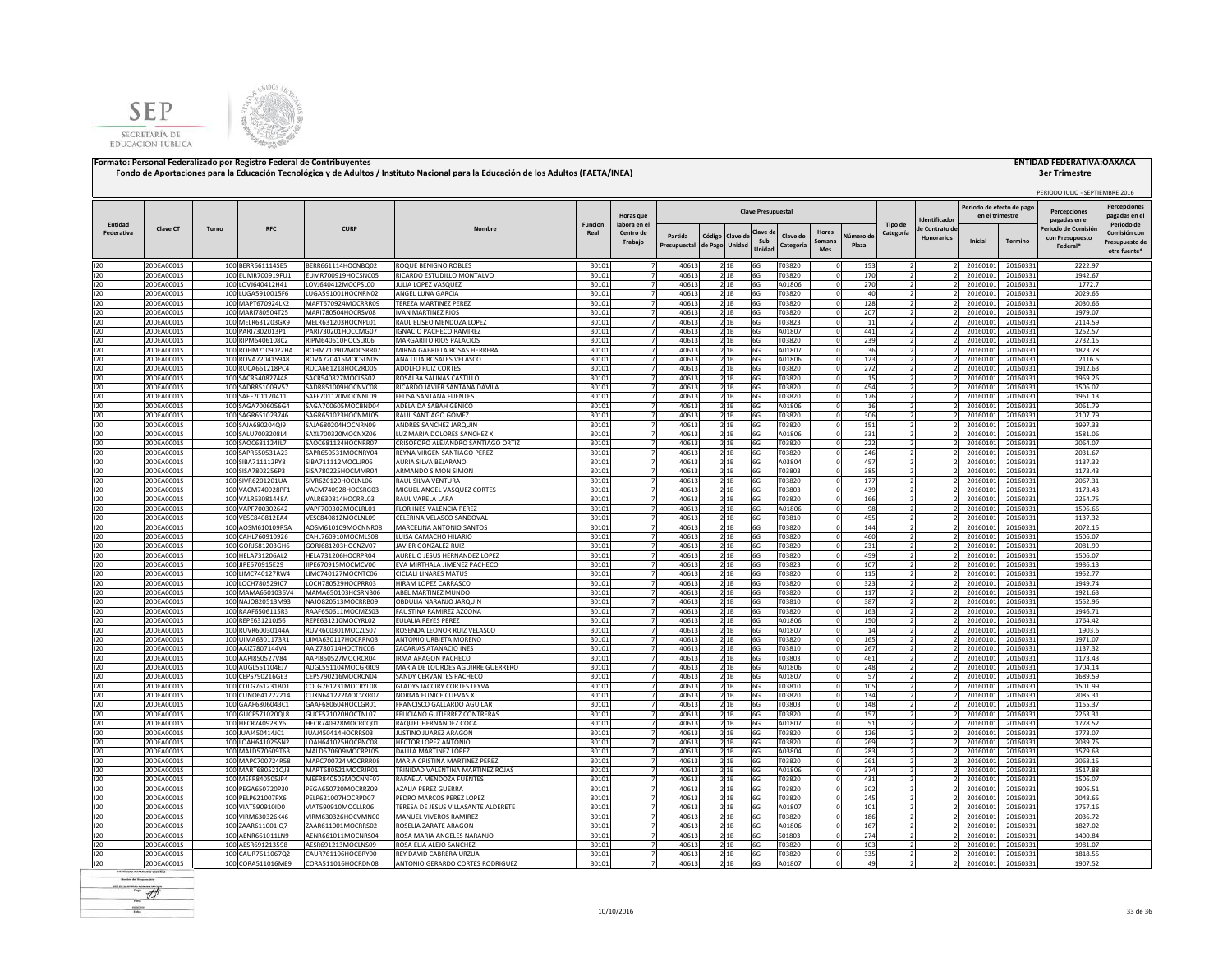



## **3er Trimestre**

|                       |                          |       |                                        |                                          |                                                           |                        |                           |                                                    |                                        |                           |                       |               |                    |                      |                   |                                              |                      | PERIODO JULIO - SEPTIEMBRE 2016 |                                     |
|-----------------------|--------------------------|-------|----------------------------------------|------------------------------------------|-----------------------------------------------------------|------------------------|---------------------------|----------------------------------------------------|----------------------------------------|---------------------------|-----------------------|---------------|--------------------|----------------------|-------------------|----------------------------------------------|----------------------|---------------------------------|-------------------------------------|
|                       |                          |       |                                        |                                          |                                                           |                        | Horas que                 |                                                    |                                        | <b>Clave Presupuestal</b> |                       |               |                    |                      | dentificador      | Periodo de efecto de pago<br>en el trimestre |                      | Percenciones<br>pagadas en el   | <b>Percepciones</b><br>pagadas en e |
| Entidad<br>Federativa | Clave CT                 | Turno | <b>RFC</b>                             | <b>CURF</b>                              | Nombre                                                    | <b>Funcion</b><br>Real | labora en el<br>Centro de |                                                    |                                        | Clave d                   |                       | Horas         |                    | Tipo de<br>Categoría | le Contrato de    |                                              |                      | Periodo de Comisió              | Periodo de<br>Comisión con          |
|                       |                          |       |                                        |                                          |                                                           |                        | <b>Trabaio</b>            | Partida<br>Presupuestal                            | Código<br>Clave d<br>Unidad<br>de Pago | Sub<br>Unidad             | Clave de<br>Categoría | Semana<br>Mes | Número di<br>Plaza |                      | <b>Honorarios</b> | Inicial                                      | <b>Termino</b>       | con Presupuesto<br>Federal*     | Presupuesto de<br>otra fuente'      |
| 120                   | 20DEA0001S               |       | 100 BERR661114SE5                      | BERR661114HOCNBQ02                       | ROQUE BENIGNO ROBLES                                      | 30101                  |                           | 40613                                              | 2 1B                                   | 6G                        | T03820                |               | 153                |                      |                   | 20160101                                     | 20160331             | 2222.97                         |                                     |
| 120                   | 20DEA0001S               |       | 100 EUMR700919FU1                      | EUMR700919HOCSNC05                       | RICARDO ESTUDILLO MONTALVO                                | 30101                  |                           | 40613                                              | 2 1B                                   | 6G                        | T03820                |               | 170                |                      |                   | 20160101                                     | 20160331             | 1942.67                         |                                     |
| 120                   | 20DEA0001S               |       | 100 LOVJ640412H41                      | LOVJ640412MOCPSL00                       | JULIA LOPEZ VASQUEZ                                       | 30101                  |                           | 40613                                              | 2 1B                                   | 6G                        | A01806                |               | 270                |                      |                   | 20160101                                     | 20160331             | 1772.7                          |                                     |
| 120<br>120            | 20DEA0001S<br>20DEA0001S |       | 100 LUGA5910015F6<br>100 MAPT670924LK2 | LUGA591001HOCNRN02<br>MAPT670924MOCRRR09 | ANGEL LUNA GARCIA<br>TEREZA MARTINEZ PEREZ                | 30101<br>30101         |                           | 40613<br>40613                                     | 21B<br>21B                             | 6G<br>6G                  | T03820<br>T03820      |               | 40<br>128          |                      |                   | 20160101<br>20160101                         | 20160331<br>20160331 | 2029.65<br>2030.66              |                                     |
| 120                   | 20DEA0001S               |       | 100 MARI780504T25                      | MARI780504HOCRSV08                       | <b>IVAN MARTINEZ RIOS</b>                                 | 30101                  |                           | 40613                                              | 21B                                    | 6G                        | T03820                |               | 207                |                      |                   | 20160101                                     | 20160331             | 1979.07                         |                                     |
| 120                   | 20DEA0001S               |       | 100 MELR631203GX9                      | MELR631203HOCNPL01                       | RAUL ELISEO MENDOZA LOPEZ                                 | 30101                  |                           | 40613                                              | 21B                                    | 6G                        | T03823                |               | 11                 |                      |                   | 20160101                                     | 20160331             | 2114.59                         |                                     |
| 120                   | 20DEA0001S               |       | 100 PARI7302013P1                      | PARI730201HOCCMG07                       | <b>IGNACIO PACHECO RAMIREZ</b>                            | 30101                  | $\overline{7}$            | 40613                                              | 2 1 B                                  | 6G                        | A01807                | n             | 441                |                      |                   | 20160101                                     | 20160331             | 1252.57                         |                                     |
| 120                   | 20DEA0001S               |       | 100 RIPM6406108C2                      | RIPM640610HOCSLR06                       | MARGARITO RIOS PALACIOS                                   | 30101                  |                           | 40613                                              | 2 1 B                                  | 6G                        | T03820                |               | 239                |                      |                   | 20160101                                     | 20160331             | 2732.15                         |                                     |
| 120                   | 20DEA0001S               |       | 100 ROHM7109022HA                      | ROHM710902MOCSRR07                       | MIRNA GABRIELA ROSAS HERRERA                              | 30101                  |                           | 40613                                              | 2 1B                                   | 6G                        | A01807                | $\Omega$      | 36                 |                      |                   | 20160101                                     | 20160331             | 1823.78                         |                                     |
| 120                   | 20DEA0001S               |       | 100 ROVA720415948                      | ROVA720415MOCSLN05                       | ANA LILIA ROSALES VELASCO                                 | 30101                  |                           | 40613                                              | 21B                                    | 6G                        | A01806                |               | 123                |                      |                   | 20160101                                     | 20160331             | 2116.5                          |                                     |
| 120                   | 20DEA0001S               |       | 100 RUCA661218PC4                      | RUCA661218HOCZRD05                       | ADOLFO RUIZ CORTES                                        | 30101                  |                           | 40613                                              | 21B                                    | 6G                        | T03820                |               | 272                |                      |                   | 20160101                                     | 20160331             | 1912.63                         |                                     |
| 120<br>120            | 20DEA0001S<br>20DEA0001S |       | 100 SACR540827448<br>100 SADR851009V57 | SACR540827MOCLSS02<br>SADR851009HOCNVC08 | ROSALBA SALINAS CASTILLO<br>RICARDO JAVIER SANTANA DAVILA | 30101<br>30101         |                           | $\overline{7}$<br>40613<br>$\overline{7}$<br>40613 | 21B<br>21B                             | 6G<br>6G                  | T03820<br>T03820      | $\Omega$      | 15<br>454          |                      |                   | 20160101<br>20160101                         | 20160331<br>20160331 | 1959.26<br>1506.07              |                                     |
| 120                   | 20DEA0001S               |       | 100 SAFF701120411                      | SAFF701120MOCNNL09                       | FELISA SANTANA FUENTES                                    | 30101                  | $\overline{7}$            | 40613                                              | 2 1B                                   | 6G                        | T03820                |               | 176                |                      |                   | 20160101                                     | 20160331             | 1961.13                         |                                     |
| 120                   | 20DEA0001S               |       | 100 SAGA7006056G4                      | SAGA700605MOCBND04                       | ADELAIDA SABAH GENICO                                     | 30101                  |                           | $\overline{7}$<br>40613                            | 21B                                    | 6G                        | A01806                | $\Omega$      | 16                 |                      |                   | 20160101                                     | 20160331             | 2061.79                         |                                     |
| 120                   | 20DEA0001S               |       | 100 SAGR651023746                      | SAGR651023HOCNML05                       | RAUL SANTIAGO GOMEZ                                       | 30101                  |                           | $\overline{7}$<br>40613                            | 2 1B                                   | 6G                        | T03820                | $\Omega$      | 306                |                      |                   | 20160101                                     | 20160331             | 2107.79                         |                                     |
| 120                   | 20DEA0001S               |       | 100 SAJA680204QI9                      | SAJA680204HOCNRN09                       | ANDRES SANCHEZ JARQUIN                                    | 30101                  |                           | 40613                                              | 21B                                    | 6G                        | T03820                |               | 151                |                      |                   | 2016010                                      | 20160331             | 1997.33                         |                                     |
| 120                   | 20DEA0001S               |       | 100 SALU7003208L4                      | SAXL700320MOCNXZ06                       | LUZ MARIA DOLORES SANCHEZ X                               | 30101                  |                           | 40613                                              | 2 1B                                   | 6G                        | A01806                |               | 331                |                      |                   | 2016010                                      | 20160331             | 1581.06                         |                                     |
| 120                   | 20DEA0001S               |       | 100 SAOC681124JL7                      | SAOC681124HOCNRR07                       | CRISOFORO ALEJANDRO SANTIAGO ORTIZ                        | 30101                  |                           | 40613                                              | 21B                                    | 6G                        | T03820                |               | 222                |                      |                   | 20160101                                     | 20160331             | 2064.07                         |                                     |
| 120                   | 20DEA0001S               |       | 100 SAPR650531A23                      | SAPR650531MOCNRY04                       | REYNA VIRGEN SANTIAGO PEREZ                               | 30101                  |                           | 40613                                              | 2 1B                                   | 6G                        | T03820                |               | 246                |                      |                   | 20160101                                     | 20160331             | 2031.67                         |                                     |
| 120                   | 20DEA0001S               |       | 100 SIBA711112PY8                      | SIBA711112MOCLIR06                       | AURIA SILVA BEJARANO                                      | 30101                  |                           | 40613                                              | 2 1B                                   | 6G                        | A03804                |               | 457                |                      |                   | 20160101                                     | 20160331             | 1137.32                         |                                     |
| 120                   | 20DEA0001S               |       | 100 SISA7802256P3                      | SISA780225HOCMMR04                       | ARMANDO SIMON SIMON                                       | 30101                  |                           | 40613                                              | 2 1B                                   | 6G                        | T03803                |               | 385                |                      |                   | 20160101                                     | 20160331             | 1173.43                         |                                     |
| 120<br>120            | 20DEA0001S               |       | 100 SIVR6201201UA<br>100 VACM740928PF1 | SIVR620120HOCLNL06                       | RAUL SILVA VENTURA                                        | 30101                  |                           | 40613                                              | 21B                                    | 6G                        | T03820                |               | 177<br>439         |                      |                   | 20160101                                     | 20160331             | 2067.31                         |                                     |
| 120                   | 20DEA0001S<br>20DEA0001S |       | 100 VALR63081448A                      | VACM740928HOCSRG03<br>VALR630814HOCRRL03 | MIGUEL ANGEL VASQUEZ CORTES<br>RAUL VARELA LARA           | 30101<br>30101         |                           | 40613<br>40613                                     | 2 1 B<br>21B                           | 6G<br>6G                  | T03803<br>T03820      |               | 166                |                      |                   | 20160101<br>20160101                         | 20160331<br>20160331 | 1173.43<br>2254.75              |                                     |
| 120                   | 20DEA0001S               |       | 100 VAPF700302642                      | VAPF700302MOCLRL01                       | FLOR INES VALENCIA PEREZ                                  | 30101                  | $\overline{7}$            | 40613                                              | 21B                                    | 6G                        | A01806                |               | 98                 |                      |                   | 20160101                                     | 20160331             | 1596.66                         |                                     |
| 120                   | 20DEA0001S               |       | 100 VESC840812EA4                      | VESC840812MOCLNL09                       | CELERINA VELASCO SANDOVAL                                 | 30101                  |                           | 40613<br>$\overline{7}$                            | 21B                                    | 6G                        | T03810                |               | 455                |                      |                   | 20160101                                     | 20160331             | 1137.32                         |                                     |
| 120                   | 20DEA0001S               |       | 100 AOSM610109R5A                      | AOSM610109MOCNNR08                       | MARCELINA ANTONIO SANTOS                                  | 30101                  |                           | $\overline{7}$<br>40613                            | 21B                                    | 6G                        | T03820                |               | 144                |                      |                   | 20160101                                     | 20160331             | 2072.15                         |                                     |
| 120                   | 20DEA0001S               |       | 100 CAHL760910926                      | CAHL760910MOCMLS08                       | LUISA CAMACHO HILARIO                                     | 30101                  |                           | $\overline{7}$<br>40613                            | 2 1B                                   | 6G                        | T03820                |               | 460                |                      |                   | 20160101                                     | 20160331             | 1506.07                         |                                     |
| 120                   | 20DEA0001S               |       | 100 GORJ681203GH6                      | GORJ681203HOCNZV07                       | JAVIER GONZALEZ RUIZ                                      | 30101                  | 7                         | 40613                                              | 2 1B                                   | 6G                        | T03820                | n             | 231                |                      |                   | 20160101                                     | 20160331             | 2081.99                         |                                     |
| 120                   | 20DEA0001S               |       | 100 HELA731206AL2                      | HELA731206HOCRPR04                       | AURELIO JESUS HERNANDEZ LOPEZ                             | 30101                  | $\overline{7}$            | 40613                                              | 21B                                    | 6G                        | T03820                | $\Omega$      | 459                |                      |                   | 20160101                                     | 20160331             | 1506.07                         |                                     |
| 120                   | 20DEA0001S               |       | 100 JIPE670915E29                      | JIPE670915MOCMCV00                       | EVA MIRTHALA JIMENEZ PACHECO                              | 30101                  |                           | 40613                                              | 21B                                    | 6G                        | T03823                |               | 107                |                      |                   | 20160101                                     | 20160331             | 1986.13                         |                                     |
| 120                   | 20DEA0001S               |       | 100 LIMC740127RW4                      | LIMC740127MOCNTC06                       | CICLALI LINARES MATUS                                     | 30101                  |                           | 40613                                              | 2 1B                                   | 6G                        | T03820                |               | 115                |                      |                   | 20160101                                     | 20160331             | 1952.77                         |                                     |
| 120                   | 20DEA0001S               |       | 100 LOCH780529JC7                      | LOCH780529HOCPRR03                       | HIRAM LOPEZ CARRASCO                                      | 30101                  |                           | 40613                                              | 21B                                    | 6G                        | T03820                |               | 323                |                      |                   | 20160101                                     | 20160331             | 1949.74                         |                                     |
| 120<br>120            | 20DEA0001S<br>20DEA0001S |       | 100 MAMA6501036V4<br>100 NAJO820513M93 | MAMA650103HCSRNB06<br>NAJO820513MOCRRB09 | ABEL MARTINEZ MUNDO<br>OBDULIA NARANJO JARQUIN            | 30101<br>30101         |                           | 40613<br>40613                                     | 21B<br>21B                             | 6G<br>6G                  | T03820<br>T03810      | $\Omega$      | 117<br>387         |                      |                   | 20160101<br>20160101                         | 20160331<br>20160331 | 1921.63<br>1552.96              |                                     |
| 120                   | 20DEA0001S               |       | 100 RAAF6506115R3                      | RAAF650611MOCMZS03                       | FAUSTINA RAMIREZ AZCONA                                   | 30101                  |                           | 40613                                              | 21B                                    | 6G                        | T03820                |               | 163                |                      |                   | 20160101                                     | 20160331             | 1946.71                         |                                     |
| 120                   | 20DEA0001S               |       | 100 REPE631210J56                      | REPE631210MOCYRL02                       | EULALIA REYES PEREZ                                       | 30101                  |                           | 40613                                              | 2 1 B                                  | 6G                        | A01806                | $\Omega$      | 150                |                      |                   | 20160101                                     | 20160331             | 1764.42                         |                                     |
| 120                   | 20DEA0001S               |       | 100 RUVR60030144A                      | RUVR600301MOCZLS07                       | ROSENDA LEONOR RUIZ VELASCO                               | 30101                  |                           | 40613                                              | 21B                                    | 6G                        | A01807                | $\Omega$      | 14                 |                      |                   | 20160101                                     | 20160331             | 1903.6                          |                                     |
| 120                   | 20DEA0001S               |       | 100 UIMA6301173R1                      | UIMA630117HOCRRN03                       | ANTONIO URBIETA MORENO                                    | 30101                  |                           | 40613                                              | 21B                                    | 6G                        | T03820                |               | 165                |                      |                   | 20160101                                     | 20160331             | 1971.07                         |                                     |
| 120                   | 20DEA0001S               |       | 100 AAIZ7807144V4                      | AAIZ780714HOCTNC06                       | ZACARIAS ATANACIO INES                                    | 30101                  |                           | 40613                                              | 21B                                    | 6G                        | T03810                |               | 267                |                      |                   | 20160101                                     | 20160331             | 1137.32                         |                                     |
| 120                   | 20DEA0001S               |       | 100 AAPI850527V84                      | AAPI850527MOCRCR04                       | IRMA ARAGON PACHECO                                       | 30101                  | $\overline{7}$            | 40613                                              | 21B                                    | 6G                        | T03803                |               | 461                |                      |                   | 20160101                                     | 20160331             | 1173.43                         |                                     |
| 120                   | 20DEA0001S               |       | 100 AUGL551104EJ7                      | AUGL551104MOCGRR09                       | MARIA DE LOURDES AGUIRRE GUERRERO                         | 30101                  |                           | $\overline{7}$<br>40613                            | 21B                                    | 6G                        | A01806                |               | 248                |                      |                   | 20160101                                     | 20160331             | 1704.14                         |                                     |
| 120                   | 20DEA0001S               |       | 100 CEPS790216GE3                      | CEPS790216MOCRCN04                       | SANDY CERVANTES PACHECO                                   | 30101                  | 7                         | $\overline{7}$<br>40613                            | 21B                                    | 6G                        | A01807                |               | 57                 |                      |                   | 20160101                                     | 20160331             | 1689.59                         |                                     |
| 120<br>120            | 20DEA0001S<br>20DEA0001S |       | 100 COLG761231BD1<br>100 CUNO641222214 | COLG761231MOCRYL08<br>CUXN641222MOCVXR07 | GLADYS JACCIRY CORTES LEYVA<br>NORMA EUNICE CUEVAS X      | 30101<br>30101         | $\overline{7}$            | 40613<br>40613                                     | 2 1B<br>2 1B                           | 6G<br>6G                  | T03810<br>T03820      | - 0           | 105<br>134         |                      |                   | 20160101<br>20160101                         | 20160331<br>20160331 | 1501.99<br>2085.31              |                                     |
| 120                   | 20DEA0001S               |       | 100 GAAF6806043C1                      | GAAF680604HOCLGR01                       | FRANCISCO GALLARDO AGUILAR                                | 30101                  |                           | 40613                                              | 2 1B                                   | 6G                        | T03803                |               | 148                |                      |                   | 2016010                                      | 20160331             | 1155.37                         |                                     |
| 120                   | 20DEA0001S               |       | 100 GUCF571020QL8                      | GUCF571020HOCTNL07                       | FELICIANO GUTIERREZ CONTRERAS                             | 30101                  |                           | 40613                                              | 2 1B                                   | 6G                        | T03820                |               | 157                |                      |                   | 2016010                                      | 20160331             | 2263.31                         |                                     |
| 120                   | 20DEA0001S               |       | 100 HECR740928IY6                      | HECR740928MOCRCQ01                       | RAQUEL HERNANDEZ COCA                                     | 30101                  |                           | 40613                                              | 21B                                    | 6G                        | A01807                |               | 51                 |                      |                   | 2016010                                      | 20160331             | 1778.52                         |                                     |
| 120                   | 20DEA0001S               |       | 100 JUAJ450414JC1                      | JUAJ450414HOCRRS03                       | JUSTINO JUAREZ ARAGON                                     | 30101                  |                           | 40613                                              | 21B                                    | 6G                        | T03820                |               | 126                |                      |                   | 20160101                                     | 20160331             | 1773.07                         |                                     |
| 120                   | 20DEA0001S               |       | 100 LOAH641025SN2                      | LOAH641025HOCPNC08                       | HECTOR LOPEZ ANTONIO                                      | 30101                  |                           | 40613                                              | 21B                                    | 6G                        | T03820                |               | 269                |                      |                   | 20160101                                     | 20160331             | 2039.75                         |                                     |
| 120                   | 20DEA0001S               |       | 100 MALD570609T63                      | MALD570609MOCRPL05                       | DALILA MARTINEZ LOPEZ                                     | 30101                  |                           | 40613                                              | 21B                                    | 6G                        | A03804                |               | 283                |                      |                   | 20160101                                     | 20160331             | 1579.63                         |                                     |
| 120                   | 20DEA0001S               |       | 100 MAPC700724R58                      | MAPC700724MOCRRR08                       | MARIA CRISTINA MARTINEZ PEREZ                             | 30101                  |                           | 40613                                              | 2 1 B                                  | 6G                        | T03820                | n             | 261                |                      |                   | 20160101                                     | 20160331             | 2068.15                         |                                     |
| 120                   | 20DEA0001S               |       | 100 MART680521QJ3                      | MART680521MOCRJR01                       | TRINIDAD VALENTINA MARTINEZ ROJAS                         | 30101                  | $\overline{7}$            | 40613                                              | 2 1B                                   | 6G                        | A01806                | $\Omega$      | 374                |                      |                   | 20160101                                     | 20160331             | 1517.88                         |                                     |
| 120                   | 20DEA0001S               |       | 100 MEFR840505JP4<br>100 PEGA650720P30 | MEFR840505MOCNNF07<br>PEGA650720MOCRRZ09 | RAFAELA MENDOZA FUENTES<br>AZALIA PEREZ GUERRA            | 30101                  |                           | 40613<br>40613                                     | 21B                                    | 6G<br>6G                  | T03820<br>T03820      |               | 431<br>302         |                      |                   | 20160101<br>20160101                         | 20160331<br>20160331 | 1506.07<br>1906.51              |                                     |
| 120<br>120            | 20DEA0001S<br>20DEA0001S |       | 100 PELP621007PX6                      | PELP621007HOCRPD07                       | PEDRO MARCOS PEREZ LOPEZ                                  | 30101<br>30101         | $\overline{7}$            | 40613                                              | 21B<br>2 1 B                           | 6G                        | T03820                |               | 245                |                      |                   | 20160101                                     | 20160331             | 2048.65                         |                                     |
| 120                   | 20DEA0001S               |       | 100 VIAT590910ID0                      | VIAT590910MOCLLR06                       | TERESA DE JESUS VILLASANTE ALDERETE                       | 30101                  |                           | $\overline{7}$<br>40613                            | 21B                                    | 6G                        | A01807                |               | 101                |                      |                   | 20160101                                     | 20160331             | 1757.16                         |                                     |
| 120                   | 20DEA0001S               |       | 100 VIRM630326K46                      | VIRM630326HOCVMN00                       | MANUEL VIVEROS RAMIREZ                                    | 30101                  |                           | $\overline{7}$<br>40613                            | 21B                                    | 6G                        | T03820                |               | 186                |                      |                   | 20160101                                     | 20160331             | 2036.72                         |                                     |
| 120                   | 20DEA0001S               |       | 100 ZAAR611001lQ7                      | ZAAR611001MOCRRS02                       | ROSELIA ZARATE ARAGON                                     | 30101                  |                           | $\overline{7}$<br>40613                            | 2 1B                                   | 6G                        | A01806                |               | 167                |                      |                   | 20160101                                     | 20160331             | 1827.02                         |                                     |
| 120                   | 20DEA0001S               |       | 100 AENR661011LN9                      | AENR661011MOCNRS04                       | ROSA MARIA ANGELES NARANJO                                | 30101                  | $\overline{7}$            | 40613                                              | 21B                                    | 6G                        | S01803                |               | 274                |                      |                   | 20160101                                     | 20160331             | 1400.84                         |                                     |
| 120                   | 20DEA0001S               |       | 100 AESR691213598                      | AESR691213MOCLNS09                       | ROSA ELIA ALEJO SANCHEZ                                   | 30101                  |                           | 40613                                              | 2 1B                                   | 6G                        | T03820                |               | 103                |                      |                   | 20160101                                     | 20160331             | 1981.07                         |                                     |
| 120                   | 20DEA0001S               |       | 100 CAUR7611067Q2                      | CAUR761106HOCBRY00                       | REY DAVID CABRERA URZUA                                   | 30101                  |                           | 40613                                              | 2 1B                                   | 6G                        | T03820                |               | 335                |                      |                   | 20160101                                     | 20160331             | 1818.55                         |                                     |
| 120                   | 20DEA0001S               |       | 100 CORA511016ME9                      | CORA511016HOCRDN08                       | ANTONIO GERARDO CORTES RODRIGUEZ                          | 30101                  |                           | 40613                                              | 21B                                    | 6G                        | A01807                |               | 49                 |                      |                   | 20160101                                     | 20160331             | 1907.52                         |                                     |

### $\#$ scales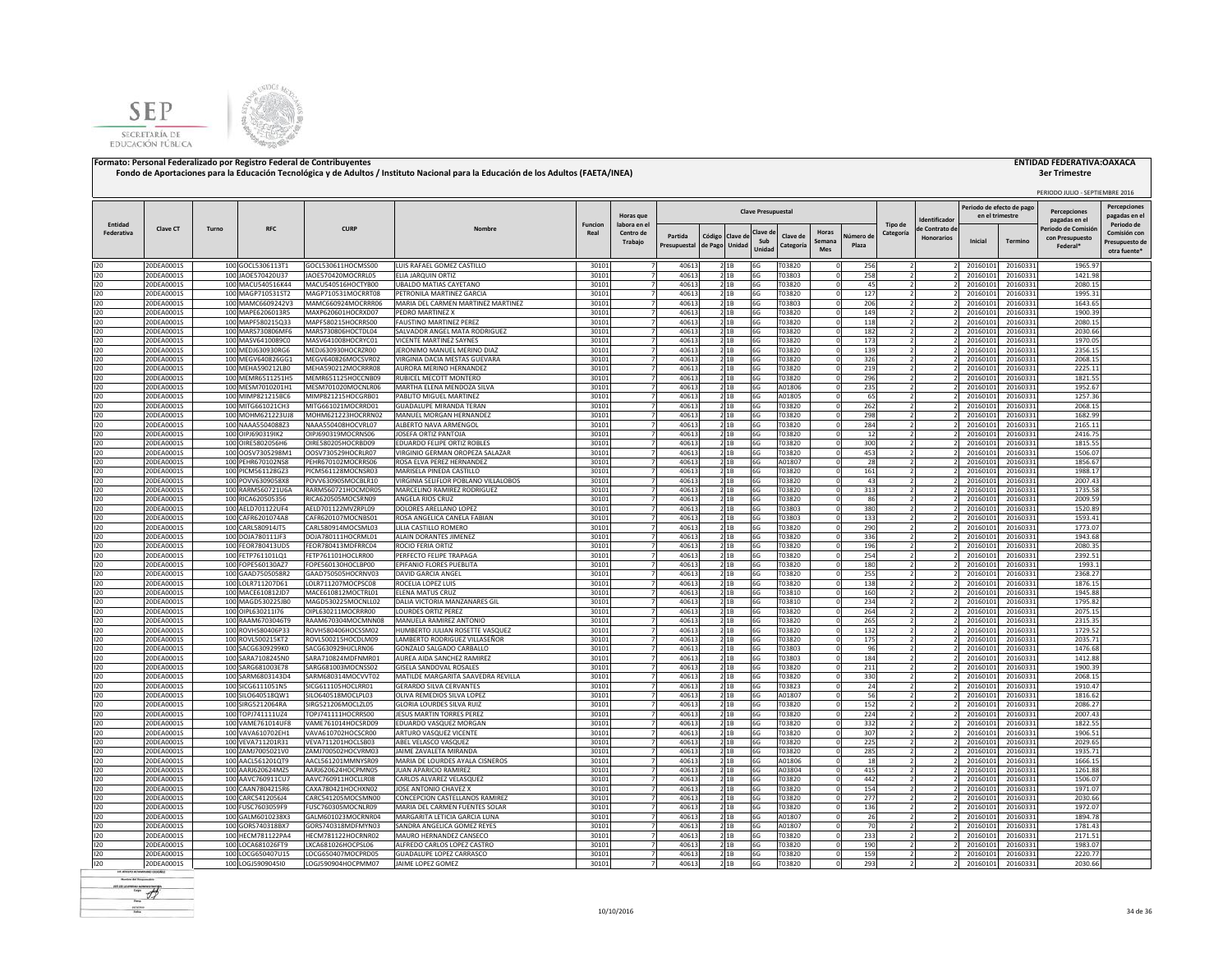



|                       |                          |       |                                        |                                          |                                                            |                        |                                  |                         |                                   |              |                           |                                        |                    |                                  |                   |                                             |                      | PERIODO JULIO - SEPTIEMBRE 2016      |                                            |
|-----------------------|--------------------------|-------|----------------------------------------|------------------------------------------|------------------------------------------------------------|------------------------|----------------------------------|-------------------------|-----------------------------------|--------------|---------------------------|----------------------------------------|--------------------|----------------------------------|-------------------|---------------------------------------------|----------------------|--------------------------------------|--------------------------------------------|
|                       |                          |       |                                        |                                          |                                                            |                        | Horas que                        |                         |                                   |              | <b>Clave Presupuestal</b> |                                        |                    |                                  | dentificado       | Periodo de efecto de pag<br>en el trimestre |                      | <b>Percenciones</b><br>pagadas en el | <b>Percepciones</b><br>pagadas en e        |
| Entidad<br>Federativa | <b>Clave CT</b>          | Turno | <b>RFC</b>                             | <b>CURP</b>                              | Nombre                                                     | <b>Funcion</b><br>Real | labora en el<br>Centro de        |                         |                                   |              | Clave d                   | Horas                                  |                    | Tipo de<br>Categoría             | le Contrato de    |                                             |                      | Periodo de Comisió                   | Periodo de<br>Comisión cor                 |
|                       |                          |       |                                        |                                          |                                                            |                        | Trabajo                          | Partida<br>Presupuestal | Código Clave de<br>de Pago Unidad |              | Sub<br>Unidad             | Clave de<br>Semana<br>Categoría<br>Mes | Vúmero de<br>Plaza |                                  | <b>Honorarios</b> | Inicial                                     | Termino              | con Presupuesto<br>Federal*          | Presupuesto de<br>otra fuente <sup>®</sup> |
| 120                   | 20DEA0001S               |       | 100 GOCL5306113T1                      | GOCL530611HOCMSS00                       | LUIS RAFAEL GOMEZ CASTILLO                                 | 30101                  | $\overline{7}$                   | 40613                   |                                   | 2 1B         | 6G                        | T03820                                 | 256                |                                  |                   | 20160101                                    | 20160331             | 1965.97                              |                                            |
| 120                   | 20DEA0001S               |       | 100 JAOE570420U37                      | JAOE570420MOCRRL05                       | ELIA JARQUIN ORTIZ                                         | 30101                  | $\overline{7}$                   | 40613                   |                                   | 21B          | 6G                        | T03803                                 | 258                | $\overline{2}$                   |                   | 20160101                                    | 20160331             | 1421.98                              |                                            |
| 120                   | 20DEA0001S               |       | 100 MACU540516K44                      | MACU540516HOCTYB00                       | <b>UBALDO MATIAS CAYETANO</b>                              | 30101                  |                                  | 40613                   |                                   | 2 1B         | 6G                        | T03820                                 | 45                 |                                  |                   | 20160101                                    | 20160331             | 2080.15                              |                                            |
| 120                   | 20DEA0001S               |       | 100 MAGP710531ST2                      | MAGP710531MOCRRT08                       | PETRONILA MARTINEZ GARCIA                                  | 30101                  |                                  | 40613                   |                                   | 2 1B         | 6G                        | T03820                                 | 127                |                                  |                   | 20160101                                    | 20160331             | 1995.31                              |                                            |
| 120                   | 20DEA0001S               |       | 100 MAMC6609242V3                      | MAMC660924MOCRRR06                       | MARIA DEL CARMEN MARTINEZ MARTINEZ                         | 30101                  |                                  | 40613                   |                                   | 21B          | 6G                        | T03803                                 | 206                |                                  |                   | 20160101                                    | 20160331             | 1643.65                              |                                            |
| 120<br>120            | 20DEA0001S<br>20DEA0001S |       | 100 MAPE6206013R5<br>100 MAPF580215Q33 | MAXP620601HOCRXD07<br>MAPF580215HOCRRS00 | PEDRO MARTINEZ X<br><b>FAUSTINO MARTINEZ PEREZ</b>         | 30101<br>30101         |                                  | 40613<br>40613          |                                   | 2 1 B<br>21B | 6G<br>6G                  | T03820<br>T03820                       | 149<br>118         |                                  |                   | 20160101<br>20160101                        | 20160331<br>20160331 | 1900.39<br>2080.15                   |                                            |
| 120                   | 20DEA0001S               |       | 100 MARS730806MF6                      | MARS730806HOCTDL04                       | SALVADOR ANGEL MATA RODRIGUEZ                              | 30101                  |                                  | 40613                   |                                   | 21B          | 6G                        | T03820                                 | 182                |                                  |                   | 20160101                                    | 20160331             | 2030.66                              |                                            |
| 120                   | 20DEA0001S               |       | 100 MASV6410089C0                      | MASV641008HOCRYC01                       | <b>VICENTE MARTINEZ SAYNES</b>                             | 30101                  |                                  | 40613                   |                                   | 2 1B         | 6G                        | T03820                                 | 173                |                                  |                   | 20160101                                    | 20160331             | 1970.05                              |                                            |
| 120                   | 20DEA0001S               |       | 100 MEDJ630930RG6                      | MEDJ630930HOCRZR00                       | JERONIMO MANUEL MERINO DIAZ                                | 30101                  | 7                                | 40613                   |                                   | 2 1 B        | 6G                        | T03820                                 | 139                |                                  |                   | 20160101                                    | 20160331             | 2356.15                              |                                            |
| 120                   | 20DEA0001S               |       | 100 MEGV640826GG1                      | MEGV640826MOCSVR02                       | VIRGINIA DACIA MESTAS GUEVARA                              | 30101                  | $\overline{7}$                   | 40613                   |                                   | 2 1B         | 6G                        | T03820                                 | 326                | $\overline{z}$                   |                   | 20160101                                    | 20160331             | 2068.15                              |                                            |
| 120                   | 20DEA0001S               |       | 100 MEHA590212LB0                      | MEHA590212MOCRRR08                       | AURORA MERINO HERNANDEZ                                    | 30101                  |                                  | 40613                   |                                   | 21B          | 6G                        | T03820                                 | 219                |                                  |                   | 20160101                                    | 20160331             | 2225.11                              |                                            |
| 120                   | 20DEA0001S               |       | 100 MEMR6511251H5                      | MEMR651125HOCCNB09                       | RUBICEL MECOTT MONTERO                                     | 30101                  |                                  | 40613                   |                                   | 2 1 B        | 6G                        | T03820                                 | 296                | $\overline{z}$                   |                   | 20160101                                    | 20160331             | 1821.55                              |                                            |
| 120                   | 20DEA0001S               |       | 100 MESM7010201H1                      | MESM701020MOCNLR06                       | MARTHA ELENA MENDOZA SILVA                                 | 30101                  |                                  | 40613                   |                                   | 2 1 B        | 6G                        | A01806                                 | 235                |                                  |                   | 20160101                                    | 20160331             | 1952.67                              |                                            |
| 120                   | 20DEA0001S               |       | 100 MIMP821215BC6                      | MIMP821215HOCGRB01                       | PABLITO MIGUEL MARTINEZ                                    | 30101                  | $\overline{7}$                   | 40613                   |                                   | 2 1 B        | 6G                        | A01805                                 | 65                 |                                  |                   | 2016010                                     | 20160331             | 1257.36                              |                                            |
| 120<br>120            | 20DEA0001S<br>20DEA0001S |       | 100 MITG661021CH3<br>100 MOHM621223UJ8 | MITG661021MOCRRD01<br>MOHM621223HOCRRN02 | <b>GUADALUPE MIRANDA TERAN</b><br>MANUEL MORGAN HERNANDEZ  | 30101<br>30101         | $\overline{7}$<br>$\overline{7}$ | 40613<br>40613          |                                   | 21B<br>21B   | 6G<br>6G                  | T03820<br>T03820                       | 262<br>298         | $\overline{z}$<br>$\overline{2}$ |                   | 20160101<br>20160101                        | 20160331<br>20160331 | 2068.15<br>1682.99                   |                                            |
| 120                   | 20DEA0001S               |       | 100 NAAA5504088Z3                      | NAAA550408HOCVRL07                       | ALBERTO NAVA ARMENGOL                                      | 30101                  | $\overline{7}$                   | 40613                   |                                   | 21B          | 6G                        | T03820                                 | 284                | $\overline{2}$                   |                   | 20160101                                    | 20160331             | 2165.11                              |                                            |
| 120                   | 20DEA0001S               |       | 100 OIPJ690319IK2                      | OIPJ690319MOCRNS06                       | JOSEFA ORTIZ PANTOJA                                       | 30101                  | $\overline{7}$                   | 40613                   |                                   | 21B          | 6G                        | T03820                                 | 12                 | $\overline{2}$                   |                   | 20160101                                    | 20160331             | 2416.75                              |                                            |
| 120                   | 20DEA0001S               |       | 100 OIRE5802056H6                      | OIRE580205HOCRBD09                       | EDUARDO FELIPE ORTIZ ROBLES                                | 30101                  | $\overline{7}$                   | 40613                   |                                   | 21B          | 6G                        | T03820                                 | 300                |                                  |                   | 20160101                                    | 20160331             | 1815.55                              |                                            |
| 120                   | 20DEA0001S               |       | 100 OOSV7305298M1                      | OOSV730529HOCRLR07                       | VIRGINIO GERMAN OROPEZA SALAZAR                            | 30101                  |                                  | 40613                   |                                   | 2 1 B        | 6G                        | T03820                                 | 453                |                                  |                   | 2016010                                     | 20160331             | 1506.07                              |                                            |
| 120                   | 20DEA0001S               |       | 100 PEHR670102NS8                      | PEHR670102MOCRRS06                       | ROSA ELVA PEREZ HERNANDEZ                                  | 30101                  |                                  | 40613                   |                                   | 2 1 B        | 6G                        | A01807                                 | 28                 |                                  |                   | 20160101                                    | 20160331             | 1856.67                              |                                            |
| 120                   | 20DEA0001S               |       | 100 PICM561128GZ3                      | PICM561128MOCNSR03                       | MARISELA PINEDA CASTILLO                                   | 30101                  |                                  | 40613                   |                                   | 2 1 B        | 6G                        | 03820                                  | 161                |                                  |                   | 2016010                                     | 20160331             | 1988.17                              |                                            |
| 120                   | 20DEA0001S               |       | 100 POVV6309058X8                      | POVV630905MOCBLR10                       | VIRGINIA SELIFLOR POBLANO VILLALOBOS                       | 30101                  |                                  | 40613                   |                                   | 2 1B         | 6G                        | T03820                                 | 43                 |                                  |                   | 2016010                                     | 20160331             | 2007.43                              |                                            |
| 120                   | 20DEA0001S               |       | 100 RARM560721U6A                      | RARM560721HOCMDR05                       | MARCELINO RAMIREZ RODRIGUEZ                                | 30101                  |                                  | 40613                   |                                   | 2 1B         | 6G                        | T03820                                 | 313                |                                  |                   | 20160101                                    | 20160331             | 1735.58                              |                                            |
| 120                   | 20DEA0001S               |       | 100 RICA620505356                      | RICA620505MOCSRN09                       | ANGELA RIOS CRUZ                                           | 30101                  |                                  | 40613                   |                                   | 2 1B         | 6G                        | T03820                                 | 86                 |                                  |                   | 20160101                                    | 20160331             | 2009.59                              |                                            |
| 120                   | 20DEA0001S               |       | 100 AELD701122UF4                      | AELD701122MVZRPL09                       | DOLORES ARELLANO LOPEZ                                     | 30101                  |                                  | 40613                   |                                   | 2 1B         | 6G                        | T03803                                 | 380                |                                  |                   | 20160101                                    | 20160331             | 1520.89                              |                                            |
| 120<br>120            | 20DEA0001S<br>20DEA0001S |       | 100 CAFR6201074A8<br>100 CARL580914JT5 | CAFR620107MOCNBS01<br>CARL580914MOCSML03 | ROSA ANGELICA CANELA FABIAN<br>LILIA CASTILLO ROMERO       | 30101<br>30101         | 7                                | 40613<br>40613          |                                   | 2 1 B        | 6G                        | T03803<br>T03820                       | 133<br>290         |                                  |                   | 20160101<br>20160101                        | 20160331             | 1593.41<br>1773.07                   |                                            |
| 120                   | 20DEA0001S               |       | 100 DOJA780111JF3                      | DOJA780111HOCRML01                       | ALAIN DORANTES JIMENEZ                                     | 3010                   |                                  | 40613                   |                                   | 21B<br>21B   | 6G<br>6G                  | T03820                                 | 336                |                                  |                   | 20160101                                    | 20160331<br>20160331 | 1943.68                              |                                            |
| 120                   | 20DEA0001S               |       | 100 FEOR780413UD5                      | FEOR780413MDFRRC04                       | ROCIO FERIA ORTIZ                                          | 30101                  |                                  | 40613                   |                                   | 21B          | 6G                        | T03820                                 | 196                |                                  |                   | 20160101                                    | 20160331             | 2080.35                              |                                            |
| 120                   | 20DEA0001S               |       | 100 FETP761101LQ1                      | FETP761101HOCLRR00                       | PERFECTO FELIPE TRAPAGA                                    | 30101                  | $\overline{7}$                   | 40613                   |                                   | 2 1 B        | 6G                        | T03820                                 | 254                |                                  |                   | 20160101                                    | 20160331             | 2392.51                              |                                            |
| 120                   | 20DEA0001S               |       | 100 FOPE560130AZ7                      | FOPE560130HOCLBP00                       | EPIFANIO FLORES PUEBLITA                                   | 30101                  | $\overline{7}$                   | 40613                   |                                   | 21B          | 6G                        | T03820                                 | 180                |                                  |                   | 20160101                                    | 20160331             | 1993.1                               |                                            |
| 120                   | 20DEA0001S               |       | 100 GAAD7505058R2                      | GAAD750505HOCRNV03                       | <b>DAVID GARCIA ANGE</b>                                   | 30101                  | $\overline{7}$                   | 40613                   |                                   | 21B          | 6G                        | T03820                                 | 255                | $\overline{2}$                   |                   | 20160101                                    | 20160331             | 2368.27                              |                                            |
| 120                   | 20DEA0001S               |       | 100 LOLR711207D61                      | LOLR711207MOCPSC08                       | ROCELIA LOPEZ LUIS                                         | 30101                  | $\overline{7}$                   | 40613                   |                                   | 21B          | 6G                        | T03820                                 | 138                | $\overline{2}$                   |                   | 20160101                                    | 20160331             | 1876.15                              |                                            |
| 120                   | 20DEA0001S               |       | 100 MACE610812JD7                      | MACE610812MOCTRL01                       | ELENA MATUS CRUZ                                           | 30101                  | $\overline{7}$                   | 40613                   |                                   | 21B          | 6G                        | T03810                                 | 160                | ν                                |                   | 20160101                                    | 20160331             | 1945.88                              |                                            |
| 120                   | 20DEA0001S               |       | 100 MAGD530225JB0                      | MAGD530225MOCNLL02                       | DALIA VICTORIA MANZANARES GIL                              | 30101                  | $\overline{z}$                   | 40613                   |                                   | 21B          | 6G                        | T03810                                 | 234                |                                  |                   | 20160101                                    | 20160331             | 1795.82                              |                                            |
| 120                   | 20DEA0001S               |       | 100 OIPL630211176                      | OIPL630211MOCRRR00                       | <b>LOURDES ORTIZ PEREZ</b>                                 | 30101                  | $\overline{7}$                   | 40613                   |                                   | 21B          | 6G                        | T03820                                 | 264                | $\overline{2}$                   |                   | 20160101                                    | 20160331             | 2075.15                              |                                            |
| 120<br>120            | 20DEA0001S<br>20DEA0001S |       | 100 RAAM6703046T9<br>100 ROVH580406P33 | RAAM670304MOCMNN08<br>ROVH580406HOCSSM02 | MANUELA RAMIREZ ANTONIO<br>HUMBERTO JULIAN ROSETTE VASQUEZ | 30101<br>30101         |                                  | 40613<br>40613          |                                   | 2 1 B<br>21B | 6G<br>6G                  | T03820<br>T03820                       | 265<br>132         | $\overline{\phantom{a}}$         |                   | 20160101<br>20160101                        | 20160331<br>20160331 | 2315.35<br>1729.52                   |                                            |
| 120                   | 20DEA0001S               |       | 100 ROVL500215KT2                      | ROVL500215HOCDLM09                       | LAMBERTO RODRIGUEZ VILLASEÑOR                              | 30101                  |                                  | 40613                   |                                   | 2 1 B        | 6G                        | T03820                                 | 175                |                                  |                   | 20160101                                    | 20160331             | 2035.71                              |                                            |
| 120                   | 20DEA0001S               |       | 100 SACG6309299K0                      | SACG630929HJCLRN06                       | GONZALO SALGADO CARBALLO                                   | 30101                  |                                  | 40613                   |                                   | 21B          | 6G                        | T03803                                 | 96                 |                                  |                   | 20160101                                    | 20160331             | 1476.68                              |                                            |
| 120                   | 20DEA0001S               |       | 100 SARA7108245N0                      | SARA710824MDFNMR01                       | AUREA AIDA SANCHEZ RAMIREZ                                 | 30101                  |                                  | 40613                   |                                   | 21B          | 6G                        | T03803                                 | 184                |                                  |                   | 20160101                                    | 20160331             | 1412.88                              |                                            |
| 120                   | 20DEA0001S               |       | 100 SARG681003E78                      | SARG681003MOCNSS02                       | GISELA SANDOVAL ROSALES                                    | 30101                  |                                  | 40613                   |                                   | 21B          | 6G                        | T03820                                 | 211                |                                  |                   | 20160101                                    | 20160331             | 1900.39                              |                                            |
| 120                   | 20DEA0001S               |       | 100 SARM6803143D4                      | SARM680314MOCVVT02                       | MATILDE MARGARITA SAAVEDRA REVILLA                         | 30101                  | 7                                | 40613                   |                                   | 21B          | 6G                        | T03820                                 | 330                |                                  |                   | 20160101                                    | 20160331             | 2068.15                              |                                            |
| 120                   | 20DEA0001S               |       | 100 SICG6111051N5                      | SICG611105HOCLRR01                       | <b>GERARDO SILVA CERVANTES</b>                             | 30101                  |                                  | 40613                   |                                   | 2 1 B        | 6G                        | T03823                                 | 24                 |                                  |                   | 20160101                                    | 20160331             | 1910.47                              |                                            |
| 120                   | 20DEA0001S               |       | 100 SILO640518QW1                      | SILO640518MOCLPL03                       | OLIVA REMEDIOS SILVA LOPEZ                                 | 30101                  | 7                                | 40613                   |                                   | 2 1 B        | 6G                        | A01807                                 | 56                 | $\overline{z}$                   |                   | 20160101                                    | 20160331             | 1816.62                              |                                            |
| 120                   | 20DEA0001S               |       | 100 SIRG5212064RA                      | SIRG521206MOCLZL05                       | GLORIA LOURDES SILVA RUIZ                                  | 30101                  |                                  | 40613                   |                                   | 2 1 B        | 6G                        | T03820                                 | 152                | $\overline{z}$                   |                   | 20160101                                    | 20160331             | 2086.27                              |                                            |
| 120                   | 20DEA0001S               |       | 100 TOPJ741111UZ4                      | TOPJ741111HOCRRS00                       | JESUS MARTIN TORRES PEREZ                                  | 30101                  | $\overline{7}$                   | 40613                   |                                   | 21B          | 6G                        | T03820                                 | 224                |                                  |                   | 20160101                                    | 20160331             | 2007.43                              |                                            |
| 120<br>120            | 20DEA0001S<br>20DEA0001S |       | 100 VAME761014UF8<br>100 VAVA610702EH1 | VAME761014HOCSRD09<br>VAVA610702HOCSCR00 | EDUARDO VASQUEZ MORGAN<br>ARTURO VASQUEZ VICENTE           | 30101<br>30101         | $\overline{7}$<br>$\overline{7}$ | 40613<br>40613          |                                   | 2 1 B<br>21B | 6G<br>6G                  | T03820<br>T03820                       | 332<br>307         |                                  |                   | 20160101<br>20160101                        | 20160331<br>20160331 | 1822.55<br>1906.51                   |                                            |
| 120                   | 20DEA0001S               |       | 100 VEVA711201R31                      | VEVA711201HOCLSB03                       | ABEL VELASCO VASQUEZ                                       | 30101                  | $\overline{7}$                   | 40613                   |                                   | 21B          | 6G                        | T03820                                 | 225                | $\overline{z}$                   |                   | 20160101                                    | 20160331             | 2029.65                              |                                            |
| 120                   | 20DEA0001S               |       | 100 ZAMJ7005021V0                      | ZAMJ700502HOCVRM03                       | JAIME ZAVALETA MIRANDA                                     | 30101                  | $\overline{7}$                   | 40613                   |                                   | 21B          | 6G                        | T03820                                 | 285                | ν                                |                   | 20160101                                    | 20160331             | 1935.71                              |                                            |
| 120                   | 20DEA0001S               |       | 100 AACL561201QT9                      | AACL561201MMNYSR09                       | MARIA DE LOURDES AYALA CISNEROS                            | 30101                  | $\overline{7}$                   | 40613                   |                                   | 21B          | 6G                        | A01806                                 | 18                 |                                  |                   | 20160101                                    | 20160331             | 1666.15                              |                                            |
| 120                   | 20DEA0001S               |       | 100 AARJ620624MZ5                      | AARJ620624HOCPMN05                       | JUAN APARICIO RAMIREZ                                      | 30101                  | $\overline{7}$                   | 40613                   |                                   | 2 1B         | 6G                        | A03804                                 | 415                | $\overline{2}$                   |                   | 20160101                                    | 20160331             | 1261.88                              |                                            |
| 120                   | 20DEA0001S               |       | 100 AAVC760911CU7                      | AAVC760911HOCLLR08                       | CARLOS ALVAREZ VELASQUEZ                                   | 30101                  | $\overline{7}$                   | 40613                   |                                   | 21B          | 6G                        | T03820                                 | 442                | $\overline{\phantom{a}}$         |                   | 20160101                                    | 20160331             | 1506.07                              |                                            |
| 120                   | 20DEA0001S               |       | 100 CAAN7804215R6                      | CAXA780421HOCHXN02                       | JOSE ANTONIO CHAVEZ X                                      | 30101                  |                                  | 40613                   |                                   | 21B          | 6G                        | T03820                                 | 154                |                                  |                   | 20160101                                    | 20160331             | 1971.07                              |                                            |
| 120                   | 20DEA0001S               |       | 100 CARC5412056J4                      | CARC541205MOCSMN00                       | CONCEPCION CASTELLANOS RAMIREZ                             | 30101                  |                                  | 40613                   |                                   | 2 1 B        | 6G                        | T03820                                 | 277                |                                  |                   | 2016010                                     | 2016033              | 2030.66                              |                                            |
| 120                   | 20DEA0001S               |       | 100 FUSC7603059F9                      | FUSC760305MOCNLR09                       | MARIA DEL CARMEN FUENTES SOLAR                             | 30101                  |                                  | 40613                   |                                   | 2 1B         | 6G                        | T03820                                 | 136                |                                  |                   | 2016010                                     | 20160331             | 1972.07                              |                                            |
| 120                   | 20DEA0001S               |       | 100 GALM6010238X3                      | GALM601023MOCRNR04                       | MARGARITA LETICIA GARCIA LUNA                              | 30101                  |                                  | 40613                   |                                   | 2 1B         | 6G                        | A01807                                 | 26                 |                                  |                   | 20160101                                    | 20160331             | 1894.78                              |                                            |
| 120<br>120            | 20DEA0001S<br>20DEA0001S |       | 100 GORS740318BX7<br>100 HECM781122PA4 | GORS740318MDFMYN03<br>HECM781122HOCRNR02 | SANDRA ANGELICA GOMEZ REYES<br>MAURO HERNANDEZ CANSECO     | 30101<br>30101         |                                  | 40613<br>40613          |                                   | 21B<br>21B   | 6G<br>6G                  | A01807<br>T03820                       | 70<br>233          |                                  |                   | 20160101<br>20160101                        | 20160331<br>20160331 | 1781.43<br>2171.51                   |                                            |
| 120                   | 20DEA0001S               |       | 100 LOCA681026FT9                      | LXCA681026HOCPSL06                       | ALFREDO CARLOS LOPEZ CASTRO                                | 30101                  |                                  | 4061                    |                                   | 2 1 B        | 6G                        | T03820                                 | 190                |                                  |                   | 2016010                                     | 20160331             | 1983.07                              |                                            |
| 120                   | 20DEA0001S               |       | 100 LOCG650407U15                      | LOCG650407MOCPRD05                       | <b>GUADALUPE LOPEZ CARRASCO</b>                            | 30101                  | $\overline{7}$                   | 40613                   | 2 1 B                             |              | 6G                        | T03820                                 | 159                |                                  |                   | 20160101                                    | 20160331             | 2220.77                              |                                            |
| 120                   | 20DEA0001S               |       | 100 LOGJ590904510                      | LOGJ590904HOCPMM07                       | JAIME LOPEZ GOMEZ                                          | 30101                  | $\overline{7}$                   | 40613                   |                                   | 2 1 B        | 6G                        | T03820                                 | 293                | 2                                |                   | 20160101                                    | 20160331             | 2030.66                              |                                            |
|                       |                          |       |                                        |                                          |                                                            |                        |                                  |                         |                                   |              |                           |                                        |                    |                                  |                   |                                             |                      |                                      |                                            |

**Render del Francesco**  $-46$ scales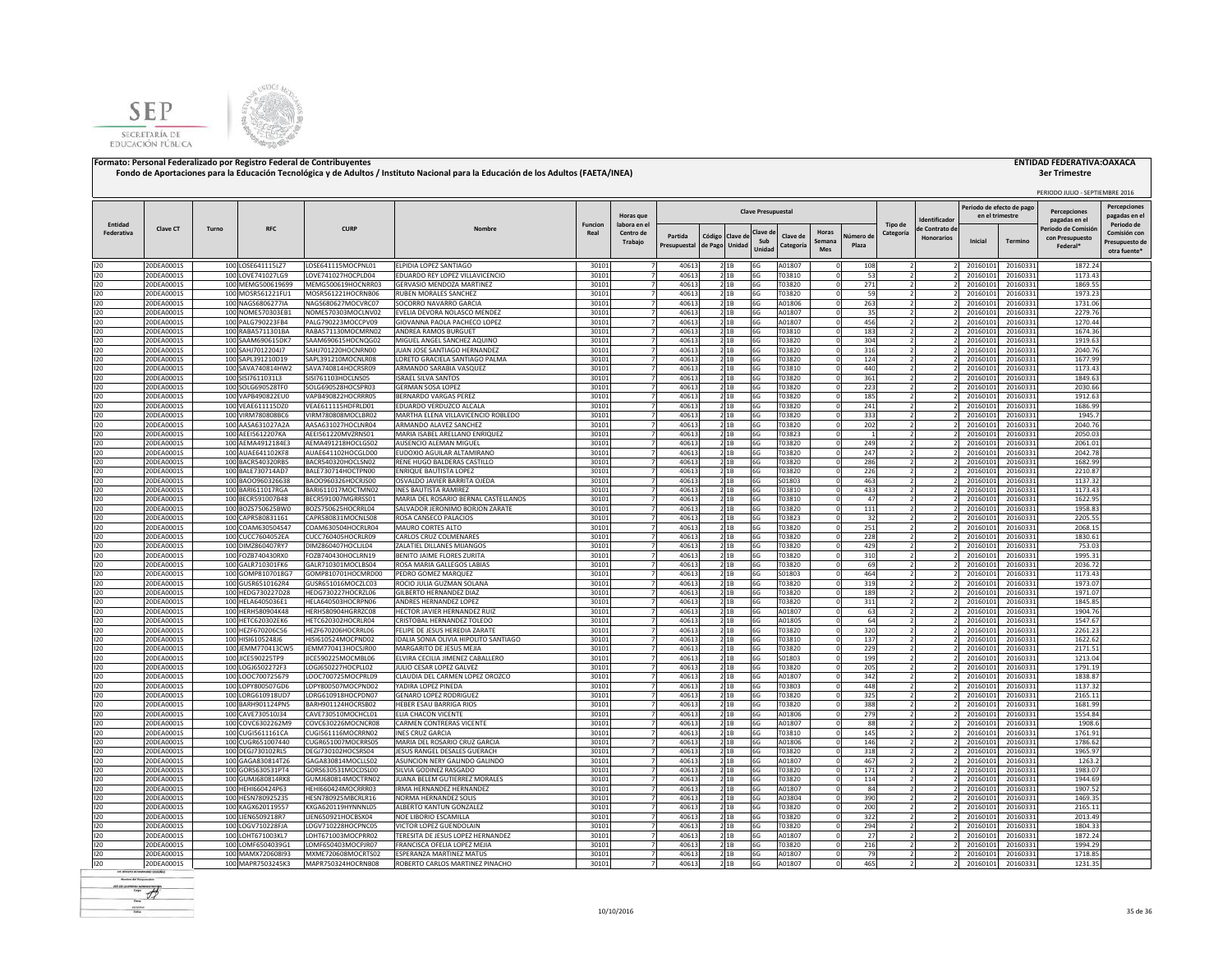



| Periodo de efecto de pag<br><b>Clave Presupuestal</b><br><b>Percenciones</b><br>Horas que<br>en el trimestre<br>dentificado<br>pagadas en el<br>Tipo de<br>Periodo de<br>Entidad<br><b>Funcion</b><br>labora en el<br>Clave CT<br><b>RFC</b><br><b>CURP</b><br>Turno<br>Nombre<br>le Contrato de<br>Periodo de Comisió<br>Clave d<br>Horas<br>Federativa<br>Real<br>Centro de<br>Categoría<br>Partida<br>Código Clave d<br>Clave de<br>Vúmero di<br><b>Honorarios</b><br>con Presupuesto<br>Sub<br>Inicial<br>Semana<br>Termino<br>Trabajo<br>de Pago Unidad<br>Presupuestal<br>Categoría<br>Plaza<br>Federal*<br>Unidad<br>Mes<br>30101<br>120<br>20DEA0001S<br>100 LOSE641115LZ7<br>LOSE641115MOCPNL01<br>ELPIDIA LOPEZ SANTIAGO<br>40613<br>2 1B<br>A01807<br>20160101<br>20160331<br>1872.24<br>$\overline{7}$<br>6G<br>108<br>20DEA0001S<br>100 LOVE741027LG9<br>30101<br>40613<br>21B<br>53<br>20160101<br>1173.43<br>120<br>LOVE741027HOCPLD04<br>EDUARDO REY LOPEZ VILLAVICENCIO<br>$\overline{7}$<br>6G<br>T03810<br>$\overline{z}$<br>20160331<br>21B<br>271<br>20DEA0001S<br>100 MEMG500619699<br>MEMG500619HOCNRR03<br>GERVASIO MENDOZA MARTINEZ<br>30101<br>40613<br>1869.55<br>120<br>6G<br>T03820<br>20160101<br>20160331<br>120<br>20DEA0001S<br>100 MOSR561221FU1<br>MOSR561221HOCRNB06<br>RUBEN MORALES SANCHEZ<br>30101<br>40613<br>21B<br>6G<br>T03820<br>59<br>20160101<br>20160331<br>1973.23<br>120<br>20DEA0001S<br>100 NAGS6806277IA<br>NAGS680627MOCVRC07<br>SOCORRO NAVARRO GARCIA<br>30101<br>40613<br>21B<br>263<br>20160101<br>20160331<br>1731.06<br>6G<br>A01806<br>20DEA0001S<br>100 NOME570303EB1<br>30101<br>21B<br>120<br>NOME570303MOCLNV02<br>EVELIA DEVORA NOLASCO MENDEZ<br>40613<br>6G<br>A01807<br>35<br>20160101<br>20160331<br>2279.76<br>120<br>20DEA0001S<br>100 PALG790223FB4<br>PALG790223MOCCPV09<br>GIOVANNA PAOLA PACHECO LOPEZ<br>30101<br>40613<br>21B<br>6G<br>A01807<br>456<br>20160101<br>20160331<br>1270.44<br>120<br>20DEA0001S<br>100 RABA5711301BA<br>RABA571130MOCMRN02<br>ANDREA RAMOS BURGUET<br>30101<br>40613<br>21B<br>T03810<br>183<br>20160101<br>20160331<br>1674.36<br>6G<br>$\overline{2}$<br>120<br>20DEA0001S<br>100 SAAM690615DK7<br>SAAM690615HOCNQG02<br>MIGUEL ANGEL SANCHEZ AQUINO<br>30101<br>40613<br>T03820<br>304<br>20160101<br>1919.63<br>2 1 B<br>20160331<br>6G<br>20DEA0001S<br>100 SAHJ7012204J7<br>SAHJ701220HOCNRN00<br>JUAN JOSE SANTIAGO HERNANDEZ<br>30101<br>40613<br>T03820<br>316<br>20160101<br>2040.76<br>120<br>2 1 B<br>20160331<br>6G<br>-7<br>30101<br>120<br>20DEA0001S<br>100 SAPL391210D19<br>SAPL391210MOCNLR08<br>LORETO GRACIELA SANTIAGO PALMA<br>40613<br>T03820<br>124<br>20160101<br>1677.99<br>2 1 B<br>6G<br>20160331<br>7<br>2<br>30101<br>120<br>20DEA0001S<br>100 SAVA740814HW2<br>SAVA740814HOCRSR09<br>ARMANDO SARABIA VASQUEZ<br>40613<br>2 1 B<br>6G<br>T03810<br>440<br>20160101<br>20160331<br>1173.43<br>120<br>20DEA0001S<br>100 SISI7611031L3<br>SISI761103HOCLNS05<br><b>ISRAEL SILVA SANTOS</b><br>30101<br>40613<br>21B<br>6G<br>T03820<br>361<br>20160101<br>20160331<br>1849.63<br>120<br>100 SOLG690528TF0<br>SOLG690528HOCSPR03<br><b>GERMAN SOSA LOPEZ</b><br>30101<br>40613<br>T03820<br>20160101<br>20DEA0001S<br>2 1 B<br>6G<br>223<br>20160331<br>2030.66<br>120<br>20DEA0001S<br>100 VAPB490822EU0<br>VAPB490822HOCRRR05<br>BERNARDO VARGAS PEREZ<br>30101<br>$\overline{7}$<br>40613<br>21B<br>6G<br>T03820<br>185<br>20160101<br>20160331<br>1912.63<br>120<br>20DEA0001S<br>100 VEAE611115DZ0<br>VEAE611115HDFRLD01<br>EDUARDO VERDUZCO ALCALA<br>30101<br>$\overline{7}$<br>40613<br>21B<br>6G<br>T03820<br>241<br>$\overline{2}$<br>20160101<br>20160331<br>1686.99<br>120<br>20DEA0001S<br>100 VIRM780808BC6<br>VIRM780808MOCLBR02<br>MARTHA ELENA VILLAVICENCIO ROBLEDO<br>30101<br>$\overline{7}$<br>40613<br>21B<br>6G<br>T03820<br>333<br>ν<br>20160101<br>20160331<br>1945.7<br>120<br>100 AASA631027A2A<br>21B<br>20DEA0001S<br>AASA631027HOCLNR04<br>ARMANDO ALAVEZ SANCHEZ<br>30101<br>$\overline{7}$<br>40613<br>6G<br>T03820<br>20160101<br>20160331<br>2040.76<br>202<br>120<br>20DEA0001S<br>MARIA ISABEL ARELLANO ENRIQUEZ<br>30101<br>7<br>40613<br>21B<br>6G<br>100 AEEI5612207KA<br>AEEI561220MVZRNS01<br>T03823<br>$\overline{z}$<br>20160101<br>2050.03<br>$\overline{1}$<br>20160331<br>120<br>20DEA0001S<br>100 AEMA4912184E3<br>AEMA491218HOCLGS02<br>AUSENCIO ALEMAN MIGUEL<br>30101<br>40613<br>2 1B<br>6G<br>T03820<br>249<br>20160101<br>20160331<br>2061.01<br>120<br>20DEA0001S<br>100 AUAE641102KF8<br>AUAE641102HOCGLD00<br>EUDOXIO AGUILAR ALTAMIRANO<br>30101<br>40613<br>2 1 B<br>6G<br>T03820<br>247<br>2016010<br>20160331<br>2042.78<br>120<br>20DEA0001S<br>100 BACR540320RB5<br>BACR540320HOCLSN02<br>RENE HUGO BALDERAS CASTILLO<br>30101<br>40613<br>2 1 B<br>6G<br>T03820<br>286<br>1682.99<br>2016010<br>2016033<br>120<br>100 BALE730714AD7<br>30101<br>21B<br>20DEA0001S<br>BALE730714HOCTPN00<br>ENRIQUE BAUTISTA LOPEZ<br>40613<br>6G<br>T03820<br>226<br>2016010<br>20160331<br>2210.87<br>120<br>20DEA0001S<br>100 BAOO960326638<br>BAOO960326HOCRJS00<br>OSVALDO JAVIER BARRITA OJEDA<br>30101<br>40613<br>2 1B<br>6G<br>S01803<br>463<br>20160101<br>20160331<br>1137.32<br>120<br>20DEA0001S<br>100 BARI611017RGA<br>BARI611017MOCTMN02<br><b>INES BAUTISTA RAMIREZ</b><br>30101<br>40613<br>2 1 B<br>6G<br>T03810<br>433<br>20160101<br>20160331<br>1173.43<br>120<br>20DEA0001S<br>100 BECR591007B48<br>BECR591007MGRRSS01<br>MARIA DEL ROSARIO BERNAL CASTELLANOS<br>30101<br>40613<br>21B<br>T03810<br>20160101<br>20160331<br>1622.95<br>6G<br>47<br>SALVADOR JERONIMO BORJON ZARATE<br>120<br>20DEA0001S<br>100 BOZS750625BW0<br>BOZS750625HOCRRL04<br>30101<br>40613<br>T03820<br>20160101<br>1958.83<br>2 1 B<br>6G<br>111<br>20160331<br>120<br>100 CAPR580831161<br>CAPR580831MOCNLS08<br>ROSA CANSECO PALACIOS<br>30101<br>40613<br>21B<br>T03823<br>20160101<br>2205.55<br>20DEA0001S<br>6G<br>32<br>$\overline{\phantom{a}}$<br>20160331<br>$\overline{7}$<br>120<br>20DEA0001S<br>100 COAM630504S47<br>COAM630504HOCRLR04<br>MAURO CORTES ALTO<br>30101<br>40613<br>2 1 B<br>6G<br>T03820<br>251<br>20160101<br>20160331<br>2068.15<br>120<br>20DEA0001S<br>100 CUCC7604052EA<br>CUCC760405HOCRLR09<br>CARLOS CRUZ COLMENARES<br>30101<br>40613<br>21B<br>6G<br>T03820<br>228<br>20160101<br>20160331<br>1830.61<br>120<br>100 DIMZ860407RY7<br>DIMZ860407HOCLJL04<br>ZALATIEL DILLANES MIJANGOS<br>30101<br>40613<br>21B<br>T03820<br>20160101<br>753.03<br>20DEA0001S<br>$\overline{7}$<br>6G<br>429<br>20160331<br>120<br>100 FOZB740430RX0<br>FOZB740430HOCLRN19<br>21B<br>20DEA0001S<br>BENITO JAIME FLORES ZURITA<br>30101<br>$\overline{7}$<br>40613<br>6G<br>T03820<br>310<br>20160101<br>20160331<br>1995.31<br>120<br>20DEA0001S<br>100 GALR710301FK6<br>GALR710301MOCLBS04<br>ROSA MARIA GALLEGOS LABIAS<br>30101<br>$\overline{7}$<br>40613<br>21B<br>6G<br>T03820<br>69<br>$\overline{2}$<br>20160101<br>20160331<br>2036.72<br>120<br>20DEA0001S<br>100 GOMP8107018G7<br>GOMP810701HOCMRD00<br>PEDRO GOMEZ MARQUEZ<br>30101<br>$\overline{7}$<br>40613<br>21B<br>6G<br>S01803<br>464<br>ν<br>20160101<br>20160331<br>1173.43<br>120<br>30101<br>40613<br>21B<br>20DEA0001S<br>100 GUSR6510162R4<br>GUSR651016MOCZLC03<br>ROCIO JULIA GUZMAN SOLANA<br>$\overline{7}$<br>6G<br>T03820<br>319<br>20160101<br>20160331<br>1973.07<br>20DEA0001S<br>100 HEDG730227D28<br>30101<br>$\overline{7}$<br>40613<br>21B<br>6G<br>189<br>$\overline{z}$<br>1971.07<br>120<br>HEDG730227HOCRZL06<br><b>GILBERTO HERNANDEZ DIAZ</b><br>T03820<br>20160101<br>20160331<br>21B<br>120<br>20DEA0001S<br>100 HELA6405036E1<br>HELA640503HOCRPN06<br>ANDRES HERNANDEZ LOPEZ<br>30101<br>$\overline{7}$<br>40613<br>6G<br>T03820<br>311<br>$\overline{2}$<br>20160101<br>20160331<br>1845.85<br>21B<br>120<br>20DEA0001S<br>100 HERH580904K48<br>HERH580904HGRRZC08<br>HECTOR JAVIER HERNANDEZ RUIZ<br>30101<br>40613<br>6G<br>A01807<br>63<br>20160101<br>20160331<br>1904.76<br>120<br>20DEA0001S<br>100 HETC620302EK6<br>HETC620302HOCRLR04<br>CRISTOBAL HERNANDEZ TOLEDO<br>30101<br>40613<br>21B<br>6G<br>A01805<br>64<br>20160101<br>20160331<br>1547.67<br>20DEA0001S<br>100 HEZF670206C56<br>HEZF670206HOCRRL06<br>FELIPE DE JESUS HEREDIA ZARATE<br>30101<br>40613<br>21B<br>320<br>120<br>6G<br>T03820<br>20160101<br>20160331<br>2261.23<br>21B<br>120<br>20DEA0001S<br>100 HISI6105248J6<br>HISI610524MOCPND02<br>IDALIA SONIA OLIVIA HIPOLITO SANTIAGO<br>30101<br>40613<br>6G<br>T03810<br>137<br>20160101<br>20160331<br>1622.62<br>120<br>20DEA0001S<br>100 JEMM770413CW5<br>JEMM770413HOCSJR00<br>MARGARITO DE JESUS MEJIA<br>30101<br>40613<br>21B<br>T03820<br>229<br>20160101<br>20160331<br>2171.51<br>6G<br>120<br>20DEA0001S<br>100 JICE590225TP9<br>JICE590225MOCMBL06<br>ELVIRA CECILIA JIMENEZ CABALLERO<br>30101<br>40613<br>21B<br>S01803<br>20160101<br>20160331<br>1213.04<br>6G<br>199<br>120<br>20DEA0001S<br>100 LOGJ6502272F3<br>LOGJ650227HOCPLL02<br>JULIO CESAR LOPEZ GALVEZ<br>30101<br>40613<br>T03820<br>20160101<br>1791.19<br>2 1 B<br>205<br>20160331<br>6G<br>30101<br>342<br>1838.87<br>120<br>20DEA0001S<br>100 LOOC700725679<br>LOOC700725MOCPRL09<br>CLAUDIA DEL CARMEN LOPEZ OROZCO<br>40613<br>A01807<br>20160101<br>20160331<br>2 1 B<br>6G<br>$\overline{7}$<br>$\overline{z}$<br>30101<br>448<br>120<br>20DEA0001S<br>100 LOPY800507GD6<br>LOPY800507MOCPND02<br>YADIRA LOPEZ PINEDA<br>40613<br>2 1 B<br>6G<br>T03803<br>20160101<br>20160331<br>1137.32<br>120<br>20DEA0001S<br>100 LORG610918UD7<br>LORG610918HOCPDN07<br><b>GENARO LOPEZ RODRIGUEZ</b><br>30101<br>40613<br>2 1 B<br>6G<br>T03820<br>325<br>20160101<br>20160331<br>2165.11<br>20DEA0001S<br>100 BARH901124PN5<br>BARH901124HOCRSB02<br>HEBER ESAU BARRIGA RIOS<br>30101<br>40613<br>T03820<br>20160101<br>1681.99<br>120<br>21B<br>6G<br>388<br>20160331<br>100 CAVE730510J34<br>120<br>20DEA0001S<br>CAVE730510MOCHCL01<br><b>ELIA CHACON VICENTE</b><br>30101<br>$\overline{7}$<br>40613<br>21B<br>6G<br>A01806<br>279<br>20160101<br>20160331<br>1554.84<br>120<br>20DEA0001S<br>100 COVC6302262M9<br>COVC630226MOCNCR08<br>CARMEN CONTRERAS VICENTE<br>30101<br>$\overline{7}$<br>40613<br>2 1 B<br>6G<br>A01807<br>88<br>$\overline{z}$<br>20160101<br>20160331<br>1908.6<br>120<br>20DEA0001S<br>100 CUGI5611161CA<br>CUGI561116MOCRRN02<br><b>INES CRUZ GARCIA</b><br>30101<br>7<br>40613<br>2 1 B<br>6G<br>T03810<br>145<br>$\overline{2}$<br>20160101<br>20160331<br>1761.91<br>120<br>100 CUGR651007440<br>MARIA DEL ROSARIO CRUZ GARCIA<br>30101<br>40613<br>21B<br>20DEA0001S<br>CUGR651007MOCRRS05<br>$\overline{7}$<br>6G<br>A01806<br>146<br>20160101<br>20160331<br>1786.62<br>120<br>20DEA0001S<br>100 DEGJ730102RL5<br>JESUS RANGEL DESALES GUERACH<br>30101<br>40613<br>2 1B<br>DEGJ730102HOCSRS04<br>$\overline{7}$<br>6G<br>T03820<br>318<br>$\overline{2}$<br>20160101<br>20160331<br>1965.97<br>120<br>20DEA0001S<br>100 GAGA830814T26<br>GAGA830814MOCLLS02<br>ASUNCION NERY GALINDO GALINDO<br>30101<br>$\overline{7}$<br>40613<br>21B<br>6G<br>A01807<br>$\overline{2}$<br>1263.2<br>467<br>20160101<br>20160331<br>120<br>21B<br>20DEA0001S<br>100 GORS630531PT4<br>GORS630531MOCDSL00<br>SILVIA GODINEZ RASGADO<br>30101<br>40613<br>6G<br>T03820<br>171<br>20160101<br>20160331<br>1983.07<br>120<br>20DEA0001S<br>100 GUMJ680814RK8<br>GUMJ680814MOCTRN02<br>JUANA BELEM GUTIERREZ MORALES<br>30101<br>40613<br>2 1 B<br>6G<br>T03820<br>114<br>2016010<br>1944.69<br>2016033<br>20DEA0001S<br>100 HEHI660424P63<br>HEHI660424MOCRRR03<br><b>IRMA HERNANDEZ HERNANDEZ</b><br>30101<br>40613<br>2 1B<br>1907.52<br>120<br>6G<br>A01807<br>84<br>2016010<br>20160331<br>120<br>20DEA0001S<br>100 HESN780925235<br>HESN780925MBCRLR16<br>NORMA HERNANDEZ SOLIS<br>30101<br>40613<br>2 1B<br>6G<br>A03804<br>390<br>20160101<br>20160331<br>1469.35<br>120<br>20DEA0001S<br>100 KAGX620119557<br>KXGA620119HYNNNL05<br>ALBERTO KANTUN GONZALEZ<br>30101<br>40613<br>21B<br>6G<br>T03820<br>200<br>20160101<br>20160331<br>2165.11<br>120<br>20DEA0001S<br>100 LIEN6509218R7<br>LIEN650921HOCBSX04<br>NOE LIBORIO ESCAMILLA<br>30101<br>40613<br>21B<br>T03820<br>322<br>20160101<br>20160331<br>2013.49<br>6G<br>$\overline{ }$<br>120<br>20DEA0001S<br>100 LOGV710228FJA<br>LOGV710228HOCPNC05<br>VICTOR LOPEZ GUENDOLAIN<br>30101<br>40613<br>T03820<br>294<br>20160101<br>1804.33<br>2 1 B<br>6G<br>20160331<br>30101<br>1872.24<br>120<br>100 LOHT671003KL7<br>LOHT671003MOCPRR02<br>TERESITA DE JESUS LOPEZ HERNANDEZ<br>40613<br>A01807<br>27<br>20160101<br>20DEA0001S<br>2 1 B<br>6G<br>20160331<br>$\overline{z}$<br>1994.29<br>120<br>20DEA0001S<br>100 LOMF6504039G1<br>LOMF650403MOCPJR07<br>FRANCISCA OFELIA LOPEZ MEJIA<br>3010<br>40613<br>2 1 B<br>6G<br>T03820<br>216<br>20160101<br>20160331<br>120<br>20DEA0001S<br>100 MAMX720608l93<br>MXME720608MOCRTS02<br>ESPERANZA MARTINEZ MATUS<br>30101<br>40613<br>21B<br>6G<br>A01807<br>79<br>20160101<br>20160331<br>1718.85<br>120<br>100 MAPR7503245K3<br>MAPR750324HOCRNB08<br>ROBERTO CARLOS MARTINEZ PINACHO<br>30101<br>40613<br>2 1 B<br>6G<br>A01807<br>465<br>20160101<br>20160331<br>1231.35<br>20DEA0001S<br>$\overline{7}$ |  |  |  |  |  |  |  |  |  | PERIODO JULIO - SEPTIEMBRE 2016 |                                            |
|------------------------------------------------------------------------------------------------------------------------------------------------------------------------------------------------------------------------------------------------------------------------------------------------------------------------------------------------------------------------------------------------------------------------------------------------------------------------------------------------------------------------------------------------------------------------------------------------------------------------------------------------------------------------------------------------------------------------------------------------------------------------------------------------------------------------------------------------------------------------------------------------------------------------------------------------------------------------------------------------------------------------------------------------------------------------------------------------------------------------------------------------------------------------------------------------------------------------------------------------------------------------------------------------------------------------------------------------------------------------------------------------------------------------------------------------------------------------------------------------------------------------------------------------------------------------------------------------------------------------------------------------------------------------------------------------------------------------------------------------------------------------------------------------------------------------------------------------------------------------------------------------------------------------------------------------------------------------------------------------------------------------------------------------------------------------------------------------------------------------------------------------------------------------------------------------------------------------------------------------------------------------------------------------------------------------------------------------------------------------------------------------------------------------------------------------------------------------------------------------------------------------------------------------------------------------------------------------------------------------------------------------------------------------------------------------------------------------------------------------------------------------------------------------------------------------------------------------------------------------------------------------------------------------------------------------------------------------------------------------------------------------------------------------------------------------------------------------------------------------------------------------------------------------------------------------------------------------------------------------------------------------------------------------------------------------------------------------------------------------------------------------------------------------------------------------------------------------------------------------------------------------------------------------------------------------------------------------------------------------------------------------------------------------------------------------------------------------------------------------------------------------------------------------------------------------------------------------------------------------------------------------------------------------------------------------------------------------------------------------------------------------------------------------------------------------------------------------------------------------------------------------------------------------------------------------------------------------------------------------------------------------------------------------------------------------------------------------------------------------------------------------------------------------------------------------------------------------------------------------------------------------------------------------------------------------------------------------------------------------------------------------------------------------------------------------------------------------------------------------------------------------------------------------------------------------------------------------------------------------------------------------------------------------------------------------------------------------------------------------------------------------------------------------------------------------------------------------------------------------------------------------------------------------------------------------------------------------------------------------------------------------------------------------------------------------------------------------------------------------------------------------------------------------------------------------------------------------------------------------------------------------------------------------------------------------------------------------------------------------------------------------------------------------------------------------------------------------------------------------------------------------------------------------------------------------------------------------------------------------------------------------------------------------------------------------------------------------------------------------------------------------------------------------------------------------------------------------------------------------------------------------------------------------------------------------------------------------------------------------------------------------------------------------------------------------------------------------------------------------------------------------------------------------------------------------------------------------------------------------------------------------------------------------------------------------------------------------------------------------------------------------------------------------------------------------------------------------------------------------------------------------------------------------------------------------------------------------------------------------------------------------------------------------------------------------------------------------------------------------------------------------------------------------------------------------------------------------------------------------------------------------------------------------------------------------------------------------------------------------------------------------------------------------------------------------------------------------------------------------------------------------------------------------------------------------------------------------------------------------------------------------------------------------------------------------------------------------------------------------------------------------------------------------------------------------------------------------------------------------------------------------------------------------------------------------------------------------------------------------------------------------------------------------------------------------------------------------------------------------------------------------------------------------------------------------------------------------------------------------------------------------------------------------------------------------------------------------------------------------------------------------------------------------------------------------------------------------------------------------------------------------------------------------------------------------------------------------------------------------------------------------------------------------------------------------------------------------------------------------------------------------------------------------------------------------------------------------------------------------------------------------------------------------------------------------------------------------------------------------------------------------------------------------------------------------------------------------------------------------------------------------------------------------------------------------------------------------------------------------------------------------------------------------------------------------------------------------------------------------------------------------------------------------------------------------------------------------------------------------------------------------------------------------------------------------------------------------------------------------------------------------------------------------------------------------------------------------------------------------------------------------------------------------------------------------------------------------------------------------------------------------------------------------------------------------------------------------------------------------------------------------------------------------------------------------------------------------------------------------------------------------------------------------------------------------------------------------------------------------------------------------------------------------------------------------------------------------------------------------------------------------------------------------------------------------------------------------------------------------------------------------------------------------------------------------------------------------------------------------------------------------------------------------------------------------------------------------------------------------------------------------------------------------------------------------------------------------------------------------------------------------------------------------------------------------------------------------------------------------------------------------------------------------------------------------------------------------------------------------------------------------------------------------------------------------------------------------------------------------------------------------------------------------------------------------------------------------------------------------------------------------------------------------------------------------------------------------------------------------------------------------------------------------------------------------------------------------------------------------------------------------------------------------------------------------------------------------------------------------------------------------------------------------------------------------------------------------------------------------------------------------------------------------------------------------------------------------------------------------------------------------------------------------------------------------------------------------------------------------------------------------------------------------------------------------------------------------------------------------------------------------------------------------------------------------------------------------------------------------------------------------------------------------------------------------------------------------------------------------------------------------------------------------------------------------------------------------------------------------------------------------------------------------------------------------------------------------------------------------------------------------------------------------------------------------------------------------------------------------------------------------------------------------------------------------------------------------------------------------------------------------------------------------------------------------------------------------------------------------------------------------------------------------------------------------------------------------------------------------------------------------------------------------------------------------------------------------------------------------------------------------------------------------------------------------------------------------------------------------|--|--|--|--|--|--|--|--|--|---------------------------------|--------------------------------------------|
|                                                                                                                                                                                                                                                                                                                                                                                                                                                                                                                                                                                                                                                                                                                                                                                                                                                                                                                                                                                                                                                                                                                                                                                                                                                                                                                                                                                                                                                                                                                                                                                                                                                                                                                                                                                                                                                                                                                                                                                                                                                                                                                                                                                                                                                                                                                                                                                                                                                                                                                                                                                                                                                                                                                                                                                                                                                                                                                                                                                                                                                                                                                                                                                                                                                                                                                                                                                                                                                                                                                                                                                                                                                                                                                                                                                                                                                                                                                                                                                                                                                                                                                                                                                                                                                                                                                                                                                                                                                                                                                                                                                                                                                                                                                                                                                                                                                                                                                                                                                                                                                                                                                                                                                                                                                                                                                                                                                                                                                                                                                                                                                                                                                                                                                                                                                                                                                                                                                                                                                                                                                                                                                                                                                                                                                                                                                                                                                                                                                                                                                                                                                                                                                                                                                                                                                                                                                                                                                                                                                                                                                                                                                                                                                                                                                                                                                                                                                                                                                                                                                                                                                                                                                                                                                                                                                                                                                                                                                                                                                                                                                                                                                                                                                                                                                                                                                                                                                                                                                                                                                                                                                                                                                                                                                                                                                                                                                                                                                                                                                                                                                                                                                                                                                                                                                                                                                                                                                                                                                                                                                                                                                                                                                                                                                                                                                                                                                                                                                                                                                                                                                                                                                                                                                                                                                                                                                                                                                                                                                                                                                                                                                                                                                                                                                                                                                                                                                                                                                                                                                                                                                                                                                                                                                                                                                                                                                                                                                                                                                                                                                                                                                                                                                                                                                                                                                                                                                                                                                                                                                                                                                                                                                                                                                                                                                                                                                                                                                                                                                                                                                                                                                                                                                                                                                                                                                                                                                                                                                                                                                                                                                                                                                                                                                                                                                                                                                                                                        |  |  |  |  |  |  |  |  |  |                                 | <b>Percepciones</b><br>pagadas en e        |
|                                                                                                                                                                                                                                                                                                                                                                                                                                                                                                                                                                                                                                                                                                                                                                                                                                                                                                                                                                                                                                                                                                                                                                                                                                                                                                                                                                                                                                                                                                                                                                                                                                                                                                                                                                                                                                                                                                                                                                                                                                                                                                                                                                                                                                                                                                                                                                                                                                                                                                                                                                                                                                                                                                                                                                                                                                                                                                                                                                                                                                                                                                                                                                                                                                                                                                                                                                                                                                                                                                                                                                                                                                                                                                                                                                                                                                                                                                                                                                                                                                                                                                                                                                                                                                                                                                                                                                                                                                                                                                                                                                                                                                                                                                                                                                                                                                                                                                                                                                                                                                                                                                                                                                                                                                                                                                                                                                                                                                                                                                                                                                                                                                                                                                                                                                                                                                                                                                                                                                                                                                                                                                                                                                                                                                                                                                                                                                                                                                                                                                                                                                                                                                                                                                                                                                                                                                                                                                                                                                                                                                                                                                                                                                                                                                                                                                                                                                                                                                                                                                                                                                                                                                                                                                                                                                                                                                                                                                                                                                                                                                                                                                                                                                                                                                                                                                                                                                                                                                                                                                                                                                                                                                                                                                                                                                                                                                                                                                                                                                                                                                                                                                                                                                                                                                                                                                                                                                                                                                                                                                                                                                                                                                                                                                                                                                                                                                                                                                                                                                                                                                                                                                                                                                                                                                                                                                                                                                                                                                                                                                                                                                                                                                                                                                                                                                                                                                                                                                                                                                                                                                                                                                                                                                                                                                                                                                                                                                                                                                                                                                                                                                                                                                                                                                                                                                                                                                                                                                                                                                                                                                                                                                                                                                                                                                                                                                                                                                                                                                                                                                                                                                                                                                                                                                                                                                                                                                                                                                                                                                                                                                                                                                                                                                                                                                                                                                                                                                        |  |  |  |  |  |  |  |  |  |                                 | Comisión cor                               |
|                                                                                                                                                                                                                                                                                                                                                                                                                                                                                                                                                                                                                                                                                                                                                                                                                                                                                                                                                                                                                                                                                                                                                                                                                                                                                                                                                                                                                                                                                                                                                                                                                                                                                                                                                                                                                                                                                                                                                                                                                                                                                                                                                                                                                                                                                                                                                                                                                                                                                                                                                                                                                                                                                                                                                                                                                                                                                                                                                                                                                                                                                                                                                                                                                                                                                                                                                                                                                                                                                                                                                                                                                                                                                                                                                                                                                                                                                                                                                                                                                                                                                                                                                                                                                                                                                                                                                                                                                                                                                                                                                                                                                                                                                                                                                                                                                                                                                                                                                                                                                                                                                                                                                                                                                                                                                                                                                                                                                                                                                                                                                                                                                                                                                                                                                                                                                                                                                                                                                                                                                                                                                                                                                                                                                                                                                                                                                                                                                                                                                                                                                                                                                                                                                                                                                                                                                                                                                                                                                                                                                                                                                                                                                                                                                                                                                                                                                                                                                                                                                                                                                                                                                                                                                                                                                                                                                                                                                                                                                                                                                                                                                                                                                                                                                                                                                                                                                                                                                                                                                                                                                                                                                                                                                                                                                                                                                                                                                                                                                                                                                                                                                                                                                                                                                                                                                                                                                                                                                                                                                                                                                                                                                                                                                                                                                                                                                                                                                                                                                                                                                                                                                                                                                                                                                                                                                                                                                                                                                                                                                                                                                                                                                                                                                                                                                                                                                                                                                                                                                                                                                                                                                                                                                                                                                                                                                                                                                                                                                                                                                                                                                                                                                                                                                                                                                                                                                                                                                                                                                                                                                                                                                                                                                                                                                                                                                                                                                                                                                                                                                                                                                                                                                                                                                                                                                                                                                                                                                                                                                                                                                                                                                                                                                                                                                                                                                                                                                                        |  |  |  |  |  |  |  |  |  |                                 | Presupuesto de<br>otra fuente <sup>®</sup> |
|                                                                                                                                                                                                                                                                                                                                                                                                                                                                                                                                                                                                                                                                                                                                                                                                                                                                                                                                                                                                                                                                                                                                                                                                                                                                                                                                                                                                                                                                                                                                                                                                                                                                                                                                                                                                                                                                                                                                                                                                                                                                                                                                                                                                                                                                                                                                                                                                                                                                                                                                                                                                                                                                                                                                                                                                                                                                                                                                                                                                                                                                                                                                                                                                                                                                                                                                                                                                                                                                                                                                                                                                                                                                                                                                                                                                                                                                                                                                                                                                                                                                                                                                                                                                                                                                                                                                                                                                                                                                                                                                                                                                                                                                                                                                                                                                                                                                                                                                                                                                                                                                                                                                                                                                                                                                                                                                                                                                                                                                                                                                                                                                                                                                                                                                                                                                                                                                                                                                                                                                                                                                                                                                                                                                                                                                                                                                                                                                                                                                                                                                                                                                                                                                                                                                                                                                                                                                                                                                                                                                                                                                                                                                                                                                                                                                                                                                                                                                                                                                                                                                                                                                                                                                                                                                                                                                                                                                                                                                                                                                                                                                                                                                                                                                                                                                                                                                                                                                                                                                                                                                                                                                                                                                                                                                                                                                                                                                                                                                                                                                                                                                                                                                                                                                                                                                                                                                                                                                                                                                                                                                                                                                                                                                                                                                                                                                                                                                                                                                                                                                                                                                                                                                                                                                                                                                                                                                                                                                                                                                                                                                                                                                                                                                                                                                                                                                                                                                                                                                                                                                                                                                                                                                                                                                                                                                                                                                                                                                                                                                                                                                                                                                                                                                                                                                                                                                                                                                                                                                                                                                                                                                                                                                                                                                                                                                                                                                                                                                                                                                                                                                                                                                                                                                                                                                                                                                                                                                                                                                                                                                                                                                                                                                                                                                                                                                                                                                                                        |  |  |  |  |  |  |  |  |  |                                 |                                            |
|                                                                                                                                                                                                                                                                                                                                                                                                                                                                                                                                                                                                                                                                                                                                                                                                                                                                                                                                                                                                                                                                                                                                                                                                                                                                                                                                                                                                                                                                                                                                                                                                                                                                                                                                                                                                                                                                                                                                                                                                                                                                                                                                                                                                                                                                                                                                                                                                                                                                                                                                                                                                                                                                                                                                                                                                                                                                                                                                                                                                                                                                                                                                                                                                                                                                                                                                                                                                                                                                                                                                                                                                                                                                                                                                                                                                                                                                                                                                                                                                                                                                                                                                                                                                                                                                                                                                                                                                                                                                                                                                                                                                                                                                                                                                                                                                                                                                                                                                                                                                                                                                                                                                                                                                                                                                                                                                                                                                                                                                                                                                                                                                                                                                                                                                                                                                                                                                                                                                                                                                                                                                                                                                                                                                                                                                                                                                                                                                                                                                                                                                                                                                                                                                                                                                                                                                                                                                                                                                                                                                                                                                                                                                                                                                                                                                                                                                                                                                                                                                                                                                                                                                                                                                                                                                                                                                                                                                                                                                                                                                                                                                                                                                                                                                                                                                                                                                                                                                                                                                                                                                                                                                                                                                                                                                                                                                                                                                                                                                                                                                                                                                                                                                                                                                                                                                                                                                                                                                                                                                                                                                                                                                                                                                                                                                                                                                                                                                                                                                                                                                                                                                                                                                                                                                                                                                                                                                                                                                                                                                                                                                                                                                                                                                                                                                                                                                                                                                                                                                                                                                                                                                                                                                                                                                                                                                                                                                                                                                                                                                                                                                                                                                                                                                                                                                                                                                                                                                                                                                                                                                                                                                                                                                                                                                                                                                                                                                                                                                                                                                                                                                                                                                                                                                                                                                                                                                                                                                                                                                                                                                                                                                                                                                                                                                                                                                                                                                                                        |  |  |  |  |  |  |  |  |  |                                 |                                            |
|                                                                                                                                                                                                                                                                                                                                                                                                                                                                                                                                                                                                                                                                                                                                                                                                                                                                                                                                                                                                                                                                                                                                                                                                                                                                                                                                                                                                                                                                                                                                                                                                                                                                                                                                                                                                                                                                                                                                                                                                                                                                                                                                                                                                                                                                                                                                                                                                                                                                                                                                                                                                                                                                                                                                                                                                                                                                                                                                                                                                                                                                                                                                                                                                                                                                                                                                                                                                                                                                                                                                                                                                                                                                                                                                                                                                                                                                                                                                                                                                                                                                                                                                                                                                                                                                                                                                                                                                                                                                                                                                                                                                                                                                                                                                                                                                                                                                                                                                                                                                                                                                                                                                                                                                                                                                                                                                                                                                                                                                                                                                                                                                                                                                                                                                                                                                                                                                                                                                                                                                                                                                                                                                                                                                                                                                                                                                                                                                                                                                                                                                                                                                                                                                                                                                                                                                                                                                                                                                                                                                                                                                                                                                                                                                                                                                                                                                                                                                                                                                                                                                                                                                                                                                                                                                                                                                                                                                                                                                                                                                                                                                                                                                                                                                                                                                                                                                                                                                                                                                                                                                                                                                                                                                                                                                                                                                                                                                                                                                                                                                                                                                                                                                                                                                                                                                                                                                                                                                                                                                                                                                                                                                                                                                                                                                                                                                                                                                                                                                                                                                                                                                                                                                                                                                                                                                                                                                                                                                                                                                                                                                                                                                                                                                                                                                                                                                                                                                                                                                                                                                                                                                                                                                                                                                                                                                                                                                                                                                                                                                                                                                                                                                                                                                                                                                                                                                                                                                                                                                                                                                                                                                                                                                                                                                                                                                                                                                                                                                                                                                                                                                                                                                                                                                                                                                                                                                                                                                                                                                                                                                                                                                                                                                                                                                                                                                                                                                                                        |  |  |  |  |  |  |  |  |  |                                 |                                            |
|                                                                                                                                                                                                                                                                                                                                                                                                                                                                                                                                                                                                                                                                                                                                                                                                                                                                                                                                                                                                                                                                                                                                                                                                                                                                                                                                                                                                                                                                                                                                                                                                                                                                                                                                                                                                                                                                                                                                                                                                                                                                                                                                                                                                                                                                                                                                                                                                                                                                                                                                                                                                                                                                                                                                                                                                                                                                                                                                                                                                                                                                                                                                                                                                                                                                                                                                                                                                                                                                                                                                                                                                                                                                                                                                                                                                                                                                                                                                                                                                                                                                                                                                                                                                                                                                                                                                                                                                                                                                                                                                                                                                                                                                                                                                                                                                                                                                                                                                                                                                                                                                                                                                                                                                                                                                                                                                                                                                                                                                                                                                                                                                                                                                                                                                                                                                                                                                                                                                                                                                                                                                                                                                                                                                                                                                                                                                                                                                                                                                                                                                                                                                                                                                                                                                                                                                                                                                                                                                                                                                                                                                                                                                                                                                                                                                                                                                                                                                                                                                                                                                                                                                                                                                                                                                                                                                                                                                                                                                                                                                                                                                                                                                                                                                                                                                                                                                                                                                                                                                                                                                                                                                                                                                                                                                                                                                                                                                                                                                                                                                                                                                                                                                                                                                                                                                                                                                                                                                                                                                                                                                                                                                                                                                                                                                                                                                                                                                                                                                                                                                                                                                                                                                                                                                                                                                                                                                                                                                                                                                                                                                                                                                                                                                                                                                                                                                                                                                                                                                                                                                                                                                                                                                                                                                                                                                                                                                                                                                                                                                                                                                                                                                                                                                                                                                                                                                                                                                                                                                                                                                                                                                                                                                                                                                                                                                                                                                                                                                                                                                                                                                                                                                                                                                                                                                                                                                                                                                                                                                                                                                                                                                                                                                                                                                                                                                                                                                                                        |  |  |  |  |  |  |  |  |  |                                 |                                            |
|                                                                                                                                                                                                                                                                                                                                                                                                                                                                                                                                                                                                                                                                                                                                                                                                                                                                                                                                                                                                                                                                                                                                                                                                                                                                                                                                                                                                                                                                                                                                                                                                                                                                                                                                                                                                                                                                                                                                                                                                                                                                                                                                                                                                                                                                                                                                                                                                                                                                                                                                                                                                                                                                                                                                                                                                                                                                                                                                                                                                                                                                                                                                                                                                                                                                                                                                                                                                                                                                                                                                                                                                                                                                                                                                                                                                                                                                                                                                                                                                                                                                                                                                                                                                                                                                                                                                                                                                                                                                                                                                                                                                                                                                                                                                                                                                                                                                                                                                                                                                                                                                                                                                                                                                                                                                                                                                                                                                                                                                                                                                                                                                                                                                                                                                                                                                                                                                                                                                                                                                                                                                                                                                                                                                                                                                                                                                                                                                                                                                                                                                                                                                                                                                                                                                                                                                                                                                                                                                                                                                                                                                                                                                                                                                                                                                                                                                                                                                                                                                                                                                                                                                                                                                                                                                                                                                                                                                                                                                                                                                                                                                                                                                                                                                                                                                                                                                                                                                                                                                                                                                                                                                                                                                                                                                                                                                                                                                                                                                                                                                                                                                                                                                                                                                                                                                                                                                                                                                                                                                                                                                                                                                                                                                                                                                                                                                                                                                                                                                                                                                                                                                                                                                                                                                                                                                                                                                                                                                                                                                                                                                                                                                                                                                                                                                                                                                                                                                                                                                                                                                                                                                                                                                                                                                                                                                                                                                                                                                                                                                                                                                                                                                                                                                                                                                                                                                                                                                                                                                                                                                                                                                                                                                                                                                                                                                                                                                                                                                                                                                                                                                                                                                                                                                                                                                                                                                                                                                                                                                                                                                                                                                                                                                                                                                                                                                                                                                                                        |  |  |  |  |  |  |  |  |  |                                 |                                            |
|                                                                                                                                                                                                                                                                                                                                                                                                                                                                                                                                                                                                                                                                                                                                                                                                                                                                                                                                                                                                                                                                                                                                                                                                                                                                                                                                                                                                                                                                                                                                                                                                                                                                                                                                                                                                                                                                                                                                                                                                                                                                                                                                                                                                                                                                                                                                                                                                                                                                                                                                                                                                                                                                                                                                                                                                                                                                                                                                                                                                                                                                                                                                                                                                                                                                                                                                                                                                                                                                                                                                                                                                                                                                                                                                                                                                                                                                                                                                                                                                                                                                                                                                                                                                                                                                                                                                                                                                                                                                                                                                                                                                                                                                                                                                                                                                                                                                                                                                                                                                                                                                                                                                                                                                                                                                                                                                                                                                                                                                                                                                                                                                                                                                                                                                                                                                                                                                                                                                                                                                                                                                                                                                                                                                                                                                                                                                                                                                                                                                                                                                                                                                                                                                                                                                                                                                                                                                                                                                                                                                                                                                                                                                                                                                                                                                                                                                                                                                                                                                                                                                                                                                                                                                                                                                                                                                                                                                                                                                                                                                                                                                                                                                                                                                                                                                                                                                                                                                                                                                                                                                                                                                                                                                                                                                                                                                                                                                                                                                                                                                                                                                                                                                                                                                                                                                                                                                                                                                                                                                                                                                                                                                                                                                                                                                                                                                                                                                                                                                                                                                                                                                                                                                                                                                                                                                                                                                                                                                                                                                                                                                                                                                                                                                                                                                                                                                                                                                                                                                                                                                                                                                                                                                                                                                                                                                                                                                                                                                                                                                                                                                                                                                                                                                                                                                                                                                                                                                                                                                                                                                                                                                                                                                                                                                                                                                                                                                                                                                                                                                                                                                                                                                                                                                                                                                                                                                                                                                                                                                                                                                                                                                                                                                                                                                                                                                                                                                                                        |  |  |  |  |  |  |  |  |  |                                 |                                            |
|                                                                                                                                                                                                                                                                                                                                                                                                                                                                                                                                                                                                                                                                                                                                                                                                                                                                                                                                                                                                                                                                                                                                                                                                                                                                                                                                                                                                                                                                                                                                                                                                                                                                                                                                                                                                                                                                                                                                                                                                                                                                                                                                                                                                                                                                                                                                                                                                                                                                                                                                                                                                                                                                                                                                                                                                                                                                                                                                                                                                                                                                                                                                                                                                                                                                                                                                                                                                                                                                                                                                                                                                                                                                                                                                                                                                                                                                                                                                                                                                                                                                                                                                                                                                                                                                                                                                                                                                                                                                                                                                                                                                                                                                                                                                                                                                                                                                                                                                                                                                                                                                                                                                                                                                                                                                                                                                                                                                                                                                                                                                                                                                                                                                                                                                                                                                                                                                                                                                                                                                                                                                                                                                                                                                                                                                                                                                                                                                                                                                                                                                                                                                                                                                                                                                                                                                                                                                                                                                                                                                                                                                                                                                                                                                                                                                                                                                                                                                                                                                                                                                                                                                                                                                                                                                                                                                                                                                                                                                                                                                                                                                                                                                                                                                                                                                                                                                                                                                                                                                                                                                                                                                                                                                                                                                                                                                                                                                                                                                                                                                                                                                                                                                                                                                                                                                                                                                                                                                                                                                                                                                                                                                                                                                                                                                                                                                                                                                                                                                                                                                                                                                                                                                                                                                                                                                                                                                                                                                                                                                                                                                                                                                                                                                                                                                                                                                                                                                                                                                                                                                                                                                                                                                                                                                                                                                                                                                                                                                                                                                                                                                                                                                                                                                                                                                                                                                                                                                                                                                                                                                                                                                                                                                                                                                                                                                                                                                                                                                                                                                                                                                                                                                                                                                                                                                                                                                                                                                                                                                                                                                                                                                                                                                                                                                                                                                                                                                                                        |  |  |  |  |  |  |  |  |  |                                 |                                            |
|                                                                                                                                                                                                                                                                                                                                                                                                                                                                                                                                                                                                                                                                                                                                                                                                                                                                                                                                                                                                                                                                                                                                                                                                                                                                                                                                                                                                                                                                                                                                                                                                                                                                                                                                                                                                                                                                                                                                                                                                                                                                                                                                                                                                                                                                                                                                                                                                                                                                                                                                                                                                                                                                                                                                                                                                                                                                                                                                                                                                                                                                                                                                                                                                                                                                                                                                                                                                                                                                                                                                                                                                                                                                                                                                                                                                                                                                                                                                                                                                                                                                                                                                                                                                                                                                                                                                                                                                                                                                                                                                                                                                                                                                                                                                                                                                                                                                                                                                                                                                                                                                                                                                                                                                                                                                                                                                                                                                                                                                                                                                                                                                                                                                                                                                                                                                                                                                                                                                                                                                                                                                                                                                                                                                                                                                                                                                                                                                                                                                                                                                                                                                                                                                                                                                                                                                                                                                                                                                                                                                                                                                                                                                                                                                                                                                                                                                                                                                                                                                                                                                                                                                                                                                                                                                                                                                                                                                                                                                                                                                                                                                                                                                                                                                                                                                                                                                                                                                                                                                                                                                                                                                                                                                                                                                                                                                                                                                                                                                                                                                                                                                                                                                                                                                                                                                                                                                                                                                                                                                                                                                                                                                                                                                                                                                                                                                                                                                                                                                                                                                                                                                                                                                                                                                                                                                                                                                                                                                                                                                                                                                                                                                                                                                                                                                                                                                                                                                                                                                                                                                                                                                                                                                                                                                                                                                                                                                                                                                                                                                                                                                                                                                                                                                                                                                                                                                                                                                                                                                                                                                                                                                                                                                                                                                                                                                                                                                                                                                                                                                                                                                                                                                                                                                                                                                                                                                                                                                                                                                                                                                                                                                                                                                                                                                                                                                                                                                                                        |  |  |  |  |  |  |  |  |  |                                 |                                            |
|                                                                                                                                                                                                                                                                                                                                                                                                                                                                                                                                                                                                                                                                                                                                                                                                                                                                                                                                                                                                                                                                                                                                                                                                                                                                                                                                                                                                                                                                                                                                                                                                                                                                                                                                                                                                                                                                                                                                                                                                                                                                                                                                                                                                                                                                                                                                                                                                                                                                                                                                                                                                                                                                                                                                                                                                                                                                                                                                                                                                                                                                                                                                                                                                                                                                                                                                                                                                                                                                                                                                                                                                                                                                                                                                                                                                                                                                                                                                                                                                                                                                                                                                                                                                                                                                                                                                                                                                                                                                                                                                                                                                                                                                                                                                                                                                                                                                                                                                                                                                                                                                                                                                                                                                                                                                                                                                                                                                                                                                                                                                                                                                                                                                                                                                                                                                                                                                                                                                                                                                                                                                                                                                                                                                                                                                                                                                                                                                                                                                                                                                                                                                                                                                                                                                                                                                                                                                                                                                                                                                                                                                                                                                                                                                                                                                                                                                                                                                                                                                                                                                                                                                                                                                                                                                                                                                                                                                                                                                                                                                                                                                                                                                                                                                                                                                                                                                                                                                                                                                                                                                                                                                                                                                                                                                                                                                                                                                                                                                                                                                                                                                                                                                                                                                                                                                                                                                                                                                                                                                                                                                                                                                                                                                                                                                                                                                                                                                                                                                                                                                                                                                                                                                                                                                                                                                                                                                                                                                                                                                                                                                                                                                                                                                                                                                                                                                                                                                                                                                                                                                                                                                                                                                                                                                                                                                                                                                                                                                                                                                                                                                                                                                                                                                                                                                                                                                                                                                                                                                                                                                                                                                                                                                                                                                                                                                                                                                                                                                                                                                                                                                                                                                                                                                                                                                                                                                                                                                                                                                                                                                                                                                                                                                                                                                                                                                                                                                                                        |  |  |  |  |  |  |  |  |  |                                 |                                            |
|                                                                                                                                                                                                                                                                                                                                                                                                                                                                                                                                                                                                                                                                                                                                                                                                                                                                                                                                                                                                                                                                                                                                                                                                                                                                                                                                                                                                                                                                                                                                                                                                                                                                                                                                                                                                                                                                                                                                                                                                                                                                                                                                                                                                                                                                                                                                                                                                                                                                                                                                                                                                                                                                                                                                                                                                                                                                                                                                                                                                                                                                                                                                                                                                                                                                                                                                                                                                                                                                                                                                                                                                                                                                                                                                                                                                                                                                                                                                                                                                                                                                                                                                                                                                                                                                                                                                                                                                                                                                                                                                                                                                                                                                                                                                                                                                                                                                                                                                                                                                                                                                                                                                                                                                                                                                                                                                                                                                                                                                                                                                                                                                                                                                                                                                                                                                                                                                                                                                                                                                                                                                                                                                                                                                                                                                                                                                                                                                                                                                                                                                                                                                                                                                                                                                                                                                                                                                                                                                                                                                                                                                                                                                                                                                                                                                                                                                                                                                                                                                                                                                                                                                                                                                                                                                                                                                                                                                                                                                                                                                                                                                                                                                                                                                                                                                                                                                                                                                                                                                                                                                                                                                                                                                                                                                                                                                                                                                                                                                                                                                                                                                                                                                                                                                                                                                                                                                                                                                                                                                                                                                                                                                                                                                                                                                                                                                                                                                                                                                                                                                                                                                                                                                                                                                                                                                                                                                                                                                                                                                                                                                                                                                                                                                                                                                                                                                                                                                                                                                                                                                                                                                                                                                                                                                                                                                                                                                                                                                                                                                                                                                                                                                                                                                                                                                                                                                                                                                                                                                                                                                                                                                                                                                                                                                                                                                                                                                                                                                                                                                                                                                                                                                                                                                                                                                                                                                                                                                                                                                                                                                                                                                                                                                                                                                                                                                                                                                                                        |  |  |  |  |  |  |  |  |  |                                 |                                            |
|                                                                                                                                                                                                                                                                                                                                                                                                                                                                                                                                                                                                                                                                                                                                                                                                                                                                                                                                                                                                                                                                                                                                                                                                                                                                                                                                                                                                                                                                                                                                                                                                                                                                                                                                                                                                                                                                                                                                                                                                                                                                                                                                                                                                                                                                                                                                                                                                                                                                                                                                                                                                                                                                                                                                                                                                                                                                                                                                                                                                                                                                                                                                                                                                                                                                                                                                                                                                                                                                                                                                                                                                                                                                                                                                                                                                                                                                                                                                                                                                                                                                                                                                                                                                                                                                                                                                                                                                                                                                                                                                                                                                                                                                                                                                                                                                                                                                                                                                                                                                                                                                                                                                                                                                                                                                                                                                                                                                                                                                                                                                                                                                                                                                                                                                                                                                                                                                                                                                                                                                                                                                                                                                                                                                                                                                                                                                                                                                                                                                                                                                                                                                                                                                                                                                                                                                                                                                                                                                                                                                                                                                                                                                                                                                                                                                                                                                                                                                                                                                                                                                                                                                                                                                                                                                                                                                                                                                                                                                                                                                                                                                                                                                                                                                                                                                                                                                                                                                                                                                                                                                                                                                                                                                                                                                                                                                                                                                                                                                                                                                                                                                                                                                                                                                                                                                                                                                                                                                                                                                                                                                                                                                                                                                                                                                                                                                                                                                                                                                                                                                                                                                                                                                                                                                                                                                                                                                                                                                                                                                                                                                                                                                                                                                                                                                                                                                                                                                                                                                                                                                                                                                                                                                                                                                                                                                                                                                                                                                                                                                                                                                                                                                                                                                                                                                                                                                                                                                                                                                                                                                                                                                                                                                                                                                                                                                                                                                                                                                                                                                                                                                                                                                                                                                                                                                                                                                                                                                                                                                                                                                                                                                                                                                                                                                                                                                                                                                                                        |  |  |  |  |  |  |  |  |  |                                 |                                            |
|                                                                                                                                                                                                                                                                                                                                                                                                                                                                                                                                                                                                                                                                                                                                                                                                                                                                                                                                                                                                                                                                                                                                                                                                                                                                                                                                                                                                                                                                                                                                                                                                                                                                                                                                                                                                                                                                                                                                                                                                                                                                                                                                                                                                                                                                                                                                                                                                                                                                                                                                                                                                                                                                                                                                                                                                                                                                                                                                                                                                                                                                                                                                                                                                                                                                                                                                                                                                                                                                                                                                                                                                                                                                                                                                                                                                                                                                                                                                                                                                                                                                                                                                                                                                                                                                                                                                                                                                                                                                                                                                                                                                                                                                                                                                                                                                                                                                                                                                                                                                                                                                                                                                                                                                                                                                                                                                                                                                                                                                                                                                                                                                                                                                                                                                                                                                                                                                                                                                                                                                                                                                                                                                                                                                                                                                                                                                                                                                                                                                                                                                                                                                                                                                                                                                                                                                                                                                                                                                                                                                                                                                                                                                                                                                                                                                                                                                                                                                                                                                                                                                                                                                                                                                                                                                                                                                                                                                                                                                                                                                                                                                                                                                                                                                                                                                                                                                                                                                                                                                                                                                                                                                                                                                                                                                                                                                                                                                                                                                                                                                                                                                                                                                                                                                                                                                                                                                                                                                                                                                                                                                                                                                                                                                                                                                                                                                                                                                                                                                                                                                                                                                                                                                                                                                                                                                                                                                                                                                                                                                                                                                                                                                                                                                                                                                                                                                                                                                                                                                                                                                                                                                                                                                                                                                                                                                                                                                                                                                                                                                                                                                                                                                                                                                                                                                                                                                                                                                                                                                                                                                                                                                                                                                                                                                                                                                                                                                                                                                                                                                                                                                                                                                                                                                                                                                                                                                                                                                                                                                                                                                                                                                                                                                                                                                                                                                                                                                                                        |  |  |  |  |  |  |  |  |  |                                 |                                            |
|                                                                                                                                                                                                                                                                                                                                                                                                                                                                                                                                                                                                                                                                                                                                                                                                                                                                                                                                                                                                                                                                                                                                                                                                                                                                                                                                                                                                                                                                                                                                                                                                                                                                                                                                                                                                                                                                                                                                                                                                                                                                                                                                                                                                                                                                                                                                                                                                                                                                                                                                                                                                                                                                                                                                                                                                                                                                                                                                                                                                                                                                                                                                                                                                                                                                                                                                                                                                                                                                                                                                                                                                                                                                                                                                                                                                                                                                                                                                                                                                                                                                                                                                                                                                                                                                                                                                                                                                                                                                                                                                                                                                                                                                                                                                                                                                                                                                                                                                                                                                                                                                                                                                                                                                                                                                                                                                                                                                                                                                                                                                                                                                                                                                                                                                                                                                                                                                                                                                                                                                                                                                                                                                                                                                                                                                                                                                                                                                                                                                                                                                                                                                                                                                                                                                                                                                                                                                                                                                                                                                                                                                                                                                                                                                                                                                                                                                                                                                                                                                                                                                                                                                                                                                                                                                                                                                                                                                                                                                                                                                                                                                                                                                                                                                                                                                                                                                                                                                                                                                                                                                                                                                                                                                                                                                                                                                                                                                                                                                                                                                                                                                                                                                                                                                                                                                                                                                                                                                                                                                                                                                                                                                                                                                                                                                                                                                                                                                                                                                                                                                                                                                                                                                                                                                                                                                                                                                                                                                                                                                                                                                                                                                                                                                                                                                                                                                                                                                                                                                                                                                                                                                                                                                                                                                                                                                                                                                                                                                                                                                                                                                                                                                                                                                                                                                                                                                                                                                                                                                                                                                                                                                                                                                                                                                                                                                                                                                                                                                                                                                                                                                                                                                                                                                                                                                                                                                                                                                                                                                                                                                                                                                                                                                                                                                                                                                                                                                                                        |  |  |  |  |  |  |  |  |  |                                 |                                            |
|                                                                                                                                                                                                                                                                                                                                                                                                                                                                                                                                                                                                                                                                                                                                                                                                                                                                                                                                                                                                                                                                                                                                                                                                                                                                                                                                                                                                                                                                                                                                                                                                                                                                                                                                                                                                                                                                                                                                                                                                                                                                                                                                                                                                                                                                                                                                                                                                                                                                                                                                                                                                                                                                                                                                                                                                                                                                                                                                                                                                                                                                                                                                                                                                                                                                                                                                                                                                                                                                                                                                                                                                                                                                                                                                                                                                                                                                                                                                                                                                                                                                                                                                                                                                                                                                                                                                                                                                                                                                                                                                                                                                                                                                                                                                                                                                                                                                                                                                                                                                                                                                                                                                                                                                                                                                                                                                                                                                                                                                                                                                                                                                                                                                                                                                                                                                                                                                                                                                                                                                                                                                                                                                                                                                                                                                                                                                                                                                                                                                                                                                                                                                                                                                                                                                                                                                                                                                                                                                                                                                                                                                                                                                                                                                                                                                                                                                                                                                                                                                                                                                                                                                                                                                                                                                                                                                                                                                                                                                                                                                                                                                                                                                                                                                                                                                                                                                                                                                                                                                                                                                                                                                                                                                                                                                                                                                                                                                                                                                                                                                                                                                                                                                                                                                                                                                                                                                                                                                                                                                                                                                                                                                                                                                                                                                                                                                                                                                                                                                                                                                                                                                                                                                                                                                                                                                                                                                                                                                                                                                                                                                                                                                                                                                                                                                                                                                                                                                                                                                                                                                                                                                                                                                                                                                                                                                                                                                                                                                                                                                                                                                                                                                                                                                                                                                                                                                                                                                                                                                                                                                                                                                                                                                                                                                                                                                                                                                                                                                                                                                                                                                                                                                                                                                                                                                                                                                                                                                                                                                                                                                                                                                                                                                                                                                                                                                                                                                                                        |  |  |  |  |  |  |  |  |  |                                 |                                            |
|                                                                                                                                                                                                                                                                                                                                                                                                                                                                                                                                                                                                                                                                                                                                                                                                                                                                                                                                                                                                                                                                                                                                                                                                                                                                                                                                                                                                                                                                                                                                                                                                                                                                                                                                                                                                                                                                                                                                                                                                                                                                                                                                                                                                                                                                                                                                                                                                                                                                                                                                                                                                                                                                                                                                                                                                                                                                                                                                                                                                                                                                                                                                                                                                                                                                                                                                                                                                                                                                                                                                                                                                                                                                                                                                                                                                                                                                                                                                                                                                                                                                                                                                                                                                                                                                                                                                                                                                                                                                                                                                                                                                                                                                                                                                                                                                                                                                                                                                                                                                                                                                                                                                                                                                                                                                                                                                                                                                                                                                                                                                                                                                                                                                                                                                                                                                                                                                                                                                                                                                                                                                                                                                                                                                                                                                                                                                                                                                                                                                                                                                                                                                                                                                                                                                                                                                                                                                                                                                                                                                                                                                                                                                                                                                                                                                                                                                                                                                                                                                                                                                                                                                                                                                                                                                                                                                                                                                                                                                                                                                                                                                                                                                                                                                                                                                                                                                                                                                                                                                                                                                                                                                                                                                                                                                                                                                                                                                                                                                                                                                                                                                                                                                                                                                                                                                                                                                                                                                                                                                                                                                                                                                                                                                                                                                                                                                                                                                                                                                                                                                                                                                                                                                                                                                                                                                                                                                                                                                                                                                                                                                                                                                                                                                                                                                                                                                                                                                                                                                                                                                                                                                                                                                                                                                                                                                                                                                                                                                                                                                                                                                                                                                                                                                                                                                                                                                                                                                                                                                                                                                                                                                                                                                                                                                                                                                                                                                                                                                                                                                                                                                                                                                                                                                                                                                                                                                                                                                                                                                                                                                                                                                                                                                                                                                                                                                                                                                                                        |  |  |  |  |  |  |  |  |  |                                 |                                            |
|                                                                                                                                                                                                                                                                                                                                                                                                                                                                                                                                                                                                                                                                                                                                                                                                                                                                                                                                                                                                                                                                                                                                                                                                                                                                                                                                                                                                                                                                                                                                                                                                                                                                                                                                                                                                                                                                                                                                                                                                                                                                                                                                                                                                                                                                                                                                                                                                                                                                                                                                                                                                                                                                                                                                                                                                                                                                                                                                                                                                                                                                                                                                                                                                                                                                                                                                                                                                                                                                                                                                                                                                                                                                                                                                                                                                                                                                                                                                                                                                                                                                                                                                                                                                                                                                                                                                                                                                                                                                                                                                                                                                                                                                                                                                                                                                                                                                                                                                                                                                                                                                                                                                                                                                                                                                                                                                                                                                                                                                                                                                                                                                                                                                                                                                                                                                                                                                                                                                                                                                                                                                                                                                                                                                                                                                                                                                                                                                                                                                                                                                                                                                                                                                                                                                                                                                                                                                                                                                                                                                                                                                                                                                                                                                                                                                                                                                                                                                                                                                                                                                                                                                                                                                                                                                                                                                                                                                                                                                                                                                                                                                                                                                                                                                                                                                                                                                                                                                                                                                                                                                                                                                                                                                                                                                                                                                                                                                                                                                                                                                                                                                                                                                                                                                                                                                                                                                                                                                                                                                                                                                                                                                                                                                                                                                                                                                                                                                                                                                                                                                                                                                                                                                                                                                                                                                                                                                                                                                                                                                                                                                                                                                                                                                                                                                                                                                                                                                                                                                                                                                                                                                                                                                                                                                                                                                                                                                                                                                                                                                                                                                                                                                                                                                                                                                                                                                                                                                                                                                                                                                                                                                                                                                                                                                                                                                                                                                                                                                                                                                                                                                                                                                                                                                                                                                                                                                                                                                                                                                                                                                                                                                                                                                                                                                                                                                                                                                                                        |  |  |  |  |  |  |  |  |  |                                 |                                            |
|                                                                                                                                                                                                                                                                                                                                                                                                                                                                                                                                                                                                                                                                                                                                                                                                                                                                                                                                                                                                                                                                                                                                                                                                                                                                                                                                                                                                                                                                                                                                                                                                                                                                                                                                                                                                                                                                                                                                                                                                                                                                                                                                                                                                                                                                                                                                                                                                                                                                                                                                                                                                                                                                                                                                                                                                                                                                                                                                                                                                                                                                                                                                                                                                                                                                                                                                                                                                                                                                                                                                                                                                                                                                                                                                                                                                                                                                                                                                                                                                                                                                                                                                                                                                                                                                                                                                                                                                                                                                                                                                                                                                                                                                                                                                                                                                                                                                                                                                                                                                                                                                                                                                                                                                                                                                                                                                                                                                                                                                                                                                                                                                                                                                                                                                                                                                                                                                                                                                                                                                                                                                                                                                                                                                                                                                                                                                                                                                                                                                                                                                                                                                                                                                                                                                                                                                                                                                                                                                                                                                                                                                                                                                                                                                                                                                                                                                                                                                                                                                                                                                                                                                                                                                                                                                                                                                                                                                                                                                                                                                                                                                                                                                                                                                                                                                                                                                                                                                                                                                                                                                                                                                                                                                                                                                                                                                                                                                                                                                                                                                                                                                                                                                                                                                                                                                                                                                                                                                                                                                                                                                                                                                                                                                                                                                                                                                                                                                                                                                                                                                                                                                                                                                                                                                                                                                                                                                                                                                                                                                                                                                                                                                                                                                                                                                                                                                                                                                                                                                                                                                                                                                                                                                                                                                                                                                                                                                                                                                                                                                                                                                                                                                                                                                                                                                                                                                                                                                                                                                                                                                                                                                                                                                                                                                                                                                                                                                                                                                                                                                                                                                                                                                                                                                                                                                                                                                                                                                                                                                                                                                                                                                                                                                                                                                                                                                                                                                                                        |  |  |  |  |  |  |  |  |  |                                 |                                            |
|                                                                                                                                                                                                                                                                                                                                                                                                                                                                                                                                                                                                                                                                                                                                                                                                                                                                                                                                                                                                                                                                                                                                                                                                                                                                                                                                                                                                                                                                                                                                                                                                                                                                                                                                                                                                                                                                                                                                                                                                                                                                                                                                                                                                                                                                                                                                                                                                                                                                                                                                                                                                                                                                                                                                                                                                                                                                                                                                                                                                                                                                                                                                                                                                                                                                                                                                                                                                                                                                                                                                                                                                                                                                                                                                                                                                                                                                                                                                                                                                                                                                                                                                                                                                                                                                                                                                                                                                                                                                                                                                                                                                                                                                                                                                                                                                                                                                                                                                                                                                                                                                                                                                                                                                                                                                                                                                                                                                                                                                                                                                                                                                                                                                                                                                                                                                                                                                                                                                                                                                                                                                                                                                                                                                                                                                                                                                                                                                                                                                                                                                                                                                                                                                                                                                                                                                                                                                                                                                                                                                                                                                                                                                                                                                                                                                                                                                                                                                                                                                                                                                                                                                                                                                                                                                                                                                                                                                                                                                                                                                                                                                                                                                                                                                                                                                                                                                                                                                                                                                                                                                                                                                                                                                                                                                                                                                                                                                                                                                                                                                                                                                                                                                                                                                                                                                                                                                                                                                                                                                                                                                                                                                                                                                                                                                                                                                                                                                                                                                                                                                                                                                                                                                                                                                                                                                                                                                                                                                                                                                                                                                                                                                                                                                                                                                                                                                                                                                                                                                                                                                                                                                                                                                                                                                                                                                                                                                                                                                                                                                                                                                                                                                                                                                                                                                                                                                                                                                                                                                                                                                                                                                                                                                                                                                                                                                                                                                                                                                                                                                                                                                                                                                                                                                                                                                                                                                                                                                                                                                                                                                                                                                                                                                                                                                                                                                                                                                                                        |  |  |  |  |  |  |  |  |  |                                 |                                            |
|                                                                                                                                                                                                                                                                                                                                                                                                                                                                                                                                                                                                                                                                                                                                                                                                                                                                                                                                                                                                                                                                                                                                                                                                                                                                                                                                                                                                                                                                                                                                                                                                                                                                                                                                                                                                                                                                                                                                                                                                                                                                                                                                                                                                                                                                                                                                                                                                                                                                                                                                                                                                                                                                                                                                                                                                                                                                                                                                                                                                                                                                                                                                                                                                                                                                                                                                                                                                                                                                                                                                                                                                                                                                                                                                                                                                                                                                                                                                                                                                                                                                                                                                                                                                                                                                                                                                                                                                                                                                                                                                                                                                                                                                                                                                                                                                                                                                                                                                                                                                                                                                                                                                                                                                                                                                                                                                                                                                                                                                                                                                                                                                                                                                                                                                                                                                                                                                                                                                                                                                                                                                                                                                                                                                                                                                                                                                                                                                                                                                                                                                                                                                                                                                                                                                                                                                                                                                                                                                                                                                                                                                                                                                                                                                                                                                                                                                                                                                                                                                                                                                                                                                                                                                                                                                                                                                                                                                                                                                                                                                                                                                                                                                                                                                                                                                                                                                                                                                                                                                                                                                                                                                                                                                                                                                                                                                                                                                                                                                                                                                                                                                                                                                                                                                                                                                                                                                                                                                                                                                                                                                                                                                                                                                                                                                                                                                                                                                                                                                                                                                                                                                                                                                                                                                                                                                                                                                                                                                                                                                                                                                                                                                                                                                                                                                                                                                                                                                                                                                                                                                                                                                                                                                                                                                                                                                                                                                                                                                                                                                                                                                                                                                                                                                                                                                                                                                                                                                                                                                                                                                                                                                                                                                                                                                                                                                                                                                                                                                                                                                                                                                                                                                                                                                                                                                                                                                                                                                                                                                                                                                                                                                                                                                                                                                                                                                                                                                                                        |  |  |  |  |  |  |  |  |  |                                 |                                            |
|                                                                                                                                                                                                                                                                                                                                                                                                                                                                                                                                                                                                                                                                                                                                                                                                                                                                                                                                                                                                                                                                                                                                                                                                                                                                                                                                                                                                                                                                                                                                                                                                                                                                                                                                                                                                                                                                                                                                                                                                                                                                                                                                                                                                                                                                                                                                                                                                                                                                                                                                                                                                                                                                                                                                                                                                                                                                                                                                                                                                                                                                                                                                                                                                                                                                                                                                                                                                                                                                                                                                                                                                                                                                                                                                                                                                                                                                                                                                                                                                                                                                                                                                                                                                                                                                                                                                                                                                                                                                                                                                                                                                                                                                                                                                                                                                                                                                                                                                                                                                                                                                                                                                                                                                                                                                                                                                                                                                                                                                                                                                                                                                                                                                                                                                                                                                                                                                                                                                                                                                                                                                                                                                                                                                                                                                                                                                                                                                                                                                                                                                                                                                                                                                                                                                                                                                                                                                                                                                                                                                                                                                                                                                                                                                                                                                                                                                                                                                                                                                                                                                                                                                                                                                                                                                                                                                                                                                                                                                                                                                                                                                                                                                                                                                                                                                                                                                                                                                                                                                                                                                                                                                                                                                                                                                                                                                                                                                                                                                                                                                                                                                                                                                                                                                                                                                                                                                                                                                                                                                                                                                                                                                                                                                                                                                                                                                                                                                                                                                                                                                                                                                                                                                                                                                                                                                                                                                                                                                                                                                                                                                                                                                                                                                                                                                                                                                                                                                                                                                                                                                                                                                                                                                                                                                                                                                                                                                                                                                                                                                                                                                                                                                                                                                                                                                                                                                                                                                                                                                                                                                                                                                                                                                                                                                                                                                                                                                                                                                                                                                                                                                                                                                                                                                                                                                                                                                                                                                                                                                                                                                                                                                                                                                                                                                                                                                                                                                                                        |  |  |  |  |  |  |  |  |  |                                 |                                            |
|                                                                                                                                                                                                                                                                                                                                                                                                                                                                                                                                                                                                                                                                                                                                                                                                                                                                                                                                                                                                                                                                                                                                                                                                                                                                                                                                                                                                                                                                                                                                                                                                                                                                                                                                                                                                                                                                                                                                                                                                                                                                                                                                                                                                                                                                                                                                                                                                                                                                                                                                                                                                                                                                                                                                                                                                                                                                                                                                                                                                                                                                                                                                                                                                                                                                                                                                                                                                                                                                                                                                                                                                                                                                                                                                                                                                                                                                                                                                                                                                                                                                                                                                                                                                                                                                                                                                                                                                                                                                                                                                                                                                                                                                                                                                                                                                                                                                                                                                                                                                                                                                                                                                                                                                                                                                                                                                                                                                                                                                                                                                                                                                                                                                                                                                                                                                                                                                                                                                                                                                                                                                                                                                                                                                                                                                                                                                                                                                                                                                                                                                                                                                                                                                                                                                                                                                                                                                                                                                                                                                                                                                                                                                                                                                                                                                                                                                                                                                                                                                                                                                                                                                                                                                                                                                                                                                                                                                                                                                                                                                                                                                                                                                                                                                                                                                                                                                                                                                                                                                                                                                                                                                                                                                                                                                                                                                                                                                                                                                                                                                                                                                                                                                                                                                                                                                                                                                                                                                                                                                                                                                                                                                                                                                                                                                                                                                                                                                                                                                                                                                                                                                                                                                                                                                                                                                                                                                                                                                                                                                                                                                                                                                                                                                                                                                                                                                                                                                                                                                                                                                                                                                                                                                                                                                                                                                                                                                                                                                                                                                                                                                                                                                                                                                                                                                                                                                                                                                                                                                                                                                                                                                                                                                                                                                                                                                                                                                                                                                                                                                                                                                                                                                                                                                                                                                                                                                                                                                                                                                                                                                                                                                                                                                                                                                                                                                                                                                                                        |  |  |  |  |  |  |  |  |  |                                 |                                            |
|                                                                                                                                                                                                                                                                                                                                                                                                                                                                                                                                                                                                                                                                                                                                                                                                                                                                                                                                                                                                                                                                                                                                                                                                                                                                                                                                                                                                                                                                                                                                                                                                                                                                                                                                                                                                                                                                                                                                                                                                                                                                                                                                                                                                                                                                                                                                                                                                                                                                                                                                                                                                                                                                                                                                                                                                                                                                                                                                                                                                                                                                                                                                                                                                                                                                                                                                                                                                                                                                                                                                                                                                                                                                                                                                                                                                                                                                                                                                                                                                                                                                                                                                                                                                                                                                                                                                                                                                                                                                                                                                                                                                                                                                                                                                                                                                                                                                                                                                                                                                                                                                                                                                                                                                                                                                                                                                                                                                                                                                                                                                                                                                                                                                                                                                                                                                                                                                                                                                                                                                                                                                                                                                                                                                                                                                                                                                                                                                                                                                                                                                                                                                                                                                                                                                                                                                                                                                                                                                                                                                                                                                                                                                                                                                                                                                                                                                                                                                                                                                                                                                                                                                                                                                                                                                                                                                                                                                                                                                                                                                                                                                                                                                                                                                                                                                                                                                                                                                                                                                                                                                                                                                                                                                                                                                                                                                                                                                                                                                                                                                                                                                                                                                                                                                                                                                                                                                                                                                                                                                                                                                                                                                                                                                                                                                                                                                                                                                                                                                                                                                                                                                                                                                                                                                                                                                                                                                                                                                                                                                                                                                                                                                                                                                                                                                                                                                                                                                                                                                                                                                                                                                                                                                                                                                                                                                                                                                                                                                                                                                                                                                                                                                                                                                                                                                                                                                                                                                                                                                                                                                                                                                                                                                                                                                                                                                                                                                                                                                                                                                                                                                                                                                                                                                                                                                                                                                                                                                                                                                                                                                                                                                                                                                                                                                                                                                                                                                                                        |  |  |  |  |  |  |  |  |  |                                 |                                            |
|                                                                                                                                                                                                                                                                                                                                                                                                                                                                                                                                                                                                                                                                                                                                                                                                                                                                                                                                                                                                                                                                                                                                                                                                                                                                                                                                                                                                                                                                                                                                                                                                                                                                                                                                                                                                                                                                                                                                                                                                                                                                                                                                                                                                                                                                                                                                                                                                                                                                                                                                                                                                                                                                                                                                                                                                                                                                                                                                                                                                                                                                                                                                                                                                                                                                                                                                                                                                                                                                                                                                                                                                                                                                                                                                                                                                                                                                                                                                                                                                                                                                                                                                                                                                                                                                                                                                                                                                                                                                                                                                                                                                                                                                                                                                                                                                                                                                                                                                                                                                                                                                                                                                                                                                                                                                                                                                                                                                                                                                                                                                                                                                                                                                                                                                                                                                                                                                                                                                                                                                                                                                                                                                                                                                                                                                                                                                                                                                                                                                                                                                                                                                                                                                                                                                                                                                                                                                                                                                                                                                                                                                                                                                                                                                                                                                                                                                                                                                                                                                                                                                                                                                                                                                                                                                                                                                                                                                                                                                                                                                                                                                                                                                                                                                                                                                                                                                                                                                                                                                                                                                                                                                                                                                                                                                                                                                                                                                                                                                                                                                                                                                                                                                                                                                                                                                                                                                                                                                                                                                                                                                                                                                                                                                                                                                                                                                                                                                                                                                                                                                                                                                                                                                                                                                                                                                                                                                                                                                                                                                                                                                                                                                                                                                                                                                                                                                                                                                                                                                                                                                                                                                                                                                                                                                                                                                                                                                                                                                                                                                                                                                                                                                                                                                                                                                                                                                                                                                                                                                                                                                                                                                                                                                                                                                                                                                                                                                                                                                                                                                                                                                                                                                                                                                                                                                                                                                                                                                                                                                                                                                                                                                                                                                                                                                                                                                                                                                                                        |  |  |  |  |  |  |  |  |  |                                 |                                            |
|                                                                                                                                                                                                                                                                                                                                                                                                                                                                                                                                                                                                                                                                                                                                                                                                                                                                                                                                                                                                                                                                                                                                                                                                                                                                                                                                                                                                                                                                                                                                                                                                                                                                                                                                                                                                                                                                                                                                                                                                                                                                                                                                                                                                                                                                                                                                                                                                                                                                                                                                                                                                                                                                                                                                                                                                                                                                                                                                                                                                                                                                                                                                                                                                                                                                                                                                                                                                                                                                                                                                                                                                                                                                                                                                                                                                                                                                                                                                                                                                                                                                                                                                                                                                                                                                                                                                                                                                                                                                                                                                                                                                                                                                                                                                                                                                                                                                                                                                                                                                                                                                                                                                                                                                                                                                                                                                                                                                                                                                                                                                                                                                                                                                                                                                                                                                                                                                                                                                                                                                                                                                                                                                                                                                                                                                                                                                                                                                                                                                                                                                                                                                                                                                                                                                                                                                                                                                                                                                                                                                                                                                                                                                                                                                                                                                                                                                                                                                                                                                                                                                                                                                                                                                                                                                                                                                                                                                                                                                                                                                                                                                                                                                                                                                                                                                                                                                                                                                                                                                                                                                                                                                                                                                                                                                                                                                                                                                                                                                                                                                                                                                                                                                                                                                                                                                                                                                                                                                                                                                                                                                                                                                                                                                                                                                                                                                                                                                                                                                                                                                                                                                                                                                                                                                                                                                                                                                                                                                                                                                                                                                                                                                                                                                                                                                                                                                                                                                                                                                                                                                                                                                                                                                                                                                                                                                                                                                                                                                                                                                                                                                                                                                                                                                                                                                                                                                                                                                                                                                                                                                                                                                                                                                                                                                                                                                                                                                                                                                                                                                                                                                                                                                                                                                                                                                                                                                                                                                                                                                                                                                                                                                                                                                                                                                                                                                                                                                                                        |  |  |  |  |  |  |  |  |  |                                 |                                            |
|                                                                                                                                                                                                                                                                                                                                                                                                                                                                                                                                                                                                                                                                                                                                                                                                                                                                                                                                                                                                                                                                                                                                                                                                                                                                                                                                                                                                                                                                                                                                                                                                                                                                                                                                                                                                                                                                                                                                                                                                                                                                                                                                                                                                                                                                                                                                                                                                                                                                                                                                                                                                                                                                                                                                                                                                                                                                                                                                                                                                                                                                                                                                                                                                                                                                                                                                                                                                                                                                                                                                                                                                                                                                                                                                                                                                                                                                                                                                                                                                                                                                                                                                                                                                                                                                                                                                                                                                                                                                                                                                                                                                                                                                                                                                                                                                                                                                                                                                                                                                                                                                                                                                                                                                                                                                                                                                                                                                                                                                                                                                                                                                                                                                                                                                                                                                                                                                                                                                                                                                                                                                                                                                                                                                                                                                                                                                                                                                                                                                                                                                                                                                                                                                                                                                                                                                                                                                                                                                                                                                                                                                                                                                                                                                                                                                                                                                                                                                                                                                                                                                                                                                                                                                                                                                                                                                                                                                                                                                                                                                                                                                                                                                                                                                                                                                                                                                                                                                                                                                                                                                                                                                                                                                                                                                                                                                                                                                                                                                                                                                                                                                                                                                                                                                                                                                                                                                                                                                                                                                                                                                                                                                                                                                                                                                                                                                                                                                                                                                                                                                                                                                                                                                                                                                                                                                                                                                                                                                                                                                                                                                                                                                                                                                                                                                                                                                                                                                                                                                                                                                                                                                                                                                                                                                                                                                                                                                                                                                                                                                                                                                                                                                                                                                                                                                                                                                                                                                                                                                                                                                                                                                                                                                                                                                                                                                                                                                                                                                                                                                                                                                                                                                                                                                                                                                                                                                                                                                                                                                                                                                                                                                                                                                                                                                                                                                                                                                                                        |  |  |  |  |  |  |  |  |  |                                 |                                            |
|                                                                                                                                                                                                                                                                                                                                                                                                                                                                                                                                                                                                                                                                                                                                                                                                                                                                                                                                                                                                                                                                                                                                                                                                                                                                                                                                                                                                                                                                                                                                                                                                                                                                                                                                                                                                                                                                                                                                                                                                                                                                                                                                                                                                                                                                                                                                                                                                                                                                                                                                                                                                                                                                                                                                                                                                                                                                                                                                                                                                                                                                                                                                                                                                                                                                                                                                                                                                                                                                                                                                                                                                                                                                                                                                                                                                                                                                                                                                                                                                                                                                                                                                                                                                                                                                                                                                                                                                                                                                                                                                                                                                                                                                                                                                                                                                                                                                                                                                                                                                                                                                                                                                                                                                                                                                                                                                                                                                                                                                                                                                                                                                                                                                                                                                                                                                                                                                                                                                                                                                                                                                                                                                                                                                                                                                                                                                                                                                                                                                                                                                                                                                                                                                                                                                                                                                                                                                                                                                                                                                                                                                                                                                                                                                                                                                                                                                                                                                                                                                                                                                                                                                                                                                                                                                                                                                                                                                                                                                                                                                                                                                                                                                                                                                                                                                                                                                                                                                                                                                                                                                                                                                                                                                                                                                                                                                                                                                                                                                                                                                                                                                                                                                                                                                                                                                                                                                                                                                                                                                                                                                                                                                                                                                                                                                                                                                                                                                                                                                                                                                                                                                                                                                                                                                                                                                                                                                                                                                                                                                                                                                                                                                                                                                                                                                                                                                                                                                                                                                                                                                                                                                                                                                                                                                                                                                                                                                                                                                                                                                                                                                                                                                                                                                                                                                                                                                                                                                                                                                                                                                                                                                                                                                                                                                                                                                                                                                                                                                                                                                                                                                                                                                                                                                                                                                                                                                                                                                                                                                                                                                                                                                                                                                                                                                                                                                                                                                                                        |  |  |  |  |  |  |  |  |  |                                 |                                            |
|                                                                                                                                                                                                                                                                                                                                                                                                                                                                                                                                                                                                                                                                                                                                                                                                                                                                                                                                                                                                                                                                                                                                                                                                                                                                                                                                                                                                                                                                                                                                                                                                                                                                                                                                                                                                                                                                                                                                                                                                                                                                                                                                                                                                                                                                                                                                                                                                                                                                                                                                                                                                                                                                                                                                                                                                                                                                                                                                                                                                                                                                                                                                                                                                                                                                                                                                                                                                                                                                                                                                                                                                                                                                                                                                                                                                                                                                                                                                                                                                                                                                                                                                                                                                                                                                                                                                                                                                                                                                                                                                                                                                                                                                                                                                                                                                                                                                                                                                                                                                                                                                                                                                                                                                                                                                                                                                                                                                                                                                                                                                                                                                                                                                                                                                                                                                                                                                                                                                                                                                                                                                                                                                                                                                                                                                                                                                                                                                                                                                                                                                                                                                                                                                                                                                                                                                                                                                                                                                                                                                                                                                                                                                                                                                                                                                                                                                                                                                                                                                                                                                                                                                                                                                                                                                                                                                                                                                                                                                                                                                                                                                                                                                                                                                                                                                                                                                                                                                                                                                                                                                                                                                                                                                                                                                                                                                                                                                                                                                                                                                                                                                                                                                                                                                                                                                                                                                                                                                                                                                                                                                                                                                                                                                                                                                                                                                                                                                                                                                                                                                                                                                                                                                                                                                                                                                                                                                                                                                                                                                                                                                                                                                                                                                                                                                                                                                                                                                                                                                                                                                                                                                                                                                                                                                                                                                                                                                                                                                                                                                                                                                                                                                                                                                                                                                                                                                                                                                                                                                                                                                                                                                                                                                                                                                                                                                                                                                                                                                                                                                                                                                                                                                                                                                                                                                                                                                                                                                                                                                                                                                                                                                                                                                                                                                                                                                                                                                                                        |  |  |  |  |  |  |  |  |  |                                 |                                            |
|                                                                                                                                                                                                                                                                                                                                                                                                                                                                                                                                                                                                                                                                                                                                                                                                                                                                                                                                                                                                                                                                                                                                                                                                                                                                                                                                                                                                                                                                                                                                                                                                                                                                                                                                                                                                                                                                                                                                                                                                                                                                                                                                                                                                                                                                                                                                                                                                                                                                                                                                                                                                                                                                                                                                                                                                                                                                                                                                                                                                                                                                                                                                                                                                                                                                                                                                                                                                                                                                                                                                                                                                                                                                                                                                                                                                                                                                                                                                                                                                                                                                                                                                                                                                                                                                                                                                                                                                                                                                                                                                                                                                                                                                                                                                                                                                                                                                                                                                                                                                                                                                                                                                                                                                                                                                                                                                                                                                                                                                                                                                                                                                                                                                                                                                                                                                                                                                                                                                                                                                                                                                                                                                                                                                                                                                                                                                                                                                                                                                                                                                                                                                                                                                                                                                                                                                                                                                                                                                                                                                                                                                                                                                                                                                                                                                                                                                                                                                                                                                                                                                                                                                                                                                                                                                                                                                                                                                                                                                                                                                                                                                                                                                                                                                                                                                                                                                                                                                                                                                                                                                                                                                                                                                                                                                                                                                                                                                                                                                                                                                                                                                                                                                                                                                                                                                                                                                                                                                                                                                                                                                                                                                                                                                                                                                                                                                                                                                                                                                                                                                                                                                                                                                                                                                                                                                                                                                                                                                                                                                                                                                                                                                                                                                                                                                                                                                                                                                                                                                                                                                                                                                                                                                                                                                                                                                                                                                                                                                                                                                                                                                                                                                                                                                                                                                                                                                                                                                                                                                                                                                                                                                                                                                                                                                                                                                                                                                                                                                                                                                                                                                                                                                                                                                                                                                                                                                                                                                                                                                                                                                                                                                                                                                                                                                                                                                                                                                                                        |  |  |  |  |  |  |  |  |  |                                 |                                            |
|                                                                                                                                                                                                                                                                                                                                                                                                                                                                                                                                                                                                                                                                                                                                                                                                                                                                                                                                                                                                                                                                                                                                                                                                                                                                                                                                                                                                                                                                                                                                                                                                                                                                                                                                                                                                                                                                                                                                                                                                                                                                                                                                                                                                                                                                                                                                                                                                                                                                                                                                                                                                                                                                                                                                                                                                                                                                                                                                                                                                                                                                                                                                                                                                                                                                                                                                                                                                                                                                                                                                                                                                                                                                                                                                                                                                                                                                                                                                                                                                                                                                                                                                                                                                                                                                                                                                                                                                                                                                                                                                                                                                                                                                                                                                                                                                                                                                                                                                                                                                                                                                                                                                                                                                                                                                                                                                                                                                                                                                                                                                                                                                                                                                                                                                                                                                                                                                                                                                                                                                                                                                                                                                                                                                                                                                                                                                                                                                                                                                                                                                                                                                                                                                                                                                                                                                                                                                                                                                                                                                                                                                                                                                                                                                                                                                                                                                                                                                                                                                                                                                                                                                                                                                                                                                                                                                                                                                                                                                                                                                                                                                                                                                                                                                                                                                                                                                                                                                                                                                                                                                                                                                                                                                                                                                                                                                                                                                                                                                                                                                                                                                                                                                                                                                                                                                                                                                                                                                                                                                                                                                                                                                                                                                                                                                                                                                                                                                                                                                                                                                                                                                                                                                                                                                                                                                                                                                                                                                                                                                                                                                                                                                                                                                                                                                                                                                                                                                                                                                                                                                                                                                                                                                                                                                                                                                                                                                                                                                                                                                                                                                                                                                                                                                                                                                                                                                                                                                                                                                                                                                                                                                                                                                                                                                                                                                                                                                                                                                                                                                                                                                                                                                                                                                                                                                                                                                                                                                                                                                                                                                                                                                                                                                                                                                                                                                                                                                                                        |  |  |  |  |  |  |  |  |  |                                 |                                            |
|                                                                                                                                                                                                                                                                                                                                                                                                                                                                                                                                                                                                                                                                                                                                                                                                                                                                                                                                                                                                                                                                                                                                                                                                                                                                                                                                                                                                                                                                                                                                                                                                                                                                                                                                                                                                                                                                                                                                                                                                                                                                                                                                                                                                                                                                                                                                                                                                                                                                                                                                                                                                                                                                                                                                                                                                                                                                                                                                                                                                                                                                                                                                                                                                                                                                                                                                                                                                                                                                                                                                                                                                                                                                                                                                                                                                                                                                                                                                                                                                                                                                                                                                                                                                                                                                                                                                                                                                                                                                                                                                                                                                                                                                                                                                                                                                                                                                                                                                                                                                                                                                                                                                                                                                                                                                                                                                                                                                                                                                                                                                                                                                                                                                                                                                                                                                                                                                                                                                                                                                                                                                                                                                                                                                                                                                                                                                                                                                                                                                                                                                                                                                                                                                                                                                                                                                                                                                                                                                                                                                                                                                                                                                                                                                                                                                                                                                                                                                                                                                                                                                                                                                                                                                                                                                                                                                                                                                                                                                                                                                                                                                                                                                                                                                                                                                                                                                                                                                                                                                                                                                                                                                                                                                                                                                                                                                                                                                                                                                                                                                                                                                                                                                                                                                                                                                                                                                                                                                                                                                                                                                                                                                                                                                                                                                                                                                                                                                                                                                                                                                                                                                                                                                                                                                                                                                                                                                                                                                                                                                                                                                                                                                                                                                                                                                                                                                                                                                                                                                                                                                                                                                                                                                                                                                                                                                                                                                                                                                                                                                                                                                                                                                                                                                                                                                                                                                                                                                                                                                                                                                                                                                                                                                                                                                                                                                                                                                                                                                                                                                                                                                                                                                                                                                                                                                                                                                                                                                                                                                                                                                                                                                                                                                                                                                                                                                                                                                                                        |  |  |  |  |  |  |  |  |  |                                 |                                            |
|                                                                                                                                                                                                                                                                                                                                                                                                                                                                                                                                                                                                                                                                                                                                                                                                                                                                                                                                                                                                                                                                                                                                                                                                                                                                                                                                                                                                                                                                                                                                                                                                                                                                                                                                                                                                                                                                                                                                                                                                                                                                                                                                                                                                                                                                                                                                                                                                                                                                                                                                                                                                                                                                                                                                                                                                                                                                                                                                                                                                                                                                                                                                                                                                                                                                                                                                                                                                                                                                                                                                                                                                                                                                                                                                                                                                                                                                                                                                                                                                                                                                                                                                                                                                                                                                                                                                                                                                                                                                                                                                                                                                                                                                                                                                                                                                                                                                                                                                                                                                                                                                                                                                                                                                                                                                                                                                                                                                                                                                                                                                                                                                                                                                                                                                                                                                                                                                                                                                                                                                                                                                                                                                                                                                                                                                                                                                                                                                                                                                                                                                                                                                                                                                                                                                                                                                                                                                                                                                                                                                                                                                                                                                                                                                                                                                                                                                                                                                                                                                                                                                                                                                                                                                                                                                                                                                                                                                                                                                                                                                                                                                                                                                                                                                                                                                                                                                                                                                                                                                                                                                                                                                                                                                                                                                                                                                                                                                                                                                                                                                                                                                                                                                                                                                                                                                                                                                                                                                                                                                                                                                                                                                                                                                                                                                                                                                                                                                                                                                                                                                                                                                                                                                                                                                                                                                                                                                                                                                                                                                                                                                                                                                                                                                                                                                                                                                                                                                                                                                                                                                                                                                                                                                                                                                                                                                                                                                                                                                                                                                                                                                                                                                                                                                                                                                                                                                                                                                                                                                                                                                                                                                                                                                                                                                                                                                                                                                                                                                                                                                                                                                                                                                                                                                                                                                                                                                                                                                                                                                                                                                                                                                                                                                                                                                                                                                                                                                                                        |  |  |  |  |  |  |  |  |  |                                 |                                            |
|                                                                                                                                                                                                                                                                                                                                                                                                                                                                                                                                                                                                                                                                                                                                                                                                                                                                                                                                                                                                                                                                                                                                                                                                                                                                                                                                                                                                                                                                                                                                                                                                                                                                                                                                                                                                                                                                                                                                                                                                                                                                                                                                                                                                                                                                                                                                                                                                                                                                                                                                                                                                                                                                                                                                                                                                                                                                                                                                                                                                                                                                                                                                                                                                                                                                                                                                                                                                                                                                                                                                                                                                                                                                                                                                                                                                                                                                                                                                                                                                                                                                                                                                                                                                                                                                                                                                                                                                                                                                                                                                                                                                                                                                                                                                                                                                                                                                                                                                                                                                                                                                                                                                                                                                                                                                                                                                                                                                                                                                                                                                                                                                                                                                                                                                                                                                                                                                                                                                                                                                                                                                                                                                                                                                                                                                                                                                                                                                                                                                                                                                                                                                                                                                                                                                                                                                                                                                                                                                                                                                                                                                                                                                                                                                                                                                                                                                                                                                                                                                                                                                                                                                                                                                                                                                                                                                                                                                                                                                                                                                                                                                                                                                                                                                                                                                                                                                                                                                                                                                                                                                                                                                                                                                                                                                                                                                                                                                                                                                                                                                                                                                                                                                                                                                                                                                                                                                                                                                                                                                                                                                                                                                                                                                                                                                                                                                                                                                                                                                                                                                                                                                                                                                                                                                                                                                                                                                                                                                                                                                                                                                                                                                                                                                                                                                                                                                                                                                                                                                                                                                                                                                                                                                                                                                                                                                                                                                                                                                                                                                                                                                                                                                                                                                                                                                                                                                                                                                                                                                                                                                                                                                                                                                                                                                                                                                                                                                                                                                                                                                                                                                                                                                                                                                                                                                                                                                                                                                                                                                                                                                                                                                                                                                                                                                                                                                                                                                                                        |  |  |  |  |  |  |  |  |  |                                 |                                            |
|                                                                                                                                                                                                                                                                                                                                                                                                                                                                                                                                                                                                                                                                                                                                                                                                                                                                                                                                                                                                                                                                                                                                                                                                                                                                                                                                                                                                                                                                                                                                                                                                                                                                                                                                                                                                                                                                                                                                                                                                                                                                                                                                                                                                                                                                                                                                                                                                                                                                                                                                                                                                                                                                                                                                                                                                                                                                                                                                                                                                                                                                                                                                                                                                                                                                                                                                                                                                                                                                                                                                                                                                                                                                                                                                                                                                                                                                                                                                                                                                                                                                                                                                                                                                                                                                                                                                                                                                                                                                                                                                                                                                                                                                                                                                                                                                                                                                                                                                                                                                                                                                                                                                                                                                                                                                                                                                                                                                                                                                                                                                                                                                                                                                                                                                                                                                                                                                                                                                                                                                                                                                                                                                                                                                                                                                                                                                                                                                                                                                                                                                                                                                                                                                                                                                                                                                                                                                                                                                                                                                                                                                                                                                                                                                                                                                                                                                                                                                                                                                                                                                                                                                                                                                                                                                                                                                                                                                                                                                                                                                                                                                                                                                                                                                                                                                                                                                                                                                                                                                                                                                                                                                                                                                                                                                                                                                                                                                                                                                                                                                                                                                                                                                                                                                                                                                                                                                                                                                                                                                                                                                                                                                                                                                                                                                                                                                                                                                                                                                                                                                                                                                                                                                                                                                                                                                                                                                                                                                                                                                                                                                                                                                                                                                                                                                                                                                                                                                                                                                                                                                                                                                                                                                                                                                                                                                                                                                                                                                                                                                                                                                                                                                                                                                                                                                                                                                                                                                                                                                                                                                                                                                                                                                                                                                                                                                                                                                                                                                                                                                                                                                                                                                                                                                                                                                                                                                                                                                                                                                                                                                                                                                                                                                                                                                                                                                                                                                                                        |  |  |  |  |  |  |  |  |  |                                 |                                            |
|                                                                                                                                                                                                                                                                                                                                                                                                                                                                                                                                                                                                                                                                                                                                                                                                                                                                                                                                                                                                                                                                                                                                                                                                                                                                                                                                                                                                                                                                                                                                                                                                                                                                                                                                                                                                                                                                                                                                                                                                                                                                                                                                                                                                                                                                                                                                                                                                                                                                                                                                                                                                                                                                                                                                                                                                                                                                                                                                                                                                                                                                                                                                                                                                                                                                                                                                                                                                                                                                                                                                                                                                                                                                                                                                                                                                                                                                                                                                                                                                                                                                                                                                                                                                                                                                                                                                                                                                                                                                                                                                                                                                                                                                                                                                                                                                                                                                                                                                                                                                                                                                                                                                                                                                                                                                                                                                                                                                                                                                                                                                                                                                                                                                                                                                                                                                                                                                                                                                                                                                                                                                                                                                                                                                                                                                                                                                                                                                                                                                                                                                                                                                                                                                                                                                                                                                                                                                                                                                                                                                                                                                                                                                                                                                                                                                                                                                                                                                                                                                                                                                                                                                                                                                                                                                                                                                                                                                                                                                                                                                                                                                                                                                                                                                                                                                                                                                                                                                                                                                                                                                                                                                                                                                                                                                                                                                                                                                                                                                                                                                                                                                                                                                                                                                                                                                                                                                                                                                                                                                                                                                                                                                                                                                                                                                                                                                                                                                                                                                                                                                                                                                                                                                                                                                                                                                                                                                                                                                                                                                                                                                                                                                                                                                                                                                                                                                                                                                                                                                                                                                                                                                                                                                                                                                                                                                                                                                                                                                                                                                                                                                                                                                                                                                                                                                                                                                                                                                                                                                                                                                                                                                                                                                                                                                                                                                                                                                                                                                                                                                                                                                                                                                                                                                                                                                                                                                                                                                                                                                                                                                                                                                                                                                                                                                                                                                                                                                                                        |  |  |  |  |  |  |  |  |  |                                 |                                            |
|                                                                                                                                                                                                                                                                                                                                                                                                                                                                                                                                                                                                                                                                                                                                                                                                                                                                                                                                                                                                                                                                                                                                                                                                                                                                                                                                                                                                                                                                                                                                                                                                                                                                                                                                                                                                                                                                                                                                                                                                                                                                                                                                                                                                                                                                                                                                                                                                                                                                                                                                                                                                                                                                                                                                                                                                                                                                                                                                                                                                                                                                                                                                                                                                                                                                                                                                                                                                                                                                                                                                                                                                                                                                                                                                                                                                                                                                                                                                                                                                                                                                                                                                                                                                                                                                                                                                                                                                                                                                                                                                                                                                                                                                                                                                                                                                                                                                                                                                                                                                                                                                                                                                                                                                                                                                                                                                                                                                                                                                                                                                                                                                                                                                                                                                                                                                                                                                                                                                                                                                                                                                                                                                                                                                                                                                                                                                                                                                                                                                                                                                                                                                                                                                                                                                                                                                                                                                                                                                                                                                                                                                                                                                                                                                                                                                                                                                                                                                                                                                                                                                                                                                                                                                                                                                                                                                                                                                                                                                                                                                                                                                                                                                                                                                                                                                                                                                                                                                                                                                                                                                                                                                                                                                                                                                                                                                                                                                                                                                                                                                                                                                                                                                                                                                                                                                                                                                                                                                                                                                                                                                                                                                                                                                                                                                                                                                                                                                                                                                                                                                                                                                                                                                                                                                                                                                                                                                                                                                                                                                                                                                                                                                                                                                                                                                                                                                                                                                                                                                                                                                                                                                                                                                                                                                                                                                                                                                                                                                                                                                                                                                                                                                                                                                                                                                                                                                                                                                                                                                                                                                                                                                                                                                                                                                                                                                                                                                                                                                                                                                                                                                                                                                                                                                                                                                                                                                                                                                                                                                                                                                                                                                                                                                                                                                                                                                                                                                                                        |  |  |  |  |  |  |  |  |  |                                 |                                            |
|                                                                                                                                                                                                                                                                                                                                                                                                                                                                                                                                                                                                                                                                                                                                                                                                                                                                                                                                                                                                                                                                                                                                                                                                                                                                                                                                                                                                                                                                                                                                                                                                                                                                                                                                                                                                                                                                                                                                                                                                                                                                                                                                                                                                                                                                                                                                                                                                                                                                                                                                                                                                                                                                                                                                                                                                                                                                                                                                                                                                                                                                                                                                                                                                                                                                                                                                                                                                                                                                                                                                                                                                                                                                                                                                                                                                                                                                                                                                                                                                                                                                                                                                                                                                                                                                                                                                                                                                                                                                                                                                                                                                                                                                                                                                                                                                                                                                                                                                                                                                                                                                                                                                                                                                                                                                                                                                                                                                                                                                                                                                                                                                                                                                                                                                                                                                                                                                                                                                                                                                                                                                                                                                                                                                                                                                                                                                                                                                                                                                                                                                                                                                                                                                                                                                                                                                                                                                                                                                                                                                                                                                                                                                                                                                                                                                                                                                                                                                                                                                                                                                                                                                                                                                                                                                                                                                                                                                                                                                                                                                                                                                                                                                                                                                                                                                                                                                                                                                                                                                                                                                                                                                                                                                                                                                                                                                                                                                                                                                                                                                                                                                                                                                                                                                                                                                                                                                                                                                                                                                                                                                                                                                                                                                                                                                                                                                                                                                                                                                                                                                                                                                                                                                                                                                                                                                                                                                                                                                                                                                                                                                                                                                                                                                                                                                                                                                                                                                                                                                                                                                                                                                                                                                                                                                                                                                                                                                                                                                                                                                                                                                                                                                                                                                                                                                                                                                                                                                                                                                                                                                                                                                                                                                                                                                                                                                                                                                                                                                                                                                                                                                                                                                                                                                                                                                                                                                                                                                                                                                                                                                                                                                                                                                                                                                                                                                                                                                                                        |  |  |  |  |  |  |  |  |  |                                 |                                            |
|                                                                                                                                                                                                                                                                                                                                                                                                                                                                                                                                                                                                                                                                                                                                                                                                                                                                                                                                                                                                                                                                                                                                                                                                                                                                                                                                                                                                                                                                                                                                                                                                                                                                                                                                                                                                                                                                                                                                                                                                                                                                                                                                                                                                                                                                                                                                                                                                                                                                                                                                                                                                                                                                                                                                                                                                                                                                                                                                                                                                                                                                                                                                                                                                                                                                                                                                                                                                                                                                                                                                                                                                                                                                                                                                                                                                                                                                                                                                                                                                                                                                                                                                                                                                                                                                                                                                                                                                                                                                                                                                                                                                                                                                                                                                                                                                                                                                                                                                                                                                                                                                                                                                                                                                                                                                                                                                                                                                                                                                                                                                                                                                                                                                                                                                                                                                                                                                                                                                                                                                                                                                                                                                                                                                                                                                                                                                                                                                                                                                                                                                                                                                                                                                                                                                                                                                                                                                                                                                                                                                                                                                                                                                                                                                                                                                                                                                                                                                                                                                                                                                                                                                                                                                                                                                                                                                                                                                                                                                                                                                                                                                                                                                                                                                                                                                                                                                                                                                                                                                                                                                                                                                                                                                                                                                                                                                                                                                                                                                                                                                                                                                                                                                                                                                                                                                                                                                                                                                                                                                                                                                                                                                                                                                                                                                                                                                                                                                                                                                                                                                                                                                                                                                                                                                                                                                                                                                                                                                                                                                                                                                                                                                                                                                                                                                                                                                                                                                                                                                                                                                                                                                                                                                                                                                                                                                                                                                                                                                                                                                                                                                                                                                                                                                                                                                                                                                                                                                                                                                                                                                                                                                                                                                                                                                                                                                                                                                                                                                                                                                                                                                                                                                                                                                                                                                                                                                                                                                                                                                                                                                                                                                                                                                                                                                                                                                                                                                                                        |  |  |  |  |  |  |  |  |  |                                 |                                            |
|                                                                                                                                                                                                                                                                                                                                                                                                                                                                                                                                                                                                                                                                                                                                                                                                                                                                                                                                                                                                                                                                                                                                                                                                                                                                                                                                                                                                                                                                                                                                                                                                                                                                                                                                                                                                                                                                                                                                                                                                                                                                                                                                                                                                                                                                                                                                                                                                                                                                                                                                                                                                                                                                                                                                                                                                                                                                                                                                                                                                                                                                                                                                                                                                                                                                                                                                                                                                                                                                                                                                                                                                                                                                                                                                                                                                                                                                                                                                                                                                                                                                                                                                                                                                                                                                                                                                                                                                                                                                                                                                                                                                                                                                                                                                                                                                                                                                                                                                                                                                                                                                                                                                                                                                                                                                                                                                                                                                                                                                                                                                                                                                                                                                                                                                                                                                                                                                                                                                                                                                                                                                                                                                                                                                                                                                                                                                                                                                                                                                                                                                                                                                                                                                                                                                                                                                                                                                                                                                                                                                                                                                                                                                                                                                                                                                                                                                                                                                                                                                                                                                                                                                                                                                                                                                                                                                                                                                                                                                                                                                                                                                                                                                                                                                                                                                                                                                                                                                                                                                                                                                                                                                                                                                                                                                                                                                                                                                                                                                                                                                                                                                                                                                                                                                                                                                                                                                                                                                                                                                                                                                                                                                                                                                                                                                                                                                                                                                                                                                                                                                                                                                                                                                                                                                                                                                                                                                                                                                                                                                                                                                                                                                                                                                                                                                                                                                                                                                                                                                                                                                                                                                                                                                                                                                                                                                                                                                                                                                                                                                                                                                                                                                                                                                                                                                                                                                                                                                                                                                                                                                                                                                                                                                                                                                                                                                                                                                                                                                                                                                                                                                                                                                                                                                                                                                                                                                                                                                                                                                                                                                                                                                                                                                                                                                                                                                                                                                                                        |  |  |  |  |  |  |  |  |  |                                 |                                            |
|                                                                                                                                                                                                                                                                                                                                                                                                                                                                                                                                                                                                                                                                                                                                                                                                                                                                                                                                                                                                                                                                                                                                                                                                                                                                                                                                                                                                                                                                                                                                                                                                                                                                                                                                                                                                                                                                                                                                                                                                                                                                                                                                                                                                                                                                                                                                                                                                                                                                                                                                                                                                                                                                                                                                                                                                                                                                                                                                                                                                                                                                                                                                                                                                                                                                                                                                                                                                                                                                                                                                                                                                                                                                                                                                                                                                                                                                                                                                                                                                                                                                                                                                                                                                                                                                                                                                                                                                                                                                                                                                                                                                                                                                                                                                                                                                                                                                                                                                                                                                                                                                                                                                                                                                                                                                                                                                                                                                                                                                                                                                                                                                                                                                                                                                                                                                                                                                                                                                                                                                                                                                                                                                                                                                                                                                                                                                                                                                                                                                                                                                                                                                                                                                                                                                                                                                                                                                                                                                                                                                                                                                                                                                                                                                                                                                                                                                                                                                                                                                                                                                                                                                                                                                                                                                                                                                                                                                                                                                                                                                                                                                                                                                                                                                                                                                                                                                                                                                                                                                                                                                                                                                                                                                                                                                                                                                                                                                                                                                                                                                                                                                                                                                                                                                                                                                                                                                                                                                                                                                                                                                                                                                                                                                                                                                                                                                                                                                                                                                                                                                                                                                                                                                                                                                                                                                                                                                                                                                                                                                                                                                                                                                                                                                                                                                                                                                                                                                                                                                                                                                                                                                                                                                                                                                                                                                                                                                                                                                                                                                                                                                                                                                                                                                                                                                                                                                                                                                                                                                                                                                                                                                                                                                                                                                                                                                                                                                                                                                                                                                                                                                                                                                                                                                                                                                                                                                                                                                                                                                                                                                                                                                                                                                                                                                                                                                                                                                                                        |  |  |  |  |  |  |  |  |  |                                 |                                            |
|                                                                                                                                                                                                                                                                                                                                                                                                                                                                                                                                                                                                                                                                                                                                                                                                                                                                                                                                                                                                                                                                                                                                                                                                                                                                                                                                                                                                                                                                                                                                                                                                                                                                                                                                                                                                                                                                                                                                                                                                                                                                                                                                                                                                                                                                                                                                                                                                                                                                                                                                                                                                                                                                                                                                                                                                                                                                                                                                                                                                                                                                                                                                                                                                                                                                                                                                                                                                                                                                                                                                                                                                                                                                                                                                                                                                                                                                                                                                                                                                                                                                                                                                                                                                                                                                                                                                                                                                                                                                                                                                                                                                                                                                                                                                                                                                                                                                                                                                                                                                                                                                                                                                                                                                                                                                                                                                                                                                                                                                                                                                                                                                                                                                                                                                                                                                                                                                                                                                                                                                                                                                                                                                                                                                                                                                                                                                                                                                                                                                                                                                                                                                                                                                                                                                                                                                                                                                                                                                                                                                                                                                                                                                                                                                                                                                                                                                                                                                                                                                                                                                                                                                                                                                                                                                                                                                                                                                                                                                                                                                                                                                                                                                                                                                                                                                                                                                                                                                                                                                                                                                                                                                                                                                                                                                                                                                                                                                                                                                                                                                                                                                                                                                                                                                                                                                                                                                                                                                                                                                                                                                                                                                                                                                                                                                                                                                                                                                                                                                                                                                                                                                                                                                                                                                                                                                                                                                                                                                                                                                                                                                                                                                                                                                                                                                                                                                                                                                                                                                                                                                                                                                                                                                                                                                                                                                                                                                                                                                                                                                                                                                                                                                                                                                                                                                                                                                                                                                                                                                                                                                                                                                                                                                                                                                                                                                                                                                                                                                                                                                                                                                                                                                                                                                                                                                                                                                                                                                                                                                                                                                                                                                                                                                                                                                                                                                                                                                                                        |  |  |  |  |  |  |  |  |  |                                 |                                            |
|                                                                                                                                                                                                                                                                                                                                                                                                                                                                                                                                                                                                                                                                                                                                                                                                                                                                                                                                                                                                                                                                                                                                                                                                                                                                                                                                                                                                                                                                                                                                                                                                                                                                                                                                                                                                                                                                                                                                                                                                                                                                                                                                                                                                                                                                                                                                                                                                                                                                                                                                                                                                                                                                                                                                                                                                                                                                                                                                                                                                                                                                                                                                                                                                                                                                                                                                                                                                                                                                                                                                                                                                                                                                                                                                                                                                                                                                                                                                                                                                                                                                                                                                                                                                                                                                                                                                                                                                                                                                                                                                                                                                                                                                                                                                                                                                                                                                                                                                                                                                                                                                                                                                                                                                                                                                                                                                                                                                                                                                                                                                                                                                                                                                                                                                                                                                                                                                                                                                                                                                                                                                                                                                                                                                                                                                                                                                                                                                                                                                                                                                                                                                                                                                                                                                                                                                                                                                                                                                                                                                                                                                                                                                                                                                                                                                                                                                                                                                                                                                                                                                                                                                                                                                                                                                                                                                                                                                                                                                                                                                                                                                                                                                                                                                                                                                                                                                                                                                                                                                                                                                                                                                                                                                                                                                                                                                                                                                                                                                                                                                                                                                                                                                                                                                                                                                                                                                                                                                                                                                                                                                                                                                                                                                                                                                                                                                                                                                                                                                                                                                                                                                                                                                                                                                                                                                                                                                                                                                                                                                                                                                                                                                                                                                                                                                                                                                                                                                                                                                                                                                                                                                                                                                                                                                                                                                                                                                                                                                                                                                                                                                                                                                                                                                                                                                                                                                                                                                                                                                                                                                                                                                                                                                                                                                                                                                                                                                                                                                                                                                                                                                                                                                                                                                                                                                                                                                                                                                                                                                                                                                                                                                                                                                                                                                                                                                                                                                                                        |  |  |  |  |  |  |  |  |  |                                 |                                            |
|                                                                                                                                                                                                                                                                                                                                                                                                                                                                                                                                                                                                                                                                                                                                                                                                                                                                                                                                                                                                                                                                                                                                                                                                                                                                                                                                                                                                                                                                                                                                                                                                                                                                                                                                                                                                                                                                                                                                                                                                                                                                                                                                                                                                                                                                                                                                                                                                                                                                                                                                                                                                                                                                                                                                                                                                                                                                                                                                                                                                                                                                                                                                                                                                                                                                                                                                                                                                                                                                                                                                                                                                                                                                                                                                                                                                                                                                                                                                                                                                                                                                                                                                                                                                                                                                                                                                                                                                                                                                                                                                                                                                                                                                                                                                                                                                                                                                                                                                                                                                                                                                                                                                                                                                                                                                                                                                                                                                                                                                                                                                                                                                                                                                                                                                                                                                                                                                                                                                                                                                                                                                                                                                                                                                                                                                                                                                                                                                                                                                                                                                                                                                                                                                                                                                                                                                                                                                                                                                                                                                                                                                                                                                                                                                                                                                                                                                                                                                                                                                                                                                                                                                                                                                                                                                                                                                                                                                                                                                                                                                                                                                                                                                                                                                                                                                                                                                                                                                                                                                                                                                                                                                                                                                                                                                                                                                                                                                                                                                                                                                                                                                                                                                                                                                                                                                                                                                                                                                                                                                                                                                                                                                                                                                                                                                                                                                                                                                                                                                                                                                                                                                                                                                                                                                                                                                                                                                                                                                                                                                                                                                                                                                                                                                                                                                                                                                                                                                                                                                                                                                                                                                                                                                                                                                                                                                                                                                                                                                                                                                                                                                                                                                                                                                                                                                                                                                                                                                                                                                                                                                                                                                                                                                                                                                                                                                                                                                                                                                                                                                                                                                                                                                                                                                                                                                                                                                                                                                                                                                                                                                                                                                                                                                                                                                                                                                                                                                                                        |  |  |  |  |  |  |  |  |  |                                 |                                            |
|                                                                                                                                                                                                                                                                                                                                                                                                                                                                                                                                                                                                                                                                                                                                                                                                                                                                                                                                                                                                                                                                                                                                                                                                                                                                                                                                                                                                                                                                                                                                                                                                                                                                                                                                                                                                                                                                                                                                                                                                                                                                                                                                                                                                                                                                                                                                                                                                                                                                                                                                                                                                                                                                                                                                                                                                                                                                                                                                                                                                                                                                                                                                                                                                                                                                                                                                                                                                                                                                                                                                                                                                                                                                                                                                                                                                                                                                                                                                                                                                                                                                                                                                                                                                                                                                                                                                                                                                                                                                                                                                                                                                                                                                                                                                                                                                                                                                                                                                                                                                                                                                                                                                                                                                                                                                                                                                                                                                                                                                                                                                                                                                                                                                                                                                                                                                                                                                                                                                                                                                                                                                                                                                                                                                                                                                                                                                                                                                                                                                                                                                                                                                                                                                                                                                                                                                                                                                                                                                                                                                                                                                                                                                                                                                                                                                                                                                                                                                                                                                                                                                                                                                                                                                                                                                                                                                                                                                                                                                                                                                                                                                                                                                                                                                                                                                                                                                                                                                                                                                                                                                                                                                                                                                                                                                                                                                                                                                                                                                                                                                                                                                                                                                                                                                                                                                                                                                                                                                                                                                                                                                                                                                                                                                                                                                                                                                                                                                                                                                                                                                                                                                                                                                                                                                                                                                                                                                                                                                                                                                                                                                                                                                                                                                                                                                                                                                                                                                                                                                                                                                                                                                                                                                                                                                                                                                                                                                                                                                                                                                                                                                                                                                                                                                                                                                                                                                                                                                                                                                                                                                                                                                                                                                                                                                                                                                                                                                                                                                                                                                                                                                                                                                                                                                                                                                                                                                                                                                                                                                                                                                                                                                                                                                                                                                                                                                                                                                                                        |  |  |  |  |  |  |  |  |  |                                 |                                            |
|                                                                                                                                                                                                                                                                                                                                                                                                                                                                                                                                                                                                                                                                                                                                                                                                                                                                                                                                                                                                                                                                                                                                                                                                                                                                                                                                                                                                                                                                                                                                                                                                                                                                                                                                                                                                                                                                                                                                                                                                                                                                                                                                                                                                                                                                                                                                                                                                                                                                                                                                                                                                                                                                                                                                                                                                                                                                                                                                                                                                                                                                                                                                                                                                                                                                                                                                                                                                                                                                                                                                                                                                                                                                                                                                                                                                                                                                                                                                                                                                                                                                                                                                                                                                                                                                                                                                                                                                                                                                                                                                                                                                                                                                                                                                                                                                                                                                                                                                                                                                                                                                                                                                                                                                                                                                                                                                                                                                                                                                                                                                                                                                                                                                                                                                                                                                                                                                                                                                                                                                                                                                                                                                                                                                                                                                                                                                                                                                                                                                                                                                                                                                                                                                                                                                                                                                                                                                                                                                                                                                                                                                                                                                                                                                                                                                                                                                                                                                                                                                                                                                                                                                                                                                                                                                                                                                                                                                                                                                                                                                                                                                                                                                                                                                                                                                                                                                                                                                                                                                                                                                                                                                                                                                                                                                                                                                                                                                                                                                                                                                                                                                                                                                                                                                                                                                                                                                                                                                                                                                                                                                                                                                                                                                                                                                                                                                                                                                                                                                                                                                                                                                                                                                                                                                                                                                                                                                                                                                                                                                                                                                                                                                                                                                                                                                                                                                                                                                                                                                                                                                                                                                                                                                                                                                                                                                                                                                                                                                                                                                                                                                                                                                                                                                                                                                                                                                                                                                                                                                                                                                                                                                                                                                                                                                                                                                                                                                                                                                                                                                                                                                                                                                                                                                                                                                                                                                                                                                                                                                                                                                                                                                                                                                                                                                                                                                                                                                                                        |  |  |  |  |  |  |  |  |  |                                 |                                            |
|                                                                                                                                                                                                                                                                                                                                                                                                                                                                                                                                                                                                                                                                                                                                                                                                                                                                                                                                                                                                                                                                                                                                                                                                                                                                                                                                                                                                                                                                                                                                                                                                                                                                                                                                                                                                                                                                                                                                                                                                                                                                                                                                                                                                                                                                                                                                                                                                                                                                                                                                                                                                                                                                                                                                                                                                                                                                                                                                                                                                                                                                                                                                                                                                                                                                                                                                                                                                                                                                                                                                                                                                                                                                                                                                                                                                                                                                                                                                                                                                                                                                                                                                                                                                                                                                                                                                                                                                                                                                                                                                                                                                                                                                                                                                                                                                                                                                                                                                                                                                                                                                                                                                                                                                                                                                                                                                                                                                                                                                                                                                                                                                                                                                                                                                                                                                                                                                                                                                                                                                                                                                                                                                                                                                                                                                                                                                                                                                                                                                                                                                                                                                                                                                                                                                                                                                                                                                                                                                                                                                                                                                                                                                                                                                                                                                                                                                                                                                                                                                                                                                                                                                                                                                                                                                                                                                                                                                                                                                                                                                                                                                                                                                                                                                                                                                                                                                                                                                                                                                                                                                                                                                                                                                                                                                                                                                                                                                                                                                                                                                                                                                                                                                                                                                                                                                                                                                                                                                                                                                                                                                                                                                                                                                                                                                                                                                                                                                                                                                                                                                                                                                                                                                                                                                                                                                                                                                                                                                                                                                                                                                                                                                                                                                                                                                                                                                                                                                                                                                                                                                                                                                                                                                                                                                                                                                                                                                                                                                                                                                                                                                                                                                                                                                                                                                                                                                                                                                                                                                                                                                                                                                                                                                                                                                                                                                                                                                                                                                                                                                                                                                                                                                                                                                                                                                                                                                                                                                                                                                                                                                                                                                                                                                                                                                                                                                                                                                                                        |  |  |  |  |  |  |  |  |  |                                 |                                            |
|                                                                                                                                                                                                                                                                                                                                                                                                                                                                                                                                                                                                                                                                                                                                                                                                                                                                                                                                                                                                                                                                                                                                                                                                                                                                                                                                                                                                                                                                                                                                                                                                                                                                                                                                                                                                                                                                                                                                                                                                                                                                                                                                                                                                                                                                                                                                                                                                                                                                                                                                                                                                                                                                                                                                                                                                                                                                                                                                                                                                                                                                                                                                                                                                                                                                                                                                                                                                                                                                                                                                                                                                                                                                                                                                                                                                                                                                                                                                                                                                                                                                                                                                                                                                                                                                                                                                                                                                                                                                                                                                                                                                                                                                                                                                                                                                                                                                                                                                                                                                                                                                                                                                                                                                                                                                                                                                                                                                                                                                                                                                                                                                                                                                                                                                                                                                                                                                                                                                                                                                                                                                                                                                                                                                                                                                                                                                                                                                                                                                                                                                                                                                                                                                                                                                                                                                                                                                                                                                                                                                                                                                                                                                                                                                                                                                                                                                                                                                                                                                                                                                                                                                                                                                                                                                                                                                                                                                                                                                                                                                                                                                                                                                                                                                                                                                                                                                                                                                                                                                                                                                                                                                                                                                                                                                                                                                                                                                                                                                                                                                                                                                                                                                                                                                                                                                                                                                                                                                                                                                                                                                                                                                                                                                                                                                                                                                                                                                                                                                                                                                                                                                                                                                                                                                                                                                                                                                                                                                                                                                                                                                                                                                                                                                                                                                                                                                                                                                                                                                                                                                                                                                                                                                                                                                                                                                                                                                                                                                                                                                                                                                                                                                                                                                                                                                                                                                                                                                                                                                                                                                                                                                                                                                                                                                                                                                                                                                                                                                                                                                                                                                                                                                                                                                                                                                                                                                                                                                                                                                                                                                                                                                                                                                                                                                                                                                                                                                                                        |  |  |  |  |  |  |  |  |  |                                 |                                            |
|                                                                                                                                                                                                                                                                                                                                                                                                                                                                                                                                                                                                                                                                                                                                                                                                                                                                                                                                                                                                                                                                                                                                                                                                                                                                                                                                                                                                                                                                                                                                                                                                                                                                                                                                                                                                                                                                                                                                                                                                                                                                                                                                                                                                                                                                                                                                                                                                                                                                                                                                                                                                                                                                                                                                                                                                                                                                                                                                                                                                                                                                                                                                                                                                                                                                                                                                                                                                                                                                                                                                                                                                                                                                                                                                                                                                                                                                                                                                                                                                                                                                                                                                                                                                                                                                                                                                                                                                                                                                                                                                                                                                                                                                                                                                                                                                                                                                                                                                                                                                                                                                                                                                                                                                                                                                                                                                                                                                                                                                                                                                                                                                                                                                                                                                                                                                                                                                                                                                                                                                                                                                                                                                                                                                                                                                                                                                                                                                                                                                                                                                                                                                                                                                                                                                                                                                                                                                                                                                                                                                                                                                                                                                                                                                                                                                                                                                                                                                                                                                                                                                                                                                                                                                                                                                                                                                                                                                                                                                                                                                                                                                                                                                                                                                                                                                                                                                                                                                                                                                                                                                                                                                                                                                                                                                                                                                                                                                                                                                                                                                                                                                                                                                                                                                                                                                                                                                                                                                                                                                                                                                                                                                                                                                                                                                                                                                                                                                                                                                                                                                                                                                                                                                                                                                                                                                                                                                                                                                                                                                                                                                                                                                                                                                                                                                                                                                                                                                                                                                                                                                                                                                                                                                                                                                                                                                                                                                                                                                                                                                                                                                                                                                                                                                                                                                                                                                                                                                                                                                                                                                                                                                                                                                                                                                                                                                                                                                                                                                                                                                                                                                                                                                                                                                                                                                                                                                                                                                                                                                                                                                                                                                                                                                                                                                                                                                                                                                                                        |  |  |  |  |  |  |  |  |  |                                 |                                            |
|                                                                                                                                                                                                                                                                                                                                                                                                                                                                                                                                                                                                                                                                                                                                                                                                                                                                                                                                                                                                                                                                                                                                                                                                                                                                                                                                                                                                                                                                                                                                                                                                                                                                                                                                                                                                                                                                                                                                                                                                                                                                                                                                                                                                                                                                                                                                                                                                                                                                                                                                                                                                                                                                                                                                                                                                                                                                                                                                                                                                                                                                                                                                                                                                                                                                                                                                                                                                                                                                                                                                                                                                                                                                                                                                                                                                                                                                                                                                                                                                                                                                                                                                                                                                                                                                                                                                                                                                                                                                                                                                                                                                                                                                                                                                                                                                                                                                                                                                                                                                                                                                                                                                                                                                                                                                                                                                                                                                                                                                                                                                                                                                                                                                                                                                                                                                                                                                                                                                                                                                                                                                                                                                                                                                                                                                                                                                                                                                                                                                                                                                                                                                                                                                                                                                                                                                                                                                                                                                                                                                                                                                                                                                                                                                                                                                                                                                                                                                                                                                                                                                                                                                                                                                                                                                                                                                                                                                                                                                                                                                                                                                                                                                                                                                                                                                                                                                                                                                                                                                                                                                                                                                                                                                                                                                                                                                                                                                                                                                                                                                                                                                                                                                                                                                                                                                                                                                                                                                                                                                                                                                                                                                                                                                                                                                                                                                                                                                                                                                                                                                                                                                                                                                                                                                                                                                                                                                                                                                                                                                                                                                                                                                                                                                                                                                                                                                                                                                                                                                                                                                                                                                                                                                                                                                                                                                                                                                                                                                                                                                                                                                                                                                                                                                                                                                                                                                                                                                                                                                                                                                                                                                                                                                                                                                                                                                                                                                                                                                                                                                                                                                                                                                                                                                                                                                                                                                                                                                                                                                                                                                                                                                                                                                                                                                                                                                                                                                                                        |  |  |  |  |  |  |  |  |  |                                 |                                            |
|                                                                                                                                                                                                                                                                                                                                                                                                                                                                                                                                                                                                                                                                                                                                                                                                                                                                                                                                                                                                                                                                                                                                                                                                                                                                                                                                                                                                                                                                                                                                                                                                                                                                                                                                                                                                                                                                                                                                                                                                                                                                                                                                                                                                                                                                                                                                                                                                                                                                                                                                                                                                                                                                                                                                                                                                                                                                                                                                                                                                                                                                                                                                                                                                                                                                                                                                                                                                                                                                                                                                                                                                                                                                                                                                                                                                                                                                                                                                                                                                                                                                                                                                                                                                                                                                                                                                                                                                                                                                                                                                                                                                                                                                                                                                                                                                                                                                                                                                                                                                                                                                                                                                                                                                                                                                                                                                                                                                                                                                                                                                                                                                                                                                                                                                                                                                                                                                                                                                                                                                                                                                                                                                                                                                                                                                                                                                                                                                                                                                                                                                                                                                                                                                                                                                                                                                                                                                                                                                                                                                                                                                                                                                                                                                                                                                                                                                                                                                                                                                                                                                                                                                                                                                                                                                                                                                                                                                                                                                                                                                                                                                                                                                                                                                                                                                                                                                                                                                                                                                                                                                                                                                                                                                                                                                                                                                                                                                                                                                                                                                                                                                                                                                                                                                                                                                                                                                                                                                                                                                                                                                                                                                                                                                                                                                                                                                                                                                                                                                                                                                                                                                                                                                                                                                                                                                                                                                                                                                                                                                                                                                                                                                                                                                                                                                                                                                                                                                                                                                                                                                                                                                                                                                                                                                                                                                                                                                                                                                                                                                                                                                                                                                                                                                                                                                                                                                                                                                                                                                                                                                                                                                                                                                                                                                                                                                                                                                                                                                                                                                                                                                                                                                                                                                                                                                                                                                                                                                                                                                                                                                                                                                                                                                                                                                                                                                                                                                                                        |  |  |  |  |  |  |  |  |  |                                 |                                            |
|                                                                                                                                                                                                                                                                                                                                                                                                                                                                                                                                                                                                                                                                                                                                                                                                                                                                                                                                                                                                                                                                                                                                                                                                                                                                                                                                                                                                                                                                                                                                                                                                                                                                                                                                                                                                                                                                                                                                                                                                                                                                                                                                                                                                                                                                                                                                                                                                                                                                                                                                                                                                                                                                                                                                                                                                                                                                                                                                                                                                                                                                                                                                                                                                                                                                                                                                                                                                                                                                                                                                                                                                                                                                                                                                                                                                                                                                                                                                                                                                                                                                                                                                                                                                                                                                                                                                                                                                                                                                                                                                                                                                                                                                                                                                                                                                                                                                                                                                                                                                                                                                                                                                                                                                                                                                                                                                                                                                                                                                                                                                                                                                                                                                                                                                                                                                                                                                                                                                                                                                                                                                                                                                                                                                                                                                                                                                                                                                                                                                                                                                                                                                                                                                                                                                                                                                                                                                                                                                                                                                                                                                                                                                                                                                                                                                                                                                                                                                                                                                                                                                                                                                                                                                                                                                                                                                                                                                                                                                                                                                                                                                                                                                                                                                                                                                                                                                                                                                                                                                                                                                                                                                                                                                                                                                                                                                                                                                                                                                                                                                                                                                                                                                                                                                                                                                                                                                                                                                                                                                                                                                                                                                                                                                                                                                                                                                                                                                                                                                                                                                                                                                                                                                                                                                                                                                                                                                                                                                                                                                                                                                                                                                                                                                                                                                                                                                                                                                                                                                                                                                                                                                                                                                                                                                                                                                                                                                                                                                                                                                                                                                                                                                                                                                                                                                                                                                                                                                                                                                                                                                                                                                                                                                                                                                                                                                                                                                                                                                                                                                                                                                                                                                                                                                                                                                                                                                                                                                                                                                                                                                                                                                                                                                                                                                                                                                                                                                                                        |  |  |  |  |  |  |  |  |  |                                 |                                            |
|                                                                                                                                                                                                                                                                                                                                                                                                                                                                                                                                                                                                                                                                                                                                                                                                                                                                                                                                                                                                                                                                                                                                                                                                                                                                                                                                                                                                                                                                                                                                                                                                                                                                                                                                                                                                                                                                                                                                                                                                                                                                                                                                                                                                                                                                                                                                                                                                                                                                                                                                                                                                                                                                                                                                                                                                                                                                                                                                                                                                                                                                                                                                                                                                                                                                                                                                                                                                                                                                                                                                                                                                                                                                                                                                                                                                                                                                                                                                                                                                                                                                                                                                                                                                                                                                                                                                                                                                                                                                                                                                                                                                                                                                                                                                                                                                                                                                                                                                                                                                                                                                                                                                                                                                                                                                                                                                                                                                                                                                                                                                                                                                                                                                                                                                                                                                                                                                                                                                                                                                                                                                                                                                                                                                                                                                                                                                                                                                                                                                                                                                                                                                                                                                                                                                                                                                                                                                                                                                                                                                                                                                                                                                                                                                                                                                                                                                                                                                                                                                                                                                                                                                                                                                                                                                                                                                                                                                                                                                                                                                                                                                                                                                                                                                                                                                                                                                                                                                                                                                                                                                                                                                                                                                                                                                                                                                                                                                                                                                                                                                                                                                                                                                                                                                                                                                                                                                                                                                                                                                                                                                                                                                                                                                                                                                                                                                                                                                                                                                                                                                                                                                                                                                                                                                                                                                                                                                                                                                                                                                                                                                                                                                                                                                                                                                                                                                                                                                                                                                                                                                                                                                                                                                                                                                                                                                                                                                                                                                                                                                                                                                                                                                                                                                                                                                                                                                                                                                                                                                                                                                                                                                                                                                                                                                                                                                                                                                                                                                                                                                                                                                                                                                                                                                                                                                                                                                                                                                                                                                                                                                                                                                                                                                                                                                                                                                                                                                                                        |  |  |  |  |  |  |  |  |  |                                 |                                            |
|                                                                                                                                                                                                                                                                                                                                                                                                                                                                                                                                                                                                                                                                                                                                                                                                                                                                                                                                                                                                                                                                                                                                                                                                                                                                                                                                                                                                                                                                                                                                                                                                                                                                                                                                                                                                                                                                                                                                                                                                                                                                                                                                                                                                                                                                                                                                                                                                                                                                                                                                                                                                                                                                                                                                                                                                                                                                                                                                                                                                                                                                                                                                                                                                                                                                                                                                                                                                                                                                                                                                                                                                                                                                                                                                                                                                                                                                                                                                                                                                                                                                                                                                                                                                                                                                                                                                                                                                                                                                                                                                                                                                                                                                                                                                                                                                                                                                                                                                                                                                                                                                                                                                                                                                                                                                                                                                                                                                                                                                                                                                                                                                                                                                                                                                                                                                                                                                                                                                                                                                                                                                                                                                                                                                                                                                                                                                                                                                                                                                                                                                                                                                                                                                                                                                                                                                                                                                                                                                                                                                                                                                                                                                                                                                                                                                                                                                                                                                                                                                                                                                                                                                                                                                                                                                                                                                                                                                                                                                                                                                                                                                                                                                                                                                                                                                                                                                                                                                                                                                                                                                                                                                                                                                                                                                                                                                                                                                                                                                                                                                                                                                                                                                                                                                                                                                                                                                                                                                                                                                                                                                                                                                                                                                                                                                                                                                                                                                                                                                                                                                                                                                                                                                                                                                                                                                                                                                                                                                                                                                                                                                                                                                                                                                                                                                                                                                                                                                                                                                                                                                                                                                                                                                                                                                                                                                                                                                                                                                                                                                                                                                                                                                                                                                                                                                                                                                                                                                                                                                                                                                                                                                                                                                                                                                                                                                                                                                                                                                                                                                                                                                                                                                                                                                                                                                                                                                                                                                                                                                                                                                                                                                                                                                                                                                                                                                                                                                                                        |  |  |  |  |  |  |  |  |  |                                 |                                            |
|                                                                                                                                                                                                                                                                                                                                                                                                                                                                                                                                                                                                                                                                                                                                                                                                                                                                                                                                                                                                                                                                                                                                                                                                                                                                                                                                                                                                                                                                                                                                                                                                                                                                                                                                                                                                                                                                                                                                                                                                                                                                                                                                                                                                                                                                                                                                                                                                                                                                                                                                                                                                                                                                                                                                                                                                                                                                                                                                                                                                                                                                                                                                                                                                                                                                                                                                                                                                                                                                                                                                                                                                                                                                                                                                                                                                                                                                                                                                                                                                                                                                                                                                                                                                                                                                                                                                                                                                                                                                                                                                                                                                                                                                                                                                                                                                                                                                                                                                                                                                                                                                                                                                                                                                                                                                                                                                                                                                                                                                                                                                                                                                                                                                                                                                                                                                                                                                                                                                                                                                                                                                                                                                                                                                                                                                                                                                                                                                                                                                                                                                                                                                                                                                                                                                                                                                                                                                                                                                                                                                                                                                                                                                                                                                                                                                                                                                                                                                                                                                                                                                                                                                                                                                                                                                                                                                                                                                                                                                                                                                                                                                                                                                                                                                                                                                                                                                                                                                                                                                                                                                                                                                                                                                                                                                                                                                                                                                                                                                                                                                                                                                                                                                                                                                                                                                                                                                                                                                                                                                                                                                                                                                                                                                                                                                                                                                                                                                                                                                                                                                                                                                                                                                                                                                                                                                                                                                                                                                                                                                                                                                                                                                                                                                                                                                                                                                                                                                                                                                                                                                                                                                                                                                                                                                                                                                                                                                                                                                                                                                                                                                                                                                                                                                                                                                                                                                                                                                                                                                                                                                                                                                                                                                                                                                                                                                                                                                                                                                                                                                                                                                                                                                                                                                                                                                                                                                                                                                                                                                                                                                                                                                                                                                                                                                                                                                                                                                                                        |  |  |  |  |  |  |  |  |  |                                 |                                            |
|                                                                                                                                                                                                                                                                                                                                                                                                                                                                                                                                                                                                                                                                                                                                                                                                                                                                                                                                                                                                                                                                                                                                                                                                                                                                                                                                                                                                                                                                                                                                                                                                                                                                                                                                                                                                                                                                                                                                                                                                                                                                                                                                                                                                                                                                                                                                                                                                                                                                                                                                                                                                                                                                                                                                                                                                                                                                                                                                                                                                                                                                                                                                                                                                                                                                                                                                                                                                                                                                                                                                                                                                                                                                                                                                                                                                                                                                                                                                                                                                                                                                                                                                                                                                                                                                                                                                                                                                                                                                                                                                                                                                                                                                                                                                                                                                                                                                                                                                                                                                                                                                                                                                                                                                                                                                                                                                                                                                                                                                                                                                                                                                                                                                                                                                                                                                                                                                                                                                                                                                                                                                                                                                                                                                                                                                                                                                                                                                                                                                                                                                                                                                                                                                                                                                                                                                                                                                                                                                                                                                                                                                                                                                                                                                                                                                                                                                                                                                                                                                                                                                                                                                                                                                                                                                                                                                                                                                                                                                                                                                                                                                                                                                                                                                                                                                                                                                                                                                                                                                                                                                                                                                                                                                                                                                                                                                                                                                                                                                                                                                                                                                                                                                                                                                                                                                                                                                                                                                                                                                                                                                                                                                                                                                                                                                                                                                                                                                                                                                                                                                                                                                                                                                                                                                                                                                                                                                                                                                                                                                                                                                                                                                                                                                                                                                                                                                                                                                                                                                                                                                                                                                                                                                                                                                                                                                                                                                                                                                                                                                                                                                                                                                                                                                                                                                                                                                                                                                                                                                                                                                                                                                                                                                                                                                                                                                                                                                                                                                                                                                                                                                                                                                                                                                                                                                                                                                                                                                                                                                                                                                                                                                                                                                                                                                                                                                                                                                                                        |  |  |  |  |  |  |  |  |  |                                 |                                            |
|                                                                                                                                                                                                                                                                                                                                                                                                                                                                                                                                                                                                                                                                                                                                                                                                                                                                                                                                                                                                                                                                                                                                                                                                                                                                                                                                                                                                                                                                                                                                                                                                                                                                                                                                                                                                                                                                                                                                                                                                                                                                                                                                                                                                                                                                                                                                                                                                                                                                                                                                                                                                                                                                                                                                                                                                                                                                                                                                                                                                                                                                                                                                                                                                                                                                                                                                                                                                                                                                                                                                                                                                                                                                                                                                                                                                                                                                                                                                                                                                                                                                                                                                                                                                                                                                                                                                                                                                                                                                                                                                                                                                                                                                                                                                                                                                                                                                                                                                                                                                                                                                                                                                                                                                                                                                                                                                                                                                                                                                                                                                                                                                                                                                                                                                                                                                                                                                                                                                                                                                                                                                                                                                                                                                                                                                                                                                                                                                                                                                                                                                                                                                                                                                                                                                                                                                                                                                                                                                                                                                                                                                                                                                                                                                                                                                                                                                                                                                                                                                                                                                                                                                                                                                                                                                                                                                                                                                                                                                                                                                                                                                                                                                                                                                                                                                                                                                                                                                                                                                                                                                                                                                                                                                                                                                                                                                                                                                                                                                                                                                                                                                                                                                                                                                                                                                                                                                                                                                                                                                                                                                                                                                                                                                                                                                                                                                                                                                                                                                                                                                                                                                                                                                                                                                                                                                                                                                                                                                                                                                                                                                                                                                                                                                                                                                                                                                                                                                                                                                                                                                                                                                                                                                                                                                                                                                                                                                                                                                                                                                                                                                                                                                                                                                                                                                                                                                                                                                                                                                                                                                                                                                                                                                                                                                                                                                                                                                                                                                                                                                                                                                                                                                                                                                                                                                                                                                                                                                                                                                                                                                                                                                                                                                                                                                                                                                                                                                                                        |  |  |  |  |  |  |  |  |  |                                 |                                            |
|                                                                                                                                                                                                                                                                                                                                                                                                                                                                                                                                                                                                                                                                                                                                                                                                                                                                                                                                                                                                                                                                                                                                                                                                                                                                                                                                                                                                                                                                                                                                                                                                                                                                                                                                                                                                                                                                                                                                                                                                                                                                                                                                                                                                                                                                                                                                                                                                                                                                                                                                                                                                                                                                                                                                                                                                                                                                                                                                                                                                                                                                                                                                                                                                                                                                                                                                                                                                                                                                                                                                                                                                                                                                                                                                                                                                                                                                                                                                                                                                                                                                                                                                                                                                                                                                                                                                                                                                                                                                                                                                                                                                                                                                                                                                                                                                                                                                                                                                                                                                                                                                                                                                                                                                                                                                                                                                                                                                                                                                                                                                                                                                                                                                                                                                                                                                                                                                                                                                                                                                                                                                                                                                                                                                                                                                                                                                                                                                                                                                                                                                                                                                                                                                                                                                                                                                                                                                                                                                                                                                                                                                                                                                                                                                                                                                                                                                                                                                                                                                                                                                                                                                                                                                                                                                                                                                                                                                                                                                                                                                                                                                                                                                                                                                                                                                                                                                                                                                                                                                                                                                                                                                                                                                                                                                                                                                                                                                                                                                                                                                                                                                                                                                                                                                                                                                                                                                                                                                                                                                                                                                                                                                                                                                                                                                                                                                                                                                                                                                                                                                                                                                                                                                                                                                                                                                                                                                                                                                                                                                                                                                                                                                                                                                                                                                                                                                                                                                                                                                                                                                                                                                                                                                                                                                                                                                                                                                                                                                                                                                                                                                                                                                                                                                                                                                                                                                                                                                                                                                                                                                                                                                                                                                                                                                                                                                                                                                                                                                                                                                                                                                                                                                                                                                                                                                                                                                                                                                                                                                                                                                                                                                                                                                                                                                                                                                                                                                                                        |  |  |  |  |  |  |  |  |  |                                 |                                            |
|                                                                                                                                                                                                                                                                                                                                                                                                                                                                                                                                                                                                                                                                                                                                                                                                                                                                                                                                                                                                                                                                                                                                                                                                                                                                                                                                                                                                                                                                                                                                                                                                                                                                                                                                                                                                                                                                                                                                                                                                                                                                                                                                                                                                                                                                                                                                                                                                                                                                                                                                                                                                                                                                                                                                                                                                                                                                                                                                                                                                                                                                                                                                                                                                                                                                                                                                                                                                                                                                                                                                                                                                                                                                                                                                                                                                                                                                                                                                                                                                                                                                                                                                                                                                                                                                                                                                                                                                                                                                                                                                                                                                                                                                                                                                                                                                                                                                                                                                                                                                                                                                                                                                                                                                                                                                                                                                                                                                                                                                                                                                                                                                                                                                                                                                                                                                                                                                                                                                                                                                                                                                                                                                                                                                                                                                                                                                                                                                                                                                                                                                                                                                                                                                                                                                                                                                                                                                                                                                                                                                                                                                                                                                                                                                                                                                                                                                                                                                                                                                                                                                                                                                                                                                                                                                                                                                                                                                                                                                                                                                                                                                                                                                                                                                                                                                                                                                                                                                                                                                                                                                                                                                                                                                                                                                                                                                                                                                                                                                                                                                                                                                                                                                                                                                                                                                                                                                                                                                                                                                                                                                                                                                                                                                                                                                                                                                                                                                                                                                                                                                                                                                                                                                                                                                                                                                                                                                                                                                                                                                                                                                                                                                                                                                                                                                                                                                                                                                                                                                                                                                                                                                                                                                                                                                                                                                                                                                                                                                                                                                                                                                                                                                                                                                                                                                                                                                                                                                                                                                                                                                                                                                                                                                                                                                                                                                                                                                                                                                                                                                                                                                                                                                                                                                                                                                                                                                                                                                                                                                                                                                                                                                                                                                                                                                                                                                                                                                                                        |  |  |  |  |  |  |  |  |  |                                 |                                            |
|                                                                                                                                                                                                                                                                                                                                                                                                                                                                                                                                                                                                                                                                                                                                                                                                                                                                                                                                                                                                                                                                                                                                                                                                                                                                                                                                                                                                                                                                                                                                                                                                                                                                                                                                                                                                                                                                                                                                                                                                                                                                                                                                                                                                                                                                                                                                                                                                                                                                                                                                                                                                                                                                                                                                                                                                                                                                                                                                                                                                                                                                                                                                                                                                                                                                                                                                                                                                                                                                                                                                                                                                                                                                                                                                                                                                                                                                                                                                                                                                                                                                                                                                                                                                                                                                                                                                                                                                                                                                                                                                                                                                                                                                                                                                                                                                                                                                                                                                                                                                                                                                                                                                                                                                                                                                                                                                                                                                                                                                                                                                                                                                                                                                                                                                                                                                                                                                                                                                                                                                                                                                                                                                                                                                                                                                                                                                                                                                                                                                                                                                                                                                                                                                                                                                                                                                                                                                                                                                                                                                                                                                                                                                                                                                                                                                                                                                                                                                                                                                                                                                                                                                                                                                                                                                                                                                                                                                                                                                                                                                                                                                                                                                                                                                                                                                                                                                                                                                                                                                                                                                                                                                                                                                                                                                                                                                                                                                                                                                                                                                                                                                                                                                                                                                                                                                                                                                                                                                                                                                                                                                                                                                                                                                                                                                                                                                                                                                                                                                                                                                                                                                                                                                                                                                                                                                                                                                                                                                                                                                                                                                                                                                                                                                                                                                                                                                                                                                                                                                                                                                                                                                                                                                                                                                                                                                                                                                                                                                                                                                                                                                                                                                                                                                                                                                                                                                                                                                                                                                                                                                                                                                                                                                                                                                                                                                                                                                                                                                                                                                                                                                                                                                                                                                                                                                                                                                                                                                                                                                                                                                                                                                                                                                                                                                                                                                                                                                                                        |  |  |  |  |  |  |  |  |  |                                 |                                            |
|                                                                                                                                                                                                                                                                                                                                                                                                                                                                                                                                                                                                                                                                                                                                                                                                                                                                                                                                                                                                                                                                                                                                                                                                                                                                                                                                                                                                                                                                                                                                                                                                                                                                                                                                                                                                                                                                                                                                                                                                                                                                                                                                                                                                                                                                                                                                                                                                                                                                                                                                                                                                                                                                                                                                                                                                                                                                                                                                                                                                                                                                                                                                                                                                                                                                                                                                                                                                                                                                                                                                                                                                                                                                                                                                                                                                                                                                                                                                                                                                                                                                                                                                                                                                                                                                                                                                                                                                                                                                                                                                                                                                                                                                                                                                                                                                                                                                                                                                                                                                                                                                                                                                                                                                                                                                                                                                                                                                                                                                                                                                                                                                                                                                                                                                                                                                                                                                                                                                                                                                                                                                                                                                                                                                                                                                                                                                                                                                                                                                                                                                                                                                                                                                                                                                                                                                                                                                                                                                                                                                                                                                                                                                                                                                                                                                                                                                                                                                                                                                                                                                                                                                                                                                                                                                                                                                                                                                                                                                                                                                                                                                                                                                                                                                                                                                                                                                                                                                                                                                                                                                                                                                                                                                                                                                                                                                                                                                                                                                                                                                                                                                                                                                                                                                                                                                                                                                                                                                                                                                                                                                                                                                                                                                                                                                                                                                                                                                                                                                                                                                                                                                                                                                                                                                                                                                                                                                                                                                                                                                                                                                                                                                                                                                                                                                                                                                                                                                                                                                                                                                                                                                                                                                                                                                                                                                                                                                                                                                                                                                                                                                                                                                                                                                                                                                                                                                                                                                                                                                                                                                                                                                                                                                                                                                                                                                                                                                                                                                                                                                                                                                                                                                                                                                                                                                                                                                                                                                                                                                                                                                                                                                                                                                                                                                                                                                                                                                                                        |  |  |  |  |  |  |  |  |  |                                 |                                            |
|                                                                                                                                                                                                                                                                                                                                                                                                                                                                                                                                                                                                                                                                                                                                                                                                                                                                                                                                                                                                                                                                                                                                                                                                                                                                                                                                                                                                                                                                                                                                                                                                                                                                                                                                                                                                                                                                                                                                                                                                                                                                                                                                                                                                                                                                                                                                                                                                                                                                                                                                                                                                                                                                                                                                                                                                                                                                                                                                                                                                                                                                                                                                                                                                                                                                                                                                                                                                                                                                                                                                                                                                                                                                                                                                                                                                                                                                                                                                                                                                                                                                                                                                                                                                                                                                                                                                                                                                                                                                                                                                                                                                                                                                                                                                                                                                                                                                                                                                                                                                                                                                                                                                                                                                                                                                                                                                                                                                                                                                                                                                                                                                                                                                                                                                                                                                                                                                                                                                                                                                                                                                                                                                                                                                                                                                                                                                                                                                                                                                                                                                                                                                                                                                                                                                                                                                                                                                                                                                                                                                                                                                                                                                                                                                                                                                                                                                                                                                                                                                                                                                                                                                                                                                                                                                                                                                                                                                                                                                                                                                                                                                                                                                                                                                                                                                                                                                                                                                                                                                                                                                                                                                                                                                                                                                                                                                                                                                                                                                                                                                                                                                                                                                                                                                                                                                                                                                                                                                                                                                                                                                                                                                                                                                                                                                                                                                                                                                                                                                                                                                                                                                                                                                                                                                                                                                                                                                                                                                                                                                                                                                                                                                                                                                                                                                                                                                                                                                                                                                                                                                                                                                                                                                                                                                                                                                                                                                                                                                                                                                                                                                                                                                                                                                                                                                                                                                                                                                                                                                                                                                                                                                                                                                                                                                                                                                                                                                                                                                                                                                                                                                                                                                                                                                                                                                                                                                                                                                                                                                                                                                                                                                                                                                                                                                                                                                                                                                                                        |  |  |  |  |  |  |  |  |  |                                 |                                            |